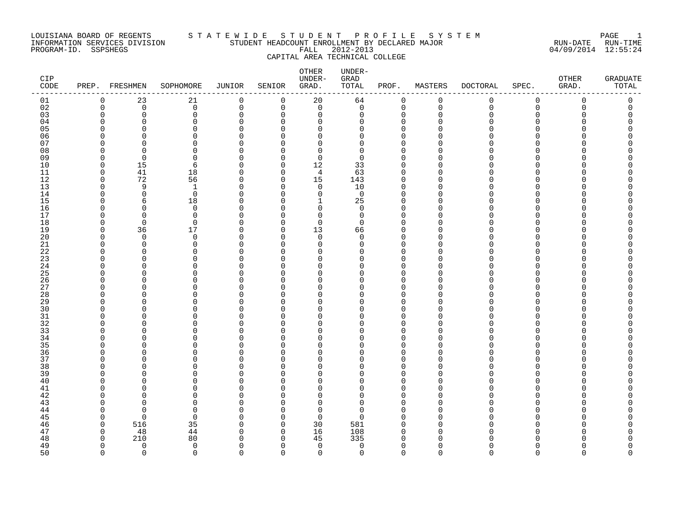### LOUISIANA BOARD OF REGENTS S T A T E W I D E S T U D E N T P R O F I L E S Y S T E M PAGE 1 INFORMATION SERVICES DIVISION STUDENT HEADCOUNT ENROLLMENT BY DECLARED MAJOR RUN-DATE RUN-TIME PROGRAM-ID. SSPSHEGS FALL 2012-2013 04/09/2014 12:55:24 CAPITAL AREA TECHNICAL COLLEGE

| CIP<br>CODE |                      | PREP. FRESHMEN       | SOPHOMORE            | <b>JUNIOR</b>        | SENIOR               | OTHER<br>UNDER-<br>GRAD. | UNDER-<br>GRAD<br>TOTAL | PROF.                   | MASTERS            | <b>DOCTORAL</b> | SPEC.              | OTHER<br>GRAD. | <b>GRADUATE</b><br>TOTAL |
|-------------|----------------------|----------------------|----------------------|----------------------|----------------------|--------------------------|-------------------------|-------------------------|--------------------|-----------------|--------------------|----------------|--------------------------|
| 01          | $\mathbf 0$          | 23                   | 21                   | 0                    | 0                    | 20                       | 64                      | 0                       | 0                  | 0               | 0                  | 0              | 0                        |
| 02          | $\mathbf 0$          | $\mathbf 0$          | $\mathbf 0$          | $\mathbf 0$          | $\mathbf 0$          | $\mathbf 0$              | $\mathsf{O}$            | $\mathbf 0$             | $\mathbf 0$        | $\mathbf 0$     | 0                  | $\mathbf 0$    | 0                        |
| 03          | $\Omega$             | $\mathbf 0$          | 0                    | $\mathbf 0$          | $\mathbf 0$          | $\mathbf 0$              | 0                       | 0                       | $\Omega$           | O               | $\Omega$           | U              | 0                        |
| 04          | O<br>∩               | $\Omega$<br>$\Omega$ | $\Omega$             | $\Omega$             | $\Omega$             | $\Omega$                 | $\Omega$                | $\Omega$<br>$\Omega$    | $\Omega$<br>$\cap$ |                 | $\Omega$           |                |                          |
| 05<br>06    |                      | O                    | $\Omega$             | $\Omega$<br>$\Omega$ | $\Omega$             | $\Omega$                 | $\Omega$                | 0                       |                    |                 | $\Omega$<br>O      |                |                          |
| 07          |                      | U                    | 0<br>$\Omega$        | $\Omega$             | $\Omega$<br>$\Omega$ | 0<br>0                   | 0<br>0                  | $\Omega$                | ∩                  |                 | U                  |                |                          |
| 08          | ∩                    | $\Omega$             | $\Omega$             | $\Omega$             | $\Omega$             | $\mathbf 0$              | 0                       | $\Omega$                | ∩                  |                 | $\Omega$           |                |                          |
| 09          | $\Omega$             | $\Omega$             | $\Omega$             | $\Omega$             | $\Omega$             | $\Omega$                 | $\Omega$                | $\Omega$                | $\Omega$           |                 | U                  |                |                          |
| 10          | $\Omega$             | 15                   | 6                    | $\Omega$             | $\mathbf 0$          | 12                       | 33                      | $\Omega$                | $\Omega$           |                 | $\mathbf 0$        |                |                          |
| 11          | $\Omega$             | 41                   | 18                   | $\Omega$             | $\Omega$             | 4                        | 63                      | $\Omega$                | O                  |                 | U                  |                |                          |
| 12          | $\Omega$             | 72                   | 56                   | $\Omega$             | $\mathbf 0$          | 15                       | 143                     | $\Omega$                | ∩                  |                 | O                  |                |                          |
| 13          | ∩                    | 9                    | $\mathbf{1}$         | $\Omega$             | $\Omega$             | $\mathbf 0$              | 10                      | $\Omega$                | $\Omega$           |                 | $\Omega$           |                |                          |
| 14          | ∩                    | $\Omega$             | $\Omega$             | $\Omega$             | $\Omega$             | $\mathbf 0$              | $\mathbf 0$             | $\Omega$                | $\Omega$           |                 | $\Omega$           |                |                          |
| 15          | ∩                    | 6                    | 18                   | $\Omega$             | 0                    | 1                        | 25                      | $\Omega$                | O                  |                 | O                  |                |                          |
| 16          | ∩                    | O                    | 0                    | $\Omega$             | $\Omega$             | 0                        | $\mathbf 0$             | $\Omega$                |                    |                 | O                  |                |                          |
| 17          |                      | $\Omega$             | 0                    | $\Omega$             | $\Omega$             | $\Omega$                 | $\mathbf 0$             | $\Omega$                | ∩                  |                 | U                  |                |                          |
| 18          | $\Omega$             | $\Omega$             | $\Omega$             | $\Omega$             | $\Omega$             | $\Omega$                 | $\Omega$                | $\Omega$                | $\Omega$           |                 | $\Omega$           |                |                          |
| 19          | $\Omega$             | 36                   | $17$                 | $\Omega$             | $\mathbf 0$          | 13                       | 66                      | $\Omega$                | O                  |                 | $\Omega$           |                |                          |
| 20          | O<br>∩               | $\mathbf 0$          | 0                    | $\Omega$<br>$\Omega$ | $\Omega$             | $\mathbf 0$              | 0                       | $\Omega$                | ∩                  |                 | $\Omega$           |                |                          |
| 21<br>22    | ∩                    | $\Omega$<br>O        | 0<br>$\Omega$        | $\Omega$             | $\Omega$<br>$\Omega$ | 0<br>$\Omega$            | 0<br><sup>0</sup>       | $\mathbf 0$<br>$\Omega$ | $\Omega$           |                 | $\Omega$<br>U      |                |                          |
| 23          | ∩                    | O                    | $\Omega$             | $\Omega$             | $\Omega$             | 0                        | $\Omega$                | $\mathbf 0$             | $\Omega$           |                 | $\Omega$           |                |                          |
| 24          | O                    | O                    | $\Omega$             | $\Omega$             | $\Omega$             | 0                        | 0                       | $\mathbf 0$             | $\Omega$           |                 | $\Omega$           |                |                          |
| 25          | ∩                    | O                    | $\Omega$             | $\Omega$             | $\Omega$             | 0                        | 0                       | $\mathbf 0$             | O                  |                 | $\Omega$           |                |                          |
| 26          | ∩                    | O                    | $\Omega$             | $\Omega$             | $\Omega$             | 0                        | 0                       | $\Omega$                | $\Omega$           |                 | $\Omega$           |                |                          |
| 27          | ∩                    | O                    | $\Omega$             | $\Omega$             | $\Omega$             | 0                        | $\Omega$                | $\mathbf 0$             | $\Omega$           |                 | $\Omega$           |                |                          |
| 28          | O                    | C                    | 0                    | $\Omega$             | $\Omega$             | 0                        | 0                       | $\Omega$                | $\Omega$           |                 | 0                  |                |                          |
| 29          | O                    | O                    | 0                    | $\Omega$             | $\Omega$             | 0                        | 0                       | $\mathbf 0$             | O                  |                 | $\Omega$           |                |                          |
| 30          | ∩                    | U                    | $\Omega$             | $\Omega$             | $\Omega$             | $\Omega$                 | <sup>0</sup>            | $\Omega$                | ∩                  |                 | O                  |                |                          |
| 31          | O                    | U                    | $\Omega$             | $\Omega$             | $\Omega$             | $\Omega$                 | $\Omega$                | $\Omega$                | $\Omega$           |                 | $\Omega$           |                |                          |
| 32          | ∩                    | U                    | 0                    | $\Omega$             | $\Omega$             | 0                        | 0                       | $\mathbf 0$             | ∩                  |                 | $\Omega$           |                |                          |
| 33          |                      |                      | $\Omega$             | $\Omega$             | $\Omega$             | 0                        | 0                       | $\Omega$                | $\Omega$           |                 | O                  |                |                          |
| 34          | ∩                    | O<br>U               | $\Omega$<br>$\Omega$ | $\Omega$<br>$\Omega$ | 0                    | 0<br>$\Omega$            | 0<br>$\Omega$           | 0<br>$\Omega$           | $\Omega$           |                 | $\Omega$<br>U      |                |                          |
| 35<br>36    | ∩                    | U                    | $\Omega$             | $\Omega$             | $\Omega$<br>$\Omega$ | 0                        | 0                       | $\mathbf 0$             | $\Omega$           |                 | $\Omega$           |                |                          |
| 37          |                      | C                    | 0                    | $\Omega$             | $\Omega$             | 0                        | 0                       | $\Omega$                | $\Omega$           |                 | $\Omega$           |                |                          |
| 38          |                      | U                    | $\Omega$             | $\Omega$             | $\Omega$             | 0                        | 0                       | $\Omega$                |                    |                 | O                  |                |                          |
| 39          |                      | O                    | $\Omega$             | $\Omega$             | $\Omega$             | 0                        | 0                       | $\Omega$                | $\Omega$           |                 | $\Omega$           |                |                          |
| 40          |                      |                      | $\Omega$             | $\Omega$             | $\Omega$             | $\Omega$                 | $\Omega$                | $\Omega$                | $\Omega$           |                 | $\Omega$           |                |                          |
| 41          |                      | U                    | $\Omega$             | $\Omega$             | $\Omega$             | $\Omega$                 | 0                       | $\Omega$                | ∩                  |                 | $\Omega$           |                |                          |
| 42          |                      | O                    | 0                    | $\Omega$             | $\Omega$             | 0                        | 0                       | $\Omega$                | $\Omega$           |                 | O                  |                |                          |
| 43          |                      | U                    | $\Omega$             | $\Omega$             | $\Omega$             | $\Omega$                 | 0                       | $\Omega$                | ∩                  |                 | O                  |                |                          |
| 44          | ∩                    | $\cap$               | $\Omega$             | $\Omega$             | $\Omega$             | $\mathbf 0$              | 0                       | $\Omega$                | $\Omega$           |                 | $\Omega$           |                |                          |
| 45          | ∩                    | $\Omega$             | $\Omega$             | $\Omega$             | $\Omega$             | $\Omega$                 | $\Omega$                | $\Omega$                | $\Omega$           |                 | U                  |                |                          |
| 46          | $\Omega$             | 516                  | 35                   | $\Omega$             | $\Omega$             | 30                       | 581                     | $\Omega$                | $\Omega$           |                 | $\Omega$           |                |                          |
| 47          | $\Omega$             | 48                   | 44                   | $\Omega$             | 0                    | 16                       | 108                     | 0                       | $\Omega$           |                 | O                  |                |                          |
| 48          | O                    | 210                  | 80                   | ∩                    | $\Omega$             | 45                       | 335                     | $\Omega$                | O                  |                 |                    |                |                          |
| 49<br>50    | $\Omega$<br>$\Omega$ | $\Omega$<br>$\Omega$ | 0<br>$\Omega$        | $\Omega$<br>$\cap$   | $\Omega$<br>$\cap$   | $\mathbf 0$              | 0                       | $\mathbf 0$<br>$\Omega$ | $\Omega$<br>$\cap$ | $\cap$          | $\Omega$<br>$\cap$ | n<br>$\cap$    | O<br>$\Omega$            |
|             |                      |                      |                      |                      |                      | $\Omega$                 | 0                       |                         |                    |                 |                    |                |                          |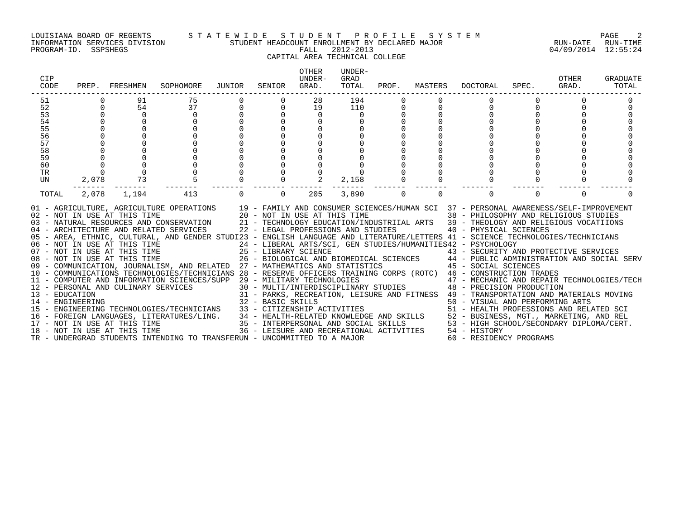#### LOUISIANA BOARD OF REGENTS S T A T E W I D E S T U D E N T P R O F I L E S Y S T E M PAGE 2 INFORMATION SERVICES DIVISION STUDENT HEADCOUNT ENROLLMENT BY DECLARED MAJOR RUN-DATE RUN-TIME

# CAPITAL AREA TECHNICAL COLLEGE

| <b>CIP</b><br>CODE | PREP.                   | FRESHMEN                                    | SOPHOMORE                                                                                                                                                                                                                                                                                                                                                                                                                                                                                                                                                                                                                                                                                                                                                                                                                                                                                                                                                                                                                                                                                                                                                                                                                                                                                                                                                                                                                                                                                                                                                       | JUNIOR         | SENIOR   | <b>OTHER</b><br>UNDER-<br>GRAD. | UNDER-<br>GRAD<br>TOTAL | PROF.         | MASTERS  | DOCTORAL                                                                                                                                                                            | SPEC.          | OTHER<br>GRAD. | GRADUATE<br>TOTAL |
|--------------------|-------------------------|---------------------------------------------|-----------------------------------------------------------------------------------------------------------------------------------------------------------------------------------------------------------------------------------------------------------------------------------------------------------------------------------------------------------------------------------------------------------------------------------------------------------------------------------------------------------------------------------------------------------------------------------------------------------------------------------------------------------------------------------------------------------------------------------------------------------------------------------------------------------------------------------------------------------------------------------------------------------------------------------------------------------------------------------------------------------------------------------------------------------------------------------------------------------------------------------------------------------------------------------------------------------------------------------------------------------------------------------------------------------------------------------------------------------------------------------------------------------------------------------------------------------------------------------------------------------------------------------------------------------------|----------------|----------|---------------------------------|-------------------------|---------------|----------|-------------------------------------------------------------------------------------------------------------------------------------------------------------------------------------|----------------|----------------|-------------------|
| 51<br>52<br>53     | $\Omega$                | 91<br>54<br>$\overline{0}$                  | 75<br>37<br>$\Omega$                                                                                                                                                                                                                                                                                                                                                                                                                                                                                                                                                                                                                                                                                                                                                                                                                                                                                                                                                                                                                                                                                                                                                                                                                                                                                                                                                                                                                                                                                                                                            | $\overline{0}$ | $\Omega$ | 28<br>19<br>$\Omega$            | 194<br>110<br>$\Omega$  | $\Omega$<br>0 | $\Omega$ | $\Omega$                                                                                                                                                                            | $\overline{0}$ |                |                   |
| 54                 |                         |                                             | $\mathbf 0$                                                                                                                                                                                                                                                                                                                                                                                                                                                                                                                                                                                                                                                                                                                                                                                                                                                                                                                                                                                                                                                                                                                                                                                                                                                                                                                                                                                                                                                                                                                                                     |                |          |                                 |                         |               |          |                                                                                                                                                                                     |                |                |                   |
| 55<br>56           |                         |                                             | $\mathbf 0$                                                                                                                                                                                                                                                                                                                                                                                                                                                                                                                                                                                                                                                                                                                                                                                                                                                                                                                                                                                                                                                                                                                                                                                                                                                                                                                                                                                                                                                                                                                                                     |                |          |                                 |                         |               |          |                                                                                                                                                                                     |                |                |                   |
| 57                 |                         | 00000                                       |                                                                                                                                                                                                                                                                                                                                                                                                                                                                                                                                                                                                                                                                                                                                                                                                                                                                                                                                                                                                                                                                                                                                                                                                                                                                                                                                                                                                                                                                                                                                                                 |                |          |                                 |                         |               |          |                                                                                                                                                                                     |                |                |                   |
| 58                 |                         |                                             |                                                                                                                                                                                                                                                                                                                                                                                                                                                                                                                                                                                                                                                                                                                                                                                                                                                                                                                                                                                                                                                                                                                                                                                                                                                                                                                                                                                                                                                                                                                                                                 |                |          |                                 |                         |               |          |                                                                                                                                                                                     |                |                |                   |
| 59                 |                         |                                             |                                                                                                                                                                                                                                                                                                                                                                                                                                                                                                                                                                                                                                                                                                                                                                                                                                                                                                                                                                                                                                                                                                                                                                                                                                                                                                                                                                                                                                                                                                                                                                 |                |          |                                 |                         |               |          |                                                                                                                                                                                     |                |                |                   |
| 60<br>TR           | $\mathbf 0$<br>$\Omega$ |                                             |                                                                                                                                                                                                                                                                                                                                                                                                                                                                                                                                                                                                                                                                                                                                                                                                                                                                                                                                                                                                                                                                                                                                                                                                                                                                                                                                                                                                                                                                                                                                                                 |                |          |                                 |                         |               |          |                                                                                                                                                                                     |                |                |                   |
| UN                 | 2,078                   | $\begin{array}{c} 0 \\ 0 \\ 73 \end{array}$ | $\overline{5}$                                                                                                                                                                                                                                                                                                                                                                                                                                                                                                                                                                                                                                                                                                                                                                                                                                                                                                                                                                                                                                                                                                                                                                                                                                                                                                                                                                                                                                                                                                                                                  |                |          | 2                               | 2,158                   |               |          |                                                                                                                                                                                     |                |                |                   |
| TOTAL              | 2,078                   | 1,194                                       | 413                                                                                                                                                                                                                                                                                                                                                                                                                                                                                                                                                                                                                                                                                                                                                                                                                                                                                                                                                                                                                                                                                                                                                                                                                                                                                                                                                                                                                                                                                                                                                             | $\Omega$       | $\Omega$ | 205                             | 3,890                   | $\Omega$      | $\Omega$ | $\Omega$                                                                                                                                                                            | $\Omega$       | $\Omega$       |                   |
|                    |                         | 18 - NOT IN USE AT THIS TIME                | 01 - AGRICULTURE, AGRICULTURE OPERATIONS 19 - FAMILY AND CONSUMER SCIENCES/HUMAN SCI 37 - PERSONAL AWARENESS/SELF-IMPROVEMENT<br>02 - NOT IN USE AT THIS TIME 20 - NOT IN USE AT THIS TIME 38 - PHILOSOPHY AND RELIGIOUS STUDIES<br>03 - NATURAL RESOURCES AND CONSERVATION 21 - TECHNOLOGY EDUCATION/INDUSTRIIAL ARTS 39 - THEOLOGY AND RELIGIOUS VOCATIIONS<br>04 - ARCHITECTURE AND RELATED SERVICES 22 - LEGAL PROFESSIONS AND STUDIES 40 - PHYSICAL SCIENCES<br>05 - AREA, ETHNIC, CULTURAL, AND GENDER STUDI23 - ENGLISH LANGUAGE AND LITERATURE/LETTERS 41 - SCIENCE TECHNOLOGIES/TECHNICIANS<br>06 - NOT IN USE AT THIS TIME<br>07 - NOT IN USE AT THIS TIME<br>08 - NOT IN USE AT THIS TIME<br>08 - NOT IN USE AT THIS TIME<br>26 - BIOLOGICAL AND BIOMEDICAL SCIENCES 44 - PUBLIC ADMI<br>07 - NOT IN USE AT THIS TIME 25 - LIBRARY SCIENCE 43 - SECURITY AND PROTECTIVE SERVICES<br>08 - NOT IN USE AT THIS TIME 26 - BIOLOGICAL AND BIOMEDICAL SCIENCES 44 - PUBLIC ADMINISTRATION AND SOCIAL SERV<br>09 - COMMUNICATION, JO<br>10 - COMMUNICATIONS TECHNOLOGIES/TECHNICIANS 28 - RESERVE OFFICERS TRAINING CORPS (ROTC) 46 - CONSTRUCTION TRADES<br>11 - COMPUTER AND INFORMATION SCIENCES/SUPP 29 - MILITARY TECHNOLOGIES<br>1 - COMPOURRE AND CULINARY SERVICES<br>12 - PERSONAL AND CULINARY SERVICES<br>13 - EDUCATION 31 - PARKS, RECREATION, LEISURE AND FITNESS<br>14 - ENGINEERING TECHNOLOGIES/TECHNICIANS<br>23 - BASIC SKILLS<br>23 - CITIZENSHIP ACTIVITIE<br>TR - UNDERGRAD STUDENTS INTENDING TO TRANSFERUN - UNCOMMITTED TO A MAJOR |                |          |                                 |                         |               |          | 29 - MILITARY TECHNOLOGIES<br>30 - MULTI/INTERDISCIPLINARY STUDIES<br>48 - PRECISION PRODUCTION<br>36 - LEISURE AND RECREATIONAL ACTIVITIES 54 - HISTORY<br>60 - RESIDENCY PROGRAMS |                |                |                   |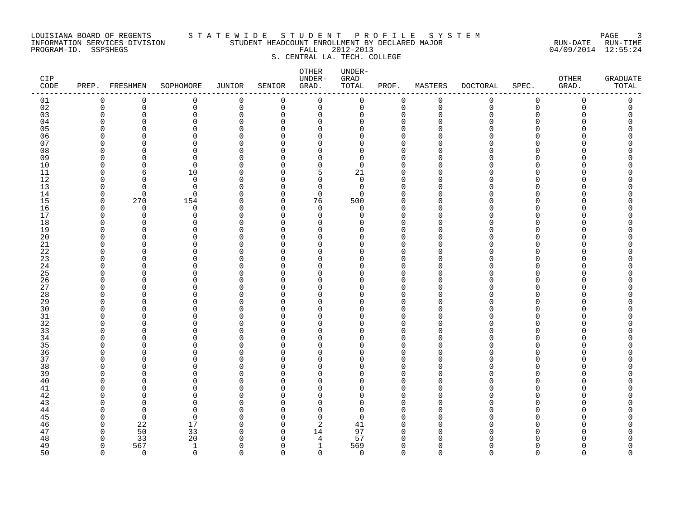### LOUISIANA BOARD OF REGENTS S T A T E W I D E S T U D E N T P R O F I L E S Y S T E M PAGE 3 INFORMATION SERVICES DIVISION STUDENT HEADCOUNT ENROLLMENT BY DECLARED MAJOR RUN-DATE RUN-TIME PROGRAM-ID. SSPSHEGS FALL 2012-2013 04/09/2014 12:55:24 S. CENTRAL LA. TECH. COLLEGE

| CIP<br>$\texttt{CODE}$ |             | PREP. FRESHMEN | SOPHOMORE | JUNIOR      | SENIOR      | OTHER<br>UNDER-<br>GRAD. | UNDER-<br>${\tt GRAD}$<br>TOTAL | PROF.          | MASTERS     | DOCTORAL    | SPEC.       | OTHER<br>GRAD. | <b>GRADUATE</b><br>TOTAL |
|------------------------|-------------|----------------|-----------|-------------|-------------|--------------------------|---------------------------------|----------------|-------------|-------------|-------------|----------------|--------------------------|
| 01                     | $\mathbf 0$ | 0              | 0         | $\mathbf 0$ | 0           | $\mathbf 0$              | 0                               | $\mathbf 0$    | 0           | 0           | 0           | 0              | 0                        |
| 02                     | $\mathbf 0$ | 0              | 0         | $\mathbf 0$ | $\mathbf 0$ | $\mathbf 0$              | $\mathsf{O}$                    | $\mathbf 0$    | $\mathbf 0$ | $\mathbf 0$ | $\mathbf 0$ | 0              | 0                        |
| 03                     | $\Omega$    | $\Omega$       | 0         | $\circ$     | $\mathbf 0$ | $\mathbf 0$              | 0                               | $\mathbf 0$    | $\Omega$    | $\Omega$    | 0           | $\Omega$       | 0                        |
| 04                     |             | O              | 0         | $\Omega$    | $\Omega$    | $\mathbf 0$              | 0                               | $\Omega$       | ∩           | N           | ∩           |                | Λ                        |
| 05                     |             |                | $\Omega$  | $\Omega$    | $\Omega$    | $\mathbf 0$              | 0                               | $\Omega$       | n           |             | $\Omega$    |                |                          |
| 06                     |             | ∩              | $\Omega$  | O           | $\Omega$    | 0                        | 0                               | 0              | ∩           |             | $\Omega$    |                |                          |
| 07                     |             |                | $\Omega$  | O           | $\Omega$    | $\mathbf 0$              | 0                               | $\Omega$       | n           |             | $\Omega$    |                |                          |
| 08                     |             | ∩              | $\Omega$  | $\Omega$    | $\Omega$    | $\mathbf 0$              | 0                               | $\mathbf 0$    | n           |             | $\Omega$    |                |                          |
| 09                     | ∩           | ∩              | $\Omega$  | $\cap$      | $\Omega$    | $\Omega$                 | $\Omega$                        | $\Omega$       | n           |             | ∩           |                |                          |
| 10                     | O           | $\Omega$       | 0         | $\Omega$    | $\Omega$    | $\mathbf 0$              | $\mathbf 0$                     | $\overline{0}$ | $\Omega$    |             | $\Omega$    |                |                          |
| 11                     | n           | 6              | 10        | O           | $\Omega$    | 5                        | 21                              | $\mathbf 0$    | $\Omega$    |             | ∩           |                |                          |
| 12                     | O           | $\Omega$       | 0         | O           | $\Omega$    | $\mathbf 0$              | 0                               | $\Omega$       | ∩           |             | ∩           |                | ∩                        |
| 13                     | ∩           | $\Omega$       | 0         | O           | $\Omega$    | $\mathbf 0$              | 0                               | $\Omega$       | O           |             | ∩           |                |                          |
| 14                     | $\Omega$    | $\Omega$       | $\Omega$  | $\Omega$    | $\Omega$    | $\mathbf 0$              | $\Omega$                        | $\Omega$       | ∩           |             | ∩           |                |                          |
| 15                     | $\Omega$    | 270            | 154       | $\Omega$    | $\Omega$    | 76                       | 500                             | $\mathbf 0$    | ∩           |             | $\Omega$    |                |                          |
| 16                     | $\Omega$    | $\Omega$       | 0         | O           | $\Omega$    | $\mathbf 0$              | $\Omega$                        | $\mathbf 0$    | $\cap$      |             | $\Omega$    |                |                          |
| 17                     | n           | 0              | 0         | $\Omega$    | $\Omega$    | 0                        | 0                               | $\mathbf 0$    | ∩           |             | ∩           |                | Π                        |
| 18                     | ∩           | $\Omega$       | $\Omega$  | O           | $\Omega$    | $\Omega$                 | 0                               | $\Omega$       | $\cap$      |             | ∩           |                |                          |
| 19                     | n           | O              | $\Omega$  | O           | $\Omega$    | 0                        | O                               | $\mathbf 0$    | ∩           |             | O           |                |                          |
| $20\,$                 | ∩           | $\Omega$       | 0         | O           | O           | 0                        | 0                               | $\Omega$       | $\cap$      |             | $\Omega$    |                |                          |
| 21                     | n           | ∩              | $\Omega$  | O           | U           | $\mathbf 0$              | 0                               | $\Omega$       | $\Omega$    |             | ∩           |                |                          |
| 22                     |             | <sup>n</sup>   | 0         | O           | U           | $\Omega$                 | 0                               | $\Omega$       | n           |             | ∩           |                |                          |
| 23                     |             | n              | $\Omega$  | O           | $\Omega$    | $\Omega$                 | 0                               | $\Omega$       | O           |             | $\Omega$    |                |                          |
| 24                     | ∩           | O              | 0         | O           | $\Omega$    | 0                        | 0                               | 0              | ∩           |             | 0           |                |                          |
| 25                     |             | Λ              | 0         | O           | U           | $\mathbf 0$              | 0                               | 0              |             |             | $\Omega$    |                |                          |
| 26                     |             | ∩              | 0         | O           | $\Omega$    | 0                        | 0                               | $\mathbf 0$    | n           |             | $\Omega$    |                | ∩                        |
| 27                     |             | ∩              | $\Omega$  | O           | U           | $\Omega$                 | 0                               | $\Omega$       | n           |             | ∩           |                |                          |
| 28                     | n           | n              | $\Omega$  | O           | $\Omega$    | $\Omega$                 | $\Omega$                        | $\Omega$       | O           |             | ∩           |                |                          |
| 29                     | ∩           | ∩              | $\Omega$  | O           | U           | $\Omega$                 | 0                               | $\mathbf 0$    | ∩           |             | ∩           |                |                          |
| 30                     |             |                | $\Omega$  | $\Omega$    | $\Omega$    | $\mathbf 0$              | 0                               | $\overline{0}$ | $\cap$      |             | $\Omega$    |                |                          |
| 31                     |             | ∩              | 0         | O           | O           | 0                        | 0                               | 0              | U           |             | ∩           |                |                          |
| 32                     |             | O              | 0         | O           | U           | 0                        | O                               | $\Omega$       | n           |             | O           |                |                          |
| 33                     |             | O              | $\Omega$  | O           | $\Omega$    | 0                        | 0                               | $\mathbf 0$    | U           |             | $\Omega$    |                |                          |
| 34                     |             | ∩              | $\Omega$  | U           | $\Omega$    | $\Omega$                 | 0                               | $\mathbf 0$    | n           |             | $\Omega$    |                |                          |
| 35                     |             | Ω              | $\Omega$  | $\Omega$    | $\Omega$    | $\mathbf 0$              | 0                               | $\Omega$       | $\cap$      |             | ∩           |                |                          |
| 36                     |             | n              | $\Omega$  | O           | $\Omega$    | $\Omega$                 | 0                               | $\Omega$       | $\cap$      |             | ∩           |                |                          |
| 37                     |             | $\Omega$       | $\Omega$  | O           | $\Omega$    | $\mathbf 0$              | 0                               | $\Omega$       | U           |             | $\Omega$    |                |                          |
| 38                     |             | Ω              | $\Omega$  | O           | O           | 0                        | 0                               | $\Omega$       | ∩           |             | O           |                |                          |
| 39                     |             |                | 0         | O           | U           | 0                        | 0                               | $\Omega$       | U           |             | ∩           |                |                          |
| 40                     |             |                | 0         | O           | O           | $\mathbf 0$              | 0                               | $\Omega$       | n           |             | ∩           |                |                          |
| 41                     |             |                | $\Omega$  | U           | $\Omega$    | $\Omega$                 | 0                               | $\Omega$       | n           |             | ∩           |                |                          |
| 42                     |             | ∩              | $\Omega$  | O           | $\Omega$    | $\Omega$                 | 0                               | $\mathbf 0$    | ∩           |             | $\Omega$    |                |                          |
| 43                     |             | n              | $\Omega$  | $\cap$      | U           | $\Omega$                 | 0                               | $\Omega$       | $\cap$      |             | $\Omega$    |                |                          |
| 44                     |             | <sup>0</sup>   | 0         | O           | $\Omega$    | 0                        | 0                               | 0              | ∩           |             | $\Omega$    |                |                          |
| 45                     |             | $\Omega$       | $\Omega$  | O           | $\Omega$    | $\mathbf 0$              | 0                               | $\Omega$       |             |             | ∩           |                |                          |
| 46                     | n           | 22             | 17        | O           | $\Omega$    | 2                        | 41                              | $\Omega$       | ∩           |             | $\Omega$    |                |                          |
| 47                     | ∩           | 50             | 33        | O           | $\Omega$    | 14                       | 97                              | $\Omega$       | ∩           |             | ∩           |                |                          |
| 48                     | n           | 33             | $20$      | $\cap$      | $\Omega$    | $\overline{4}$           | 57                              | $\Omega$       |             |             | $\cap$      |                | ი                        |
| 49                     | $\Omega$    | 567            | 1         | $\Omega$    | $\Omega$    | $\mathbf 1$              | 569                             | $\mathbf 0$    | ∩           | U           | $\Omega$    |                | 0                        |
| 50                     | $\cap$      | $\Omega$       | $\Omega$  | $\Omega$    | $\cap$      | $\Omega$                 | $\Omega$                        | $\cap$         | $\cap$      |             | $\cap$      | $\cap$         | $\cap$                   |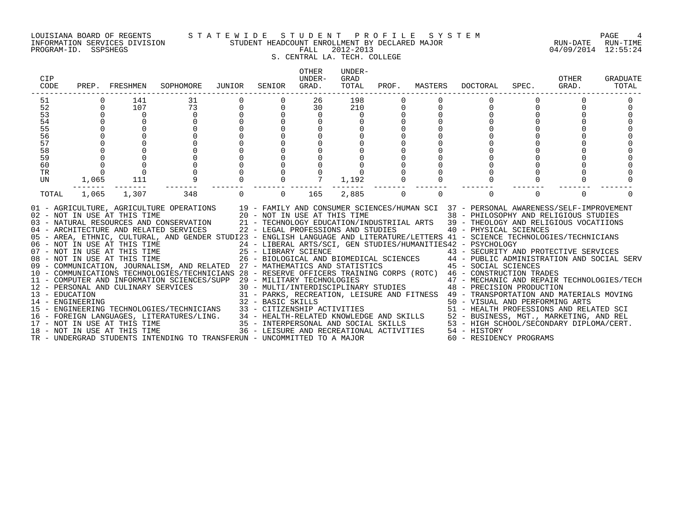### LOUISIANA BOARD OF REGENTS S T A T E W I D E S T U D E N T P R O F I L E S Y S T E M PAGE 4 INFORMATION SERVICES DIVISION STUDENT HEADCOUNT ENROLLMENT BY DECLARED MAJOR RUN-DATE RUN-TIME

# S. CENTRAL LA. TECH. COLLEGE

| CIP<br>CODE |                                      | PREP. FRESHMEN | SOPHOMORE                                                                                                                                                                                                                                                                                                                                                                                                                                                                                                                                                                                                                                                                                                                                                                                                                                                                                                                                                                                                                                                                                                                                                                                                                                                    | JUNIOR      | SENIOR         | OTHER<br><b>IJNDER-</b><br>GRAD. | UNDER-<br>GRAD<br>TOTAL | PROF.       | MASTERS     | DOCTORAL                | SPEC.    | OTHER<br>GRAD. | GRADUATE<br>TOTAL |
|-------------|--------------------------------------|----------------|--------------------------------------------------------------------------------------------------------------------------------------------------------------------------------------------------------------------------------------------------------------------------------------------------------------------------------------------------------------------------------------------------------------------------------------------------------------------------------------------------------------------------------------------------------------------------------------------------------------------------------------------------------------------------------------------------------------------------------------------------------------------------------------------------------------------------------------------------------------------------------------------------------------------------------------------------------------------------------------------------------------------------------------------------------------------------------------------------------------------------------------------------------------------------------------------------------------------------------------------------------------|-------------|----------------|----------------------------------|-------------------------|-------------|-------------|-------------------------|----------|----------------|-------------------|
| 51          |                                      | 141            | 31                                                                                                                                                                                                                                                                                                                                                                                                                                                                                                                                                                                                                                                                                                                                                                                                                                                                                                                                                                                                                                                                                                                                                                                                                                                           |             |                | 26                               | 198                     |             |             |                         |          |                |                   |
| 52          | $\Omega$                             | 107            | 73                                                                                                                                                                                                                                                                                                                                                                                                                                                                                                                                                                                                                                                                                                                                                                                                                                                                                                                                                                                                                                                                                                                                                                                                                                                           |             | $\overline{0}$ | 30                               | 210                     | 0           |             | $\Omega$                |          |                |                   |
| 53          | $\overline{0}$                       | $\overline{0}$ | $\mathbf 0$                                                                                                                                                                                                                                                                                                                                                                                                                                                                                                                                                                                                                                                                                                                                                                                                                                                                                                                                                                                                                                                                                                                                                                                                                                                  |             | $\overline{0}$ | $\overline{0}$                   | $\overline{0}$          |             |             |                         |          |                |                   |
| 54          | $\Omega$                             |                | $\Omega$                                                                                                                                                                                                                                                                                                                                                                                                                                                                                                                                                                                                                                                                                                                                                                                                                                                                                                                                                                                                                                                                                                                                                                                                                                                     |             | $\Omega$       | $\mathbf 0$                      |                         |             |             |                         |          |                |                   |
| 55          |                                      |                | $\Omega$                                                                                                                                                                                                                                                                                                                                                                                                                                                                                                                                                                                                                                                                                                                                                                                                                                                                                                                                                                                                                                                                                                                                                                                                                                                     |             | $\overline{0}$ |                                  |                         |             |             |                         |          |                |                   |
| 56          |                                      |                | $\Omega$                                                                                                                                                                                                                                                                                                                                                                                                                                                                                                                                                                                                                                                                                                                                                                                                                                                                                                                                                                                                                                                                                                                                                                                                                                                     |             | $\Omega$       |                                  |                         |             |             |                         |          |                |                   |
| 57          |                                      |                | $\Omega$                                                                                                                                                                                                                                                                                                                                                                                                                                                                                                                                                                                                                                                                                                                                                                                                                                                                                                                                                                                                                                                                                                                                                                                                                                                     |             | $\Omega$       |                                  |                         |             |             |                         |          |                |                   |
| 58          |                                      |                |                                                                                                                                                                                                                                                                                                                                                                                                                                                                                                                                                                                                                                                                                                                                                                                                                                                                                                                                                                                                                                                                                                                                                                                                                                                              |             | $\Omega$       |                                  |                         |             |             |                         |          |                |                   |
| 59          |                                      |                |                                                                                                                                                                                                                                                                                                                                                                                                                                                                                                                                                                                                                                                                                                                                                                                                                                                                                                                                                                                                                                                                                                                                                                                                                                                              |             | $\Omega$       |                                  |                         |             |             |                         |          |                |                   |
| 60          | $\begin{matrix} 0 \\ 0 \end{matrix}$ |                |                                                                                                                                                                                                                                                                                                                                                                                                                                                                                                                                                                                                                                                                                                                                                                                                                                                                                                                                                                                                                                                                                                                                                                                                                                                              |             | $\mathbf 0$    |                                  |                         |             |             |                         |          |                |                   |
| <b>TR</b>   |                                      |                |                                                                                                                                                                                                                                                                                                                                                                                                                                                                                                                                                                                                                                                                                                                                                                                                                                                                                                                                                                                                                                                                                                                                                                                                                                                              |             | $\overline{0}$ | $\overline{0}$                   |                         |             |             |                         |          |                |                   |
| UN          | 1,065                                | 111            | $\frac{6}{9}$                                                                                                                                                                                                                                                                                                                                                                                                                                                                                                                                                                                                                                                                                                                                                                                                                                                                                                                                                                                                                                                                                                                                                                                                                                                |             | $\overline{0}$ |                                  | 1,192                   |             |             |                         |          |                |                   |
| TOTAL       | 1,065                                | 1,307          | 348                                                                                                                                                                                                                                                                                                                                                                                                                                                                                                                                                                                                                                                                                                                                                                                                                                                                                                                                                                                                                                                                                                                                                                                                                                                          | $\mathbf 0$ | $\overline{0}$ | 165                              | 2,885                   | $\mathbf 0$ | $\mathbf 0$ | $\mathbf 0$             | $\Omega$ | $\Omega$       |                   |
|             |                                      |                | 01 - AGRICULTURE, AGRICULTURE OPERATIONS 19 - FAMILY AND CONSUMER SCIENCES/HUMAN SCI 37 - PERSONAL AWARENESS/SELF-IMPROVEMENT 102 - NOT IN USE AT THIS TIME 20 - NOT IN USE AT THIS TIME 38 - PHILOSOPHY AND RELIGIOUS STUDIES<br>05 - AREA, ETHNIC, CULTURAL, AND GENDER STUDI23 - ENGLISH LANGUAGE AND LITERATURE/LETTERS 41 - SCIENCE TECHNOLOGIES/TECHNICIANS<br>06 - NOT IN USE AT THIS TIME<br>07 - NOT IN USE AT THIS TIME<br>26 - LIBERAL ARTS/SCI, GEN STUDIES/HUMANITIES42 - PSYCHOLOGY<br>26 - BIOLOGICAL AND BIOMEDICAL SCIENCES<br>26 - BIOLOGICAL AND BIOMEDICAL SCIENCES<br>26 - BIOLOGICAL AN<br>10 - COMMUNICATIONS TECHNOLOGIES/TECHNICIANS 28 - RESERVE OFFICERS TRAINING CORPS (ROTC) 46 - CONSTRUCTION TRADES<br>$\begin{tabular}{lllllllllllll} 12 & -& \textsc{Vortoff-AL} & \textsc{AND} & \textsc{INC} \\ 14 & -& \textsc{PERSONAL} & \textsc{AND} & \textsc{CULINARY} & \textsc{SEVICES} & 30 & -& \textsc{MULTI/INTERDIS} & 40 & -& \textsc{UNSTKUCTION} & \textsc{RADES} \\ 15 & -& \textsc{EDUCATION} & 31 & -& \textsc{PARKS}, & \textsc{REREATION}, & \textsc{LEISURE} & \textsc{AD} & \textsc{FITNESS} & 49 & -& \textsc{RECHNOLOGIES}/\textsc{$<br>TR - UNDERGRAD STUDENTS INTENDING TO TRANSFERUN - UNCOMMITTED TO A MAJOR |             |                |                                  |                         |             |             | 60 - RESIDENCY PROGRAMS |          |                |                   |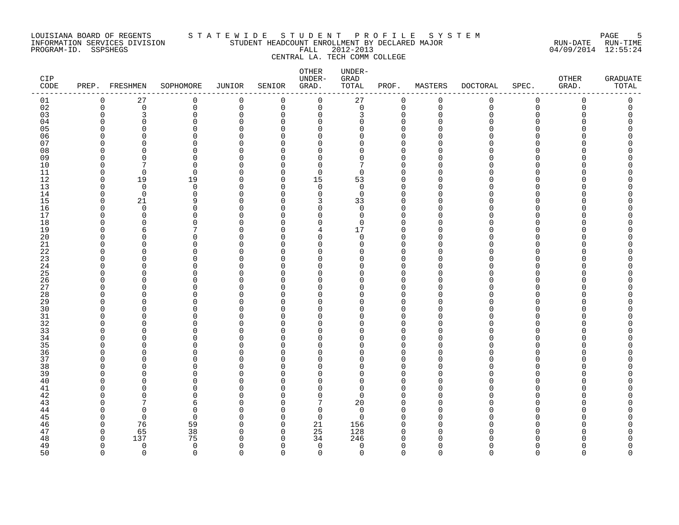### LOUISIANA BOARD OF REGENTS STATEWIDE STUDE STUDENT PROFILE SYSTEM PAGE 55 PAGE 55<br>TNFORMATION SERVICES DIVISION STUDENT HEADCOUNT ENROLLMENT BY DECLARED MAJOR INFORMATION SERVICES DIVISION STUDENT HEADCOUNT ENROLLMENT BY DECLARED MAJOR RUN-DATE RUN-TIME PROGRAM-ID. SSPSHEGS FALL 2012-2013 04/09/2014 12:55:24 CENTRAL LA. TECH COMM COLLEGE

### OTHER UNDER-CIP UNDER- GRAD OTHER GRADUATE CODE PREP. FRESHMEN SOPHOMORE JUNIOR SENIOR GRAD. TOTAL PROF. MASTERS DOCTORAL SPEC. GRAD. TOTAL ------------------------------------------------------------------------------------------------------------------------------------ 01 0 27 0 0 0 0 27 0 0 0 0 0 0 0 0 02 0 0 0 0 0 0 0 0 0 0 0 0 0 03 0 3 0 0 0 0 3 0 0 0 0 0 0 04 0 0 0 0 0 0 0 0 0 0 0 0 0 05 0 0 0 0 0 0 0 0 0 0 0 0 0 06 0 0 0 0 0 0 0 0 0 0 0 0 0 07 0 0 0 0 0 0 0 0 0 0 0 0 0 08 0 0 0 0 0 0 0 0 0 0 0 0 0 09 0 0 0 0 0 0 0 0 0 0 0 0 0 10 0 7 0 0 0 0 7 0 0 0 0 0 0 11 0 0 0 0 0 0 0 0 0 0 0 0 0 12 0 19 19 0 0 15 53 0 0 0 0 0 0 13 0 0 0 0 0 0 0 0 0 0 0 0 0 14 0 0 0 0 0 0 0 0 0 0 0 0 0 0 0 15 0 21 9 0 0 3 33 0 0 0 0 0 0 16 0 0 0 0 0 0 0 0 0 0 0 0 0 17 0 0 0 0 0 0 0 0 0 0 0 0 0 18 0 0 0 0 0 0 0 0 0 0 0 0 0 19 0 6 7 0 0 4 17 0 0 0 0 0 0 20 0 0 0 0 0 0 0 0 0 0 0 0 0 21 0 0 0 0 0 0 0 0 0 0 0 0 0 22 0 0 0 0 0 0 0 0 0 0 0 0 0 23 0 0 0 0 0 0 0 0 0 0 0 0 0 24 0 0 0 0 0 0 0 0 0 0 0 0 0 0 0 25 0 0 0 0 0 0 0 0 0 0 0 0 0 0 0 26 0 0 0 0 0 0 0 0 0 0 0 0 0 27 0 0 0 0 0 0 0 0 0 0 0 0 0 28 0 0 0 0 0 0 0 0 0 0 0 0 0 29 0 0 0 0 0 0 0 0 0 0 0 0 0 30 0 0 0 0 0 0 0 0 0 0 0 0 0 31 0 0 0 0 0 0 0 0 0 0 0 0 0 32 0 0 0 0 0 0 0 0 0 0 0 0 0 33 0 0 0 0 0 0 0 0 0 0 0 0 0 34 0 0 0 0 0 0 0 0 0 0 0 0 0 35 0 0 0 0 0 0 0 0 0 0 0 0 0 36 0 0 0 0 0 0 0 0 0 0 0 0 0 37 0 0 0 0 0 0 0 0 0 0 0 0 0 38 0 0 0 0 0 0 0 0 0 0 0 0 0 39 0 0 0 0 0 0 0 0 0 0 0 0 0 40 0 0 0 0 0 0 0 0 0 0 0 0 0 41 0 0 0 0 0 0 0 0 0 0 0 0 0 0 0 42 0 0 0 0 0 0 0 0 0 0 0 0 0 0 0 43 0 7 6 0 0 7 20 0 0 0 0 0 0 44 0 0 0 0 0 0 0 0 0 0 0 0 0 0 0 0 45 0 0 0 0 0 0 0 0 0 0 0 0 0 0 0 46 0 76 59 0 0 21 156 0 0 0 0 0 0 47 0 65 38 0 0 25 128 0 0 0 0 0 0 48 0 137 75 0 0 34 246 0 0 0 0 0 0 49 0 0 0 0 0 0 0 0 0 0 0 0 0 0 0 0 50 0 0 0 0 0 0 0 0 0 0 0 0 0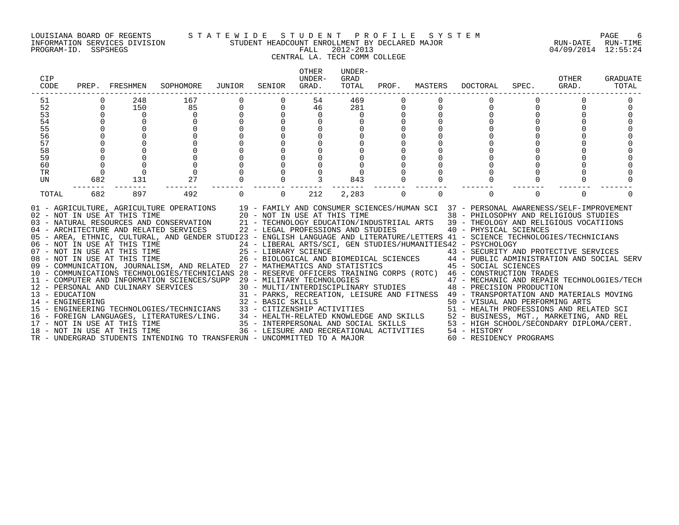#### LOUISIANA BOARD OF REGENTS S T A T E W I D E S T U D E N T P R O F I L E S Y S T E M PAGE 6 INFORMATION SERVICES DIVISION STUDENT HEADCOUNT ENROLLMENT BY DECLARED MAJOR RUN-DATE RUN-TIME

# CENTRAL LA. TECH COMM COLLEGE

| CIP<br>CODE |             | PREP. FRESHMEN                                                                                      | SOPHOMORE                                                                                                                                                                                                                                                                                                                                                                                                                                                                                                                                                                                                                                                                                                                                                                                                                                                                                                                                                                                                                                                                                                                                                                      | JUNIOR | SENIOR      | OTHER<br>UNDER-<br>GRAD.                 | UNDER-<br>GRAD<br>TOTAL | PROF.    | MASTERS     | <b>DOCTORAL</b>                                                                                                                                                                                                                                                                                                                                                                                                                                                                                                         | SPEC.    | OTHER<br>GRAD. | GRADUATE<br>TOTAL |
|-------------|-------------|-----------------------------------------------------------------------------------------------------|--------------------------------------------------------------------------------------------------------------------------------------------------------------------------------------------------------------------------------------------------------------------------------------------------------------------------------------------------------------------------------------------------------------------------------------------------------------------------------------------------------------------------------------------------------------------------------------------------------------------------------------------------------------------------------------------------------------------------------------------------------------------------------------------------------------------------------------------------------------------------------------------------------------------------------------------------------------------------------------------------------------------------------------------------------------------------------------------------------------------------------------------------------------------------------|--------|-------------|------------------------------------------|-------------------------|----------|-------------|-------------------------------------------------------------------------------------------------------------------------------------------------------------------------------------------------------------------------------------------------------------------------------------------------------------------------------------------------------------------------------------------------------------------------------------------------------------------------------------------------------------------------|----------|----------------|-------------------|
| 51          |             | 248                                                                                                 | 167                                                                                                                                                                                                                                                                                                                                                                                                                                                                                                                                                                                                                                                                                                                                                                                                                                                                                                                                                                                                                                                                                                                                                                            |        |             | 54                                       | 469                     |          |             |                                                                                                                                                                                                                                                                                                                                                                                                                                                                                                                         |          |                |                   |
| 52          | $\Omega$    | 150                                                                                                 | 85                                                                                                                                                                                                                                                                                                                                                                                                                                                                                                                                                                                                                                                                                                                                                                                                                                                                                                                                                                                                                                                                                                                                                                             | 0      | $\mathbf 0$ | 46                                       | 281                     | 0        | $\mathbf 0$ | $\mathbf 0$                                                                                                                                                                                                                                                                                                                                                                                                                                                                                                             |          |                |                   |
| 53          |             | $\overline{0}$                                                                                      | $\mathbf 0$                                                                                                                                                                                                                                                                                                                                                                                                                                                                                                                                                                                                                                                                                                                                                                                                                                                                                                                                                                                                                                                                                                                                                                    |        |             | $\overline{0}$                           | 0                       | 0        |             |                                                                                                                                                                                                                                                                                                                                                                                                                                                                                                                         |          |                |                   |
| 54          | $\mathbf 0$ |                                                                                                     | $\Omega$                                                                                                                                                                                                                                                                                                                                                                                                                                                                                                                                                                                                                                                                                                                                                                                                                                                                                                                                                                                                                                                                                                                                                                       |        |             |                                          |                         |          |             |                                                                                                                                                                                                                                                                                                                                                                                                                                                                                                                         |          |                |                   |
| 55          |             |                                                                                                     |                                                                                                                                                                                                                                                                                                                                                                                                                                                                                                                                                                                                                                                                                                                                                                                                                                                                                                                                                                                                                                                                                                                                                                                |        |             |                                          |                         |          |             |                                                                                                                                                                                                                                                                                                                                                                                                                                                                                                                         |          |                |                   |
| 56          |             |                                                                                                     |                                                                                                                                                                                                                                                                                                                                                                                                                                                                                                                                                                                                                                                                                                                                                                                                                                                                                                                                                                                                                                                                                                                                                                                |        |             |                                          |                         |          |             |                                                                                                                                                                                                                                                                                                                                                                                                                                                                                                                         |          |                |                   |
| 57          |             |                                                                                                     |                                                                                                                                                                                                                                                                                                                                                                                                                                                                                                                                                                                                                                                                                                                                                                                                                                                                                                                                                                                                                                                                                                                                                                                |        |             |                                          |                         |          |             |                                                                                                                                                                                                                                                                                                                                                                                                                                                                                                                         |          |                |                   |
| 58          |             |                                                                                                     |                                                                                                                                                                                                                                                                                                                                                                                                                                                                                                                                                                                                                                                                                                                                                                                                                                                                                                                                                                                                                                                                                                                                                                                |        |             |                                          |                         |          |             |                                                                                                                                                                                                                                                                                                                                                                                                                                                                                                                         |          |                |                   |
| 59          |             |                                                                                                     |                                                                                                                                                                                                                                                                                                                                                                                                                                                                                                                                                                                                                                                                                                                                                                                                                                                                                                                                                                                                                                                                                                                                                                                |        |             |                                          |                         |          |             |                                                                                                                                                                                                                                                                                                                                                                                                                                                                                                                         |          |                |                   |
| 60<br>TR    | $\Omega$    |                                                                                                     |                                                                                                                                                                                                                                                                                                                                                                                                                                                                                                                                                                                                                                                                                                                                                                                                                                                                                                                                                                                                                                                                                                                                                                                |        |             |                                          |                         |          |             |                                                                                                                                                                                                                                                                                                                                                                                                                                                                                                                         |          |                |                   |
| UN          | 682         | 131                                                                                                 | 27                                                                                                                                                                                                                                                                                                                                                                                                                                                                                                                                                                                                                                                                                                                                                                                                                                                                                                                                                                                                                                                                                                                                                                             |        |             |                                          | 843                     |          |             |                                                                                                                                                                                                                                                                                                                                                                                                                                                                                                                         |          |                |                   |
|             | $- - -$     |                                                                                                     | -----                                                                                                                                                                                                                                                                                                                                                                                                                                                                                                                                                                                                                                                                                                                                                                                                                                                                                                                                                                                                                                                                                                                                                                          |        |             |                                          |                         |          |             |                                                                                                                                                                                                                                                                                                                                                                                                                                                                                                                         |          |                |                   |
| TOTAL       | 682         | 897                                                                                                 | 492                                                                                                                                                                                                                                                                                                                                                                                                                                                                                                                                                                                                                                                                                                                                                                                                                                                                                                                                                                                                                                                                                                                                                                            |        | $\Omega$    | 212                                      | 2,283                   | $\Omega$ | $\Omega$    | $\Omega$                                                                                                                                                                                                                                                                                                                                                                                                                                                                                                                | $\Omega$ | $\Omega$       |                   |
|             |             | 08 - NOT IN USE AT THIS TIME<br>12 - PERSONAL AND CULINARY SERVICES<br>18 - NOT IN USE AT THIS TIME | 01 - AGRICULTURE, AGRICULTURE OPERATIONS 19 - FAMILY AND CONSUMER SCIENCES/HUMAN SCI 37 - PERSONAL AWARENESS/SELF-IMPROVEMENT<br>02 - NOT IN USE AT THIS TIME $20 - NOT IN USE AT THIS TIME$<br>03 - NATURAL RESOURCES AND CONSERVATION $21 - TECHNOLOGY EDUCATION/INI$<br>04 - ARCHITECTURE AND RELATED SERVICES 22 - LEGAL PROFESSIONS AND STUDIES<br>05 - AREA, ETHNIC, CULTURAL, AND GENDER STUDI23 - ENGLISH LANGUAGE AND LITERATURE/LETTERS 41 - SCIENCE TECHNOLOGIES/TECHNICIANS<br>06 - NOT IN USE AT THIS TIME<br>07 - NOT IN USE AT THIS TIME<br>09 - COMMUNICATION, JOURNALISM, AND RELATED 27 - MATHEMATICS AND STATISTICS 45 - SOCIAL SCIENCES<br>10 - COMMUNICATIONS TECHNOLOGIES/TECHNICIANS 28 - RESERVE OFFICERS TRAINING CORPS (ROTC) 46 - CONSTRUCTION TRADES<br>11 - COMPUTER AND INFORMATION SCIENCES/SUPP 29 - MILITARY TECHNOLOGIES<br>12 - FENOMEN AND COLLECTION (SUBSERIES) 31 - PARKS, RECREATION, LEISURE AND FITNESS 49 - IRANSFORMING AND FEREORMING ARTS<br>13 - ENGINEERING 32 - BASIC SKILLS 50 - VISUAL AND PERFORMING ARTS<br>15 - ENGINEERING TECHNOLOGIES/TEC<br>TR - UNDERGRAD STUDENTS INTENDING TO TRANSFERUN - UNCOMMITTED TO A MAJOR |        |             | 36 - LEISURE AND RECREATIONAL ACTIVITIES |                         |          |             | 38 - PHILOSOPHY AND RELIGIOUS STUDIES<br>21 - TECHNOLOGY EDUCATION/INDUSTRIIAL ARTS 39 - THEOLOGY AND RELIGIOUS VOCATIIONS<br>40 - PHYSICAL SCIENCES<br>24 - LIBERAL ARTS/SCI, GEN STUDIES/HUMANITIES42 - PSYCHOLOGY<br>25 - LIBRARY SCIENCE<br>26 - BIOLOGICAL AND BIOMEDICAL SCIENCES<br>27 - MARIIEMARIAC AND SUPERISTICS CIENCES<br>27 - MARIIEMARIAC AND SUPERISTICS<br>29 - MILITARY TECHNOLOGIES<br>30 - MULTI/INTERDISCIPLINARY STUDIES<br>48 - PRECISION PRODUCTION<br>54 - HISTORY<br>60 - RESIDENCY PROGRAMS |          |                |                   |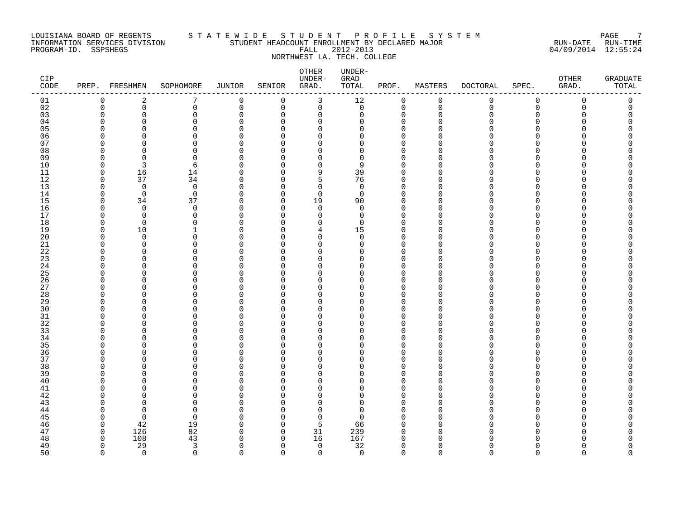### LOUISIANA BOARD OF REGENTS S T A T E W I D E S T U D E N T P R O F I L E S Y S T E M PAGE 7 INFORMATION SERVICES DIVISION STUDENT HEADCOUNT ENROLLMENT BY DECLARED MAJOR RUN-DATE RUN-TIME PROGRAM-ID. SSPSHEGS FALL 2012-2013 04/09/2014 12:55:24 NORTHWEST LA. TECH. COLLEGE

| CIP<br>$\texttt{CODE}$ | PREP.                   | FRESHMEN         | SOPHOMORE     | <b>JUNIOR</b>           | SENIOR               | OTHER<br>UNDER-<br>GRAD. | UNDER-<br>$\mbox{GRAD}$<br>TOTAL | PROF.                   | MASTERS              | <b>DOCTORAL</b> | SPEC.                | OTHER<br>GRAD. | <b>GRADUATE</b><br>TOTAL |
|------------------------|-------------------------|------------------|---------------|-------------------------|----------------------|--------------------------|----------------------------------|-------------------------|----------------------|-----------------|----------------------|----------------|--------------------------|
| 01                     | $\mathbf 0$             | 2                | 7             | 0                       | 0                    | 3                        | 12                               | 0                       | 0                    | 0               | $\mathbf 0$          | 0              | 0                        |
| 02                     | $\mathbf 0$             | $\mathsf{O}$     | $\mathbf 0$   | $\mathbf 0$             | 0                    | $\mathbf 0$              | $\mathsf{O}$                     | $\mathbf 0$             | $\mathbf 0$          | $\mathbf 0$     | $\mathbf 0$          | 0              | 0                        |
| 03                     | $\mathbf 0$             | 0                | 0             | $\mathbf 0$             | 0                    | $\mathbf 0$              | 0                                | 0                       | $\Omega$             | O               | $\Omega$             | O              | 0                        |
| 04                     | $\Omega$                | $\Omega$         | 0             | $\Omega$                | $\Omega$             | $\Omega$                 | $\Omega$                         | $\Omega$                | n                    | ∩               | ∩                    |                | U                        |
| 05                     | $\Omega$                | $\Omega$         | $\Omega$      | $\Omega$                | $\Omega$             | $\Omega$                 | $\Omega$                         | $\Omega$                | $\cap$               |                 | $\Omega$<br>∩        |                | C                        |
| 06<br>07               | $\Omega$<br>$\Omega$    | O<br>O           | 0<br>0        | $\Omega$<br>$\Omega$    | 0<br>$\Omega$        | 0<br>0                   | 0<br>0                           | $\mathbf 0$<br>$\Omega$ | ∩                    |                 | ∩                    |                | Ω<br>∩                   |
| 08                     | $\Omega$                | O                | 0             | $\mathbf 0$             | $\Omega$             | 0                        | 0                                | $\mathbf 0$             | n                    |                 | ∩                    |                |                          |
| 09                     | $\Omega$                | $\Omega$         | $\Omega$      | $\Omega$                | $\Omega$             | $\Omega$                 | 0                                | $\Omega$                | U                    |                 | ∩                    |                |                          |
| 10                     | $\mathbf 0$             | 3                | 6             | $\Omega$                | 0                    | 0                        | 9                                | $\Omega$                | n                    |                 | $\Omega$             |                |                          |
| 11                     | $\mathbf 0$             | 16               | 14            | $\Omega$                | $\Omega$             | 9                        | 39                               | $\Omega$                | U                    |                 | ∩                    |                |                          |
| 12                     | $\mathbf 0$             | 37               | 34            | $\mathbf 0$             | $\Omega$             | 5                        | 76                               | $\Omega$                |                      |                 | ∩                    |                |                          |
| 13                     | $\mathbf 0$             | $\mathbf 0$      | $\mathbf 0$   | $\mathbf 0$             | $\Omega$             | $\mathbf 0$              | $\mathbf 0$                      | $\Omega$                | n                    |                 | ∩                    |                |                          |
| 14                     | $\Omega$                | $\mathbf 0$      | $\mathbf 0$   | $\Omega$                | $\Omega$             | $\mathbf 0$              | $\mathbf 0$                      | $\mathbf 0$             | ∩                    |                 | ∩                    |                | Λ                        |
| 15                     | $\mathbf 0$             | 34               | 37            | 0                       | 0                    | 19                       | 90                               | $\Omega$                | U                    |                 | $\Omega$             |                | Ω                        |
| 16                     | $\mathbf 0$             | $\mathbf 0$      | 0             | 0                       | 0                    | $\mathbf 0$              | $\mathbf 0$                      | $\mathbf 0$             | n                    |                 | $\Omega$             |                | Ω                        |
| 17                     | $\Omega$                | $\Omega$         | 0             | $\mathbf 0$             | $\Omega$             | 0                        | 0                                | $\Omega$                | U                    |                 | ∩                    |                |                          |
| 18                     | $\Omega$                | $\overline{0}$   | 0             | $\mathbf 0$             | $\Omega$             | $\Omega$                 | 0                                | $\Omega$                | $\cap$               |                 | $\Omega$             |                |                          |
| 19                     | $\mathbf 0$             | $10$             | 1             | $\mathbf 0$             | $\Omega$             | 4                        | $15$                             | 0                       | O                    |                 | $\Omega$             |                |                          |
| 20                     | $\mathbf 0$             | $\overline{0}$   | 0             | $\Omega$                | $\Omega$             | 0                        | 0                                | $\Omega$                | O                    |                 | $\Omega$             |                |                          |
| 21<br>22               | $\Omega$<br>$\Omega$    | $\mathbf 0$<br>O | 0<br>$\Omega$ | $\mathbf 0$<br>$\Omega$ | $\Omega$<br>$\Omega$ | 0<br>$\Omega$            | 0<br>O                           | $\mathbf 0$<br>$\Omega$ | $\cap$<br>O          |                 | ∩<br>∩               |                |                          |
| 23                     | $\Omega$                | O                | 0             | $\Omega$                | $\Omega$             | $\Omega$                 | 0                                | $\Omega$                | n                    |                 | $\Omega$             |                |                          |
| 24                     | 0                       | 0                | 0             | $\Omega$                | $\Omega$             | 0                        | 0                                | $\Omega$                | O                    |                 | $\Omega$             |                |                          |
| 25                     | $\Omega$                | 0                | 0             | $\Omega$                | $\Omega$             | 0                        | 0                                | $\Omega$                |                      |                 | ∩                    |                | ∩                        |
| 26                     | $\Omega$                | 0                | 0             | $\mathbf 0$             | $\Omega$             | 0                        | 0                                | $\Omega$                | ∩                    |                 | ∩                    |                |                          |
| 27                     | $\Omega$                | O                | 0             | $\Omega$                | $\Omega$             | $\Omega$                 | 0                                | $\mathbf 0$             | n                    |                 | ∩                    |                |                          |
| 28                     | $\Omega$                | 0                | 0             | $\Omega$                | $\Omega$             | 0                        | 0                                | $\Omega$                |                      |                 | $\Omega$             |                |                          |
| 29                     | $\mathbf 0$             | 0                | 0             | $\Omega$                | $\Omega$             | 0                        | 0                                | 0                       | O                    |                 | $\Omega$             |                |                          |
| 30                     | $\Omega$                | O                | 0             | $\mathbf 0$             | $\Omega$             | $\Omega$                 | 0                                | $\Omega$                | n                    |                 | ∩                    |                |                          |
| $31$                   | $\Omega$                | C                | 0             | $\Omega$                | $\Omega$             | $\Omega$                 | $\Omega$                         | $\Omega$                | n                    |                 | ∩                    |                |                          |
| 32                     | $\Omega$                | O                | 0             | $\Omega$                | $\Omega$             | $\Omega$                 | 0                                | $\Omega$                | n                    |                 | ∩                    |                |                          |
| 33                     | $\Omega$                | 0                | 0             | $\Omega$                | $\Omega$             | 0                        | 0                                | $\Omega$                | O                    |                 | $\Omega$             |                |                          |
| 34                     | 0                       | 0                | 0<br>$\Omega$ | 0                       | 0                    | 0                        | 0<br>$\Omega$                    | $\Omega$<br>$\Omega$    | $\cap$               |                 | ∩<br>∩               |                |                          |
| 35<br>36               | $\Omega$<br>$\Omega$    | O<br>O           | 0             | $\Omega$<br>$\Omega$    | $\Omega$<br>$\Omega$ | $\Omega$<br>0            | 0                                | $\mathbf 0$             | n                    |                 | $\Omega$             |                |                          |
| 37                     | $\mathbf 0$             | $\Omega$         | 0             | $\Omega$                | $\Omega$             | 0                        | 0                                | $\mathbf 0$             | $\cap$               |                 | $\Omega$             |                |                          |
| 38                     | 0                       | 0                | 0             | $\Omega$                | $\Omega$             | 0                        | 0                                | $\Omega$                | n                    |                 | $\Omega$             |                | ∩                        |
| 39                     | $\Omega$                | O                | 0             | $\mathbf 0$             | $\Omega$             | 0                        | 0                                | $\Omega$                | n                    |                 | ∩                    |                |                          |
| 40                     | $\Omega$                | O                | $\Omega$      | $\Omega$                | $\Omega$             | $\Omega$                 | $\Omega$                         | $\Omega$                | O                    |                 | ∩                    |                |                          |
| 41                     | $\Omega$                | U                | 0             | $\Omega$                | $\Omega$             | $\Omega$                 | 0                                | $\Omega$                | n                    |                 | $\Omega$             |                |                          |
| 42                     | $\Omega$                | O                | 0             | $\Omega$                | 0                    | 0                        | 0                                | 0                       | O                    |                 | $\Omega$             |                |                          |
| 43                     | $\Omega$                | O                | 0             | $\Omega$                | $\Omega$             | $\Omega$                 | 0                                | $\Omega$                | ∩                    |                 | ∩                    |                |                          |
| 44                     | $\Omega$                | $\Omega$         | $\Omega$      | $\Omega$                | $\Omega$             | $\Omega$                 | 0                                | $\Omega$                | n                    |                 | ∩                    |                |                          |
| 45                     | $\Omega$                | $\Omega$         | $\Omega$      | $\Omega$                | $\Omega$             | $\mathbf 0$              | $\Omega$                         | $\Omega$                | O                    |                 | $\Omega$             |                |                          |
| 46                     | $\mathbf 0$             | 42               | 19            | 0                       | $\Omega$             | 5                        | 66                               | $\mathbf 0$             | $\Omega$             |                 | $\Omega$             |                |                          |
| 47                     | $\mathbf 0$             | 126              | 82            | 0                       | 0                    | 31                       | 239                              | 0                       | $\cap$               |                 | ∩                    |                | Ω                        |
| 48                     | $\Omega$                | 108              | 43            | $\Omega$                | $\Omega$             | 16                       | 167                              | $\mathbf 0$             | O                    |                 |                      |                | ∩                        |
| 49                     | $\mathbf 0$<br>$\Omega$ | 29<br>$\Omega$   | 3<br>$\Omega$ | $\mathbf 0$<br>$\Omega$ | 0<br>$\Omega$        | $\mathbf 0$<br>$\Omega$  | 32                               | $\mathbf 0$<br>$\Omega$ | $\Omega$<br>$\Omega$ | ∩<br>$\Omega$   | $\Omega$<br>$\Omega$ | U<br>$\Omega$  | 0<br>$\Omega$            |
| 50                     |                         |                  |               |                         |                      |                          | $\Omega$                         |                         |                      |                 |                      |                |                          |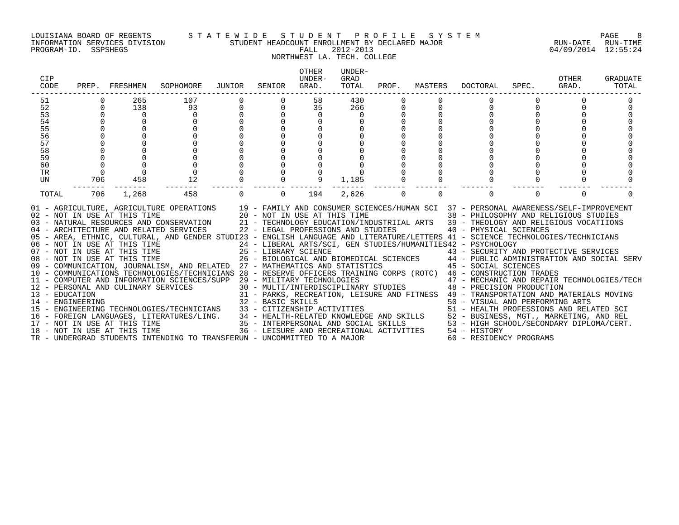#### LOUISIANA BOARD OF REGENTS S T A T E W I D E S T U D E N T P R O F I L E S Y S T E M PAGE 8 INFORMATION SERVICES DIVISION STUDENT HEADCOUNT ENROLLMENT BY DECLARED MAJOR RUN-DATE RUN-TIME

# NORTHWEST LA. TECH. COLLEGE

PROGRAM-ID. SSPSHEGS FALL 2012-2013 04/09/2014 12:55:24

| CIP<br>CODE |             | PREP. FRESHMEN                                                                                                               | SOPHOMORE                                                                                                                                                                                                                                                                                                                                                                                                                                                                                                                                                                                                                                                                                                                                                                                                                                                                                                                                                                                                                                                                                                                                                                                                                                                                                                         | JUNIOR   | SENIOR         | <b>OTHER</b><br>UNDER-<br>GRAD. | UNDER-<br>GRAD<br>TOTAL | PROF. | MASTERS  | DOCTORAL                                                                                                                                                                                                                                                                                                                                                                                                                                                                                                                 | SPEC.    | OTHER<br>GRAD. | GRADUATE<br>TOTAL |
|-------------|-------------|------------------------------------------------------------------------------------------------------------------------------|-------------------------------------------------------------------------------------------------------------------------------------------------------------------------------------------------------------------------------------------------------------------------------------------------------------------------------------------------------------------------------------------------------------------------------------------------------------------------------------------------------------------------------------------------------------------------------------------------------------------------------------------------------------------------------------------------------------------------------------------------------------------------------------------------------------------------------------------------------------------------------------------------------------------------------------------------------------------------------------------------------------------------------------------------------------------------------------------------------------------------------------------------------------------------------------------------------------------------------------------------------------------------------------------------------------------|----------|----------------|---------------------------------|-------------------------|-------|----------|--------------------------------------------------------------------------------------------------------------------------------------------------------------------------------------------------------------------------------------------------------------------------------------------------------------------------------------------------------------------------------------------------------------------------------------------------------------------------------------------------------------------------|----------|----------------|-------------------|
| 51          |             | 265                                                                                                                          | 107                                                                                                                                                                                                                                                                                                                                                                                                                                                                                                                                                                                                                                                                                                                                                                                                                                                                                                                                                                                                                                                                                                                                                                                                                                                                                                               |          |                | 58                              | 430                     |       |          |                                                                                                                                                                                                                                                                                                                                                                                                                                                                                                                          |          |                |                   |
| 52          | $\mathbf 0$ | 138                                                                                                                          | 93                                                                                                                                                                                                                                                                                                                                                                                                                                                                                                                                                                                                                                                                                                                                                                                                                                                                                                                                                                                                                                                                                                                                                                                                                                                                                                                | 0        | 0              | 35                              | 266                     | 0     | 0        | 0                                                                                                                                                                                                                                                                                                                                                                                                                                                                                                                        |          |                |                   |
| 53          |             | $\Omega$                                                                                                                     | $\mathbf 0$                                                                                                                                                                                                                                                                                                                                                                                                                                                                                                                                                                                                                                                                                                                                                                                                                                                                                                                                                                                                                                                                                                                                                                                                                                                                                                       |          |                | 0                               |                         |       |          |                                                                                                                                                                                                                                                                                                                                                                                                                                                                                                                          |          |                |                   |
| 54          |             |                                                                                                                              |                                                                                                                                                                                                                                                                                                                                                                                                                                                                                                                                                                                                                                                                                                                                                                                                                                                                                                                                                                                                                                                                                                                                                                                                                                                                                                                   |          |                |                                 |                         |       |          |                                                                                                                                                                                                                                                                                                                                                                                                                                                                                                                          |          |                |                   |
| 55          |             |                                                                                                                              |                                                                                                                                                                                                                                                                                                                                                                                                                                                                                                                                                                                                                                                                                                                                                                                                                                                                                                                                                                                                                                                                                                                                                                                                                                                                                                                   |          |                |                                 |                         |       |          |                                                                                                                                                                                                                                                                                                                                                                                                                                                                                                                          |          |                |                   |
| 56          |             |                                                                                                                              |                                                                                                                                                                                                                                                                                                                                                                                                                                                                                                                                                                                                                                                                                                                                                                                                                                                                                                                                                                                                                                                                                                                                                                                                                                                                                                                   |          |                |                                 |                         |       |          |                                                                                                                                                                                                                                                                                                                                                                                                                                                                                                                          |          |                |                   |
| 57          |             |                                                                                                                              |                                                                                                                                                                                                                                                                                                                                                                                                                                                                                                                                                                                                                                                                                                                                                                                                                                                                                                                                                                                                                                                                                                                                                                                                                                                                                                                   |          |                |                                 |                         |       |          |                                                                                                                                                                                                                                                                                                                                                                                                                                                                                                                          |          |                |                   |
| 58          |             |                                                                                                                              |                                                                                                                                                                                                                                                                                                                                                                                                                                                                                                                                                                                                                                                                                                                                                                                                                                                                                                                                                                                                                                                                                                                                                                                                                                                                                                                   |          |                |                                 |                         |       |          |                                                                                                                                                                                                                                                                                                                                                                                                                                                                                                                          |          |                |                   |
| 59          |             |                                                                                                                              |                                                                                                                                                                                                                                                                                                                                                                                                                                                                                                                                                                                                                                                                                                                                                                                                                                                                                                                                                                                                                                                                                                                                                                                                                                                                                                                   |          |                |                                 |                         |       |          |                                                                                                                                                                                                                                                                                                                                                                                                                                                                                                                          |          |                |                   |
| 60          |             |                                                                                                                              |                                                                                                                                                                                                                                                                                                                                                                                                                                                                                                                                                                                                                                                                                                                                                                                                                                                                                                                                                                                                                                                                                                                                                                                                                                                                                                                   |          |                |                                 |                         |       |          |                                                                                                                                                                                                                                                                                                                                                                                                                                                                                                                          |          |                |                   |
| TR          | $\Omega$    |                                                                                                                              |                                                                                                                                                                                                                                                                                                                                                                                                                                                                                                                                                                                                                                                                                                                                                                                                                                                                                                                                                                                                                                                                                                                                                                                                                                                                                                                   |          |                |                                 |                         |       |          |                                                                                                                                                                                                                                                                                                                                                                                                                                                                                                                          |          |                |                   |
| UN          | 706         | 458                                                                                                                          | 12                                                                                                                                                                                                                                                                                                                                                                                                                                                                                                                                                                                                                                                                                                                                                                                                                                                                                                                                                                                                                                                                                                                                                                                                                                                                                                                |          |                | 9                               | 1,185                   |       |          |                                                                                                                                                                                                                                                                                                                                                                                                                                                                                                                          |          |                |                   |
| TOTAL       | 706         | 1,268                                                                                                                        | 458                                                                                                                                                                                                                                                                                                                                                                                                                                                                                                                                                                                                                                                                                                                                                                                                                                                                                                                                                                                                                                                                                                                                                                                                                                                                                                               | $\Omega$ | $\overline{0}$ | 194                             | 2,626                   | 0     | $\Omega$ | $\Omega$                                                                                                                                                                                                                                                                                                                                                                                                                                                                                                                 | $\Omega$ | $\Omega$       |                   |
|             |             | 02 - NOT IN USE AT THIS TIME<br>08 - NOT IN USE AT THIS TIME<br>17 - NOT IN USE AT THIS TIME<br>18 - NOT IN USE AT THIS TIME | 01 - AGRICULTURE, AGRICULTURE OPERATIONS 19 - FAMILY AND CONSUMER SCIENCES/HUMAN SCI 37 - PERSONAL AWARENESS/SELF-IMPROVEMENT<br>20 - NOT IN USE AT THIS TIME<br>03 - NATURAL RESOURCES AND CONSERVATION 21 - TECHNOLOGY EDUCATION/INDUSTRIIAL ARTS 39 - THEOLOGY AND RELIGIOUS VOCATIIONS<br>04 - ARCHITECTURE AND RELATED SERVICES 22 - LEGAL PROFESSIONS AND STUDIES<br>05 - AREA, ETHNIC, CULTURAL, AND GENDER STUDI23 - ENGLISH LANGUAGE AND LITERATURE/LETTERS 41 - SCIENCE TECHNOLOGIES/TECHNICIANS<br>06 - NOT IN USE AT THIS TIME<br>07 - NOT IN USE AT THIS TIME $25$ - LIBRARY SCIENCE<br>09 - COMMUNICATION, JOURNALISM, AND RELATED 27 - MATHEMATICS AND STATISTICS 45 - SOCIAL SCIENCES<br>10 - COMMUNICATIONS TECHNOLOGIES/TECHNICIANS 28 - RESERVE OFFICERS TRAINING CORPS (ROTC) 46 - CONSTRUCTION TRADES<br>11 - COMPUTER AND INFORMATION SCIENCES/SUPP 29 - MILITARY TECHNOLOGIES<br>12 - PERSONAL AND CULINARY SERVICES<br>- EDUCATION<br>14 - ENGINEERING CHARGES (TECHNOLOGIES TECHNOLOGIES (TECHNOLOGIES AND SI - PARKS, RECREATION, LEISURE AND FITNESS<br>15 - ENGINEERING TECHNOLOGIES (TECHNICIANS 33 - CITIZENSHIP ACTIVITIES 50 - VISUAL AND PERFORMIN<br>16 - FOREIGN LANGUAGES, LITERATURES/LING. 34 - HEALTH-RELATED KNOWLEDGE AND SKILLS 52 - BUSINESS, MGT., MARKETING, AND REL |          |                |                                 |                         |       |          | 38 - PHILOSOPHY AND RELIGIOUS STUDIES<br>40 - PHYSICAL SCIENCES<br>24 - LIBERAL ARTS/SCI, GEN STUDIES/HUMANITIES42 - PSYCHOLOGY<br>43 - SECURITY AND PROTECTIVE SERVICES<br>26 - BIOLOGICAL AND BIOMEDICAL SCIENCES 44 - PUBLIC ADMINISTRATION AND SOCIAL SERV<br>47 - MECHANIC AND REPAIR TECHNOLOGIES/TECH<br>30 - MULTI/INTERDISCIPLINARY STUDIES 48 - PRECISION PRODUCTION<br>35 - INTERPERSONAL AND SOCIAL SKILLS 53 - HIGH SCHOOL/SECONDARY DIPLOMA/CERT.<br>36 - LEISURE AND RECREATIONAL ACTIVITIES 54 - HISTORY |          |                |                   |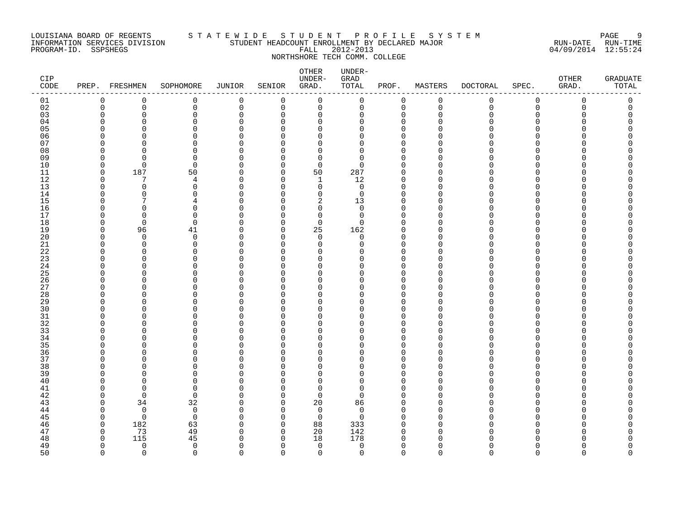### LOUISIANA BOARD OF REGENTS STATEWIDE STUDE STUDENT PROFILE SYSTEM PAGE 9<br>INFORMATION SERVICES DIVISION STUDENT HEADCOUNT ENROLLMENT BY DECLARED MAJOR INFORMATION SERVICES DIVISION STUDENT HEADCOUNT ENROLLMENT BY DECLARED MAJOR RUN-DATE RUN-TIME PROGRAM-ID. SSPSHEGS FALL 2012-2013 04/09/2014 12:55:24 NORTHSHORE TECH COMM. COLLEGE

### OTHER UNDER-CIP UNDER- GRAD OTHER GRADUATE CODE PREP. FRESHMEN SOPHOMORE JUNIOR SENIOR GRAD. TOTAL PROF. MASTERS DOCTORAL SPEC. GRAD. TOTAL ------------------------------------------------------------------------------------------------------------------------------------ 01 0 0 0 0 0 0 0 0 0 0 0 0 0 02 0 0 0 0 0 0 0 0 0 0 0 0 0 03 0 0 0 0 0 0 0 0 0 0 0 0 0 04 0 0 0 0 0 0 0 0 0 0 0 0 0 05 0 0 0 0 0 0 0 0 0 0 0 0 0 06 0 0 0 0 0 0 0 0 0 0 0 0 0 07 0 0 0 0 0 0 0 0 0 0 0 0 0 08 0 0 0 0 0 0 0 0 0 0 0 0 0 09 0 0 0 0 0 0 0 0 0 0 0 0 0 10 0 0 0 0 0 0 0 0 0 0 0 0 0 11 0 187 50 0 0 50 287 0 0 0 0 0 0 12 0 7 4 0 0 1 12 0 0 0 0 0 0 13 0 0 0 0 0 0 0 0 0 0 0 0 0 14 0 0 0 0 0 0 0 0 0 0 0 0 0 0 0 0 15 0 7 4 0 0 2 13 0 0 0 0 0 0 16 0 0 0 0 0 0 0 0 0 0 0 0 0 17 0 0 0 0 0 0 0 0 0 0 0 0 0 18 0 0 0 0 0 0 0 0 0 0 0 0 0 19 0 96 41 0 0 25 162 0 0 0 0 0 0 20 0 0 0 0 0 0 0 0 0 0 0 0 0 21 0 0 0 0 0 0 0 0 0 0 0 0 0 22 0 0 0 0 0 0 0 0 0 0 0 0 0 23 0 0 0 0 0 0 0 0 0 0 0 0 0 24 0 0 0 0 0 0 0 0 0 0 0 0 0 0 0 25 0 0 0 0 0 0 0 0 0 0 0 0 0 0 26 0 0 0 0 0 0 0 0 0 0 0 0 0 27 0 0 0 0 0 0 0 0 0 0 0 0 0 28 0 0 0 0 0 0 0 0 0 0 0 0 0 29 0 0 0 0 0 0 0 0 0 0 0 0 0 30 0 0 0 0 0 0 0 0 0 0 0 0 0 31 0 0 0 0 0 0 0 0 0 0 0 0 0 32 0 0 0 0 0 0 0 0 0 0 0 0 0 33 0 0 0 0 0 0 0 0 0 0 0 0 0 34 0 0 0 0 0 0 0 0 0 0 0 0 0 35 0 0 0 0 0 0 0 0 0 0 0 0 0 36 0 0 0 0 0 0 0 0 0 0 0 0 0 37 0 0 0 0 0 0 0 0 0 0 0 0 0 38 0 0 0 0 0 0 0 0 0 0 0 0 0 39 0 0 0 0 0 0 0 0 0 0 0 0 0 40 0 0 0 0 0 0 0 0 0 0 0 0 0 41 0 0 0 0 0 0 0 0 0 0 0 0 0 0 0 42 0 0 0 0 0 0 0 0 0 0 0 0 0 0 0 43 0 34 32 0 0 20 86 0 0 0 0 0 0 44 0 0 0 0 0 0 0 0 0 0 0 0 0 0 0 0 45 0 0 0 0 0 0 0 0 0 0 0 0 0 0 0 46 0 182 63 0 0 88 333 0 0 0 0 0 0 47 0 73 49 0 0 20 142 0 0 0 0 0 0 48 0 115 45 0 0 18 178 0 0 0 0 0 0 49 0 0 0 0 0 0 0 0 0 0 0 0 0 0 0 50 0 0 0 0 0 0 0 0 0 0 0 0 0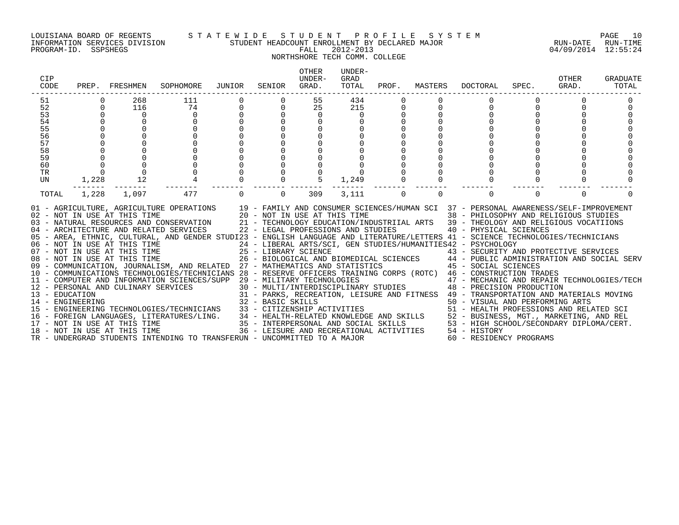#### LOUISIANA BOARD OF REGENTS S T A T E W I D E S T U D E N T P R O F I L E S Y S T E M PAGE 10 INFORMATION SERVICES DIVISION STUDENT HEADCOUNT ENROLLMENT BY DECLARED MAJOR RUN-DATE RUN-TIME

## NORTHSHORE TECH COMM. COLLEGE

| CIP<br>CODE |             | PREP. FRESHMEN                                                                               | SOPHOMORE                                                                                                                                                                                                                                                                                                                                                                                                                                                                                                                                                                                                                                                                                                                                                                                                                                                                                                                                                                                                                                                                                                                                                                                                                                                                                                                  | JUNIOR         | SENIOR            | <b>OTHER</b><br>UNDER-<br>GRAD. | UNDER-<br>GRAD<br>TOTAL | PROF.       | MASTERS  | DOCTORAL                                                                                                                                                                                                                                                                                                                                                                                                                                                                                                                                                                                                                                                                                                                            | SPEC.    | OTHER<br>GRAD. | GRADUATE<br>TOTAL |
|-------------|-------------|----------------------------------------------------------------------------------------------|----------------------------------------------------------------------------------------------------------------------------------------------------------------------------------------------------------------------------------------------------------------------------------------------------------------------------------------------------------------------------------------------------------------------------------------------------------------------------------------------------------------------------------------------------------------------------------------------------------------------------------------------------------------------------------------------------------------------------------------------------------------------------------------------------------------------------------------------------------------------------------------------------------------------------------------------------------------------------------------------------------------------------------------------------------------------------------------------------------------------------------------------------------------------------------------------------------------------------------------------------------------------------------------------------------------------------|----------------|-------------------|---------------------------------|-------------------------|-------------|----------|-------------------------------------------------------------------------------------------------------------------------------------------------------------------------------------------------------------------------------------------------------------------------------------------------------------------------------------------------------------------------------------------------------------------------------------------------------------------------------------------------------------------------------------------------------------------------------------------------------------------------------------------------------------------------------------------------------------------------------------|----------|----------------|-------------------|
| 51<br>52    | $\Omega$    | 268<br>116                                                                                   | 111<br>74                                                                                                                                                                                                                                                                                                                                                                                                                                                                                                                                                                                                                                                                                                                                                                                                                                                                                                                                                                                                                                                                                                                                                                                                                                                                                                                  | $\overline{0}$ |                   | 55<br>25                        | 434<br>215              |             |          |                                                                                                                                                                                                                                                                                                                                                                                                                                                                                                                                                                                                                                                                                                                                     |          | $\Omega$       |                   |
| 53          | $\Omega$    | $\Omega$                                                                                     | $\Omega$                                                                                                                                                                                                                                                                                                                                                                                                                                                                                                                                                                                                                                                                                                                                                                                                                                                                                                                                                                                                                                                                                                                                                                                                                                                                                                                   |                |                   | $\Omega$                        | $\Omega$                |             |          | <sup>0</sup>                                                                                                                                                                                                                                                                                                                                                                                                                                                                                                                                                                                                                                                                                                                        |          |                |                   |
| 54          |             |                                                                                              |                                                                                                                                                                                                                                                                                                                                                                                                                                                                                                                                                                                                                                                                                                                                                                                                                                                                                                                                                                                                                                                                                                                                                                                                                                                                                                                            |                |                   |                                 |                         |             |          |                                                                                                                                                                                                                                                                                                                                                                                                                                                                                                                                                                                                                                                                                                                                     |          |                |                   |
| 55          |             |                                                                                              |                                                                                                                                                                                                                                                                                                                                                                                                                                                                                                                                                                                                                                                                                                                                                                                                                                                                                                                                                                                                                                                                                                                                                                                                                                                                                                                            |                |                   |                                 |                         |             |          |                                                                                                                                                                                                                                                                                                                                                                                                                                                                                                                                                                                                                                                                                                                                     |          |                |                   |
| 56          |             |                                                                                              |                                                                                                                                                                                                                                                                                                                                                                                                                                                                                                                                                                                                                                                                                                                                                                                                                                                                                                                                                                                                                                                                                                                                                                                                                                                                                                                            |                |                   |                                 |                         |             |          |                                                                                                                                                                                                                                                                                                                                                                                                                                                                                                                                                                                                                                                                                                                                     |          |                |                   |
| 57          |             |                                                                                              |                                                                                                                                                                                                                                                                                                                                                                                                                                                                                                                                                                                                                                                                                                                                                                                                                                                                                                                                                                                                                                                                                                                                                                                                                                                                                                                            |                |                   |                                 |                         |             |          |                                                                                                                                                                                                                                                                                                                                                                                                                                                                                                                                                                                                                                                                                                                                     |          |                |                   |
| 58          |             |                                                                                              |                                                                                                                                                                                                                                                                                                                                                                                                                                                                                                                                                                                                                                                                                                                                                                                                                                                                                                                                                                                                                                                                                                                                                                                                                                                                                                                            |                |                   |                                 |                         |             |          |                                                                                                                                                                                                                                                                                                                                                                                                                                                                                                                                                                                                                                                                                                                                     |          |                |                   |
| 59          |             |                                                                                              |                                                                                                                                                                                                                                                                                                                                                                                                                                                                                                                                                                                                                                                                                                                                                                                                                                                                                                                                                                                                                                                                                                                                                                                                                                                                                                                            |                |                   |                                 |                         |             |          |                                                                                                                                                                                                                                                                                                                                                                                                                                                                                                                                                                                                                                                                                                                                     |          |                |                   |
| 60          | $\mathbf 0$ |                                                                                              |                                                                                                                                                                                                                                                                                                                                                                                                                                                                                                                                                                                                                                                                                                                                                                                                                                                                                                                                                                                                                                                                                                                                                                                                                                                                                                                            |                |                   |                                 |                         |             |          |                                                                                                                                                                                                                                                                                                                                                                                                                                                                                                                                                                                                                                                                                                                                     |          |                |                   |
| TR          | $\Omega$    |                                                                                              |                                                                                                                                                                                                                                                                                                                                                                                                                                                                                                                                                                                                                                                                                                                                                                                                                                                                                                                                                                                                                                                                                                                                                                                                                                                                                                                            |                |                   |                                 |                         |             |          |                                                                                                                                                                                                                                                                                                                                                                                                                                                                                                                                                                                                                                                                                                                                     |          |                |                   |
| UN          | 1,228       | 12                                                                                           |                                                                                                                                                                                                                                                                                                                                                                                                                                                                                                                                                                                                                                                                                                                                                                                                                                                                                                                                                                                                                                                                                                                                                                                                                                                                                                                            |                |                   | $5^{\circ}$                     | 1,249                   |             |          |                                                                                                                                                                                                                                                                                                                                                                                                                                                                                                                                                                                                                                                                                                                                     |          |                |                   |
| TOTAL       | 1,228       | 1,097                                                                                        | 477                                                                                                                                                                                                                                                                                                                                                                                                                                                                                                                                                                                                                                                                                                                                                                                                                                                                                                                                                                                                                                                                                                                                                                                                                                                                                                                        | $\Omega$       | $\Omega$          | 309                             | 3,111                   | $\mathbf 0$ | $\Omega$ | $\Omega$                                                                                                                                                                                                                                                                                                                                                                                                                                                                                                                                                                                                                                                                                                                            | $\Omega$ | $\Omega$       |                   |
|             |             | 02 - NOT IN USE AT THIS TIME<br>08 - NOT IN USE AT THIS TIME<br>18 - NOT IN USE AT THIS TIME | 01 - AGRICULTURE, AGRICULTURE OPERATIONS 19 - FAMILY AND CONSUMER SCIENCES/HUMAN SCI 37 - PERSONAL AWARENESS/SELF-IMPROVEMENT<br>20 - NOT IN USE AT THIS TIME<br>03 - NATURAL RESOURCES AND CONSERVATION<br>04 - ARCHITECTURE AND RELATED SERVICES 22 - LEGAL PROFESSIONS AND STUDIES<br>05 - AREA, ETHNIC, CULTURAL, AND GENDER STUDI23 - ENGLISH LANGUAGE AND LITERATURE/LETTERS 41 - SCIENCE TECHNOLOGIES/TECHNICIANS<br>06 - NOT IN USE AT THIS TIME<br>07 - NOT IN USE AT THIS TIME<br>07 - NOT IN USE AT THIS TIME<br>25 - LIBRARY SCIENCE<br>09 - COMMUNICATION, JOURNALISM, AND RELATED 27 - MATHEMATICS AND STATISTICS 45 - SOCIAL SCIENCES<br>10 - COMMUNICATIONS TECHNOLOGIES/TECHNICIANS 28 - RESERVE OFFICERS TRAINING CORPS (ROTC) 46 - CONSTRUCTION TRADES<br>11 - COMPUTER AND INFORMATION SCIENCES/SUPP 29 - MILITARY TECHNOLOGIES<br>11 - PERSONAL AND CULINARY SERVICES<br>13 - EDUCATION<br>14 - ENGINEERING<br>15 - ENGINEERING TECHNOLOGIES/TECHNICIANS 33 - CITIZENSHIP ACTIVITIES<br>16 - FOREIGN LANGUAGES, LITERATURES/LING. 34 - HEALTH-RELATED KNOWLEDGE AND SKILLS 52 - BUSINESS, MGT., MARKETING, AND REL<br>17 - NOT IN USE AT THIS TIME 35 - INTERPERSONAL AND SOCIAL SKILLS 53 - HIGH SCHOOL/SECONDARY DIPLOM<br>TR - UNDERGRAD STUDENTS INTENDING TO TRANSFERUN - UNCOMMITTED TO A MAJOR |                | 32 - BASIC SKILLS |                                 | TIVITIES                |             |          | 38 - PHILOSOPHY AND RELIGIOUS STUDIES<br>21 - TECHNOLOGY EDUCATION/INDUSTRIIAL ARTS 39 - THEOLOGY AND RELIGIOUS VOCATIIONS<br>40 - PHYSICAL SCIENCES<br>24 - LIBERAL ARTS/SCI, GEN STUDIES/HUMANITIES42 - PSYCHOLOGY<br>25 - LIBRARY SCIENCE<br>26 - BIOLOGICAL AND BIOMEDICAL SCIENCES<br>27 - MATUEMATICA AND GUETICTICA SCIENCES<br>27 - MATUEMATICA AND GUETICTICA<br>29 - MILITARY TECHNOLOGIES<br>30 - MULTI/INTERDISCIPLINARY STUDIES<br>48 - PRECISION PRODUCTION<br>31 - PARKS, RECREATION, LEISURE AND FITNESS 49 - TRANSPORTATION AND MATERIALS MOVING<br>50 - VISUAL AND PERFORMING ARTS<br>51 - HEALTH PROFESSIONS AND RELATED SCI<br>36 - LEISURE AND RECREATIONAL ACTIVITIES 54 - HISTORY<br>60 - RESIDENCY PROGRAMS |          |                |                   |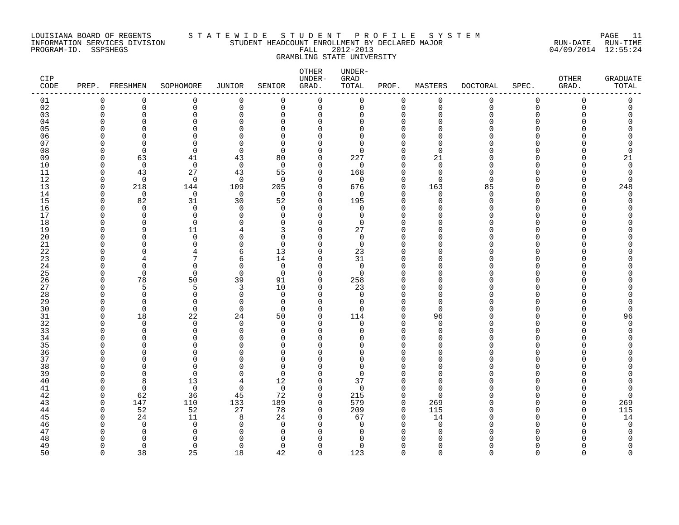### LOUISIANA BOARD OF REGENTS S T A T E W I D E S T U D E N T P R O F I L E S Y S T E M PAGE 11 INFORMATION SERVICES DIVISION STUDENT HEADCOUNT ENROLLMENT BY DECLARED MAJOR RUN-DATE RUN-TIME PROGRAM-ID. SSPSHEGS FALL 2012-2013 04/09/2014 12:55:24 GRAMBLING STATE UNIVERSITY

| CIP<br>CODE | PREP.                | FRESHMEN             | SOPHOMORE               | JUNIOR               | SENIOR            | OTHER<br>UNDER-<br>GRAD. | UNDER-<br>GRAD<br>TOTAL | PROF.                   | MASTERS                 | <b>DOCTORAL</b> | SPEC.         | OTHER<br>GRAD. | <b>GRADUATE</b><br>TOTAL |
|-------------|----------------------|----------------------|-------------------------|----------------------|-------------------|--------------------------|-------------------------|-------------------------|-------------------------|-----------------|---------------|----------------|--------------------------|
| 01          | 0                    | 0                    | 0                       | $\mathbf 0$          | $\mathbf 0$       | 0                        | 0                       | $\mathbf 0$             | 0                       | 0               | 0             | 0              | 0                        |
| 02          | $\mathbf 0$          | 0                    | 0                       | $\mathbf 0$          | $\mathbf 0$       | 0                        | 0                       | $\mathbf 0$             | $\mathbf 0$             | $\mathbf 0$     | $\mathbf 0$   | 0              | 0                        |
| 03          | $\Omega$<br>∩        | $\Omega$             | $\Omega$                | $\Omega$<br>$\Omega$ | $\Omega$          | $\Omega$                 | $\Omega$                | $\Omega$                | $\Omega$<br>$\Omega$    | $\Omega$        | $\Omega$      | $\cap$         | $\Omega$                 |
| 04<br>05    | $\Omega$             | U<br>$\Omega$        | $\Omega$<br>$\Omega$    | U                    | ∩<br>$\Omega$     | U<br>$\Omega$            | U<br>$\Omega$           | $\Omega$<br>$\Omega$    | $\Omega$                | N<br>N          | ∩<br>∩        |                | N                        |
| 06          | ∩                    | ∩                    | $\Omega$                | $\cap$               | ∩                 | O                        | $\Omega$                | $\Omega$                | $\Omega$                |                 |               |                |                          |
| 07          | <sup>0</sup>         | $\Omega$             | $\mathbf 0$             | O                    | $\Omega$          | O                        | $\Omega$                | $\Omega$                | 0                       |                 | O             |                |                          |
| 08          | $\Omega$             | $\Omega$             | $\Omega$                | $\Omega$             | ∩                 | $\Omega$                 | $\Omega$                | $\Omega$                | $\Omega$                |                 | U             |                | C                        |
| 09          | $\Omega$             | 63                   | 41                      | 43                   | 80                | $\Omega$                 | 227                     | $\Omega$                | 21                      | U               | $\cap$        |                | 21                       |
| 10          | $\Omega$             | $\mathbf 0$          | $\mathbf 0$             | $\mathbf 0$          | $\Omega$          | $\Omega$                 | $\Omega$                | $\Omega$                | $\mathbf 0$             | O               | ∩             |                | 0                        |
| 11          | $\Omega$             | 43                   | 27                      | 43                   | 55                | $\Omega$                 | 168                     | $\Omega$                | $\mathbf 0$             | $\Omega$        | ∩             |                | $\Omega$                 |
| 12          | $\Omega$             | $\overline{0}$       | $\mathbf 0$             | $\mathbf 0$          | $\Omega$          | $\Omega$                 | 0                       | $\mathbf 0$             | $\mathbf 0$             | $\Omega$        | $\Omega$      |                | $\Omega$                 |
| 13          | 0                    | 218<br>$\Omega$      | 144                     | 109                  | 205               | 0<br>$\Omega$            | 676<br>$\Omega$         | $\mathbf 0$<br>$\Omega$ | 163                     | 85<br>$\Omega$  | $\Omega$<br>∩ |                | 248                      |
| 14<br>15    | $\Omega$<br>$\Omega$ | 82                   | 0<br>31                 | $\overline{0}$<br>30 | $\Omega$<br>52    | $\Omega$                 | 195                     | $\Omega$                | $\mathbf 0$<br>$\Omega$ | $\Omega$        | $\cap$        |                | 0<br>$\Omega$            |
| 16          | $\Omega$             | $\Omega$             | $\mathbf 0$             | $\Omega$             | $\Omega$          | $\Omega$                 | $\Omega$                | ∩                       | $\cap$                  | N               | ∩             |                |                          |
| 17          | $\Omega$             | $\Omega$             | $\mathbf 0$             | $\Omega$             | $\Omega$          | $\Omega$                 | $\Omega$                | $\Omega$                | $\Omega$                |                 | ∩             |                |                          |
| 18          | $\Omega$             | $\Omega$             | $\mathbf 0$             | $\Omega$             | $\Omega$          | $\Omega$                 | $\Omega$                | $\Omega$                | $\Omega$                |                 | $\Omega$      |                |                          |
| 19          | $\Omega$             | 9                    | 11                      |                      | 3                 | $\Omega$                 | 27                      | $\Omega$                | O                       |                 | ∩             |                |                          |
| 20          | ∩                    | ∩                    | $\Omega$                | U                    | $\Omega$          | O                        | $\Omega$                | $\Omega$                | $\cap$                  |                 | ∩             |                |                          |
| 21          | ∩                    | U                    | $\Omega$                | $\Omega$             | $\Omega$          | $\Omega$                 | $\Omega$                | $\Omega$                | $\Omega$                |                 | ∩             |                |                          |
| 22          | ∩                    | ∩                    | 4<br>7                  | 6                    | 13                | $\Omega$                 | 23                      | $\Omega$                | $\Omega$                |                 | ∩             |                |                          |
| 23<br>24    | $\Omega$             | $\Omega$             | $\mathbf 0$             | 6<br>0               | 14<br>$\mathbf 0$ | $\Omega$<br>$\Omega$     | 31<br>$\mathbf 0$       | $\Omega$<br>$\Omega$    | $\Omega$<br>0           |                 | ∩             |                |                          |
| 25          | $\Omega$             | $\Omega$             | 0                       | $\mathbf 0$          | $\Omega$          | $\Omega$                 | $\Omega$                | $\Omega$                | $\Omega$                |                 |               |                |                          |
| 26          | $\Omega$             | 78                   | 50                      | 39                   | 91                | $\Omega$                 | 258                     | O                       | $\Omega$                | N               | ∩             |                |                          |
| 27          | $\Omega$             | 5                    | 5                       | 3                    | 10                | $\Omega$                 | 23                      | $\Omega$                | $\Omega$                | N               | ∩             |                |                          |
| 28          | $\Omega$             | $\Omega$             | $\Omega$                | $\Omega$             | $\Omega$          | $\Omega$                 | $\Omega$                | $\Omega$                | $\Omega$                |                 | ∩             |                |                          |
| 29          | $\Omega$             | $\Omega$             | $\mathbf 0$             | $\mathbf 0$          | $\Omega$          | $\Omega$                 | 0                       | $\Omega$                | $\mathbf 0$             |                 | $\Omega$      |                | O                        |
| 30          | $\Omega$             | $\Omega$             | $\mathbf 0$             | $\mathbf 0$          | $\Omega$          | $\Omega$                 | $\Omega$                | $\Omega$                | $\Omega$                |                 | ∩             |                | $\Omega$                 |
| 31          | $\Omega$             | 18                   | 22                      | 24                   | 50                | $\Omega$                 | 114                     | $\Omega$                | 96                      | N               | ∩             |                | 96                       |
| 32<br>33    | ∩<br>$\Omega$        | $\Omega$<br>$\Omega$ | $\mathbf 0$<br>$\Omega$ | $\Omega$<br>$\Omega$ | $\Omega$<br>∩     | U<br>$\Omega$            | 0<br>$\Omega$           | $\Omega$<br>$\Omega$    | $\mathbf 0$<br>$\Omega$ | N               | ∩             |                | $\Omega$<br>U            |
| 34          | $\Omega$             | $\Omega$             | $\Omega$                | $\Omega$             | ∩                 | $\Omega$                 | U                       | $\Omega$                | $\Omega$                | N               | ∩             |                |                          |
| 35          |                      | ∩                    | $\Omega$                | O                    | $\Omega$          | U                        | U                       | $\Omega$                | $\Omega$                |                 | ∩             |                |                          |
| 36          |                      | ∩                    | $\mathbf 0$             | O                    | ∩                 |                          | U                       |                         | $\Omega$                |                 | ∩             |                |                          |
| 37          |                      | O                    | $\mathbf 0$             | O                    | $\Omega$          | 0                        | $\Omega$                | $\Omega$                | 0                       |                 | ∩             |                |                          |
| 38          | ∩                    | ∩                    | $\Omega$                | ∩                    | $\Omega$          |                          | U                       |                         | $\Omega$                |                 | ∩             |                |                          |
| 39          | ∩                    | $\Omega$             | $\Omega$                | $\Omega$             | $\Omega$          | $\Omega$                 | $\Omega$                |                         | $\Omega$                |                 | ∩             |                |                          |
| 40          | $\Omega$             | 8                    | 13                      | 4                    | 12                | $\Omega$                 | 37                      | $\Omega$                | $\Omega$                |                 | ∩             |                |                          |
| 41<br>42    | $\Omega$<br>$\Omega$ | $\mathbf 0$<br>62    | $\mathbf 0$<br>36       | $\mathbf 0$<br>45    | $\Omega$<br>72    | $\mathbf 0$<br>0         | 0<br>215                | $\Omega$<br>$\Omega$    | $\mathbf 0$<br>$\Omega$ | ი               | ∩             |                | 0<br>0                   |
| 43          | 0                    | 147                  | 110                     | 133                  | 189               | $\Omega$                 | 579                     | $\mathbf 0$             | 269                     | ი               | $\Omega$      | O              | 269                      |
| 44          | $\Omega$             | 52                   | 52                      | 27                   | 78                | $\mathbf 0$              | 209                     | $\mathbf 0$             | 115                     | O               | ∩             | ∩              | 115                      |
| 45          | $\Omega$             | 24                   | 11                      | 8                    | 24                | $\Omega$                 | 67                      | $\Omega$                | 14                      | U               | $\cap$        | ∩              | 14                       |
| 46          | ∩                    | $\Omega$             | $\mathbf 0$             | $\Omega$             | $\Omega$          | O                        | $\Omega$                | $\Omega$                | $\mathbf 0$             | U               | $\Omega$      |                | $\mathbf 0$              |
| 47          |                      | ∩                    | $\Omega$                | ∩                    | O                 | U                        | 0                       | ∩                       | $\Omega$                |                 | ∩             |                | 0                        |
| 48          | $\Omega$             | $\Omega$             | $\mathbf 0$             | O                    | $\Omega$          |                          | $\Omega$                |                         | $\mathbf 0$             | ი               | $\Omega$      |                | 0                        |
| 49          | $\Omega$             | 0                    | 0                       | 0                    | 0                 | $\mathbf 0$              | 0                       | $\mathbf 0$             | $\mathbf 0$             | 0               | 0             | $\Omega$       | 0                        |

50 0 38 25 18 42 0 123 0 0 0 0 0 0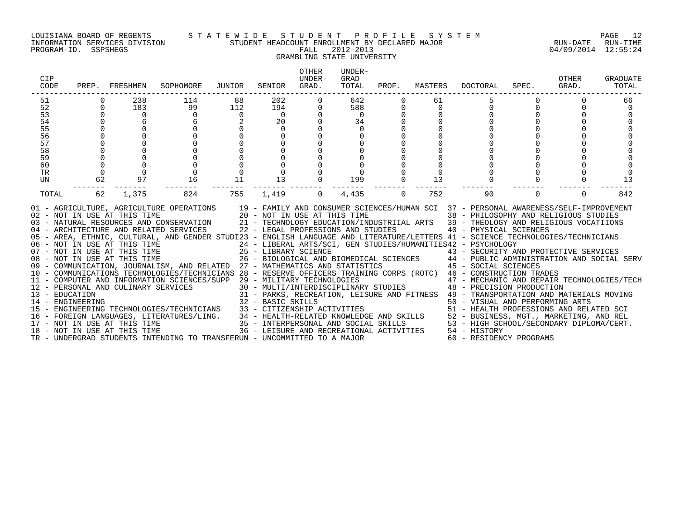### LOUISIANA BOARD OF REGENTS S T A T E W I D E S T U D E N T P R O F I L E S Y S T E M PAGE 12 INFORMATION SERVICES DIVISION STUDENT HEADCOUNT ENROLLMENT BY DECLARED MAJOR RUN-DATE RUN-TIME

# GRAMBLING STATE UNIVERSITY

| CIP<br>CODE                                                          | PREP.   | FRESHMEN                                                                                            | SOPHOMORE                                                                                                                                                                                                                                                                                                                                                                                                                                                                                                                                                                                                                                                                                                                                                                                                                                                                                                                                                                                  | JUNIOR                         | SENIOR                                                                                                                               | <b>OTHER</b><br>UNDER-<br>GRAD. | UNDER-<br>GRAD<br>TOTAL                               | PROF.    | MASTERS                 | DOCTORAL                                                                                                                                                                                                                                                                                                                                                                                                                                                                                                                                                                                                                                                                                                                              | SPEC.    | OTHER<br>GRAD. | GRADUATE<br>TOTAL    |
|----------------------------------------------------------------------|---------|-----------------------------------------------------------------------------------------------------|--------------------------------------------------------------------------------------------------------------------------------------------------------------------------------------------------------------------------------------------------------------------------------------------------------------------------------------------------------------------------------------------------------------------------------------------------------------------------------------------------------------------------------------------------------------------------------------------------------------------------------------------------------------------------------------------------------------------------------------------------------------------------------------------------------------------------------------------------------------------------------------------------------------------------------------------------------------------------------------------|--------------------------------|--------------------------------------------------------------------------------------------------------------------------------------|---------------------------------|-------------------------------------------------------|----------|-------------------------|---------------------------------------------------------------------------------------------------------------------------------------------------------------------------------------------------------------------------------------------------------------------------------------------------------------------------------------------------------------------------------------------------------------------------------------------------------------------------------------------------------------------------------------------------------------------------------------------------------------------------------------------------------------------------------------------------------------------------------------|----------|----------------|----------------------|
| 51<br>52<br>53<br>54<br>55<br>56<br>57<br>58<br>59<br>60<br>TR<br>UN | 0<br>62 | 238<br>183<br>$\mathbf 0$<br>97                                                                     | 114<br>99<br>$\mathbf 0$<br>16                                                                                                                                                                                                                                                                                                                                                                                                                                                                                                                                                                                                                                                                                                                                                                                                                                                                                                                                                             | 88<br>112<br>$\mathbf 0$<br>11 | 202<br>194<br>$\overline{0}$<br>20<br>$\mathbf 0$<br>13                                                                              | 0                               | 642<br>588<br>$\overline{0}$<br>34<br>$\Omega$<br>199 | 0<br>0   | 61<br>$\mathbf 0$<br>13 | $\Omega$                                                                                                                                                                                                                                                                                                                                                                                                                                                                                                                                                                                                                                                                                                                              |          | $\Omega$       | 66<br>$\Omega$<br>13 |
| TOTAL                                                                | 62      | 1,375                                                                                               | 824<br>01 - AGRICULTURE, AGRICULTURE OPERATIONS                                                                                                                                                                                                                                                                                                                                                                                                                                                                                                                                                                                                                                                                                                                                                                                                                                                                                                                                            | 755                            | 1,419                                                                                                                                | $\overline{0}$                  | 4,435                                                 | $\Omega$ | 752                     | 90<br>19 - FAMILY AND CONSUMER SCIENCES/HUMAN SCI 37 - PERSONAL AWARENESS/SELF-IMPROVEMENT                                                                                                                                                                                                                                                                                                                                                                                                                                                                                                                                                                                                                                            | $\Omega$ | $\Omega$       | 842                  |
| 13 - EDUCATION<br>14 - ENGINEERING                                   |         | 12 - PERSONAL AND CULINARY SERVICES<br>17 - NOT IN USE AT THIS TIME<br>18 - NOT IN USE AT THIS TIME | 02 - NOT IN USE AT THIS TIME $20 - NOT$ IN USE AT THIS TIME $03 - NATURAL$ RESOURCES AND CONSERVATION $21 - TECHNOLOGY$ EDUCATION/INI<br>04 - ARCHITECTURE AND RELATED SERVICES 22 - LEGAL PROFESSIONS AND STUDIES<br>05 - AREA, ETHNIC, CULTURAL, AND GENDER STUDI23 - ENGLISH LANGUAGE AND LITERATURE/LETTERS 41 - SCIENCE TECHNOLOGIES/TECHNICIANS<br>06 - NOT IN USE AT THIS TIME<br>07 - NOT IN USE AT THIS TIME<br>08 - NOT IN USE AT THIS TIME<br>09 - COMMUNICATION, JOURNALISM, AND RELATED 27 - MATHEMATICS AND STATISTICS<br>10 - COMMUNICATIONS TECHNOLOGIES/TECHNICIANS 28 - RESERVE OFFICERS TRAINING CORPS (ROTC) 46 - CONSTRUCTION TRADES<br>11 - COMPUTER AND INFORMATION SCIENCES/SUPP 29 - MILITARY TECHNOLOGIES<br>15 - ENGINEERING TECHNOLOGIES/TECHNICIANS<br>16 - FOREIGN LANGUAGES, LITERATURES/LING. 34 - HEALTH-RELATED KNOWLEDGE AND SKILLS 52 - BUSINESS, MGT., MARKETING, AND REL<br>TR - UNDERGRAD STUDENTS INTENDING TO TRANSFERUN - UNCOMMITTED TO A MAJOR |                                | 32 - BASIC SKILLS<br>33 - CITIZENSHIP ACTIVITIES<br>35 - INTERPERSONAL AND SOCIAL SKILLS<br>36 - LEISURE AND RECREATIONAL ACTIVITIES |                                 |                                                       |          |                         | 38 - PHILOSOPHY AND RELIGIOUS STUDIES<br>21 - TECHNOLOGY EDUCATION/INDUSTRIIAL ARTS 39 - THEOLOGY AND RELIGIOUS VOCATIIONS<br>40 - PHYSICAL SCIENCES<br>24 - LIBERAL ARTS/SCI, GEN STUDIES/HUMANITIES42 - PSYCHOLOGY<br>25 - LIBRARY SCIENCE<br>26 - BIOLOGICAL AND BIOMEDICAL SCIENCES<br>27 - MATHEMATICS AND STATISTICS 44 - PUBLIC ADMINISTRATION AND SOCIAL SERV<br>29 - MILITARY TECHNOLOGIES<br>30 - MULTI/INTERDISCIPLINARY STUDIES<br>48 - PRECISION PRODUCTION<br>31 - PARKS, RECREATION, LEISURE AND FITNESS 49 - TRANSPORTATION AND MATERIALS MOVING<br>50 - VISUAL AND PERFORMING ARTS<br>51 - HEALTH PROFESSIONS AND RELATED SCI<br>53 - HIGH SCHOOL/SECONDARY DIPLOMA/CERT.<br>54 - HISTORY<br>60 - RESIDENCY PROGRAMS |          |                |                      |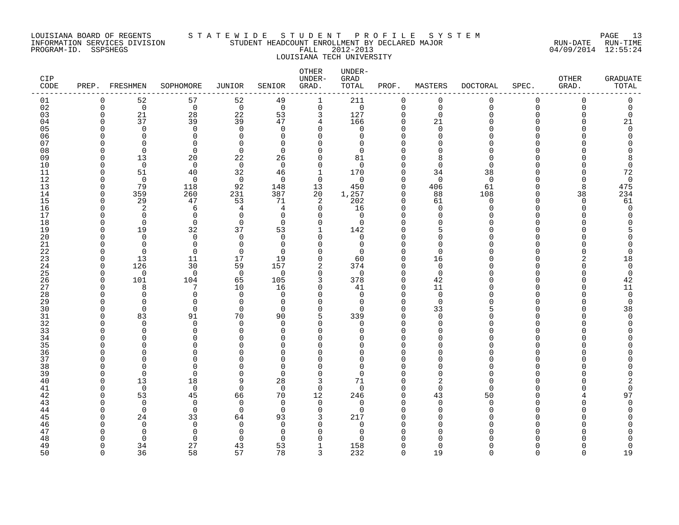### LOUISIANA BOARD OF REGENTS S T A T E W I D E S T U D E N T P R O F I L E S Y S T E M PAGE 13 INFORMATION SERVICES DIVISION STUDENT HEADCOUNT ENROLLMENT BY DECLARED MAJOR RUN-DATE RUN-TIME PROGRAM-ID. SSPSHEGS FALL 2012-2013 04/09/2014 12:55:24 LOUISIANA TECH UNIVERSITY

| CIP<br>CODE | PREP. FRESHMEN       |                      | SOPHOMORE                  | <b>JUNIOR</b>        | SENIOR               | OTHER<br>UNDER-<br>GRAD. | UNDER-<br>GRAD<br>TOTAL | PROF.                | MASTERS                    | <b>DOCTORAL</b> | SPEC.                | OTHER<br>GRAD. | <b>GRADUATE</b><br>TOTAL |
|-------------|----------------------|----------------------|----------------------------|----------------------|----------------------|--------------------------|-------------------------|----------------------|----------------------------|-----------------|----------------------|----------------|--------------------------|
| 01          | $\mathbf 0$          | 52                   | 57                         | 52                   | 49                   | $\mathbf 1$              | 211                     | $\mathbf 0$          | 0                          | 0               | 0                    | 0              | 0                        |
| 02          | $\mathbf 0$          | $\mathbf 0$          | $\mathbf 0$                | $\overline{0}$       | $\mathbf 0$          | $\mathbf 0$              | 0                       | $\mathbf 0$          | $\mathbf 0$                | $\mathbf 0$     | $\mathbf 0$          | 0              | 0                        |
| 03          | $\mathbf 0$          | 21                   | 28                         | 22                   | 53                   | 3                        | 127                     | $\mathbf 0$          | $\mathbf 0$                | 0               | 0                    | $\Omega$       | $\mathbf 0$              |
| 04          | $\Omega$<br>$\Omega$ | 37<br>$\Omega$       | 39<br>$\Omega$             | 39<br>$\Omega$       | 47<br>$\Omega$       | 4<br>$\Omega$            | 166<br>$\Omega$         | $\Omega$<br>$\Omega$ | 21<br>$\Omega$             | U<br>U          | $\Omega$<br>$\Omega$ | ∩              | 21<br>$\Omega$           |
| 05<br>06    | ∩                    | $\Omega$             | $\mathbf 0$                | $\Omega$             | $\Omega$             | O                        | 0                       | $\Omega$             | $\mathbf 0$                | O               | ∩                    |                | $\Omega$                 |
| 07          | $\Omega$             | $\Omega$             | $\mathbf 0$                | $\Omega$             | $\Omega$             | O                        | $\Omega$                |                      | 0                          | O               | ∩                    |                | O                        |
| 08          | $\Omega$             | $\mathbf 0$          | $\mathbf 0$                | $\mathbf 0$          | $\Omega$             | $\Omega$                 | $\Omega$                |                      | $\mathbf 0$                | $\Omega$        | ∩                    |                | U                        |
| 09          | $\Omega$             | 13                   | 20                         | 22                   | 26                   | $\Omega$                 | 81                      | $\Omega$             | 8                          | $\Omega$        | ∩                    |                | 8                        |
| 10          | $\Omega$             | $\overline{0}$       | $\mathbf 0$                | $\overline{0}$       | $\mathbf 0$          | $\mathbf 0$              | 0                       | $\Omega$             | $\mathbf 0$                | $\mathbf 0$     | $\Omega$             |                | 0                        |
| 11          | $\Omega$             | 51                   | 40                         | 32                   | 46                   | 1                        | 170                     | $\Omega$             | 34                         | 38              | ∩                    |                | 72                       |
| 12          | $\Omega$             | $\mathbf 0$          | $\mathbf 0$                | $\overline{0}$       | $\Omega$             | $\Omega$                 | $\Omega$                | $\Omega$             | $\mathbf 0$                | $\mathbf 0$     | ∩                    | ∩              | $\mathbf 0$              |
| 13<br>14    | $\Omega$<br>$\Omega$ | 79<br>359            | 118<br>260                 | 92<br>231            | 148<br>387           | 13<br>20                 | 450<br>1,257            | $\Omega$<br>$\Omega$ | 406<br>88                  | 61<br>108       | $\Omega$<br>$\Omega$ | 8<br>38        | 475<br>234               |
| 15          | $\mathbf 0$          | 29                   | 47                         | 53                   | 71                   | 2                        | 202                     | $\Omega$             | 61                         | 0               | $\Omega$             | $\Omega$       | 61                       |
| 16          | $\Omega$             | 2                    | 6                          | 4                    | 4                    | 0                        | 16                      | $\Omega$             | $\mathbf 0$                | 0               | $\Omega$             | ∩              | $\mathbf 0$              |
| 17          | $\Omega$             | $\Omega$             | $\Omega$                   | $\Omega$             | $\Omega$             | $\Omega$                 | $\Omega$                | $\cap$               | $\Omega$                   | U               | ∩                    |                | O                        |
| 18          | $\Omega$             | $\Omega$             | $\Omega$                   | $\Omega$             | $\Omega$             | $\Omega$                 | $\Omega$                | $\Omega$             | $\Omega$                   | U               | $\Omega$             |                | U                        |
| 19          | $\Omega$             | 19                   | 32                         | 37                   | 53                   | 1                        | 142                     | $\Omega$             | 5                          | O               | $\Omega$             |                |                          |
| 20          | $\Omega$             | $\Omega$             | $\mathbf 0$                | $\Omega$             | $\Omega$             | $\Omega$                 | 0                       |                      | $\mathbf 0$                | U               | ∩                    |                |                          |
| 21          | $\Omega$             | $\Omega$             | $\mathbf 0$                | $\Omega$             | $\Omega$             | O                        | 0                       | $\Omega$             | $\mathbf 0$                | U               | ∩                    |                | 0                        |
| 22          | $\Omega$             | $\Omega$             | $\Omega$                   | $\Omega$             | $\Omega$             | $\Omega$                 | $\Omega$                | $\Omega$             | $\Omega$                   | U               | ∩                    |                | $\Omega$                 |
| 23          | $\Omega$             | 13                   | 11<br>30                   | 17                   | 19                   | $\Omega$                 | 60                      | $\Omega$<br>$\Omega$ | 16                         | O<br>O          | $\Omega$<br>$\Omega$ |                | 18                       |
| 24<br>25    | 0<br>$\Omega$        | 126<br>$\Omega$      | $\mathbf 0$                | 59<br>$\overline{0}$ | 157<br>$\Omega$      | 2<br>$\Omega$            | 374<br>$\Omega$         | $\Omega$             | $\mathbf 0$<br>$\mathbf 0$ | O               | $\Omega$             |                | 0<br>0                   |
| 26          | $\Omega$             | 101                  | 104                        | 65                   | 105                  | 3                        | 378                     | $\Omega$             | 42                         | U               | $\Omega$             | ∩              | 42                       |
| 27          | $\Omega$             | 8                    | 7                          | 10                   | 16                   | $\Omega$                 | 41                      | $\Omega$             | 11                         | O               | $\Omega$             | U              | 11                       |
| 28          | $\Omega$             | $\Omega$             | $\mathbf 0$                | $\mathbf 0$          | $\mathbf 0$          | $\Omega$                 | 0                       | $\Omega$             | $\mathbf 0$                | O               | $\Omega$             |                | $\mathbf 0$              |
| 29          | $\Omega$             | $\Omega$             | $\mathbf 0$                | 0                    | $\Omega$             | $\Omega$                 | 0                       | $\Omega$             | $\mathbf 0$                | O               | $\Omega$             |                | 0                        |
| 30          | $\Omega$             | $\Omega$             | $\mathbf 0$                | $\Omega$             | $\Omega$             | $\Omega$                 | $\Omega$                | $\Omega$             | 33                         | 5               | ∩                    |                | 38                       |
| 31          | $\Omega$             | 83                   | 91                         | 70                   | 90                   | 5                        | 339                     | $\Omega$             | $\Omega$                   | O               | ∩                    |                | $\Omega$                 |
| 32          | $\Omega$             | $\Omega$             | $\mathbf 0$                | $\Omega$             | $\Omega$             | $\Omega$                 | 0                       | $\Omega$             | $\mathbf 0$                | O               | $\Omega$             |                | $\Omega$                 |
| 33<br>34    | $\Omega$<br>$\Omega$ | $\Omega$<br>$\Omega$ | $\mathbf 0$<br>$\mathbf 0$ | $\Omega$<br>$\Omega$ | $\Omega$<br>$\Omega$ | $\Omega$<br>U            | $\Omega$<br>$\Omega$    | $\Omega$             | $\mathbf 0$<br>0           | O<br>O          | $\Omega$<br>∩        |                |                          |
| 35          |                      | ∩                    | $\Omega$                   | $\cap$               | ∩                    | U                        | U                       |                      | $\Omega$                   |                 | ∩                    |                |                          |
| 36          | $\Omega$             | ∩                    | $\Omega$                   | $\Omega$             | $\Omega$             | U                        | $\Omega$                | $\Omega$             | $\Omega$                   | U               | $\Omega$             |                |                          |
| 37          | $\Omega$             | $\Omega$             | $\mathbf 0$                | $\Omega$             | $\Omega$             | O                        | $\Omega$                |                      | $\Omega$                   | O               | $\Omega$             |                |                          |
| 38          | $\Omega$             | ∩                    | $\mathbf 0$                | O                    | $\Omega$             | 0                        | $\Omega$                |                      | $\Omega$                   | O               | ∩                    |                | Λ                        |
| 39          | $\Omega$             | $\Omega$             | $\mathbf 0$                | $\Omega$             | $\Omega$             | $\Omega$                 | $\Omega$                | $\Omega$             | $\mathbf 0$                | $\Omega$        | ∩                    |                | C                        |
| 40          | $\Omega$             | 13                   | 18                         | 9                    | 28                   | 3                        | 71                      | $\Omega$             | 2                          | $\Omega$        | ∩                    |                | 2                        |
| 41          | $\Omega$             | $\Omega$             | $\mathbf 0$                | $\Omega$             | $\Omega$             | $\Omega$                 | $\Omega$                | $\Omega$             | $\Omega$                   | $\Omega$        | ∩                    |                | 0                        |
| 42          | $\Omega$             | 53                   | 45                         | 66                   | 70                   | 12                       | 246                     | 0                    | 43                         | 50              | $\Omega$             |                | 97                       |
| 43<br>44    | $\Omega$<br>$\Omega$ | $\Omega$<br>$\Omega$ | $\mathbf 0$<br>$\mathbf 0$ | $\Omega$<br>$\Omega$ | $\Omega$<br>$\Omega$ | $\mathbf 0$<br>$\Omega$  | 0<br>$\Omega$           | $\Omega$<br>$\Omega$ | $\mathbf 0$<br>$\Omega$    | 0<br>$\Omega$   | ∩<br>∩               |                | O                        |
| 45          | $\Omega$             | 24                   | 33                         | 64                   | 93                   | 3                        | 217                     | $\Omega$             | $\Omega$                   | U               | $\Omega$             |                |                          |
| 46          | $\Omega$             | $\Omega$             | $\mathbf 0$                | $\mathbf 0$          | $\Omega$             | $\Omega$                 | 0                       |                      | $\mathbf 0$                | O               | $\Omega$             |                |                          |
| 47          | ∩                    | $\Omega$             | $\mathbf 0$                | $\Omega$             | 0                    | O                        | 0                       |                      | 0                          | N               | ∩                    |                |                          |
| 48          |                      | $\Omega$             | $\Omega$                   | $\Omega$             | ∩                    | $\Omega$                 |                         |                      | $\cap$                     |                 |                      |                | U                        |
| 49          | $\Omega$             | 34                   | 27                         | 43                   | 53                   | 1                        | 158                     | $\Omega$             | $\Omega$                   | U               | $\Omega$             |                | 0                        |
| 50          | $\Omega$             | 36                   | 58                         | 57                   | 78                   | 3                        | 232                     | $\cap$               | 19                         | $\Omega$        | $\Omega$             | $\Omega$       | 19                       |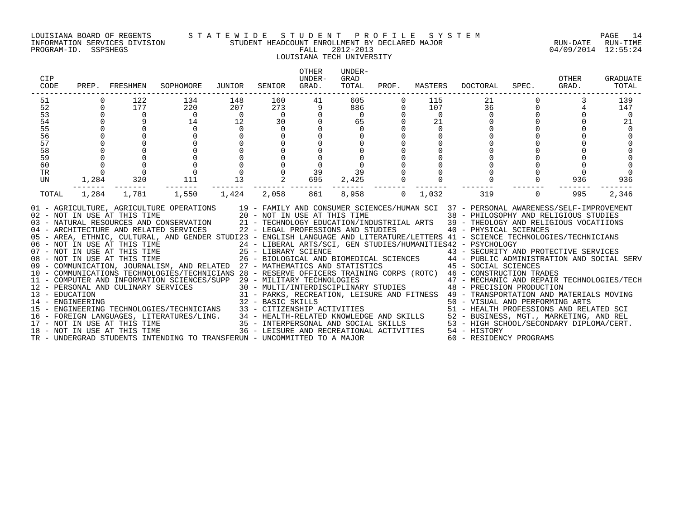### LOUISIANA BOARD OF REGENTS S T A T E W I D E S T U D E N T P R O F I L E S Y S T E M PAGE 14 INFORMATION SERVICES DIVISION STUDENT HEADCOUNT ENROLLMENT BY DECLARED MAJOR RUN-DATE RUN-TIME PROGRAM-ID. SSPSHEGS FALL 2012-2013 04/09/2014 12:55:24 LOUISIANA TECH UNIVERSITY

### OTHER UNDER-CIP UNDER- GRAD OTHER GRADUATE CODE PREP. FRESHMEN SOPHOMORE JUNIOR SENIOR GRAD. TOTAL PROF. MASTERS DOCTORAL SPEC. GRAD. TOTAL ------------------------------------------------------------------------------------------------------------------------------------ 51 0 122 134 148 160 41 605 0 115 21 0 3 139 52 0 177 220 207 273 9 886 0 107 36 0 4 147 53 0 0 0 0 0 0 0 0 0 0 0 0 0 54 0 9 14 12 30 0 65 0 21 0 0 0 21 55 0 0 0 0 0 0 0 0 0 0 0 0 0 56 0 0 0 0 0 0 0 0 0 0 0 0 0 57 0 0 0 0 0 0 0 0 0 0 0 0 0 58 0 0 0 0 0 0 0 0 0 0 0 0 0 59 0 0 0 0 0 0 0 0 0 0 0 0 0 60 0 0 0 0 0 0 0 0 0 0 0 0 0 TR 0 0 0 0 0 39 39 0 0 0 0 0 0 UN 1,284 320 111 13 2 695 2,425 0 0 0 0 936 936 ------- ------- ------- ------- ------- ------- ------- ------- ------- ------- ------- ------- ------- TOTAL 1,284 1,781 1,550 1,424 2,058 861 8,958 0 1,032 319 0 995 2,346 01 - AGRICULTURE, AGRICULTURE OPERATIONS 19 - FAMILY AND CONSUMER SCIENCES/HUMAN SCI 37 - PERSONAL AWARENESS/SELF-IMPROVEMENT 02 - NOT IN USE AT THIS TIME 20 - NOT IN USE AT THIS TIME 38 - PHILOSOPHY AND RELIGIOUS STUDIES 03 - NATURAL RESOURCES AND CONSERVATION 21 - TECHNOLOGY EDUCATION/INDUSTRIIAL ARTS 39 - THEOLOGY AND RELIGIOUS VOCATIIONS<br>04 - ARCHITECTURE AND RELATED SERVICES 22 - LEGAL PROFESSIONS AND STUDIES 05 - AREA, ETHNIC, CULTURAL, AND GENDER STUDI23 - ENGLISH LANGUAGE AND LITERATURE/LETTERS 41 - SCIENCE TECHNOLOGIES/TECHNICIANS 06 – NOT IN USE AT THIS TIME 24 – LIBERAL ARTS/SCI, GEN STUDIES/HUMANITIES42 – PSYCHOLOGY<br>07 – NOT IN USE AT THIS TIME 25 – LIBRARY SCIENCE 43 – SECURITY AN 08 - NOT IN USE AT THIS TIME 26 - BIOLOGICAL AND BIOMEDICAL SCIENCES 44 - PUBLIC ADMINISTRATION AND SOCIAL SERV 09 - COMMUNICATION, JOURNALISM, AND RELATED 27 - MATHEMATICS AND STATISTICS 45 - SOCIAL SCIENCES 10 - COMMUNICATIONS TECHNOLOGIES/TECHNICIANS 28 - RESERVE OFFICERS TRAINING CORPS (ROTC) 46 - CONSTRUCTION TRADES 11 - COMPUTER AND INFORMATION SCIENCES/SUPP 29 - MILITARY TECHNOLOGIES 47 - MECHANIC AND REPAIR TECHNOLOGIES/TECH 12 - PERSONAL AND CULINARY SERVICES 30 - MULTI/INTERDISCIPLINARY STUDIES 48 - PRECISION PRODUCTION 13 - EDUCATION 31 - PARKS, RECREATION, LEISURE AND FITNESS 49 - TRANSPORTATION AND MATERIALS MOVING 14 - ENGINEERING 32 - BASIC SKILLS 50 - VISUAL AND PERFORMING ARTS 15 - ENGINEERING TECHNOLOGIES/TECHNICIANS 33 - CITIZENSHIP ACTIVITIES 51 - HEALTH PROFESSIONS AND RELATED SCI 16 - FOREIGN LANGUAGES, LITERATURES/LING. 34 - HEALTH-RELATED KNOWLEDGE AND SKILLS 52 - BUSINESS, MGT., MARKETING, AND REL 17 - NOT IN USE AT THIS TIME 35 - INTERPERSONAL AND SOCIAL SKILLS 53 - HIGH SCHOOL/SECONDARY DIPLOMA/CERT. 18 - NOT IN USE AT THIS TIME 36 - LEISURE AND RECREATIONAL ACTIVITIES 54 - HISTORY TR - UNDERGRAD STUDENTS INTENDING TO TRANSFERUN - UNCOMMITTED TO A MAJOR 60 - RESIDENCY PROGRAMS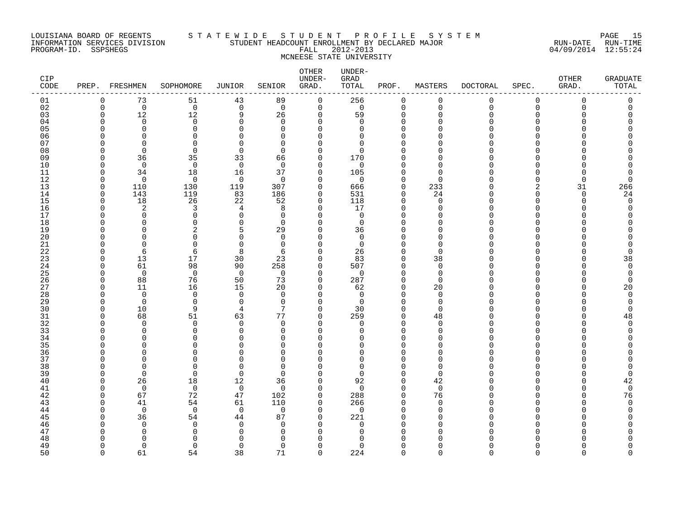### LOUISIANA BOARD OF REGENTS S T A T E W I D E S T U D E N T P R O F I L E S Y S T E M PAGE 15 INFORMATION SERVICES DIVISION STUDENT HEADCOUNT ENROLLMENT BY DECLARED MAJOR RUN-DATE RUN-TIME PROGRAM-ID. SSPSHEGS FALL 2012-2013 04/09/2014 12:55:24 MCNEESE STATE UNIVERSITY

| CIP<br>CODE | PREP.        | FRESHMEN                 | SOPHOMORE            | <b>JUNIOR</b>        | SENIOR               | OTHER<br>UNDER-<br>GRAD. | UNDER-<br>GRAD<br>TOTAL | PROF.                | MASTERS              | <b>DOCTORAL</b> | SPEC.                | OTHER<br>GRAD. | <b>GRADUATE</b><br>TOTAL |
|-------------|--------------|--------------------------|----------------------|----------------------|----------------------|--------------------------|-------------------------|----------------------|----------------------|-----------------|----------------------|----------------|--------------------------|
| 01          | 0            | 73                       | 51                   | 43                   | 89                   | 0                        | 256                     | $\mathbf 0$          | 0                    | 0               | 0                    | 0              | 0                        |
| 02          | $\mathbf{0}$ | $\overline{0}$           | $\mathbf 0$          | $\overline{0}$       | $\mathbf 0$          | 0                        | $\mathbf 0$             | $\mathbf 0$          | $\mathbf 0$          | $\mathbf 0$     | $\mathbf 0$          | 0              | 0                        |
| 03          | $\Omega$     | 12                       | 12                   | 9                    | 26                   | $\mathbf 0$              | 59                      | $\mathbf 0$          | $\Omega$             | $\Omega$        | $\Omega$             | U              | 0                        |
| 04          | n            | $\Omega$                 | $\Omega$             | $\Omega$             | $\Omega$             | $\Omega$                 | $\Omega$                | $\Omega$<br>$\Omega$ | $\cap$<br>$\cap$     | ∩               | $\Omega$<br>$\Omega$ |                | Λ                        |
| 05          |              | $\Omega$<br><sup>n</sup> | $\Omega$             | $\Omega$<br>$\Omega$ | $\Omega$             | $\Omega$<br>$\Omega$     | $\Omega$                | $\Omega$             | n                    |                 | ∩                    |                |                          |
| 06<br>07    |              | <sup>n</sup>             | 0<br>$\Omega$        | $\cap$               | $\Omega$<br>$\Omega$ | $\Omega$                 | 0<br>0                  | $\Omega$             | ∩                    |                 | ∩                    |                | ∩                        |
| 08          |              | $\Omega$                 | 0                    | $\mathbf 0$          | $\Omega$             | $\mathbf 0$              | 0                       | $\Omega$             | $\Omega$             |                 | ∩                    |                |                          |
| 09          | O            | 36                       | 35                   | 33                   | 66                   | $\Omega$                 | 170                     | $\Omega$             | $\Omega$             |                 | ∩                    |                |                          |
| 10          | n            | $\mathbf 0$              | $\mathbf 0$          | $\overline{0}$       | $\mathbf 0$          | $\mathbf 0$              | 0                       | $\Omega$             | $\Omega$             |                 | $\Omega$             |                |                          |
| 11          | $\Omega$     | 34                       | 18                   | 16                   | 37                   | $\mathbf 0$              | 105                     | $\Omega$             | $\cap$               |                 | ∩                    | U              | 0                        |
| 12          | $\cap$       | $\Omega$                 | $\mathbf 0$          | $\mathbf 0$          | $\Omega$             | $\Omega$                 | $\mathbf 0$             | $\Omega$             | $\Omega$             |                 | ∩                    | $\Omega$       | O                        |
| 13          | $\Omega$     | 110                      | 130                  | 119                  | 307                  | $\mathbf 0$              | 666                     | $\mathbf 0$          | 233                  |                 | 2                    | 31             | 266                      |
| 14          | $\Omega$     | 143                      | 119                  | 83                   | 186                  | $\mathbf 0$              | 531                     | $\mathbf 0$          | 24                   | ∩               | $\Omega$             | $\Omega$       | 24                       |
| 15          | $\Omega$     | 18                       | 26                   | 22                   | 52                   | $\mathbf 0$              | 118                     | $\mathbf 0$          | $\mathbf 0$          |                 | $\Omega$             | $\Omega$       | $\mathbf 0$              |
| 16          | n            | 2                        | 3                    | 4                    | 8                    | $\mathbf 0$              | 17                      | $\mathbf 0$          | $\Omega$             | N               | $\Omega$             | ∩              | 0                        |
| 17          |              | $\Omega$                 | $\Omega$             | $\Omega$             | $\Omega$             | $\Omega$                 | $\mathbf 0$             | $\Omega$             | $\Omega$             |                 | ∩                    |                | U                        |
| 18          |              | $\Omega$                 | $\Omega$             | $\Omega$             | $\Omega$             | $\Omega$                 | $\Omega$                | $\Omega$             | $\Omega$             |                 | ∩                    |                |                          |
| 19          |              | $\Omega$                 | 2                    | 5                    | 29                   | $\mathbf 0$              | 36                      | $\Omega$             | $\Omega$             |                 | ∩                    |                | Λ                        |
| 20          |              | $\cap$<br>$\Omega$       | 0                    | $\Omega$<br>$\Omega$ | $\Omega$             | $\Omega$<br>$\Omega$     | $\mathbf 0$             | $\Omega$<br>$\Omega$ | $\Omega$<br>$\Omega$ |                 | ∩<br>∩               |                |                          |
| 21<br>22    |              | 6                        | 0<br>6               | 8                    | $\mathbf 0$<br>6     | $\Omega$                 | $\mathbf 0$<br>26       | $\Omega$             | $\Omega$             |                 | ∩                    |                | 0<br>O                   |
| 23          | n            | 13                       | 17                   | 30                   | 23                   | $\Omega$                 | 83                      | $\Omega$             | 38                   |                 | $\Omega$             |                | 38                       |
| 24          | n            | 61                       | 98                   | 90                   | 258                  | 0                        | 507                     | $\mathbf 0$          | $\mathbf 0$          |                 | $\Omega$             |                | $\mathbf 0$              |
| 25          | ∩            | $\Omega$                 | $\mathbf 0$          | $\overline{0}$       | $\Omega$             | $\mathbf 0$              | 0                       | $\mathbf 0$          | $\mathbf 0$          |                 | ∩                    |                | 0                        |
| 26          | n            | 88                       | 76                   | 50                   | 73                   | $\mathbf 0$              | 287                     | $\mathbf 0$          | $\Omega$             |                 | ∩                    |                | $\Omega$                 |
| 27          | n            | 11                       | 16                   | 15                   | 20                   | $\Omega$                 | 62                      | $\mathbf 0$          | 20                   |                 | ∩                    | ∩              | 20                       |
| 28          |              | $\mathbf 0$              | $\mathbf 0$          | $\mathbf 0$          | $\mathbf 0$          | $\mathbf 0$              | $\mathbf 0$             | $\Omega$             | $\mathbf 0$          |                 | $\Omega$             |                | $\mathbf 0$              |
| 29          | ∩            | $\Omega$                 | 0                    | $\mathbf 0$          | $\Omega$             | $\mathbf 0$              | $\mathbf 0$             | $\mathbf 0$          | $\mathbf 0$          |                 | ∩                    |                | 0                        |
| 30          | ∩            | 10                       | 9                    | 4                    | 7                    | $\Omega$                 | 30                      | $\Omega$             | $\Omega$             |                 | ∩                    |                | $\Omega$                 |
| 31          | n            | 68                       | 51                   | 63                   | 77                   | $\Omega$                 | 259                     | $\Omega$             | 48                   |                 | ∩                    |                | 48                       |
| 32          |              | $\Omega$                 | $\Omega$             | $\Omega$             | $\Omega$             | $\Omega$                 | $\mathbf 0$             | $\Omega$             | $\Omega$             |                 | ∩                    |                | $\Omega$                 |
| 33          |              | $\Omega$                 | 0                    | $\Omega$             | $\Omega$             | $\mathbf 0$              | 0                       | $\Omega$             | $\Omega$             |                 | $\Omega$             |                | O                        |
| 34          |              | $\Omega$<br>$\cap$       | $\Omega$<br>$\Omega$ | $\Omega$<br>O        | 0                    | 0<br>$\Omega$            | 0                       | $\Omega$<br>$\Omega$ | $\Omega$<br>$\cap$   |                 | ∩<br>∩               |                |                          |
| 35<br>36    |              | <sup>n</sup>             | $\Omega$             | O                    | $\Omega$<br>$\Omega$ | $\Omega$                 | 0<br>$\Omega$           | $\Omega$             | $\Omega$             |                 | $\Omega$             |                |                          |
| 37          |              | $\Omega$                 | 0                    | $\Omega$             | $\Omega$             | $\Omega$                 | $\mathbf 0$             | $\Omega$             | $\Omega$             |                 | $\Omega$             |                |                          |
| 38          |              | <sup>n</sup>             | $\Omega$             | $\Omega$             | $\Omega$             | 0                        | 0                       | $\Omega$             | $\Omega$             |                 | ∩                    |                | O                        |
| 39          |              | $\mathbf 0$              | 0                    | $\mathbf 0$          | $\Omega$             | $\Omega$                 | $\mathbf 0$             | $\mathbf 0$          | $\Omega$             |                 | ∩                    |                | $\Omega$                 |
| 40          |              | 26                       | 18                   | 12                   | 36                   | $\Omega$                 | 92                      | $\Omega$             | 42                   |                 | ∩                    |                | 42                       |
| 41          | n            | $\mathbf 0$              | $\mathbf 0$          | $\overline{0}$       | $\Omega$             | $\Omega$                 | $\mathbf 0$             | $\mathbf 0$          | $\overline{0}$       |                 | $\Omega$             |                | $\mathbf 0$              |
| 42          | n            | 67                       | 72                   | 47                   | 102                  | 0                        | 288                     | $\mathbf 0$          | 76                   |                 | ∩                    |                | 76                       |
| 43          |              | 41                       | 54                   | 61                   | 110                  | $\mathbf 0$              | 266                     | $\Omega$             | $\mathbf 0$          |                 | ∩                    |                | $\Omega$                 |
| 44          | n            | $\Omega$                 | $\mathbf 0$          | $\overline{0}$       | $\Omega$             | $\Omega$                 | $\mathbf 0$             | $\Omega$             | $\Omega$             |                 | ∩                    |                |                          |
| 45          |              | 36                       | 54                   | 44                   | 87                   | $\mathbf 0$              | 221                     | $\Omega$             | $\Omega$             |                 | ∩                    |                |                          |
| 46          |              | $\Omega$                 | 0                    | $\Omega$             | $\Omega$             | $\mathbf 0$              | 0                       | $\Omega$             | $\Omega$             |                 | $\Omega$             |                |                          |
| 47          |              | <sup>0</sup>             | $\Omega$             | $\Omega$             | 0                    | 0                        | 0                       | $\Omega$             | $\Omega$             |                 | ∩                    |                |                          |
| 48          |              | ∩                        | U                    | $\cap$               | $\Omega$             | $\Omega$                 | U                       | $\Omega$             | ∩                    |                 |                      |                |                          |
| 49          | ∩<br>$\cap$  | $\Omega$                 | $\Omega$             | $\mathbf 0$          | $\Omega$             | $\Omega$                 | $\Omega$                | $\Omega$             | $\Omega$<br>$\cap$   |                 | $\Omega$<br>$\Omega$ |                | O<br>$\Omega$            |
| 50          |              | 61                       | 54                   | 38                   | 71                   | $\Omega$                 | 224                     | $\Omega$             |                      | $\Omega$        |                      | $\Omega$       |                          |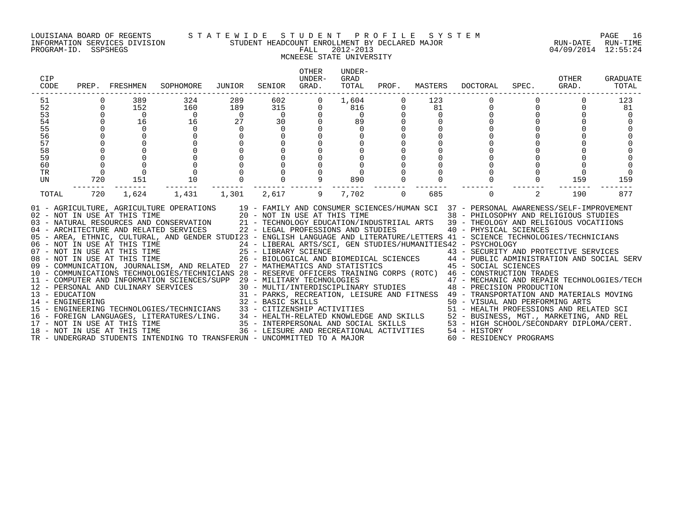### LOUISIANA BOARD OF REGENTS S T A T E W I D E S T U D E N T P R O F I L E S Y S T E M PAGE 16 INFORMATION SERVICES DIVISION STUDENT HEADCOUNT ENROLLMENT BY DECLARED MAJOR RUN-DATE RUN-TIME PROGRAM-ID. SSPSHEGS FALL 2012-2013 04/09/2014 12:55:24 MCNEESE STATE UNIVERSITY

### OTHER UNDER-CIP UNDER- GRAD OTHER GRADUATE CODE PREP. FRESHMEN SOPHOMORE JUNIOR SENIOR GRAD. TOTAL PROF. MASTERS DOCTORAL SPEC. GRAD. TOTAL ------------------------------------------------------------------------------------------------------------------------------------ 51 0 389 324 289 602 0 1,604 0 123 0 0 0 123 52 0 152 160 189 315 0 816 0 81 0 0 0 81 53 0 0 0 0 0 0 0 0 0 0 0 0 0 54 0 16 16 27 30 0 89 0 0 0 0 0 0 55 0 0 0 0 0 0 0 0 0 0 0 0 0 56 0 0 0 0 0 0 0 0 0 0 0 0 0 57 0 0 0 0 0 0 0 0 0 0 0 0 0 58 0 0 0 0 0 0 0 0 0 0 0 0 0 59 0 0 0 0 0 0 0 0 0 0 0 0 0 60 0 0 0 0 0 0 0 0 0 0 0 0 0 TR 0 0 0 0 0 0 0 0 0 0 0 0 0 UN 720 151 10 0 0 9 890 0 0 0 0 159 159 ------- ------- ------- ------- ------- ------- ------- ------- ------- ------- ------- ------- ------- TOTAL 720 1,624 1,431 1,301 2,617 9 7,702 0 685 0 2 190 877 01 - AGRICULTURE, AGRICULTURE OPERATIONS 19 - FAMILY AND CONSUMER SCIENCES/HUMAN SCI 37 - PERSONAL AWARENESS/SELF-IMPROVEMENT 02 - NOT IN USE AT THIS TIME 20 - NOT IN USE AT THIS TIME 38 - PHILOSOPHY AND RELIGIOUS STUDIES 03 - NATURAL RESOURCES AND CONSERVATION 21 - TECHNOLOGY EDUCATION/INDUSTRIIAL ARTS 39 - THEOLOGY AND RELIGIOUS VOCATIIONS<br>04 - ARCHITECTURE AND RELATED SERVICES 22 - LEGAL PROFESSIONS AND STUDIES 05 - AREA, ETHNIC, CULTURAL, AND GENDER STUDI23 - ENGLISH LANGUAGE AND LITERATURE/LETTERS 41 - SCIENCE TECHNOLOGIES/TECHNICIANS 06 – NOT IN USE AT THIS TIME 24 – LIBERAL ARTS/SCI, GEN STUDIES/HUMANITIES42 – PSYCHOLOGY<br>07 – NOT IN USE AT THIS TIME 25 – LIBRARY SCIENCE 43 – SECURITY AN 08 - NOT IN USE AT THIS TIME 26 - BIOLOGICAL AND BIOMEDICAL SCIENCES 44 - PUBLIC ADMINISTRATION AND SOCIAL SERV 09 - COMMUNICATION, JOURNALISM, AND RELATED 27 - MATHEMATICS AND STATISTICS 45 - SOCIAL SCIENCES 10 - COMMUNICATIONS TECHNOLOGIES/TECHNICIANS 28 - RESERVE OFFICERS TRAINING CORPS (ROTC) 46 - CONSTRUCTION TRADES 11 - COMPUTER AND INFORMATION SCIENCES/SUPP 29 - MILITARY TECHNOLOGIES 47 - MECHANIC AND REPAIR TECHNOLOGIES/TECH 12 - PERSONAL AND CULINARY SERVICES 30 - MULTI/INTERDISCIPLINARY STUDIES 48 - PRECISION PRODUCTION 13 - EDUCATION 31 - PARKS, RECREATION, LEISURE AND FITNESS 49 - TRANSPORTATION AND MATERIALS MOVING 14 - ENGINEERING 32 - BASIC SKILLS 50 - VISUAL AND PERFORMING ARTS 15 - ENGINEERING TECHNOLOGIES/TECHNICIANS 33 - CITIZENSHIP ACTIVITIES 51 - HEALTH PROFESSIONS AND RELATED SCI 16 - FOREIGN LANGUAGES, LITERATURES/LING. 34 - HEALTH-RELATED KNOWLEDGE AND SKILLS 52 - BUSINESS, MGT., MARKETING, AND REL 17 - NOT IN USE AT THIS TIME 35 - INTERPERSONAL AND SOCIAL SKILLS 53 - HIGH SCHOOL/SECONDARY DIPLOMA/CERT. 18 - NOT IN USE AT THIS TIME 36 - LEISURE AND RECREATIONAL ACTIVITIES 54 - HISTORY

TR - UNDERGRAD STUDENTS INTENDING TO TRANSFERUN - UNCOMMITTED TO A MAJOR 60 - RESIDENCY PROGRAMS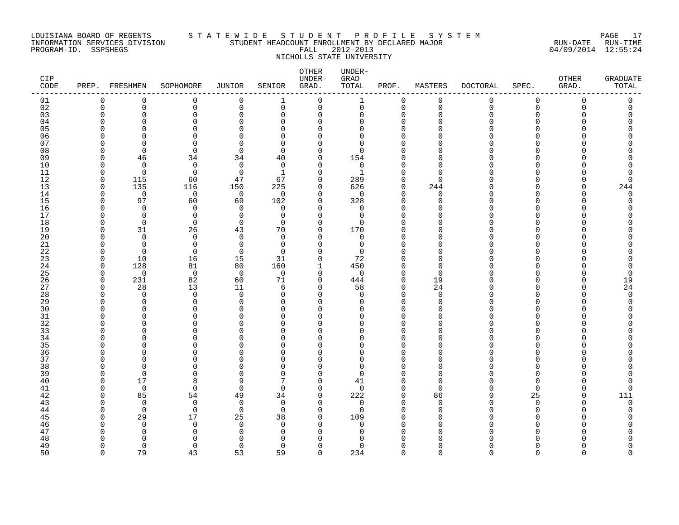### LOUISIANA BOARD OF REGENTS S T A T E W I D E S T U D E N T P R O F I L E S Y S T E M PAGE 17 INFORMATION SERVICES DIVISION STUDENT HEADCOUNT ENROLLMENT BY DECLARED MAJOR RUN-DATE RUN-TIME PROGRAM-ID. SSPSHEGS FALL 2012-2013 04/09/2014 12:55:24 NICHOLLS STATE UNIVERSITY

| CIP.<br>$\texttt{CODE}$ |                      | PREP. FRESHMEN | SOPHOMORE            | JUNIOR         | SENIOR          | OTHER<br>UNDER-<br>GRAD. | UNDER-<br>GRAD<br>TOTAL | PROF.                      | MASTERS        | <b>DOCTORAL</b> | SPEC.                    | OTHER<br>GRAD. | <b>GRADUATE</b><br>TOTAL |
|-------------------------|----------------------|----------------|----------------------|----------------|-----------------|--------------------------|-------------------------|----------------------------|----------------|-----------------|--------------------------|----------------|--------------------------|
| 01                      | 0                    | $\Omega$       | 0                    | $\mathbf 0$    | 1               | 0                        | 1                       | 0                          | $\mathbf 0$    | 0               | 0                        | $\Omega$       | 0                        |
| 02                      | $\mathbf 0$          | 0              | 0                    | 0              | $\mathbf 0$     | 0                        | 0                       | $\mathbf 0$                | $\mathbf 0$    | $\mathbf 0$     | $\mathbf 0$              | $\Omega$       | 0                        |
| 03                      | O<br>U               | 0<br>U         | $\Omega$             | $\Omega$<br>∩  | $\Omega$        | $\Omega$<br>$\Omega$     | 0                       | $\Omega$<br>$\Omega$       | $\Omega$<br>n  | U               | $\Omega$<br>n            |                |                          |
| 04<br>05                | ſ                    | U              | $\Omega$<br>$\Omega$ | C              | O<br>∩          | $\Omega$                 | $\Omega$<br>$\Omega$    | $\Omega$                   |                |                 | n                        |                |                          |
| 06                      |                      | U              | $\Omega$             | C              | ∩               | U                        | $\Omega$                | $\Omega$                   |                |                 | U                        |                |                          |
| 07                      | ſ                    | U              | $\Omega$             | ∩              | ∩               | ∩                        | $\Omega$                |                            |                |                 |                          |                |                          |
| 08                      | U                    | $\Omega$       | $\Omega$             | 0              | $\Omega$        | $\Omega$                 | $\Omega$                | $\Omega$                   |                |                 | U                        |                |                          |
| 09                      | O                    | 46             | 34                   | 34             | 40              | 0                        | 154                     | <sup>0</sup>               | ∩              |                 | U                        |                |                          |
| 10                      | O                    | $\Omega$       | $\mathbf 0$          | $\mathbf 0$    | $\Omega$        | $\Omega$                 | 0                       |                            |                |                 | U                        |                |                          |
| 11                      | O                    | $\Omega$       | $\Omega$             | $\Omega$       | 1               | $\Omega$                 | $\mathbf{1}$            | $\Omega$                   | $\cap$         |                 | U                        |                | O                        |
| 12                      | $\cap$               | 115            | 60                   | 47             | 67              | $\Omega$                 | 289                     | $\Omega$                   | $\cap$         |                 | n                        |                | O                        |
| 13<br>14                | $\Omega$<br>$\Omega$ | 135<br>0       | 116<br>0             | 150<br>0       | 225<br>$\Omega$ | $\Omega$<br>$\Omega$     | 626<br>0                | $\mathbf 0$<br>$\mathbf 0$ | 244<br>0       |                 | $\Omega$<br><sup>n</sup> |                | 244<br>$\mathbf 0$       |
| 15                      | O                    | 97             | 60                   | 69             | 102             | $\Omega$                 | 328                     | $\Omega$                   | $\cap$         |                 | U                        |                | O                        |
| 16                      | ∩                    | $\Omega$       | $\mathbf 0$          | $\Omega$       | $\Omega$        | $\Omega$                 | 0                       | $\Omega$                   | ∩              |                 | U                        |                |                          |
| 17                      | n                    | $\Omega$       | $\Omega$             | $\Omega$       | $\Omega$        | $\Omega$                 | $\Omega$                | $\Omega$                   |                |                 | U                        |                |                          |
| 18                      | O                    | $\mathbf 0$    | $\mathbf 0$          | $\mathbf 0$    | $\Omega$        | $\Omega$                 | 0                       | $\Omega$                   |                |                 | $\Omega$                 |                |                          |
| 19                      | O                    | 31             | 26                   | 43             | 70              | 0                        | 170                     | $\Omega$                   |                |                 | U                        |                |                          |
| 20                      | U                    | $\Omega$       | $\mathbf 0$          | $\Omega$       | $\Omega$        | $\Omega$                 | 0                       | $\Omega$                   | n              |                 | <sup>n</sup>             |                |                          |
| 21                      | n                    | $\Omega$       | $\Omega$             | $\Omega$       | $\Omega$        | $\Omega$                 | 0                       | $\Omega$                   | ∩              |                 | n                        |                |                          |
| 22<br>23                | O<br>$\Omega$        | $\Omega$<br>10 | $\Omega$             | $\Omega$<br>15 | $\Omega$<br>31  | $\Omega$<br>$\Omega$     | $\Omega$<br>72          | $\Omega$<br>$\Omega$       | n<br>n         |                 | <sup>n</sup><br>U        |                |                          |
| 24                      | 0                    | 128            | 16<br>81             | 80             | 160             | 1                        | 450                     | $\Omega$                   | $\Omega$       |                 | <sup>n</sup>             |                | 0                        |
| 25                      | $\Omega$             | $\mathbf 0$    | $\mathbf 0$          | $\overline{0}$ | 0               | $\Omega$                 | 0                       | $\Omega$                   | $\cap$         |                 | n                        |                | $\Omega$                 |
| 26                      | $\Omega$             | 231            | 82                   | 60             | 71              | $\mathbf 0$              | 444                     | $\mathbf 0$                | 19             |                 | <sup>n</sup>             |                | 19                       |
| 27                      | $\cap$               | 28             | 13                   | 11             | 6               | $\Omega$                 | 58                      | $\mathbf 0$                | 24             |                 | <sup>n</sup>             |                | 24                       |
| 28                      | $\cap$               | $\Omega$       | $\Omega$             | $\Omega$       | $\Omega$        | $\Omega$                 | $\Omega$                | $\Omega$                   | $\Omega$       |                 | U                        |                | $\Omega$                 |
| 29                      | U                    | $\Omega$       | $\mathbf 0$          | $\Omega$       | $\Omega$        | $\Omega$                 | 0                       | $\Omega$                   | $\cap$         |                 | <sup>n</sup>             |                | $\Omega$                 |
| 30                      | C                    | U              | ∩                    | C              | ∩               | $\Omega$                 | <sup>0</sup>            | $\Omega$                   | ∩              |                 |                          |                |                          |
| 31                      | U                    | $\Omega$       | $\Omega$             | C              | $\Omega$        | $\Omega$                 | $\Omega$                | $\Omega$                   | U<br>∩         |                 | $\Omega$<br>U            |                |                          |
| 32<br>33                | ſ                    | U<br>U         | $\Omega$<br>$\Omega$ | C<br>C         | ∩<br>∩          | $\Omega$<br>U            | $\Omega$<br>$\Omega$    | $\Omega$<br>$\Omega$       | ∩              |                 | U                        |                |                          |
| 34                      | ſ                    | U              | $\Omega$             | ∩              | ∩               | $\Omega$                 | $\Omega$                | $\Omega$                   | n              |                 | U                        |                |                          |
| 35                      |                      | O              | $\Omega$             |                | n               | U                        | U                       | $\Omega$                   |                |                 | U                        |                |                          |
| 36                      | U                    | O              | 0                    | ∩              | ∩               | O                        | 0                       | $\Omega$                   | n              |                 | $\Omega$                 |                |                          |
| 37                      | U                    | U              | ∩                    |                | ∩               | $\Omega$                 | $\Omega$                | $\Omega$                   | n              |                 | <sup>n</sup>             |                |                          |
| 38                      | n                    | $\Omega$       | $\Omega$             | O              | $\Omega$        | U                        | $\Omega$                | $\Omega$                   | n              |                 | <sup>n</sup>             |                |                          |
| 39                      | n                    | $\Omega$       | $\Omega$             | $\Omega$       | $\Omega$        | $\Omega$                 | $\Omega$                | $\Omega$                   | $\cap$         |                 | <sup>n</sup>             |                |                          |
| 40                      | O                    | 17             | 8                    | 9              | 7               | $\Omega$                 | 41                      | $\Omega$                   | $\Omega$       |                 | $\Omega$                 |                |                          |
| 41<br>42                | n<br>U               | $\Omega$       | 0                    | $\mathbf 0$    | $\Omega$        | $\Omega$                 | 0                       | $\mathbf 0$                | $\Omega$       |                 | $\Omega$                 | ∩              | $\Omega$                 |
| 43                      | ∩                    | 85<br>$\Omega$ | 54<br>$\mathbf 0$    | 49<br>$\Omega$ | 34<br>$\Omega$  | $\Omega$<br>$\Omega$     | 222<br>0                | $\mathbf 0$<br>$\Omega$    | 86<br>$\Omega$ |                 | 25<br><sup>n</sup>       |                | 111<br>$\mathbf 0$       |
| 44                      | U                    | $\Omega$       | $\Omega$             | $\Omega$       | $\Omega$        | $\Omega$                 | $\Omega$                | $\Omega$                   | $\Omega$       |                 | $\Omega$                 |                | Ω                        |
| 45                      | U                    | 29             | 17                   | 25             | 38              | $\Omega$                 | 109                     | $\Omega$                   | U              |                 | $\Omega$                 |                |                          |
| 46                      |                      | $\Omega$       | 0                    | $\Omega$       | $\Omega$        | $\Omega$                 | 0                       | $\Omega$                   | n              |                 | <sup>n</sup>             |                |                          |
| 47                      | ſ                    | $\Omega$       | 0                    | <sup>0</sup>   | $\Omega$        | ∩                        | <sup>0</sup>            | $\Omega$                   | ∩              |                 | n                        |                |                          |
| 48                      |                      | $\Omega$       | ∩                    | n              | ∩               |                          | Λ                       |                            |                |                 |                          |                |                          |
| 49                      | U                    | $\Omega$       | $\Omega$             | 0              | $\Omega$        | $\Omega$                 | $\Omega$                | $\Omega$                   | U              |                 | <sup>n</sup>             |                |                          |
| 50                      | $\cap$               | 79             | 43                   | 53             | 59              | $\Omega$                 | 234                     | $\Omega$                   | $\Omega$       | ∩               | $\Omega$                 | $\cap$         | $\cap$                   |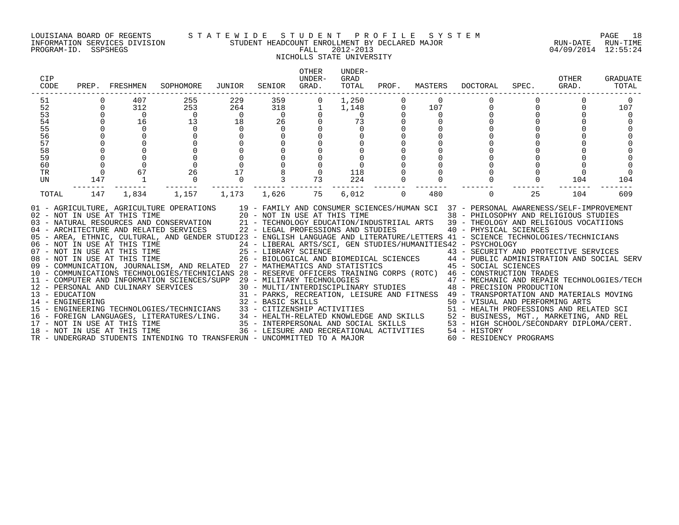### LOUISIANA BOARD OF REGENTS S T A T E W I D E S T U D E N T P R O F I L E S Y S T E M PAGE 18 INFORMATION SERVICES DIVISION STUDENT HEADCOUNT ENROLLMENT BY DECLARED MAJOR RUN-DATE RUN-TIME PROGRAM-ID. SSPSHEGS FALL 2012-2013 04/09/2014 12:55:24 NICHOLLS STATE UNIVERSITY

### OTHER UNDER-CIP UNDER- GRAD OTHER GRADUATE CODE PREP. FRESHMEN SOPHOMORE JUNIOR SENIOR GRAD. TOTAL PROF. MASTERS DOCTORAL SPEC. GRAD. TOTAL ------------------------------------------------------------------------------------------------------------------------------------ 51 0 407 255 229 359 0 1,250 0 0 0 0 0 0 52 0 312 253 264 318 1 1,148 0 107 0 0 0 107 53 0 0 0 0 0 0 0 0 0 0 0 0 0 54 0 16 13 18 26 0 73 0 0 0 0 0 0 55 0 0 0 0 0 0 0 0 0 0 0 0 0 56 0 0 0 0 0 0 0 0 0 0 0 0 0 57 0 0 0 0 0 0 0 0 0 0 0 0 0 58 0 0 0 0 0 0 0 0 0 0 0 0 0 59 0 0 0 0 0 0 0 0 0 0 0 0 0 60 0 0 0 0 0 0 0 0 0 0 0 0 0 TR 0 67 26 17 8 0 118 0 0 0 0 0 0 UN 147 1 0 0 3 73 224 0 0 0 0 104 104 ------- ------- ------- ------- ------- ------- ------- ------- ------- ------- ------- ------- ------- TOTAL 147 1,834 1,157 1,173 1,626 75 6,012 0 480 0 25 104 609 01 - AGRICULTURE, AGRICULTURE OPERATIONS 19 - FAMILY AND CONSUMER SCIENCES/HUMAN SCI 37 - PERSONAL AWARENESS/SELF-IMPROVEMENT 02 - NOT IN USE AT THIS TIME 20 - NOT IN USE AT THIS TIME 38 - PHILOSOPHY AND RELIGIOUS STUDIES 03 - NATURAL RESOURCES AND CONSERVATION 21 - TECHNOLOGY EDUCATION/INDUSTRIIAL ARTS 39 - THEOLOGY AND RELIGIOUS VOCATIIONS<br>04 - ARCHITECTURE AND RELATED SERVICES 22 - LEGAL PROFESSIONS AND STUDIES 05 - AREA, ETHNIC, CULTURAL, AND GENDER STUDI23 - ENGLISH LANGUAGE AND LITERATURE/LETTERS 41 - SCIENCE TECHNOLOGIES/TECHNICIANS 06 – NOT IN USE AT THIS TIME 24 – LIBERAL ARTS/SCI, GEN STUDIES/HUMANITIES42 – PSYCHOLOGY<br>07 – NOT IN USE AT THIS TIME 25 – LIBRARY SCIENCE 43 – SECURITY AN 08 - NOT IN USE AT THIS TIME 26 - BIOLOGICAL AND BIOMEDICAL SCIENCES 44 - PUBLIC ADMINISTRATION AND SOCIAL SERV 09 - COMMUNICATION, JOURNALISM, AND RELATED 27 - MATHEMATICS AND STATISTICS 45 - SOCIAL SCIENCES 10 - COMMUNICATIONS TECHNOLOGIES/TECHNICIANS 28 - RESERVE OFFICERS TRAINING CORPS (ROTC) 46 - CONSTRUCTION TRADES 11 - COMPUTER AND INFORMATION SCIENCES/SUPP 29 - MILITARY TECHNOLOGIES 47 - MECHANIC AND REPAIR TECHNOLOGIES/TECH 12 - PERSONAL AND CULINARY SERVICES 30 - MULTI/INTERDISCIPLINARY STUDIES 48 - PRECISION PRODUCTION 13 - EDUCATION 31 - PARKS, RECREATION, LEISURE AND FITNESS 49 - TRANSPORTATION AND MATERIALS MOVING 14 - ENGINEERING 32 - BASIC SKILLS 50 - VISUAL AND PERFORMING ARTS 15 - ENGINEERING TECHNOLOGIES/TECHNICIANS 33 - CITIZENSHIP ACTIVITIES 51 - HEALTH PROFESSIONS AND RELATED SCI 16 - FOREIGN LANGUAGES, LITERATURES/LING. 34 - HEALTH-RELATED KNOWLEDGE AND SKILLS 52 - BUSINESS, MGT., MARKETING, AND REL 17 - NOT IN USE AT THIS TIME 35 - INTERPERSONAL AND SOCIAL SKILLS 53 - HIGH SCHOOL/SECONDARY DIPLOMA/CERT. 18 - NOT IN USE AT THIS TIME 36 - LEISURE AND RECREATIONAL ACTIVITIES 54 - HISTORY TR - UNDERGRAD STUDENTS INTENDING TO TRANSFERUN - UNCOMMITTED TO A MAJOR 60 - RESIDENCY PROGRAMS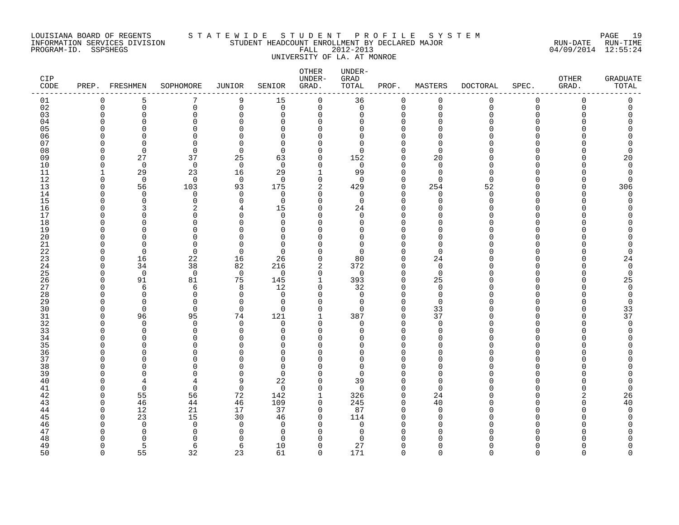### LOUISIANA BOARD OF REGENTS S T A T E W I D E S T U D E N T P R O F I L E S Y S T E M PAGE 19 INFORMATION SERVICES DIVISION STUDENT HEADCOUNT ENROLLMENT BY DECLARED MAJOR RUN-DATE RUN-TIME PROGRAM-ID. SSPSHEGS FALL 2012-2013 04/09/2014 12:55:24 UNIVERSITY OF LA. AT MONROE

| CIP<br>$\texttt{CODE}$ |          | PREP. FRESHMEN           | SOPHOMORE            | <b>JUNIOR</b>        | SENIOR               | OTHER<br>UNDER-<br>GRAD. | UNDER-<br>GRAD<br>TOTAL | PROF.                   | MASTERS              | <b>DOCTORAL</b> | SPEC.         | OTHER<br>GRAD. | <b>GRADUATE</b><br>TOTAL |
|------------------------|----------|--------------------------|----------------------|----------------------|----------------------|--------------------------|-------------------------|-------------------------|----------------------|-----------------|---------------|----------------|--------------------------|
| 01                     | 0        | 5                        | 7                    | 9                    | 15                   | $\mathbf 0$              | 36                      | 0                       | $\mathbf 0$          | 0               | $\mathbf 0$   | $\mathbf 0$    | $\Omega$                 |
| 02                     | 0        | 0                        | 0                    | $\mathbf 0$          | 0                    | 0                        | 0                       | 0                       | $\mathbf 0$          | 0               | 0             | $\mathbf 0$    | 0                        |
| 03                     | $\Omega$ | $\Omega$                 | $\mathbf 0$          | $\Omega$             | $\Omega$             | 0                        | 0                       | $\mathbf 0$             | $\mathbf 0$          | $\Omega$        | 0             |                |                          |
| 04                     | U        | U                        | ∩                    | $\Omega$             | <sup>n</sup>         | $\Omega$                 | 0                       | $\Omega$                | ∩                    |                 | U             |                |                          |
| 05                     | U        | $\cap$                   | $\Omega$             | U                    | $\Omega$             | $\Omega$<br>$\Omega$     | 0                       | $\Omega$                | $\Omega$<br>$\Omega$ |                 | O             |                |                          |
| 06                     | U<br>n   | ∩<br>U                   | $\Omega$<br>$\Omega$ | U<br>∩               | $\Omega$<br>$\Omega$ | O                        | 0<br>0                  | $\Omega$<br>$\Omega$    | $\Omega$             |                 | U<br>U        |                |                          |
| 07<br>08               | U        | $\Omega$                 | $\Omega$             | $\mathbf 0$          | $\Omega$             | 0                        | $\Omega$                | $\Omega$                | $\Omega$             |                 | U             |                |                          |
| 09                     | $\Omega$ | 27                       | 37                   | 25                   | 63                   | 0                        | 152                     | $\mathbf 0$             | 20                   |                 | O             |                | 20                       |
| 10                     | $\Omega$ | $\overline{0}$           | $\mathbf 0$          | $\overline{0}$       | $\Omega$             | 0                        | $\mathbf 0$             | $\mathbf 0$             | $\mathbf 0$          |                 | O             |                | $\Omega$                 |
| 11                     |          | 29                       | 23                   | 16                   | 29                   |                          | 99                      | $\mathbf 0$             | $\mathbf 0$          | $\Omega$        | $\Omega$      |                | $\mathbf 0$              |
| 12                     | $\Omega$ | $\mathbf 0$              | $\mathbf 0$          | $\overline{0}$       | $\Omega$             | 0                        | $\Omega$                | $\mathbf 0$             | $\Omega$             | $\Omega$        | O             |                | U                        |
| 13                     | $\Omega$ | 56                       | 103                  | 93                   | 175                  | 2                        | 429                     | $\mathbf 0$             | 254                  | 52              | O             |                | 306                      |
| 14                     | ∩        | $\Omega$                 | 0                    | $\Omega$             | $\Omega$             | 0                        | $\mathbf 0$             | $\mathbf 0$             | $\Omega$             | $\Omega$        | U             |                | $\Omega$                 |
| 15                     | U        | $\Omega$                 | $\Omega$             | $\Omega$             | $\Omega$             | $\Omega$                 | $\mathbf 0$             | $\Omega$                | $\Omega$             | U               | $\Omega$      |                |                          |
| 16                     | $\Omega$ |                          | 2                    | 4                    | 15                   | 0                        | 24                      | $\mathbf 0$             | $\Omega$             | <sup>n</sup>    | O             |                |                          |
| 17                     | U        | <sup>n</sup>             | $\Omega$             | <sup>0</sup>         | $\Omega$             | $\Omega$                 | $\Omega$                | $\Omega$                | $\Omega$             |                 | O             |                |                          |
| 18                     | U        | ∩                        | $\Omega$             | $\Omega$             | $\Omega$             | $\Omega$                 | 0                       | $\mathbf 0$             | $\Omega$             |                 | O             |                |                          |
| 19                     | U<br>U   | ∩                        | $\Omega$<br>$\Omega$ | U                    | $\Omega$<br>$\Omega$ | $\Omega$<br>$\Omega$     | $\Omega$<br>0           | $\Omega$<br>$\Omega$    | $\Omega$<br>$\Omega$ | U               | U<br>$\Omega$ |                |                          |
| 20<br>21               | U        | $\Omega$                 | $\Omega$             | $\Omega$             | $\Omega$             | $\Omega$                 | 0                       | $\mathbf 0$             | $\Omega$             |                 | O             |                |                          |
| 22                     | O        | $\Omega$                 | $\Omega$             | $\Omega$             | $\Omega$             | $\Omega$                 | 0                       | $\mathbf 0$             | $\Omega$             |                 | O             |                | <sup>0</sup>             |
| 23                     | $\Omega$ | 16                       | 22                   | 16                   | 26                   | 0                        | 80                      | $\mathbf 0$             | 24                   |                 | O             |                | 24                       |
| 24                     | $\Omega$ | 34                       | 38                   | 82                   | 216                  | 2                        | 372                     | $\mathbf 0$             | $\mathbf 0$          |                 | O             |                | $\Omega$                 |
| 25                     | $\Omega$ | $\Omega$                 | $\mathbf 0$          | $\mathbf 0$          | $\Omega$             | $\mathbf 0$              | $\Omega$                | $\Omega$                | $\Omega$             |                 | U             |                | $\Omega$                 |
| 26                     | $\Omega$ | 91                       | 81                   | 75                   | 145                  | $\mathbf{1}$             | 393                     | $\mathbf 0$             | 25                   | U               | O             |                | 25                       |
| 27                     | ∩        | 6                        | 6                    | 8                    | 12                   | 0                        | 32                      | 0                       | 0                    |                 | O             |                | $\Omega$                 |
| 28                     | O        | $\Omega$                 | $\mathbf 0$          | $\Omega$             | $\mathbf 0$          | $\Omega$                 | 0                       | $\Omega$                | $\mathbf 0$          |                 | O             |                |                          |
| 29                     | $\Omega$ | $\Omega$                 | $\Omega$             | $\Omega$             | $\Omega$             | 0                        | $\mathbf 0$             | $\mathbf 0$             | $\Omega$             |                 | O             |                | $\Omega$                 |
| 30                     | U        | $\Omega$                 | $\Omega$             | $\Omega$             | $\Omega$             | $\Omega$                 | $\Omega$                | $\Omega$                | 33                   |                 | U             |                | 33                       |
| 31                     | $\Omega$ | 96                       | 95                   | 74                   | 121                  | $\mathbf 1$              | 387                     | $\mathbf 0$             | 37                   | U               | $\Omega$      |                | 37                       |
| 32                     | ∩<br>U   | $\Omega$                 | $\mathbf 0$          | $\Omega$             | $\Omega$             | 0                        | 0                       | $\mathbf 0$             | $\mathbf 0$          | n               | O             |                | $\Omega$                 |
| 33<br>34               | U        | $\Omega$<br><sup>n</sup> | $\Omega$<br>$\Omega$ | $\Omega$<br>$\Omega$ | $\Omega$<br>$\Omega$ | $\Omega$<br>$\Omega$     | 0<br>U                  | $\Omega$<br>$\mathbf 0$ | $\Omega$<br>$\Omega$ |                 | O<br>U        |                |                          |
| 35                     | U        | n                        | $\Omega$             | $\cap$               | $\Omega$             | ∩                        | U                       | $\Omega$                | $\Omega$             |                 | U             |                |                          |
| 36                     | U        | $\Omega$                 | $\mathbf 0$          | O                    | $\mathbf 0$          | $\Omega$                 | 0                       | $\mathbf 0$             | $\Omega$             | U               | O             |                |                          |
| 37                     | U        |                          | $\Omega$             | U                    | $\Omega$             | $\Omega$                 | 0                       | $\mathbf 0$             | $\Omega$             |                 | O             |                |                          |
| 38                     | U        |                          | ∩                    | U                    | $\Omega$             | $\Omega$                 | $\Omega$                | $\Omega$                | ∩                    |                 | O             |                |                          |
| 39                     | U        | n                        | $\Omega$             | $\Omega$             | $\Omega$             | $\Omega$                 | $\Omega$                | $\Omega$                | $\Omega$             |                 | U             |                |                          |
| 40                     |          | 4                        | 4                    | 9                    | 22                   | $\Omega$                 | 39                      | $\Omega$                | $\Omega$             |                 | U             |                |                          |
| 41                     | U        | $\Omega$                 | $\mathbf 0$          | $\mathbf 0$          | $\Omega$             | 0                        | $\mathbf 0$             | $\mathbf 0$             | $\Omega$             |                 | O             |                | <sup>0</sup>             |
| 42                     | $\Omega$ | 55                       | 56                   | 72                   | 142                  |                          | 326                     | 0                       | 24                   |                 | O             |                | 26                       |
| 43                     | ∩        | 46                       | 44                   | 46                   | 109                  | 0                        | 245                     | $\mathbf 0$             | 40                   |                 | U             |                | 40                       |
| 44                     | $\Omega$ | 12                       | 21                   | 17                   | 37                   | $\Omega$                 | 87                      | $\mathbf 0$             | $\Omega$             |                 | U             |                | $\Omega$                 |
| 45                     | ∩<br>U   | 23                       | 15                   | 30<br>$\Omega$       | 46                   | $\Omega$                 | 114                     | $\Omega$<br>$\Omega$    | $\Omega$<br>$\Omega$ | ∩               | ∩             |                |                          |
| 46<br>47               | U        | $\Omega$<br><sup>0</sup> | 0<br>0               | $\Omega$             | $\Omega$<br>0        | $\Omega$<br>$\Omega$     | 0<br>0                  | $\Omega$                | $\Omega$             | <sup>n</sup>    | O<br>∩        |                |                          |
| 48                     | U        |                          | ∩                    | ∩                    | $\Omega$             | ∩                        | $\Omega$                | O                       | ∩                    |                 |               |                |                          |
| 49                     | $\Omega$ | 5                        | 6                    | 6                    | 10                   | $\Omega$                 | 27                      | $\Omega$                | $\Omega$             | n               | O             |                |                          |
| 50                     | $\cap$   | 55                       | 32                   | 23                   | 61                   | $\Omega$                 | 171                     | $\Omega$                | $\cap$               | $\cap$          | $\Omega$      | $\Omega$       | $\cap$                   |
|                        |          |                          |                      |                      |                      |                          |                         |                         |                      |                 |               |                |                          |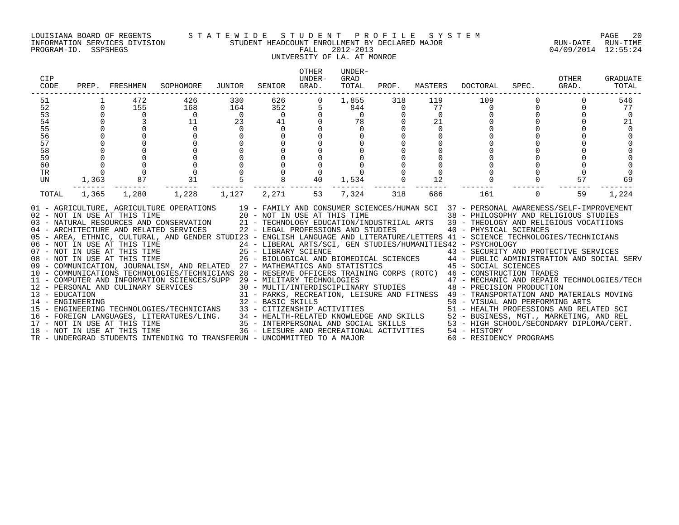### LOUISIANA BOARD OF REGENTS S T A T E W I D E S T U D E N T P R O F I L E S Y S T E M PAGE 20 INFORMATION SERVICES DIVISION STUDENT HEADCOUNT ENROLLMENT BY DECLARED MAJOR RUN-DATE RUN-TIME UNIVERSITY OF LA. AT MONROE

### OTHER UNDER-CIP UNDER- GRAD OTHER GRADUATE CODE PREP. FRESHMEN SOPHOMORE JUNIOR SENIOR GRAD. TOTAL PROF. MASTERS DOCTORAL SPEC. GRAD. TOTAL ------------------------------------------------------------------------------------------------------------------------------------ 51 1 472 426 330 626 0 1,855 318 119 109 0 0 546 52 0 155 168 164 352 5 844 0 77 0 0 0 77 53 0 0 0 0 0 0 0 0 0 0 0 0 0 54 0 3 11 23 41 0 78 0 21 0 0 0 21 55 0 0 0 0 0 0 0 0 0 0 0 0 0 56 0 0 0 0 0 0 0 0 0 0 0 0 0 57 0 0 0 0 0 0 0 0 0 0 0 0 0 58 0 0 0 0 0 0 0 0 0 0 0 0 0 59 0 0 0 0 0 0 0 0 0 0 0 0 0 60 0 0 0 0 0 0 0 0 0 0 0 0 0 TR 0 0 0 0 0 0 0 0 0 0 0 0 0 UN 1,363 87 31 5 8 40 1,534 0 12 0 0 57 69 ------- ------- ------- ------- ------- ------- ------- ------- ------- ------- ------- ------- ------- TOTAL 1,365 1,280 1,228 1,127 2,271 53 7,324 318 686 161 0 59 1,224 01 - AGRICULTURE, AGRICULTURE OPERATIONS 19 - FAMILY AND CONSUMER SCIENCES/HUMAN SCI 37 - PERSONAL AWARENESS/SELF-IMPROVEMENT 02 - NOT IN USE AT THIS TIME 20 - NOT IN USE AT THIS TIME 38 - PHILOSOPHY AND RELIGIOUS STUDIES 03 - NATURAL RESOURCES AND CONSERVATION 21 - TECHNOLOGY EDUCATION/INDUSTRIIAL ARTS 39 - THEOLOGY AND RELIGIOUS VOCATIIONS<br>04 - ARCHITECTURE AND RELATED SERVICES 22 - LEGAL PROFESSIONS AND STUDIES 05 - AREA, ETHNIC, CULTURAL, AND GENDER STUDI23 - ENGLISH LANGUAGE AND LITERATURE/LETTERS 41 - SCIENCE TECHNOLOGIES/TECHNICIANS 06 – NOT IN USE AT THIS TIME 24 – LIBERAL ARTS/SCI, GEN STUDIES/HUMANITIES42 – PSYCHOLOGY<br>07 – NOT IN USE AT THIS TIME 25 – LIBRARY SCIENCE 43 – SECURITY AN 08 - NOT IN USE AT THIS TIME 26 - BIOLOGICAL AND BIOMEDICAL SCIENCES 44 - PUBLIC ADMINISTRATION AND SOCIAL SERV 09 - COMMUNICATION, JOURNALISM, AND RELATED 27 - MATHEMATICS AND STATISTICS 45 - SOCIAL SCIENCES 10 - COMMUNICATIONS TECHNOLOGIES/TECHNICIANS 28 - RESERVE OFFICERS TRAINING CORPS (ROTC) 46 - CONSTRUCTION TRADES 11 - COMPUTER AND INFORMATION SCIENCES/SUPP 29 - MILITARY TECHNOLOGIES 47 - MECHANIC AND REPAIR TECHNOLOGIES/TECH 12 - PERSONAL AND CULINARY SERVICES 30 - MULTI/INTERDISCIPLINARY STUDIES 48 - PRECISION PRODUCTION 13 - EDUCATION 31 - PARKS, RECREATION, LEISURE AND FITNESS 49 - TRANSPORTATION AND MATERIALS MOVING 14 - ENGINEERING 32 - BASIC SKILLS 50 - VISUAL AND PERFORMING ARTS 15 - ENGINEERING TECHNOLOGIES/TECHNICIANS 33 - CITIZENSHIP ACTIVITIES 51 - HEALTH PROFESSIONS AND RELATED SCI 16 - FOREIGN LANGUAGES, LITERATURES/LING. 34 - HEALTH-RELATED KNOWLEDGE AND SKILLS 52 - BUSINESS, MGT., MARKETING, AND REL 17 - NOT IN USE AT THIS TIME 35 - INTERPERSONAL AND SOCIAL SKILLS 53 - HIGH SCHOOL/SECONDARY DIPLOMA/CERT. 18 - NOT IN USE AT THIS TIME 36 - LEISURE AND RECREATIONAL ACTIVITIES 54 - HISTORY

TR - UNDERGRAD STUDENTS INTENDING TO TRANSFERUN - UNCOMMITTED TO A MAJOR 60 - RESIDENCY PROGRAMS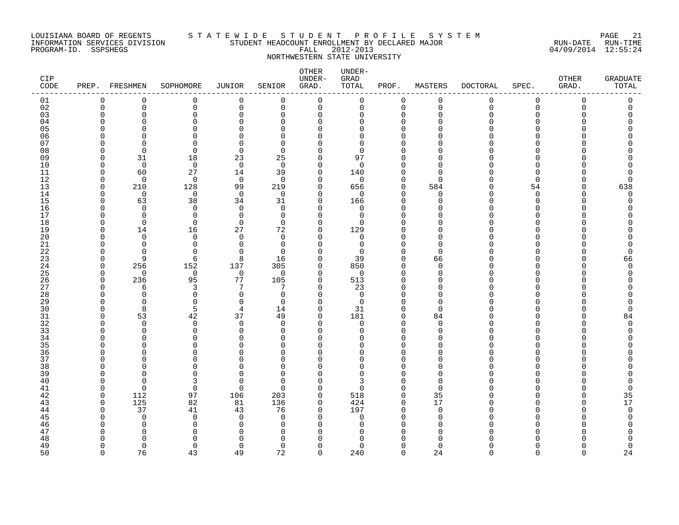### LOUISIANA BOARD OF REGENTS S T A T E W I D E S T U D E N T P R O F I L E S Y S T E M PAGE 21 INFORMATION SERVICES DIVISION STUDENT HEADCOUNT ENROLLMENT BY DECLARED MAJOR RUN-DATE RUN-TIME PROGRAM-ID. SSPSHEGS FALL 2012-2013 04/09/2014 12:55:24 NORTHWESTERN STATE UNIVERSITY

| CIP<br>CODE    |                    | PREP. FRESHMEN       | SOPHOMORE               | <b>JUNIOR</b>        | SENIOR          | OTHER<br>UNDER-<br>GRAD. | UNDER-<br>GRAD<br>TOTAL | PROF.                   | MASTERS              | <b>DOCTORAL</b> | SPEC.                        | OTHER<br>GRAD. | <b>GRADUATE</b><br>TOTAL |
|----------------|--------------------|----------------------|-------------------------|----------------------|-----------------|--------------------------|-------------------------|-------------------------|----------------------|-----------------|------------------------------|----------------|--------------------------|
| 01             | 0                  | 0                    | 0                       | 0                    | $\mathbf 0$     | 0                        | 0                       | $\mathbf 0$             | 0                    | 0               | 0                            | 0              | 0                        |
| 02             | $\mathbf 0$        | 0                    | $\mathbf 0$             | 0                    | $\mathbf 0$     | 0                        | 0                       | $\mathbf 0$             | $\mathbf 0$          | $\mathbf 0$     | $\mathbf 0$                  | 0              | 0                        |
| 03<br>04       | $\Omega$<br>n      | $\mathbf 0$<br>U     | $\mathbf 0$<br>$\Omega$ | $\Omega$<br>O        | $\Omega$<br>∩   | $\Omega$<br>$\Omega$     | 0<br>$\Omega$           | $\mathbf 0$<br>$\Omega$ | $\Omega$<br>n        | O               | $\Omega$<br>U                | Ω              | O                        |
| 0 <sub>5</sub> | C                  | $\Omega$             | $\Omega$                | O                    | $\Omega$        | $\Omega$                 | $\Omega$                | $\Omega$                | n                    |                 | $\Omega$                     |                |                          |
| 06             |                    | U                    | $\Omega$                | ∩                    | O               | O                        | $\Omega$                | $\Omega$                |                      |                 | U                            |                |                          |
| 07             | U                  | $\Omega$             | $\Omega$                | O                    | $\Omega$        | U                        | $\Omega$                | $\Omega$                | n                    |                 | <sup>n</sup>                 |                |                          |
| 08             | n                  | $\mathbf 0$          | $\mathbf 0$             | $\mathbf 0$          | $\Omega$        | $\Omega$                 | 0                       | $\Omega$                | U                    |                 | <sup>n</sup>                 |                |                          |
| 09             | U                  | 31                   | 18                      | 23                   | 25              | $\Omega$                 | 97                      | $\Omega$                | $\Omega$             |                 | <sup>n</sup>                 |                |                          |
| 10             | O                  | $\mathbf 0$          | $\mathbf 0$             | $\mathbf 0$          | $\mathbf 0$     | $\Omega$                 | 0                       | $\Omega$                | $\Omega$             |                 | $\Omega$                     |                |                          |
| 11             | O                  | 60                   | 27                      | 14                   | 39              | 0                        | 140                     | $\Omega$                | $\Omega$             |                 | $\Omega$                     |                | 0                        |
| 12<br>13       | $\cap$<br>$\Omega$ | $\mathbf 0$<br>210   | $\mathbf 0$             | $\mathbf 0$<br>99    | $\Omega$<br>219 | $\Omega$<br>$\Omega$     | 0<br>656                | $\Omega$<br>$\mathbf 0$ | $\Omega$<br>584      |                 | $\Omega$<br>54               | <sup>n</sup>   | 0                        |
| 14             | $\cap$             | $\Omega$             | 128<br>$\mathbf 0$      | $\overline{0}$       | $\Omega$        | $\Omega$                 | 0                       | $\Omega$                | $\Omega$             |                 | $\Omega$                     | ∩              | 638<br>$\Omega$          |
| 15             | O                  | 63                   | 38                      | 34                   | 31              | $\Omega$                 | 166                     | $\Omega$                | $\Omega$             |                 | 0                            |                | 0                        |
| 16             | U                  | $\Omega$             | 0                       | $\mathbf 0$          | 0               | $\Omega$                 | 0                       | $\Omega$                | $\cap$               |                 | $\Omega$                     |                |                          |
| 17             | n                  | $\Omega$             | $\Omega$                | $\Omega$             | $\Omega$        | $\Omega$                 | $\mathbf 0$             | $\Omega$                | ∩                    |                 | U                            |                |                          |
| 18             | O                  | $\Omega$             | $\Omega$                | $\Omega$             | $\Omega$        | $\Omega$                 | $\Omega$                | $\Omega$                | O                    |                 | $\Omega$                     |                |                          |
| 19             | O                  | 14                   | 16                      | 27                   | 72              | $\mathbf 0$              | 129                     | $\Omega$                | O                    |                 | $\Omega$                     |                |                          |
| 20             | U                  | $\Omega$             | $\Omega$                | $\Omega$             | $\Omega$        | $\Omega$                 | 0                       | $\Omega$                | O                    |                 | <sup>n</sup>                 |                |                          |
| 21<br>22       | n<br>O             | $\Omega$<br>$\Omega$ | $\Omega$<br>$\Omega$    | $\Omega$<br>$\Omega$ | 0<br>$\Omega$   | $\Omega$<br>$\Omega$     | 0<br>$\Omega$           | $\Omega$<br>$\Omega$    | $\Omega$<br>$\Omega$ |                 | <sup>n</sup><br><sup>n</sup> |                | 0<br>O                   |
| 23             | O                  | 9                    | 6                       | 8                    | 16              | $\Omega$                 | 39                      | $\Omega$                | 66                   |                 | $\Omega$                     |                | 66                       |
| 24             | $\Omega$           | 256                  | 152                     | 137                  | 305             | 0                        | 850                     | 0                       | $\Omega$             |                 | <sup>n</sup>                 |                | $\Omega$                 |
| 25             | O                  | $\Omega$             | $\mathbf 0$             | $\mathbf 0$          | $\Omega$        | $\Omega$                 | 0                       | $\Omega$                | $\Omega$             |                 | <sup>n</sup>                 |                | O                        |
| 26             | $\Omega$           | 236                  | 95                      | 77                   | 105             | $\mathbf 0$              | 513                     | $\Omega$                | $\Omega$             |                 | <sup>n</sup>                 |                |                          |
| 27             | O                  | 6                    | 3                       | 7                    | ヮ               | $\Omega$                 | 23                      | $\Omega$                | $\Omega$             |                 | <sup>n</sup>                 |                |                          |
| 28             | O                  | $\Omega$             | $\mathbf 0$             | $\mathbf 0$          | $\Omega$        | $\Omega$                 | 0                       | $\Omega$                | $\Omega$             |                 | <sup>n</sup>                 |                |                          |
| 29             | O                  | $\Omega$             | 0                       | $\Omega$             | $\Omega$        | $\Omega$                 | 0                       | $\Omega$                | $\Omega$             |                 | <sup>n</sup>                 |                | O                        |
| 30<br>31       | O<br>O             | 8<br>53              | 5<br>42                 | 4<br>37              | 14<br>49        | $\Omega$<br>$\Omega$     | 31<br>181               | $\Omega$<br>$\Omega$    | $\Omega$<br>84       |                 | U<br><sup>n</sup>            |                | 0<br>84                  |
| 32             | n                  | $\Omega$             | $\mathbf 0$             | $\Omega$             | $\Omega$        | $\Omega$                 | 0                       | $\Omega$                | $\Omega$             |                 | <sup>n</sup>                 |                | $\Omega$                 |
| 33             | U                  | $\Omega$             | 0                       | $\Omega$             | $\Omega$        | $\Omega$                 | $\Omega$                | $\Omega$                | $\Omega$             |                 | <sup>n</sup>                 |                | O                        |
| 34             | U                  | $\Omega$             | $\Omega$                | $\Omega$             | $\Omega$        | $\Omega$                 | $\Omega$                | $\Omega$                | $\cap$               |                 | <sup>n</sup>                 |                |                          |
| 35             | C                  | U                    | ∩                       | ∩                    | ∩               | U                        | U                       | $\Omega$                |                      |                 | U                            |                |                          |
| 36             | U                  | $\Omega$             | $\Omega$                | O                    | ∩               | U                        | $\Omega$                | $\Omega$                | n                    |                 | $\Omega$                     |                |                          |
| 37             | U                  | U                    | $\Omega$                |                      | $\Omega$        | O                        | $\Omega$                | $\Omega$                | O                    |                 | $\Omega$                     |                |                          |
| 38             | U                  | U                    | $\Omega$                | ∩<br>O               | $\Omega$        | Λ                        | $\Omega$                | $\Omega$                | n<br>$\cap$          |                 | <sup>n</sup>                 |                |                          |
| 39<br>40       | U<br>n             | $\Omega$<br>$\Omega$ | $\Omega$<br>3           | $\Omega$             | $\Omega$<br>∩   | $\Omega$<br>U            | $\Omega$<br>3           | $\Omega$<br>$\Omega$    | $\Omega$             |                 | U<br>U                       |                |                          |
| 41             | O                  | $\Omega$             | $\mathbf 0$             | $\Omega$             | ∩               | $\Omega$                 | $\Omega$                | $\Omega$                | $\Omega$             |                 | <sup>n</sup>                 |                | $\Omega$                 |
| 42             | $\Omega$           | 112                  | 97                      | 106                  | 203             | 0                        | 518                     | 0                       | 35                   |                 | <sup>n</sup>                 |                | 35                       |
| 43             | $\Omega$           | 125                  | 82                      | 81                   | 136             | $\Omega$                 | 424                     | $\Omega$                | 17                   |                 | U                            |                | 17                       |
| 44             | O                  | 37                   | 41                      | 43                   | 76              | $\Omega$                 | 197                     | $\Omega$                | $\Omega$             |                 | <sup>n</sup>                 |                | $\Omega$                 |
| 45             | ſ                  | $\Omega$             | $\Omega$                | $\Omega$             | $\Omega$        | $\Omega$                 | $\Omega$                | $\Omega$                | $\Omega$             |                 | <sup>n</sup>                 |                |                          |
| 46             |                    | $\Omega$             | $\mathbf 0$             | $\Omega$             | $\Omega$        | $\Omega$                 | 0                       | $\Omega$                | O                    |                 | $\Omega$                     |                |                          |
| 47             | ſ                  | O                    | $\Omega$                | ∩                    | 0               | Ω                        | <sup>0</sup>            | $\Omega$                | O                    |                 | U                            |                |                          |
| 48<br>49       | U                  | U<br>$\Omega$        | ∩<br>$\Omega$           | O<br>$\Omega$        | ∩<br>$\Omega$   | $\Omega$                 | U<br>$\Omega$           | $\Omega$                | $\Omega$             |                 | $\Omega$                     |                | 0                        |
| 50             | $\cap$             | 76                   | 43                      | 49                   | 72              | $\Omega$                 | 240                     | $\Omega$                | 24                   | $\Omega$        | $\Omega$                     | $\cap$         | 24                       |
|                |                    |                      |                         |                      |                 |                          |                         |                         |                      |                 |                              |                |                          |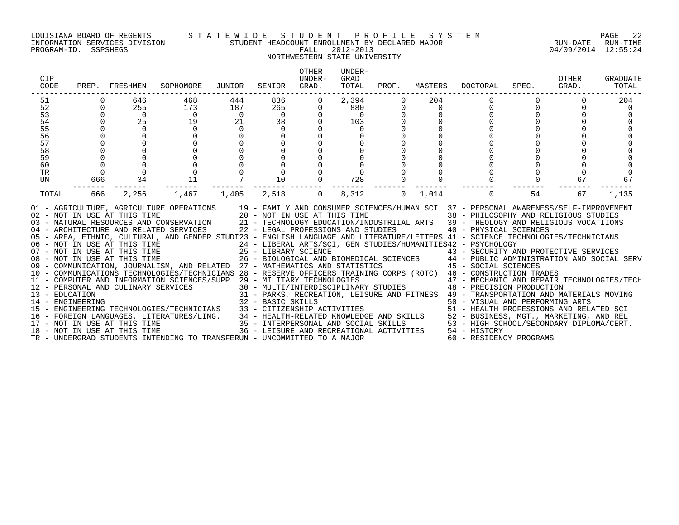#### LOUISIANA BOARD OF REGENTS S T A T E W I D E S T U D E N T P R O F I L E S Y S T E M PAGE 22 INFORMATION SERVICES DIVISION STUDENT HEADCOUNT ENROLLMENT BY DECLARED MAJOR RUN-DATE RUN-TIME

## NORTHWESTERN STATE UNIVERSITY

| CIP<br>CODE                                                          | PREP.                             | FRESHMEN                                                              | SOPHOMORE                                                                                                                                                                                                                                                                                                                                                                                                                                                                                                                                                                                                                                                                                                                                                                                                                                                                                                                                                                                                                                                                                                                                                                                                                                                                                                                                               | JUNIOR                                            | SENIOR                                                                | <b>OTHER</b><br>UNDER-<br>GRAD.     | UNDER-<br>GRAD<br>TOTAL                                  | PROF.                   | MASTERS            | <b>DOCTORAL</b>                                                                                                                                                                                                                                                                                                                                                                                                                              | SPEC.          | OTHER<br>GRAD. | GRADUATE<br>TOTAL     |
|----------------------------------------------------------------------|-----------------------------------|-----------------------------------------------------------------------|---------------------------------------------------------------------------------------------------------------------------------------------------------------------------------------------------------------------------------------------------------------------------------------------------------------------------------------------------------------------------------------------------------------------------------------------------------------------------------------------------------------------------------------------------------------------------------------------------------------------------------------------------------------------------------------------------------------------------------------------------------------------------------------------------------------------------------------------------------------------------------------------------------------------------------------------------------------------------------------------------------------------------------------------------------------------------------------------------------------------------------------------------------------------------------------------------------------------------------------------------------------------------------------------------------------------------------------------------------|---------------------------------------------------|-----------------------------------------------------------------------|-------------------------------------|----------------------------------------------------------|-------------------------|--------------------|----------------------------------------------------------------------------------------------------------------------------------------------------------------------------------------------------------------------------------------------------------------------------------------------------------------------------------------------------------------------------------------------------------------------------------------------|----------------|----------------|-----------------------|
| 51<br>52<br>53<br>54<br>55<br>56<br>57<br>58<br>59<br>60<br>TR<br>UN | $\overline{0}$<br>$\Omega$<br>666 | 646<br>255<br>$\overline{0}$<br>25<br>$\overline{0}$<br>34            | 468<br>173<br>$\overline{0}$<br>19<br>$\mathbf 0$<br>$\mathbf 0$<br>11                                                                                                                                                                                                                                                                                                                                                                                                                                                                                                                                                                                                                                                                                                                                                                                                                                                                                                                                                                                                                                                                                                                                                                                                                                                                                  | 444<br>187<br>$\overline{0}$<br>21<br>$\mathbf 0$ | 836<br>265<br>$\Omega$<br>38<br>$\Omega$<br>10                        | 0<br>$\mathbf{0}$<br>$\overline{0}$ | 2,394<br>880<br>$\overline{0}$<br>103<br>$\Omega$<br>728 | $\Omega$<br>$\mathbf 0$ | 204<br>$\mathbf 0$ | $\mathbf 0$<br>$\mathbf 0$                                                                                                                                                                                                                                                                                                                                                                                                                   | $\overline{0}$ | 0<br>67        | 204<br>$\Omega$<br>67 |
| TOTAL                                                                | $- - -$<br>666                    | 2,256<br>17 - NOT IN USE AT THIS TIME<br>18 - NOT IN USE AT THIS TIME | 1,467<br>01 - AGRICULTURE, AGRICULTURE OPERATIONS 19 - FAMILY AND CONSUMER SCIENCES/HUMAN SCI 37 - PERSONAL AWARENESS/SELF-IMPROVEMENT<br>02 - NOT IN USE AT THIS TIME<br>120 - NOT IN USE AT THIS TIME<br>130 - NATURAL RESOURCES AND CONSERVATION<br>21 - TECHNOLOGY EDUCATION/INDUSTRIIAL ARTS<br>22 - LEGAL PROFESSIONS AND STUDIES<br>22 - LEGAL PROFESSIONS AND STUDIES<br>22<br>05 - AREA, ETHNIC, CULTURAL, AND GENDER STUDI23 - ENGLISH LANGUAGE AND LITERATURE/LETTERS 41 - SCIENCE TECHNOLOGIES/TECHNICIANS<br>06 - NOT IN USE AT THIS TIME<br>07 - NOT IN USE AT THIS TIME<br>08 - NOT IN USE AT THIS TIME<br>09 - COMMUNICATION, JOURNALISM, AND RELATED 27 - MATHEMATICS AND STATISTICS<br>10 - COMMUNICATIONS TECHNOLOGIES/TECHNICIANS 28 - RESERVE OFFICERS TRAINING CORPS (ROTC) 46 - CONSTRUCTION TRADES<br>- SOMEOLING MAND CULINARY SCIENCES/SUPP 29 - MILITARY TECHNOLOGIES<br>12 - PERSONAL AND CULINARY SERVICES 30 - MULTI/INTERDENCIOGIES<br>31 - PARKS, RECREATION, LEISURE AND FITNESS 49 - TRANSFORTATION<br>32 - BASIC SKILLS<br>32 - B<br>15 - ENGINEERING TECHNOLOGIES/TECHNICIANS 33 - CITIZENSHIP ACTIVITIES<br>16 - FOREIGN LANGUAGES, LITERATURES/LING. 34 - HEALTH-RELATED KNOWLEDGE AND SKILLS 52 - BUSINESS, MGT., MARKETING, AND REL<br>TR - UNDERGRAD STUDENTS INTENDING TO TRANSFERUN - UNCOMMITTED TO A MAJOR | ------<br>1,405                                   | -------- -------<br>2,518<br>36 - LEISURE AND RECREATIONAL ACTIVITIES | $\overline{0}$                      | -----<br>8,312                                           | $\Omega$                | 1,014              | $\mathbf 0$<br>24 - LIBERAL ARTS/SCI, GEN STUDIES/HUMANITIES42 - PSYCHOLOGY<br>25 - LIBRARY SCIENCE († 1888)<br>26 - BIOLOGICAL AND BIOMEDICAL SCIENCES († 1848 - PUBLIC ADMINISTRATION AND SOCIAL SERV<br>27 - MATHEMATICS AND STATISTICS († 1848 - SOCIAL SCIENCES)<br>51 - HEALTH PROFESSIONS AND RELATED SCI<br>35 - INTERPERSONAL AND SOCIAL SKILLS 53 - HIGH SCHOOL/SECONDARY DIPLOMA/CERT.<br>54 - HISTORY<br>60 - RESIDENCY PROGRAMS | 54             | 67             | 1,135                 |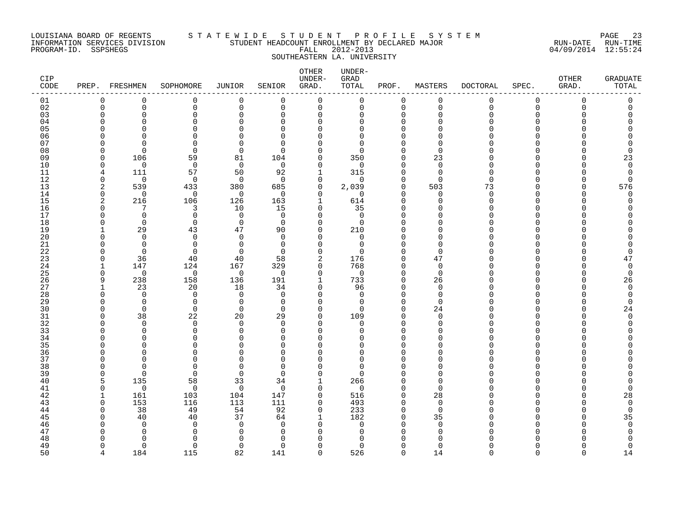### LOUISIANA BOARD OF REGENTS S T A T E W I D E S T U D E N T P R O F I L E S Y S T E M PAGE 23 INFORMATION SERVICES DIVISION STUDENT HEADCOUNT ENROLLMENT BY DECLARED MAJOR RUN-DATE RUN-TIME PROGRAM-ID. SSPSHEGS FALL 2012-2013 04/09/2014 12:55:24 SOUTHEASTERN LA. UNIVERSITY

| CIP<br>$\texttt{CODE}$ | PREP.          | FRESHMEN             | SOPHOMORE            | JUNIOR               | SENIOR        | OTHER<br>UNDER-<br>GRAD. | UNDER-<br>GRAD<br>TOTAL | PROF.                | MASTERS              | <b>DOCTORAL</b> | SPEC.        | OTHER<br>GRAD. | <b>GRADUATE</b><br>TOTAL |
|------------------------|----------------|----------------------|----------------------|----------------------|---------------|--------------------------|-------------------------|----------------------|----------------------|-----------------|--------------|----------------|--------------------------|
| 01                     | $\Omega$       | $\mathbf 0$          | 0                    | 0                    | $\mathbf 0$   | $\mathbf 0$              | 0                       | 0                    | 0                    | 0               | 0            | 0              | 0                        |
| 02                     | $\mathbf 0$    | $\Omega$             | $\mathbf 0$          | $\mathbf 0$          | $\mathbf 0$   | $\mathbf 0$              | 0                       | $\mathbf 0$          | $\mathbf 0$          | $\Omega$        | $\mathbf 0$  | $\Omega$       | 0                        |
| 03                     | O              | $\Omega$             | $\Omega$             | $\Omega$             | $\Omega$      | $\Omega$                 | $\Omega$                | $\Omega$             | $\Omega$             |                 | $\Omega$     |                |                          |
| 04                     | O              | U<br>U               | $\Omega$             |                      | ∩             | $\Omega$                 | $\Omega$                | $\Omega$             | ∩                    |                 | <sup>n</sup> |                |                          |
| 05<br>06               |                |                      | $\Omega$<br>$\Omega$ |                      | O<br>∩        | 0<br>Ω                   | U<br>$\Omega$           | $\Omega$<br>$\Omega$ |                      |                 | $\Omega$     |                |                          |
| 07                     | U              | $\cap$               | $\Omega$             |                      | ∩             | Λ                        | <sup>n</sup>            | $\Omega$             | n                    |                 |              |                |                          |
| 08                     | n              | $\Omega$             | $\Omega$             | 0                    | ∩             | $\Omega$                 | <sup>n</sup>            | $\Omega$             | $\Omega$             |                 |              |                | O                        |
| 09                     | $\Omega$       | 106                  | 59                   | 81                   | 104           | $\Omega$                 | 350                     | $\Omega$             | 23                   |                 |              |                | 23                       |
| 10                     | O              | $\Omega$             | $\mathbf 0$          | $\mathbf 0$          | $\mathbf 0$   | $\Omega$                 | 0                       | $\Omega$             | $\Omega$             |                 | <sup>n</sup> |                | $\overline{0}$           |
| 11                     | 4              | 111                  | 57                   | 50                   | 92            | 1                        | 315                     | $\Omega$             | $\Omega$             |                 | $\cap$       |                | $\mathbf 0$              |
| 12                     | $\mathbf 0$    | $\mathbf 0$          | $\mathbf 0$          | $\mathbf 0$          | $\Omega$      | 0                        | $\Omega$                | $\Omega$             | $\Omega$             | U               |              |                | $\mathbf 0$              |
| 13                     | 2              | 539                  | 433                  | 380                  | 685           | 0                        | 2,039                   | $\mathbf 0$          | 503                  | 73              | U            |                | 576                      |
| 14                     | 0              | 0                    | $\mathbf 0$          | 0                    | $\Omega$      | $\Omega$                 | $\Omega$                | $\Omega$             | $\Omega$             | $\Omega$        | U            |                | 0                        |
| 15                     | $\overline{2}$ | 216                  | 106                  | 126                  | 163           | 1                        | 614                     | $\Omega$             | $\cap$               | Λ               | <sup>n</sup> |                | O                        |
| 16                     | O              |                      | 3                    | 10                   | 15            | $\Omega$                 | 35                      | $\Omega$             | n                    |                 | U            |                |                          |
| 17                     | n              | $\Omega$             | $\mathbf 0$          | $\Omega$             | $\Omega$      | ∩                        | $\Omega$                |                      |                      |                 |              |                |                          |
| 18                     | O              | $\Omega$             | $\Omega$             | $\mathbf 0$          | $\Omega$      | $\Omega$                 | $\Omega$                |                      |                      |                 | U            |                |                          |
| 19                     |                | 29                   | 43                   | 47                   | 90            | $\Omega$                 | 210                     | $\Omega$             | n                    |                 | U            |                |                          |
| 20                     |                | $\Omega$             | $\mathbf 0$          | $\Omega$             | $\Omega$      | $\Omega$                 | 0                       |                      | n                    |                 | U<br>n       |                |                          |
| 21<br>22               | n<br>n         | $\Omega$<br>$\Omega$ | 0<br>$\Omega$        | $\Omega$<br>$\Omega$ | 0<br>$\Omega$ | $\Omega$<br>$\Omega$     | 0<br>$\Omega$           | $\Omega$<br>$\Omega$ | $\Omega$<br>$\Omega$ |                 |              |                | O                        |
| 23                     | $\Omega$       | 36                   | 40                   | 40                   | 58            | 2                        | 176                     | $\Omega$             | 47                   |                 | <sup>n</sup> |                | 47                       |
| 24                     |                | 147                  | 124                  | 167                  | 329           | 0                        | 768                     | 0                    | $\mathbf 0$          |                 | U            |                | $\mathbf 0$              |
| 25                     | $\Omega$       | $\Omega$             | $\Omega$             | $\mathbf 0$          | $\Omega$      | $\Omega$                 | $\mathbf 0$             | $\Omega$             | $\Omega$             |                 |              |                | $\mathbf 0$              |
| 26                     | 9              | 238                  | 158                  | 136                  | 191           | 1                        | 733                     | $\mathbf 0$          | 26                   |                 | U            |                | 26                       |
| 27                     |                | 23                   | 20                   | 18                   | 34            | $\Omega$                 | 96                      | $\Omega$             | $\Omega$             |                 | ∩            |                | $\Omega$                 |
| 28                     | O              | $\Omega$             | $\mathbf 0$          | $\Omega$             | 0             | $\Omega$                 | $\mathbf 0$             | $\Omega$             | $\mathbf 0$          |                 | <sup>0</sup> |                | $\Omega$                 |
| 29                     | n              | $\Omega$             | $\mathbf 0$          | $\Omega$             | $\Omega$      | O                        | 0                       | $\Omega$             | $\Omega$             |                 | n            |                | $\Omega$                 |
| 30                     | O              | $\Omega$             | $\Omega$             | $\Omega$             | $\Omega$      | $\Omega$                 | $\Omega$                | $\Omega$             | 24                   |                 | U            |                | 24                       |
| 31                     | O              | 38                   | 22                   | 20                   | 29            | $\Omega$                 | 109                     | $\Omega$             | $\Omega$             |                 | n            |                | $\Omega$                 |
| 32                     | n              | $\Omega$             | $\Omega$             | $\Omega$             | ∩             | $\Omega$                 | $\Omega$                | $\Omega$             | $\Omega$             |                 | n            |                |                          |
| 33                     | U              | $\Omega$             | $\Omega$             | $\Omega$             | $\Omega$      | $\Omega$                 | $\Omega$                | $\Omega$             | $\cap$               |                 | <sup>n</sup> |                |                          |
| 34                     | ∩              | U                    | $\Omega$             |                      | ∩             | $\Omega$                 | U                       | $\Omega$             | ∩                    |                 | ∩            |                |                          |
| 35                     |                | U                    | $\Omega$             |                      | $\Omega$      |                          | U                       | $\Omega$             |                      |                 | n            |                |                          |
| 36<br>37               | U              | U<br>U               | $\Omega$<br>$\Omega$ | ∩                    | O<br>$\Omega$ | U<br>U                   | $\Omega$<br>$\Omega$    | $\Omega$<br>$\Omega$ | n<br>O               |                 |              |                |                          |
| 38                     | C              | $\cap$               | $\Omega$             | C                    | ∩             |                          | $\Omega$                | $\Omega$             |                      |                 |              |                |                          |
| 39                     | O              | $\Omega$             | $\Omega$             | $\Omega$             | ∩             | $\Omega$                 | $\Omega$                | $\Omega$             | O                    |                 |              |                |                          |
| 40                     | 5              | 135                  | 58                   | 33                   | 34            |                          | 266                     | $\Omega$             | $\Omega$             |                 |              |                |                          |
| 41                     | $\Omega$       | $\Omega$             | $\Omega$             | $\mathbf 0$          | $\Omega$      | $\Omega$                 | $\Omega$                | $\Omega$             | $\Omega$             |                 | n            |                | U                        |
| 42                     |                | 161                  | 103                  | 104                  | 147           | $\mathbf 0$              | 516                     | $\Omega$             | 28                   |                 | <sup>n</sup> |                | 28                       |
| 43                     | $\Omega$       | 153                  | 116                  | 113                  | 111           | $\mathbf 0$              | 493                     | $\Omega$             | $\mathbf 0$          |                 | U            |                | $\mathbf 0$              |
| 44                     | O              | 38                   | 49                   | 54                   | 92            | 0                        | 233                     | $\mathbf 0$          | $\Omega$             |                 | n            |                | 0                        |
| 45                     | ſ              | 40                   | 40                   | 37                   | 64            | 1                        | 182                     | $\Omega$             | 35                   |                 |              |                | 35                       |
| 46                     |                | $\Omega$             | $\Omega$             | $\Omega$             | $\Omega$      | $\Omega$                 | $\Omega$                | $\Omega$             | $\Omega$             |                 |              |                | $\mathbf 0$              |
| 47                     |                | U                    | $\Omega$             |                      | $\Omega$      |                          | $\Omega$                | ∩                    | $\Omega$             |                 |              |                | 0                        |
| 48                     |                | $\cap$               | $\Omega$             |                      | $\Omega$      |                          | U                       |                      | $\cap$               |                 |              |                | O                        |
| 49                     | U              | $\Omega$             | $\Omega$             | $\Omega$             | $\Omega$      | $\Omega$                 | $\Omega$                | $\Omega$             | $\Omega$             |                 |              |                | 0                        |
| 50                     | $\Lambda$      | 184                  | 115                  | 82                   | 141           | $\cap$                   | 526                     | $\cap$               | 14                   |                 |              |                | 14                       |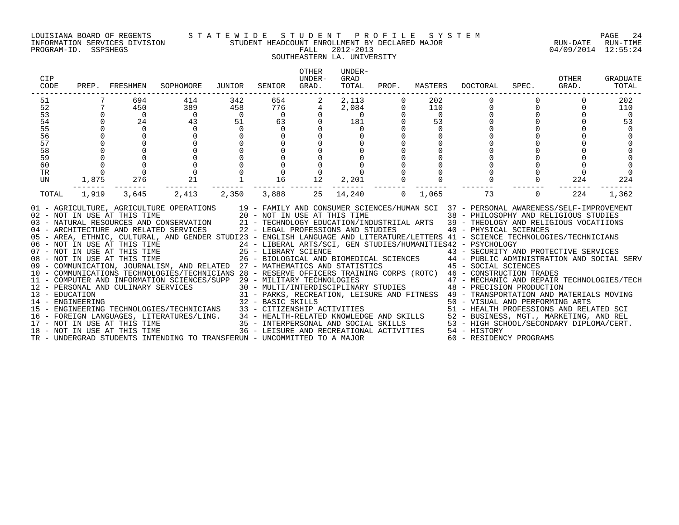#### LOUISIANA BOARD OF REGENTS S T A T E W I D E S T U D E N T P R O F I L E S Y S T E M PAGE 24 INFORMATION SERVICES DIVISION STUDENT HEADCOUNT ENROLLMENT BY DECLARED MAJOR RUN-DATE RUN-TIME

## SOUTHEASTERN LA. UNIVERSITY

| <b>CIP</b><br>CODE                                             |                | PREP. FRESHMEN                                                          | SOPHOMORE                                                                                                                                                                                                                                                                                                                                                                                                                                                                                                                                                                                                                                                                                                                                                                                                                                                                                                                                                                                                                                                                                                                                                                                                                                                                                                                                                                                                                                    | JUNIOR                                                           | SENIOR                                                                                                                           | OTHER<br>UNDER-<br>GRAD.                                         | UNDER-<br>GRAD<br>TOTAL                                                 | PROF.          | MASTERS                                                          | DOCTORAL                                                                                                                                                                                                                                                | SPEC.                                                            | OTHER<br>GRAD. | GRADUATE<br>TOTAL              |
|----------------------------------------------------------------|----------------|-------------------------------------------------------------------------|----------------------------------------------------------------------------------------------------------------------------------------------------------------------------------------------------------------------------------------------------------------------------------------------------------------------------------------------------------------------------------------------------------------------------------------------------------------------------------------------------------------------------------------------------------------------------------------------------------------------------------------------------------------------------------------------------------------------------------------------------------------------------------------------------------------------------------------------------------------------------------------------------------------------------------------------------------------------------------------------------------------------------------------------------------------------------------------------------------------------------------------------------------------------------------------------------------------------------------------------------------------------------------------------------------------------------------------------------------------------------------------------------------------------------------------------|------------------------------------------------------------------|----------------------------------------------------------------------------------------------------------------------------------|------------------------------------------------------------------|-------------------------------------------------------------------------|----------------|------------------------------------------------------------------|---------------------------------------------------------------------------------------------------------------------------------------------------------------------------------------------------------------------------------------------------------|------------------------------------------------------------------|----------------|--------------------------------|
| 51<br>52<br>53<br>54<br>55<br>56<br>57<br>58<br>59<br>60<br>TR | 7 <sup>7</sup> | 694<br>450<br>$\overline{0}$<br>$\overline{24}$<br>$\Omega$<br>$\Omega$ | 414<br>389<br>$\begin{array}{c}0\\43\end{array}$<br>$\Omega$<br>$\Omega$<br>$\begin{smallmatrix}0\0\0\21\end{smallmatrix}$                                                                                                                                                                                                                                                                                                                                                                                                                                                                                                                                                                                                                                                                                                                                                                                                                                                                                                                                                                                                                                                                                                                                                                                                                                                                                                                   | 342<br>458<br>$\begin{array}{c} 0 \\ 51 \end{array}$<br>$\Omega$ | 654<br>$\begin{array}{r} 776 \\ 0 \\ 63 \end{array}$<br>$\Omega$<br>$\overline{0}$<br>$\mathsf{O}$<br>$\overline{0}$<br>$\Omega$ | $\overline{a}$<br>$4\overline{ }$<br>$\mathsf{O}$<br>$\mathbf 0$ | 2,113<br>$2,084$<br>0<br>181<br>$\overline{0}$<br>181<br>$\overline{0}$ | $\overline{0}$ | 202<br>110<br>$\begin{array}{c} 0 \\ 53 \end{array}$<br>$\Omega$ |                                                                                                                                                                                                                                                         | $\begin{bmatrix} 0 \\ 0 \\ 0 \end{bmatrix}$<br>$0 \qquad \qquad$ |                | 202<br>110<br>$\bigcirc$<br>53 |
| UN<br>TOTAL                                                    | 1,875<br>1,919 | 276<br>3,645                                                            | 2,413                                                                                                                                                                                                                                                                                                                                                                                                                                                                                                                                                                                                                                                                                                                                                                                                                                                                                                                                                                                                                                                                                                                                                                                                                                                                                                                                                                                                                                        | 2,350                                                            | 16<br>3,888                                                                                                                      | 12<br>25                                                         | 2,201<br>14,240                                                         |                | $0 \quad 1,065$                                                  | 73                                                                                                                                                                                                                                                      | $\overline{0}$                                                   | 224<br>224     | 224<br>1,362                   |
|                                                                |                | 08 - NOT IN USE AT THIS TIME<br>18 - NOT IN USE AT THIS TIME            | 01 - AGRICULTURE, AGRICULTURE OPERATIONS 19 - FAMILY AND CONSUMER SCIENCES/HUMAN SCI 37 - PERSONAL AWARENESS/SELF-IMPROVEMENT 102 - NOT IN USE AT THIS TIME 38 - PHILOSOPHY AND RELIGIOUS STUDIES<br>103 - NATURAL RESOURCES AND<br>05 - AREA, ETHNIC, CULTURAL, AND GENDER STUDI23 - ENGLISH LANGUAGE AND LITERATURE/LETTERS 41 - SCIENCE TECHNOLOGIES/TECHNICIANS<br>06 - NOT IN USE AT THIS TIME                          24 - LIBERAL ARTS/SCI, GEN STUDIES/HUMANITIES42 - PSYCHOLOGY<br>07 - NOT IN USE AT THIS TIME                   25 - LIBRARY SCIENCE                      43 - SECURITY AN<br>09 - COMMUNICATION, JOURNALISM, AND RELATED 27 - MATHEMATICS AND STATISTICS<br>10 - COMMUNICATIONS TECHNOLOGIES/TECHNICIANS 28 - RESERVE OFFICERS TRAINING CORPS (ROTC) 46 - CONSTRUCTION TRADES<br>- CONSTRUCTION TRADES<br>12 - PERSONAL AND CULINARY SERVICES 30 - MULTI/INTERPOLOGIES<br>30 - MULTI/INTERPOLOGIES<br>31 - PARKS, RECREATION, LEISURE AND FITNESS 49 - TRANSFORDUCTION<br>32 - BASIC SKILLS<br>32 - BASIC SKILLS<br>32 - BA<br>14 - ENGINEERING TECHNOLOGIES/TECHNICIANS 32 - BASIC SKILLS<br>15 - ENGINEERING TECHNOLOGIES/TECHNICIANS 33 - CITIZENSHIP ACTIVITIES 50 - VISUAL AND PERFORMING ARTS<br>16 - FOREIGN LANGUAGES, LITERATURES/LING. 34 - HEALTH-RELATE<br>17 - NOT IN USE AT THIS TIME<br>18 - NOT IN USE AT THIS TIME<br>TR - UNDERGRAD STUDENTS INTENDING TO TRANSFERUN - UNCOMMITTED TO A MAJOR |                                                                  |                                                                                                                                  |                                                                  |                                                                         |                |                                                                  | 25 - LIBRARY SCIENCE<br>26 - BIOLOGICAL AND BIOMEDICAL SCIENCES<br>26 - BIOLOGICAL AND BIOMEDICAL SCIENCES<br>27 - MATHEMATICS AND STATISTICS (45 - SOCIAL SCIENCES<br>36 - LEISURE AND RECREATIONAL ACTIVITIES 54 - HISTORY<br>60 - RESIDENCY PROGRAMS |                                                                  |                |                                |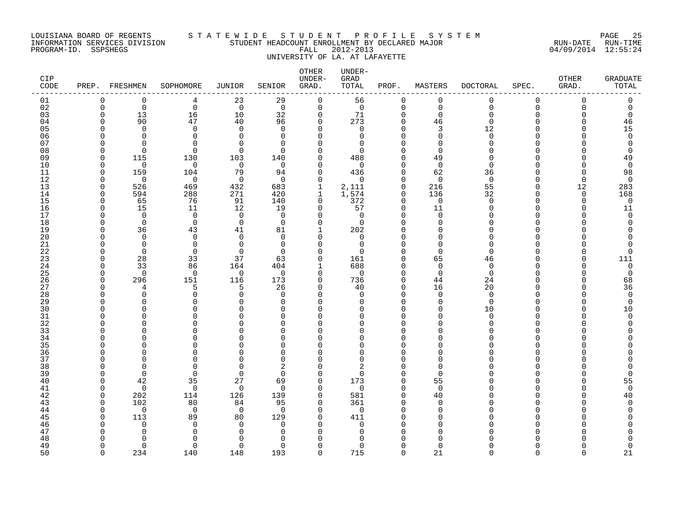### LOUISIANA BOARD OF REGENTS STATEWIDE STUDE NT PROFILE SYSTEM<br>TNFORMATION SERVICES DIVISION STUDENT HEADCOUNT ENROLLMENT BY DECLARED MAJOR INFORMATION SERVICES DIVISION STUDENT HEADCOUNT ENROLLMENT BY DECLARED MAJOR RUN-DATE RUN-TIME PROGRAM-ID. SSPSHEGS FALL 2012-2013 04/09/2014 12:55:24 UNIVERSITY OF LA. AT LAFAYETTE

### OTHER UNDER-CIP UNDER- GRAD OTHER GRADUATE CODE PREP. FRESHMEN SOPHOMORE JUNIOR SENIOR GRAD. TOTAL PROF. MASTERS DOCTORAL SPEC. GRAD. TOTAL ------------------------------------------------------------------------------------------------------------------------------------ 01 0 0 4 23 29 0 56 0 0 0 0 0 0 02 0 0 0 0 0 0 0 0 0 0 0 0 0 03 0 13 16 10 32 0 71 0 0 0 0 0 0 04 0 90 47 40 96 0 273 0 46 0 0 0 46 05 0 0 0 0 0 0 0 0 3 12 0 0 15 06 0 0 0 0 0 0 0 0 0 0 0 0 0 07 0 0 0 0 0 0 0 0 0 0 0 0 0 08 0 0 0 0 0 0 0 0 0 0 0 0 0 09 0 115 130 103 140 0 488 0 49 0 0 0 49 10 0 0 0 0 0 0 0 0 0 0 0 0 0 11 0 159 104 79 94 0 436 0 62 36 0 0 98 12 0 0 0 0 0 0 0 0 0 0 0 0 0 13 0 526 469 432 683 1 2,111 0 216 55 0 12 283 14 0 594 288 271 420 1 1,574 0 136 32 0 0 168 15 0 65 76 91 140 0 372 0 0 0 0 0 0 16 0 15 11 12 19 0 57 0 11 0 0 0 11 17 0 0 0 0 0 0 0 0 0 0 0 0 0 18 0 0 0 0 0 0 0 0 0 0 0 0 0 19 0 36 43 41 81 1 202 0 0 0 0 0 0 20 0 0 0 0 0 0 0 0 0 0 0 0 0 21 0 0 0 0 0 0 0 0 0 0 0 0 0 22 0 0 0 0 0 0 0 0 0 0 0 0 0 23 0 28 33 37 63 0 161 0 65 46 0 0 111 24 0 33 86 164 404 1 688 0 0 0 0 0 0 25 0 0 0 0 0 0 0 0 0 0 0 0 0 0 0 26 0 296 151 116 173 0 736 0 44 24 0 0 68 27 0 4 5 5 26 0 40 0 16 20 0 0 36 28 0 0 0 0 0 0 0 0 0 0 0 0 0 29 0 0 0 0 0 0 0 0 0 0 0 0 0 30 0 0 0 0 0 0 0 0 0 10 0 0 10 31 0 0 0 0 0 0 0 0 0 0 0 0 0 32 0 0 0 0 0 0 0 0 0 0 0 0 0 33 0 0 0 0 0 0 0 0 0 0 0 0 0 34 0 0 0 0 0 0 0 0 0 0 0 0 0 35 0 0 0 0 0 0 0 0 0 0 0 0 0 36 0 0 0 0 0 0 0 0 0 0 0 0 0 37 0 0 0 0 0 0 0 0 0 0 0 0 0 38 0 0 0 0 2 0 2 0 0 0 0 0 0 39 0 0 0 0 0 0 0 0 0 0 0 0 0 40 0 42 35 27 69 0 173 0 55 0 0 0 55 41 0 0 0 0 0 0 0 0 0 0 0 0 0 0 0 42 0 202 114 126 139 0 581 0 40 0 0 0 40 43 0 102 80 84 95 0 361 0 0 0 0 0 0 44 0 0 0 0 0 0 0 0 0 0 0 0 0 0 0 0 45 0 113 89 80 129 0 411 0 0 0 0 0 0 46 0 0 0 0 0 0 0 0 0 0 0 0 0 0 0 0 47 0 0 0 0 0 0 0 0 0 0 0 0 0 0 0 48 0 0 0 0 0 0 0 0 0 0 0 0 0 49 0 0 0 0 0 0 0 0 0 0 0 0 0 0 0 0 50 0 234 140 148 193 0 715 0 21 0 0 0 21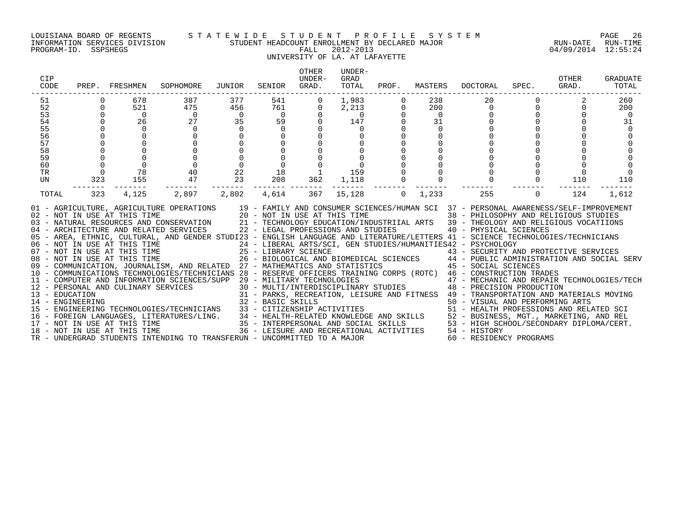### LOUISIANA BOARD OF REGENTS S T A T E W I D E S T U D E N T P R O F I L E S Y S T E M PAGE 26 INFORMATION SERVICES DIVISION STUDENT HEADCOUNT ENROLLMENT BY DECLARED MAJOR RUN-DATE RUN-TIME

# UNIVERSITY OF LA. AT LAFAYETTE

| CIP<br>CODE                                                    | PREP.                | FRESHMEN                                                 | SOPHOMORE                                                                                                                                                                                                                                                                                                                                                                                                                                                                                                                                                                                                                                                                                                                                                                                                                                                                                                                                                                                                                                                                                                                                                                                                                                                                                                                                                                                                                                                                                                                                                                                                                                                     | JUNIOR                                                  | SENIOR                                                                       | <b>OTHER</b><br>UNDER-<br>GRAD. | UNDER-<br>GRAD<br>TOTAL                                       | PROF.                       | MASTERS                                        | <b>DOCTORAL</b>                                                                                                                                                                                                                                                                                   | SPEC.          | OTHER<br>GRAD.        | GRADUATE<br>TOTAL                       |
|----------------------------------------------------------------|----------------------|----------------------------------------------------------|---------------------------------------------------------------------------------------------------------------------------------------------------------------------------------------------------------------------------------------------------------------------------------------------------------------------------------------------------------------------------------------------------------------------------------------------------------------------------------------------------------------------------------------------------------------------------------------------------------------------------------------------------------------------------------------------------------------------------------------------------------------------------------------------------------------------------------------------------------------------------------------------------------------------------------------------------------------------------------------------------------------------------------------------------------------------------------------------------------------------------------------------------------------------------------------------------------------------------------------------------------------------------------------------------------------------------------------------------------------------------------------------------------------------------------------------------------------------------------------------------------------------------------------------------------------------------------------------------------------------------------------------------------------|---------------------------------------------------------|------------------------------------------------------------------------------|---------------------------------|---------------------------------------------------------------|-----------------------------|------------------------------------------------|---------------------------------------------------------------------------------------------------------------------------------------------------------------------------------------------------------------------------------------------------------------------------------------------------|----------------|-----------------------|-----------------------------------------|
| 51<br>52<br>53<br>54<br>55<br>56<br>57<br>58<br>59<br>60<br>TR | $\overline{0}$       | 678<br>521<br>$\overline{0}$<br>26<br>$\mathsf{O}$<br>78 | 387<br>475<br>$\overline{0}$<br>27<br>0<br>40                                                                                                                                                                                                                                                                                                                                                                                                                                                                                                                                                                                                                                                                                                                                                                                                                                                                                                                                                                                                                                                                                                                                                                                                                                                                                                                                                                                                                                                                                                                                                                                                                 | 377<br>456<br>$\overline{0}$<br>35<br>$\mathbf 0$<br>22 | 541<br>761<br>$\overline{0}$<br>59<br>$\overline{0}$<br>$\overline{0}$<br>18 | 0<br>0                          | 1,983<br>2,213<br>$\overline{0}$<br>147<br>$\mathbf 0$<br>159 | $\mathbf 0$<br>$\mathsf{O}$ | 238<br>200<br>$\overline{0}$<br>31<br>$\Omega$ | 20<br>0<br>$\mathbf 0$                                                                                                                                                                                                                                                                            |                |                       | 260<br>200<br>$\overline{0}$<br>31<br>0 |
| UN<br>TOTAL                                                    | 323<br>------<br>323 | 155<br>4,125                                             | 47<br>.<br>2,897                                                                                                                                                                                                                                                                                                                                                                                                                                                                                                                                                                                                                                                                                                                                                                                                                                                                                                                                                                                                                                                                                                                                                                                                                                                                                                                                                                                                                                                                                                                                                                                                                                              | 23<br>2,802                                             | 208<br>------- ---<br>4,614                                                  | 362<br>367                      | 1,118<br>--------<br>15,128                                   | $\mathbf 0$                 | 1,233                                          | 255                                                                                                                                                                                                                                                                                               | $\overline{0}$ | 110<br>-------<br>124 | 110<br>1,612                            |
|                                                                |                      | 18 - NOT IN USE AT THIS TIME                             | 01 - AGRICULTURE, AGRICULTURE OPERATIONS 19 - FAMILY AND CONSUMER SCIENCES/HUMAN SCI 37 - PERSONAL AWARENESS/SELF-IMPROVEMENT<br>02 - NOT IN USE AT THIS TIME 20 - NOT IN USE AT THIS TIME 38 - PHILOSOPHY AND RELIGIOUS STUDIES<br>03 - NATURAL RESOURCES AND CONSERVATION 21 - TECHNOLOGY EDUCATION/INDUSTRIIAL ARTS 39 - THEOLOGY AND RELIGIOUS VOCATIIONS<br>04 -<br>05 - AREA, ETHNIC, CULTURAL, AND GENDER STUDI23 - ENGLISH LANGUAGE AND LITERATURE/LETTERS 41 - SCIENCE TECHNOLOGIES/TECHNICIANS<br>06 - NOT IN USE AT THIS TIME<br>07 - NOT IN USE AT THIS TIME<br>08 - NOT IN USE AT THIS TIME<br>08 - NOT IN USE AT THIS TIME<br>08 - NOT IN USE AT THIS TIME<br>26 - BIOLOGICAL AND E<br>09 - COMMUNICATION, JOURNALISM, AND RELATED 27 - MATHEMATICS AND STATISTICS<br>10 - COMMUNICATIONS TECHNOLOGIES/TECHNICIANS 28 - RESERVE OFFICERS TRAINING CORPS (ROTC) 46 - CONSTRUCTION TRADES<br>$\begin{tabular}{lllllllllll} 12 & -& \textsc{CUT} & \textsc{LUT} & \textsc{LUT} & \textsc{LUT} & \textsc{LUT} & \textsc{LUT} & \textsc{LUT} & \textsc{LUT} & \textsc{LUT} & \textsc{LUT} & \textsc{LUT} & \textsc{LUT} & \textsc{LUT} & \textsc{LUT} & \textsc{LUT} & \textsc{LUT} & \textsc{LUT} & \textsc{LUT} & \textsc{LUT} & \textsc{LUT} & \textsc{LUT} & \textsc{LUT} & \textsc{LUT} & \textsc{LUT} & \textsc{LUT} & \text$<br>16 - FOREIGN LANGUAGES, LITERATURES/LING. 34 - HEALTH-RELATED KNOWLEDGE AND SKILLS 52 - BUSINESS, MGT., MARKETING, AND REL<br>17 - NOT IN USE AT THIS TIME 35 - INTERPERSONAL AND SOCIAL SKILLS 53 - HIGH SCHOOL/SECONDARY DIPLOM<br>TR - UNDERGRAD STUDENTS INTENDING TO TRANSFERUN - UNCOMMITTED TO A MAJOR |                                                         |                                                                              |                                 | 36 - LEISURE AND RECREATIONAL ACTIVITIES                      |                             |                                                | 24 - LIBERAL ARTS/SCI, GEN STUDIES/HUMANITIES42 - PSYCHOLOGY<br>25 - LIBRARY SCIENCE († 1888)<br>26 - BIOLOGICAL AND BIOMEDICAL SCIENCES († 1848 - PUBLIC ADMINISTRATION AND SOCIAL SERV<br>27 - MATHEMATICS AND STATISTICS († 1848 - SOCIAL SCIENCES)<br>54 - HISTORY<br>60 - RESIDENCY PROGRAMS |                |                       |                                         |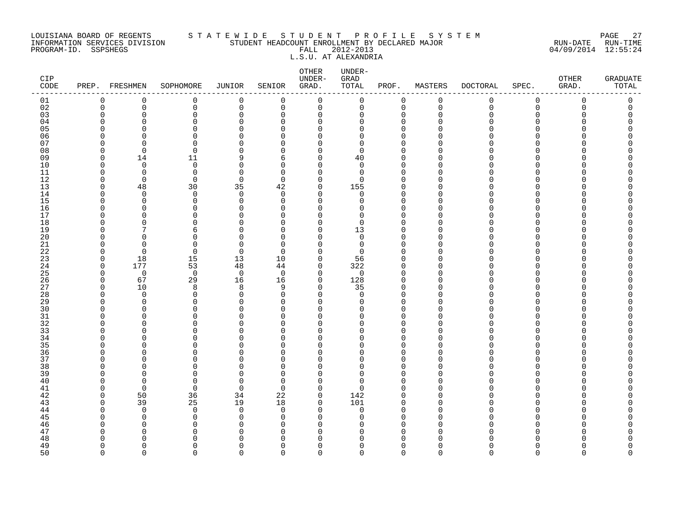### LOUISIANA BOARD OF REGENTS S T A T E W I D E S T U D E N T P R O F I L E S Y S T E M PAGE 27 INFORMATION SERVICES DIVISION STUDENT HEADCOUNT ENROLLMENT BY DECLARED MAJOR RUN-DATE RUN-TIME PROGRAM-ID. SSPSHEGS FALL 2012-2013 04/09/2014 12:55:24 L.S.U. AT ALEXANDRIA

| CIP<br>$\texttt{CODE}$ |             | PREP. FRESHMEN     | SOPHOMORE            | JUNIOR                  | SENIOR               | ${\tt OTHER}$<br>UNDER-<br>GRAD. | UNDER-<br>GRAD<br>TOTAL | PROF.                   | MASTERS        | DOCTORAL    | SPEC.       | OTHER<br>GRAD. | <b>GRADUATE</b><br>TOTAL |
|------------------------|-------------|--------------------|----------------------|-------------------------|----------------------|----------------------------------|-------------------------|-------------------------|----------------|-------------|-------------|----------------|--------------------------|
| 01                     | $\mathbf 0$ | 0                  | 0                    | 0                       | 0                    | $\mathbf 0$                      | $\mathbf 0$             | $\mathbf 0$             | 0              | 0           | 0           | $\mathbf 0$    | 0                        |
| 02                     | $\mathbf 0$ | $\mathbf 0$        | $\mathbf 0$          | $\mathbf 0$             | $\mathbf 0$          | $\mathsf{O}$                     | $\mathsf{O}$            | $\mathbf 0$             | $\overline{0}$ | $\mathbf 0$ | $\mathbf 0$ | $\mathbf 0$    | 0                        |
| 03                     |             | $\Omega$           | $\Omega$             | $\mathbf{0}$            | $\Omega$             | $\mathbf 0$                      | 0                       | $\mathbf 0$             | ∩              |             | $\Omega$    |                | $\Omega$                 |
| 04                     |             | <sup>n</sup>       | $\Omega$             | $\mathbf{0}$            | $\Omega$             | 0                                | 0                       | $\mathbf 0$             |                |             | ∩           |                | Λ                        |
| 05                     |             | U                  | $\Omega$             | $\Omega$                | $\Omega$             | $\mathbf 0$                      | 0                       | $\mathbf 0$             |                |             |             |                |                          |
| 06                     |             | U                  | $\Omega$             | $\Omega$                | $\Omega$             | 0                                | 0                       | $\mathbf 0$             |                |             | ∩           |                |                          |
| 07                     |             | n                  | $\Omega$             | $\Omega$                | $\Omega$             | $\Omega$                         | $\Omega$                | $\Omega$                |                |             | ∩           |                |                          |
| 08<br>09               |             | $\Omega$<br>14     | $\Omega$<br>11       | $\Omega$<br>9           | $\Omega$<br>6        | $\mathbf 0$<br>$\Omega$          | 0<br>40                 | $\Omega$<br>$\Omega$    |                |             |             |                |                          |
| 10                     |             | $\Omega$           | $\Omega$             | $\Omega$                | $\Omega$             | $\Omega$                         | $\Omega$                | $\mathbf 0$             |                |             |             |                |                          |
| 11                     |             | $\Omega$           | $\Omega$             | $\cap$                  | $\Omega$             | $\Omega$                         | $\Omega$                | $\Omega$                |                |             |             |                |                          |
| $12$                   |             | $\Omega$           | $\Omega$             | $\mathbf 0$             | $\Omega$             | $\mathbf 0$                      | 0                       | $\Omega$                |                |             |             |                |                          |
| 13                     |             | 48                 | 30                   | 35                      | 42                   | 0                                | 155                     | 0                       |                |             |             |                |                          |
| 14                     |             | $\Omega$           | $\Omega$             | $\Omega$                | $\Omega$             | $\Omega$                         | $\Omega$                | $\Omega$                |                |             |             |                |                          |
| 15                     |             | $\Omega$           | $\Omega$             | $\Omega$                | $\Omega$             | $\Omega$                         | $\Omega$                | $\Omega$                |                |             |             |                |                          |
| 16                     |             | $\Omega$           | $\Omega$             | $\Omega$                | $\Omega$             | $\mathbf 0$                      | O                       | $\Omega$                |                |             |             |                |                          |
| 17                     |             | ∩                  | ∩                    | $\cap$                  | $\Omega$             | $\Omega$                         | 0                       | $\Omega$                |                |             |             |                |                          |
| 18                     |             | ∩                  | U                    | O                       | $\Omega$             | $\Omega$                         | $\Omega$                | $\Omega$                |                |             |             |                |                          |
| 19                     |             |                    | 6                    | O                       | $\Omega$             | $\Omega$                         | 13                      | $\Omega$                |                |             | ∩           |                |                          |
| $20$                   |             | ∩                  | $\Omega$             | O                       | $\Omega$             | $\Omega$                         | $\mathbf 0$             | $\Omega$                |                |             |             |                |                          |
| 21                     |             | $\Omega$           | $\Omega$             | $\Omega$                | $\Omega$             | $\mathbf 0$                      | $\mathbf 0$             | $\mathbf 0$             | ∩              |             |             |                |                          |
| 22                     |             | $\Omega$           | $\Omega$             | $\Omega$                | $\Omega$             | $\Omega$                         | $\Omega$                | $\Omega$                |                |             |             |                |                          |
| 23                     | $\cap$      | 18<br>177          | 15                   | 13                      | 10                   | $\Omega$                         | 56                      | $\mathbf 0$             | n              |             |             |                |                          |
| 24<br>25               | n           | $\overline{0}$     | 53<br>$\mathbf 0$    | 48<br>$\overline{0}$    | 44<br>$\Omega$       | 0<br>$\mathbf 0$                 | 322<br>$\mathbf 0$      | $\mathbf 0$<br>$\Omega$ |                |             |             |                |                          |
| 26                     | $\cap$      | 67                 | 29                   | 16                      | 16                   | $\mathbf 0$                      | 128                     | $\mathbf 0$             | n              |             |             |                |                          |
| 27                     |             | 10                 | 8                    | 8                       | 9                    | $\mathbf 0$                      | 35                      | $\Omega$                | n              |             |             |                |                          |
| 28                     |             | $\Omega$           | 0                    | $\mathbf 0$             | $\Omega$             | $\mathbf 0$                      | $\mathbf 0$             | $\Omega$                |                |             |             |                |                          |
| 29                     |             | $\Omega$           | $\Omega$             | $\Omega$                | $\Omega$             | $\mathbf 0$                      | $\Omega$                | $\Omega$                |                |             |             |                |                          |
| 30                     |             | <sup>n</sup>       | ∩                    | $\cap$                  | $\Omega$             | $\mathbf 0$                      | 0                       | $\Omega$                |                |             |             |                |                          |
| 31                     |             | $\Omega$           | U                    | $\Omega$                | $\Omega$             | $\mathbf 0$                      | O                       | $\Omega$                |                |             |             |                |                          |
| 32                     |             | n                  | U                    | O                       | $\Omega$             | 0                                | O                       | 0                       |                |             | n           |                |                          |
| 33                     |             |                    | U                    | $\cap$                  | $\Omega$             | $\Omega$                         | O                       | $\Omega$                |                |             |             |                |                          |
| 34                     |             | ∩                  | ∩                    | $\Omega$                | $\Omega$             | $\mathbf 0$                      | 0                       | $\mathbf 0$             |                |             | ∩           |                |                          |
| 35                     |             | ∩                  | U                    | $\cap$                  | U                    | $\Omega$                         | O                       | $\Omega$                |                |             |             |                |                          |
| 36                     |             | ∩                  | 0                    | O                       | $\Omega$             | 0                                | 0                       | $\mathbf 0$             | ∩              |             | ∩           |                |                          |
| 37                     |             |                    | U                    | O                       | $\Omega$             | $\Omega$                         | O                       | $\Omega$                |                |             |             |                |                          |
| 38                     |             |                    | U                    | $\cap$                  | $\Omega$             | $\Omega$                         | 0                       | $\Omega$                |                |             |             |                |                          |
| 39                     |             | $\Omega$           | $\Omega$             | $\Omega$                | $\Omega$             | $\mathbf 0$                      | 0                       | $\Omega$                |                |             |             |                |                          |
| 40                     |             | $\cap$<br>$\Omega$ | $\Omega$<br>$\Omega$ | $\Omega$<br>$\mathbf 0$ | $\Omega$<br>$\Omega$ | $\Omega$<br>$\mathbf 0$          | U<br>0                  | $\Omega$<br>$\Omega$    |                |             |             |                |                          |
| 41<br>42               |             | 50                 | 36                   | 34                      | 22                   | 0                                | 142                     | $\Omega$                | ∩              |             |             |                |                          |
| 43                     |             | 39                 | 25                   | 19                      | 18                   | $\mathbf 0$                      | 101                     | $\mathbf 0$             |                |             |             |                |                          |
| 44                     |             | $\Omega$           | $\Omega$             | $\Omega$                | $\Omega$             | $\mathbf 0$                      | $\Omega$                | $\Omega$                |                |             |             |                |                          |
| 45                     |             | $\Omega$           | $\Omega$             | $\Omega$                | $\Omega$             | $\mathbf 0$                      | O                       | $\Omega$                |                |             |             |                |                          |
| 46                     |             | n                  | $\Omega$             | $\Omega$                | $\Omega$             | $\Omega$                         | U                       | $\Omega$                |                |             |             |                |                          |
| 47                     |             |                    | U                    | n                       | $\Omega$             | $\mathbf 0$                      | 0                       | $\Omega$                |                |             |             |                |                          |
| 48                     |             |                    |                      |                         | U                    | ∩                                | U                       | <sup>0</sup>            |                |             |             |                |                          |
| 49                     |             | n                  | U                    | n                       | $\Omega$             | $\Omega$                         | 0                       | $\Omega$                | O              |             | ∩           |                | ი                        |
| 50                     | $\cap$      | U                  | $\Omega$             | $\cap$                  | $\cap$               | $\Omega$                         | $\Omega$                | $\Omega$                | $\Omega$       | U           | $\cap$      | ∩              | $\cap$                   |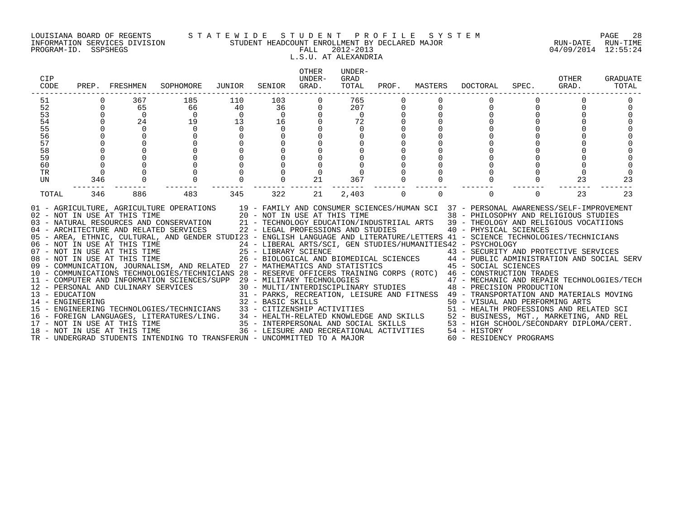### LOUISIANA BOARD OF REGENTS S T A T E W I D E S T U D E N T P R O F I L E S Y S T E M PAGE 28 INFORMATION SERVICES DIVISION STUDENT HEADCOUNT ENROLLMENT BY DECLARED MAJOR RUN-DATE RUN-TIME PROGRAM-ID. SSPSHEGS FALL 2012-2013 04/09/2014 12:55:24

# L.S.U. AT ALEXANDRIA

| CIP<br>CODE                                                          |                                                                                        | PREP. FRESHMEN                                                                                                                                                                                                                             | SOPHOMORE                                                                                                                                                                                                                                                                                                                                                                                                                                                                                                                                                                                                                                                                                                                                                                                            | JUNIOR                                                 | SENIOR                                                  | OTHER<br>UNDER-<br>GRAD. | UNDER-<br>GRAD<br>TOTAL                                                                                                         | PROF.       | MASTERS  | DOCTORAL                                                                                                                                                                                                                                                                                                                                                                                                                                                                                                                                                                                                                                                                                                                                                                                                                                                                                                                                                                   | SPEC.    | OTHER<br>GRAD. | GRADUATE<br>TOTAL |
|----------------------------------------------------------------------|----------------------------------------------------------------------------------------|--------------------------------------------------------------------------------------------------------------------------------------------------------------------------------------------------------------------------------------------|------------------------------------------------------------------------------------------------------------------------------------------------------------------------------------------------------------------------------------------------------------------------------------------------------------------------------------------------------------------------------------------------------------------------------------------------------------------------------------------------------------------------------------------------------------------------------------------------------------------------------------------------------------------------------------------------------------------------------------------------------------------------------------------------------|--------------------------------------------------------|---------------------------------------------------------|--------------------------|---------------------------------------------------------------------------------------------------------------------------------|-------------|----------|----------------------------------------------------------------------------------------------------------------------------------------------------------------------------------------------------------------------------------------------------------------------------------------------------------------------------------------------------------------------------------------------------------------------------------------------------------------------------------------------------------------------------------------------------------------------------------------------------------------------------------------------------------------------------------------------------------------------------------------------------------------------------------------------------------------------------------------------------------------------------------------------------------------------------------------------------------------------------|----------|----------------|-------------------|
| 51<br>52<br>53<br>54<br>55<br>56<br>57<br>58<br>59<br>60<br>TR<br>UN | $\Omega$<br>$\Omega$<br>$\cap$<br>$\cap$<br>$\Omega$<br>$\mathbf 0$<br>$\Omega$<br>346 | 367<br>65<br>$\Omega$<br>24<br>$\Omega$<br>$\Omega$<br>$\Omega$                                                                                                                                                                            | 185<br>66<br>$\Omega$<br>19<br>$\Omega$<br>$\Omega$                                                                                                                                                                                                                                                                                                                                                                                                                                                                                                                                                                                                                                                                                                                                                  | 110<br>40<br>$\Omega$<br>13<br>$\Omega$<br>$\mathbf 0$ | 103<br>36<br>$\Omega$<br>16<br>$\Omega$                 | 21                       | 765<br>207<br>$\Omega$<br>72<br>$\cap$<br>367                                                                                   |             |          |                                                                                                                                                                                                                                                                                                                                                                                                                                                                                                                                                                                                                                                                                                                                                                                                                                                                                                                                                                            |          | $\Omega$<br>23 | 23                |
| TOTAL<br>13 - EDUCATION<br>14 - ENGINEERING                          | 346                                                                                    | 886<br>02 - NOT IN USE AT THIS TIME<br>06 - NOT IN USE AT THIS TIME<br>07 - NOT IN USE AT THIS TIME<br>08 - NOT IN USE AT THIS TIME<br>12 - PERSONAL AND CULINARY SERVICES<br>17 - NOT IN USE AT THIS TIME<br>18 - NOT IN USE AT THIS TIME | 483<br>01 - AGRICULTURE, AGRICULTURE OPERATIONS<br>20 - NOT IN USE AT THIS TIME<br>03 - NATURAL RESOURCES AND CONSERVATION<br>04 - ARCHITECTURE AND RELATED SERVICES<br>05 - AREA, ETHNIC, CULTURAL, AND GENDER STUDI23 - ENGLISH LANGUAGE AND LITERATURE/LETTERS 41 - SCIENCE TECHNOLOGIES/TECHNICIANS<br>09 - COMMUNICATION, JOURNALISM, AND RELATED 27 - MATHEMATICS AND STATISTICS<br>10 - COMMUNICATIONS TECHNOLOGIES/TECHNICIANS 28 - RESERVE OFFICERS TRAINING CORPS (ROTC) 46 - CONSTRUCTION TRADES<br>11 - COMPUTER AND INFORMATION SCIENCES/SUPP 29 - MILITARY TECHNOLOGIES<br>15 - ENGINEERING TECHNOLOGIES/TECHNICIANS<br>16 - FOREIGN LANGUAGES, LITERATURES/LING. 34 - HEALTH-RELATED KNOWLEDGE AND SKILLS<br>TR - UNDERGRAD STUDENTS INTENDING TO TRANSFERUN - UNCOMMITTED TO A MAJOR | 345                                                    | 322<br>32 - BASIC SKILLS<br>33 - CITIZENSHIP ACTIVITIES | 21                       | 2,403<br>22 - LEGAL PROFESSIONS AND STUDIES<br>35 - INTERPERSONAL AND SOCIAL SKILLS<br>36 - LEISURE AND RECREATIONAL ACTIVITIES | $\mathbf 0$ | $\Omega$ | $\Omega$<br>19 - FAMILY AND CONSUMER SCIENCES/HUMAN SCI 37 - PERSONAL AWARENESS/SELF-IMPROVEMENT<br>38 - PHILOSOPHY AND RELIGIOUS STUDIES<br>21 - TECHNOLOGY EDUCATION/INDUSTRIIAL ARTS 39 - THEOLOGY AND RELIGIOUS VOCATIIONS<br>40 - PHYSICAL SCIENCES<br>24 - LIBERAL ARTS/SCI, GEN STUDIES/HUMANITIES42 - PSYCHOLOGY<br>25 - LIBRARY SCIENCE<br>26 - BIOLOGICAL AND BIOMEDICAL SCIENCES<br>27 - MATHEMATICS AND STATISTICS<br>27 - MATHEMATICS AND STATISTICS<br>27 - MATHEMATICS AND STATISTICS<br>27 - MATHEMATICS AND STATISTICS<br>29 - SOCIAL SCIENCES<br>29 - MILITARY TECHNOLOGIES<br>30 - MULTI/INTERDISCIPLINARY STUDIES<br>48 - PRECISION PRODUCTION<br>31 - PARKS, RECREATION, LEISURE AND FITNESS 49 - TRANSPORTATION AND MATERIALS MOVING<br>50 - VISUAL AND PERFORMING ARTS<br>51 - HEALTH PROFESSIONS AND RELATED SCI<br>52 - BUSINESS, MGT., MARKETING, AND REL<br>53 - HIGH SCHOOL/SECONDARY DIPLOMA/CERT.<br>54 - HISTORY<br>60 - RESIDENCY PROGRAMS | $\Omega$ | 23             | 23                |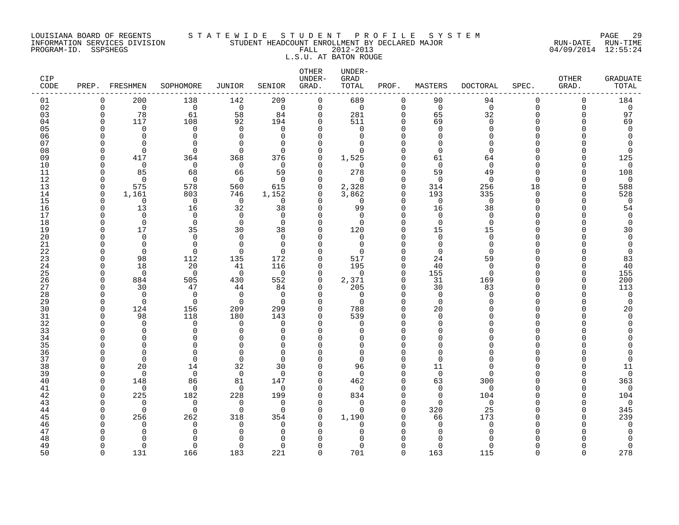### LOUISIANA BOARD OF REGENTS S T A T E W I D E S T U D E N T P R O F I L E S Y S T E M PAGE 29 INFORMATION SERVICES DIVISION STUDENT HEADCOUNT ENROLLMENT BY DECLARED MAJOR RUN-DATE RUN-TIME PROGRAM-ID. SSPSHEGS FALL 2012-2013 04/09/2014 12:55:24

# L.S.U. AT BATON ROUGE

| 138<br>209<br>$\mathbf 0$<br>689<br>90<br>94<br>$\Omega$<br>$\Omega$<br>01<br>$\Omega$<br>200<br>142<br>$\Omega$<br>02<br>$\overline{0}$<br>$\overline{0}$<br>$\overline{0}$<br>$\mathsf{O}$<br>$\mathbf 0$<br>$\mathsf{O}$<br>$\Omega$<br>$\mathbf 0$<br>$\overline{0}$<br>$\mathsf{O}$<br>$\mathbf 0$<br>$\mathbf 0$<br>03<br>78<br>61<br>58<br>281<br>65<br>32<br>$\Omega$<br>84<br>$\mathbf 0$<br>$\Omega$<br>$\Omega$<br>$\Omega$<br>108<br>92<br>$\mathbf 0$<br>511<br>$\Omega$<br>69<br>$\mathbf 0$<br>04<br>117<br>194<br>$\Omega$<br>$\Omega$<br>U<br>05<br>$\Omega$<br>$\Omega$<br>$\mathbf 0$<br>$\Omega$<br>$\Omega$<br>$\Omega$<br>$\Omega$<br>$\cap$<br>$\Omega$<br>$\cap$<br>06<br>$\Omega$<br>$\Omega$<br>$\Omega$<br>$\Omega$<br>$\Omega$<br>$\Omega$<br>n<br>$\Omega$<br>0<br>07<br>$\Omega$<br>$\Omega$<br>$\Omega$<br>$\Omega$<br>$\Omega$<br>$\Omega$<br>$\Omega$<br>O<br>$\Omega$<br>08<br>$\Omega$<br>$\Omega$<br>$\Omega$<br>$\mathbf 0$<br>$\Omega$<br>$\cap$<br>$\Omega$<br>$\Omega$<br>$\Omega$<br>09<br>417<br>364<br>368<br>376<br>$\mathbf 0$<br>1,525<br>$\cap$<br>61<br>64<br>$\Omega$<br>$\Omega$<br>10<br>$\overline{0}$<br>$\mathbf 0$<br>$\overline{0}$<br>$\Omega$<br>$\mathbf 0$<br>$\Omega$<br>$\cap$<br>∩<br>278<br>11<br>85<br>68<br>66<br>59<br>$\mathbf 0$<br>59<br>49<br>$\Omega$<br>∩<br>12<br>$\overline{0}$<br>$\mathbf 0$<br>$\Omega$<br>- 0<br>$\overline{0}$<br>$\overline{0}$<br>$\Omega$<br>0<br>0<br>$\Omega$<br>13<br>575<br>578<br>2,328<br>256<br>560<br>615<br>0<br>$\Omega$<br>314<br>18<br>U<br>3,862<br>1,161<br>193<br>14<br>803<br>746<br>1,152<br>0<br>$\Omega$<br>335<br>$\Omega$<br>$\Omega$<br>15<br>$\Omega$<br>$\overline{0}$<br>$\overline{0}$<br>$\Omega$<br>$\overline{0}$<br>$\Omega$<br>$\mathbf 0$<br>$\mathbf 0$<br>$\Omega$<br>∩<br>∩<br>32<br>99<br>16<br>13<br>16<br>38<br>$\Omega$<br>16<br>38<br>$\cap$<br>U<br>17<br>$\Omega$<br>$\Omega$<br>$\Omega$<br>$\Omega$<br>$\Omega$<br>$\Omega$<br>$\Omega$<br>$\cap$<br>$\Omega$<br>$\cap$<br>18<br>$\Omega$<br>$\Omega$<br>$\Omega$<br>0<br>$\Omega$<br>$\Omega$<br>$\Omega$<br>$\Omega$<br>$\cap$<br>19<br>17<br>35<br>30<br>120<br>15<br>38<br>$\Omega$<br>$\cap$<br>15<br>20<br>$\mathbf 0$<br>$\mathbf 0$<br>$\Omega$<br>$\Omega$<br>$\mathbf 0$<br>$\mathbf 0$<br>$\mathbf 0$<br>0<br>$\cap$<br>∩<br>$\Omega$<br>21<br>$\Omega$<br>0<br>$\Omega$<br>$\mathbf 0$<br>$\Omega$<br>$\Omega$<br>$\Omega$<br>22<br>$\Omega$<br>$\Omega$<br>$\Omega$<br>$\Omega$<br>$\Omega$<br>$\Omega$<br>$\Omega$<br>n<br>$\Omega$<br>23<br>98<br>112<br>172<br>0<br>24<br>59<br>135<br>517<br>$\cap$<br>24<br>18<br>20<br>41<br>116<br>195<br>40<br>0<br>$\Omega$<br>$\Omega$<br>25<br>$\overline{0}$<br>$\Omega$<br>155<br>$\overline{0}$<br>$\mathbf 0$<br>$\overline{0}$<br>$\Omega$<br>$\Omega$<br>$\Omega$<br>26<br>884<br>505<br>430<br>552<br>2,371<br>31<br>169<br>0<br>$\Omega$<br>∩<br>205<br>27<br>30<br>47<br>$\Omega$<br>$\Omega$<br>30<br>83<br>44<br>84<br>U<br>28<br>$\Omega$<br>$\Omega$<br>$\Omega$<br>$\Omega$<br>$\Omega$<br>$\Omega$<br>$\Omega$<br>$\Omega$<br>$\Omega$<br>∩<br>29<br>$\Omega$<br>$\Omega$<br>$\Omega$<br>$\Omega$<br>$\Omega$<br>$\Omega$<br>$\mathbf 0$<br>$\cap$<br>U<br>30<br>299<br>124<br>156<br>209<br>$\Omega$<br>788<br>$\cap$<br>20<br>31<br>180<br>98<br>118<br>143<br>0<br>539<br>$\Omega$<br>O<br>32<br>$\Omega$<br>$\Omega$<br>$\Omega$<br>$\Omega$<br>$\Omega$<br>$\Omega$<br>∩<br>O<br>33<br>$\Omega$<br>$\Omega$<br>$\Omega$<br>$\Omega$<br>$\Omega$<br>$\Omega$<br>$\Omega$<br>34<br>$\cap$<br>$\Omega$<br>$\Omega$<br>$\Omega$<br>$\Omega$<br>∩<br>35<br>$\Omega$<br>$\Omega$<br>$\cap$<br>U<br>$\Omega$<br>36<br>$\Omega$<br>$\Omega$<br>$\Omega$<br>$\Omega$<br>$\Omega$<br>O<br>$\Omega$<br>∩<br>∩<br>37<br>$\mathbf 0$<br>$\Omega$<br>$\Omega$<br>$\Omega$<br>$\Omega$<br>0<br>$\Omega$<br>O<br>∩<br>38<br>20<br>14<br>32<br>30<br>$\Omega$<br>96<br>$\cap$<br>11<br>$\Omega$<br>$\mathbf 0$<br>39<br>$\Omega$<br>$\mathbf 0$<br>$\mathbf 0$<br>$\Omega$<br>$\Omega$<br>0<br>$\Omega$<br>$\Omega$<br>40<br>148<br>86<br>81<br>$\Omega$<br>462<br>63<br>300<br>147<br>$\cap$<br>41<br>$\Omega$<br>$\Omega$<br>$\Omega$<br>$\Omega$<br>$\Omega$<br>$\Omega$<br>$\Omega$<br>$\Omega$<br>∩<br>O<br>∩<br>42<br>225<br>182<br>228<br>199<br>834<br>$\Omega$<br>104<br>0<br>O<br>43<br>$\Omega$<br>$\Omega$<br>$\Omega$<br>$\Omega$<br>$\Omega$<br>$\Omega$<br>$\Omega$<br>$\Omega$<br>O<br>44<br>$\Omega$<br>320<br>25<br>$\Omega$<br>$\Omega$<br>$\cap$<br>$\Omega$<br>$\Omega$<br>$\Omega$<br>45<br>256<br>262<br>318<br>354<br>$\mathbf 0$<br>1,190<br>66<br>173<br>$\cap$<br>46<br>$\Omega$<br>$\Omega$<br>$\Omega$<br>$\Omega$<br>$\Omega$<br>$\Omega$<br>$\Omega$<br>$\Omega$<br>47<br>$\Omega$<br>∩<br>∩<br>$\Omega$<br>$\Omega$<br>∩<br>48<br>U<br>49<br>$\Omega$<br>$\Omega$<br>$\Omega$<br>$\Omega$<br>$\Omega$<br>$\Omega$<br>$\Omega$<br>0<br>$\Omega$<br>$\Omega$<br>$\cap$<br>U | CIP<br>CODE | PREP. FRESHMEN | SOPHOMORE | JUNIOR | SENIOR | OTHER<br>UNDER-<br>GRAD. | UNDER-<br>GRAD<br>TOTAL | PROF. | MASTERS | DOCTORAL | SPEC. | OTHER<br>GRAD. | <b>GRADUATE</b><br>TOTAL |
|---------------------------------------------------------------------------------------------------------------------------------------------------------------------------------------------------------------------------------------------------------------------------------------------------------------------------------------------------------------------------------------------------------------------------------------------------------------------------------------------------------------------------------------------------------------------------------------------------------------------------------------------------------------------------------------------------------------------------------------------------------------------------------------------------------------------------------------------------------------------------------------------------------------------------------------------------------------------------------------------------------------------------------------------------------------------------------------------------------------------------------------------------------------------------------------------------------------------------------------------------------------------------------------------------------------------------------------------------------------------------------------------------------------------------------------------------------------------------------------------------------------------------------------------------------------------------------------------------------------------------------------------------------------------------------------------------------------------------------------------------------------------------------------------------------------------------------------------------------------------------------------------------------------------------------------------------------------------------------------------------------------------------------------------------------------------------------------------------------------------------------------------------------------------------------------------------------------------------------------------------------------------------------------------------------------------------------------------------------------------------------------------------------------------------------------------------------------------------------------------------------------------------------------------------------------------------------------------------------------------------------------------------------------------------------------------------------------------------------------------------------------------------------------------------------------------------------------------------------------------------------------------------------------------------------------------------------------------------------------------------------------------------------------------------------------------------------------------------------------------------------------------------------------------------------------------------------------------------------------------------------------------------------------------------------------------------------------------------------------------------------------------------------------------------------------------------------------------------------------------------------------------------------------------------------------------------------------------------------------------------------------------------------------------------------------------------------------------------------------------------------------------------------------------------------------------------------------------------------------------------------------------------------------------------------------------------------------------------------------------------------------------------------------------------------------------------------------------------------------------------------------------------------------------------------------------------------------------------------------------------------------------------------------------------------------------------------------------------------------------------------------------------------------------------------------------------------------------------------------------------------------------------------------------------------------------------------------------------------------------------------------------------------------------------------------------------------------------------------------------------------------------------------------------------------------------------------------------------------------------------------------------------------------------------------------------------------------------|-------------|----------------|-----------|--------|--------|--------------------------|-------------------------|-------|---------|----------|-------|----------------|--------------------------|
|                                                                                                                                                                                                                                                                                                                                                                                                                                                                                                                                                                                                                                                                                                                                                                                                                                                                                                                                                                                                                                                                                                                                                                                                                                                                                                                                                                                                                                                                                                                                                                                                                                                                                                                                                                                                                                                                                                                                                                                                                                                                                                                                                                                                                                                                                                                                                                                                                                                                                                                                                                                                                                                                                                                                                                                                                                                                                                                                                                                                                                                                                                                                                                                                                                                                                                                                                                                                                                                                                                                                                                                                                                                                                                                                                                                                                                                                                                                                                                                                                                                                                                                                                                                                                                                                                                                                                                                                                                                                                                                                                                                                                                                                                                                                                                                                                                                                                                                                                                     |             |                |           |        |        |                          |                         |       |         |          |       |                | 184                      |
|                                                                                                                                                                                                                                                                                                                                                                                                                                                                                                                                                                                                                                                                                                                                                                                                                                                                                                                                                                                                                                                                                                                                                                                                                                                                                                                                                                                                                                                                                                                                                                                                                                                                                                                                                                                                                                                                                                                                                                                                                                                                                                                                                                                                                                                                                                                                                                                                                                                                                                                                                                                                                                                                                                                                                                                                                                                                                                                                                                                                                                                                                                                                                                                                                                                                                                                                                                                                                                                                                                                                                                                                                                                                                                                                                                                                                                                                                                                                                                                                                                                                                                                                                                                                                                                                                                                                                                                                                                                                                                                                                                                                                                                                                                                                                                                                                                                                                                                                                                     |             |                |           |        |        |                          |                         |       |         |          |       |                | $\mathsf 0$              |
|                                                                                                                                                                                                                                                                                                                                                                                                                                                                                                                                                                                                                                                                                                                                                                                                                                                                                                                                                                                                                                                                                                                                                                                                                                                                                                                                                                                                                                                                                                                                                                                                                                                                                                                                                                                                                                                                                                                                                                                                                                                                                                                                                                                                                                                                                                                                                                                                                                                                                                                                                                                                                                                                                                                                                                                                                                                                                                                                                                                                                                                                                                                                                                                                                                                                                                                                                                                                                                                                                                                                                                                                                                                                                                                                                                                                                                                                                                                                                                                                                                                                                                                                                                                                                                                                                                                                                                                                                                                                                                                                                                                                                                                                                                                                                                                                                                                                                                                                                                     |             |                |           |        |        |                          |                         |       |         |          |       |                | 97                       |
|                                                                                                                                                                                                                                                                                                                                                                                                                                                                                                                                                                                                                                                                                                                                                                                                                                                                                                                                                                                                                                                                                                                                                                                                                                                                                                                                                                                                                                                                                                                                                                                                                                                                                                                                                                                                                                                                                                                                                                                                                                                                                                                                                                                                                                                                                                                                                                                                                                                                                                                                                                                                                                                                                                                                                                                                                                                                                                                                                                                                                                                                                                                                                                                                                                                                                                                                                                                                                                                                                                                                                                                                                                                                                                                                                                                                                                                                                                                                                                                                                                                                                                                                                                                                                                                                                                                                                                                                                                                                                                                                                                                                                                                                                                                                                                                                                                                                                                                                                                     |             |                |           |        |        |                          |                         |       |         |          |       |                | 69                       |
|                                                                                                                                                                                                                                                                                                                                                                                                                                                                                                                                                                                                                                                                                                                                                                                                                                                                                                                                                                                                                                                                                                                                                                                                                                                                                                                                                                                                                                                                                                                                                                                                                                                                                                                                                                                                                                                                                                                                                                                                                                                                                                                                                                                                                                                                                                                                                                                                                                                                                                                                                                                                                                                                                                                                                                                                                                                                                                                                                                                                                                                                                                                                                                                                                                                                                                                                                                                                                                                                                                                                                                                                                                                                                                                                                                                                                                                                                                                                                                                                                                                                                                                                                                                                                                                                                                                                                                                                                                                                                                                                                                                                                                                                                                                                                                                                                                                                                                                                                                     |             |                |           |        |        |                          |                         |       |         |          |       |                | $\mathbf 0$              |
|                                                                                                                                                                                                                                                                                                                                                                                                                                                                                                                                                                                                                                                                                                                                                                                                                                                                                                                                                                                                                                                                                                                                                                                                                                                                                                                                                                                                                                                                                                                                                                                                                                                                                                                                                                                                                                                                                                                                                                                                                                                                                                                                                                                                                                                                                                                                                                                                                                                                                                                                                                                                                                                                                                                                                                                                                                                                                                                                                                                                                                                                                                                                                                                                                                                                                                                                                                                                                                                                                                                                                                                                                                                                                                                                                                                                                                                                                                                                                                                                                                                                                                                                                                                                                                                                                                                                                                                                                                                                                                                                                                                                                                                                                                                                                                                                                                                                                                                                                                     |             |                |           |        |        |                          |                         |       |         |          |       |                | $\Omega$                 |
|                                                                                                                                                                                                                                                                                                                                                                                                                                                                                                                                                                                                                                                                                                                                                                                                                                                                                                                                                                                                                                                                                                                                                                                                                                                                                                                                                                                                                                                                                                                                                                                                                                                                                                                                                                                                                                                                                                                                                                                                                                                                                                                                                                                                                                                                                                                                                                                                                                                                                                                                                                                                                                                                                                                                                                                                                                                                                                                                                                                                                                                                                                                                                                                                                                                                                                                                                                                                                                                                                                                                                                                                                                                                                                                                                                                                                                                                                                                                                                                                                                                                                                                                                                                                                                                                                                                                                                                                                                                                                                                                                                                                                                                                                                                                                                                                                                                                                                                                                                     |             |                |           |        |        |                          |                         |       |         |          |       |                | $\Omega$                 |
|                                                                                                                                                                                                                                                                                                                                                                                                                                                                                                                                                                                                                                                                                                                                                                                                                                                                                                                                                                                                                                                                                                                                                                                                                                                                                                                                                                                                                                                                                                                                                                                                                                                                                                                                                                                                                                                                                                                                                                                                                                                                                                                                                                                                                                                                                                                                                                                                                                                                                                                                                                                                                                                                                                                                                                                                                                                                                                                                                                                                                                                                                                                                                                                                                                                                                                                                                                                                                                                                                                                                                                                                                                                                                                                                                                                                                                                                                                                                                                                                                                                                                                                                                                                                                                                                                                                                                                                                                                                                                                                                                                                                                                                                                                                                                                                                                                                                                                                                                                     |             |                |           |        |        |                          |                         |       |         |          |       |                | 125                      |
|                                                                                                                                                                                                                                                                                                                                                                                                                                                                                                                                                                                                                                                                                                                                                                                                                                                                                                                                                                                                                                                                                                                                                                                                                                                                                                                                                                                                                                                                                                                                                                                                                                                                                                                                                                                                                                                                                                                                                                                                                                                                                                                                                                                                                                                                                                                                                                                                                                                                                                                                                                                                                                                                                                                                                                                                                                                                                                                                                                                                                                                                                                                                                                                                                                                                                                                                                                                                                                                                                                                                                                                                                                                                                                                                                                                                                                                                                                                                                                                                                                                                                                                                                                                                                                                                                                                                                                                                                                                                                                                                                                                                                                                                                                                                                                                                                                                                                                                                                                     |             |                |           |        |        |                          |                         |       |         |          |       |                | $\mathbf 0$              |
|                                                                                                                                                                                                                                                                                                                                                                                                                                                                                                                                                                                                                                                                                                                                                                                                                                                                                                                                                                                                                                                                                                                                                                                                                                                                                                                                                                                                                                                                                                                                                                                                                                                                                                                                                                                                                                                                                                                                                                                                                                                                                                                                                                                                                                                                                                                                                                                                                                                                                                                                                                                                                                                                                                                                                                                                                                                                                                                                                                                                                                                                                                                                                                                                                                                                                                                                                                                                                                                                                                                                                                                                                                                                                                                                                                                                                                                                                                                                                                                                                                                                                                                                                                                                                                                                                                                                                                                                                                                                                                                                                                                                                                                                                                                                                                                                                                                                                                                                                                     |             |                |           |        |        |                          |                         |       |         |          |       |                | 108                      |
|                                                                                                                                                                                                                                                                                                                                                                                                                                                                                                                                                                                                                                                                                                                                                                                                                                                                                                                                                                                                                                                                                                                                                                                                                                                                                                                                                                                                                                                                                                                                                                                                                                                                                                                                                                                                                                                                                                                                                                                                                                                                                                                                                                                                                                                                                                                                                                                                                                                                                                                                                                                                                                                                                                                                                                                                                                                                                                                                                                                                                                                                                                                                                                                                                                                                                                                                                                                                                                                                                                                                                                                                                                                                                                                                                                                                                                                                                                                                                                                                                                                                                                                                                                                                                                                                                                                                                                                                                                                                                                                                                                                                                                                                                                                                                                                                                                                                                                                                                                     |             |                |           |        |        |                          |                         |       |         |          |       |                | $\mathbf 0$              |
|                                                                                                                                                                                                                                                                                                                                                                                                                                                                                                                                                                                                                                                                                                                                                                                                                                                                                                                                                                                                                                                                                                                                                                                                                                                                                                                                                                                                                                                                                                                                                                                                                                                                                                                                                                                                                                                                                                                                                                                                                                                                                                                                                                                                                                                                                                                                                                                                                                                                                                                                                                                                                                                                                                                                                                                                                                                                                                                                                                                                                                                                                                                                                                                                                                                                                                                                                                                                                                                                                                                                                                                                                                                                                                                                                                                                                                                                                                                                                                                                                                                                                                                                                                                                                                                                                                                                                                                                                                                                                                                                                                                                                                                                                                                                                                                                                                                                                                                                                                     |             |                |           |        |        |                          |                         |       |         |          |       |                | 588                      |
|                                                                                                                                                                                                                                                                                                                                                                                                                                                                                                                                                                                                                                                                                                                                                                                                                                                                                                                                                                                                                                                                                                                                                                                                                                                                                                                                                                                                                                                                                                                                                                                                                                                                                                                                                                                                                                                                                                                                                                                                                                                                                                                                                                                                                                                                                                                                                                                                                                                                                                                                                                                                                                                                                                                                                                                                                                                                                                                                                                                                                                                                                                                                                                                                                                                                                                                                                                                                                                                                                                                                                                                                                                                                                                                                                                                                                                                                                                                                                                                                                                                                                                                                                                                                                                                                                                                                                                                                                                                                                                                                                                                                                                                                                                                                                                                                                                                                                                                                                                     |             |                |           |        |        |                          |                         |       |         |          |       |                | 528                      |
|                                                                                                                                                                                                                                                                                                                                                                                                                                                                                                                                                                                                                                                                                                                                                                                                                                                                                                                                                                                                                                                                                                                                                                                                                                                                                                                                                                                                                                                                                                                                                                                                                                                                                                                                                                                                                                                                                                                                                                                                                                                                                                                                                                                                                                                                                                                                                                                                                                                                                                                                                                                                                                                                                                                                                                                                                                                                                                                                                                                                                                                                                                                                                                                                                                                                                                                                                                                                                                                                                                                                                                                                                                                                                                                                                                                                                                                                                                                                                                                                                                                                                                                                                                                                                                                                                                                                                                                                                                                                                                                                                                                                                                                                                                                                                                                                                                                                                                                                                                     |             |                |           |        |        |                          |                         |       |         |          |       |                | $\overline{0}$           |
|                                                                                                                                                                                                                                                                                                                                                                                                                                                                                                                                                                                                                                                                                                                                                                                                                                                                                                                                                                                                                                                                                                                                                                                                                                                                                                                                                                                                                                                                                                                                                                                                                                                                                                                                                                                                                                                                                                                                                                                                                                                                                                                                                                                                                                                                                                                                                                                                                                                                                                                                                                                                                                                                                                                                                                                                                                                                                                                                                                                                                                                                                                                                                                                                                                                                                                                                                                                                                                                                                                                                                                                                                                                                                                                                                                                                                                                                                                                                                                                                                                                                                                                                                                                                                                                                                                                                                                                                                                                                                                                                                                                                                                                                                                                                                                                                                                                                                                                                                                     |             |                |           |        |        |                          |                         |       |         |          |       |                | 54                       |
|                                                                                                                                                                                                                                                                                                                                                                                                                                                                                                                                                                                                                                                                                                                                                                                                                                                                                                                                                                                                                                                                                                                                                                                                                                                                                                                                                                                                                                                                                                                                                                                                                                                                                                                                                                                                                                                                                                                                                                                                                                                                                                                                                                                                                                                                                                                                                                                                                                                                                                                                                                                                                                                                                                                                                                                                                                                                                                                                                                                                                                                                                                                                                                                                                                                                                                                                                                                                                                                                                                                                                                                                                                                                                                                                                                                                                                                                                                                                                                                                                                                                                                                                                                                                                                                                                                                                                                                                                                                                                                                                                                                                                                                                                                                                                                                                                                                                                                                                                                     |             |                |           |        |        |                          |                         |       |         |          |       |                | $\mathbf 0$              |
|                                                                                                                                                                                                                                                                                                                                                                                                                                                                                                                                                                                                                                                                                                                                                                                                                                                                                                                                                                                                                                                                                                                                                                                                                                                                                                                                                                                                                                                                                                                                                                                                                                                                                                                                                                                                                                                                                                                                                                                                                                                                                                                                                                                                                                                                                                                                                                                                                                                                                                                                                                                                                                                                                                                                                                                                                                                                                                                                                                                                                                                                                                                                                                                                                                                                                                                                                                                                                                                                                                                                                                                                                                                                                                                                                                                                                                                                                                                                                                                                                                                                                                                                                                                                                                                                                                                                                                                                                                                                                                                                                                                                                                                                                                                                                                                                                                                                                                                                                                     |             |                |           |        |        |                          |                         |       |         |          |       |                | $\mathbf 0$              |
|                                                                                                                                                                                                                                                                                                                                                                                                                                                                                                                                                                                                                                                                                                                                                                                                                                                                                                                                                                                                                                                                                                                                                                                                                                                                                                                                                                                                                                                                                                                                                                                                                                                                                                                                                                                                                                                                                                                                                                                                                                                                                                                                                                                                                                                                                                                                                                                                                                                                                                                                                                                                                                                                                                                                                                                                                                                                                                                                                                                                                                                                                                                                                                                                                                                                                                                                                                                                                                                                                                                                                                                                                                                                                                                                                                                                                                                                                                                                                                                                                                                                                                                                                                                                                                                                                                                                                                                                                                                                                                                                                                                                                                                                                                                                                                                                                                                                                                                                                                     |             |                |           |        |        |                          |                         |       |         |          |       |                | 30                       |
|                                                                                                                                                                                                                                                                                                                                                                                                                                                                                                                                                                                                                                                                                                                                                                                                                                                                                                                                                                                                                                                                                                                                                                                                                                                                                                                                                                                                                                                                                                                                                                                                                                                                                                                                                                                                                                                                                                                                                                                                                                                                                                                                                                                                                                                                                                                                                                                                                                                                                                                                                                                                                                                                                                                                                                                                                                                                                                                                                                                                                                                                                                                                                                                                                                                                                                                                                                                                                                                                                                                                                                                                                                                                                                                                                                                                                                                                                                                                                                                                                                                                                                                                                                                                                                                                                                                                                                                                                                                                                                                                                                                                                                                                                                                                                                                                                                                                                                                                                                     |             |                |           |        |        |                          |                         |       |         |          |       |                | $\mathbf 0$              |
|                                                                                                                                                                                                                                                                                                                                                                                                                                                                                                                                                                                                                                                                                                                                                                                                                                                                                                                                                                                                                                                                                                                                                                                                                                                                                                                                                                                                                                                                                                                                                                                                                                                                                                                                                                                                                                                                                                                                                                                                                                                                                                                                                                                                                                                                                                                                                                                                                                                                                                                                                                                                                                                                                                                                                                                                                                                                                                                                                                                                                                                                                                                                                                                                                                                                                                                                                                                                                                                                                                                                                                                                                                                                                                                                                                                                                                                                                                                                                                                                                                                                                                                                                                                                                                                                                                                                                                                                                                                                                                                                                                                                                                                                                                                                                                                                                                                                                                                                                                     |             |                |           |        |        |                          |                         |       |         |          |       |                | $\Omega$                 |
|                                                                                                                                                                                                                                                                                                                                                                                                                                                                                                                                                                                                                                                                                                                                                                                                                                                                                                                                                                                                                                                                                                                                                                                                                                                                                                                                                                                                                                                                                                                                                                                                                                                                                                                                                                                                                                                                                                                                                                                                                                                                                                                                                                                                                                                                                                                                                                                                                                                                                                                                                                                                                                                                                                                                                                                                                                                                                                                                                                                                                                                                                                                                                                                                                                                                                                                                                                                                                                                                                                                                                                                                                                                                                                                                                                                                                                                                                                                                                                                                                                                                                                                                                                                                                                                                                                                                                                                                                                                                                                                                                                                                                                                                                                                                                                                                                                                                                                                                                                     |             |                |           |        |        |                          |                         |       |         |          |       |                | 0                        |
|                                                                                                                                                                                                                                                                                                                                                                                                                                                                                                                                                                                                                                                                                                                                                                                                                                                                                                                                                                                                                                                                                                                                                                                                                                                                                                                                                                                                                                                                                                                                                                                                                                                                                                                                                                                                                                                                                                                                                                                                                                                                                                                                                                                                                                                                                                                                                                                                                                                                                                                                                                                                                                                                                                                                                                                                                                                                                                                                                                                                                                                                                                                                                                                                                                                                                                                                                                                                                                                                                                                                                                                                                                                                                                                                                                                                                                                                                                                                                                                                                                                                                                                                                                                                                                                                                                                                                                                                                                                                                                                                                                                                                                                                                                                                                                                                                                                                                                                                                                     |             |                |           |        |        |                          |                         |       |         |          |       |                | 83                       |
|                                                                                                                                                                                                                                                                                                                                                                                                                                                                                                                                                                                                                                                                                                                                                                                                                                                                                                                                                                                                                                                                                                                                                                                                                                                                                                                                                                                                                                                                                                                                                                                                                                                                                                                                                                                                                                                                                                                                                                                                                                                                                                                                                                                                                                                                                                                                                                                                                                                                                                                                                                                                                                                                                                                                                                                                                                                                                                                                                                                                                                                                                                                                                                                                                                                                                                                                                                                                                                                                                                                                                                                                                                                                                                                                                                                                                                                                                                                                                                                                                                                                                                                                                                                                                                                                                                                                                                                                                                                                                                                                                                                                                                                                                                                                                                                                                                                                                                                                                                     |             |                |           |        |        |                          |                         |       |         |          |       |                | 40                       |
|                                                                                                                                                                                                                                                                                                                                                                                                                                                                                                                                                                                                                                                                                                                                                                                                                                                                                                                                                                                                                                                                                                                                                                                                                                                                                                                                                                                                                                                                                                                                                                                                                                                                                                                                                                                                                                                                                                                                                                                                                                                                                                                                                                                                                                                                                                                                                                                                                                                                                                                                                                                                                                                                                                                                                                                                                                                                                                                                                                                                                                                                                                                                                                                                                                                                                                                                                                                                                                                                                                                                                                                                                                                                                                                                                                                                                                                                                                                                                                                                                                                                                                                                                                                                                                                                                                                                                                                                                                                                                                                                                                                                                                                                                                                                                                                                                                                                                                                                                                     |             |                |           |        |        |                          |                         |       |         |          |       |                | 155<br>200               |
|                                                                                                                                                                                                                                                                                                                                                                                                                                                                                                                                                                                                                                                                                                                                                                                                                                                                                                                                                                                                                                                                                                                                                                                                                                                                                                                                                                                                                                                                                                                                                                                                                                                                                                                                                                                                                                                                                                                                                                                                                                                                                                                                                                                                                                                                                                                                                                                                                                                                                                                                                                                                                                                                                                                                                                                                                                                                                                                                                                                                                                                                                                                                                                                                                                                                                                                                                                                                                                                                                                                                                                                                                                                                                                                                                                                                                                                                                                                                                                                                                                                                                                                                                                                                                                                                                                                                                                                                                                                                                                                                                                                                                                                                                                                                                                                                                                                                                                                                                                     |             |                |           |        |        |                          |                         |       |         |          |       |                | 113                      |
|                                                                                                                                                                                                                                                                                                                                                                                                                                                                                                                                                                                                                                                                                                                                                                                                                                                                                                                                                                                                                                                                                                                                                                                                                                                                                                                                                                                                                                                                                                                                                                                                                                                                                                                                                                                                                                                                                                                                                                                                                                                                                                                                                                                                                                                                                                                                                                                                                                                                                                                                                                                                                                                                                                                                                                                                                                                                                                                                                                                                                                                                                                                                                                                                                                                                                                                                                                                                                                                                                                                                                                                                                                                                                                                                                                                                                                                                                                                                                                                                                                                                                                                                                                                                                                                                                                                                                                                                                                                                                                                                                                                                                                                                                                                                                                                                                                                                                                                                                                     |             |                |           |        |        |                          |                         |       |         |          |       |                | $\overline{0}$           |
|                                                                                                                                                                                                                                                                                                                                                                                                                                                                                                                                                                                                                                                                                                                                                                                                                                                                                                                                                                                                                                                                                                                                                                                                                                                                                                                                                                                                                                                                                                                                                                                                                                                                                                                                                                                                                                                                                                                                                                                                                                                                                                                                                                                                                                                                                                                                                                                                                                                                                                                                                                                                                                                                                                                                                                                                                                                                                                                                                                                                                                                                                                                                                                                                                                                                                                                                                                                                                                                                                                                                                                                                                                                                                                                                                                                                                                                                                                                                                                                                                                                                                                                                                                                                                                                                                                                                                                                                                                                                                                                                                                                                                                                                                                                                                                                                                                                                                                                                                                     |             |                |           |        |        |                          |                         |       |         |          |       |                | $\mathbf 0$              |
|                                                                                                                                                                                                                                                                                                                                                                                                                                                                                                                                                                                                                                                                                                                                                                                                                                                                                                                                                                                                                                                                                                                                                                                                                                                                                                                                                                                                                                                                                                                                                                                                                                                                                                                                                                                                                                                                                                                                                                                                                                                                                                                                                                                                                                                                                                                                                                                                                                                                                                                                                                                                                                                                                                                                                                                                                                                                                                                                                                                                                                                                                                                                                                                                                                                                                                                                                                                                                                                                                                                                                                                                                                                                                                                                                                                                                                                                                                                                                                                                                                                                                                                                                                                                                                                                                                                                                                                                                                                                                                                                                                                                                                                                                                                                                                                                                                                                                                                                                                     |             |                |           |        |        |                          |                         |       |         |          |       |                | 20                       |
|                                                                                                                                                                                                                                                                                                                                                                                                                                                                                                                                                                                                                                                                                                                                                                                                                                                                                                                                                                                                                                                                                                                                                                                                                                                                                                                                                                                                                                                                                                                                                                                                                                                                                                                                                                                                                                                                                                                                                                                                                                                                                                                                                                                                                                                                                                                                                                                                                                                                                                                                                                                                                                                                                                                                                                                                                                                                                                                                                                                                                                                                                                                                                                                                                                                                                                                                                                                                                                                                                                                                                                                                                                                                                                                                                                                                                                                                                                                                                                                                                                                                                                                                                                                                                                                                                                                                                                                                                                                                                                                                                                                                                                                                                                                                                                                                                                                                                                                                                                     |             |                |           |        |        |                          |                         |       |         |          |       |                | $\Omega$                 |
|                                                                                                                                                                                                                                                                                                                                                                                                                                                                                                                                                                                                                                                                                                                                                                                                                                                                                                                                                                                                                                                                                                                                                                                                                                                                                                                                                                                                                                                                                                                                                                                                                                                                                                                                                                                                                                                                                                                                                                                                                                                                                                                                                                                                                                                                                                                                                                                                                                                                                                                                                                                                                                                                                                                                                                                                                                                                                                                                                                                                                                                                                                                                                                                                                                                                                                                                                                                                                                                                                                                                                                                                                                                                                                                                                                                                                                                                                                                                                                                                                                                                                                                                                                                                                                                                                                                                                                                                                                                                                                                                                                                                                                                                                                                                                                                                                                                                                                                                                                     |             |                |           |        |        |                          |                         |       |         |          |       |                |                          |
|                                                                                                                                                                                                                                                                                                                                                                                                                                                                                                                                                                                                                                                                                                                                                                                                                                                                                                                                                                                                                                                                                                                                                                                                                                                                                                                                                                                                                                                                                                                                                                                                                                                                                                                                                                                                                                                                                                                                                                                                                                                                                                                                                                                                                                                                                                                                                                                                                                                                                                                                                                                                                                                                                                                                                                                                                                                                                                                                                                                                                                                                                                                                                                                                                                                                                                                                                                                                                                                                                                                                                                                                                                                                                                                                                                                                                                                                                                                                                                                                                                                                                                                                                                                                                                                                                                                                                                                                                                                                                                                                                                                                                                                                                                                                                                                                                                                                                                                                                                     |             |                |           |        |        |                          |                         |       |         |          |       |                |                          |
|                                                                                                                                                                                                                                                                                                                                                                                                                                                                                                                                                                                                                                                                                                                                                                                                                                                                                                                                                                                                                                                                                                                                                                                                                                                                                                                                                                                                                                                                                                                                                                                                                                                                                                                                                                                                                                                                                                                                                                                                                                                                                                                                                                                                                                                                                                                                                                                                                                                                                                                                                                                                                                                                                                                                                                                                                                                                                                                                                                                                                                                                                                                                                                                                                                                                                                                                                                                                                                                                                                                                                                                                                                                                                                                                                                                                                                                                                                                                                                                                                                                                                                                                                                                                                                                                                                                                                                                                                                                                                                                                                                                                                                                                                                                                                                                                                                                                                                                                                                     |             |                |           |        |        |                          |                         |       |         |          |       |                |                          |
|                                                                                                                                                                                                                                                                                                                                                                                                                                                                                                                                                                                                                                                                                                                                                                                                                                                                                                                                                                                                                                                                                                                                                                                                                                                                                                                                                                                                                                                                                                                                                                                                                                                                                                                                                                                                                                                                                                                                                                                                                                                                                                                                                                                                                                                                                                                                                                                                                                                                                                                                                                                                                                                                                                                                                                                                                                                                                                                                                                                                                                                                                                                                                                                                                                                                                                                                                                                                                                                                                                                                                                                                                                                                                                                                                                                                                                                                                                                                                                                                                                                                                                                                                                                                                                                                                                                                                                                                                                                                                                                                                                                                                                                                                                                                                                                                                                                                                                                                                                     |             |                |           |        |        |                          |                         |       |         |          |       |                |                          |
|                                                                                                                                                                                                                                                                                                                                                                                                                                                                                                                                                                                                                                                                                                                                                                                                                                                                                                                                                                                                                                                                                                                                                                                                                                                                                                                                                                                                                                                                                                                                                                                                                                                                                                                                                                                                                                                                                                                                                                                                                                                                                                                                                                                                                                                                                                                                                                                                                                                                                                                                                                                                                                                                                                                                                                                                                                                                                                                                                                                                                                                                                                                                                                                                                                                                                                                                                                                                                                                                                                                                                                                                                                                                                                                                                                                                                                                                                                                                                                                                                                                                                                                                                                                                                                                                                                                                                                                                                                                                                                                                                                                                                                                                                                                                                                                                                                                                                                                                                                     |             |                |           |        |        |                          |                         |       |         |          |       |                |                          |
|                                                                                                                                                                                                                                                                                                                                                                                                                                                                                                                                                                                                                                                                                                                                                                                                                                                                                                                                                                                                                                                                                                                                                                                                                                                                                                                                                                                                                                                                                                                                                                                                                                                                                                                                                                                                                                                                                                                                                                                                                                                                                                                                                                                                                                                                                                                                                                                                                                                                                                                                                                                                                                                                                                                                                                                                                                                                                                                                                                                                                                                                                                                                                                                                                                                                                                                                                                                                                                                                                                                                                                                                                                                                                                                                                                                                                                                                                                                                                                                                                                                                                                                                                                                                                                                                                                                                                                                                                                                                                                                                                                                                                                                                                                                                                                                                                                                                                                                                                                     |             |                |           |        |        |                          |                         |       |         |          |       |                | $\Omega$                 |
|                                                                                                                                                                                                                                                                                                                                                                                                                                                                                                                                                                                                                                                                                                                                                                                                                                                                                                                                                                                                                                                                                                                                                                                                                                                                                                                                                                                                                                                                                                                                                                                                                                                                                                                                                                                                                                                                                                                                                                                                                                                                                                                                                                                                                                                                                                                                                                                                                                                                                                                                                                                                                                                                                                                                                                                                                                                                                                                                                                                                                                                                                                                                                                                                                                                                                                                                                                                                                                                                                                                                                                                                                                                                                                                                                                                                                                                                                                                                                                                                                                                                                                                                                                                                                                                                                                                                                                                                                                                                                                                                                                                                                                                                                                                                                                                                                                                                                                                                                                     |             |                |           |        |        |                          |                         |       |         |          |       |                | 11                       |
|                                                                                                                                                                                                                                                                                                                                                                                                                                                                                                                                                                                                                                                                                                                                                                                                                                                                                                                                                                                                                                                                                                                                                                                                                                                                                                                                                                                                                                                                                                                                                                                                                                                                                                                                                                                                                                                                                                                                                                                                                                                                                                                                                                                                                                                                                                                                                                                                                                                                                                                                                                                                                                                                                                                                                                                                                                                                                                                                                                                                                                                                                                                                                                                                                                                                                                                                                                                                                                                                                                                                                                                                                                                                                                                                                                                                                                                                                                                                                                                                                                                                                                                                                                                                                                                                                                                                                                                                                                                                                                                                                                                                                                                                                                                                                                                                                                                                                                                                                                     |             |                |           |        |        |                          |                         |       |         |          |       |                | $\mathbf 0$              |
|                                                                                                                                                                                                                                                                                                                                                                                                                                                                                                                                                                                                                                                                                                                                                                                                                                                                                                                                                                                                                                                                                                                                                                                                                                                                                                                                                                                                                                                                                                                                                                                                                                                                                                                                                                                                                                                                                                                                                                                                                                                                                                                                                                                                                                                                                                                                                                                                                                                                                                                                                                                                                                                                                                                                                                                                                                                                                                                                                                                                                                                                                                                                                                                                                                                                                                                                                                                                                                                                                                                                                                                                                                                                                                                                                                                                                                                                                                                                                                                                                                                                                                                                                                                                                                                                                                                                                                                                                                                                                                                                                                                                                                                                                                                                                                                                                                                                                                                                                                     |             |                |           |        |        |                          |                         |       |         |          |       |                | 363                      |
|                                                                                                                                                                                                                                                                                                                                                                                                                                                                                                                                                                                                                                                                                                                                                                                                                                                                                                                                                                                                                                                                                                                                                                                                                                                                                                                                                                                                                                                                                                                                                                                                                                                                                                                                                                                                                                                                                                                                                                                                                                                                                                                                                                                                                                                                                                                                                                                                                                                                                                                                                                                                                                                                                                                                                                                                                                                                                                                                                                                                                                                                                                                                                                                                                                                                                                                                                                                                                                                                                                                                                                                                                                                                                                                                                                                                                                                                                                                                                                                                                                                                                                                                                                                                                                                                                                                                                                                                                                                                                                                                                                                                                                                                                                                                                                                                                                                                                                                                                                     |             |                |           |        |        |                          |                         |       |         |          |       |                | $\mathbf 0$              |
|                                                                                                                                                                                                                                                                                                                                                                                                                                                                                                                                                                                                                                                                                                                                                                                                                                                                                                                                                                                                                                                                                                                                                                                                                                                                                                                                                                                                                                                                                                                                                                                                                                                                                                                                                                                                                                                                                                                                                                                                                                                                                                                                                                                                                                                                                                                                                                                                                                                                                                                                                                                                                                                                                                                                                                                                                                                                                                                                                                                                                                                                                                                                                                                                                                                                                                                                                                                                                                                                                                                                                                                                                                                                                                                                                                                                                                                                                                                                                                                                                                                                                                                                                                                                                                                                                                                                                                                                                                                                                                                                                                                                                                                                                                                                                                                                                                                                                                                                                                     |             |                |           |        |        |                          |                         |       |         |          |       |                | 104<br>$\mathbf 0$       |
|                                                                                                                                                                                                                                                                                                                                                                                                                                                                                                                                                                                                                                                                                                                                                                                                                                                                                                                                                                                                                                                                                                                                                                                                                                                                                                                                                                                                                                                                                                                                                                                                                                                                                                                                                                                                                                                                                                                                                                                                                                                                                                                                                                                                                                                                                                                                                                                                                                                                                                                                                                                                                                                                                                                                                                                                                                                                                                                                                                                                                                                                                                                                                                                                                                                                                                                                                                                                                                                                                                                                                                                                                                                                                                                                                                                                                                                                                                                                                                                                                                                                                                                                                                                                                                                                                                                                                                                                                                                                                                                                                                                                                                                                                                                                                                                                                                                                                                                                                                     |             |                |           |        |        |                          |                         |       |         |          |       |                | 345                      |
|                                                                                                                                                                                                                                                                                                                                                                                                                                                                                                                                                                                                                                                                                                                                                                                                                                                                                                                                                                                                                                                                                                                                                                                                                                                                                                                                                                                                                                                                                                                                                                                                                                                                                                                                                                                                                                                                                                                                                                                                                                                                                                                                                                                                                                                                                                                                                                                                                                                                                                                                                                                                                                                                                                                                                                                                                                                                                                                                                                                                                                                                                                                                                                                                                                                                                                                                                                                                                                                                                                                                                                                                                                                                                                                                                                                                                                                                                                                                                                                                                                                                                                                                                                                                                                                                                                                                                                                                                                                                                                                                                                                                                                                                                                                                                                                                                                                                                                                                                                     |             |                |           |        |        |                          |                         |       |         |          |       |                | 239                      |
|                                                                                                                                                                                                                                                                                                                                                                                                                                                                                                                                                                                                                                                                                                                                                                                                                                                                                                                                                                                                                                                                                                                                                                                                                                                                                                                                                                                                                                                                                                                                                                                                                                                                                                                                                                                                                                                                                                                                                                                                                                                                                                                                                                                                                                                                                                                                                                                                                                                                                                                                                                                                                                                                                                                                                                                                                                                                                                                                                                                                                                                                                                                                                                                                                                                                                                                                                                                                                                                                                                                                                                                                                                                                                                                                                                                                                                                                                                                                                                                                                                                                                                                                                                                                                                                                                                                                                                                                                                                                                                                                                                                                                                                                                                                                                                                                                                                                                                                                                                     |             |                |           |        |        |                          |                         |       |         |          |       |                | $\mathbf 0$              |
|                                                                                                                                                                                                                                                                                                                                                                                                                                                                                                                                                                                                                                                                                                                                                                                                                                                                                                                                                                                                                                                                                                                                                                                                                                                                                                                                                                                                                                                                                                                                                                                                                                                                                                                                                                                                                                                                                                                                                                                                                                                                                                                                                                                                                                                                                                                                                                                                                                                                                                                                                                                                                                                                                                                                                                                                                                                                                                                                                                                                                                                                                                                                                                                                                                                                                                                                                                                                                                                                                                                                                                                                                                                                                                                                                                                                                                                                                                                                                                                                                                                                                                                                                                                                                                                                                                                                                                                                                                                                                                                                                                                                                                                                                                                                                                                                                                                                                                                                                                     |             |                |           |        |        |                          |                         |       |         |          |       |                |                          |
|                                                                                                                                                                                                                                                                                                                                                                                                                                                                                                                                                                                                                                                                                                                                                                                                                                                                                                                                                                                                                                                                                                                                                                                                                                                                                                                                                                                                                                                                                                                                                                                                                                                                                                                                                                                                                                                                                                                                                                                                                                                                                                                                                                                                                                                                                                                                                                                                                                                                                                                                                                                                                                                                                                                                                                                                                                                                                                                                                                                                                                                                                                                                                                                                                                                                                                                                                                                                                                                                                                                                                                                                                                                                                                                                                                                                                                                                                                                                                                                                                                                                                                                                                                                                                                                                                                                                                                                                                                                                                                                                                                                                                                                                                                                                                                                                                                                                                                                                                                     |             |                |           |        |        |                          |                         |       |         |          |       |                |                          |
|                                                                                                                                                                                                                                                                                                                                                                                                                                                                                                                                                                                                                                                                                                                                                                                                                                                                                                                                                                                                                                                                                                                                                                                                                                                                                                                                                                                                                                                                                                                                                                                                                                                                                                                                                                                                                                                                                                                                                                                                                                                                                                                                                                                                                                                                                                                                                                                                                                                                                                                                                                                                                                                                                                                                                                                                                                                                                                                                                                                                                                                                                                                                                                                                                                                                                                                                                                                                                                                                                                                                                                                                                                                                                                                                                                                                                                                                                                                                                                                                                                                                                                                                                                                                                                                                                                                                                                                                                                                                                                                                                                                                                                                                                                                                                                                                                                                                                                                                                                     |             |                |           |        |        |                          |                         |       |         |          |       |                | 0                        |
|                                                                                                                                                                                                                                                                                                                                                                                                                                                                                                                                                                                                                                                                                                                                                                                                                                                                                                                                                                                                                                                                                                                                                                                                                                                                                                                                                                                                                                                                                                                                                                                                                                                                                                                                                                                                                                                                                                                                                                                                                                                                                                                                                                                                                                                                                                                                                                                                                                                                                                                                                                                                                                                                                                                                                                                                                                                                                                                                                                                                                                                                                                                                                                                                                                                                                                                                                                                                                                                                                                                                                                                                                                                                                                                                                                                                                                                                                                                                                                                                                                                                                                                                                                                                                                                                                                                                                                                                                                                                                                                                                                                                                                                                                                                                                                                                                                                                                                                                                                     | 50          | 131            | 166       | 183    | 221    | $\Omega$                 | 701                     |       | 163     | 115      |       |                | 278                      |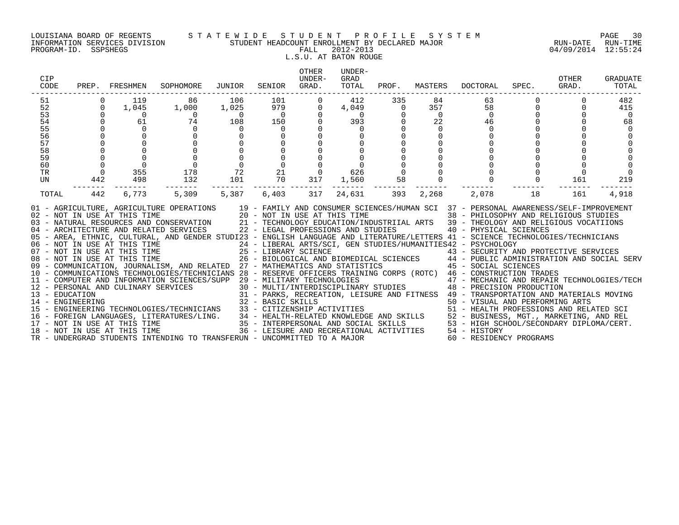### LOUISIANA BOARD OF REGENTS S T A T E W I D E S T U D E N T P R O F I L E S Y S T E M PAGE 30 INFORMATION SERVICES DIVISION STUDENT HEADCOUNT ENROLLMENT BY DECLARED MAJOR RUN-DATE RUN-TIME

# L.S.U. AT BATON ROUGE

| CIP<br>CODE                                                    | PREP.                                                                                  | FRESHMEN                                                                         | SOPHOMORE                                                                                                                                                                                                                                                                                                                                                                                                                                                                                                                                                                                                                                                                                                                                                                                                                                                                                                                                                                                                                                                                                                                                                                                                                                                                                                                                                                         | JUNIOR                                                                                                                                      | SENIOR                                                                                                                              | <b>OTHER</b><br>UNDER-<br>GRAD.                | UNDER-<br>GRAD<br>TOTAL                                           | PROF.                                                                                         | MASTERS                                                                        | DOCTORAL                                                                         | SPEC.    | OTHER<br>GRAD. | GRADUATE<br>TOTAL                              |
|----------------------------------------------------------------|----------------------------------------------------------------------------------------|----------------------------------------------------------------------------------|-----------------------------------------------------------------------------------------------------------------------------------------------------------------------------------------------------------------------------------------------------------------------------------------------------------------------------------------------------------------------------------------------------------------------------------------------------------------------------------------------------------------------------------------------------------------------------------------------------------------------------------------------------------------------------------------------------------------------------------------------------------------------------------------------------------------------------------------------------------------------------------------------------------------------------------------------------------------------------------------------------------------------------------------------------------------------------------------------------------------------------------------------------------------------------------------------------------------------------------------------------------------------------------------------------------------------------------------------------------------------------------|---------------------------------------------------------------------------------------------------------------------------------------------|-------------------------------------------------------------------------------------------------------------------------------------|------------------------------------------------|-------------------------------------------------------------------|-----------------------------------------------------------------------------------------------|--------------------------------------------------------------------------------|----------------------------------------------------------------------------------|----------|----------------|------------------------------------------------|
| 51<br>52<br>53<br>54<br>55<br>56<br>57<br>58<br>59<br>60<br>TR | $\Omega$<br>$\Omega$<br>$\mathbf 0$<br>$\overline{0}$<br>$\mathsf 0$<br>$\overline{0}$ | 119<br>1,045<br>$\overline{0}$<br>61<br>$\Omega$<br>$\overline{0}$<br>355<br>498 | 86<br>1,000<br>$\frac{1}{2}$<br>$\Omega$<br>$\begin{matrix} 0 \\ 0 \\ 0 \\ 0 \end{matrix}$<br>178<br>132                                                                                                                                                                                                                                                                                                                                                                                                                                                                                                                                                                                                                                                                                                                                                                                                                                                                                                                                                                                                                                                                                                                                                                                                                                                                          | 106<br>1,025<br>$\begin{array}{c}0\\108\end{array}$<br>$\overline{0}$<br>$\begin{matrix} 0 \\ 0 \\ 0 \end{matrix}$<br>$\frac{0}{72}$<br>101 | $\begin{array}{c} 101 \\ 979 \\ 0 \\ 150 \end{array}$<br>$\overline{0}$<br>$\overline{0}$<br>$\overline{0}$<br>21<br>$\frac{2}{70}$ | $\mathbf{0}$<br>$\Omega$<br>$\mathbf 0$<br>317 | 412<br>4,049<br>$rac{1}{20}$<br>$\Omega$<br>$\overline{0}$<br>626 | 335<br>$\overline{0}$<br>$\Omega$<br>$\mathbf 0$<br>$\begin{matrix} 0 \\ 0 \\ 0 \end{matrix}$ | 84<br>357<br>$\overline{0}$<br>22<br>$\Omega$<br>$\mathbf 0$<br>$\overline{0}$ | 63<br>58<br>$\Omega$<br>46<br>$\Omega$<br>$\mathbf 0$                            | $\Omega$ | $\Omega$       | 482<br>415<br>$\overline{0}$<br>68<br>$\Omega$ |
| UN<br>TOTAL                                                    | 442<br>$- - -$<br>442                                                                  | --------<br>6,773                                                                | 5,309<br>01 - AGRICULTURE, AGRICULTURE OPERATIONS 19 - FAMILY AND CONSUMER SCIENCES/HUMAN SCI 37 - PERSONAL AWARENESS/SELF-IMPROVEMENT<br>02 - NOT IN USE AT THIS TIME<br>03 - NATURAL RESOURCES AND CONSERVATION<br>04 - ARCHITECTURE AND RELATED SERVICES<br>04 - ARCHITECTURE AND RELATED SERVICES<br>04 - ARCHITECTURE AND RELATED SERVICES<br>04 - ARCHITECTURE AND RELATED SERVIC<br>05 - AREA, ETHNIC, CULTURAL, AND GENDER STUDI23 - ENGLISH LANGUAGE AND LITERATURE/LETTERS 41 - SCIENCE TECHNOLOGIES/TECHNICIANS<br>06 - NOT IN USE AT THIS TIME<br>07 - NOT IN USE AT THIS TIME<br>25 - LIBRARY SCIENCE<br>26 - BIOLOGICAL AND BIOMEDICAL SCIENCES<br>26 - BIOLOGICAL AND BIOMEDICAL SCIENCES<br>26 - BIOLOGICAL AND BIOMEDICAL SCIENCES<br>26 - BIOLOGICAL A<br>10 - COMMUNICATIONS TECHNOLOGIES/TECHNICIANS 28 - RESERVE OFFICERS TRAINING CORPS (ROTC) 46 - CONSTRUCTION TRADES<br>- CONSTRUCTION TRADES<br>12 - PERSONAL AND CULINARY SERVICES (SUPP 29 - MILITARY TECHNOLOGIES<br>30 - MULTI/INTERDENCIPLINARY STUDIES 47 - MECHANIC AND REPAIR TECHNOLOGIES/TECH<br>31 - PARKS, RECREATION, LEISURE AND FITNESS 49 -<br>14 - ENGINEERING<br>15 - ENGINEERING TECHNOLOGIES/TECHNICIANS<br>15 - ENGINEERING TECHNOLOGIES/TECHNICIANS<br>16 - FOREIGN LANGUAGES, LITERATURES/LING.<br>16 - FOREIGN LANGUAGES, LITERATURES/LING.<br>16 - FOREIGN LANGUAGES, LITERATU | 5,387                                                                                                                                       | -------- ---<br>6,403                                                                                                               | 317                                            | 1,560<br>--------<br>24,631                                       | 58<br>393                                                                                     | 2,268                                                                          | 2,078                                                                            | 18       | 161<br>161     | 219<br>4,918                                   |
|                                                                |                                                                                        | 18 - NOT IN USE AT THIS TIME                                                     | TR - UNDERGRAD STUDENTS INTENDING TO TRANSFERUN - UNCOMMITTED TO A MAJOR                                                                                                                                                                                                                                                                                                                                                                                                                                                                                                                                                                                                                                                                                                                                                                                                                                                                                                                                                                                                                                                                                                                                                                                                                                                                                                          |                                                                                                                                             |                                                                                                                                     |                                                |                                                                   |                                                                                               |                                                                                | 36 - LEISURE AND RECREATIONAL ACTIVITIES 54 - HISTORY<br>60 - RESIDENCY PROGRAMS |          |                |                                                |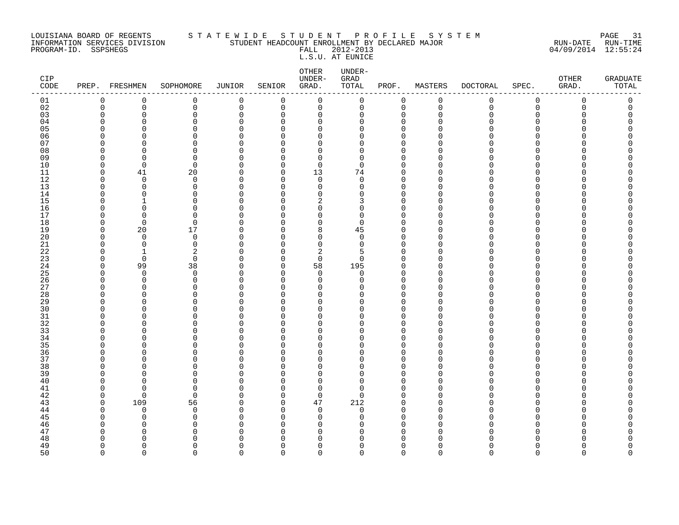### LOUISIANA BOARD OF REGENTS S T A T E W I D E S T U D E N T P R O F I L E S Y S T E M PAGE 31 INFORMATION SERVICES DIVISION STUDENT HEADCOUNT ENROLLMENT BY DECLARED MAJOR RUN-DATE RUN-TIME

L.S.U. AT EUNICE

| CIP<br>CODE |             | PREP. FRESHMEN | SOPHOMORE      | JUNIOR               | SENIOR               | OTHER<br>UNDER-<br>GRAD. | UNDER-<br>GRAD<br>TOTAL | PROF.                   | MASTERS     | <b>DOCTORAL</b> | SPEC.       | OTHER<br>GRAD. | <b>GRADUATE</b><br>TOTAL |
|-------------|-------------|----------------|----------------|----------------------|----------------------|--------------------------|-------------------------|-------------------------|-------------|-----------------|-------------|----------------|--------------------------|
| 01          | $\mathbf 0$ | $\mathbf 0$    | $\mathbf 0$    | $\mathbf 0$          | $\mathbf 0$          | $\mathsf 0$              | $\mathbf 0$             | $\mathbf 0$             | $\mathbf 0$ | 0               | $\mathsf 0$ | $\mathbf 0$    | $\mathbf 0$              |
| 02          | $\Omega$    | $\mathbf 0$    | 0              | $\mathbf 0$          | $\mathbf 0$          | $\mathbf 0$              | $\mathsf{O}$            | $\mathbf 0$             | $\Omega$    | $\Omega$        | $\Omega$    | $\Omega$       | $\mathbf 0$              |
| 03          | ∩           | $\Omega$       | $\Omega$       | $\mathbf 0$          | $\Omega$             | $\mathbf 0$              | $\Omega$                | $\Omega$                | $\cap$      |                 | $\Omega$    |                | $\Omega$                 |
| 04          |             | $\Omega$       | $\Omega$       | $\mathbf 0$          | $\Omega$             | $\mathbf 0$              | U                       | $\mathbf 0$             | ∩           |                 | U           |                |                          |
| 05          |             | $\cap$         | $\Omega$       | $\Omega$             | $\Omega$             | $\Omega$                 | U                       | $\Omega$                |             |                 | U           |                |                          |
| 06          |             | $\Omega$       | 0              | $\mathbf 0$          | $\Omega$             | $\mathbf 0$              | <sup>0</sup>            | $\mathbf 0$             |             |                 | $\Omega$    |                |                          |
| 07          |             | $\Omega$       | $\Omega$       | $\mathbf 0$          | $\Omega$             | $\mathbf 0$              | <sup>0</sup>            | $\mathbf 0$             |             |                 | U           |                |                          |
| 08          |             | $\Omega$       | $\Omega$       | $\Omega$             | $\Omega$             | $\Omega$                 | U                       | $\Omega$                |             |                 |             |                |                          |
| 09          |             | $\Omega$       | 0              | $\mathbf 0$          | $\Omega$             | 0                        | <sup>0</sup>            | $\mathbf 0$             |             |                 | U           |                |                          |
| 10          |             | $\Omega$       | $\Omega$       | $\Omega$             | $\Omega$             | $\mathbf 0$              | $\Omega$                | $\Omega$                |             |                 | U           |                |                          |
| 11          |             | 41             | 20             | $\Omega$             | $\mathbf 0$          | 13                       | 74                      | $\mathbf 0$             |             |                 | U           |                |                          |
| 12          |             | $\Omega$       | $\Omega$       | $\Omega$             | $\Omega$             | $\mathbf 0$              | $\Omega$                | $\Omega$                |             |                 | U           |                |                          |
| 13          |             | $\mathbf 0$    | 0              | $\mathbf 0$          | $\Omega$             | $\mathbf 0$              | U                       | $\mathbf 0$             |             |                 | U           |                |                          |
| 14          |             | $\mathbf 0$    | $\Omega$       | $\Omega$             | $\Omega$             | $\mathbf 0$              | <sup>0</sup>            | $\Omega$                |             |                 | U           |                |                          |
| 15          |             | -1             | $\Omega$       | $\Omega$             | $\Omega$             | 2                        | 3                       | $\Omega$                |             |                 | ∩           |                |                          |
| 16          |             | $\Omega$       | $\Omega$       | $\Omega$             | $\Omega$             | $\mathbf 0$              | <sup>0</sup>            | $\Omega$                |             |                 |             |                |                          |
| 17          |             | $\Omega$       | $\Omega$       | $\Omega$             | $\Omega$             | $\mathbf 0$              | $\Omega$                | $\Omega$                |             |                 | U           |                |                          |
| 18          |             | $\overline{0}$ | $\Omega$       | $\Omega$             | $\Omega$             | $\mathbf 0$              | $\Omega$                | $\mathbf 0$             |             |                 |             |                |                          |
| 19          |             | 20             | 17             | $\Omega$             | $\Omega$             | 8                        | 45                      | $\Omega$                |             |                 | U           |                |                          |
| 20          |             | $\Omega$       | $\Omega$       | $\Omega$             | $\Omega$             | $\mathbf 0$              | $\Omega$                | $\Omega$                |             |                 | U           |                |                          |
| 21          |             | $\mathbf 0$    | $\mathbf 0$    | $\mathbf 0$          | $\Omega$             | $\mathbf 0$              | $\Omega$                | $\mathbf 0$             |             |                 | U<br>U      |                |                          |
| 22          |             | -1             | 2              | $\Omega$             | $\Omega$             | 2                        | 5                       | $\Omega$                |             |                 | ∩           |                |                          |
| 23          |             | $\mathbf 0$    | $\mathbf 0$    | $\Omega$             | $\mathbf 0$          | $\mathbf 0$              | 0                       | $\mathbf 0$             |             |                 | U           |                |                          |
| 24          |             | 99<br>$\Omega$ | 38<br>$\Omega$ | $\Omega$             | $\Omega$             | 58                       | 195                     | $\Omega$                |             |                 | U           |                |                          |
| 25<br>26    |             | $\mathbf 0$    | 0              | $\Omega$<br>$\Omega$ | $\Omega$<br>$\Omega$ | $\Omega$<br>$\mathbf 0$  | $\Omega$<br>$\Omega$    | $\Omega$<br>$\mathbf 0$ |             |                 | U           |                |                          |
| 27          |             | $\Omega$       | 0              | $\Omega$             | $\Omega$             | $\mathbf 0$              | U                       | $\Omega$                |             |                 | U           |                |                          |
| 28          |             | $\Omega$       | $\cap$         | $\Omega$             | $\Omega$             | $\mathbf 0$              | ∩                       | $\mathbf 0$             |             |                 | ∩           |                |                          |
| 29          |             | $\Omega$       | O              | $\Omega$             | $\Omega$             | 0                        | <sup>0</sup>            | 0                       |             |                 | U           |                |                          |
| 30          |             | $\Omega$       | $\Omega$       | $\Omega$             | $\Omega$             | $\Omega$                 | U                       | $\Omega$                |             |                 | U           |                |                          |
| 31          |             | <sup>0</sup>   | $\Omega$       | $\Omega$             | $\Omega$             | $\mathbf 0$              | <sup>0</sup>            | $\mathbf 0$             |             |                 | $\cap$      |                |                          |
| 32          |             | $\Omega$       | ∩              | $\Omega$             | $\Omega$             | $\Omega$                 | ∩                       | $\Omega$                |             |                 |             |                |                          |
| 33          |             | $\Omega$       | $\Omega$       | $\Omega$             | $\Omega$             | $\mathbf 0$              | <sup>0</sup>            | $\mathbf 0$             |             |                 | $\Omega$    |                |                          |
| 34          |             | O              | $\Omega$       | $\Omega$             | $\Omega$             | $\mathbf 0$              | U                       | $\mathbf 0$             |             |                 | U           |                |                          |
| 35          |             | U              | ∩              | $\Omega$             | $\Omega$             | $\Omega$                 | U                       | $\Omega$                |             |                 | U           |                |                          |
| 36          |             | O              | ∩              | $\Omega$             | $\Omega$             | 0                        | U                       | $\Omega$                |             |                 | U           |                |                          |
| 37          |             | <sup>0</sup>   | $\Omega$       | $\Omega$             | $\Omega$             | $\mathbf 0$              | U                       | $\Omega$                |             |                 | U           |                |                          |
| 38          |             | O              | $\Omega$       | $\Omega$             | $\Omega$             | 0                        | O                       | $\Omega$                |             |                 | U           |                |                          |
| 39          |             | $\Omega$       | $\Omega$       | $\Omega$             | $\Omega$             | 0                        | <sup>0</sup>            | $\mathbf 0$             |             |                 | U           |                |                          |
| 40          |             | $\cap$         | ∩              | $\Omega$             | $\Omega$             | $\Omega$                 | U                       | $\Omega$                |             |                 |             |                |                          |
| 41          |             | $\Omega$       | $\Omega$       | $\Omega$             | $\Omega$             | 0                        | <sup>0</sup>            | 0                       |             |                 | U           |                |                          |
| 42          |             | $\Omega$       | $\Omega$       | $\Omega$             | $\Omega$             | $\mathbf 0$              | $\Omega$                | $\mathbf 0$             |             |                 | U           |                |                          |
| 43          |             | 109            | 56             | $\Omega$             | $\Omega$             | 47                       | 212                     | $\mathbf 0$             |             |                 | U           |                |                          |
| 44          |             | $\Omega$       | $\Omega$       | $\Omega$             | $\Omega$             | $\mathbf 0$              | $\Omega$                | $\Omega$                |             |                 | U           |                |                          |
| 45          |             | $\Omega$       | $\Omega$       | $\Omega$             | $\Omega$             | $\Omega$                 | U                       | $\Omega$                |             |                 |             |                |                          |
| 46          |             | $\Omega$       | $\Omega$       | $\Omega$             | $\Omega$             | 0                        | O                       | $\mathbf 0$             |             |                 | U           |                |                          |
| 47          |             | U              | ∩              | $\Omega$             | $\Omega$             | 0                        | O                       | $\mathbf 0$             |             |                 |             |                |                          |
| 48          |             | U              |                | C                    | $\Omega$             | $\Omega$                 | ∩                       | $\Omega$                |             |                 |             |                |                          |
| 49          |             | O              | ∩              | $\Omega$             | $\Omega$             | $\Omega$                 | <sup>0</sup>            | 0                       |             |                 | U           |                | Ω                        |
| 50          | $\cap$      | $\Omega$       | <sup>n</sup>   | $\Omega$             | $\cap$               | $\Omega$                 | 0                       | $\Omega$                | $\cap$      |                 | ∩           | U              | $\cap$                   |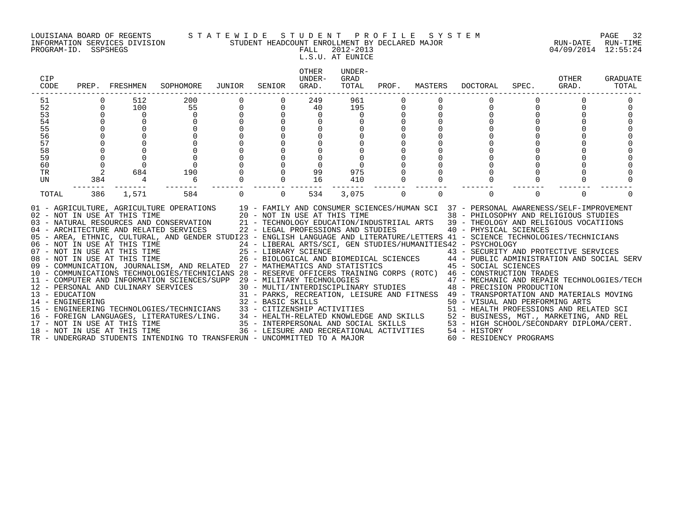INFORMATION SERVICES DIVISION STUDENT HEADCOUNT ENROLLMENT BY DECLARED MAJOR RUN-DATE RUN-TIME

### LOUISIANA BOARD OF REGENTS S T A T E W I D E S T U D E N T P R O F I L E S Y S T E M PAGE 32

PROGRAM-ID. SSPSHEGS FALL 2012-2013 04/09/2014 12:55:24 L.S.U. AT EUNICE

| CIP<br>CODE                        |             | PREP. FRESHMEN                                               | SOPHOMORE                                                                                                                                                                                                                                                                                                                                                                                                                                                                                                                                                                                                                                                                                                                                                                                                                                                                                                                                                                                                                                                                                                                                                                                                                                                                                         | JUNIOR   | SENIOR            | OTHER<br>UNDER-<br>GRAD.    | UNDER-<br>GRAD<br>TOTAL | PROF.    | MASTERS  | DOCTORAL                                                                                                                                                                                                                                                                                                                                                                                                                                                                                                                                                                                                                                                                                                 | SPEC.    | OTHER<br>GRAD. | <b>GRADUATE</b><br>TOTAL |
|------------------------------------|-------------|--------------------------------------------------------------|---------------------------------------------------------------------------------------------------------------------------------------------------------------------------------------------------------------------------------------------------------------------------------------------------------------------------------------------------------------------------------------------------------------------------------------------------------------------------------------------------------------------------------------------------------------------------------------------------------------------------------------------------------------------------------------------------------------------------------------------------------------------------------------------------------------------------------------------------------------------------------------------------------------------------------------------------------------------------------------------------------------------------------------------------------------------------------------------------------------------------------------------------------------------------------------------------------------------------------------------------------------------------------------------------|----------|-------------------|-----------------------------|-------------------------|----------|----------|----------------------------------------------------------------------------------------------------------------------------------------------------------------------------------------------------------------------------------------------------------------------------------------------------------------------------------------------------------------------------------------------------------------------------------------------------------------------------------------------------------------------------------------------------------------------------------------------------------------------------------------------------------------------------------------------------------|----------|----------------|--------------------------|
| 51                                 |             | 512                                                          | 200                                                                                                                                                                                                                                                                                                                                                                                                                                                                                                                                                                                                                                                                                                                                                                                                                                                                                                                                                                                                                                                                                                                                                                                                                                                                                               |          |                   | 249                         | 961                     |          |          |                                                                                                                                                                                                                                                                                                                                                                                                                                                                                                                                                                                                                                                                                                          |          |                |                          |
| 52                                 | 0           | 100                                                          | 55                                                                                                                                                                                                                                                                                                                                                                                                                                                                                                                                                                                                                                                                                                                                                                                                                                                                                                                                                                                                                                                                                                                                                                                                                                                                                                | 0        | $\mathbf 0$       | 40                          | 195                     | 0        | $\Omega$ | $\Omega$                                                                                                                                                                                                                                                                                                                                                                                                                                                                                                                                                                                                                                                                                                 |          |                |                          |
| 53                                 |             | 0                                                            |                                                                                                                                                                                                                                                                                                                                                                                                                                                                                                                                                                                                                                                                                                                                                                                                                                                                                                                                                                                                                                                                                                                                                                                                                                                                                                   |          |                   | 0                           |                         |          |          |                                                                                                                                                                                                                                                                                                                                                                                                                                                                                                                                                                                                                                                                                                          |          |                |                          |
| 54                                 |             |                                                              |                                                                                                                                                                                                                                                                                                                                                                                                                                                                                                                                                                                                                                                                                                                                                                                                                                                                                                                                                                                                                                                                                                                                                                                                                                                                                                   |          |                   |                             |                         |          |          |                                                                                                                                                                                                                                                                                                                                                                                                                                                                                                                                                                                                                                                                                                          |          |                |                          |
| 55<br>56                           |             |                                                              |                                                                                                                                                                                                                                                                                                                                                                                                                                                                                                                                                                                                                                                                                                                                                                                                                                                                                                                                                                                                                                                                                                                                                                                                                                                                                                   |          |                   |                             |                         |          |          |                                                                                                                                                                                                                                                                                                                                                                                                                                                                                                                                                                                                                                                                                                          |          |                |                          |
| 57                                 |             |                                                              |                                                                                                                                                                                                                                                                                                                                                                                                                                                                                                                                                                                                                                                                                                                                                                                                                                                                                                                                                                                                                                                                                                                                                                                                                                                                                                   |          |                   |                             |                         |          |          |                                                                                                                                                                                                                                                                                                                                                                                                                                                                                                                                                                                                                                                                                                          |          |                |                          |
| 58                                 |             |                                                              |                                                                                                                                                                                                                                                                                                                                                                                                                                                                                                                                                                                                                                                                                                                                                                                                                                                                                                                                                                                                                                                                                                                                                                                                                                                                                                   |          |                   |                             |                         |          |          |                                                                                                                                                                                                                                                                                                                                                                                                                                                                                                                                                                                                                                                                                                          |          |                |                          |
| 59                                 |             |                                                              |                                                                                                                                                                                                                                                                                                                                                                                                                                                                                                                                                                                                                                                                                                                                                                                                                                                                                                                                                                                                                                                                                                                                                                                                                                                                                                   |          |                   |                             |                         |          |          |                                                                                                                                                                                                                                                                                                                                                                                                                                                                                                                                                                                                                                                                                                          |          |                |                          |
| 60                                 | $\mathbf 0$ |                                                              |                                                                                                                                                                                                                                                                                                                                                                                                                                                                                                                                                                                                                                                                                                                                                                                                                                                                                                                                                                                                                                                                                                                                                                                                                                                                                                   |          |                   |                             |                         |          |          |                                                                                                                                                                                                                                                                                                                                                                                                                                                                                                                                                                                                                                                                                                          |          |                |                          |
| <b>TR</b>                          | 2           | 684                                                          | 190                                                                                                                                                                                                                                                                                                                                                                                                                                                                                                                                                                                                                                                                                                                                                                                                                                                                                                                                                                                                                                                                                                                                                                                                                                                                                               |          |                   | 99                          | 975                     |          |          |                                                                                                                                                                                                                                                                                                                                                                                                                                                                                                                                                                                                                                                                                                          |          |                |                          |
| UN                                 | 384         | $\overline{4}$                                               | 6                                                                                                                                                                                                                                                                                                                                                                                                                                                                                                                                                                                                                                                                                                                                                                                                                                                                                                                                                                                                                                                                                                                                                                                                                                                                                                 |          |                   | 16                          | 410                     |          | $\Omega$ | $\Omega$                                                                                                                                                                                                                                                                                                                                                                                                                                                                                                                                                                                                                                                                                                 |          |                |                          |
| TOTAL                              | 386         | 1,571                                                        | 584                                                                                                                                                                                                                                                                                                                                                                                                                                                                                                                                                                                                                                                                                                                                                                                                                                                                                                                                                                                                                                                                                                                                                                                                                                                                                               | $\Omega$ | $\Omega$          | 534                         | 3,075                   | $\Omega$ | $\Omega$ | $\Omega$                                                                                                                                                                                                                                                                                                                                                                                                                                                                                                                                                                                                                                                                                                 | $\Omega$ | $\Omega$       |                          |
| 13 - EDUCATION<br>14 - ENGINEERING |             | 08 - NOT IN USE AT THIS TIME<br>18 - NOT IN USE AT THIS TIME | 01 - AGRICULTURE, AGRICULTURE OPERATIONS 19 - FAMILY AND CONSUMER SCIENCES/HUMAN SCI 37 - PERSONAL AWARENESS/SELF-IMPROVEMENT<br>02 - NOT IN USE AT THIS TIME<br>120 - NOT IN USE AT THIS TIME<br>138 - PHILOSOPHY AND REI<br>139 - THEOLOGY AND RELATED SERVICES<br>22 - LEGAL PROFESSIONS AND STUDIES<br>22 - LEGAL PROFESSIONS AND STUDIES<br>22 - LEGAL PROFESSIONS AND<br>05 - AREA, ETHNIC, CULTURAL, AND GENDER STUDI23 - ENGLISH LANGUAGE AND LITERATURE/LETTERS 41 - SCIENCE TECHNOLOGIES/TECHNICIANS<br>06 - NOT IN USE AT THIS TIME<br>07 - NOT IN USE AT THIS TIME<br>08 - NOT IN USE AT THIS TIME<br>09 - COMMUNICATION, JOURNALISM, AND RELATED 27 - MATHEMATICS AND STATISTICS<br>10 - COMMUNICATIONS TECHNOLOGIES/TECHNICIANS 28 - RESERVE OFFICERS TRAINING CORPS (ROTC) 46 - CONSTRUCTION TRADES<br>11 - COMPUTER AND INFORMATION SCIENCES/SUPP 29 - MILITARY TECHNOLOGIES<br>12 - PERSONAL AND CULINARY SERVICES<br>15 - ENGINEERING TECHNOLOGIES/TECHNICIANS<br>- FOREIGN LANGUAGES, LITERATURES/LING. 34 - HEALTH-RELATED KNOWLEDGE AND SKILLS 52 - BUSINESS, MGT., MARKETING, AND REL<br>17 - NOT IN USE AT THIS TIME 35 - INTERPERSONAL AND SOCIAL SKILLS 53 - HIGH SCHOOL/SECONDARY DIPLOMA/C<br>TR - UNDERGRAD STUDENTS INTENDING TO TRANSFERUN - UNCOMMITTED TO A MAJOR |          | 32 - BASIC SKILLS | 33 - CITIZENSHIP ACTIVITIES |                         |          |          | 38 - PHILOSOPHY AND RELIGIOUS STUDIES<br>21 - TECHNOLOGY EDUCATION/INDUSTRIIAL ARTS 39 - THEOLOGY AND RELIGIOUS VOCATIIONS<br>24 - LIBERAL ARTS/SCI, GEN STUDIES/HUMANITIES42 - PSYCHOLOGY<br>25 - LIBRARY SCIENCE<br>26 - BIOLOGICAL AND BIOMEDICAL SCIENCES<br>27 - MATHEMATICS AND STATISTICS 44 - PUBLIC ADMINISTRATION AND SOCIAL SERV<br>29 - MILITARY TECHNOLOGIES<br>30 - MULTI/INTERDISCIPLINARY STUDIES<br>48 - PRECISION PRODUCTION<br>31 - PARKS, RECREATION, LEISURE AND FITNESS 49 - TRANSPORTATION AND MATERIALS MOVING<br>50 - VISUAL AND PERFORMING ARTS<br>51 - HEALTH PROFESSIONS AND RELATED SCI<br>36 - LEISURE AND RECREATIONAL ACTIVITIES 54 - HISTORY<br>60 - RESIDENCY PROGRAMS |          |                |                          |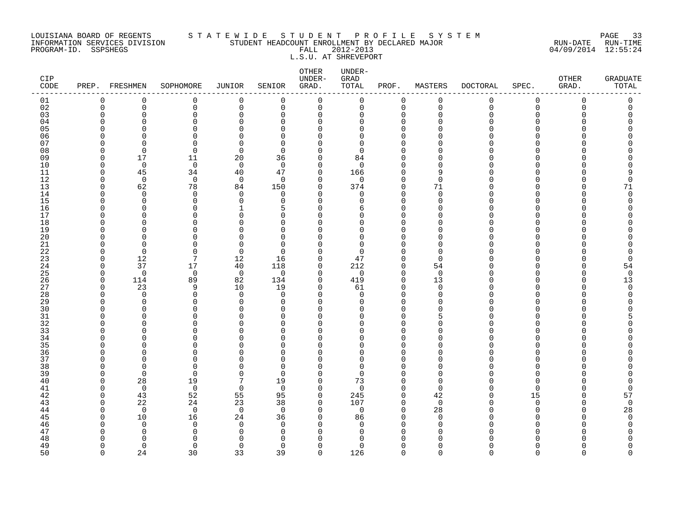### LOUISIANA BOARD OF REGENTS S T A T E W I D E S T U D E N T P R O F I L E S Y S T E M PAGE 33 INFORMATION SERVICES DIVISION STUDENT HEADCOUNT ENROLLMENT BY DECLARED MAJOR RUN-DATE RUN-TIME PROGRAM-ID. SSPSHEGS FALL 2012-2013 04/09/2014 12:55:24 L.S.U. AT SHREVEPORT

| CIP<br>$\texttt{CODE}$ |                          | PREP. FRESHMEN | SOPHOMORE      | <b>JUNIOR</b>        | SENIOR               | ${\small \texttt{OTHER}}$<br>UNDER-<br>GRAD. | UNDER-<br>GRAD<br>TOTAL | PROF.                | MASTERS        | <b>DOCTORAL</b> | SPEC.       | OTHER<br>GRAD. | <b>GRADUATE</b><br>TOTAL |
|------------------------|--------------------------|----------------|----------------|----------------------|----------------------|----------------------------------------------|-------------------------|----------------------|----------------|-----------------|-------------|----------------|--------------------------|
| 01                     | 0                        | 0              | 0              | $\mathbf 0$          | 0                    | 0                                            | 0                       | 0                    | $\mathbf 0$    | 0               | 0           | 0              | 0                        |
| 02                     | $\mathbf 0$              | $\mathbf 0$    | 0              | $\mathbf 0$          | 0                    | $\mathbf 0$                                  | 0                       | $\mathbf 0$          | $\mathbf 0$    | $\mathbf 0$     | $\mathbf 0$ | $\Omega$       | 0                        |
| 03                     | $\Omega$                 | $\Omega$       | 0              | $\mathbf 0$          | 0                    | 0                                            | 0                       | $\Omega$             | $\Omega$       | ∩               | $\Omega$    |                | Λ                        |
| 04                     | $\Omega$                 | n              | 0              | $\Omega$             | $\Omega$             | $\Omega$                                     | $\Omega$                | $\Omega$             |                |                 | ∩           |                |                          |
| 05                     | $\Omega$<br><sup>0</sup> | U<br>O         | 0<br>$\Omega$  | $\Omega$<br>$\Omega$ | $\Omega$<br>O        | $\Omega$<br>$\Omega$                         | O<br>0                  | $\Omega$<br>$\Omega$ |                |                 | ∩           |                |                          |
| 06<br>07               | ∩                        | n              | $\Omega$       | $\Omega$             | $\Omega$             | $\Omega$                                     | 0                       | $\Omega$             |                |                 |             |                |                          |
| 08                     | $\Omega$                 | $\mathbf 0$    | 0              | $\mathbf 0$          | $\Omega$             | 0                                            | 0                       | $\Omega$             |                |                 |             |                |                          |
| 09                     | $\Omega$                 | 17             | 11             | 20                   | 36                   | 0                                            | 84                      | $\Omega$             |                |                 | ∩           |                |                          |
| 10                     | $\Omega$                 | $\mathbf 0$    | $\mathbf 0$    | $\mathbf 0$          | $\Omega$             | 0                                            | $\mathbf 0$             | $\Omega$             |                |                 | ∩           |                |                          |
| 11                     | $\Omega$                 | 45             | 34             | 40                   | 47                   | 0                                            | 166                     | $\Omega$             |                |                 |             |                |                          |
| 12                     | $\Omega$                 | $\mathbf 0$    | $\mathbf 0$    | $\mathbf 0$          | $\Omega$             | 0                                            | 0                       | $\Omega$             | $\Omega$       |                 |             |                | $\Omega$                 |
| 13                     | $\Omega$                 | 62             | 78             | 84                   | 150                  | $\Omega$                                     | 374                     | $\mathbf 0$          | 71             |                 | ∩           |                | 71                       |
| 14                     | $\Omega$                 | $\Omega$       | $\mathbf 0$    | $\Omega$             | $\Omega$             | $\Omega$                                     | 0                       | $\Omega$             | $\Omega$       |                 | ∩           |                | $\Omega$                 |
| 15                     | <sup>0</sup>             | 0              | 0              | $\mathbf 0$          | 0                    | 0                                            | 0                       | $\Omega$             | $\cap$         |                 |             |                | O                        |
| 16                     | $\Omega$                 | 0              | 0              | $\mathbf{1}$         | 5                    | 0                                            | 6                       | $\Omega$             |                |                 |             |                |                          |
| 17                     |                          | O              | $\Omega$       | $\Omega$             | 0                    | $\Omega$                                     | O                       | $\Omega$             |                |                 |             |                |                          |
| 18                     | $\Omega$                 | C              | $\Omega$       | $\Omega$             | $\Omega$             | $\Omega$                                     | 0                       | $\Omega$             |                |                 |             |                |                          |
| 19                     | <sup>0</sup>             | O              | $\Omega$       | $\Omega$             | $\Omega$             | 0                                            | 0                       | $\Omega$             | ∩              |                 | ∩           |                |                          |
| 20                     | $\Omega$                 | $\cap$         | $\Omega$       | $\mathsf{C}$         | $\Omega$             | $\Omega$                                     | 0                       | $\Omega$             |                |                 |             |                |                          |
| 21                     | $\Omega$<br>$\Omega$     | $\Omega$       | 0              | $\Omega$             | $\Omega$<br>$\Omega$ | $\Omega$<br>$\Omega$                         | 0                       | $\Omega$<br>$\Omega$ | n<br>$\cap$    |                 | ∩           |                |                          |
| 22                     |                          | $\Omega$       | 0<br>7         | $\Omega$             |                      |                                              | $\Omega$                |                      | $\Omega$       |                 | ∩           |                |                          |
| 23<br>24               | $\Omega$<br>0            | 12<br>37       | 17             | 12<br>40             | 16<br>118            | $\Omega$                                     | 47<br>212               | $\mathbf 0$<br>0     |                |                 | ∩           |                | C<br>54                  |
| 25                     | $\mathbf 0$              | $\mathbf 0$    | 0              | $\mathbf 0$          | $\Omega$             | 0<br>0                                       | $\mathbf 0$             | $\mathbf 0$          | 54<br>$\Omega$ |                 | ∩           |                | $\mathbf 0$              |
| 26                     | 0                        | 114            | 89             | 82                   | 134                  | 0                                            | 419                     | 0                    | 13             |                 | ∩           |                | 13                       |
| 27                     | $\Omega$                 | 23             | 9              | 10                   | 19                   | $\Omega$                                     | 61                      | $\Omega$             | $\Omega$       |                 |             |                | C                        |
| 28                     | $\Omega$                 | $\mathbf 0$    | 0              | $\mathbf 0$          | $\Omega$             | 0                                            | $\mathbf 0$             | $\Omega$             | $\cap$         |                 | ∩           |                |                          |
| 29                     | $\Omega$                 | $\Omega$       | 0              | $\Omega$             | ∩                    | $\Omega$                                     | 0                       | $\Omega$             |                |                 | ∩           |                |                          |
| 30                     | $\Omega$                 | O              | 0              | $\Omega$             | $\Omega$             | $\Omega$                                     | $\Omega$                | $\Omega$             |                |                 |             |                |                          |
| 31                     | $\Omega$                 | n              | $\Omega$       | $\Omega$             | $\Omega$             | $\Omega$                                     | O                       | $\Omega$             |                |                 | ∩           |                |                          |
| 32                     | $\Omega$                 | O              | $\Omega$       | $\Omega$             | $\Omega$             | $\Omega$                                     | $\Omega$                | $\Omega$             |                |                 |             |                |                          |
| 33                     | <sup>0</sup>             | O              | 0              | $\Omega$             | $\Omega$             | 0                                            | 0                       | $\Omega$             |                |                 | O           |                |                          |
| 34                     | <sup>0</sup>             | O              | $\Omega$       | $\Omega$             | O                    | 0                                            | 0                       | $\Omega$             |                |                 | ∩           |                |                          |
| 35                     | <sup>0</sup>             | C              | $\Omega$       | $\Omega$             | $\Omega$             | $\Omega$                                     | 0                       | $\Omega$             |                |                 |             |                |                          |
| 36                     | ∩                        | O              | $\Omega$       | $\Omega$             | $\Omega$             | $\Omega$                                     | 0                       | $\Omega$             |                |                 | ∩           |                |                          |
| 37                     | <sup>0</sup>             | O              | $\Omega$       | $\Omega$             | $\Omega$             | $\Omega$                                     | 0                       | $\Omega$             | ∩              |                 | ∩           |                |                          |
| 38                     | $\Omega$<br>$\Omega$     | O              | $\Omega$       | $\Omega$             | ∩<br>$\Omega$        | $\Omega$                                     | 0                       | $\Omega$<br>$\Omega$ | O              |                 | ∩<br>∩      |                |                          |
| 39                     | $\Omega$                 | $\Omega$<br>28 | $\Omega$<br>19 | $\Omega$<br>7        |                      | 0<br>$\Omega$                                | 0                       | $\Omega$             | $\cap$         |                 | ∩           |                |                          |
| 40<br>41               | $\Omega$                 | $\mathbf 0$    | $\mathbf 0$    | $\overline{0}$       | 19<br>$\Omega$       | $\Omega$                                     | 73<br>$\Omega$          | $\Omega$             | $\cap$         |                 | ∩           |                | C                        |
| 42                     | 0                        | 43             | 52             | 55                   | 95                   | 0                                            | 245                     | 0                    | 42             |                 | 15          |                | 57                       |
| 43                     | $\Omega$                 | 22             | 24             | 23                   | 38                   | 0                                            | 107                     | $\mathbf 0$          | $\Omega$       |                 | $\Omega$    |                | $\mathbf 0$              |
| 44                     | $\Omega$                 | $\overline{0}$ | 0              | $\mathbf 0$          | $\mathbf 0$          | 0                                            | $\mathbf 0$             | $\mathbf 0$          | 28             |                 | ∩           |                | 28                       |
| 45                     | ∩                        | 10             | 16             | 24                   | 36                   | $\Omega$                                     | 86                      | $\Omega$             | $\cap$         |                 |             |                | C                        |
| 46                     | ∩                        | $\Omega$       | $\mathbf 0$    | $\Omega$             | $\Omega$             | $\Omega$                                     | $\Omega$                | $\Omega$             | $\cap$         |                 | ∩           |                |                          |
| 47                     |                          | n              | 0              | $\Omega$             | $\Omega$             | $\Omega$                                     | 0                       | $\Omega$             |                |                 |             |                |                          |
| 48                     |                          | n              | $\Omega$       | $\Omega$             | $\Omega$             | $\Omega$                                     | 0                       | $\Omega$             |                |                 |             |                |                          |
| 49                     | $\Omega$                 | $\Omega$       | $\Omega$       | $\Omega$             | $\Omega$             | 0                                            | $\Omega$                | 0                    |                |                 | ∩           |                | 0                        |
| 50                     | $\cap$                   | 2.4            | 30             | 33                   | 39                   | $\Omega$                                     | 126                     | $\cap$               |                |                 | ∩           |                | $\cap$                   |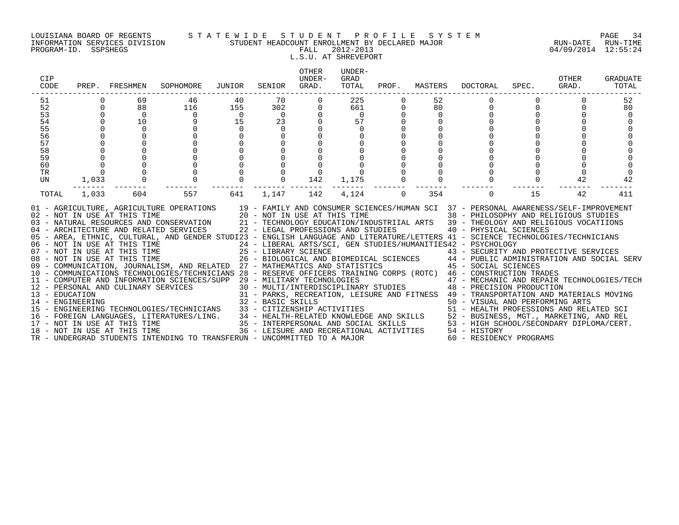### LOUISIANA BOARD OF REGENTS S T A T E W I D E S T U D E N T P R O F I L E S Y S T E M PAGE 34 INFORMATION SERVICES DIVISION STUDENT HEADCOUNT ENROLLMENT BY DECLARED MAJOR RUN-DATE RUN-TIME

# L.S.U. AT SHREVEPORT

| CIP<br>CODE                                                                       |                                                                                                         | PREP. FRESHMEN                                                                                                | SOPHOMORE                                                                                                                                                                                                                                                                                                                                                                                                                                                                                                                                                                                                                                                                                                                                                                                                                                                                                                                                                                                                                                                                                                                                                                                                                                                                                                                                                                       | JUNIOR                                           | SENIOR                                              | <b>OTHER</b><br>UNDER-<br>GRAD. | UNDER-<br>GRAD<br>TOTAL                                 |          | PROF. MASTERS                                   | DOCTORAL                                                          | SPEC.    | OTHER<br>GRAD. | GRADUATE<br>TOTAL          |
|-----------------------------------------------------------------------------------|---------------------------------------------------------------------------------------------------------|---------------------------------------------------------------------------------------------------------------|---------------------------------------------------------------------------------------------------------------------------------------------------------------------------------------------------------------------------------------------------------------------------------------------------------------------------------------------------------------------------------------------------------------------------------------------------------------------------------------------------------------------------------------------------------------------------------------------------------------------------------------------------------------------------------------------------------------------------------------------------------------------------------------------------------------------------------------------------------------------------------------------------------------------------------------------------------------------------------------------------------------------------------------------------------------------------------------------------------------------------------------------------------------------------------------------------------------------------------------------------------------------------------------------------------------------------------------------------------------------------------|--------------------------------------------------|-----------------------------------------------------|---------------------------------|---------------------------------------------------------|----------|-------------------------------------------------|-------------------------------------------------------------------|----------|----------------|----------------------------|
| 51<br>52<br>53<br>$\overline{54}$<br>55<br>56<br>57<br>58<br>59<br>60<br>TR<br>UN | $\Omega$<br>$\Omega$<br>$\mathbf 0$<br>$\mathsf 0$<br>$\mathsf{O}$<br>$\mathbf{0}$<br>$\Omega$<br>1,033 | 69<br>88<br>$\overline{0}$<br>10<br>$\mathbf 0$<br>$\begin{bmatrix} 0 \\ 0 \\ 0 \\ 0 \\ 0 \\ 0 \end{bmatrix}$ | 46<br>116<br>$\Omega$<br>9<br>$\begin{bmatrix} 0 \\ 0 \\ 0 \\ 0 \\ 0 \end{bmatrix}$                                                                                                                                                                                                                                                                                                                                                                                                                                                                                                                                                                                                                                                                                                                                                                                                                                                                                                                                                                                                                                                                                                                                                                                                                                                                                             | 40<br>155<br>$\overline{0}$<br>15<br>$\mathbf 0$ | 70<br>302<br>$\overline{0}$<br>23<br>$\overline{0}$ | 142                             | 225<br>661<br>$\overline{0}$<br>57<br>$\Omega$<br>1,175 |          | 52<br>80<br>$\Omega$<br>$\mathbf 0$<br>$\Omega$ | $\Omega$<br>$\Omega$                                              | $\Omega$ | 42             | 52<br>80<br>$\Omega$<br>42 |
| TOTAL                                                                             | $- - - -$<br>1,033                                                                                      | 604<br>18 - NOT IN USE AT THIS TIME                                                                           | 557<br>01 - AGRICULTURE, AGRICULTURE OPERATIONS 19 - FAMILY AND CONSUMER SCIENCES/HUMAN SCI 37 - PERSONAL AWARENESS/SELF-IMPROVEMENT<br>02 - NOT IN USE AT THIS TIME<br>03 - NATURAL RESOURCES AND CONSERVATION<br>04 - ARCHITECTURE AND RELATED SERVICES<br>04 - ARCHITECTURE AND RELATED SERVICES<br>04 - ARCHITECTURE AND RELATED SERVICES<br>04 - ARCHITECTURE AND RELATED SERVIC<br>05 - AREA, ETHNIC, CULTURAL, AND GENDER STUDI23 - ENGLISH LANGUAGE AND LITERATURE/LETTERS 41 - SCIENCE TECHNOLOGIES/TECHNICIANS<br>06 - NOT IN USE AT THIS TIME<br>07 - NOT IN USE AT THIS TIME<br>25 - LIBRARY SCIENCE<br>26 - BIOLOGICAL AND BIOMEDICAL SCIENCES<br>26 - BIOLOGICAL AND BIOMEDICAL SCIENCES<br>26 - BIOLOGICAL AND BIOMEDICAL SCIENCES<br>26 - BIOLOGICAL A<br>10 - COMMUNICATIONS TECHNOLOGIES/TECHNICIANS 28 - RESERVE OFFICERS TRAINING CORPS (ROTC) 46 - CONSTRUCTION TRADES<br>- CONSTRUCTION TRADES<br>12 - PERSONAL AND CULINARY SERVICES 30 - MULTI/INTERPOLOGIES<br>30 - MULTI/INTERPOLOGIES<br>31 - PARKS, RECREATION, LEISURE AND FITNESS 49 - TRANSFORTION AND REPAIR TECHNOLOGIES/TECH<br>32 - BASIC SKILLS<br><br>14 - ENGINEERING TECHNOLOGIES/TECHNICIANS 32 - BASIC SKILLS<br>15 - ENGINEERING TECHNOLOGIES/TECHNICIANS 33 - CITIZENSHIP ACTIVITIES 50 - VISUAL AND PERFORMING ARTS<br>16 - FOREIGN LANGUAGES, LITERATURES/LING. 34 - HEALTH-RELATE | 641                                              | 1,147                                               | 142                             | --------<br>4,124                                       | $\Omega$ | 354                                             | $\Omega$<br>36 - LEISURE AND RECREATIONAL ACTIVITIES 54 - HISTORY | 15       | 42             | 411                        |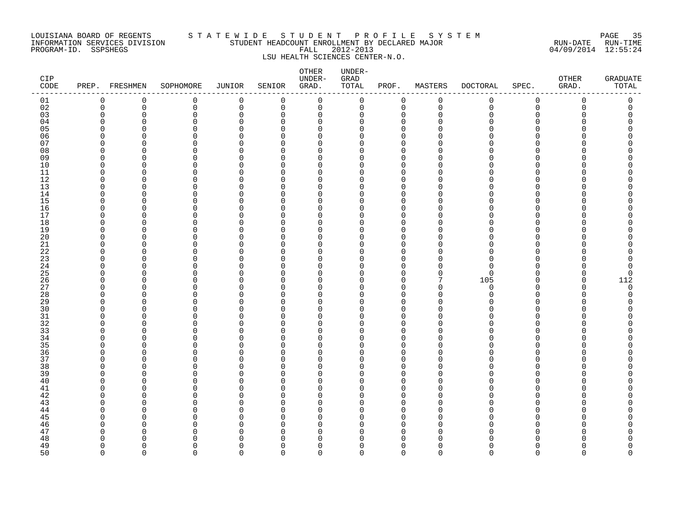### LOUISIANA BOARD OF REGENTS S T A T E W I D E S T U D E N T P R O F I L E S Y S T E M PAGE 35 INFORMATION SERVICES DIVISION STUDENT HEADCOUNT ENROLLMENT BY DECLARED MAJOR RUN-DATE RUN-TIME PROGRAM-ID. SSPSHEGS FALL 2012-2013 04/09/2014 12:55:24 LSU HEALTH SCIENCES CENTER-N.O.

| CIP<br>CODE |                         | PREP. FRESHMEN       | SOPHOMORE            | JUNIOR               | SENIOR                   | OTHER<br>UNDER-<br>GRAD. | UNDER-<br>GRAD<br>TOTAL | PROF.                      | MASTERS       | <b>DOCTORAL</b> | SPEC.                    | OTHER<br>GRAD. | <b>GRADUATE</b><br>TOTAL |
|-------------|-------------------------|----------------------|----------------------|----------------------|--------------------------|--------------------------|-------------------------|----------------------------|---------------|-----------------|--------------------------|----------------|--------------------------|
| 01          | $\mathbf 0$             | 0                    | 0                    | 0                    | 0                        | 0                        | 0                       | 0                          | $\mathbf 0$   | 0               | 0                        | 0              | 0                        |
| 02          | $\mathbf 0$             | 0                    | 0                    | $\mathsf 0$          | $\mathbf 0$              | $\mathbf 0$              | 0                       | $\mathbf 0$                | $\mathbf 0$   | $\mathbf 0$     | 0                        | $\mathbf 0$    | 0                        |
| 03          | $\mathbf 0$             | 0                    | $\mathbf 0$          | $\mathbf 0$          | $\mathbf 0$              | $\mathbf 0$              | 0                       | 0                          | $\Omega$<br>∩ | O               | $\Omega$<br>$\Omega$     | O              | 0                        |
| 04          | $\Omega$<br>$\Omega$    | $\Omega$<br>$\Omega$ | $\Omega$<br>$\Omega$ | $\Omega$<br>$\Omega$ | $\Omega$<br>$\Omega$     | $\Omega$<br>$\Omega$     | 0<br>0                  | $\Omega$<br>$\Omega$       | $\cap$        |                 | $\Omega$                 |                |                          |
| 05<br>06    | 0                       | O                    | 0                    | $\Omega$             | U                        | 0                        | 0                       | $\mathbf 0$                |               |                 | $\Omega$                 |                | Ω                        |
| 07          | $\Omega$                | $\Omega$             | 0                    | $\Omega$             | $\Omega$                 | 0                        | 0                       | $\mathbf 0$                | ∩             |                 | <sup>n</sup>             |                |                          |
| 08          | $\mathbf 0$             | $\Omega$             | 0                    | $\Omega$             | $\Omega$                 | $\mathbf 0$              | 0                       | $\mathbf 0$                | ∩             |                 | $\Omega$                 |                |                          |
| 09          | $\Omega$                | $\Omega$             | $\Omega$             | $\Omega$             | $\Omega$                 | $\Omega$                 | 0                       | $\Omega$                   | O             |                 | $\Omega$                 |                |                          |
| 10          | $\mathbf 0$             | $\Omega$             | 0                    | $\Omega$             | $\Omega$                 | $\mathbf 0$              | 0                       | $\mathbf 0$                | O             |                 | $\Omega$                 |                |                          |
| 11          | $\mathbf 0$             | $\Omega$             | 0                    | $\Omega$             | <sup>0</sup>             | $\mathbf 0$              | 0                       | $\mathbf 0$                | O             |                 | <sup>n</sup>             |                |                          |
| 12          | 0                       | $\Omega$             | $\Omega$             | $\Omega$             | $\Omega$                 | $\Omega$                 | 0                       | 0                          | ∩             |                 | <sup>n</sup>             |                |                          |
| 13<br>14    | $\Omega$<br>$\Omega$    | $\Omega$<br>$\Omega$ | $\Omega$<br>$\Omega$ | $\Omega$<br>$\Omega$ | $\Omega$<br>$\Omega$     | $\Omega$<br>$\Omega$     | 0<br>0                  | $\mathbf 0$<br>$\mathbf 0$ | ∩<br>∩        |                 | $\Omega$<br>$\Omega$     |                |                          |
| 15          | 0                       | $\Omega$             | 0                    | $\Omega$             | $\Omega$                 | $\mathbf 0$              | 0                       | 0                          |               |                 | $\Omega$                 |                |                          |
| 16          | 0                       | O                    | 0                    | $\Omega$             | $\Omega$                 | $\mathbf 0$              | 0                       | 0                          | ∩             |                 | $\Omega$                 |                |                          |
| 17          | $\Omega$                | $\Omega$             | $\Omega$             | $\Omega$             | U                        | $\Omega$                 | 0                       | $\Omega$                   | ∩             |                 | <sup>n</sup>             |                |                          |
| 18          | $\Omega$                | $\Omega$             | $\Omega$             | $\Omega$             | $\Omega$                 | $\Omega$                 | 0                       | $\Omega$                   | $\Omega$      |                 | $\Omega$                 |                |                          |
| 19          | $\mathbf 0$             | $\Omega$             | 0                    | $\Omega$             | $\Omega$                 | $\mathbf 0$              | 0                       | $\mathbf 0$                | O             |                 | $\Omega$                 |                |                          |
| 20          | $\mathbf 0$             | $\Omega$             | $\Omega$             | $\Omega$             | $\Omega$                 | $\mathbf 0$              | 0                       | $\Omega$                   | O             |                 | $\Omega$                 |                |                          |
| 21          | $\mathbf 0$             | $\Omega$             | 0                    | $\Omega$             | <sup>n</sup>             | 0                        | 0                       | $\mathbf 0$                | $\cap$        | ∩               | <sup>n</sup>             |                |                          |
| 22          | $\Omega$                | $\Omega$             | $\Omega$             | $\Omega$             | <sup>n</sup>             | $\Omega$                 | $\Omega$                | $\Omega$                   | ∩             | <sup>n</sup>    | <sup>n</sup>             |                |                          |
| 23<br>24    | $\Omega$<br>$\Omega$    | $\Omega$<br>$\Omega$ | 0<br>0               | $\Omega$<br>0        | $\Omega$<br><sup>0</sup> | $\Omega$<br>$\mathbf 0$  | 0<br>0                  | $\mathbf 0$<br>0           | O<br>O        | U<br>$\Omega$   | $\Omega$<br>$\Omega$     |                | 0                        |
| 25          | $\Omega$                | $\Omega$             | $\Omega$             | 0                    | $\Omega$                 | $\mathbf 0$              | 0                       | $\mathbf 0$                | $\Omega$      | $\Omega$        | $\Omega$                 | O              | $\mathbf 0$              |
| 26          | $\Omega$                | $\Omega$             | $\Omega$             | $\Omega$             | $\Omega$                 | $\Omega$                 | 0                       | $\mathbf 0$                | 7             | 105             | $\Omega$                 | O              | 112                      |
| 27          | $\Omega$                | $\Omega$             | $\Omega$             | $\Omega$             | $\Omega$                 | $\Omega$                 | 0                       | $\mathbf 0$                | $\Omega$      | $\Omega$        | $\Omega$                 | U              | $\Omega$                 |
| 28          | $\mathbf 0$             | $\Omega$             | 0                    | $\Omega$             | $\Omega$                 | $\mathbf 0$              | 0                       | $\mathbf 0$                | $\Omega$      | <sup>n</sup>    | $\Omega$                 | $\Omega$       | $\Omega$                 |
| 29          | 0                       | $\Omega$             | 0                    | 0                    | $\Omega$                 | 0                        | 0                       | 0                          | $\Omega$      |                 | $\Omega$                 | Λ              |                          |
| 30          | 0                       | $\Omega$             | 0                    | $\Omega$             | <sup>n</sup>             | $\Omega$                 | 0                       | $\Omega$                   | $\cap$        |                 | <sup>n</sup>             |                |                          |
| 31          | $\Omega$                | $\Omega$             | $\Omega$             | $\Omega$             | $\Omega$                 | $\Omega$                 | 0                       | $\mathbf 0$                | $\Omega$<br>∩ |                 | $\Omega$                 |                |                          |
| 32<br>33    | $\Omega$<br>$\mathbf 0$ | $\Omega$<br>$\Omega$ | 0<br>0               | $\Omega$<br>0        | <sup>n</sup><br>$\Omega$ | $\Omega$<br>$\mathbf 0$  | 0<br>0                  | $\mathbf 0$<br>$\Omega$    |               |                 | $\Omega$<br>$\Omega$     |                | Ω                        |
| 34          | 0                       | $\Omega$             | 0                    | 0                    | $\Omega$                 | 0                        | 0                       | $\mathbf 0$                | $\Omega$      |                 | $\Omega$                 |                |                          |
| 35          | $\Omega$                | $\Omega$             | $\Omega$             | $\Omega$             | <sup>n</sup>             | $\Omega$                 | 0                       | $\Omega$                   |               |                 | <sup>n</sup>             |                |                          |
| 36          | $\Omega$                | $\Omega$             | 0                    | $\Omega$             | $\Omega$                 | $\mathbf 0$              | 0                       | $\mathbf 0$                | ∩             |                 | $\Omega$                 |                |                          |
| 37          | $\Omega$                | O                    | 0                    | $\Omega$             | $\Omega$                 | $\mathbf 0$              | 0                       | $\mathbf 0$                | O             |                 | $\Omega$                 |                |                          |
| 38          | 0                       | O                    | 0                    | 0                    | $\Omega$                 | 0                        | 0                       | $\mathbf 0$                |               |                 | $\Omega$                 |                |                          |
| 39          | $\Omega$                | $\Omega$             | 0                    | 0                    | $\Omega$                 | $\mathbf 0$              | 0                       | $\mathbf 0$                | O             |                 | <sup>n</sup>             |                |                          |
| 40          | $\Omega$                | $\Omega$             | $\Omega$             | $\Omega$             | $\Omega$                 | $\Omega$                 | 0                       | $\Omega$                   | ∩             |                 | $\Omega$                 |                |                          |
| 41          | $\Omega$                | $\Omega$             | 0                    | O                    | $\Omega$                 | $\Omega$                 | 0                       | $\mathbf 0$                | ∩<br>O        |                 | $\Omega$                 |                |                          |
| 42<br>43    | 0<br>$\Omega$           | O<br>$\Omega$        | 0<br>$\Omega$        | 0<br>$\Omega$        | $\Omega$<br>$\Omega$     | 0<br>$\Omega$            | 0<br>0                  | 0<br>$\Omega$              | ∩             |                 | $\Omega$<br><sup>n</sup> |                |                          |
| 44          | $\Omega$                | $\Omega$             | $\Omega$             | $\Omega$             | $\Omega$                 | $\Omega$                 | 0                       | $\mathbf 0$                | O             |                 | $\Omega$                 |                |                          |
| 45          | $\Omega$                | $\Omega$             | $\Omega$             | $\Omega$             | <sup>n</sup>             | $\Omega$                 | 0                       | $\mathbf 0$                | ∩             |                 | $\Omega$                 |                |                          |
| 46          | $\mathbf 0$             | $\Omega$             | 0                    | 0                    | <sup>n</sup>             | $\mathbf 0$              | 0                       | $\mathbf 0$                | $\Omega$      |                 | $\Omega$                 |                |                          |
| 47          | 0                       | O                    | 0                    | 0                    | $\Omega$                 | 0                        | 0                       | 0                          | $\Omega$      |                 | $\Omega$                 |                |                          |
| 48          | $\Omega$                | ∩                    | U                    | ∩                    | U                        | $\Omega$                 | 0                       | $\Omega$                   |               |                 |                          |                |                          |
| 49          | $\Omega$                | $\Omega$             | 0                    | $\Omega$             | $\Omega$                 | $\Omega$                 | 0                       | $\mathbf 0$                | O             |                 | $\Omega$                 | Λ              | O                        |
| 50          | $\Omega$                | $\Omega$             | $\Omega$             | $\cap$               | $\cap$                   | $\Omega$                 | 0                       | $\Omega$                   | $\Omega$      | $\Omega$        | $\cap$                   | $\cap$         | $\Omega$                 |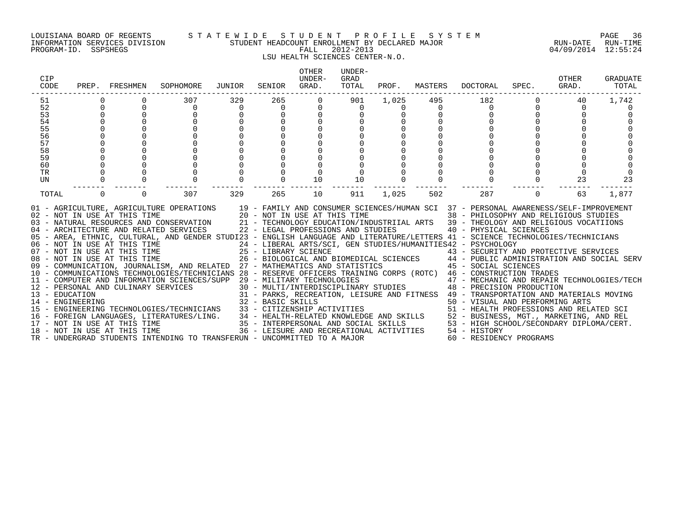### LOUISIANA BOARD OF REGENTS S T A T E W I D E S T U D E N T P R O F I L E S Y S T E M PAGE 36 INFORMATION SERVICES DIVISION STUDENT HEADCOUNT ENROLLMENT BY DECLARED MAJOR RUN-DATE RUN-TIME

## LSU HEALTH SCIENCES CENTER-N.O.

| CIP<br>CODE    |          | PREP. FRESHMEN               | SOPHOMORE                                                                                                                                                                                                                                                                                                                                                                                                                                                                                                                                                                                                                                                                                                                                                                                                                                                                                                                                                                                                                                                                                                                                                                                                                                                                                                                                                                                                                                                                                                                           | JUNIOR         | SENIOR         | OTHER<br>UNDER-<br>GRAD. | UNDER-<br>GRAD<br>TOTAL | PROF.    | MASTERS  | DOCTORAL                                                                                                                                                                                                                                                                                                                                                                                                                                                                                                                                                                                               | SPEC.    | OTHER<br>GRAD. | GRADUATE<br>TOTAL |
|----------------|----------|------------------------------|-------------------------------------------------------------------------------------------------------------------------------------------------------------------------------------------------------------------------------------------------------------------------------------------------------------------------------------------------------------------------------------------------------------------------------------------------------------------------------------------------------------------------------------------------------------------------------------------------------------------------------------------------------------------------------------------------------------------------------------------------------------------------------------------------------------------------------------------------------------------------------------------------------------------------------------------------------------------------------------------------------------------------------------------------------------------------------------------------------------------------------------------------------------------------------------------------------------------------------------------------------------------------------------------------------------------------------------------------------------------------------------------------------------------------------------------------------------------------------------------------------------------------------------|----------------|----------------|--------------------------|-------------------------|----------|----------|--------------------------------------------------------------------------------------------------------------------------------------------------------------------------------------------------------------------------------------------------------------------------------------------------------------------------------------------------------------------------------------------------------------------------------------------------------------------------------------------------------------------------------------------------------------------------------------------------------|----------|----------------|-------------------|
| 51             |          |                              | 307                                                                                                                                                                                                                                                                                                                                                                                                                                                                                                                                                                                                                                                                                                                                                                                                                                                                                                                                                                                                                                                                                                                                                                                                                                                                                                                                                                                                                                                                                                                                 | 329            | 265            | $\Omega$                 | 901                     | 1,025    | 495      | 182                                                                                                                                                                                                                                                                                                                                                                                                                                                                                                                                                                                                    |          | 40             | 1,742             |
| 52             |          |                              | 0                                                                                                                                                                                                                                                                                                                                                                                                                                                                                                                                                                                                                                                                                                                                                                                                                                                                                                                                                                                                                                                                                                                                                                                                                                                                                                                                                                                                                                                                                                                                   | $\overline{0}$ | $\overline{0}$ | 0                        | 0                       | $\Omega$ | $\Omega$ | 0                                                                                                                                                                                                                                                                                                                                                                                                                                                                                                                                                                                                      |          | $\Omega$       |                   |
| 53<br>54       |          |                              |                                                                                                                                                                                                                                                                                                                                                                                                                                                                                                                                                                                                                                                                                                                                                                                                                                                                                                                                                                                                                                                                                                                                                                                                                                                                                                                                                                                                                                                                                                                                     |                |                |                          |                         |          |          |                                                                                                                                                                                                                                                                                                                                                                                                                                                                                                                                                                                                        |          |                |                   |
|                |          |                              |                                                                                                                                                                                                                                                                                                                                                                                                                                                                                                                                                                                                                                                                                                                                                                                                                                                                                                                                                                                                                                                                                                                                                                                                                                                                                                                                                                                                                                                                                                                                     |                |                |                          |                         |          |          |                                                                                                                                                                                                                                                                                                                                                                                                                                                                                                                                                                                                        |          |                |                   |
|                |          |                              |                                                                                                                                                                                                                                                                                                                                                                                                                                                                                                                                                                                                                                                                                                                                                                                                                                                                                                                                                                                                                                                                                                                                                                                                                                                                                                                                                                                                                                                                                                                                     |                |                |                          |                         |          |          |                                                                                                                                                                                                                                                                                                                                                                                                                                                                                                                                                                                                        |          |                |                   |
| 55<br>56<br>57 |          |                              |                                                                                                                                                                                                                                                                                                                                                                                                                                                                                                                                                                                                                                                                                                                                                                                                                                                                                                                                                                                                                                                                                                                                                                                                                                                                                                                                                                                                                                                                                                                                     |                |                |                          |                         |          |          |                                                                                                                                                                                                                                                                                                                                                                                                                                                                                                                                                                                                        |          |                |                   |
|                |          |                              |                                                                                                                                                                                                                                                                                                                                                                                                                                                                                                                                                                                                                                                                                                                                                                                                                                                                                                                                                                                                                                                                                                                                                                                                                                                                                                                                                                                                                                                                                                                                     |                |                |                          |                         |          |          |                                                                                                                                                                                                                                                                                                                                                                                                                                                                                                                                                                                                        |          |                |                   |
| 58<br>59       |          |                              |                                                                                                                                                                                                                                                                                                                                                                                                                                                                                                                                                                                                                                                                                                                                                                                                                                                                                                                                                                                                                                                                                                                                                                                                                                                                                                                                                                                                                                                                                                                                     |                |                |                          |                         |          |          |                                                                                                                                                                                                                                                                                                                                                                                                                                                                                                                                                                                                        |          |                |                   |
|                |          |                              | $\Omega$                                                                                                                                                                                                                                                                                                                                                                                                                                                                                                                                                                                                                                                                                                                                                                                                                                                                                                                                                                                                                                                                                                                                                                                                                                                                                                                                                                                                                                                                                                                            |                |                |                          |                         |          |          |                                                                                                                                                                                                                                                                                                                                                                                                                                                                                                                                                                                                        |          |                |                   |
| 60             |          |                              |                                                                                                                                                                                                                                                                                                                                                                                                                                                                                                                                                                                                                                                                                                                                                                                                                                                                                                                                                                                                                                                                                                                                                                                                                                                                                                                                                                                                                                                                                                                                     |                |                |                          |                         |          |          |                                                                                                                                                                                                                                                                                                                                                                                                                                                                                                                                                                                                        |          |                |                   |
| TR             |          |                              |                                                                                                                                                                                                                                                                                                                                                                                                                                                                                                                                                                                                                                                                                                                                                                                                                                                                                                                                                                                                                                                                                                                                                                                                                                                                                                                                                                                                                                                                                                                                     |                |                |                          |                         |          |          |                                                                                                                                                                                                                                                                                                                                                                                                                                                                                                                                                                                                        |          |                | $\Omega$          |
| <b>UN</b>      |          |                              | $\Omega$                                                                                                                                                                                                                                                                                                                                                                                                                                                                                                                                                                                                                                                                                                                                                                                                                                                                                                                                                                                                                                                                                                                                                                                                                                                                                                                                                                                                                                                                                                                            |                |                | 10                       | 10                      |          |          |                                                                                                                                                                                                                                                                                                                                                                                                                                                                                                                                                                                                        |          | 23             | 23                |
| TOTAL          | $\Omega$ | $\Omega$                     | 307                                                                                                                                                                                                                                                                                                                                                                                                                                                                                                                                                                                                                                                                                                                                                                                                                                                                                                                                                                                                                                                                                                                                                                                                                                                                                                                                                                                                                                                                                                                                 | 329            | 265            | 10                       | 911                     | 1,025    | 502      | 287                                                                                                                                                                                                                                                                                                                                                                                                                                                                                                                                                                                                    | $\Omega$ | 63             | 1,877             |
|                |          | 18 - NOT IN USE AT THIS TIME | 01 - AGRICULTURE, AGRICULTURE OPERATIONS 19 - FAMILY AND CONSUMER SCIENCES/HUMAN SCI 37 - PERSONAL AWARENESS/SELF-IMPROVEMENT<br>02 - NOT IN USE AT THIS TIME 20 - NOT IN USE AT THIS TIME 38 - PHILOSOPHY AND RELIGIOUS STUDIES<br>03 - NATURAL RESOURCES AND CONSERVATION 21 - TECHNOLOGY EDUCATION/INDUSTRIIAL ARTS 39 - THEOLOGY AND RELIGIOUS VOCATIIONS<br>04 - ARCHITECTURE AND RELATED SERVICES 22 - LEGAL PROFESSIONS AND STUDIES 40 - PHYSICAL SCIENCES<br>05 - AREA, ETHNIC, CULTURAL, AND GENDER STUDI23 - ENGLISH LANGUAGE AND LITERATURE/LETTERS 41 - SCIENCE TECHNOLOGIES/TECHNICIANS<br>06 - NOT IN USE AT THIS TIME<br>07 - NOT IN USE AT THIS TIME<br>08 - NOT IN USE AT THIS TIME<br>09 - COMMUNICATION, JOURNALISM, AND RELATED 27 - MATHEMATICS AND STATISTICS<br>10 - COMMUNICATIONS TECHNOLOGIES/TECHNICIANS 28 - RESERVE OFFICERS TRAINING CORPS (ROTC) 46 - CONSTRUCTION TRADES<br>11 - COMPUTER AND INFORMATION SCIENCES/SUPP 29 - MILITARY TECHNOLOGIES<br>11 - COMPUTER AND INFORMATION<br>12 - PERSONAL AND CULINARY SERVICES<br>13 - EDUCATION<br>14 - ENGINEERING<br>14 - ENGINEERING<br>22 - BASIC SKILLS<br>15 - ENGINEERING TECHNOLOGIES/TECHNICIANS 33 - CITIZENSHIP ACTIVITIES<br>16 - FOREIGN LANGUAGES, LITERATURES/LING. 34 - HEALTH-RELATED KNOWLEDGE AND SKILLS 52 - BUSINESS, MGT., MARKETING, AND REL<br>17 - NOT IN USE AT THIS TIME TIME 35 - INTERPERSONAL AND SOCIAL SKILLS 53 - HIGH SCHOOL/SECONDARY D<br>TR - UNDERGRAD STUDENTS INTENDING TO TRANSFERUN - UNCOMMITTED TO A MAJOR |                |                |                          |                         |          |          | 24 - LIBERAL ARTS/SCI, GEN STUDIES/HUMANITIES42 - PSYCHOLOGY<br>25 - LIBRARY SCIENCE († 1888)<br>26 - BIOLOGICAL AND BIOMEDICAL SCIENCES († 1888)<br>27 - MATHEMATICS AND STATISTICS († 1888)<br>27 - MATHEMATICS AND STATISTICS († 1888)<br>29 - MILITARY TECHNOLOGIES<br>30 - MULTI/INTERDISCIPLINARY STUDIES<br>48 - PRECISION PRODUCTION<br>31 - PARKS, RECREATION, LEISURE AND FITNESS 49 - TRANSPORTATION AND MATERIALS MOVING<br>50 - VISUAL AND PERFORMING ARTS<br>51 - HEALTH PROFESSIONS AND RELATED SCI<br>36 - LEISURE AND RECREATIONAL ACTIVITIES 54 - HISTORY<br>60 - RESIDENCY PROGRAMS |          |                |                   |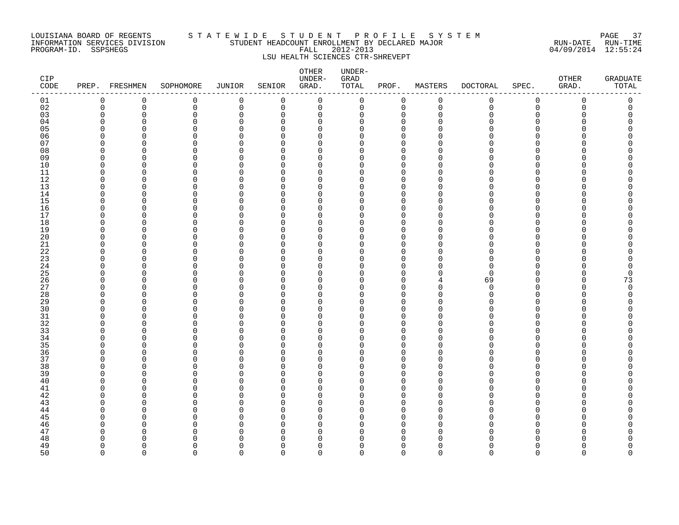#### LOUISIANA BOARD OF REGENTS S T A T E W I D E S T U D E N T P R O F I L E S Y S T E M PAGE 37 INFORMATION SERVICES DIVISION STUDENT HEADCOUNT ENROLLMENT BY DECLARED MAJOR RUN-DATE RUN-TIME PROGRAM-ID. SSPSHEGS FALL 2012-2013 04/09/2014 12:55:24 LSU HEALTH SCIENCES CTR-SHREVEPT

#### OTHER UNDER-CIP UNDER- GRAD OTHER GRADUATE CODE PREP. FRESHMEN SOPHOMORE JUNIOR SENIOR GRAD. TOTAL PROF. MASTERS DOCTORAL SPEC. GRAD. TOTAL ------------------------------------------------------------------------------------------------------------------------------------ 01 0 0 0 0 0 0 0 0 0 0 0 0 0 02 0 0 0 0 0 0 0 0 0 0 0 0 0 03 0 0 0 0 0 0 0 0 0 0 0 0 0 04 0 0 0 0 0 0 0 0 0 0 0 0 0 05 0 0 0 0 0 0 0 0 0 0 0 0 0 06 0 0 0 0 0 0 0 0 0 0 0 0 0 07 0 0 0 0 0 0 0 0 0 0 0 0 0 08 0 0 0 0 0 0 0 0 0 0 0 0 0 09 0 0 0 0 0 0 0 0 0 0 0 0 0 10 0 0 0 0 0 0 0 0 0 0 0 0 0 11 0 0 0 0 0 0 0 0 0 0 0 0 0 12 0 0 0 0 0 0 0 0 0 0 0 0 0 0 0 13 0 0 0 0 0 0 0 0 0 0 0 0 0 14 0 0 0 0 0 0 0 0 0 0 0 0 0 0 0 0 15 0 0 0 0 0 0 0 0 0 0 0 0 0 0 0 16 0 0 0 0 0 0 0 0 0 0 0 0 0 17 0 0 0 0 0 0 0 0 0 0 0 0 0 18 0 0 0 0 0 0 0 0 0 0 0 0 0 19 0 0 0 0 0 0 0 0 0 0 0 0 0 20 0 0 0 0 0 0 0 0 0 0 0 0 0 21 0 0 0 0 0 0 0 0 0 0 0 0 0 22 0 0 0 0 0 0 0 0 0 0 0 0 0 23 0 0 0 0 0 0 0 0 0 0 0 0 0 24 0 0 0 0 0 0 0 0 0 0 0 0 0 0 0 25 0 0 0 0 0 0 0 0 0 0 0 0 0 0 26 0 0 0 0 0 0 0 0 4 69 0 0 73 27 0 0 0 0 0 0 0 0 0 0 0 0 0 28 0 0 0 0 0 0 0 0 0 0 0 0 0 29 0 0 0 0 0 0 0 0 0 0 0 0 0 30 0 0 0 0 0 0 0 0 0 0 0 0 0 31 0 0 0 0 0 0 0 0 0 0 0 0 0 32 0 0 0 0 0 0 0 0 0 0 0 0 0 33 0 0 0 0 0 0 0 0 0 0 0 0 0 34 0 0 0 0 0 0 0 0 0 0 0 0 0 35 0 0 0 0 0 0 0 0 0 0 0 0 0 36 0 0 0 0 0 0 0 0 0 0 0 0 0 37 0 0 0 0 0 0 0 0 0 0 0 0 0 38 0 0 0 0 0 0 0 0 0 0 0 0 0 39 0 0 0 0 0 0 0 0 0 0 0 0 0 40 0 0 0 0 0 0 0 0 0 0 0 0 0 41 0 0 0 0 0 0 0 0 0 0 0 0 0 0 0 42 0 0 0 0 0 0 0 0 0 0 0 0 0 0 0 43 0 0 0 0 0 0 0 0 0 0 0 0 0 0 0 0 44 0 0 0 0 0 0 0 0 0 0 0 0 0 0 0 0 45 0 0 0 0 0 0 0 0 0 0 0 0 0 0 0 46 0 0 0 0 0 0 0 0 0 0 0 0 0 0 0 0 47 0 0 0 0 0 0 0 0 0 0 0 0 0 0 0 48 0 0 0 0 0 0 0 0 0 0 0 0 0 49 0 0 0 0 0 0 0 0 0 0 0 0 0 0 0 0 50 0 0 0 0 0 0 0 0 0 0 0 0 0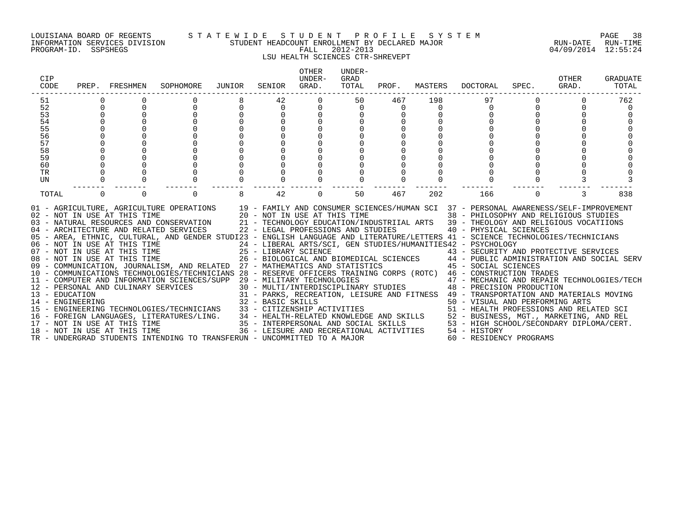#### LOUISIANA BOARD OF REGENTS S T A T E W I D E S T U D E N T P R O F I L E S Y S T E M PAGE 38 INFORMATION SERVICES DIVISION STUDENT HEADCOUNT ENROLLMENT BY DECLARED MAJOR RUN-DATE RUN-TIME

LSU HEALTH SCIENCES CTR-SHREVEPT

| CIP<br>CODE |          | PREP. FRESHMEN               | SOPHOMORE                                                                                                                                                                                                                                                                                  | JUNIOR | SENIOR | OTHER<br>UNDER-<br>GRAD. | UNDER-<br>GRAD<br>TOTAL | PROF. | MASTERS | DOCTORAL                                                                                                                                                                                   | SPEC.    | OTHER<br>GRAD. | <b>GRADUATE</b><br>TOTAL |
|-------------|----------|------------------------------|--------------------------------------------------------------------------------------------------------------------------------------------------------------------------------------------------------------------------------------------------------------------------------------------|--------|--------|--------------------------|-------------------------|-------|---------|--------------------------------------------------------------------------------------------------------------------------------------------------------------------------------------------|----------|----------------|--------------------------|
| 51          |          |                              |                                                                                                                                                                                                                                                                                            |        | 42     |                          | 50                      | 467   | 198     | 97                                                                                                                                                                                         |          |                | 762                      |
| 52          |          |                              | 0                                                                                                                                                                                                                                                                                          |        | 0      |                          | 0                       | 0     |         |                                                                                                                                                                                            | 0        |                |                          |
| 53          |          |                              |                                                                                                                                                                                                                                                                                            |        |        |                          |                         |       |         |                                                                                                                                                                                            |          |                |                          |
| 54          |          |                              |                                                                                                                                                                                                                                                                                            |        |        |                          |                         |       |         |                                                                                                                                                                                            |          |                |                          |
| 55<br>56    |          |                              |                                                                                                                                                                                                                                                                                            |        |        |                          |                         |       |         |                                                                                                                                                                                            |          |                |                          |
|             |          |                              |                                                                                                                                                                                                                                                                                            |        |        |                          |                         |       |         |                                                                                                                                                                                            |          |                |                          |
| 57          |          |                              |                                                                                                                                                                                                                                                                                            |        |        |                          |                         |       |         |                                                                                                                                                                                            |          |                |                          |
| 58          |          |                              |                                                                                                                                                                                                                                                                                            |        |        |                          |                         |       |         |                                                                                                                                                                                            |          |                |                          |
| 59          |          |                              |                                                                                                                                                                                                                                                                                            |        |        |                          |                         |       |         |                                                                                                                                                                                            |          |                |                          |
| 60          |          |                              |                                                                                                                                                                                                                                                                                            |        |        |                          |                         |       |         |                                                                                                                                                                                            |          |                |                          |
| TR          |          |                              |                                                                                                                                                                                                                                                                                            |        |        |                          |                         |       |         |                                                                                                                                                                                            |          |                |                          |
| UN          |          |                              |                                                                                                                                                                                                                                                                                            |        |        |                          |                         |       |         |                                                                                                                                                                                            |          |                |                          |
| TOTAL       | $\Omega$ |                              | $\Omega$                                                                                                                                                                                                                                                                                   |        | 42     | $\Omega$                 | 50                      | 467   | 202     | 166                                                                                                                                                                                        | $\Omega$ |                | 838                      |
|             |          | 02 - NOT IN USE AT THIS TIME | 01 - AGRICULTURE, AGRICULTURE OPERATIONS 19 - FAMILY AND CONSUMER SCIENCES/HUMAN SCI 37 - PERSONAL AWARENESS/SELF-IMPROVEMENT<br>20 - NOT IN USE AT THIS TIME<br>03 - NATURAL RESOURCES AND CONSERVATION 21 - TECHNOLOGY EDUCATION/INDUSTRIIAL ARTS 39 - THEOLOGY AND RELIGIOUS VOCATIIONS |        |        |                          |                         |       |         | 38 - PHILOSOPHY AND RELIGIOUS STUDIES                                                                                                                                                      |          |                |                          |
|             |          |                              | 04 - ARCHITECTURE AND RELATED SERVICES 22 - LEGAL PROFESSIONS AND STUDIES 40 - PHYSICAL SCIENCES                                                                                                                                                                                           |        |        |                          |                         |       |         |                                                                                                                                                                                            |          |                |                          |
|             |          |                              | 05 - AREA, ETHNIC, CULTURAL, AND GENDER STUDI23 - ENGLISH LANGUAGE AND LITERATURE/LETTERS 41 - SCIENCE TECHNOLOGIES/TECHNICIANS                                                                                                                                                            |        |        |                          |                         |       |         |                                                                                                                                                                                            |          |                |                          |
|             |          |                              | 06 – NOT IN USE AT THIS TIME                         24 – LIBERAL ARTS/SCI, GEN STUDIES/HUMANITIES42 – PSYCHOLOGY<br>07 – NOT IN USE AT THIS TIME                  25 – LIBRARY SCIENCE                      43 – SECURITY AN                                                              |        |        |                          |                         |       |         |                                                                                                                                                                                            |          |                |                          |
|             |          |                              |                                                                                                                                                                                                                                                                                            |        |        |                          |                         |       |         | 25 - LIBRARY SCIENCE                                     43 - SECURITY AND PROTECTIVE SERVICES<br>26 - BIOLOGICAL AND BIOMEDICAL SCIENCES       44 - PUBLIC ADMINISTRATION AND SOCIAL SERV |          |                |                          |
|             |          | 08 - NOT IN USE AT THIS TIME | 09 - COMMUNICATION, JOURNALISM, AND RELATED 27 - MATHEMATICS AND STATISTICS 45 - SOCIAL SCIENCES                                                                                                                                                                                           |        |        |                          |                         |       |         |                                                                                                                                                                                            |          |                |                          |
|             |          |                              | 10 - COMMUNICATIONS TECHNOLOGIES/TECHNICIANS 28 - RESERVE OFFICERS TRAINING CORPS (ROTC) 46 - CONSTRUCTION TRADES                                                                                                                                                                          |        |        |                          |                         |       |         |                                                                                                                                                                                            |          |                |                          |
|             |          |                              |                                                                                                                                                                                                                                                                                            |        |        |                          |                         |       |         |                                                                                                                                                                                            |          |                |                          |
|             |          |                              |                                                                                                                                                                                                                                                                                            |        |        |                          |                         |       |         |                                                                                                                                                                                            |          |                |                          |
|             |          |                              |                                                                                                                                                                                                                                                                                            |        |        |                          |                         |       |         |                                                                                                                                                                                            |          |                |                          |
|             |          |                              |                                                                                                                                                                                                                                                                                            |        |        |                          |                         |       |         |                                                                                                                                                                                            |          |                |                          |
|             |          |                              |                                                                                                                                                                                                                                                                                            |        |        |                          |                         |       |         |                                                                                                                                                                                            |          |                |                          |
|             |          |                              |                                                                                                                                                                                                                                                                                            |        |        |                          |                         |       |         |                                                                                                                                                                                            |          |                |                          |
|             |          |                              |                                                                                                                                                                                                                                                                                            |        |        |                          |                         |       |         |                                                                                                                                                                                            |          |                |                          |
|             |          |                              |                                                                                                                                                                                                                                                                                            |        |        |                          |                         |       |         |                                                                                                                                                                                            |          |                |                          |
|             |          |                              | TR - UNDERGRAD STUDENTS INTENDING TO TRANSFERUN - UNCOMMITTED TO A MAJOR                                                                                                                                                                                                                   |        |        |                          |                         |       |         | 60 - RESIDENCY PROGRAMS                                                                                                                                                                    |          |                |                          |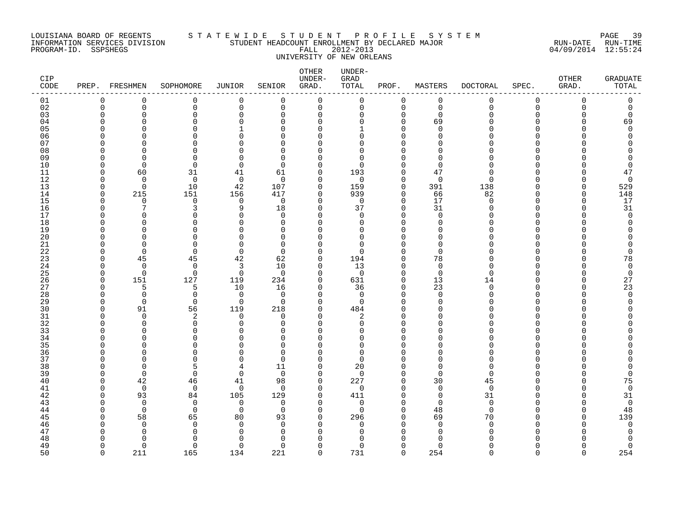#### LOUISIANA BOARD OF REGENTS S T A T E W I D E S T U D E N T P R O F I L E S Y S T E M PAGE 39 INFORMATION SERVICES DIVISION STUDENT HEADCOUNT ENROLLMENT BY DECLARED MAJOR RUN-DATE RUN-TIME PROGRAM-ID. SSPSHEGS FALL 2012-2013 04/09/2014 12:55:24 UNIVERSITY OF NEW ORLEANS

| CIP<br>$\texttt{CODE}$ |                      | PREP. FRESHMEN       | SOPHOMORE               | JUNIOR               | SENIOR        | OTHER<br>UNDER-<br>GRAD. | UNDER-<br>GRAD<br>TOTAL | PROF.                | MASTERS           | <b>DOCTORAL</b>      | SPEC.                    | <b>OTHER</b><br>GRAD. | <b>GRADUATE</b><br>$\mathtt{TOTAL}$ |
|------------------------|----------------------|----------------------|-------------------------|----------------------|---------------|--------------------------|-------------------------|----------------------|-------------------|----------------------|--------------------------|-----------------------|-------------------------------------|
| 01                     | 0                    | $\Omega$             | 0                       | 0                    | $\mathbf 0$   | 0                        | 0                       | 0                    | 0                 | $\mathbf 0$          | 0                        | $\Omega$              | 0                                   |
| 02                     | $\mathbf 0$          | $\mathbf 0$          | 0                       | $\mathbf 0$          | $\mathbf 0$   | 0                        | 0                       | $\mathbf 0$          | $\mathbf 0$       | $\overline{0}$       | $\mathbf 0$              | $\Omega$              | 0                                   |
| 03                     | O<br>C               | 0<br>U               | $\Omega$<br>∩           | $\Omega$<br>∩        | $\Omega$      | $\Omega$<br>$\Omega$     | 0<br>O                  | 0                    | $\mathbf 0$       |                      | <sup>n</sup><br>n        |                       | 0                                   |
| 04<br>05               |                      |                      | $\Omega$                |                      | O<br>∩        | $\Omega$                 |                         | 0<br>$\Omega$        | 69<br>$\cap$      |                      |                          |                       | 69<br>$\Omega$                      |
| 06                     |                      |                      | $\Omega$                |                      |               | U                        | O                       | $\Omega$             | n                 |                      |                          |                       | Ω                                   |
| 07                     |                      |                      | ∩                       |                      | ∩             | Λ                        | U                       |                      |                   |                      |                          |                       |                                     |
| 08                     |                      | U                    | ∩                       |                      | O             |                          | $\Omega$                |                      | n                 |                      |                          |                       |                                     |
| 09                     | U                    | U                    | 0                       | C                    | O             | Ω                        | 0                       | <sup>0</sup>         | $\Omega$          |                      | U                        |                       |                                     |
| 10                     | O                    | $\Omega$             | $\Omega$                | $\Omega$             | ∩             | $\Omega$                 | $\Omega$                | $\Omega$             | $\Omega$          |                      |                          |                       | $\Omega$                            |
| 11                     | O                    | 60                   | 31                      | 41                   | 61            | $\Omega$                 | 193                     | $\mathbf 0$          | 47                |                      | U                        |                       | 47                                  |
| 12                     | U                    | $\Omega$             | $\Omega$                | $\Omega$             | $\Omega$      | $\Omega$                 | $\Omega$                | $\Omega$             | $\Omega$          | ∩                    | n                        |                       | $\mathbf 0$                         |
| 13<br>14               | $\Omega$<br>$\Omega$ | $\mathbf 0$<br>215   | 10<br>151               | 42<br>156            | 107<br>417    | $\Omega$<br>0            | 159<br>939              | $\mathbf 0$<br>0     | 391<br>66         | 138<br>82            | $\Omega$<br><sup>n</sup> | O<br>O                | 529<br>148                          |
| 15                     | U                    | $\Omega$             | 0                       | $\mathbf 0$          | $\Omega$      | $\Omega$                 | $\Omega$                | $\Omega$             | 17                | ∩                    | U                        |                       | 17                                  |
| 16                     | ſ                    |                      | 3                       | 9                    | 18            | $\Omega$                 | 37                      | $\Omega$             | 31                |                      | U                        |                       | 31                                  |
| 17                     |                      | U                    | $\Omega$                | C                    | ∩             | $\Omega$                 | $\Omega$                | $\Omega$             | $\Omega$          |                      | <sup>n</sup>             |                       | $\Omega$                            |
| 18                     |                      | O                    | $\Omega$                | C                    | $\Omega$      | U                        | 0                       | $\Omega$             | $\Omega$          |                      | $\Omega$                 |                       |                                     |
| 19                     |                      |                      | $\Omega$                |                      | O             |                          | $\Omega$                | <sup>0</sup>         | n                 |                      | <sup>n</sup>             |                       |                                     |
| 20                     |                      | U                    | $\Omega$                |                      | $\Omega$      |                          | $\Omega$                |                      | U                 |                      | <sup>n</sup>             |                       |                                     |
| 21                     |                      | $\Omega$             | $\Omega$                | ∩                    | $\Omega$      | $\Omega$                 | $\Omega$                | $\Omega$             | $\Omega$          |                      | n                        |                       | O                                   |
| 22                     | U                    | $\Omega$             | $\Omega$                | $\Omega$             | $\Omega$      | $\Omega$                 | $\Omega$                | $\Omega$             | $\Omega$          |                      | <sup>n</sup>             |                       | $\Omega$                            |
| 23<br>24               | U<br>n               | 45<br>$\mathbf 0$    | 45<br>$\mathbf 0$       | 42<br>3              | 62<br>10      | $\Omega$<br>$\Omega$     | 194<br>13               | $\Omega$<br>$\Omega$ | 78<br>$\mathbf 0$ | N                    | U<br><sup>n</sup>        |                       | 78<br>0                             |
| 25                     | n                    | $\Omega$             | $\mathbf 0$             | 0                    | $\Omega$      | $\Omega$                 | 0                       | $\Omega$             | $\Omega$          | ∩                    | n                        |                       | 0                                   |
| 26                     | $\Omega$             | 151                  | 127                     | 119                  | 234           | $\Omega$                 | 631                     | $\mathbf 0$          | 13                | 14                   | U                        |                       | 27                                  |
| 27                     | n                    |                      | 5                       | 10                   | 16            | $\Omega$                 | 36                      | $\mathbf 0$          | 23                | $\Omega$             | <sup>n</sup>             |                       | 23                                  |
| 28                     | U                    | $\Omega$             | $\mathbf 0$             | $\Omega$             | $\Omega$      | $\Omega$                 | $\mathbf 0$             | $\Omega$             | $\Omega$          | Λ                    | U                        |                       | $\overline{0}$                      |
| 29                     | O                    | $\mathbf 0$          | $\mathbf 0$             | $\mathbf 0$          | $\Omega$      | $\Omega$                 | 0                       | $\Omega$             | $\Omega$          |                      | <sup>n</sup>             |                       | O                                   |
| 30                     | n                    | 91                   | 56                      | 119                  | 218           | $\Omega$                 | 484                     | $\Omega$             | n                 |                      |                          |                       |                                     |
| 31                     | U                    | $\Omega$             | 2                       | 0                    | $\Omega$      | $\Omega$                 | 2                       | $\Omega$             | U                 |                      | $\Omega$                 |                       |                                     |
| 32                     |                      | $\Omega$             | $\Omega$                | ∩                    | ∩             | $\Omega$                 | 0                       | $\Omega$             | ∩                 |                      |                          |                       |                                     |
| 33<br>34               |                      | U<br>U               | $\Omega$<br>$\Omega$    |                      | ∩<br>∩        | U<br>Λ                   | <sup>n</sup><br>0       | $\Omega$<br>$\Omega$ | ∩                 |                      | U                        |                       |                                     |
| 35                     |                      |                      | ∩                       |                      | O             |                          | $\Omega$                |                      |                   |                      |                          |                       |                                     |
| 36                     | C                    | O                    | $\Omega$                |                      | O             | O                        | 0                       | $\Omega$             | n                 |                      | U                        |                       |                                     |
| 37                     |                      | U                    | $\Omega$                |                      | ∩             | $\Omega$                 | $\Omega$                | $\Omega$             | $\Omega$          |                      | U                        |                       |                                     |
| 38                     | U                    | $\Omega$             | 5                       |                      | 11            | 0                        | 20                      | $\Omega$             | $\Omega$          |                      | n                        |                       |                                     |
| 39                     | n                    | $\Omega$             | $\Omega$                | $\mathbf 0$          | $\Omega$      | $\Omega$                 | $\mathbf 0$             | $\Omega$             | $\Omega$          | ∩                    | U                        |                       | $\Omega$                            |
| 40                     | O                    | 42                   | 46                      | 41                   | 98            | $\Omega$                 | 227                     | $\mathbf 0$          | 30                | 45                   | U                        |                       | 75                                  |
| 41                     | n                    | $\Omega$             | 0                       | $\mathbf 0$          | $\Omega$      | $\Omega$                 | 0                       | $\Omega$             | $\mathbf 0$       | $\mathbf 0$          | U                        |                       | $\mathbf 0$                         |
| 42                     | O                    | 93                   | 84                      | 105                  | 129           | $\Omega$                 | 411                     | $\Omega$             | $\mathbf 0$       | 31                   | <sup>n</sup>             |                       | 31                                  |
| 43<br>44               | U<br>n               | $\Omega$<br>$\Omega$ | $\mathbf 0$<br>$\Omega$ | $\Omega$<br>$\Omega$ | ∩<br>$\Omega$ | $\Omega$<br>$\Omega$     | $\Omega$<br>$\Omega$    | $\Omega$<br>$\Omega$ | $\Omega$<br>48    | $\Omega$<br>$\Omega$ | <sup>n</sup>             |                       | $\mathbf 0$<br>48                   |
| 45                     | C                    | 58                   | 65                      | 80                   | 93            | $\Omega$                 | 296                     | $\Omega$             | 69                | 70                   | <sup>n</sup>             |                       | 139                                 |
| 46                     |                      | $\Omega$             | 0                       | $\Omega$             | $\Omega$      | $\Omega$                 | 0                       | $\Omega$             | $\Omega$          | $\Omega$             | n                        |                       | $\mathbf 0$                         |
| 47                     |                      | O                    | 0                       | C                    | O             |                          | <sup>0</sup>            | $\Omega$             | $\cap$            |                      |                          |                       |                                     |
| 48                     |                      |                      | ∩                       |                      |               |                          |                         |                      |                   |                      |                          |                       |                                     |
| 49                     | O                    | $\Omega$             | $\Omega$                | $\Omega$             | $\Omega$      | U                        | U                       | $\Omega$             | $\Omega$          |                      | <sup>n</sup>             |                       | $\Omega$                            |
| 50                     | $\Omega$             | 211                  | 165                     | 134                  | 221           | $\Omega$                 | 731                     | $\Omega$             | 254               | $\Omega$             | $\Omega$                 | $\cap$                | 254                                 |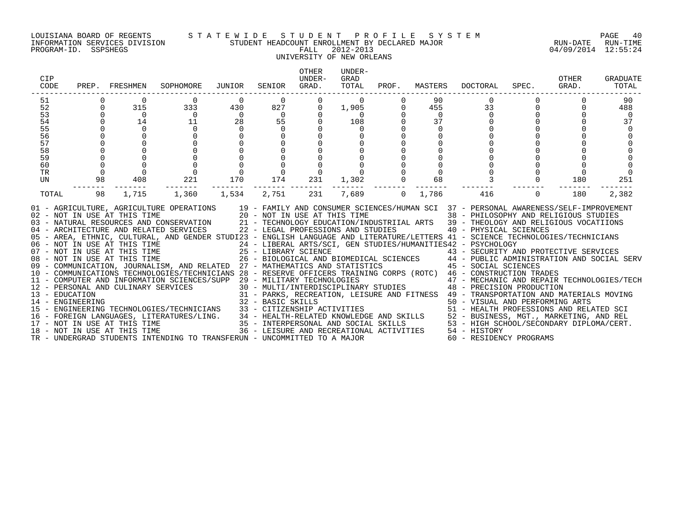#### LOUISIANA BOARD OF REGENTS S T A T E W I D E S T U D E N T P R O F I L E S Y S T E M PAGE 40 INFORMATION SERVICES DIVISION STUDENT HEADCOUNT ENROLLMENT BY DECLARED MAJOR RUN-DATE RUN-TIME

# UNIVERSITY OF NEW ORLEANS

| CIP<br>CODE                                                    | PREP.                                                               | FRESHMEN                                                           | SOPHOMORE                                                                                                                                                                                                                                                                                                                                                                                                                                                                                                                                                                                                                                                                                                                                                                                                                                                                                                                                                                                                                                                                                                                                                                                                                                                     | JUNIOR                                  | SENIOR                                                                      | <b>OTHER</b><br>UNDER-<br>GRAD.                 | UNDER-<br>GRAD<br>TOTAL                              | PROF.    | MASTERS                                                | DOCTORAL                                                                                                                                                                                                                                                                                                                                                                                                                                                                                                                                                                                                                            | SPEC.    | OTHER<br>GRAD. | GRADUATE<br>TOTAL                       |
|----------------------------------------------------------------|---------------------------------------------------------------------|--------------------------------------------------------------------|---------------------------------------------------------------------------------------------------------------------------------------------------------------------------------------------------------------------------------------------------------------------------------------------------------------------------------------------------------------------------------------------------------------------------------------------------------------------------------------------------------------------------------------------------------------------------------------------------------------------------------------------------------------------------------------------------------------------------------------------------------------------------------------------------------------------------------------------------------------------------------------------------------------------------------------------------------------------------------------------------------------------------------------------------------------------------------------------------------------------------------------------------------------------------------------------------------------------------------------------------------------|-----------------------------------------|-----------------------------------------------------------------------------|-------------------------------------------------|------------------------------------------------------|----------|--------------------------------------------------------|-------------------------------------------------------------------------------------------------------------------------------------------------------------------------------------------------------------------------------------------------------------------------------------------------------------------------------------------------------------------------------------------------------------------------------------------------------------------------------------------------------------------------------------------------------------------------------------------------------------------------------------|----------|----------------|-----------------------------------------|
| 51<br>52<br>53<br>54<br>55<br>56<br>57<br>58<br>59<br>60<br>TR | $\Omega$<br>$\Omega$<br>$\Omega$<br>$\Omega$<br>0<br>$\overline{0}$ | 315<br>$\overline{0}$<br>14<br>$\Omega$<br>$\mathbf 0$<br>$\Omega$ | 0<br>333<br>$\overline{0}$<br>11<br>$\Omega$                                                                                                                                                                                                                                                                                                                                                                                                                                                                                                                                                                                                                                                                                                                                                                                                                                                                                                                                                                                                                                                                                                                                                                                                                  | 430<br>$\overline{0}$<br>28<br>$\Omega$ | $\Omega$<br>827<br>$\overline{0}$<br>55<br>$\Omega$<br>$\Omega$<br>$\Omega$ | $\Omega$<br>$\Omega$<br>$\Omega$<br>$\mathbf 0$ | $\mathbf 0$<br>1,905<br>$\bigcap$<br>108<br>$\Omega$ | $\Omega$ | 90<br>455<br>$\Omega$<br>37<br>$\Omega$<br>$\mathbf 0$ | 0<br>33<br>$\Omega$                                                                                                                                                                                                                                                                                                                                                                                                                                                                                                                                                                                                                 |          | $\mathbf 0$    | 90<br>488<br>$\Omega$<br>37<br>$\Omega$ |
| UN<br>TOTAL                                                    | 98<br>98                                                            | 408<br>1,715                                                       | 221<br>1,360                                                                                                                                                                                                                                                                                                                                                                                                                                                                                                                                                                                                                                                                                                                                                                                                                                                                                                                                                                                                                                                                                                                                                                                                                                                  | 170<br>1,534                            | 174<br>2,751                                                                | 231<br>231                                      | 1,302<br>7,689                                       | $\Omega$ | 68<br>1,786                                            | 416                                                                                                                                                                                                                                                                                                                                                                                                                                                                                                                                                                                                                                 | $\Omega$ | 180<br>180     | 251<br>2,382                            |
|                                                                |                                                                     | 18 - NOT IN USE AT THIS TIME                                       | 01 - AGRICULTURE, AGRICULTURE OPERATIONS<br>02 - NOT IN USE AT THIS TIME $20 - NOT$ IN USE AT THIS TIME $03 - NATURAL$ RESOURCES AND CONSERVATION $21 - TECHNOLOGY$ EDUCATION/INI<br>04 - ARCHITECTURE AND RELATED SERVICES<br>05 - AREA, ETHNIC, CULTURAL, AND GENDER STUDI23 - ENGLISH LANGUAGE AND LITERATURE/LETTERS 41 - SCIENCE TECHNOLOGIES/TECHNICIANS<br>06 - NOT IN USE AT THIS TIME<br>07 - NOT IN USE AT THIS TIME<br>08 - NOT IN USE AT THIS TIME<br>07 - NOT IN USE AT THIS TIME<br>25 - LIBRARY SCIENCE<br>26 - BIOLOGICAL AND BIOMEDICAL SCIENCES<br>26 - BIOLOGICAL AND BIOMEDICAL SCIENCES<br>26 - BIOLOGICAL AND BIOMEDICAL SCIENCES<br>26 - BIOLOGICAL AND BIOMEDICAL SCIENCES<br>27 - M<br>11 - COMPUTER AND INFORMATION SCIENCES/SUPP 29 - MILITARY TECHNOLOGIES<br>12 - PERSONAL AND CULINARY SERVICES<br>13 - EDUCATION<br>14 - ENGINEERING<br>15 - ENGINEERING TECHNOLOGIES/TECHNICIANS 33 - CITIZENSHIP ACTIVITIES<br>16 - FOREIGN LANGUAGES, LITERATURES/LING. 34 - HEALTH-RELATED KNOWLEDGE AND SKILLS 52 - BUSINESS, MGT., MARKETING, AND REL<br>17 - NOT IN USE AT THIS TIME 35 - INTERPERSONAL AND SOCIAL SKILLS 53 - HIGH SCHOOL/SECONDARY DIPLOM<br>TR - UNDERGRAD STUDENTS INTENDING TO TRANSFERUN - UNCOMMITTED TO A MAJOR |                                         | 22 - LEGAL PROFESSIONS AND STUDIES<br>32 - BASIC SKILLS                     |                                                 |                                                      |          |                                                        | 19 - FAMILY AND CONSUMER SCIENCES/HUMAN SCI 37 - PERSONAL AWARENESS/SELF-IMPROVEMENT<br>38 - PHILOSOPHY AND RELIGIOUS STUDIES<br>21 - TECHNOLOGY EDUCATION/INDUSTRIIAL ARTS 39 - THEOLOGY AND RELIGIOUS VOCATIIONS<br>40 - PHYSICAL SCIENCES<br>24 - LIBERAL ARTS/SCI, GEN STUDIES/HUMANITIES42 - PSYCHOLOGY<br>29 - MILITARY TECHNOLOGIES<br>30 - MULTI/INTERDISCIPLINARY STUDIES<br>30 - MULTI/INTERDISCIPLINARY STUDIES<br>30 - PRECISION PRODUCTION<br>31 - PARKS, RECREATION, LEISURE AND FITNESS 49 - TRANSPORTATION AND MATERIALS MOVING<br>36 - LEISURE AND RECREATIONAL ACTIVITIES 54 - HISTORY<br>60 - RESIDENCY PROGRAMS |          |                |                                         |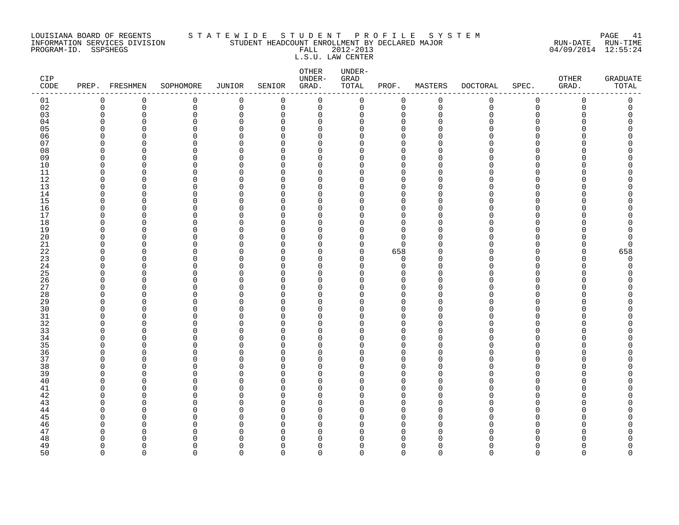#### LOUISIANA BOARD OF REGENTS S T A T E W I D E S T U D E N T P R O F I L E S Y S T E M PAGE 41 INFORMATION SERVICES DIVISION STUDENT HEADCOUNT ENROLLMENT BY DECLARED MAJOR RUN-DATE RUN-TIME PROGRAM-ID. SSPSHEGS FALL 2012-2013 04/09/2014 12:55:24 L.S.U. LAW CENTER

| CIP<br>$\texttt{CODE}$ | PREP.                      | FRESHMEN             | SOPHOMORE    | <b>JUNIOR</b>        | SENIOR               | OTHER<br>UNDER-<br>GRAD. | UNDER-<br>${\tt GRAD}$<br>TOTAL | PROF.                       | MASTERS              | <b>DOCTORAL</b> | SPEC.                | OTHER<br>GRAD. | <b>GRADUATE</b><br>TOTAL |
|------------------------|----------------------------|----------------------|--------------|----------------------|----------------------|--------------------------|---------------------------------|-----------------------------|----------------------|-----------------|----------------------|----------------|--------------------------|
| 01                     | 0                          | 0                    | 0            | $\mathbf 0$          | 0                    | 0                        | 0                               | 0                           | $\mathbf 0$          | 0               | $\mathsf 0$          | $\mathbf 0$    | 0                        |
| 02                     | $\mathbf 0$                | $\mathbf 0$          | $\mathsf{O}$ | $\mathbf 0$          | 0                    | 0                        | 0                               | $\mathbf 0$                 | $\mathbf 0$          | $\mathbf 0$     | $\mathsf 0$          | 0              | 0                        |
| 03                     | $\mathbf 0$                | 0                    | 0            | $\mathbf 0$          | 0                    | 0                        | 0                               | 0                           | $\Omega$             | O               | $\Omega$             | O              | 0                        |
| 04                     | $\Omega$                   | $\Omega$             | $\Omega$     | $\Omega$             | $\Omega$             | $\Omega$                 | U                               | $\Omega$                    | $\Omega$<br>$\Omega$ |                 | ∩                    | ∩              | O                        |
| 05<br>06               | $\Omega$<br>$\mathbf 0$    | $\Omega$<br>$\Omega$ | 0<br>0       | $\Omega$<br>0        | $\Omega$<br>$\Omega$ | $\Omega$<br>0            | O<br>0                          | $\mathbf{0}$<br>$\mathbf 0$ |                      |                 | $\Omega$<br>$\Omega$ |                | O<br>Λ                   |
| 07                     | $\Omega$                   | $\Omega$             | 0            | $\Omega$             | $\Omega$             | 0                        | 0                               | $\mathbf 0$                 |                      |                 | ∩                    |                | ი                        |
| 08                     | $\mathbf 0$                | $\Omega$             | 0            | $\Omega$             | $\Omega$             | 0                        | 0                               | $\mathbf{0}$                | ∩                    |                 | ∩                    |                | ∩                        |
| 09                     | $\Omega$                   | $\Omega$             | 0            | $\Omega$             | $\Omega$             | $\Omega$                 | 0                               | $\Omega$                    | $\Omega$             |                 | ∩                    |                |                          |
| 10                     | $\mathbf 0$                | $\overline{0}$       | 0            | $\mathbf 0$          | $\Omega$             | 0                        | 0                               | $\mathbf 0$                 | $\Omega$             |                 | $\Omega$             |                | Ω                        |
| 11                     | $\mathbf 0$                | $\Omega$             | 0            | $\Omega$             | $\Omega$             | 0                        | 0                               | $\mathbf 0$                 | $\Omega$             |                 | $\Omega$             |                | Ω                        |
| $12$                   | $\Omega$                   | $\Omega$             | 0            | $\Omega$             | $\Omega$             | $\Omega$                 | O                               | $\mathbf 0$                 | ∩                    |                 | ∩                    |                | ∩                        |
| 13                     | $\Omega$                   | $\Omega$             | 0            | $\Omega$             | $\Omega$             | $\Omega$                 | O                               | $\mathbf{0}$                | $\Omega$             |                 | $\Omega$             |                |                          |
| 14                     | $\Omega$                   | $\Omega$             | 0            | $\Omega$             | $\Omega$             | $\Omega$                 | 0                               | $\mathbf 0$                 | $\Omega$             |                 | $\Omega$             |                | Λ                        |
| 15                     | $\mathbf 0$                | $\Omega$             | 0            | $\mathbf 0$          | $\Omega$             | 0                        | 0                               | $\mathbf 0$                 | O                    |                 | $\Omega$             |                | Λ                        |
| 16                     | $\mathbf 0$                | $\Omega$             | 0            | $\Omega$             | $\Omega$             | 0                        | 0                               | $\mathbf 0$                 | O                    |                 | $\Omega$             |                | C                        |
| 17                     | $\Omega$                   | $\Omega$             | 0            | $\Omega$             | $\Omega$             | 0                        | 0                               | $\Omega$                    | $\Omega$             |                 | ∩                    |                | Λ                        |
| 18                     | $\Omega$                   | $\Omega$             | 0            | $\Omega$             | $\Omega$             | $\Omega$                 | O                               | $\mathbf 0$                 | $\Omega$             |                 | $\Omega$             |                | Λ                        |
| 19                     | $\mathbf 0$                | $\Omega$             | 0            | $\mathbf 0$          | $\Omega$             | 0                        | 0                               | $\mathbf 0$                 | O                    |                 | $\Omega$             |                | 0                        |
| 20                     | $\Omega$                   | $\Omega$             | 0            | $\Omega$             | $\Omega$             | $\Omega$                 | 0                               | $\Omega$                    |                      |                 | ∩                    |                | 0                        |
| 21                     | $\mathbf 0$                | $\Omega$             | 0            | $\Omega$             | $\Omega$             | $\Omega$                 | 0                               | $\mathbf 0$                 |                      |                 | ∩                    | U              | 0                        |
| 22                     | $\Omega$                   | $\Omega$             | 0            | $\Omega$             | ∩<br>$\Omega$        | $\Omega$                 | 0                               | 658                         | $\Omega$             |                 | ∩                    | O<br>∩         | 658                      |
| 23<br>24               | $\mathbf 0$<br>$\mathbf 0$ | $\Omega$<br>$\Omega$ | 0<br>0       | $\Omega$<br>$\Omega$ | $\Omega$             | 0<br>0                   | 0<br>0                          | $\mathbf 0$<br>0            | $\Omega$             |                 | $\Omega$<br>$\Omega$ | U              | 0<br>0                   |
| 25                     | $\Omega$                   | $\Omega$             | 0            | $\Omega$             | $\Omega$             | 0                        | O                               | $\mathbf 0$                 | O                    |                 | $\Omega$             | U              | O                        |
| 26                     | $\Omega$                   | $\Omega$             | 0            | $\Omega$             | $\Omega$             | $\Omega$                 | 0                               | $\Omega$                    | $\Omega$             |                 | ∩                    |                | U                        |
| 27                     | $\Omega$                   | $\Omega$             | 0            | $\Omega$             | ∩                    | $\Omega$                 | 0                               | $\mathbf 0$                 | $\Omega$             |                 | $\Omega$             |                | Λ                        |
| 28                     | $\mathbf{0}$               | $\overline{0}$       | 0            | $\mathbf 0$          | $\Omega$             | $\Omega$                 | 0                               | $\mathbf 0$                 | O                    |                 | $\Omega$             |                | Λ                        |
| 29                     | $\mathbf 0$                | $\Omega$             | 0            | 0                    | $\Omega$             | 0                        | 0                               | $\mathbf 0$                 | O                    |                 | $\Omega$             |                | Ω                        |
| 30                     | $\Omega$                   | $\Omega$             | 0            | $\Omega$             | $\Omega$             | $\Omega$                 | 0                               | $\mathbf 0$                 | ∩                    |                 | ∩                    |                | ∩                        |
| 31                     | $\Omega$                   | $\Omega$             | 0            | $\Omega$             | $\Omega$             | $\Omega$                 | O                               | $\mathbf 0$                 | $\Omega$             |                 | $\Omega$             |                |                          |
| 32                     | $\Omega$                   | $\Omega$             | 0            | $\Omega$             | $\Omega$             | $\Omega$                 | 0                               | $\mathbf{0}$                | ∩                    |                 | $\Omega$             |                | Λ                        |
| 33                     | $\Omega$                   | $\Omega$             | 0            | 0                    | $\Omega$             | $\Omega$                 | 0                               | $\mathbf 0$                 |                      |                 | $\Omega$             |                |                          |
| 34                     | $\mathbf 0$                | $\Omega$             | 0            | 0                    | $\Omega$             | 0                        | 0                               | $\mathbf 0$                 | $\Omega$             |                 | ∩                    |                | ∩                        |
| 35                     | $\Omega$                   | $\Omega$             | 0            | $\Omega$             | ∩                    | $\Omega$                 | O                               | $\Omega$                    | $\Omega$             |                 | ∩                    |                |                          |
| 36                     | $\mathbf 0$                | $\Omega$             | 0            | $\Omega$             | $\Omega$             | 0                        | 0                               | $\mathbf 0$                 | $\Omega$             |                 | $\Omega$             |                | Λ                        |
| 37                     | $\mathbf 0$                | $\Omega$             | $\Omega$     | $\mathbf 0$          | $\Omega$             | 0                        | 0                               | $\mathbf 0$                 | $\Omega$             |                 | $\Omega$             |                | Ω                        |
| 38                     | $\Omega$                   | $\Omega$             | 0            | 0                    | $\Omega$             | 0                        | 0                               | $\mathbf 0$                 | O                    |                 | $\Omega$             |                | Λ                        |
| 39                     | $\Omega$                   | $\Omega$             | 0            | $\Omega$             | $\Omega$             | $\Omega$                 | 0                               | $\mathbf 0$                 | $\Omega$             |                 | ∩                    |                | Λ                        |
| 40                     | $\Omega$<br>$\Omega$       | $\Omega$<br>$\Omega$ | 0<br>0       | $\Omega$<br>$\Omega$ | $\Omega$<br>$\Omega$ | $\Omega$<br>$\Omega$     | 0<br>0                          | $\Omega$<br>$\mathbf{0}$    | $\Omega$<br>∩        |                 | $\Omega$<br>$\Omega$ |                | Λ                        |
| 41                     | $\mathbf 0$                | $\Omega$             | 0            | 0                    | $\Omega$             | 0                        | 0                               | 0                           | $\Omega$             |                 | $\Omega$             |                | Ω                        |
| 42<br>43               | $\Omega$                   | $\Omega$             | 0            | $\Omega$             | $\Omega$             | $\Omega$                 | 0                               | $\mathbf 0$                 | ∩                    |                 | ∩                    |                | ∩                        |
| 44                     | $\Omega$                   | $\Omega$             | 0            | $\Omega$             | $\Omega$             | $\Omega$                 | O                               | $\mathbf 0$                 | $\Omega$             |                 | $\Omega$             |                |                          |
| 45                     | $\Omega$                   | $\Omega$             | 0            | $\Omega$             | ∩                    | $\mathbf 0$              | 0                               | $\mathbf 0$                 | O                    |                 | $\Omega$             |                |                          |
| 46                     | $\Omega$                   | $\Omega$             | 0            | $\mathbf 0$          | $\Omega$             | $\mathbf 0$              | 0                               | $\mathbf 0$                 | $\Omega$             |                 | $\Omega$             |                | Ω                        |
| 47                     | 0                          | $\Omega$             | 0            | $\Omega$             | O                    | 0                        | 0                               | 0                           | ∩                    |                 | $\Omega$             |                | O                        |
| 48                     | $\Omega$                   | $\cap$               | U            | ∩                    | ∩                    | O                        | O                               | $\Omega$                    | ∩                    |                 | ∩                    |                | ∩                        |
| 49                     | $\mathbf 0$                | $\Omega$             | 0            | $\Omega$             | $\Omega$             | $\Omega$                 | 0                               | $\mathbf 0$                 | $\Omega$             |                 | $\Omega$             | Λ              | 0                        |
| 50                     | $\Omega$                   | $\Omega$             | $\Omega$     | $\Omega$             | $\Omega$             | $\Omega$                 | $\Omega$                        | $\Omega$                    | $\Omega$             | $\Omega$        | $\Omega$             | $\Omega$       | $\Omega$                 |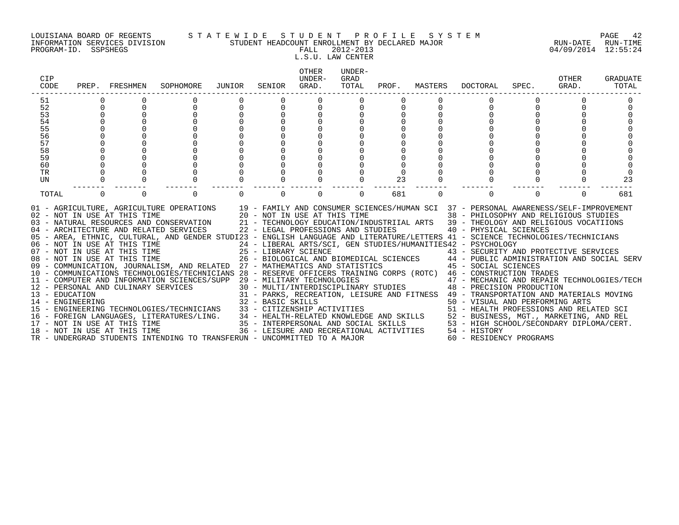#### LOUISIANA BOARD OF REGENTS S T A T E W I D E S T U D E N T P R O F I L E S Y S T E M PAGE 42 INFORMATION SERVICES DIVISION STUDENT HEADCOUNT ENROLLMENT BY DECLARED MAJOR RUN-DATE RUN-TIME

L.S.U. LAW CENTER

| CIP<br>CODE | PREP. FRESHMEN |                              | SOPHOMORE                                                                                                                                                                                                                                               | JUNIOR | SENIOR | OTHER<br>UNDER-<br>GRAD.                  | UNDER-<br>GRAD<br>TOTAL | PROF. | MASTERS  | DOCTORAL                                                                                                                                                                                                                                                                                                                                                                                                                                                                                                                                                                                                                                                                                                                                                                                                                                                                                                                                                                                                                                                                                                                                                                                                                                                                                | SPEC.    | <b>OTHER</b><br>GRAD. | GRADUATE<br>TOTAL |
|-------------|----------------|------------------------------|---------------------------------------------------------------------------------------------------------------------------------------------------------------------------------------------------------------------------------------------------------|--------|--------|-------------------------------------------|-------------------------|-------|----------|-----------------------------------------------------------------------------------------------------------------------------------------------------------------------------------------------------------------------------------------------------------------------------------------------------------------------------------------------------------------------------------------------------------------------------------------------------------------------------------------------------------------------------------------------------------------------------------------------------------------------------------------------------------------------------------------------------------------------------------------------------------------------------------------------------------------------------------------------------------------------------------------------------------------------------------------------------------------------------------------------------------------------------------------------------------------------------------------------------------------------------------------------------------------------------------------------------------------------------------------------------------------------------------------|----------|-----------------------|-------------------|
| 51          |                |                              |                                                                                                                                                                                                                                                         |        |        |                                           |                         |       |          |                                                                                                                                                                                                                                                                                                                                                                                                                                                                                                                                                                                                                                                                                                                                                                                                                                                                                                                                                                                                                                                                                                                                                                                                                                                                                         |          |                       |                   |
| 52          | $\Omega$       |                              | $\mathbf 0$                                                                                                                                                                                                                                             | 0      |        | $\begin{matrix} 0 \\ 0 \\ 0 \end{matrix}$ |                         |       |          | $\Omega$                                                                                                                                                                                                                                                                                                                                                                                                                                                                                                                                                                                                                                                                                                                                                                                                                                                                                                                                                                                                                                                                                                                                                                                                                                                                                |          |                       |                   |
| 53          |                |                              |                                                                                                                                                                                                                                                         |        |        |                                           |                         |       |          |                                                                                                                                                                                                                                                                                                                                                                                                                                                                                                                                                                                                                                                                                                                                                                                                                                                                                                                                                                                                                                                                                                                                                                                                                                                                                         |          |                       |                   |
| 54          |                |                              |                                                                                                                                                                                                                                                         |        |        |                                           |                         |       |          |                                                                                                                                                                                                                                                                                                                                                                                                                                                                                                                                                                                                                                                                                                                                                                                                                                                                                                                                                                                                                                                                                                                                                                                                                                                                                         |          |                       |                   |
| 55<br>56    |                |                              |                                                                                                                                                                                                                                                         |        |        |                                           |                         |       |          |                                                                                                                                                                                                                                                                                                                                                                                                                                                                                                                                                                                                                                                                                                                                                                                                                                                                                                                                                                                                                                                                                                                                                                                                                                                                                         |          |                       |                   |
| 57          |                |                              |                                                                                                                                                                                                                                                         |        |        |                                           |                         |       |          |                                                                                                                                                                                                                                                                                                                                                                                                                                                                                                                                                                                                                                                                                                                                                                                                                                                                                                                                                                                                                                                                                                                                                                                                                                                                                         |          |                       |                   |
| 58          |                |                              |                                                                                                                                                                                                                                                         |        |        |                                           |                         |       |          |                                                                                                                                                                                                                                                                                                                                                                                                                                                                                                                                                                                                                                                                                                                                                                                                                                                                                                                                                                                                                                                                                                                                                                                                                                                                                         |          |                       |                   |
| 59          |                |                              |                                                                                                                                                                                                                                                         |        |        |                                           |                         |       |          |                                                                                                                                                                                                                                                                                                                                                                                                                                                                                                                                                                                                                                                                                                                                                                                                                                                                                                                                                                                                                                                                                                                                                                                                                                                                                         |          |                       |                   |
| 60          |                |                              |                                                                                                                                                                                                                                                         |        |        |                                           |                         |       |          |                                                                                                                                                                                                                                                                                                                                                                                                                                                                                                                                                                                                                                                                                                                                                                                                                                                                                                                                                                                                                                                                                                                                                                                                                                                                                         |          |                       |                   |
| TR          |                |                              |                                                                                                                                                                                                                                                         |        |        |                                           |                         |       |          |                                                                                                                                                                                                                                                                                                                                                                                                                                                                                                                                                                                                                                                                                                                                                                                                                                                                                                                                                                                                                                                                                                                                                                                                                                                                                         |          |                       |                   |
| UN          |                |                              |                                                                                                                                                                                                                                                         |        |        |                                           |                         | 23    |          |                                                                                                                                                                                                                                                                                                                                                                                                                                                                                                                                                                                                                                                                                                                                                                                                                                                                                                                                                                                                                                                                                                                                                                                                                                                                                         |          |                       | 23                |
| TOTAL       | $\Omega$       | $\Omega$                     | $\Omega$                                                                                                                                                                                                                                                |        |        | $\Omega$                                  | $\Omega$                | 681   | $\Omega$ | $\Omega$                                                                                                                                                                                                                                                                                                                                                                                                                                                                                                                                                                                                                                                                                                                                                                                                                                                                                                                                                                                                                                                                                                                                                                                                                                                                                | $\Omega$ | $\Omega$              | 681               |
|             |                | 18 - NOT IN USE AT THIS TIME | 06 - NOT IN USE AT THIS TIME<br>07 - NOT IN USE AT THIS TIME<br>08 - NOT IN USE AT THIS TIME<br>09 - COMMUNICATION, JOURNALISM, AND RELATED 27 - MATHEMATICS AND STATISTICS<br>TR - UNDERGRAD STUDENTS INTENDING TO TRANSFERUN - UNCOMMITTED TO A MAJOR |        |        |                                           |                         |       |          | 01 - AGRICULTURE, AGRICULTURE OPERATIONS 19 - FAMILY AND CONSUMER SCIENCES/HUMAN SCI 37 - PERSONAL AWARENESS/SELF-IMPROVEMENT<br>02 - NOT IN USE AT THIS TIME 20 - NOT IN USE AT THIS TIME 38 - PHILOSOPHY AND RELIGIOUS STUDIES<br>03 - NATURAL RESOURCES AND CONSERVATION 21 - TECHNOLOGY EDUCATION/INDUSTRIIAL ARTS 39 - THEOLOGY AND RELIGIOUS VOCATIIONS<br>04 - ARCHITECTURE AND RELATED SERVICES 22 - LEGAL PROFESSIONS AND STUDIES 40 - PHYSICAL SCIENCES<br>05 - AREA, ETHNIC, CULTURAL, AND GENDER STUDI23 - ENGLISH LANGUAGE AND LITERATURE/LETTERS 41 - SCIENCE TECHNOLOGIES/TECHNICIANS<br>24 - LIBERAL ARTS/SCI, GEN STUDIES/HUMANITIES42 - PSYCHOLOGY<br>25 - LIBRARY SCIENCE († 1888)<br>26 - BIOLOGICAL AND BIOMEDICAL SCIENCES († 1888)<br>27 - MATHEMATICS AND STATISTICS († 1888)<br>28 - SOCIAL SCIENCES († 1888)<br>10 - COMMUNICATIONS TECHNOLOGIES/TECHNICIANS 28 - RESERVE OFFICERS TRAINING CORPS (ROTC) 46 - CONSTRUCTION TRADES<br>- CONSTRUCTION TRADES<br>12 - PERSONAL AND CULINARY SERVICES (SUPP 29 - MILITARY TECHNOLOGIES<br>30 - MULTI/INTERDISCIPLINARY STUDIES 47 - MECHANIC AND REPAIR TECHNOLOGIES/TECH<br>31 - PARKS, RECREATION, LEISURE AND FITNESS 49 -<br>36 - LEISURE AND RECREATIONAL ACTIVITIES 54 - HISTORY<br>60 - RESIDENCY PROGRAMS |          |                       |                   |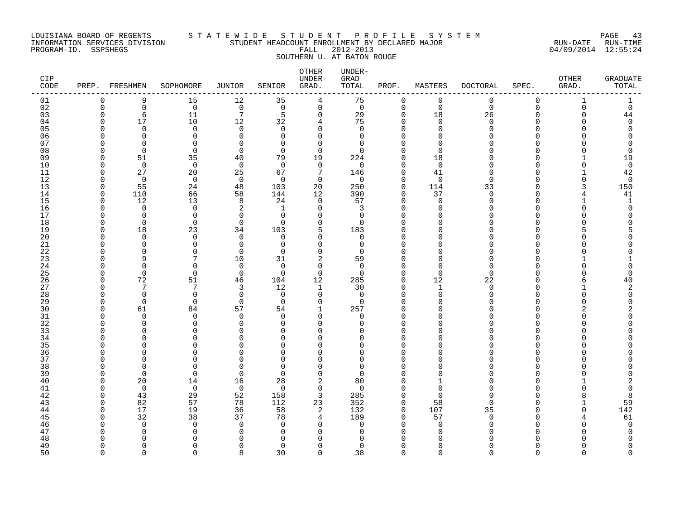### LOUISIANA BOARD OF REGENTS S T A T E W I D E S T U D E N T P R O F I L E S Y S T E M PAGE 43 INFORMATION SERVICES DIVISION STUDENT HEADCOUNT ENROLLMENT BY DECLARED MAJOR RUN-DATE RUN-TIME SOUTHERN U. AT BATON ROUGE

| 9<br>15<br>12<br>35<br>$\overline{4}$<br>75<br>$\mathbf 0$<br>$\mathbf{0}$<br>$\mathbf 0$<br>01<br>$\mathbf 0$<br>$\mathbf 0$<br>$\mathbf 1$<br>1<br>02<br>$\Omega$<br>$\mathbf 0$<br>$\overline{0}$<br>$\overline{0}$<br>$\overline{0}$<br>$\mathsf{O}$<br>$\overline{0}$<br>$\mathbf 0$<br>$\Omega$<br>$\Omega$<br>$\Omega$<br>$\mathbf 0$<br>$\Omega$<br>$7\phantom{.0}$<br>11<br>5<br>$\mathbf 0$<br>29<br>18<br>44<br>03<br>6<br>$\mathbf 0$<br>26<br>$\Omega$<br><sup>n</sup><br>10<br>75<br>04<br>17<br>12<br>$\overline{4}$<br>$\Omega$<br>$\Omega$<br>$\Omega$<br>32<br>$\Omega$<br>$\Omega$<br>$\cap$<br>05<br>$\Omega$<br>$\Omega$<br>$\Omega$<br>$\Omega$<br>$\mathbf 0$<br>$\Omega$<br>$\mathbf 0$<br>$\cap$<br>$\Omega$<br>$\Omega$<br>$\Omega$<br>06<br>$\Omega$<br>$\Omega$<br>$\Omega$<br>$\Omega$<br>$\Omega$<br>07<br>$\Omega$<br>$\Omega$<br>$\Omega$<br>$\Omega$<br>$\Omega$<br>$\Omega$<br>$\Omega$<br>08<br>$\Omega$<br>$\Omega$<br>$\Omega$<br>$\Omega$<br>$\Omega$<br>$\Omega$<br>U<br>09<br>51<br>35<br>79<br>19<br>40<br>224<br>$\Omega$<br>18<br>19<br>∩<br>$\overline{0}$<br>10<br>$\mathbf 0$<br>$\mathbf 0$<br>$\overline{0}$<br>$\overline{0}$<br>$\mathbf 0$<br>$\overline{0}$<br>$\mathbf 0$<br>$\Omega$<br>27<br>20<br>25<br>146<br>42<br>11<br>67<br>7<br>$\Omega$<br>41<br>$\mathbf 0$<br>12<br>$\Omega$<br>$\mathbf 0$<br>$\overline{0}$<br>$\Omega$<br>$\mathbf{0}$<br>$\overline{0}$<br>$\mathbf 0$<br>$\Omega$<br>∩<br>13<br>55<br>24<br>48<br>103<br>20<br>250<br>$\mathbf 0$<br>114<br>150<br>33<br>66<br>390<br>37<br>41<br>14<br>110<br>58<br>144<br>12<br>$\mathbf 0$<br>$\Omega$<br>15<br>12<br>13<br>8<br>57<br>24<br>$\Omega$<br>$\Omega$<br>1<br>$\Omega$<br>$\Omega$<br>16<br>$\Omega$<br>$\Omega$<br>2<br>$\Omega$<br>3<br>1<br>$\Omega$<br>O<br>17<br>$\Omega$<br>$\Omega$<br>$\Omega$<br>$\Omega$<br>$\Omega$<br>$\Omega$<br>$\Omega$<br>18<br>$\Omega$<br>$\Omega$<br>$\Omega$<br>$\Omega$<br>$\Omega$<br>$\Omega$<br>$\Omega$<br>19<br>18<br>23<br>103<br>5<br>183<br>34<br>$\Omega$<br>20<br>$\Omega$<br>$\Omega$<br>$\Omega$<br>$\Omega$<br>$\Omega$<br>$\Omega$<br>$\Omega$<br>21<br>$\Omega$<br>$\Omega$<br>$\Omega$<br>$\Omega$<br>$\Omega$<br>$\Omega$<br>$\Omega$<br>22<br>$\Omega$<br>$\Omega$<br>$\Omega$<br>$\Omega$<br>$\Omega$<br>$\Omega$<br>$\Omega$<br>23<br>7<br>2<br>9<br>10<br>31<br>59<br>$\Omega$<br>24<br>$\Omega$<br>∩<br>$\Omega$<br>$\Omega$<br>$\Omega$<br>$\Omega$<br>$\Omega$<br>$\Omega$<br>25<br>$\Omega$<br>$\overline{0}$<br>$\Omega$<br>$\mathbf 0$<br>$\Omega$<br>$\Omega$<br>$\Omega$<br>∩<br>26<br>72<br>51<br>104<br>12<br>46<br>285<br>$\mathbf 0$<br>12<br>40<br>22<br>27<br>7<br>7<br>3<br>12<br>$\mathbf{1}$<br>30<br>$\Omega$<br>$\mathbf 0$<br>28<br>$\Omega$<br>$\Omega$<br>$\Omega$<br>$\Omega$<br>$\Omega$<br>$\Omega$<br>$\Omega$<br>29<br>$\mathbf 0$<br>$\Omega$<br>$\Omega$<br>$\Omega$<br>$\Omega$<br>$\Omega$<br>$\Omega$<br>30<br>57<br>61<br>84<br>$\mathbf{1}$<br>257<br>$\Omega$<br>54<br>31<br>$\Omega$<br>$\Omega$<br>$\Omega$<br>$\Omega$<br>$\Omega$<br>$\Omega$<br>$\Omega$<br>32<br>$\Omega$<br>$\cap$<br>$\Omega$<br><sup>n</sup><br>$\Omega$<br>$\Omega$<br>∩<br>33<br>∩<br>$\Omega$<br>$\cap$<br>$\Omega$<br>$\Omega$<br>$\Omega$<br>U<br>34<br>$\Omega$<br>$\Omega$<br>∩<br>U<br>∩<br>U<br>n<br>35<br>$\Omega$<br>$\cap$<br>U<br>U<br>U<br>36<br>$\Omega$<br>∩<br>$\cap$<br>$\Omega$<br>$\Omega$<br>0<br>37<br>U<br>$\cap$<br>$\Omega$<br>$\Omega$<br>U<br>$\Omega$<br>38<br>$\Omega$<br>$\Omega$<br>$\Omega$<br>O<br>$\Omega$<br>∩<br>∩<br>39<br>$\Omega$<br>$\Omega$<br>$\Omega$<br>$\Omega$<br>$\Omega$<br>$\Omega$<br><sup>n</sup><br>40<br>20<br>14<br>28<br>$\overline{2}$<br>80<br>16<br>$\Omega$<br>$\overline{0}$<br>$\mathbf 0$<br>$\mathbf 0$<br>41<br>$\Omega$<br>$\mathbf 0$<br>$\Omega$<br>$\Omega$<br>O<br>42<br>43<br>29<br>52<br>158<br>3<br>285<br>$\Omega$<br>8<br>∩<br>57<br>82<br>78<br>112<br>352<br>$\mathbf 0$<br>43<br>23<br>58<br>59<br>142<br>44<br>17<br>19<br>36<br>58<br>132<br>107<br>2<br>$\mathbf 0$<br>35<br>32<br>38<br>37<br>$\overline{4}$<br>189<br>61<br>45<br>78<br>$\Omega$<br>57<br>$\Omega$<br>$\Omega$<br>$\Omega$<br>$\Omega$<br>46<br>$\Omega$<br>$\Omega$<br>$\Omega$<br>$\Omega$<br>$\Omega$<br>47<br>$\Omega$<br>∩<br>$\Omega$<br>$\Omega$<br>O<br>∩<br>48<br>n<br>49<br>$\Omega$<br>∩<br>$\cap$<br>$\Omega$<br>$\Omega$<br>$\Omega$<br>O<br>∩<br>$\cap$<br>$\cap$<br>∩ | CIP<br>CODE | PREP. FRESHMEN | SOPHOMORE | JUNIOR | SENIOR | OTHER<br>UNDER-<br>GRAD. | UNDER-<br>GRAD<br>TOTAL | PROF. | MASTERS | <b>DOCTORAL</b> | SPEC. | OTHER<br>GRAD. | <b>GRADUATE</b><br>TOTAL |
|---------------------------------------------------------------------------------------------------------------------------------------------------------------------------------------------------------------------------------------------------------------------------------------------------------------------------------------------------------------------------------------------------------------------------------------------------------------------------------------------------------------------------------------------------------------------------------------------------------------------------------------------------------------------------------------------------------------------------------------------------------------------------------------------------------------------------------------------------------------------------------------------------------------------------------------------------------------------------------------------------------------------------------------------------------------------------------------------------------------------------------------------------------------------------------------------------------------------------------------------------------------------------------------------------------------------------------------------------------------------------------------------------------------------------------------------------------------------------------------------------------------------------------------------------------------------------------------------------------------------------------------------------------------------------------------------------------------------------------------------------------------------------------------------------------------------------------------------------------------------------------------------------------------------------------------------------------------------------------------------------------------------------------------------------------------------------------------------------------------------------------------------------------------------------------------------------------------------------------------------------------------------------------------------------------------------------------------------------------------------------------------------------------------------------------------------------------------------------------------------------------------------------------------------------------------------------------------------------------------------------------------------------------------------------------------------------------------------------------------------------------------------------------------------------------------------------------------------------------------------------------------------------------------------------------------------------------------------------------------------------------------------------------------------------------------------------------------------------------------------------------------------------------------------------------------------------------------------------------------------------------------------------------------------------------------------------------------------------------------------------------------------------------------------------------------------------------------------------------------------------------------------------------------------------------------------------------------------------------------------------------------------------------------------------------------------------------------------------------------------------------------------------------------------------------------------------------------------------------------------------------------------------------------------------------------------------------------------------------------------------------------------------------------------------------------------------------------------------------------------------------------------------------------------------------------------------------------------------------------------------------------------------------------------------------------------------------------------------------------------------------------------------------------------------------------------------|-------------|----------------|-----------|--------|--------|--------------------------|-------------------------|-------|---------|-----------------|-------|----------------|--------------------------|
|                                                                                                                                                                                                                                                                                                                                                                                                                                                                                                                                                                                                                                                                                                                                                                                                                                                                                                                                                                                                                                                                                                                                                                                                                                                                                                                                                                                                                                                                                                                                                                                                                                                                                                                                                                                                                                                                                                                                                                                                                                                                                                                                                                                                                                                                                                                                                                                                                                                                                                                                                                                                                                                                                                                                                                                                                                                                                                                                                                                                                                                                                                                                                                                                                                                                                                                                                                                                                                                                                                                                                                                                                                                                                                                                                                                                                                                                                                                                                                                                                                                                                                                                                                                                                                                                                                                                                                                                                                                   |             |                |           |        |        |                          |                         |       |         |                 |       |                |                          |
|                                                                                                                                                                                                                                                                                                                                                                                                                                                                                                                                                                                                                                                                                                                                                                                                                                                                                                                                                                                                                                                                                                                                                                                                                                                                                                                                                                                                                                                                                                                                                                                                                                                                                                                                                                                                                                                                                                                                                                                                                                                                                                                                                                                                                                                                                                                                                                                                                                                                                                                                                                                                                                                                                                                                                                                                                                                                                                                                                                                                                                                                                                                                                                                                                                                                                                                                                                                                                                                                                                                                                                                                                                                                                                                                                                                                                                                                                                                                                                                                                                                                                                                                                                                                                                                                                                                                                                                                                                                   |             |                |           |        |        |                          |                         |       |         |                 |       |                |                          |
|                                                                                                                                                                                                                                                                                                                                                                                                                                                                                                                                                                                                                                                                                                                                                                                                                                                                                                                                                                                                                                                                                                                                                                                                                                                                                                                                                                                                                                                                                                                                                                                                                                                                                                                                                                                                                                                                                                                                                                                                                                                                                                                                                                                                                                                                                                                                                                                                                                                                                                                                                                                                                                                                                                                                                                                                                                                                                                                                                                                                                                                                                                                                                                                                                                                                                                                                                                                                                                                                                                                                                                                                                                                                                                                                                                                                                                                                                                                                                                                                                                                                                                                                                                                                                                                                                                                                                                                                                                                   |             |                |           |        |        |                          |                         |       |         |                 |       |                |                          |
|                                                                                                                                                                                                                                                                                                                                                                                                                                                                                                                                                                                                                                                                                                                                                                                                                                                                                                                                                                                                                                                                                                                                                                                                                                                                                                                                                                                                                                                                                                                                                                                                                                                                                                                                                                                                                                                                                                                                                                                                                                                                                                                                                                                                                                                                                                                                                                                                                                                                                                                                                                                                                                                                                                                                                                                                                                                                                                                                                                                                                                                                                                                                                                                                                                                                                                                                                                                                                                                                                                                                                                                                                                                                                                                                                                                                                                                                                                                                                                                                                                                                                                                                                                                                                                                                                                                                                                                                                                                   |             |                |           |        |        |                          |                         |       |         |                 |       |                |                          |
|                                                                                                                                                                                                                                                                                                                                                                                                                                                                                                                                                                                                                                                                                                                                                                                                                                                                                                                                                                                                                                                                                                                                                                                                                                                                                                                                                                                                                                                                                                                                                                                                                                                                                                                                                                                                                                                                                                                                                                                                                                                                                                                                                                                                                                                                                                                                                                                                                                                                                                                                                                                                                                                                                                                                                                                                                                                                                                                                                                                                                                                                                                                                                                                                                                                                                                                                                                                                                                                                                                                                                                                                                                                                                                                                                                                                                                                                                                                                                                                                                                                                                                                                                                                                                                                                                                                                                                                                                                                   |             |                |           |        |        |                          |                         |       |         |                 |       |                |                          |
|                                                                                                                                                                                                                                                                                                                                                                                                                                                                                                                                                                                                                                                                                                                                                                                                                                                                                                                                                                                                                                                                                                                                                                                                                                                                                                                                                                                                                                                                                                                                                                                                                                                                                                                                                                                                                                                                                                                                                                                                                                                                                                                                                                                                                                                                                                                                                                                                                                                                                                                                                                                                                                                                                                                                                                                                                                                                                                                                                                                                                                                                                                                                                                                                                                                                                                                                                                                                                                                                                                                                                                                                                                                                                                                                                                                                                                                                                                                                                                                                                                                                                                                                                                                                                                                                                                                                                                                                                                                   |             |                |           |        |        |                          |                         |       |         |                 |       |                |                          |
|                                                                                                                                                                                                                                                                                                                                                                                                                                                                                                                                                                                                                                                                                                                                                                                                                                                                                                                                                                                                                                                                                                                                                                                                                                                                                                                                                                                                                                                                                                                                                                                                                                                                                                                                                                                                                                                                                                                                                                                                                                                                                                                                                                                                                                                                                                                                                                                                                                                                                                                                                                                                                                                                                                                                                                                                                                                                                                                                                                                                                                                                                                                                                                                                                                                                                                                                                                                                                                                                                                                                                                                                                                                                                                                                                                                                                                                                                                                                                                                                                                                                                                                                                                                                                                                                                                                                                                                                                                                   |             |                |           |        |        |                          |                         |       |         |                 |       |                |                          |
|                                                                                                                                                                                                                                                                                                                                                                                                                                                                                                                                                                                                                                                                                                                                                                                                                                                                                                                                                                                                                                                                                                                                                                                                                                                                                                                                                                                                                                                                                                                                                                                                                                                                                                                                                                                                                                                                                                                                                                                                                                                                                                                                                                                                                                                                                                                                                                                                                                                                                                                                                                                                                                                                                                                                                                                                                                                                                                                                                                                                                                                                                                                                                                                                                                                                                                                                                                                                                                                                                                                                                                                                                                                                                                                                                                                                                                                                                                                                                                                                                                                                                                                                                                                                                                                                                                                                                                                                                                                   |             |                |           |        |        |                          |                         |       |         |                 |       |                |                          |
|                                                                                                                                                                                                                                                                                                                                                                                                                                                                                                                                                                                                                                                                                                                                                                                                                                                                                                                                                                                                                                                                                                                                                                                                                                                                                                                                                                                                                                                                                                                                                                                                                                                                                                                                                                                                                                                                                                                                                                                                                                                                                                                                                                                                                                                                                                                                                                                                                                                                                                                                                                                                                                                                                                                                                                                                                                                                                                                                                                                                                                                                                                                                                                                                                                                                                                                                                                                                                                                                                                                                                                                                                                                                                                                                                                                                                                                                                                                                                                                                                                                                                                                                                                                                                                                                                                                                                                                                                                                   |             |                |           |        |        |                          |                         |       |         |                 |       |                |                          |
|                                                                                                                                                                                                                                                                                                                                                                                                                                                                                                                                                                                                                                                                                                                                                                                                                                                                                                                                                                                                                                                                                                                                                                                                                                                                                                                                                                                                                                                                                                                                                                                                                                                                                                                                                                                                                                                                                                                                                                                                                                                                                                                                                                                                                                                                                                                                                                                                                                                                                                                                                                                                                                                                                                                                                                                                                                                                                                                                                                                                                                                                                                                                                                                                                                                                                                                                                                                                                                                                                                                                                                                                                                                                                                                                                                                                                                                                                                                                                                                                                                                                                                                                                                                                                                                                                                                                                                                                                                                   |             |                |           |        |        |                          |                         |       |         |                 |       |                |                          |
|                                                                                                                                                                                                                                                                                                                                                                                                                                                                                                                                                                                                                                                                                                                                                                                                                                                                                                                                                                                                                                                                                                                                                                                                                                                                                                                                                                                                                                                                                                                                                                                                                                                                                                                                                                                                                                                                                                                                                                                                                                                                                                                                                                                                                                                                                                                                                                                                                                                                                                                                                                                                                                                                                                                                                                                                                                                                                                                                                                                                                                                                                                                                                                                                                                                                                                                                                                                                                                                                                                                                                                                                                                                                                                                                                                                                                                                                                                                                                                                                                                                                                                                                                                                                                                                                                                                                                                                                                                                   |             |                |           |        |        |                          |                         |       |         |                 |       |                |                          |
|                                                                                                                                                                                                                                                                                                                                                                                                                                                                                                                                                                                                                                                                                                                                                                                                                                                                                                                                                                                                                                                                                                                                                                                                                                                                                                                                                                                                                                                                                                                                                                                                                                                                                                                                                                                                                                                                                                                                                                                                                                                                                                                                                                                                                                                                                                                                                                                                                                                                                                                                                                                                                                                                                                                                                                                                                                                                                                                                                                                                                                                                                                                                                                                                                                                                                                                                                                                                                                                                                                                                                                                                                                                                                                                                                                                                                                                                                                                                                                                                                                                                                                                                                                                                                                                                                                                                                                                                                                                   |             |                |           |        |        |                          |                         |       |         |                 |       |                |                          |
|                                                                                                                                                                                                                                                                                                                                                                                                                                                                                                                                                                                                                                                                                                                                                                                                                                                                                                                                                                                                                                                                                                                                                                                                                                                                                                                                                                                                                                                                                                                                                                                                                                                                                                                                                                                                                                                                                                                                                                                                                                                                                                                                                                                                                                                                                                                                                                                                                                                                                                                                                                                                                                                                                                                                                                                                                                                                                                                                                                                                                                                                                                                                                                                                                                                                                                                                                                                                                                                                                                                                                                                                                                                                                                                                                                                                                                                                                                                                                                                                                                                                                                                                                                                                                                                                                                                                                                                                                                                   |             |                |           |        |        |                          |                         |       |         |                 |       |                |                          |
|                                                                                                                                                                                                                                                                                                                                                                                                                                                                                                                                                                                                                                                                                                                                                                                                                                                                                                                                                                                                                                                                                                                                                                                                                                                                                                                                                                                                                                                                                                                                                                                                                                                                                                                                                                                                                                                                                                                                                                                                                                                                                                                                                                                                                                                                                                                                                                                                                                                                                                                                                                                                                                                                                                                                                                                                                                                                                                                                                                                                                                                                                                                                                                                                                                                                                                                                                                                                                                                                                                                                                                                                                                                                                                                                                                                                                                                                                                                                                                                                                                                                                                                                                                                                                                                                                                                                                                                                                                                   |             |                |           |        |        |                          |                         |       |         |                 |       |                |                          |
|                                                                                                                                                                                                                                                                                                                                                                                                                                                                                                                                                                                                                                                                                                                                                                                                                                                                                                                                                                                                                                                                                                                                                                                                                                                                                                                                                                                                                                                                                                                                                                                                                                                                                                                                                                                                                                                                                                                                                                                                                                                                                                                                                                                                                                                                                                                                                                                                                                                                                                                                                                                                                                                                                                                                                                                                                                                                                                                                                                                                                                                                                                                                                                                                                                                                                                                                                                                                                                                                                                                                                                                                                                                                                                                                                                                                                                                                                                                                                                                                                                                                                                                                                                                                                                                                                                                                                                                                                                                   |             |                |           |        |        |                          |                         |       |         |                 |       |                |                          |
|                                                                                                                                                                                                                                                                                                                                                                                                                                                                                                                                                                                                                                                                                                                                                                                                                                                                                                                                                                                                                                                                                                                                                                                                                                                                                                                                                                                                                                                                                                                                                                                                                                                                                                                                                                                                                                                                                                                                                                                                                                                                                                                                                                                                                                                                                                                                                                                                                                                                                                                                                                                                                                                                                                                                                                                                                                                                                                                                                                                                                                                                                                                                                                                                                                                                                                                                                                                                                                                                                                                                                                                                                                                                                                                                                                                                                                                                                                                                                                                                                                                                                                                                                                                                                                                                                                                                                                                                                                                   |             |                |           |        |        |                          |                         |       |         |                 |       |                |                          |
|                                                                                                                                                                                                                                                                                                                                                                                                                                                                                                                                                                                                                                                                                                                                                                                                                                                                                                                                                                                                                                                                                                                                                                                                                                                                                                                                                                                                                                                                                                                                                                                                                                                                                                                                                                                                                                                                                                                                                                                                                                                                                                                                                                                                                                                                                                                                                                                                                                                                                                                                                                                                                                                                                                                                                                                                                                                                                                                                                                                                                                                                                                                                                                                                                                                                                                                                                                                                                                                                                                                                                                                                                                                                                                                                                                                                                                                                                                                                                                                                                                                                                                                                                                                                                                                                                                                                                                                                                                                   |             |                |           |        |        |                          |                         |       |         |                 |       |                |                          |
|                                                                                                                                                                                                                                                                                                                                                                                                                                                                                                                                                                                                                                                                                                                                                                                                                                                                                                                                                                                                                                                                                                                                                                                                                                                                                                                                                                                                                                                                                                                                                                                                                                                                                                                                                                                                                                                                                                                                                                                                                                                                                                                                                                                                                                                                                                                                                                                                                                                                                                                                                                                                                                                                                                                                                                                                                                                                                                                                                                                                                                                                                                                                                                                                                                                                                                                                                                                                                                                                                                                                                                                                                                                                                                                                                                                                                                                                                                                                                                                                                                                                                                                                                                                                                                                                                                                                                                                                                                                   |             |                |           |        |        |                          |                         |       |         |                 |       |                |                          |
|                                                                                                                                                                                                                                                                                                                                                                                                                                                                                                                                                                                                                                                                                                                                                                                                                                                                                                                                                                                                                                                                                                                                                                                                                                                                                                                                                                                                                                                                                                                                                                                                                                                                                                                                                                                                                                                                                                                                                                                                                                                                                                                                                                                                                                                                                                                                                                                                                                                                                                                                                                                                                                                                                                                                                                                                                                                                                                                                                                                                                                                                                                                                                                                                                                                                                                                                                                                                                                                                                                                                                                                                                                                                                                                                                                                                                                                                                                                                                                                                                                                                                                                                                                                                                                                                                                                                                                                                                                                   |             |                |           |        |        |                          |                         |       |         |                 |       |                |                          |
|                                                                                                                                                                                                                                                                                                                                                                                                                                                                                                                                                                                                                                                                                                                                                                                                                                                                                                                                                                                                                                                                                                                                                                                                                                                                                                                                                                                                                                                                                                                                                                                                                                                                                                                                                                                                                                                                                                                                                                                                                                                                                                                                                                                                                                                                                                                                                                                                                                                                                                                                                                                                                                                                                                                                                                                                                                                                                                                                                                                                                                                                                                                                                                                                                                                                                                                                                                                                                                                                                                                                                                                                                                                                                                                                                                                                                                                                                                                                                                                                                                                                                                                                                                                                                                                                                                                                                                                                                                                   |             |                |           |        |        |                          |                         |       |         |                 |       |                |                          |
|                                                                                                                                                                                                                                                                                                                                                                                                                                                                                                                                                                                                                                                                                                                                                                                                                                                                                                                                                                                                                                                                                                                                                                                                                                                                                                                                                                                                                                                                                                                                                                                                                                                                                                                                                                                                                                                                                                                                                                                                                                                                                                                                                                                                                                                                                                                                                                                                                                                                                                                                                                                                                                                                                                                                                                                                                                                                                                                                                                                                                                                                                                                                                                                                                                                                                                                                                                                                                                                                                                                                                                                                                                                                                                                                                                                                                                                                                                                                                                                                                                                                                                                                                                                                                                                                                                                                                                                                                                                   |             |                |           |        |        |                          |                         |       |         |                 |       |                |                          |
|                                                                                                                                                                                                                                                                                                                                                                                                                                                                                                                                                                                                                                                                                                                                                                                                                                                                                                                                                                                                                                                                                                                                                                                                                                                                                                                                                                                                                                                                                                                                                                                                                                                                                                                                                                                                                                                                                                                                                                                                                                                                                                                                                                                                                                                                                                                                                                                                                                                                                                                                                                                                                                                                                                                                                                                                                                                                                                                                                                                                                                                                                                                                                                                                                                                                                                                                                                                                                                                                                                                                                                                                                                                                                                                                                                                                                                                                                                                                                                                                                                                                                                                                                                                                                                                                                                                                                                                                                                                   |             |                |           |        |        |                          |                         |       |         |                 |       |                |                          |
|                                                                                                                                                                                                                                                                                                                                                                                                                                                                                                                                                                                                                                                                                                                                                                                                                                                                                                                                                                                                                                                                                                                                                                                                                                                                                                                                                                                                                                                                                                                                                                                                                                                                                                                                                                                                                                                                                                                                                                                                                                                                                                                                                                                                                                                                                                                                                                                                                                                                                                                                                                                                                                                                                                                                                                                                                                                                                                                                                                                                                                                                                                                                                                                                                                                                                                                                                                                                                                                                                                                                                                                                                                                                                                                                                                                                                                                                                                                                                                                                                                                                                                                                                                                                                                                                                                                                                                                                                                                   |             |                |           |        |        |                          |                         |       |         |                 |       |                |                          |
|                                                                                                                                                                                                                                                                                                                                                                                                                                                                                                                                                                                                                                                                                                                                                                                                                                                                                                                                                                                                                                                                                                                                                                                                                                                                                                                                                                                                                                                                                                                                                                                                                                                                                                                                                                                                                                                                                                                                                                                                                                                                                                                                                                                                                                                                                                                                                                                                                                                                                                                                                                                                                                                                                                                                                                                                                                                                                                                                                                                                                                                                                                                                                                                                                                                                                                                                                                                                                                                                                                                                                                                                                                                                                                                                                                                                                                                                                                                                                                                                                                                                                                                                                                                                                                                                                                                                                                                                                                                   |             |                |           |        |        |                          |                         |       |         |                 |       |                |                          |
|                                                                                                                                                                                                                                                                                                                                                                                                                                                                                                                                                                                                                                                                                                                                                                                                                                                                                                                                                                                                                                                                                                                                                                                                                                                                                                                                                                                                                                                                                                                                                                                                                                                                                                                                                                                                                                                                                                                                                                                                                                                                                                                                                                                                                                                                                                                                                                                                                                                                                                                                                                                                                                                                                                                                                                                                                                                                                                                                                                                                                                                                                                                                                                                                                                                                                                                                                                                                                                                                                                                                                                                                                                                                                                                                                                                                                                                                                                                                                                                                                                                                                                                                                                                                                                                                                                                                                                                                                                                   |             |                |           |        |        |                          |                         |       |         |                 |       |                |                          |
|                                                                                                                                                                                                                                                                                                                                                                                                                                                                                                                                                                                                                                                                                                                                                                                                                                                                                                                                                                                                                                                                                                                                                                                                                                                                                                                                                                                                                                                                                                                                                                                                                                                                                                                                                                                                                                                                                                                                                                                                                                                                                                                                                                                                                                                                                                                                                                                                                                                                                                                                                                                                                                                                                                                                                                                                                                                                                                                                                                                                                                                                                                                                                                                                                                                                                                                                                                                                                                                                                                                                                                                                                                                                                                                                                                                                                                                                                                                                                                                                                                                                                                                                                                                                                                                                                                                                                                                                                                                   |             |                |           |        |        |                          |                         |       |         |                 |       |                |                          |
|                                                                                                                                                                                                                                                                                                                                                                                                                                                                                                                                                                                                                                                                                                                                                                                                                                                                                                                                                                                                                                                                                                                                                                                                                                                                                                                                                                                                                                                                                                                                                                                                                                                                                                                                                                                                                                                                                                                                                                                                                                                                                                                                                                                                                                                                                                                                                                                                                                                                                                                                                                                                                                                                                                                                                                                                                                                                                                                                                                                                                                                                                                                                                                                                                                                                                                                                                                                                                                                                                                                                                                                                                                                                                                                                                                                                                                                                                                                                                                                                                                                                                                                                                                                                                                                                                                                                                                                                                                                   |             |                |           |        |        |                          |                         |       |         |                 |       |                |                          |
|                                                                                                                                                                                                                                                                                                                                                                                                                                                                                                                                                                                                                                                                                                                                                                                                                                                                                                                                                                                                                                                                                                                                                                                                                                                                                                                                                                                                                                                                                                                                                                                                                                                                                                                                                                                                                                                                                                                                                                                                                                                                                                                                                                                                                                                                                                                                                                                                                                                                                                                                                                                                                                                                                                                                                                                                                                                                                                                                                                                                                                                                                                                                                                                                                                                                                                                                                                                                                                                                                                                                                                                                                                                                                                                                                                                                                                                                                                                                                                                                                                                                                                                                                                                                                                                                                                                                                                                                                                                   |             |                |           |        |        |                          |                         |       |         |                 |       |                |                          |
|                                                                                                                                                                                                                                                                                                                                                                                                                                                                                                                                                                                                                                                                                                                                                                                                                                                                                                                                                                                                                                                                                                                                                                                                                                                                                                                                                                                                                                                                                                                                                                                                                                                                                                                                                                                                                                                                                                                                                                                                                                                                                                                                                                                                                                                                                                                                                                                                                                                                                                                                                                                                                                                                                                                                                                                                                                                                                                                                                                                                                                                                                                                                                                                                                                                                                                                                                                                                                                                                                                                                                                                                                                                                                                                                                                                                                                                                                                                                                                                                                                                                                                                                                                                                                                                                                                                                                                                                                                                   |             |                |           |        |        |                          |                         |       |         |                 |       |                |                          |
|                                                                                                                                                                                                                                                                                                                                                                                                                                                                                                                                                                                                                                                                                                                                                                                                                                                                                                                                                                                                                                                                                                                                                                                                                                                                                                                                                                                                                                                                                                                                                                                                                                                                                                                                                                                                                                                                                                                                                                                                                                                                                                                                                                                                                                                                                                                                                                                                                                                                                                                                                                                                                                                                                                                                                                                                                                                                                                                                                                                                                                                                                                                                                                                                                                                                                                                                                                                                                                                                                                                                                                                                                                                                                                                                                                                                                                                                                                                                                                                                                                                                                                                                                                                                                                                                                                                                                                                                                                                   |             |                |           |        |        |                          |                         |       |         |                 |       |                |                          |
|                                                                                                                                                                                                                                                                                                                                                                                                                                                                                                                                                                                                                                                                                                                                                                                                                                                                                                                                                                                                                                                                                                                                                                                                                                                                                                                                                                                                                                                                                                                                                                                                                                                                                                                                                                                                                                                                                                                                                                                                                                                                                                                                                                                                                                                                                                                                                                                                                                                                                                                                                                                                                                                                                                                                                                                                                                                                                                                                                                                                                                                                                                                                                                                                                                                                                                                                                                                                                                                                                                                                                                                                                                                                                                                                                                                                                                                                                                                                                                                                                                                                                                                                                                                                                                                                                                                                                                                                                                                   |             |                |           |        |        |                          |                         |       |         |                 |       |                |                          |
|                                                                                                                                                                                                                                                                                                                                                                                                                                                                                                                                                                                                                                                                                                                                                                                                                                                                                                                                                                                                                                                                                                                                                                                                                                                                                                                                                                                                                                                                                                                                                                                                                                                                                                                                                                                                                                                                                                                                                                                                                                                                                                                                                                                                                                                                                                                                                                                                                                                                                                                                                                                                                                                                                                                                                                                                                                                                                                                                                                                                                                                                                                                                                                                                                                                                                                                                                                                                                                                                                                                                                                                                                                                                                                                                                                                                                                                                                                                                                                                                                                                                                                                                                                                                                                                                                                                                                                                                                                                   |             |                |           |        |        |                          |                         |       |         |                 |       |                |                          |
|                                                                                                                                                                                                                                                                                                                                                                                                                                                                                                                                                                                                                                                                                                                                                                                                                                                                                                                                                                                                                                                                                                                                                                                                                                                                                                                                                                                                                                                                                                                                                                                                                                                                                                                                                                                                                                                                                                                                                                                                                                                                                                                                                                                                                                                                                                                                                                                                                                                                                                                                                                                                                                                                                                                                                                                                                                                                                                                                                                                                                                                                                                                                                                                                                                                                                                                                                                                                                                                                                                                                                                                                                                                                                                                                                                                                                                                                                                                                                                                                                                                                                                                                                                                                                                                                                                                                                                                                                                                   |             |                |           |        |        |                          |                         |       |         |                 |       |                |                          |
|                                                                                                                                                                                                                                                                                                                                                                                                                                                                                                                                                                                                                                                                                                                                                                                                                                                                                                                                                                                                                                                                                                                                                                                                                                                                                                                                                                                                                                                                                                                                                                                                                                                                                                                                                                                                                                                                                                                                                                                                                                                                                                                                                                                                                                                                                                                                                                                                                                                                                                                                                                                                                                                                                                                                                                                                                                                                                                                                                                                                                                                                                                                                                                                                                                                                                                                                                                                                                                                                                                                                                                                                                                                                                                                                                                                                                                                                                                                                                                                                                                                                                                                                                                                                                                                                                                                                                                                                                                                   |             |                |           |        |        |                          |                         |       |         |                 |       |                |                          |
|                                                                                                                                                                                                                                                                                                                                                                                                                                                                                                                                                                                                                                                                                                                                                                                                                                                                                                                                                                                                                                                                                                                                                                                                                                                                                                                                                                                                                                                                                                                                                                                                                                                                                                                                                                                                                                                                                                                                                                                                                                                                                                                                                                                                                                                                                                                                                                                                                                                                                                                                                                                                                                                                                                                                                                                                                                                                                                                                                                                                                                                                                                                                                                                                                                                                                                                                                                                                                                                                                                                                                                                                                                                                                                                                                                                                                                                                                                                                                                                                                                                                                                                                                                                                                                                                                                                                                                                                                                                   |             |                |           |        |        |                          |                         |       |         |                 |       |                |                          |
|                                                                                                                                                                                                                                                                                                                                                                                                                                                                                                                                                                                                                                                                                                                                                                                                                                                                                                                                                                                                                                                                                                                                                                                                                                                                                                                                                                                                                                                                                                                                                                                                                                                                                                                                                                                                                                                                                                                                                                                                                                                                                                                                                                                                                                                                                                                                                                                                                                                                                                                                                                                                                                                                                                                                                                                                                                                                                                                                                                                                                                                                                                                                                                                                                                                                                                                                                                                                                                                                                                                                                                                                                                                                                                                                                                                                                                                                                                                                                                                                                                                                                                                                                                                                                                                                                                                                                                                                                                                   |             |                |           |        |        |                          |                         |       |         |                 |       |                |                          |
|                                                                                                                                                                                                                                                                                                                                                                                                                                                                                                                                                                                                                                                                                                                                                                                                                                                                                                                                                                                                                                                                                                                                                                                                                                                                                                                                                                                                                                                                                                                                                                                                                                                                                                                                                                                                                                                                                                                                                                                                                                                                                                                                                                                                                                                                                                                                                                                                                                                                                                                                                                                                                                                                                                                                                                                                                                                                                                                                                                                                                                                                                                                                                                                                                                                                                                                                                                                                                                                                                                                                                                                                                                                                                                                                                                                                                                                                                                                                                                                                                                                                                                                                                                                                                                                                                                                                                                                                                                                   |             |                |           |        |        |                          |                         |       |         |                 |       |                |                          |
|                                                                                                                                                                                                                                                                                                                                                                                                                                                                                                                                                                                                                                                                                                                                                                                                                                                                                                                                                                                                                                                                                                                                                                                                                                                                                                                                                                                                                                                                                                                                                                                                                                                                                                                                                                                                                                                                                                                                                                                                                                                                                                                                                                                                                                                                                                                                                                                                                                                                                                                                                                                                                                                                                                                                                                                                                                                                                                                                                                                                                                                                                                                                                                                                                                                                                                                                                                                                                                                                                                                                                                                                                                                                                                                                                                                                                                                                                                                                                                                                                                                                                                                                                                                                                                                                                                                                                                                                                                                   |             |                |           |        |        |                          |                         |       |         |                 |       |                |                          |
|                                                                                                                                                                                                                                                                                                                                                                                                                                                                                                                                                                                                                                                                                                                                                                                                                                                                                                                                                                                                                                                                                                                                                                                                                                                                                                                                                                                                                                                                                                                                                                                                                                                                                                                                                                                                                                                                                                                                                                                                                                                                                                                                                                                                                                                                                                                                                                                                                                                                                                                                                                                                                                                                                                                                                                                                                                                                                                                                                                                                                                                                                                                                                                                                                                                                                                                                                                                                                                                                                                                                                                                                                                                                                                                                                                                                                                                                                                                                                                                                                                                                                                                                                                                                                                                                                                                                                                                                                                                   |             |                |           |        |        |                          |                         |       |         |                 |       |                |                          |
|                                                                                                                                                                                                                                                                                                                                                                                                                                                                                                                                                                                                                                                                                                                                                                                                                                                                                                                                                                                                                                                                                                                                                                                                                                                                                                                                                                                                                                                                                                                                                                                                                                                                                                                                                                                                                                                                                                                                                                                                                                                                                                                                                                                                                                                                                                                                                                                                                                                                                                                                                                                                                                                                                                                                                                                                                                                                                                                                                                                                                                                                                                                                                                                                                                                                                                                                                                                                                                                                                                                                                                                                                                                                                                                                                                                                                                                                                                                                                                                                                                                                                                                                                                                                                                                                                                                                                                                                                                                   |             |                |           |        |        |                          |                         |       |         |                 |       |                |                          |
|                                                                                                                                                                                                                                                                                                                                                                                                                                                                                                                                                                                                                                                                                                                                                                                                                                                                                                                                                                                                                                                                                                                                                                                                                                                                                                                                                                                                                                                                                                                                                                                                                                                                                                                                                                                                                                                                                                                                                                                                                                                                                                                                                                                                                                                                                                                                                                                                                                                                                                                                                                                                                                                                                                                                                                                                                                                                                                                                                                                                                                                                                                                                                                                                                                                                                                                                                                                                                                                                                                                                                                                                                                                                                                                                                                                                                                                                                                                                                                                                                                                                                                                                                                                                                                                                                                                                                                                                                                                   |             |                |           |        |        |                          |                         |       |         |                 |       |                |                          |
|                                                                                                                                                                                                                                                                                                                                                                                                                                                                                                                                                                                                                                                                                                                                                                                                                                                                                                                                                                                                                                                                                                                                                                                                                                                                                                                                                                                                                                                                                                                                                                                                                                                                                                                                                                                                                                                                                                                                                                                                                                                                                                                                                                                                                                                                                                                                                                                                                                                                                                                                                                                                                                                                                                                                                                                                                                                                                                                                                                                                                                                                                                                                                                                                                                                                                                                                                                                                                                                                                                                                                                                                                                                                                                                                                                                                                                                                                                                                                                                                                                                                                                                                                                                                                                                                                                                                                                                                                                                   |             |                |           |        |        |                          |                         |       |         |                 |       |                |                          |
|                                                                                                                                                                                                                                                                                                                                                                                                                                                                                                                                                                                                                                                                                                                                                                                                                                                                                                                                                                                                                                                                                                                                                                                                                                                                                                                                                                                                                                                                                                                                                                                                                                                                                                                                                                                                                                                                                                                                                                                                                                                                                                                                                                                                                                                                                                                                                                                                                                                                                                                                                                                                                                                                                                                                                                                                                                                                                                                                                                                                                                                                                                                                                                                                                                                                                                                                                                                                                                                                                                                                                                                                                                                                                                                                                                                                                                                                                                                                                                                                                                                                                                                                                                                                                                                                                                                                                                                                                                                   |             |                |           |        |        |                          |                         |       |         |                 |       |                |                          |
|                                                                                                                                                                                                                                                                                                                                                                                                                                                                                                                                                                                                                                                                                                                                                                                                                                                                                                                                                                                                                                                                                                                                                                                                                                                                                                                                                                                                                                                                                                                                                                                                                                                                                                                                                                                                                                                                                                                                                                                                                                                                                                                                                                                                                                                                                                                                                                                                                                                                                                                                                                                                                                                                                                                                                                                                                                                                                                                                                                                                                                                                                                                                                                                                                                                                                                                                                                                                                                                                                                                                                                                                                                                                                                                                                                                                                                                                                                                                                                                                                                                                                                                                                                                                                                                                                                                                                                                                                                                   |             |                |           |        |        |                          |                         |       |         |                 |       |                |                          |
|                                                                                                                                                                                                                                                                                                                                                                                                                                                                                                                                                                                                                                                                                                                                                                                                                                                                                                                                                                                                                                                                                                                                                                                                                                                                                                                                                                                                                                                                                                                                                                                                                                                                                                                                                                                                                                                                                                                                                                                                                                                                                                                                                                                                                                                                                                                                                                                                                                                                                                                                                                                                                                                                                                                                                                                                                                                                                                                                                                                                                                                                                                                                                                                                                                                                                                                                                                                                                                                                                                                                                                                                                                                                                                                                                                                                                                                                                                                                                                                                                                                                                                                                                                                                                                                                                                                                                                                                                                                   |             |                |           |        |        |                          |                         |       |         |                 |       |                |                          |
|                                                                                                                                                                                                                                                                                                                                                                                                                                                                                                                                                                                                                                                                                                                                                                                                                                                                                                                                                                                                                                                                                                                                                                                                                                                                                                                                                                                                                                                                                                                                                                                                                                                                                                                                                                                                                                                                                                                                                                                                                                                                                                                                                                                                                                                                                                                                                                                                                                                                                                                                                                                                                                                                                                                                                                                                                                                                                                                                                                                                                                                                                                                                                                                                                                                                                                                                                                                                                                                                                                                                                                                                                                                                                                                                                                                                                                                                                                                                                                                                                                                                                                                                                                                                                                                                                                                                                                                                                                                   | 50          |                |           |        | 30     | $\cap$                   | 38                      |       |         |                 |       |                |                          |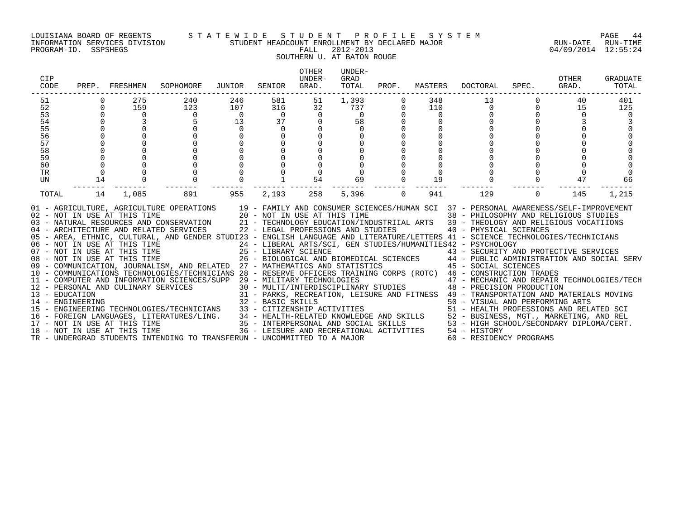#### LOUISIANA BOARD OF REGENTS S T A T E W I D E S T U D E N T P R O F I L E S Y S T E M PAGE 44 INFORMATION SERVICES DIVISION STUDENT HEADCOUNT ENROLLMENT BY DECLARED MAJOR RUN-DATE RUN-TIME

SOUTHERN U. AT BATON ROUGE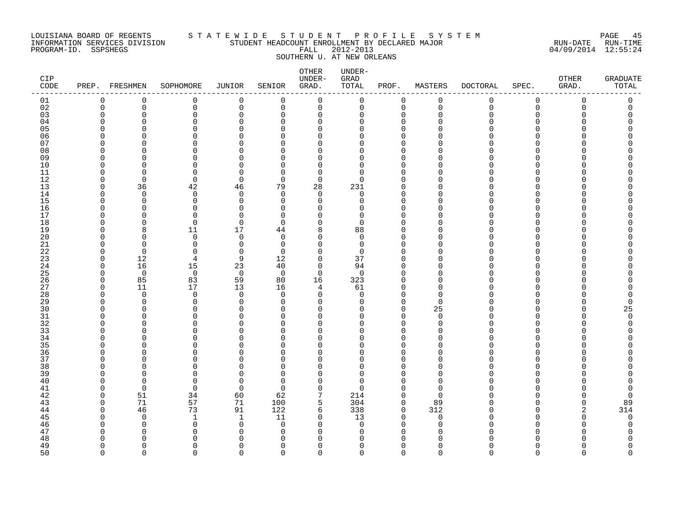#### LOUISIANA BOARD OF REGENTS S T A T E W I D E S T U D E N T P R O F I L E S Y S T E M PAGE 45 INFORMATION SERVICES DIVISION STUDENT HEADCOUNT ENROLLMENT BY DECLARED MAJOR RUN-DATE RUN-TIME PROGRAM-ID. SSPSHEGS FALL 2012-2013 04/09/2014 12:55:24 SOUTHERN U. AT NEW ORLEANS

| CIP<br>$\texttt{CODE}$ | PREP. FRESHMEN |                      | SOPHOMORE            | JUNIOR               | SENIOR            | OTHER<br>UNDER-<br>GRAD. | UNDER-<br>GRAD<br>TOTAL | PROF.                   | MASTERS       | DOCTORAL    | SPEC.       | OTHER<br>GRAD. | GRADUATE<br>TOTAL |
|------------------------|----------------|----------------------|----------------------|----------------------|-------------------|--------------------------|-------------------------|-------------------------|---------------|-------------|-------------|----------------|-------------------|
| 01                     | 0              | 0                    | 0                    | $\mathbf 0$          | 0                 | 0                        | $\mathbf 0$             | 0                       | 0             | $\mathbf 0$ | $\mathsf 0$ | $\mathbf 0$    | 0                 |
| 02                     | $\Omega$       | $\mathbf 0$          | $\Omega$             | $\mathbf 0$          | $\Omega$          | $\mathbf 0$              | $\Omega$                | $\mathbf 0$             | $\Omega$      | $\Omega$    | $\Omega$    | $\Omega$       | $\Omega$          |
| 03                     |                | $\Omega$             | $\Omega$             | $\Omega$             | $\Omega$          | $\Omega$                 | U                       | $\Omega$                |               |             | ∩           |                |                   |
| 04                     |                | $\Omega$             | 0                    | $\Omega$             | $\Omega$          | $\mathbf 0$              | U                       | $\Omega$                |               |             | $\cap$      |                |                   |
| 05                     |                | $\Omega$             | $\Omega$             | $\Omega$             | ∩                 | $\Omega$                 |                         | $\Omega$                |               |             |             |                |                   |
| 06                     |                | $\Omega$             | $\Omega$             | $\Omega$             | ∩                 | 0                        |                         | $\Omega$                |               |             |             |                |                   |
| 07                     |                | $\Omega$             | $\Omega$             | $\Omega$             | U                 | 0                        |                         | $\Omega$                |               |             |             |                |                   |
| 08                     |                | $\cap$               | ∩                    | $\cap$               |                   | U                        |                         | $\Omega$                |               |             |             |                |                   |
| 09                     |                | $\Omega$             | $\Omega$             | $\Omega$             | ∩                 | $\Omega$                 | ∩                       | $\Omega$                |               |             |             |                |                   |
| 10                     |                | $\Omega$<br>$\Omega$ | $\Omega$<br>$\Omega$ | $\Omega$<br>$\Omega$ | <sup>n</sup><br>∩ | $\Omega$<br>$\Omega$     | ∩<br>∩                  | $\Omega$<br>$\Omega$    |               |             |             |                |                   |
| 11<br>12               |                | $\mathbf 0$          | $\mathbf 0$          | $\mathbf 0$          | $\Omega$          | 0                        | Λ                       | $\Omega$                |               |             |             |                |                   |
| 13                     |                | 36                   | 42                   | 46                   | 79                | 28                       | 231                     | $\Omega$                |               |             |             |                |                   |
| 14                     | ∩              | $\Omega$             | $\Omega$             | $\Omega$             | $\Omega$          | $\Omega$                 | $\Omega$                | $\Omega$                |               |             |             |                |                   |
| 15                     |                | $\Omega$             | $\Omega$             | $\Omega$             | <sup>n</sup>      | $\Omega$                 | U                       | $\Omega$                |               |             |             |                |                   |
| 16                     |                | $\Omega$             | $\Omega$             | $\Omega$             | $\Omega$          | O                        | ∩                       | $\Omega$                |               |             |             |                |                   |
| 17                     |                | $\Omega$             | $\Omega$             | $\Omega$             | $\Omega$          | 0                        | 0                       | $\Omega$                |               |             |             |                |                   |
| 18                     |                | $\Omega$             | $\Omega$             | $\Omega$             | ∩                 | $\Omega$                 | ∩                       | $\Omega$                |               |             |             |                |                   |
| 19                     |                | 8                    | 11                   | 17                   | 44                | 8                        | 88                      | $\Omega$                |               |             |             |                |                   |
| 20                     |                | $\Omega$             | $\Omega$             | $\Omega$             | $\Omega$          | $\Omega$                 | $\Omega$                | ∩                       |               |             |             |                |                   |
| 21                     |                | $\Omega$             | $\mathbf 0$          | $\Omega$             | $\Omega$          | $\Omega$                 | $\Omega$                | $\Omega$                |               |             |             |                |                   |
| 22                     | ∩              | $\Omega$             | $\Omega$             | $\Omega$             | $\Omega$          | $\Omega$                 | $\Omega$                | $\Omega$                |               |             |             |                |                   |
| 23                     | ∩              | 12                   | 4                    | 9                    | 12                | $\mathbf 0$              | 37                      | $\Omega$                |               |             |             |                |                   |
| 24                     | ∩              | 16                   | 15                   | 23                   | 40                | $\mathbf 0$              | 94                      | $\Omega$                |               |             |             |                |                   |
| 25                     |                | $\overline{0}$       | $\overline{0}$       | $\overline{0}$       | $\Omega$          | $\Omega$                 | $\Omega$                | $\Omega$                |               |             |             |                |                   |
| 26                     | $\Omega$       | 85                   | 83                   | 59                   | 80                | 16                       | 323                     | $\Omega$                |               |             |             |                |                   |
| 27                     | $\Omega$       | 11                   | 17                   | 13                   | 16                | 4                        | 61                      | $\Omega$                |               |             |             |                |                   |
| 28                     | ∩              | $\Omega$             | $\Omega$             | $\Omega$             | $\Omega$          | $\Omega$                 | $\Omega$                | $\Omega$                |               |             |             |                |                   |
| 29                     |                | $\Omega$             | $\Omega$             | $\Omega$             | $\Omega$          | 0                        | U                       | $\mathbf 0$             | ∩             |             |             |                | U                 |
| 30                     |                | $\Omega$             | 0                    | $\cap$               | ∩                 | 0                        |                         | $\Omega$                | 25            |             |             |                | 25                |
| 31<br>32               |                | $\Omega$<br>$\cap$   | $\Omega$<br>U        | $\Omega$<br>$\Omega$ | O<br><sup>n</sup> | 0<br>0                   | U                       | $\mathbf 0$<br>$\Omega$ | $\Omega$<br>∩ |             |             |                | $\mathbf 0$<br>U  |
| 33                     |                | $\Omega$             | $\Omega$             | $\cap$               |                   | O                        |                         | $\Omega$                |               |             |             |                |                   |
| 34                     |                | $\Omega$             | $\Omega$             | $\Omega$             |                   | 0                        | ∩                       | $\Omega$                |               |             |             |                |                   |
| 35                     |                | $\cap$               | U                    | $\cap$               |                   | $\Omega$                 |                         | $\Omega$                |               |             |             |                |                   |
| 36                     |                | $\Omega$             | 0                    | $\cap$               |                   | $\Omega$                 |                         | $\Omega$                |               |             |             |                |                   |
| 37                     |                | <sup>0</sup>         | O                    | ∩                    | U                 | O                        | Ω                       | 0                       |               |             |             |                |                   |
| 38                     |                | $\cap$               | U                    |                      |                   | O                        | ∩                       | $\Omega$                |               |             |             |                |                   |
| 39                     |                | $\Omega$             | $\Omega$             | $\cap$               | $\Omega$          | $\Omega$                 | U                       | $\Omega$                |               |             |             |                |                   |
| 40                     |                | $\Omega$             | 0                    | $\cap$               | <sup>n</sup>      | $\Omega$                 | U                       | $\Omega$                |               |             |             |                |                   |
| 41                     |                | $\overline{0}$       | $\mathbf 0$          | $\Omega$             | $\Omega$          | $\Omega$                 | $\Omega$                | $\Omega$                | ∩             |             |             |                |                   |
| 42                     | ∩              | 51                   | 34                   | 60                   | 62                | 7                        | 214                     | $\mathbf 0$             | $\Omega$      |             |             |                | $\Omega$          |
| 43                     | $\Omega$       | 71                   | 57                   | 71                   | 100               | 5                        | 304                     | 0                       | 89            |             |             |                | 89                |
| 44                     | ∩              | 46                   | 73                   | 91                   | 122               | 6                        | 338                     | $\mathbf 0$             | 312           |             |             |                | 314               |
| 45                     |                | $\Omega$             | $\mathbf{1}$         | $\mathbf{1}$         | 11                | $\Omega$                 | 13                      | $\Omega$                | $\Omega$      |             |             |                | $\mathbf 0$       |
| 46                     |                | $\Omega$             | $\Omega$             | $\Omega$             | $\Omega$          | U                        | $\Omega$                | $\Omega$                |               |             |             |                | U                 |
| 47                     |                |                      | U                    |                      | ∩                 | U                        | ∩                       |                         |               |             |             |                |                   |
| 48                     | $\Omega$       | <sup>0</sup>         | O                    | ∩                    | $\Omega$          | 0                        | O                       | 0                       |               |             |             |                | O                 |
| 49                     | $\Omega$       | $\Omega$             | 0                    | $\Omega$             | $\Omega$          | $\Omega$                 | $\Omega$                | $\Omega$                | $\Omega$      |             | ∩           | ∩              | $\Omega$          |

50 0 0 0 0 0 0 0 0 0 0 0 0 0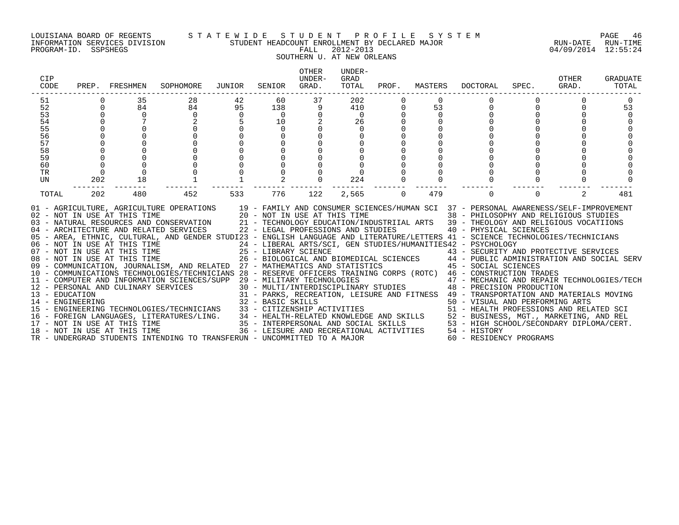#### LOUISIANA BOARD OF REGENTS S T A T E W I D E S T U D E N T P R O F I L E S Y S T E M PAGE 46 INFORMATION SERVICES DIVISION STUDENT HEADCOUNT ENROLLMENT BY DECLARED MAJOR RUN-DATE RUN-TIME

### SOUTHERN U. AT NEW ORLEANS

| <b>CIP</b><br>CODE                                                                                                                                                                                                                                                                                                                                                                                                                                                                                                                                                                                                                                                                                                                                                                                                                                                                                                                                                                                                                                                                                                                                                                                                                                                                                                                                                                                                                                                                                                                                                                                                                                                                                                                                                                                                                                                                                                                                                                                                                                                                                                          | PREP. | FRESHMEN                | SOPHOMORE               | JUNIOR               | SENIOR                                     | <b>OTHER</b><br>UNDER-<br>GRAD. | UNDER-<br>GRAD<br>TOTAL                  | PROF. | MASTERS        | <b>DOCTORAL</b> | SPEC. | OTHER<br>GRAD. | <b>GRADUATE</b><br>TOTAL |
|-----------------------------------------------------------------------------------------------------------------------------------------------------------------------------------------------------------------------------------------------------------------------------------------------------------------------------------------------------------------------------------------------------------------------------------------------------------------------------------------------------------------------------------------------------------------------------------------------------------------------------------------------------------------------------------------------------------------------------------------------------------------------------------------------------------------------------------------------------------------------------------------------------------------------------------------------------------------------------------------------------------------------------------------------------------------------------------------------------------------------------------------------------------------------------------------------------------------------------------------------------------------------------------------------------------------------------------------------------------------------------------------------------------------------------------------------------------------------------------------------------------------------------------------------------------------------------------------------------------------------------------------------------------------------------------------------------------------------------------------------------------------------------------------------------------------------------------------------------------------------------------------------------------------------------------------------------------------------------------------------------------------------------------------------------------------------------------------------------------------------------|-------|-------------------------|-------------------------|----------------------|--------------------------------------------|---------------------------------|------------------------------------------|-------|----------------|-----------------|-------|----------------|--------------------------|
| 51<br>52<br>53<br>54<br>55<br>56<br>57<br>58<br>59<br>60<br>TR                                                                                                                                                                                                                                                                                                                                                                                                                                                                                                                                                                                                                                                                                                                                                                                                                                                                                                                                                                                                                                                                                                                                                                                                                                                                                                                                                                                                                                                                                                                                                                                                                                                                                                                                                                                                                                                                                                                                                                                                                                                              |       | 35<br>84<br>$\mathbf 0$ | 28<br>84<br>$\mathbf 0$ | 42<br>95<br>$\Omega$ | 60<br>138<br>$\Omega$<br>10<br>$\mathbf 0$ | 37<br>9                         | 202<br>410<br>$\Omega$<br>26<br>$\Omega$ |       | 53<br>$\Omega$ |                 |       |                | 53                       |
| 202<br>18<br>224<br>UN<br>TOTAL<br>202<br>452<br>776<br>122<br>479<br>2<br>480<br>533<br>2,565<br>$\Omega$<br>$\Omega$<br>$\Omega$<br>19 - FAMILY AND CONSUMER SCIENCES/HUMAN SCI 37 - PERSONAL AWARENESS/SELF-IMPROVEMENT<br>01 - AGRICULTURE, AGRICULTURE OPERATIONS<br>02 – NOT IN USE AT THIS TIME $20 - NOT IN USE AT THIS TIME$<br>03 – NATURAL RESOURCES AND CONSERVATION $21 - TECHNOLOGY EDUCATION/INI$<br>38 - PHILOSOPHY AND RELIGIOUS STUDIES<br>21 - TECHNOLOGY EDUCATION/INDUSTRIIAL ARTS 39 - THEOLOGY AND RELIGIOUS VOCATIIONS<br>22 - LEGAL PROFESSIONS AND STUDIES<br>04 - ARCHITECTURE AND RELATED SERVICES<br>40 - PHYSICAL SCIENCES<br>05 - AREA, ETHNIC, CULTURAL, AND GENDER STUDI23 - ENGLISH LANGUAGE AND LITERATURE/LETTERS 41 - SCIENCE TECHNOLOGIES/TECHNICIANS<br>24 - LIBERAL ARTS/SCI, GEN STUDIES/HUMANITIES42 - PSYCHOLOGY<br>06 - NOT IN USE AT THIS TIME<br>07 - NOT IN USE AT THIS TIME<br>08 - NOT IN USE AT THIS TIME<br>25 - LIBRARY SCIENCE<br>26 - BIOLOGICAL AND BIOMEDICAL SCIENCES 44 - PUBLIC ADMINISTRATION AND SOCIAL SERV<br>27 - MATHEMATICS AND STATISTICS 45 - SOCIAL SCIENCES<br>09 - COMMUNICATION, JOURNALISM, AND RELATED 27 - MATHEMATICS AND STATISTICS<br>10 - COMMUNICATIONS TECHNOLOGIES/TECHNICIANS 28 - RESERVE OFFICERS TRAINING CORPS (ROTC) 46 - CONSTRUCTION TRADES<br>11 - COMPUTER AND INFORMATION SCIENCES/SUPP 29 - MILITARY TECHNOLOGIES<br>29 - MILITARY TECHNOLOGIES<br>30 - MULTI/INTERDISCIPLINARY STUDIES<br>48 - PRECISION PRODUCTION<br>12 - PERSONAL AND CULINARY SERVICES<br>31 - PARKS, RECREATION, LEISURE AND FITNESS 49 - TRANSPORTATION AND MATERIALS MOVING<br>13 - EDUCATION<br>32 - BASIC SKILLS<br>50 - VISUAL AND PERFORMING ARTS<br>14 - ENGINEERING<br>33 - CITIZENSHIP ACTIVITIES<br>51 - HEALTH PROFESSIONS AND RELATED SCI<br>15 - ENGINEERING TECHNOLOGIES/TECHNICIANS<br>34 - HEALTH-RELATED KNOWLEDGE AND SKILLS 52 - BUSINESS, MGT., MARKETING, AND REL<br>16 - FOREIGN LANGUAGES, LITERATURES/LING.<br>53 - HIGH SCHOOL/SECONDARY DIPLOMA/CERT.<br>35 - INTERPERSONAL AND SOCIAL SKILLS<br>17 - NOT IN USE AT THIS TIME |       |                         |                         |                      |                                            |                                 |                                          |       |                |                 | 481   |                |                          |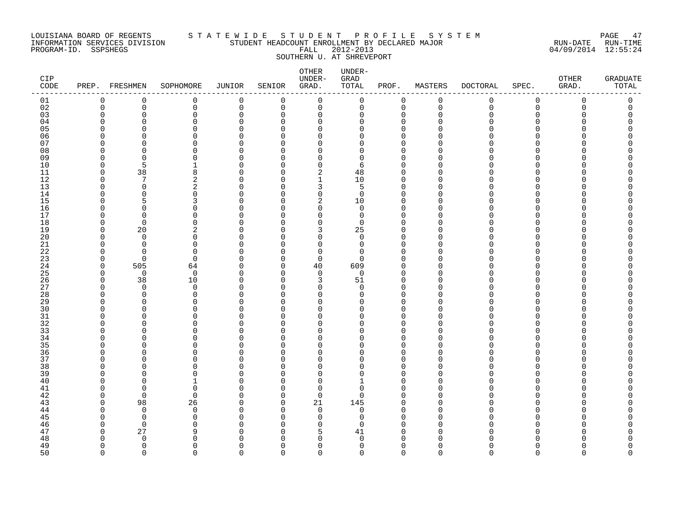#### LOUISIANA BOARD OF REGENTS S T A T E W I D E S T U D E N T P R O F I L E S Y S T E M PAGE 47 INFORMATION SERVICES DIVISION STUDENT HEADCOUNT ENROLLMENT BY DECLARED MAJOR RUN-DATE RUN-TIME PROGRAM-ID. SSPSHEGS FALL 2012-2013 04/09/2014 12:55:24 SOUTHERN U. AT SHREVEPORT

| CIP<br>$\texttt{CODE}$ | PREP. FRESHMEN |                      | SOPHOMORE           | JUNIOR               | SENIOR      | OTHER<br>UNDER-<br>GRAD. | $UNDER-$<br>GRAD<br>TOTAL | PROF.                | MASTERS     | DOCTORAL    | SPEC.          | OTHER<br>GRAD. | GRADUATE<br>TOTAL |
|------------------------|----------------|----------------------|---------------------|----------------------|-------------|--------------------------|---------------------------|----------------------|-------------|-------------|----------------|----------------|-------------------|
| 01                     | 0              | $\mathbf 0$          | 0                   | $\mathbf 0$          | $\mathsf 0$ | 0                        | $\mathbf 0$               | $\mathbf 0$          | $\mathbf 0$ | $\mathbf 0$ | $\mathsf 0$    | $\mathbf 0$    | 0                 |
| 02                     | $\Omega$       | $\mathsf{O}$         | $\mathbf 0$         | $\mathbf 0$          | $\mathbf 0$ | 0                        | $\mathbf 0$               | $\mathbf 0$          | $\Omega$    | $\Omega$    | $\overline{0}$ | $\mathbf 0$    | 0                 |
| 03                     |                | $\mathbf 0$          | 0                   | $\mathbf 0$          | $\Omega$    | 0                        | O                         | $\mathbf 0$          | O           |             | ∩              |                | O                 |
| 04                     | ∩              | $\Omega$             | 0                   | $\Omega$             | $\Omega$    | $\Omega$                 | U                         | $\Omega$             |             |             | ∩              |                |                   |
| 05                     | ∩              | $\Omega$             | $\Omega$            | $\Omega$             | ∩           | $\Omega$                 | ∩                         | $\Omega$             |             |             | $\cap$         |                |                   |
| 06                     | ∩              | $\Omega$             | $\Omega$            | $\Omega$             | ∩           | $\Omega$                 | ∩                         | $\Omega$             |             |             |                |                |                   |
| 07                     |                | $\Omega$             | U                   | $\Omega$             | U           | 0                        | U                         | $\Omega$             |             |             |                |                |                   |
| 08                     |                | $\Omega$             | U                   | $\Omega$             |             | $\Omega$                 | U                         | $\Omega$             |             |             |                |                |                   |
| 09                     | ∩              | $\mathbf 0$          | 0                   | $\Omega$             | ∩           | 0                        | O                         | $\mathbf 0$          |             |             | ∩              |                |                   |
| 10                     | $\Omega$       | 5                    |                     | $\cap$               | U           | 0                        | 6                         | $\Omega$<br>$\Omega$ |             |             |                |                |                   |
| 11<br>12               | ∩              | 38<br>7              | 8<br>$\overline{a}$ | $\Omega$<br>$\Omega$ | U           | 2<br>$\mathbf{1}$        | 48<br>10                  | $\Omega$             |             |             |                |                |                   |
| 13                     |                | $\Omega$             | 2                   | $\cap$               |             | 3                        | 5                         | $\Omega$             |             |             |                |                |                   |
| 14                     | O              | $\Omega$             | $\Omega$            | $\Omega$             | ∩           | 0                        | $\Omega$                  | $\mathbf 0$          |             |             | ∩              |                |                   |
| 15                     | ∩              | 5                    | 3                   | $\Omega$             | ∩           | 2                        | 10                        | $\mathbf 0$          |             |             |                |                |                   |
| 16                     | ∩              | $\Omega$             | O                   | $\Omega$             |             | 0                        | $\Omega$                  | $\Omega$             |             |             |                |                |                   |
| 17                     |                | $\Omega$             | 0                   | $\Omega$             | U           | 0                        | 0                         | $\mathbf 0$          |             |             |                |                |                   |
| 18                     |                | $\Omega$             | U                   | $\cap$               | U           | $\Omega$                 | $\Omega$                  | $\Omega$             |             |             |                |                |                   |
| 19                     | ∩              | 20                   | 2                   | $\Omega$             | ∩           | 3                        | 25                        | $\Omega$             |             |             | ∩              |                |                   |
| 20                     | ∩              | $\Omega$             | 0                   | $\cap$               |             | $\Omega$                 | $\Omega$                  | $\mathbf 0$          |             |             | ∩              |                |                   |
| 21                     | $\Omega$       | $\Omega$             | $\Omega$            | $\cap$               |             | $\Omega$                 | $\Omega$                  | $\Omega$             |             |             | ∩              |                |                   |
| 22                     | ∩              | $\Omega$             | $\Omega$            | $\Omega$             | U           | 0                        | $\Omega$                  | $\mathbf 0$          |             |             |                |                |                   |
| 23                     | ∩              | 0                    | $\Omega$            | $\cap$               | ∩           | 0                        | ∩                         | $\Omega$             |             |             |                |                |                   |
| 24                     | $\Omega$       | 505                  | 64                  | $\Omega$             | $\Omega$    | 40                       | 609                       | $\Omega$             |             |             |                |                |                   |
| 25                     | $\Omega$       | $\overline{0}$       | $\mathbf 0$         | $\Omega$             | $\Omega$    | 0                        | $\Omega$                  | $\mathbf 0$          |             |             |                |                |                   |
| 26                     | $\Omega$       | 38                   | 10                  | $\Omega$             | ∩           | 3                        | 51                        | $\mathbf 0$          |             |             |                |                |                   |
| 27                     | ∩              | $\Omega$             | $\Omega$            | $\Omega$             | ∩           | $\Omega$                 | $\Omega$                  | $\Omega$             |             |             |                |                |                   |
| 28                     | ∩              | $\Omega$             | $\Omega$            | $\cap$               | ∩           | $\Omega$                 | $\Omega$                  | $\Omega$             |             |             |                |                |                   |
| 29                     |                | $\Omega$             | $\Omega$            | $\cap$               | U           | $\Omega$                 | ∩                         | $\Omega$             |             |             | ∩              |                |                   |
| 30                     |                | $\Omega$             | U                   | $\cap$               |             | $\Omega$                 | ∩                         | $\Omega$             |             |             |                |                |                   |
| 31                     |                | $\Omega$             | $\Omega$            | $\cap$<br>$\cap$     |             | $\Omega$                 | U                         | $\Omega$             |             |             | ∩              |                |                   |
| 32                     |                | $\Omega$<br>$\Omega$ | 0<br>0              | $\cap$               |             | $\Omega$                 | Ω<br>Λ                    | $\Omega$<br>$\Omega$ |             |             |                |                |                   |
| 33<br>34               |                | $\Omega$             | 0                   | O                    | Ω           | 0<br>0                   | N                         | 0                    |             |             |                |                |                   |
| 35                     |                | $\Omega$             | U                   | ∩                    |             | U                        | ∩                         | $\Omega$             |             |             |                |                |                   |
| 36                     |                | $\cap$               | 0                   | $\cap$               | Λ           | $\Omega$                 |                           | $\Omega$             |             |             | ∩              |                |                   |
| 37                     |                | $\cap$               | U                   | $\cap$               |             | $\Omega$                 |                           | $\Omega$             |             |             |                |                |                   |
| 38                     |                | $\Omega$             | 0                   | $\cap$               |             | $\Omega$                 | U                         | $\Omega$             |             |             |                |                |                   |
| 39                     |                | $\Omega$             | U                   | $\cap$               | U           | 0                        | ∩                         | $\Omega$             |             |             |                |                |                   |
| 40                     |                | ∩                    |                     | ∩                    | U           | O                        |                           | $\Omega$             |             |             |                |                |                   |
| 41                     | ∩              | $\Omega$             | $\mathbf 0$         | $\Omega$             | $\Omega$    | 0                        | O                         | 0                    |             |             | ∩              |                |                   |
| 42                     | ∩              | $\Omega$             | $\Omega$            | $\cap$               | 0           | $\mathbf 0$              | $\Omega$                  | $\Omega$             |             |             |                |                |                   |
| 43                     | ∩              | 98                   | 26                  | $\cap$               | $\Omega$    | 21                       | 145                       | $\Omega$             |             |             |                |                |                   |
| 44                     | ∩              | $\mathbf 0$          | $\mathbf 0$         | $\Omega$             | ∩           | $\mathbf 0$              | $\Omega$                  | $\mathbf 0$          |             |             |                |                |                   |
| 45                     |                | $\Omega$             | $\Omega$            | ∩                    | ∩           | $\Omega$                 | U                         | $\Omega$             |             |             |                |                |                   |
| 46                     | ∩              | $\overline{0}$       | $\Omega$            | $\cap$               |             | $\Omega$                 | U                         | $\Omega$             |             |             |                |                |                   |
| 47                     | ∩              | 27                   | 9                   |                      | ∩           | 5                        | 41                        | 0                    |             |             |                |                |                   |
| 48                     | ∩              | $\mathbf 0$          | 0                   |                      | U           | O                        | 0                         | $\Omega$             |             |             |                |                |                   |
| 49                     | $\Omega$       | $\mathbf 0$          | $\Omega$            | $\Omega$             | $\Omega$    | 0                        | $\mathbf 0$               | $\mathbf 0$          | $\Omega$    | $\Omega$    | $\Omega$       | $\Omega$       | $\Omega$          |

50 0 0 0 0 0 0 0 0 0 0 0 0 0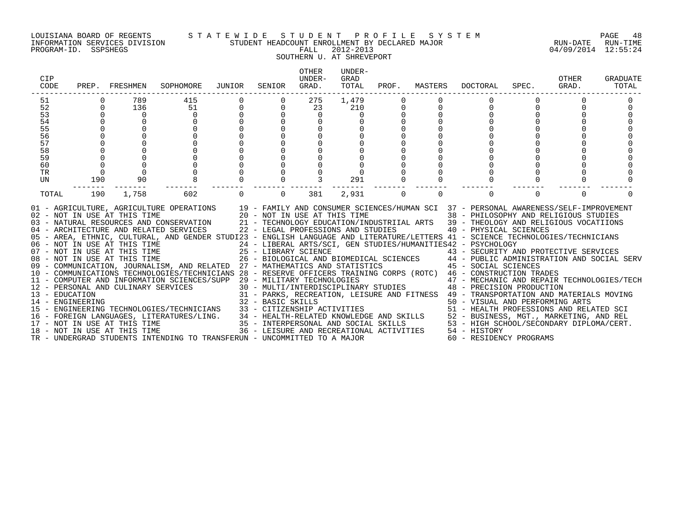#### LOUISIANA BOARD OF REGENTS S T A T E W I D E S T U D E N T P R O F I L E S Y S T E M PAGE 48 INFORMATION SERVICES DIVISION STUDENT HEADCOUNT ENROLLMENT BY DECLARED MAJOR RUN-DATE RUN-TIME

SOUTHERN U. AT SHREVEPORT

| CIP<br>CODE    |             | PREP. FRESHMEN                                               | SOPHOMORE                                                                                                                                                                                                                                                                                                                                                                                                                                                                                                                                                                                                                                                                                                                                                                                                                                                                                                                                                                                                                                                                                            | JUNIOR   | SENIOR                                                                                                | <b>OTHER</b><br>UNDER-<br>GRAD. | UNDER-<br>GRAD<br>TOTAL | PROF.    | MASTERS  | DOCTORAL                                                                                                                                                                                                                                                                                                                                                                                                                                                                                                                                                  | SPEC.    | OTHER<br>GRAD. | <b>GRADUATE</b><br>TOTAL |
|----------------|-------------|--------------------------------------------------------------|------------------------------------------------------------------------------------------------------------------------------------------------------------------------------------------------------------------------------------------------------------------------------------------------------------------------------------------------------------------------------------------------------------------------------------------------------------------------------------------------------------------------------------------------------------------------------------------------------------------------------------------------------------------------------------------------------------------------------------------------------------------------------------------------------------------------------------------------------------------------------------------------------------------------------------------------------------------------------------------------------------------------------------------------------------------------------------------------------|----------|-------------------------------------------------------------------------------------------------------|---------------------------------|-------------------------|----------|----------|-----------------------------------------------------------------------------------------------------------------------------------------------------------------------------------------------------------------------------------------------------------------------------------------------------------------------------------------------------------------------------------------------------------------------------------------------------------------------------------------------------------------------------------------------------------|----------|----------------|--------------------------|
| 51             |             | 789                                                          | 415                                                                                                                                                                                                                                                                                                                                                                                                                                                                                                                                                                                                                                                                                                                                                                                                                                                                                                                                                                                                                                                                                                  |          |                                                                                                       | 275                             | 1,479                   |          |          |                                                                                                                                                                                                                                                                                                                                                                                                                                                                                                                                                           |          |                |                          |
| 52             | $\mathbf 0$ | 136                                                          | 51                                                                                                                                                                                                                                                                                                                                                                                                                                                                                                                                                                                                                                                                                                                                                                                                                                                                                                                                                                                                                                                                                                   | 0        | 0                                                                                                     | 23                              | 210                     | 0        | 0        | 0                                                                                                                                                                                                                                                                                                                                                                                                                                                                                                                                                         |          |                |                          |
| 53             |             | 0                                                            | $\Omega$                                                                                                                                                                                                                                                                                                                                                                                                                                                                                                                                                                                                                                                                                                                                                                                                                                                                                                                                                                                                                                                                                             |          |                                                                                                       | $\mathbf 0$                     |                         |          |          |                                                                                                                                                                                                                                                                                                                                                                                                                                                                                                                                                           |          |                |                          |
| 54             |             |                                                              |                                                                                                                                                                                                                                                                                                                                                                                                                                                                                                                                                                                                                                                                                                                                                                                                                                                                                                                                                                                                                                                                                                      |          |                                                                                                       | 0                               |                         |          |          |                                                                                                                                                                                                                                                                                                                                                                                                                                                                                                                                                           |          |                |                          |
| 55             |             |                                                              |                                                                                                                                                                                                                                                                                                                                                                                                                                                                                                                                                                                                                                                                                                                                                                                                                                                                                                                                                                                                                                                                                                      |          |                                                                                                       |                                 |                         |          |          |                                                                                                                                                                                                                                                                                                                                                                                                                                                                                                                                                           |          |                |                          |
| 56             |             |                                                              |                                                                                                                                                                                                                                                                                                                                                                                                                                                                                                                                                                                                                                                                                                                                                                                                                                                                                                                                                                                                                                                                                                      |          |                                                                                                       |                                 |                         |          |          |                                                                                                                                                                                                                                                                                                                                                                                                                                                                                                                                                           |          |                |                          |
| 57             |             |                                                              |                                                                                                                                                                                                                                                                                                                                                                                                                                                                                                                                                                                                                                                                                                                                                                                                                                                                                                                                                                                                                                                                                                      |          |                                                                                                       |                                 |                         |          |          |                                                                                                                                                                                                                                                                                                                                                                                                                                                                                                                                                           |          |                |                          |
| 58             |             |                                                              |                                                                                                                                                                                                                                                                                                                                                                                                                                                                                                                                                                                                                                                                                                                                                                                                                                                                                                                                                                                                                                                                                                      |          |                                                                                                       |                                 |                         |          |          |                                                                                                                                                                                                                                                                                                                                                                                                                                                                                                                                                           |          |                |                          |
| 59<br>60       |             |                                                              |                                                                                                                                                                                                                                                                                                                                                                                                                                                                                                                                                                                                                                                                                                                                                                                                                                                                                                                                                                                                                                                                                                      |          |                                                                                                       |                                 |                         |          |          |                                                                                                                                                                                                                                                                                                                                                                                                                                                                                                                                                           |          |                |                          |
| TR             |             |                                                              |                                                                                                                                                                                                                                                                                                                                                                                                                                                                                                                                                                                                                                                                                                                                                                                                                                                                                                                                                                                                                                                                                                      |          |                                                                                                       |                                 |                         |          |          |                                                                                                                                                                                                                                                                                                                                                                                                                                                                                                                                                           |          |                |                          |
| UN             | 190         | 90                                                           |                                                                                                                                                                                                                                                                                                                                                                                                                                                                                                                                                                                                                                                                                                                                                                                                                                                                                                                                                                                                                                                                                                      |          |                                                                                                       |                                 | 291                     |          |          |                                                                                                                                                                                                                                                                                                                                                                                                                                                                                                                                                           |          |                |                          |
|                |             |                                                              |                                                                                                                                                                                                                                                                                                                                                                                                                                                                                                                                                                                                                                                                                                                                                                                                                                                                                                                                                                                                                                                                                                      |          |                                                                                                       |                                 |                         |          |          |                                                                                                                                                                                                                                                                                                                                                                                                                                                                                                                                                           |          |                |                          |
| TOTAL          | 190         | 1,758                                                        | 602                                                                                                                                                                                                                                                                                                                                                                                                                                                                                                                                                                                                                                                                                                                                                                                                                                                                                                                                                                                                                                                                                                  | $\Omega$ | $\Omega$                                                                                              | 381                             | 2,931                   | $\Omega$ | $\Omega$ | $\Omega$                                                                                                                                                                                                                                                                                                                                                                                                                                                                                                                                                  | $\Omega$ | $\Omega$       |                          |
| 13 - EDUCATION |             | 02 - NOT IN USE AT THIS TIME<br>08 - NOT IN USE AT THIS TIME | 01 - AGRICULTURE, AGRICULTURE OPERATIONS 19 - FAMILY AND CONSUMER SCIENCES/HUMAN SCI 37 - PERSONAL AWARENESS/SELF-IMPROVEMENT<br>20 - NOT IN USE AT THIS TIME<br>03 - NATURAL RESOURCES AND CONSERVATION<br>04 - ARCHITECTURE AND RELATED SERVICES<br>05 - AREA, ETHNIC, CULTURAL, AND GENDER STUDI23 - ENGLISH LANGUAGE AND LITERATURE/LETTERS 41 - SCIENCE TECHNOLOGIES/TECHNICIANS<br>06 - NOT IN USE AT THIS TIME<br>07 - NOT IN USE AT THIS TIME<br>09 - COMMUNICATION, JOURNALISM, AND RELATED 27 - MATHEMATICS AND STATISTICS<br>10 - COMMUNICATIONS TECHNOLOGIES/TECHNICIANS 28 - RESERVE OFFICERS TRAINING CORPS (ROTC) 46 - CONSTRUCTION TRADES<br>11 - COMPUTER AND INFORMATION SCIENCES/SUPP 29 - MILITARY TECHNOLOGIES<br>12 - PERSONAL AND CULINARY SERVICES<br>14 - ENGINEERING<br>15 - ENGINEERING TECHNOLOGIES/TECHNICIANS<br>15 - ENGINEERING TECHNOLOGIES/TECHNICIANS<br>16 - FOREIGN LANGUAGES, LITERATURES/LING.<br>16 - FOREIGN LANGUAGES, LITERATURES/LING.<br>17 - NOT IN USE AT THIS TIME<br>18<br>TR - UNDERGRAD STUDENTS INTENDING TO TRANSFERUN - UNCOMMITTED TO A MAJOR |          | 22 - LEGAL PROFESSIONS AND STUDIES<br>25 - LIBRARY SCIENCE<br>26 - BIOLOGICAL AND BIOMEDICAL SCIENCES |                                 |                         |          |          | 38 - PHILOSOPHY AND RELIGIOUS STUDIES<br>21 - TECHNOLOGY EDUCATION/INDUSTRIIAL ARTS 39 - THEOLOGY AND RELIGIOUS VOCATIIONS<br>40 - PHYSICAL SCIENCES<br>24 - LIBERAL ARTS/SCI, GEN STUDIES/HUMANITIES42 - PSYCHOLOGY<br>43 - SECURITY AND PROTECTIVE SERVICES<br>44 - PUBLIC ADMINISTRATION AND SOCIAL SERV<br>45 - SOCIAL SCIENCES<br>29 - MILITARY TECHNOLOGIES<br>30 - MULTI/INTERDISCIPLINARY STUDIES<br>48 - PRECISION PRODUCTION<br>31 - PARKS, RECREATION, LEISURE AND FITNESS 49 - TRANSPORTATION AND MATERIALS MOVING<br>60 - RESIDENCY PROGRAMS |          |                |                          |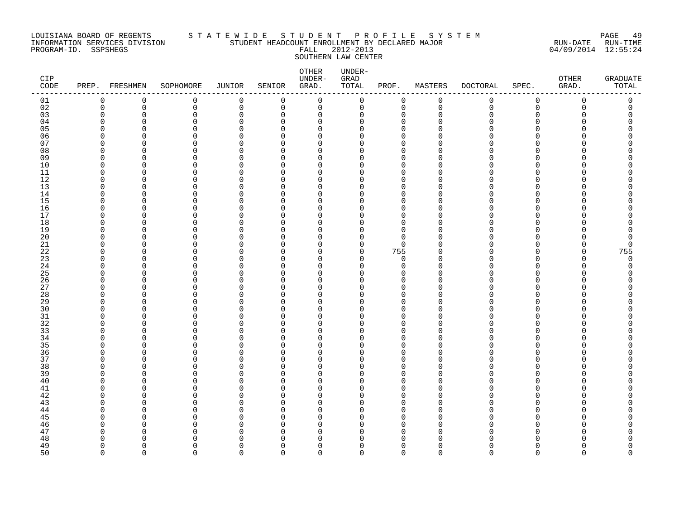#### LOUISIANA BOARD OF REGENTS S T A T E W I D E S T U D E N T P R O F I L E S Y S T E M PAGE 49 INFORMATION SERVICES DIVISION STUDENT HEADCOUNT ENROLLMENT BY DECLARED MAJOR RUN-DATE RUN-TIME PROGRAM-ID. SSPSHEGS FALL 2012-2013 04/09/2014 12:55:24 SOUTHERN LAW CENTER

| CIP<br>CODE |                      | PREP. FRESHMEN | SOPHOMORE            | JUNIOR                  | SENIOR        | ${\small \texttt{OTHER}}$<br>UNDER-<br>GRAD. | UNDER-<br>GRAD<br>TOTAL | PROF.                   | MASTERS     | <b>DOCTORAL</b> | SPEC.          | OTHER<br>GRAD. | GRADUATE<br>$\mathtt{TOTAL}$ |
|-------------|----------------------|----------------|----------------------|-------------------------|---------------|----------------------------------------------|-------------------------|-------------------------|-------------|-----------------|----------------|----------------|------------------------------|
| 01          | $\mathbf 0$          | 0              | 0                    | $\mathbf 0$             | 0             | $\mathbf 0$                                  | $\mathbf 0$             | 0                       | $\mathbf 0$ | $\mathbf 0$     | $\mathbf 0$    | $\mathbf 0$    | 0                            |
| 02          | $\mathbf 0$          | $\mathbf 0$    | $\mathbf 0$          | $\mathsf 0$             | 0             | $\mathbf 0$                                  | $\mathbf 0$             | $\mathbf 0$             | $\mathbf 0$ | $\mathbf 0$     | $\overline{0}$ | $\mathbf 0$    | 0                            |
| 03          | $\Omega$             | $\overline{0}$ | 0                    | $\mathbf 0$             | $\Omega$      | $\mathbf 0$                                  | 0                       | $\mathbf 0$             | $\cap$      | ∩               | $\Omega$       |                | $\Omega$                     |
| 04          | $\mathbf 0$          | $\mathbf 0$    | 0                    | $\mathbf 0$             | 0             | 0                                            | 0                       | $\mathbf 0$             | ∩           | ∩               | $\Omega$       |                | O                            |
| 05          | $\Omega$             | $\mathbf 0$    | $\mathbf 0$          | $\mathbf 0$             | 0             | 0                                            | 0                       | $\mathbf 0$             |             |                 | ∩              |                | ∩                            |
| 06          | $\Omega$             | $\Omega$       | $\Omega$             | $\Omega$                | $\Omega$      | $\Omega$                                     | U                       | $\Omega$                |             |                 | ∩              |                |                              |
| 07          | $\Omega$             | $\Omega$       | $\mathbf 0$          | $\mathbf 0$             | $\Omega$      | 0                                            | O                       | $\mathbf 0$             |             |                 | ∩              |                |                              |
| 08          | $\Omega$             | 0              | $\Omega$             | $\mathbf 0$             | $\Omega$      | 0                                            | O                       | $\mathbf 0$             |             |                 | ∩              |                |                              |
| 09          | $\Omega$             | $\Omega$       | 0                    | $\mathbf 0$             | $\Omega$      | 0                                            | U                       | $\Omega$                |             |                 |                |                |                              |
| 10          | $\Omega$             | $\Omega$       | $\Omega$             | $\Omega$                | $\Omega$      | 0                                            | O                       | $\Omega$                |             |                 | ∩              |                |                              |
| 11          | $\Omega$             | $\Omega$       | 0                    | $\mathbf 0$             | 0             | $\mathbf 0$                                  | 0                       | $\mathbf 0$             |             |                 | ∩              |                |                              |
| 12          | $\Omega$             | $\Omega$       | 0                    | $\mathbf 0$             | $\Omega$      | 0                                            | O                       | $\mathbf 0$             |             |                 | ∩              |                |                              |
| 13          | $\Omega$             | $\Omega$       | 0                    | $\mathbf 0$             | $\Omega$      | 0                                            | O                       | $\mathbf 0$             |             |                 | ∩              |                |                              |
| 14          | $\Omega$             | $\Omega$       | $\Omega$             | $\Omega$                | $\Omega$      | $\Omega$                                     | U                       | $\Omega$                |             |                 | ∩              |                |                              |
| 15<br>16    | $\Omega$<br>$\Omega$ | 0<br>O         | 0<br>$\Omega$        | $\mathbf 0$             | $\Omega$      | 0                                            | O                       | $\mathbf 0$             | n           |                 | $\Omega$<br>∩  |                |                              |
| 17          | $\Omega$             | $\Omega$       | 0                    | $\mathbf 0$<br>$\Omega$ | 0<br>$\Omega$ | 0<br>0                                       | O<br>0                  | $\mathbf 0$<br>$\Omega$ |             |                 | ∩              |                |                              |
| 18          | $\Omega$             | $\Omega$       | $\Omega$             | $\overline{0}$          | $\Omega$      | 0                                            | 0                       | $\mathbf 0$             |             |                 |                |                |                              |
| 19          | $\Omega$             | O              | 0                    | 0                       | $\Omega$      | 0                                            | O                       | $\mathbf 0$             | ∩           |                 | ∩              |                |                              |
| 20          | $\Omega$             | O              | 0                    | $\Omega$                | $\Omega$      | 0                                            | 0                       | $\mathbf 0$             |             |                 | ∩              |                | O                            |
| 21          | $\Omega$             | $\Omega$       | 0                    | $\Omega$                | $\Omega$      | 0                                            | 0                       | $\Omega$                |             |                 | ∩              |                | $\Omega$                     |
| $2\sqrt{2}$ | <sup>0</sup>         | O              | $\Omega$             | 0                       | 0             | 0                                            | 0                       | 755                     |             |                 |                |                | 755                          |
| 23          | $\Omega$             | O              | $\Omega$             | $\Omega$                | $\Omega$      | 0                                            | 0                       | $\mathbf 0$             |             |                 | ∩              |                | $\mathbf 0$                  |
| 24          | $\Omega$             | O              | $\Omega$             | $\mathbf 0$             | $\Omega$      | 0                                            | 0                       | $\mathbf 0$             |             |                 | ∩              |                | $\Omega$                     |
| 25          | $\Omega$             | $\Omega$       | $\Omega$             | $\overline{0}$          | $\Omega$      | 0                                            | 0                       | $\mathbf 0$             |             |                 | $\Omega$       |                |                              |
| 26          | $\Omega$             | $\Omega$       | 0                    | 0                       | $\Omega$      | 0                                            | 0                       | 0                       |             |                 | ∩              |                |                              |
| 27          | $\Omega$             | O              | $\Omega$             | $\Omega$                | $\Omega$      | $\Omega$                                     | O                       | $\Omega$                | ∩           |                 | ∩              |                |                              |
| 28          | $\Omega$             | O              | 0                    | $\Omega$                | $\Omega$      | 0                                            | O                       | $\mathbf 0$             |             |                 | ∩              |                |                              |
| 29          | $\Omega$             | $\Omega$       | $\Omega$             | $\mathbf 0$             | $\Omega$      | 0                                            | O                       | $\mathbf 0$             |             |                 | $\Omega$       |                |                              |
| 30          | $\Omega$             | $\Omega$       | 0                    | $\mathbf 0$             | $\Omega$      | 0                                            | O                       | $\mathbf 0$             |             |                 | ∩              |                |                              |
| 31          | $\Omega$             | O              | $\Omega$             | $\Omega$                | $\Omega$      | $\Omega$                                     | U                       | $\Omega$                |             |                 | ∩              |                |                              |
| 32          | $\Omega$             | O              | 0                    | $\Omega$                | $\Omega$      | $\Omega$                                     | O                       | $\Omega$                |             |                 | ∩              |                |                              |
| 33          | $\Omega$             | 0              | $\Omega$             | $\Omega$                | $\Omega$      | 0                                            | O                       | $\Omega$                |             |                 | ∩              |                |                              |
| 34          | $\Omega$             | O              | 0                    | $\mathbf 0$             | $\Omega$      | 0                                            | 0                       | $\mathbf 0$             |             |                 | ∩              |                |                              |
| 35          | ∩                    | O              | $\Omega$             | $\Omega$                | $\Omega$      | $\Omega$                                     | U                       | $\Omega$                |             |                 |                |                |                              |
| 36          | $\Omega$             | $\Omega$       | 0                    | $\mathbf 0$             | $\Omega$      | 0                                            | 0                       | $\mathbf 0$             | U           |                 | $\Omega$       |                |                              |
| 37          | $\Omega$             | O              | $\Omega$             | $\mathbf 0$             | 0             | 0                                            | O                       | $\mathbf 0$             |             |                 | ∩              |                |                              |
| 38          | $\Omega$             | $\Omega$       | $\Omega$             | $\mathbf 0$             | $\Omega$      | 0                                            | O                       | $\Omega$                |             |                 | ∩              |                |                              |
| 39          | ∩                    | O              | 0                    | $\mathbf 0$             | $\Omega$      | 0                                            | O                       | $\mathbf 0$             | ∩           |                 | ∩              |                |                              |
| 40          | ∩                    | O              | $\Omega$             | $\Omega$                | 0             | 0                                            | O                       | $\Omega$                |             |                 |                |                |                              |
| 41          | $\Omega$             | O              | 0                    | $\Omega$                | $\Omega$      | 0                                            | O                       | $\mathbf 0$             |             |                 | ∩              |                |                              |
| 42          | $\Omega$             | O              | 0                    | $\mathbf 0$             | $\Omega$      | 0                                            | O                       | $\mathbf 0$             |             |                 | ∩              |                |                              |
| 43          | ∩                    | $\Omega$       | 0                    | $\mathbf 0$             | $\Omega$      | 0                                            | U                       | $\mathbf 0$             |             |                 | ∩              |                |                              |
| 44          | $\Omega$             | O              | $\Omega$             | $\mathbf 0$             | $\Omega$      | 0                                            | O                       | $\mathbf 0$             |             |                 | ∩              |                |                              |
| 45          | <sup>0</sup>         | O              | 0                    | 0                       | $\Omega$      | 0                                            | O                       | $\mathbf 0$             |             |                 | ∩<br>$\cap$    |                |                              |
| 46          | $\Omega$<br>$\Omega$ | $\Omega$       | $\Omega$<br>$\Omega$ | $\Omega$<br>$\Omega$    | $\Omega$      | 0                                            | $\Omega$                | $\mathbf 0$             |             |                 | ∩              |                | ∩                            |
| 47          | ∩                    | 0<br>n         | U                    | C                       | 0<br>0        | 0<br>$\Omega$                                | 0<br>O                  | 0<br>$\Omega$           |             |                 |                |                |                              |
| 48<br>49    | $\Omega$             | O              | 0                    | $\Omega$                | $\Omega$      | $\Omega$                                     | 0                       | $\mathbf 0$             | U           |                 | ∩              |                | O                            |
| 50          | $\cap$               | $\Omega$       | $\cap$               | $\Omega$                | $\Omega$      | $\Omega$                                     | $\Omega$                | $\Omega$                | $\cap$      | <sup>n</sup>    | $\Omega$       | U              | $\Omega$                     |
|             |                      |                |                      |                         |               |                                              |                         |                         |             |                 |                |                |                              |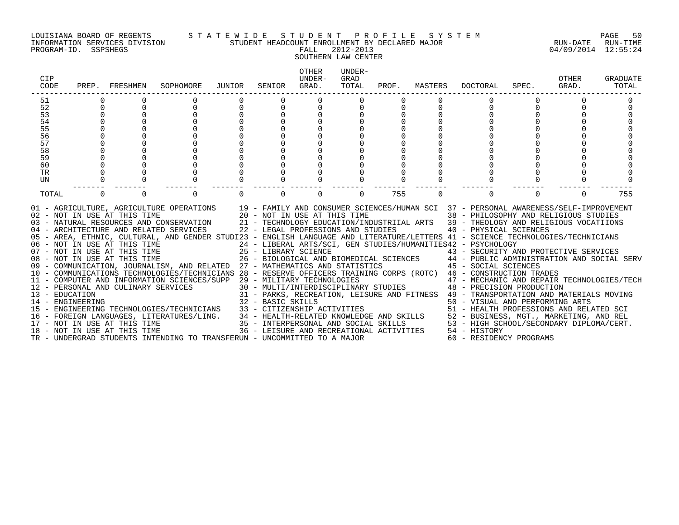#### LOUISIANA BOARD OF REGENTS S T A T E W I D E S T U D E N T P R O F I L E S Y S T E M PAGE 50 INFORMATION SERVICES DIVISION STUDENT HEADCOUNT ENROLLMENT BY DECLARED MAJOR RUN-DATE RUN-TIME

# SOUTHERN LAW CENTER

| CIP<br>CODE    | PREP.    | FRESHMEN                                                                                            | SOPHOMORE                                                                                                                                                                                                                                                                                                                                                                                                                                                                                                                                                                                                                                                                                                                                                                                                                                                                                                                                                                                                                                                             | JUNIOR | SENIOR   | <b>OTHER</b><br>UNDER-<br>GRAD.    | UNDER-<br>GRAD<br>TOTAL | PROF. | MASTERS  | DOCTORAL                                                                                                                                                                                                                                                                                                                                                                                                                                                                                                                                                                                                                                                                                                                                                                                                                                                      | SPEC. | OTHER<br>GRAD. | <b>GRADUATE</b><br>TOTAL |
|----------------|----------|-----------------------------------------------------------------------------------------------------|-----------------------------------------------------------------------------------------------------------------------------------------------------------------------------------------------------------------------------------------------------------------------------------------------------------------------------------------------------------------------------------------------------------------------------------------------------------------------------------------------------------------------------------------------------------------------------------------------------------------------------------------------------------------------------------------------------------------------------------------------------------------------------------------------------------------------------------------------------------------------------------------------------------------------------------------------------------------------------------------------------------------------------------------------------------------------|--------|----------|------------------------------------|-------------------------|-------|----------|---------------------------------------------------------------------------------------------------------------------------------------------------------------------------------------------------------------------------------------------------------------------------------------------------------------------------------------------------------------------------------------------------------------------------------------------------------------------------------------------------------------------------------------------------------------------------------------------------------------------------------------------------------------------------------------------------------------------------------------------------------------------------------------------------------------------------------------------------------------|-------|----------------|--------------------------|
| 51             |          |                                                                                                     |                                                                                                                                                                                                                                                                                                                                                                                                                                                                                                                                                                                                                                                                                                                                                                                                                                                                                                                                                                                                                                                                       |        |          |                                    |                         |       |          |                                                                                                                                                                                                                                                                                                                                                                                                                                                                                                                                                                                                                                                                                                                                                                                                                                                               |       |                |                          |
| 52             | 0        |                                                                                                     |                                                                                                                                                                                                                                                                                                                                                                                                                                                                                                                                                                                                                                                                                                                                                                                                                                                                                                                                                                                                                                                                       |        |          |                                    |                         |       |          |                                                                                                                                                                                                                                                                                                                                                                                                                                                                                                                                                                                                                                                                                                                                                                                                                                                               |       |                |                          |
| 53             |          |                                                                                                     |                                                                                                                                                                                                                                                                                                                                                                                                                                                                                                                                                                                                                                                                                                                                                                                                                                                                                                                                                                                                                                                                       |        |          |                                    |                         |       |          |                                                                                                                                                                                                                                                                                                                                                                                                                                                                                                                                                                                                                                                                                                                                                                                                                                                               |       |                |                          |
| 54             |          |                                                                                                     |                                                                                                                                                                                                                                                                                                                                                                                                                                                                                                                                                                                                                                                                                                                                                                                                                                                                                                                                                                                                                                                                       |        |          |                                    |                         |       |          |                                                                                                                                                                                                                                                                                                                                                                                                                                                                                                                                                                                                                                                                                                                                                                                                                                                               |       |                |                          |
| 55             |          |                                                                                                     |                                                                                                                                                                                                                                                                                                                                                                                                                                                                                                                                                                                                                                                                                                                                                                                                                                                                                                                                                                                                                                                                       |        |          |                                    |                         |       |          |                                                                                                                                                                                                                                                                                                                                                                                                                                                                                                                                                                                                                                                                                                                                                                                                                                                               |       |                |                          |
| 56             |          |                                                                                                     |                                                                                                                                                                                                                                                                                                                                                                                                                                                                                                                                                                                                                                                                                                                                                                                                                                                                                                                                                                                                                                                                       |        |          |                                    |                         |       |          |                                                                                                                                                                                                                                                                                                                                                                                                                                                                                                                                                                                                                                                                                                                                                                                                                                                               |       |                |                          |
| 57             |          |                                                                                                     |                                                                                                                                                                                                                                                                                                                                                                                                                                                                                                                                                                                                                                                                                                                                                                                                                                                                                                                                                                                                                                                                       |        |          |                                    |                         |       |          |                                                                                                                                                                                                                                                                                                                                                                                                                                                                                                                                                                                                                                                                                                                                                                                                                                                               |       |                |                          |
| 58             |          |                                                                                                     |                                                                                                                                                                                                                                                                                                                                                                                                                                                                                                                                                                                                                                                                                                                                                                                                                                                                                                                                                                                                                                                                       |        |          |                                    |                         |       |          |                                                                                                                                                                                                                                                                                                                                                                                                                                                                                                                                                                                                                                                                                                                                                                                                                                                               |       |                |                          |
| 59<br>60       |          |                                                                                                     |                                                                                                                                                                                                                                                                                                                                                                                                                                                                                                                                                                                                                                                                                                                                                                                                                                                                                                                                                                                                                                                                       |        |          |                                    |                         |       |          |                                                                                                                                                                                                                                                                                                                                                                                                                                                                                                                                                                                                                                                                                                                                                                                                                                                               |       |                |                          |
| <b>TR</b>      |          |                                                                                                     |                                                                                                                                                                                                                                                                                                                                                                                                                                                                                                                                                                                                                                                                                                                                                                                                                                                                                                                                                                                                                                                                       |        |          |                                    |                         |       |          |                                                                                                                                                                                                                                                                                                                                                                                                                                                                                                                                                                                                                                                                                                                                                                                                                                                               |       |                |                          |
| UN             |          |                                                                                                     |                                                                                                                                                                                                                                                                                                                                                                                                                                                                                                                                                                                                                                                                                                                                                                                                                                                                                                                                                                                                                                                                       |        |          |                                    |                         |       |          |                                                                                                                                                                                                                                                                                                                                                                                                                                                                                                                                                                                                                                                                                                                                                                                                                                                               |       |                |                          |
|                |          |                                                                                                     |                                                                                                                                                                                                                                                                                                                                                                                                                                                                                                                                                                                                                                                                                                                                                                                                                                                                                                                                                                                                                                                                       |        |          |                                    |                         |       |          |                                                                                                                                                                                                                                                                                                                                                                                                                                                                                                                                                                                                                                                                                                                                                                                                                                                               |       |                |                          |
| TOTAL          | $\Omega$ | $\Omega$                                                                                            | $\Omega$                                                                                                                                                                                                                                                                                                                                                                                                                                                                                                                                                                                                                                                                                                                                                                                                                                                                                                                                                                                                                                                              |        | $\Omega$ | $\Omega$                           | $\Omega$                | 755   | $\Omega$ | 0                                                                                                                                                                                                                                                                                                                                                                                                                                                                                                                                                                                                                                                                                                                                                                                                                                                             |       | $\Omega$       | 755                      |
| 13 - EDUCATION |          | 02 - NOT IN USE AT THIS TIME<br>08 - NOT IN USE AT THIS TIME<br>12 - PERSONAL AND CULINARY SERVICES | 01 - AGRICULTURE, AGRICULTURE OPERATIONS 19 - FAMILY AND CONSUMER SCIENCES/HUMAN SCI 37 - PERSONAL AWARENESS/SELF-IMPROVEMENT<br>20 - NOT IN USE AT THIS TIME<br>03 - NATURAL RESOURCES AND CONSERVATION<br>04 - ARCHITECTURE AND RELATED SERVICES<br>05 - AREA, ETHNIC, CULTURAL, AND GENDER STUDI23 - ENGLISH LANGUAGE AND LITERATURE/LETTERS 41 - SCIENCE TECHNOLOGIES/TECHNICIANS<br>06 - NOT IN USE AT THIS TIME<br>07 - NOT IN USE AT THIS TIME<br>09 - COMMUNICATION, JOURNALISM, AND RELATED 27 - MATHEMATICS AND STATISTICS<br>10 - COMMUNICATIONS TECHNOLOGIES/TECHNICIANS 28 - RESERVE OFFICERS TRAINING CORPS (ROTC) 46 - CONSTRUCTION TRADES<br>11 - COMPUTER AND INFORMATION SCIENCES/SUPP 29 - MILITARY TECHNOLOGIES<br>14 - ENGINEERING<br>15 - ENGINEERING TECHNOLOGIES/TECHNICIANS<br>16 - FOREIGN LANGUAGES, LITERATURES/LING.<br>17 - NOT IN USE AT THIS TIME<br>18 - NOT IN USE AT THIS TIME<br>18 - NOT IN USE AT THIS TIME<br>18 - NOT IN USE AT THIS TIME<br>18 -<br>TR - UNDERGRAD STUDENTS INTENDING TO TRANSFERUN - UNCOMMITTED TO A MAJOR |        |          | 22 - LEGAL PROFESSIONS AND STUDIES |                         |       |          | 38 - PHILOSOPHY AND RELIGIOUS STUDIES<br>21 - TECHNOLOGY EDUCATION/INDUSTRIIAL ARTS 39 - THEOLOGY AND RELIGIOUS VOCATIIONS<br>40 - PHYSICAL SCIENCES<br>24 - LIBERAL ARTS/SCI, GEN STUDIES/HUMANITIES42 - PSYCHOLOGY<br>25 - LIBRARY SCIENCE<br>26 - BIOLOGICAL AND BIOMEDICAL SCIENCES<br>26 - BIOLOGICAL AND BIOMEDICAL SCIENCES<br>27 - PUBLIC ADMINISTRATION AND SOCIAL SERV<br>45 - SOCIAL SCIENCES<br>$29$ – MILITARY TECHNOLOGIES<br>30 – MULTI/INTERDISCIPLINARY STUDIES<br>30 – MULTI/INTERDISCIPLINARY STUDIES<br>30 – PRECISION PRODUCTION<br>31 - PARKS, RECREATION, LEISURE AND FITNESS 49 - TRANSPORTATION AND MATERIALS MOVING<br>50 - VISUAL AND PERFORMING ARTS<br>51 - HEALTH PROFESSIONS AND RELATED SCI<br>52 - BUSINESS, MGT., MARKETING, AND REL<br>53 - HIGH SCHOOL/SECONDARY DIPLOMA/CERT.<br>54 - HISTORY<br>60 - RESIDENCY PROGRAMS |       |                |                          |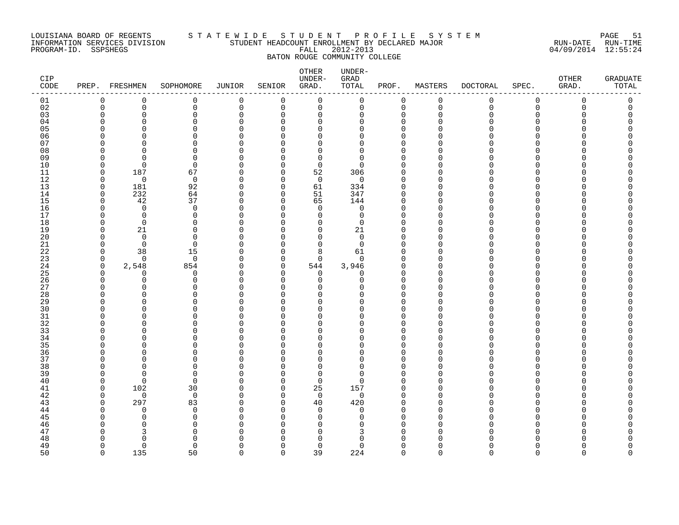#### LOUISIANA BOARD OF REGENTS S T A T E W I D E S T U D E N T P R O F I L E S Y S T E M PAGE 51 INFORMATION SERVICES DIVISION STUDENT HEADCOUNT ENROLLMENT BY DECLARED MAJOR RUN-DATE RUN-TIME PROGRAM-ID. SSPSHEGS FALL 2012-2013 04/09/2014 12:55:24 BATON ROUGE COMMUNITY COLLEGE

| CIP<br>CODE    |             | PREP. FRESHMEN          | SOPHOMORE               | JUNIOR               | SENIOR        | OTHER<br>UNDER-<br>GRAD. | UNDER-<br>GRAD<br>TOTAL | PROF.                | MASTERS     | <b>DOCTORAL</b> | SPEC.                    | OTHER<br>GRAD. | <b>GRADUATE</b><br>TOTAL |
|----------------|-------------|-------------------------|-------------------------|----------------------|---------------|--------------------------|-------------------------|----------------------|-------------|-----------------|--------------------------|----------------|--------------------------|
| 01             | 0           | 0                       | 0                       | 0                    | 0             | 0                        | 0                       | $\mathbf 0$          | 0           | 0               | 0                        | 0              | 0                        |
| 02             | $\mathbf 0$ | 0                       | 0                       | 0                    | $\mathbf 0$   | 0                        | 0                       | $\mathbf 0$          | $\mathbf 0$ | $\mathbf 0$     | 0                        | 0              | 0                        |
| 03             | $\Omega$    | $\mathbf 0$             | $\mathbf 0$             | $\Omega$             | $\Omega$      | $\Omega$                 | 0                       | $\mathbf 0$          | $\Omega$    | O               | $\Omega$                 | Ω              | $\Omega$                 |
| 04             | U           | U<br>$\Omega$           | $\Omega$                | $\Omega$<br>$\Omega$ | ∩             | $\Omega$                 | $\Omega$                | $\Omega$<br>$\Omega$ | n<br>$\cap$ |                 | U<br>$\Omega$            |                |                          |
| 0 <sub>5</sub> | U<br>U      | U                       | $\Omega$<br>$\Omega$    | O                    | ∩<br>∩        | $\Omega$<br>O            | $\Omega$                | $\Omega$             | ∩           |                 | <sup>n</sup>             |                |                          |
| 06<br>07       | U           | U                       | $\Omega$                | O                    | ∩             | 0                        | 0<br>$\Omega$           | $\Omega$             | n           |                 | <sup>n</sup>             |                |                          |
| 08             | U           | $\Omega$                | $\Omega$                | $\Omega$             | ∩             | $\Omega$                 | 0                       | $\Omega$             | U           |                 | <sup>n</sup>             |                |                          |
| 09             | U           | $\Omega$                | $\Omega$                | O                    | ∩             | $\Omega$                 | $\Omega$                | $\Omega$             | ∩           |                 | <sup>n</sup>             |                |                          |
| 10             | $\Omega$    | $\overline{0}$          | $\mathbf 0$             | $\Omega$             | $\Omega$      | $\mathbf 0$              | 0                       | $\Omega$             | O           |                 | $\Omega$                 |                |                          |
| 11             | $\mathbf 0$ | 187                     | 67                      | $\Omega$             | $\Omega$      | 52                       | 306                     | $\Omega$             | U           |                 | <sup>n</sup>             |                |                          |
| 12             | $\Omega$    | $\mathbf 0$             | 0                       | $\Omega$             | $\Omega$      | $\mathbf 0$              | 0                       | $\Omega$             | U           |                 | <sup>n</sup>             |                |                          |
| 13             | $\mathbf 0$ | 181                     | 92                      | $\Omega$             | $\Omega$      | 61                       | 334                     | $\Omega$             | U           |                 | <sup>n</sup>             |                |                          |
| 14             | $\Omega$    | 232                     | 64                      | $\Omega$             | $\Omega$      | 51                       | 347                     | $\mathbf 0$          | $\Omega$    |                 | <sup>n</sup>             |                |                          |
| 15             | $\Omega$    | 42                      | 37                      | 0                    | $\Omega$      | 65                       | 144                     | 0                    | U           |                 | $\Omega$                 |                |                          |
| 16             | U           | $\Omega$                | 0                       | $\Omega$             | $\Omega$      | 0                        | 0                       | $\Omega$             | n           |                 | $\Omega$                 |                |                          |
| 17             | U           | $\Omega$                | $\Omega$                | $\Omega$             | ∩             | $\Omega$                 | 0                       | $\Omega$             | n           |                 | <sup>n</sup>             |                |                          |
| 18             | O           | $\Omega$                | $\Omega$                | C                    | ∩             | $\Omega$                 | $\Omega$                | $\Omega$             | $\cap$      |                 | $\Omega$                 |                |                          |
| 19             | O<br>U      | 21                      | $\mathbf 0$             | $\Omega$             | $\Omega$<br>∩ | $\mathbf 0$<br>$\Omega$  | 21                      | 0                    | U<br>U      |                 | $\Omega$<br><sup>n</sup> |                |                          |
| 20<br>21       | $\Omega$    | $\Omega$<br>$\mathbf 0$ | $\Omega$<br>$\mathbf 0$ | C<br>O               | $\Omega$      | $\Omega$                 | $\Omega$<br>0           | $\Omega$<br>$\Omega$ | $\cap$      |                 | <sup>n</sup>             |                |                          |
| 22             | $\Omega$    | 38                      | 15                      | ∩                    | $\Omega$      | 8                        | 61                      | $\Omega$             | n           |                 | <sup>n</sup>             |                |                          |
| 23             | $\mathbf 0$ | $\Omega$                | $\mathbf 0$             | $\Omega$             | $\Omega$      | $\Omega$                 | $\mathbf 0$             | $\Omega$             | $\Omega$    |                 | $\Omega$                 |                |                          |
| 24             | $\mathbf 0$ | 2,548                   | 854                     | 0                    | 0             | 544                      | 3,946                   | 0                    | $\Omega$    |                 | $\Omega$                 |                |                          |
| 25             | $\Omega$    | $\Omega$                | 0                       | $\Omega$             | $\Omega$      | 0                        | 0                       | $\Omega$             | ∩           |                 | <sup>n</sup>             |                |                          |
| 26             | $\cap$      | $\Omega$                | $\Omega$                | $\Omega$             | ∩             | $\Omega$                 | $\Omega$                | $\mathbf 0$          | $\Omega$    |                 | <sup>n</sup>             |                |                          |
| 27             | U           | U                       | $\Omega$                | $\Omega$             | ∩             | U                        | U                       | $\Omega$             | ∩           |                 | <sup>n</sup>             |                |                          |
| 28             | O           | O                       | $\mathbf 0$             | $\Omega$             | $\Omega$      | $\Omega$                 | 0                       | $\Omega$             | $\cap$      |                 | $\Omega$                 |                |                          |
| 29             | U           | $\Omega$                | $\Omega$                | O                    | O             | $\Omega$                 | $\Omega$                | $\Omega$             | ∩           |                 | $\Omega$                 |                |                          |
| 30             | U           | O                       | $\Omega$                | O                    | ∩             | $\Omega$                 | $\Omega$                | $\Omega$             | $\cap$      |                 | <sup>n</sup>             |                |                          |
| 31             | U           | $\Omega$                | $\Omega$                | O                    | ∩             | $\Omega$                 | $\Omega$                | $\Omega$             | $\Omega$    |                 | $\Omega$                 |                |                          |
| 32             | n           | U                       | $\Omega$                | ∩                    | ∩             | $\Omega$                 | $\Omega$                | $\Omega$             | $\cap$      |                 | <sup>n</sup>             |                |                          |
| 33<br>34       | U<br>U      | U<br>O                  | $\Omega$<br>$\mathbf 0$ | C<br>O               | ∩<br>O        | $\Omega$<br>$\Omega$     | $\Omega$                | $\Omega$<br>$\Omega$ | U<br>$\cap$ |                 | <sup>n</sup><br>$\Omega$ |                |                          |
| 35             | n           | U                       | $\Omega$                | ∩                    | ∩             | U                        | 0<br>$\Omega$           | $\Omega$             |             |                 | <sup>n</sup>             |                |                          |
| 36             | O           | $\Omega$                | $\Omega$                | O                    | ∩             | $\Omega$                 | $\Omega$                | $\Omega$             | n           |                 | $\Omega$                 |                |                          |
| 37             | O           | U                       | $\Omega$                | C                    | $\Omega$      | $\Omega$                 | 0                       | $\Omega$             | U           |                 | $\Omega$                 |                |                          |
| 38             | O           | $\Omega$                | $\mathbf 0$             | O                    | $\Omega$      | 0                        | 0                       | $\Omega$             | n           |                 | <sup>n</sup>             |                |                          |
| 39             | U           | $\Omega$                | $\Omega$                | O                    | ∩             | $\Omega$                 | 0                       | $\Omega$             | U           |                 | <sup>n</sup>             |                |                          |
| 40             | $\Omega$    | $\Omega$                | $\Omega$                | O                    | $\Omega$      | $\Omega$                 | $\Omega$                | $\Omega$             | n           |                 | <sup>n</sup>             |                |                          |
| 41             | $\Omega$    | 102                     | 30                      | $\Omega$             | $\Omega$      | 25                       | 157                     | $\Omega$             | n           |                 | <sup>n</sup>             |                |                          |
| 42             | $\Omega$    | $\mathbf 0$             | $\mathbf 0$             | O                    | 0             | $\mathbf 0$              | 0                       | $\Omega$             | $\Omega$    |                 | $\Omega$                 |                |                          |
| 43             | $\Omega$    | 297                     | 83                      | $\Omega$             | $\Omega$      | 40                       | 420                     | $\Omega$             | $\Omega$    |                 | <sup>n</sup>             |                |                          |
| 44             | O           | $\Omega$                | 0                       | C                    | $\Omega$      | $\Omega$                 | 0                       | $\Omega$             | $\Omega$    |                 | <sup>n</sup>             |                |                          |
| 45             | U           | $\Omega$                | $\Omega$                | ∩                    | ∩             | $\Omega$                 | $\Omega$                | $\Omega$             | ∩           |                 | <sup>n</sup>             |                |                          |
| 46             | U           | $\Omega$                | $\Omega$                |                      | ∩             | $\Omega$                 | $\Omega$                | $\Omega$             | $\Omega$    |                 | $\Omega$                 |                |                          |
| 47             | U           |                         | 0<br>∩                  | C                    | ∩             | O<br>$\Omega$            | 3<br>$\Omega$           | $\Omega$             | $\Omega$    |                 | <sup>n</sup>             |                |                          |
| 48<br>49       | O           | $\Omega$<br>$\Omega$    | $\Omega$                | C<br>∩               | ∩             | $\mathbf 0$              | $\Omega$                | $\Omega$<br>$\Omega$ | $\Omega$    |                 | $\Omega$                 |                | O                        |
| 50             | $\Omega$    | 135                     | 50                      | $\cap$               | $\Omega$      | 39                       | 224                     | $\Omega$             | $\Omega$    | $\Omega$        | $\Omega$                 | $\cap$         | $\cap$                   |
|                |             |                         |                         |                      |               |                          |                         |                      |             |                 |                          |                |                          |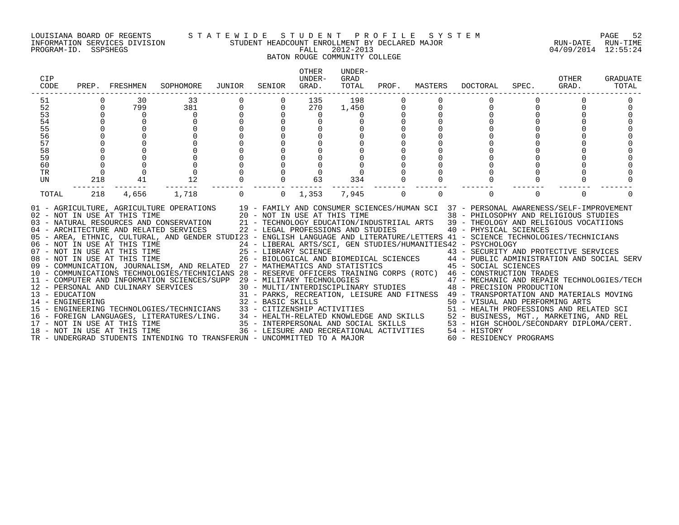#### LOUISIANA BOARD OF REGENTS S T A T E W I D E S T U D E N T P R O F I L E S Y S T E M PAGE 52 INFORMATION SERVICES DIVISION STUDENT HEADCOUNT ENROLLMENT BY DECLARED MAJOR RUN-DATE RUN-TIME

### BATON ROUGE COMMUNITY COLLEGE

| CIP<br>CODE                                                           | PREP.                            | FRESHMEN                                                                                                                                                            | SOPHOMORE                                                                                                                                                                                                                                                                                                                                                                                                                                                                                                                                                                                                                                                                                                                                                                                                                                                                                                                                                                                                                                                                                                       | JUNIOR   | SENIOR                     | <b>OTHER</b><br>UNDER-<br>GRAD.                                                | UNDER-<br>GRAD<br>TOTAL | PROF.    | MASTERS  | DOCTORAL                                                                                                                                                                                                                                                                                                                                                                                                                                                                                                                                                                                                                                                                                                                                                          | SPEC.    | OTHER<br>GRAD. | GRADUATE<br>TOTAL |
|-----------------------------------------------------------------------|----------------------------------|---------------------------------------------------------------------------------------------------------------------------------------------------------------------|-----------------------------------------------------------------------------------------------------------------------------------------------------------------------------------------------------------------------------------------------------------------------------------------------------------------------------------------------------------------------------------------------------------------------------------------------------------------------------------------------------------------------------------------------------------------------------------------------------------------------------------------------------------------------------------------------------------------------------------------------------------------------------------------------------------------------------------------------------------------------------------------------------------------------------------------------------------------------------------------------------------------------------------------------------------------------------------------------------------------|----------|----------------------------|--------------------------------------------------------------------------------|-------------------------|----------|----------|-------------------------------------------------------------------------------------------------------------------------------------------------------------------------------------------------------------------------------------------------------------------------------------------------------------------------------------------------------------------------------------------------------------------------------------------------------------------------------------------------------------------------------------------------------------------------------------------------------------------------------------------------------------------------------------------------------------------------------------------------------------------|----------|----------------|-------------------|
| 51<br>52<br>53<br>54<br>55<br>56<br>57<br>58<br>59<br>60<br><b>TR</b> | $\Omega$<br>$\Omega$<br>$\Omega$ | 30<br>799<br>$\Omega$                                                                                                                                               | 33<br>381<br>$\Omega$                                                                                                                                                                                                                                                                                                                                                                                                                                                                                                                                                                                                                                                                                                                                                                                                                                                                                                                                                                                                                                                                                           | $\Omega$ | $\Omega$<br>$\Omega$       | 135<br>270<br>$\Omega$<br>$\Omega$                                             | 198<br>1,450            |          |          | $\Omega$<br>$\Omega$                                                                                                                                                                                                                                                                                                                                                                                                                                                                                                                                                                                                                                                                                                                                              |          |                |                   |
| UN<br>TOTAL                                                           | 218<br>218                       | 41<br>4,656                                                                                                                                                         | 12<br>1,718                                                                                                                                                                                                                                                                                                                                                                                                                                                                                                                                                                                                                                                                                                                                                                                                                                                                                                                                                                                                                                                                                                     | $\Omega$ | $\Omega$<br>$\overline{0}$ | 63<br>1,353                                                                    | 334<br>7,945            | $\Omega$ | $\Omega$ | $\Omega$                                                                                                                                                                                                                                                                                                                                                                                                                                                                                                                                                                                                                                                                                                                                                          | $\Omega$ | $\Omega$       |                   |
| 13 - EDUCATION<br>14 - ENGINEERING                                    |                                  | 07 - NOT IN USE AT THIS TIME<br>08 - NOT IN USE AT THIS TIME<br>12 - PERSONAL AND CULINARY SERVICES<br>17 - NOT IN USE AT THIS TIME<br>18 - NOT IN USE AT THIS TIME | 01 - AGRICULTURE, AGRICULTURE OPERATIONS 19 - FAMILY AND CONSUMER SCIENCES/HUMAN SCI 37 - PERSONAL AWARENESS/SELF-IMPROVEMENT<br>02 - NOT IN USE AT THIS TIME $20 - NOT$ IN USE AT THIS TIME $03 - NATURAL$ RESOURCES AND CONSERVATION $21 - TECHNOLOGY$ EDUCATION/INI<br>04 - ARCHITECTURE AND RELATED SERVICES<br>05 - AREA, ETHNIC, CULTURAL, AND GENDER STUDI23 - ENGLISH LANGUAGE AND LITERATURE/LETTERS 41 - SCIENCE TECHNOLOGIES/TECHNICIANS<br>06 - NOT IN USE AT THIS TIME<br>09 - COMMUNICATION, JOURNALISM, AND RELATED 27 - MATHEMATICS AND STATISTICS<br>10 - COMMUNICATIONS TECHNOLOGIES/TECHNICIANS 28 - RESERVE OFFICERS TRAINING CORPS (ROTC) 46 - CONSTRUCTION TRADES<br>11 - COMPUTER AND INFORMATION SCIENCES/SUPP 29 - MILITARY TECHNOLOGIES<br>IRI SERVICES<br>31 - PARKS, RECREP<br>32 - BASIC SKILLS<br>15 - ENGINEERING TECHNOLOGIES/TECHNICIANS 33 - CITIZENSHIP ACTIVITIES<br>16 - FOREIGN LANGUAGES, LITERATURES/LING. 34 - HEALTH-RELATED KNOWLEDGE AND SKILLS 52 - BUSINESS, MGT., MARKETING, AND REL<br>TR - UNDERGRAD STUDENTS INTENDING TO TRANSFERUN - UNCOMMITTED TO A MAJOR |          |                            | 22 - LEGAL PROFESSIONS AND STUDIES<br>36 - LEISURE AND RECREATIONAL ACTIVITIES |                         |          |          | 38 - PHILOSOPHY AND RELIGIOUS STUDIES<br>21 - TECHNOLOGY EDUCATION/INDUSTRIIAL ARTS 39 - THEOLOGY AND RELIGIOUS VOCATIIONS<br>40 - PHYSICAL SCIENCES<br>24 - LIBERAL ARTS/SCI, GEN STUDIES/HUMANITIES42 - PSYCHOLOGY<br>25 - LIBRARY SCIENCE<br>26 - BIOLOGICAL AND BIOMEDICAL SCIENCES<br>27 - MATHEMATICS AND STATISTICS (27 - ANTHEMATICS AND SOCIAL SERV<br>29 - MILITARY TECHNOLOGIES<br>30 - MULTI/INTERDISCIPLINARY STUDIES<br>48 - PRECISION PRODUCTION<br>31 - PARKS, RECREATION, LEISURE AND FITNESS 49 - TRANSPORTATION AND MATERIALS MOVING<br>50 - VISUAL AND PERFORMING ARTS<br>51 - HEALTH PROFESSIONS AND RELATED SCI<br>35 - INTERPERSONAL AND SOCIAL SKILLS 53 - HIGH SCHOOL/SECONDARY DIPLOMA/CERT.<br>54 - HISTORY<br>60 - RESIDENCY PROGRAMS |          |                |                   |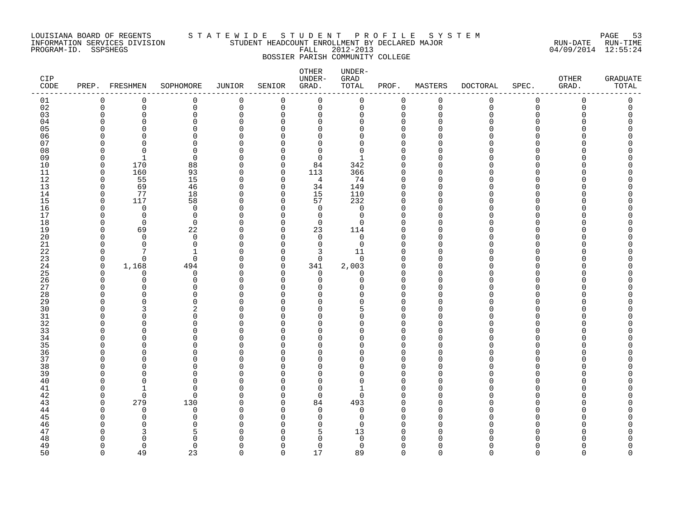#### LOUISIANA BOARD OF REGENTS S T A T E W I D E S T U D E N T P R O F I L E S Y S T E M PAGE 53 INFORMATION SERVICES DIVISION STUDENT HEADCOUNT ENROLLMENT BY DECLARED MAJOR RUN-DATE RUN-TIME PROGRAM-ID. SSPSHEGS FALL 2012-2013 04/09/2014 12:55:24 BOSSIER PARISH COMMUNITY COLLEGE

| CIP<br>CODE |                      | PREP. FRESHMEN | SOPHOMORE            | JUNIOR             | SENIOR                       | OTHER<br>$UNDER-$<br>GRAD. | UNDER-<br>GRAD<br>TOTAL | PROF.                   | MASTERS     | <b>DOCTORAL</b> | SPEC.             | OTHER<br>GRAD. | <b>GRADUATE</b><br>TOTAL |
|-------------|----------------------|----------------|----------------------|--------------------|------------------------------|----------------------------|-------------------------|-------------------------|-------------|-----------------|-------------------|----------------|--------------------------|
| 01          | $\mathbf 0$          | 0              | $\mathbf 0$          | $\mathbf 0$        | $\Omega$                     | $\Omega$                   | $\mathbf 0$             | $\mathbf 0$             | $\mathbf 0$ | 0               | $\mathbf 0$       | $\Omega$       | 0                        |
| 02          | $\mathsf 0$          | 0              | 0                    | $\mathbf 0$        | $\mathbf 0$                  | $\mathbf 0$                | $\mathsf 0$             | $\mathbf 0$             | $\Omega$    | $\Omega$        | $\mathbf 0$       | $\Omega$       | $\mathbf 0$              |
| 03          | $\Omega$             | $\Omega$       | 0                    | $\Omega$           | $\Omega$                     | 0                          | 0                       | 0                       | $\Omega$    |                 | $\Omega$          |                | O                        |
| 04          | $\Omega$             | ∩              | $\Omega$             | $\Omega$           | <sup>n</sup>                 | 0                          | 0                       | $\Omega$                |             |                 | U                 |                |                          |
| 05          | $\Omega$             | ∩              | $\Omega$             | $\Omega$           | <sup>n</sup>                 | $\Omega$                   | 0                       | $\Omega$                |             |                 | U                 |                |                          |
| 06<br>07    | $\Omega$<br>$\Omega$ | ∩<br>$\Omega$  | $\Omega$<br>$\Omega$ | $\Omega$<br>$\cap$ | <sup>n</sup><br>U            | $\Omega$<br>$\Omega$       | 0<br>$\Omega$           | $\mathbf 0$<br>$\Omega$ |             |                 | <sup>n</sup><br>U |                |                          |
| $0\,8$      | $\Omega$             | $\Omega$       | $\Omega$             | $\cap$             | $\Omega$                     | $\Omega$                   | $\Omega$                | $\Omega$                |             |                 | $\cap$            |                |                          |
| 09          | $\Omega$             | -1             | $\Omega$             | O                  | $\Omega$                     | $\mathbf 0$                | -1                      | $\Omega$                |             |                 |                   |                |                          |
| 10          | $\mathbf 0$          | 170            | 88                   | $\Omega$           | $\Omega$                     | 84                         | 342                     | $\Omega$                |             |                 | <sup>n</sup>      |                |                          |
| 11          | 0                    | 160            | 93                   | $\Omega$           | 0                            | 113                        | 366                     | 0                       | ∩           |                 | U                 |                |                          |
| 12          | $\mathbf 0$          | 55             | $15$                 | $\Omega$           | $\Omega$                     | 4                          | 74                      | $\mathbf 0$             |             |                 | U                 |                |                          |
| 13          | $\Omega$             | 69             | 46                   | 0                  | $\Omega$                     | 34                         | 149                     | $\mathbf 0$             |             |                 | U                 |                |                          |
| 14          | $\Omega$             | 77             | $18\,$               | $\cap$             | $\Omega$                     | 15                         | 110                     | $\Omega$                | ∩           |                 | n                 |                |                          |
| 15          | $\mathbf 0$          | 117            | 58                   | 0                  | $\Omega$                     | 57                         | 232                     | $\mathbf 0$             | ∩           |                 | $\Omega$          |                |                          |
| 16          | $\Omega$             | $\Omega$       | $\mathbf 0$          | $\Omega$           | $\Omega$                     | $\mathbf 0$                | $\mathbf 0$             | $\Omega$                |             |                 | n                 |                |                          |
| 17          | $\Omega$             | $\overline{0}$ | $\mathbf 0$          | $\Omega$           | $\Omega$                     | $\mathbf 0$                | $\mathbf 0$             | $\Omega$                |             |                 | U                 |                |                          |
| 18          | $\Omega$             | $\overline{0}$ | $\mathbf 0$          | $\Omega$           | $\Omega$                     | $\mathbf 0$                | $\Omega$                | $\Omega$                |             |                 | U                 |                |                          |
| 19          | $\Omega$             | 69             | 22                   | $\Omega$           | $\Omega$                     | 23                         | 114                     | $\Omega$                |             |                 | U                 |                |                          |
| 20          | $\Omega$             | $\Omega$       | $\Omega$             | O                  | $\Omega$                     | $\Omega$                   | $\Omega$                | $\Omega$                |             |                 | <sup>n</sup>      |                |                          |
| 21          | $\Omega$             | $\Omega$       | $\Omega$             | O                  | $\Omega$                     | $\mathbf 0$                | $\Omega$                | $\Omega$                |             |                 | n<br>n            |                |                          |
| 22          | 0<br>$\mathbf 0$     | $\Omega$       | -1<br>0              | O<br>$\Omega$      | 0<br>$\Omega$                | 3<br>$\mathbf 0$           | 11<br>$\mathbf 0$       | $\Omega$<br>$\Omega$    |             |                 | n                 |                |                          |
| 23<br>24    | $\mathbf 0$          | 1,168          | 494                  | $\Omega$           | 0                            | 341                        | 2,003                   | $\mathbf 0$             | ∩           |                 | <sup>n</sup>      |                |                          |
| 25          | $\Omega$             | $\Omega$       | $\mathbf 0$          | $\Omega$           | $\Omega$                     | $\mathbf 0$                | 0                       | $\Omega$                |             |                 | <sup>n</sup>      |                |                          |
| 26          | $\Omega$             | $\Omega$       | $\Omega$             | $\cap$             | $\Omega$                     | $\Omega$                   | $\Omega$                | $\Omega$                |             |                 | U                 |                |                          |
| 27          | $\Omega$             | 0              | $\Omega$             | ∩                  | U                            | U                          | O                       | $\Omega$                |             |                 |                   |                |                          |
| 28          | ∩                    | $\Omega$       | $\Omega$             | U                  | <sup>n</sup>                 | $\Omega$                   | O                       | $\Omega$                |             |                 | <sup>n</sup>      |                |                          |
| 29          | ∩                    | ∩              | $\Omega$             | U                  | U                            | $\Omega$                   | 0                       | $\Omega$                |             |                 | U                 |                |                          |
| 30          | $\Omega$             |                | 2                    | U                  | U                            | $\Omega$                   | 5                       | $\Omega$                |             |                 | U                 |                |                          |
| 31          | $\Omega$             |                | $\Omega$             | $\cap$             | <sup>n</sup>                 | $\Omega$                   | 0                       | $\mathbf 0$             |             |                 | U                 |                |                          |
| 32          | ∩                    | ∩              | $\Omega$             | $\cap$             | n                            | $\Omega$                   | U                       | $\Omega$                |             |                 | ∩                 |                |                          |
| 33          | <sup>0</sup>         | O              | 0                    | O                  | $\Omega$                     | 0                          | 0                       | $\Omega$                |             |                 | $\Omega$          |                |                          |
| 34          | ∩                    | ∩              | O                    | O                  | U                            | $\Omega$                   | 0                       | $\Omega$                |             |                 | n                 |                |                          |
| 35          | $\cap$               |                | 0                    | O                  | <sup>n</sup>                 | $\Omega$                   | O                       | $\Omega$                |             |                 | U                 |                |                          |
| 36<br>37    | $\Omega$             | ∩<br>U         | $\Omega$<br>$\Omega$ | U<br>$\cap$        | <sup>n</sup><br><sup>n</sup> | $\Omega$<br>$\Omega$       | 0<br>O                  | $\Omega$<br>$\Omega$    |             |                 | U<br>U            |                |                          |
| 38          | ∩                    |                | $\Omega$             | U                  | U                            | $\Omega$                   | $\Omega$                | $\Omega$                |             |                 | <sup>n</sup>      |                |                          |
| 39          | ∩                    |                | $\Omega$             | U                  | <sup>n</sup>                 | 0                          | 0                       | $\Omega$                |             |                 | U                 |                |                          |
| 40          | $\Omega$             | ∩              | $\Omega$             | O                  | <sup>n</sup>                 | 0                          | 0                       | $\Omega$                |             |                 | <sup>n</sup>      |                |                          |
| 41          | ∩                    | -1             | $\Omega$             | $\Omega$           | U                            | $\Omega$                   | 1                       | $\Omega$                |             |                 | n                 |                |                          |
| 42          | $\Omega$             | $\Omega$       | $\Omega$             | O                  | $\Omega$                     | $\mathbf 0$                | 0                       | $\Omega$                |             |                 | <sup>n</sup>      |                |                          |
| 43          | $\Omega$             | 279            | 130                  | O                  | $\Omega$                     | 84                         | 493                     | $\Omega$                |             |                 | <sup>n</sup>      |                |                          |
| 44          | $\Omega$             | $\Omega$       | $\Omega$             | $\cap$             | $\Omega$                     | $\Omega$                   | $\Omega$                | $\Omega$                | ∩           |                 | U                 |                |                          |
| 45          | ∩                    | O              | $\Omega$             | U                  | U                            | 0                          | 0                       | $\Omega$                |             |                 |                   |                |                          |
| 46          |                      | ∩              | $\Omega$             |                    | U                            | $\Omega$                   | $\Omega$                | $\Omega$                |             |                 | n                 |                |                          |
| 47          |                      |                | 5                    |                    | n                            | 5                          | 13                      | $\Omega$                |             |                 |                   |                |                          |
| 48          |                      |                | $\Omega$             |                    |                              | $\Omega$                   | 0                       | $\Omega$                |             |                 |                   |                |                          |
| 49          | $\Omega$             | $\Omega$       | $\Omega$             | $\Omega$           | $\Omega$                     | 0                          | $\mathbf 0$             | $\Omega$                |             |                 |                   |                | U                        |
| 50          | $\cap$               | 49             | 23                   | $\cap$             | $\cap$                       | 17                         | 89                      | $\cap$                  |             |                 |                   |                | U                        |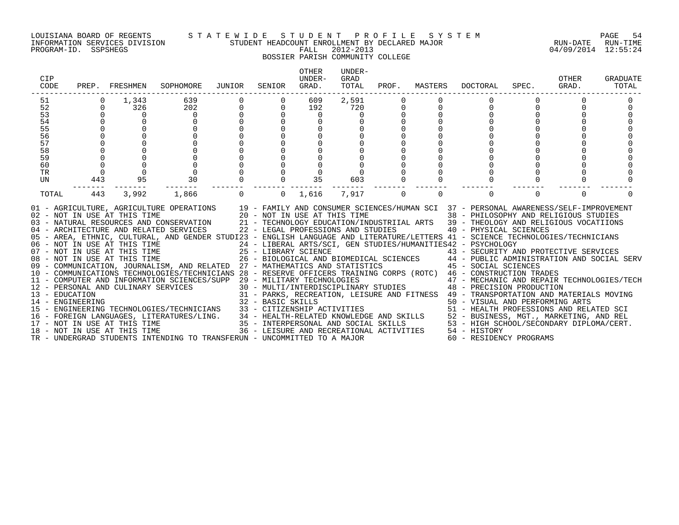#### LOUISIANA BOARD OF REGENTS S T A T E W I D E S T U D E N T P R O F I L E S Y S T E M PAGE 54 INFORMATION SERVICES DIVISION STUDENT HEADCOUNT ENROLLMENT BY DECLARED MAJOR RUN-DATE RUN-TIME

### BOSSIER PARISH COMMUNITY COLLEGE

| CIP<br>CODE                        | PREP.       | FRESHMEN                                                                                                                                                                                                                            | SOPHOMORE                                                                                                                                                                                                                                                                                                                                                                                                                                                                                                                                                                                                                                                                                                                                                                                                                                 | JUNIOR               | SENIOR            | <b>OTHER</b><br>UNDER-<br>GRAD.                                                                                                                       | UNDER-<br>GRAD<br>TOTAL | PROF.    | MASTERS  | DOCTORAL                                                                                                                                                                                                                                                                                                                                                                                                                                                                                                                                                                                                                                                                                                                                                                                                                                                                                                            | SPEC.    | OTHER<br>GRAD. | GRADUATE<br>TOTAL |
|------------------------------------|-------------|-------------------------------------------------------------------------------------------------------------------------------------------------------------------------------------------------------------------------------------|-------------------------------------------------------------------------------------------------------------------------------------------------------------------------------------------------------------------------------------------------------------------------------------------------------------------------------------------------------------------------------------------------------------------------------------------------------------------------------------------------------------------------------------------------------------------------------------------------------------------------------------------------------------------------------------------------------------------------------------------------------------------------------------------------------------------------------------------|----------------------|-------------------|-------------------------------------------------------------------------------------------------------------------------------------------------------|-------------------------|----------|----------|---------------------------------------------------------------------------------------------------------------------------------------------------------------------------------------------------------------------------------------------------------------------------------------------------------------------------------------------------------------------------------------------------------------------------------------------------------------------------------------------------------------------------------------------------------------------------------------------------------------------------------------------------------------------------------------------------------------------------------------------------------------------------------------------------------------------------------------------------------------------------------------------------------------------|----------|----------------|-------------------|
| 51                                 | $\Omega$    | 1,343                                                                                                                                                                                                                               | 639                                                                                                                                                                                                                                                                                                                                                                                                                                                                                                                                                                                                                                                                                                                                                                                                                                       |                      |                   | 609                                                                                                                                                   | 2,591                   |          |          | $\Omega$                                                                                                                                                                                                                                                                                                                                                                                                                                                                                                                                                                                                                                                                                                                                                                                                                                                                                                            |          |                |                   |
| 52<br>53                           | $\Omega$    | 326<br>$\Omega$                                                                                                                                                                                                                     | 202<br>0                                                                                                                                                                                                                                                                                                                                                                                                                                                                                                                                                                                                                                                                                                                                                                                                                                  | $\Omega$<br>$\Omega$ | $\Omega$          | 192<br>$\Omega$                                                                                                                                       | 720<br>0                |          |          |                                                                                                                                                                                                                                                                                                                                                                                                                                                                                                                                                                                                                                                                                                                                                                                                                                                                                                                     |          |                |                   |
| 54                                 | $\Omega$    |                                                                                                                                                                                                                                     | <sup>0</sup>                                                                                                                                                                                                                                                                                                                                                                                                                                                                                                                                                                                                                                                                                                                                                                                                                              |                      |                   |                                                                                                                                                       |                         |          |          |                                                                                                                                                                                                                                                                                                                                                                                                                                                                                                                                                                                                                                                                                                                                                                                                                                                                                                                     |          |                |                   |
| 55                                 |             | $\Omega$                                                                                                                                                                                                                            |                                                                                                                                                                                                                                                                                                                                                                                                                                                                                                                                                                                                                                                                                                                                                                                                                                           |                      |                   |                                                                                                                                                       |                         |          |          |                                                                                                                                                                                                                                                                                                                                                                                                                                                                                                                                                                                                                                                                                                                                                                                                                                                                                                                     |          |                |                   |
| 56                                 |             |                                                                                                                                                                                                                                     |                                                                                                                                                                                                                                                                                                                                                                                                                                                                                                                                                                                                                                                                                                                                                                                                                                           |                      |                   |                                                                                                                                                       |                         |          |          |                                                                                                                                                                                                                                                                                                                                                                                                                                                                                                                                                                                                                                                                                                                                                                                                                                                                                                                     |          |                |                   |
| 57                                 |             |                                                                                                                                                                                                                                     |                                                                                                                                                                                                                                                                                                                                                                                                                                                                                                                                                                                                                                                                                                                                                                                                                                           |                      |                   |                                                                                                                                                       |                         |          |          |                                                                                                                                                                                                                                                                                                                                                                                                                                                                                                                                                                                                                                                                                                                                                                                                                                                                                                                     |          |                |                   |
| 58                                 |             |                                                                                                                                                                                                                                     |                                                                                                                                                                                                                                                                                                                                                                                                                                                                                                                                                                                                                                                                                                                                                                                                                                           |                      |                   |                                                                                                                                                       |                         |          |          |                                                                                                                                                                                                                                                                                                                                                                                                                                                                                                                                                                                                                                                                                                                                                                                                                                                                                                                     |          |                |                   |
| 59                                 |             |                                                                                                                                                                                                                                     |                                                                                                                                                                                                                                                                                                                                                                                                                                                                                                                                                                                                                                                                                                                                                                                                                                           |                      |                   |                                                                                                                                                       |                         |          |          |                                                                                                                                                                                                                                                                                                                                                                                                                                                                                                                                                                                                                                                                                                                                                                                                                                                                                                                     |          |                |                   |
| 60                                 | $\mathbf 0$ |                                                                                                                                                                                                                                     |                                                                                                                                                                                                                                                                                                                                                                                                                                                                                                                                                                                                                                                                                                                                                                                                                                           |                      |                   |                                                                                                                                                       |                         |          |          |                                                                                                                                                                                                                                                                                                                                                                                                                                                                                                                                                                                                                                                                                                                                                                                                                                                                                                                     |          |                |                   |
| TR                                 | $\Omega$    | $\Omega$                                                                                                                                                                                                                            | $\mathbf 0$                                                                                                                                                                                                                                                                                                                                                                                                                                                                                                                                                                                                                                                                                                                                                                                                                               |                      |                   |                                                                                                                                                       |                         |          |          |                                                                                                                                                                                                                                                                                                                                                                                                                                                                                                                                                                                                                                                                                                                                                                                                                                                                                                                     |          |                |                   |
| UN                                 | 443         | 95                                                                                                                                                                                                                                  | 30                                                                                                                                                                                                                                                                                                                                                                                                                                                                                                                                                                                                                                                                                                                                                                                                                                        |                      |                   | 35                                                                                                                                                    | 603                     |          |          | $\Omega$                                                                                                                                                                                                                                                                                                                                                                                                                                                                                                                                                                                                                                                                                                                                                                                                                                                                                                            |          |                |                   |
| TOTAL                              | 443         | 3,992                                                                                                                                                                                                                               | 1,866                                                                                                                                                                                                                                                                                                                                                                                                                                                                                                                                                                                                                                                                                                                                                                                                                                     | $\Omega$             | $\Omega$          | 1,616                                                                                                                                                 | 7,917                   | $\Omega$ | $\Omega$ | $\Omega$                                                                                                                                                                                                                                                                                                                                                                                                                                                                                                                                                                                                                                                                                                                                                                                                                                                                                                            | $\Omega$ | $\Omega$       |                   |
| 13 - EDUCATION<br>14 - ENGINEERING |             | 02 - NOT IN USE AT THIS TIME<br>06 - NOT IN USE AT THIS TIME<br>07 - NOT IN USE AT THIS TIME<br>08 - NOT IN USE AT THIS TIME<br>12 - PERSONAL AND CULINARY SERVICES<br>17 - NOT IN USE AT THIS TIME<br>18 - NOT IN USE AT THIS TIME | 01 - AGRICULTURE, AGRICULTURE OPERATIONS 19 - FAMILY AND CONSUMER SCIENCES/HUMAN SCI 37 - PERSONAL AWARENESS/SELF-IMPROVEMENT<br>20 - NOT IN USE AT THIS TIME<br>03 - NATURAL RESOURCES AND CONSERVATION<br>04 - ARCHITECTURE AND RELATED SERVICES<br>05 - AREA, ETHNIC, CULTURAL, AND GENDER STUDI23 - ENGLISH LANGUAGE AND LITERATURE/LETTERS 41 - SCIENCE TECHNOLOGIES/TECHNICIANS<br>09 - COMMUNICATION, JOURNALISM, AND RELATED 27 - MATHEMATICS AND STATISTICS<br>10 - COMMUNICATIONS TECHNOLOGIES/TECHNICIANS 28 - RESERVE OFFICERS TRAINING CORPS (ROTC) 46 - CONSTRUCTION TRADES<br>11 - COMPUTER AND INFORMATION SCIENCES/SUPP 29 - MILITARY TECHNOLOGIES<br>15 - ENGINEERING TECHNOLOGIES/TECHNICIANS<br>16 - FOREIGN LANGUAGES, LITERATURES/LING.<br>TR - UNDERGRAD STUDENTS INTENDING TO TRANSFERUN - UNCOMMITTED TO A MAJOR |                      | 32 - BASIC SKILLS | 22 - LEGAL PROFESSIONS AND STUDIES<br>33 - CITIZENSHIP ACTIVITIES<br>35 - INTERPERSONAL AND SOCIAL SKILLS<br>36 - LEISURE AND RECREATIONAL ACTIVITIES |                         |          |          | 38 - PHILOSOPHY AND RELIGIOUS STUDIES<br>21 - TECHNOLOGY EDUCATION/INDUSTRIIAL ARTS 39 - THEOLOGY AND RELIGIOUS VOCATIIONS<br>40 - PHYSICAL SCIENCES<br>24 - LIBERAL ARTS/SCI, GEN STUDIES/HUMANITIES42 - PSYCHOLOGY<br>25 - LIBRARY SCIENCE<br>26 - BIOLOGICAL AND BIOMEDICAL SCIENCES<br>26 - BIOLOGICAL AND BIOMEDICAL SCIENCES<br>24 - PUBLIC ADMINISTRATION AND SOCIAL SERV<br>45 - SOCIAL SCIENCES<br>$29$ – MILITARY TECHNOLOGIES $$\sf 47$ – MECHANIC AND REPAIR TECHNOLOGIES/TECH $30$ – MULTI/INTERDISCIPLINARY STUDIES $$\sf 48$ – PRECISION PRODUCTION<br>31 - PARKS, RECREATION, LEISURE AND FITNESS 49 - TRANSPORTATION AND MATERIALS MOVING<br>50 - VISUAL AND PERFORMING ARTS<br>51 - HEALTH PROFESSIONS AND RELATED SCI<br>34 - HEALTH-RELATED KNOWLEDGE AND SKILLS 52 - BUSINESS, MGT., MARKETING, AND REL<br>53 - HIGH SCHOOL/SECONDARY DIPLOMA/CERT.<br>54 - HISTORY<br>60 - RESIDENCY PROGRAMS |          |                |                   |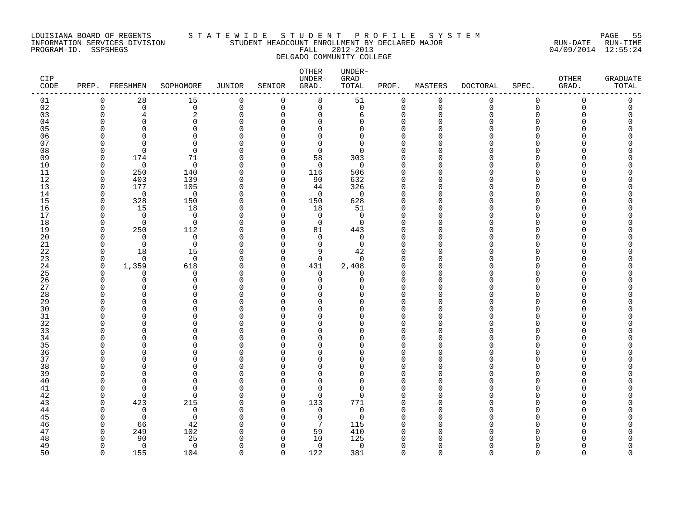#### LOUISIANA BOARD OF REGENTS S T A T E W I D E S T U D E N T P R O F I L E S Y S T E M PAGE 55 INFORMATION SERVICES DIVISION STUDENT HEADCOUNT ENROLLMENT BY DECLARED MAJOR RUN-DATE RUN-TIME PROGRAM-ID. SSPSHEGS FALL 2012-2013 04/09/2014 12:55:24 DELGADO COMMUNITY COLLEGE

| CIP<br>CODE |             | PREP. FRESHMEN     | SOPHOMORE            | JUNIOR             | SENIOR               | OTHER<br>UNDER-<br>GRAD. | UNDER-<br>GRAD<br>TOTAL | PROF.                | MASTERS     | DOCTORAL    | SPEC.       | OTHER<br>GRAD. | <b>GRADUATE</b><br>TOTAL |
|-------------|-------------|--------------------|----------------------|--------------------|----------------------|--------------------------|-------------------------|----------------------|-------------|-------------|-------------|----------------|--------------------------|
| 01          | $\mathbf 0$ | 28                 | 15                   | 0                  | 0                    | 8                        | 51                      | $\mathbf 0$          | 0           | 0           | $\mathbf 0$ | $\mathbf 0$    | 0                        |
| 02          | $\Omega$    | $\mathbf 0$        | $\mathbf 0$          | $\mathbf 0$        | $\mathbf 0$          | $\mathsf{O}$             | $\mathbf 0$             | $\mathbf 0$          | $\mathbf 0$ | $\mathbf 0$ | $\mathbf 0$ | 0              | 0                        |
| 03          |             | $\overline{4}$     | 2                    | $\Omega$           | $\Omega$             | $\mathbf 0$              | 6                       | $\mathbf 0$          |             |             | $\Omega$    |                | U                        |
| 04          |             | <sup>n</sup>       | $\Omega$             | $\Omega$           | $\Omega$             | $\mathbf 0$              | 0                       | $\mathbf 0$          |             |             | ∩           |                | Λ                        |
| 05          |             | ∩                  | $\Omega$             | $\Omega$           | $\Omega$             | $\mathbf 0$              | 0                       | $\Omega$             |             |             |             |                |                          |
| 06          |             | ∩                  | $\Omega$             | $\Omega$<br>$\cap$ | $\Omega$             | $\Omega$                 | 0                       | $\Omega$             |             |             |             |                |                          |
| 07          |             | $\Omega$           | $\Omega$<br>$\Omega$ | $\Omega$           | $\Omega$<br>$\Omega$ | $\Omega$<br>$\mathbf 0$  | $\Omega$<br>0           | $\Omega$<br>$\Omega$ |             |             |             |                |                          |
| 08<br>09    |             | 174                | 71                   | $\Omega$           | $\Omega$             | 58                       | 303                     | $\Omega$             |             |             |             |                |                          |
| 10          | U           | $\overline{0}$     | $\overline{0}$       | $\Omega$           | $\Omega$             | $\mathbf{0}$             | $\mathbf 0$             | $\Omega$             |             |             |             |                |                          |
| 11          | $\Omega$    | 250                | 140                  | $\Omega$           | $\mathbf 0$          | 116                      | 506                     | $\Omega$             |             |             |             |                |                          |
| 12          | $\Omega$    | 403                | 139                  | $\Omega$           | $\mathbf 0$          | 90                       | 632                     | 0                    |             |             |             |                |                          |
| 13          | $\cap$      | 177                | 105                  | 0                  | $\mathbf 0$          | 44                       | 326                     | 0                    |             |             |             |                |                          |
| 14          | $\cap$      | $\overline{0}$     | $\overline{0}$       | $\Omega$           | $\Omega$             | $\overline{0}$           | $\overline{0}$          | $\Omega$             |             |             |             |                |                          |
| 15          | n           | 328                | 150                  | $\Omega$           | $\Omega$             | 150                      | 628                     | $\Omega$             |             |             |             |                |                          |
| 16          |             | 15                 | 18                   | $\Omega$           | $\Omega$             | 18                       | 51                      | 0                    |             |             |             |                |                          |
| 17          |             | $\overline{0}$     | $\overline{0}$       | U                  | $\Omega$             | $\overline{0}$           | $\overline{0}$          | $\Omega$             |             |             |             |                |                          |
| 18          |             | $\Omega$           | $\overline{0}$       | U                  | $\Omega$             | $\mathbf 0$              | $\Omega$                | $\Omega$             |             |             |             |                |                          |
| 19          |             | 250                | 112                  | U                  | $\Omega$             | 81                       | 443                     | $\Omega$             |             |             |             |                |                          |
| $20\,$      |             | $\Omega$           | $\overline{0}$       | O                  | $\Omega$             | $\mathbf 0$              | $\mathbf 0$             | $\Omega$             |             |             |             |                |                          |
| 21          |             | $\Omega$           | $\Omega$             | O                  | $\Omega$             | $\mathbf 0$              | 0                       | 0                    |             |             |             |                |                          |
| 22          |             | 18                 | 15                   | $\cap$             | $\Omega$             | 9                        | 42                      | $\Omega$             |             |             |             |                |                          |
| 23          | $\Omega$    | $\Omega$           | $\Omega$             | U                  | $\Omega$             | $\Omega$                 | $\Omega$                | $\Omega$             |             |             |             |                |                          |
| 24          | $\Omega$    | 1,359              | 618                  | $\Omega$           | 0                    | 431                      | 2,408                   | 0                    | n           |             |             |                |                          |
| 25          |             | $\Omega$           | $\Omega$<br>$\Omega$ | $\Omega$<br>U      | $\Omega$             | $\mathbf 0$              | $\mathbf 0$<br>$\Omega$ | $\Omega$<br>$\Omega$ |             |             |             |                |                          |
| 26<br>27    |             | $\Omega$<br>$\cap$ | ∩                    | U                  | $\Omega$<br>U        | $\mathbf 0$<br>0         |                         | $\Omega$             |             |             |             |                |                          |
| 28          |             | ∩                  | U                    | C                  | U                    | 0                        | O                       | $\Omega$             |             |             |             |                |                          |
| 29          |             |                    | U                    |                    | O                    | 0                        | O                       | $\Omega$             |             |             |             |                |                          |
| 30          |             |                    |                      | n                  | U                    | $\Omega$                 | U                       | $\Omega$             |             |             |             |                |                          |
| $31\,$      |             |                    | U                    |                    | U                    | $\Omega$                 | Λ                       | $\Omega$             |             |             |             |                |                          |
| 32          |             |                    | U                    | n                  | U                    | 0                        | O                       | $\Omega$             |             |             | n           |                |                          |
| 33          |             |                    | U                    |                    | ∩                    | $\Omega$                 | U                       | $\Omega$             |             |             |             |                |                          |
| 34          |             |                    | ∩                    | U                  | U                    | $\mathbf 0$              | O                       | $\Omega$             |             |             |             |                |                          |
| 35          |             |                    |                      | C                  | U                    | $\Omega$                 | U                       | $\Omega$             |             |             |             |                |                          |
| 36          |             |                    | U                    | O                  | U                    | 0                        | O                       | $\Omega$             |             |             |             |                |                          |
| 37          |             |                    | U                    | C                  | U                    | $\Omega$                 | U                       | $\Omega$             |             |             |             |                |                          |
| 38          |             |                    | ∩                    | U                  | U                    | $\Omega$                 | U                       | $\Omega$             |             |             |             |                |                          |
| 39          |             |                    | U                    | O                  | O                    | $\mathbf 0$              | 0                       | $\Omega$             |             |             |             |                |                          |
| 40          |             |                    | U                    | n                  | U                    | $\Omega$                 | O                       | $\Omega$             |             |             |             |                |                          |
| 41          |             | ∩                  | $\Omega$             | C                  | $\Omega$             | $\Omega$                 | O                       | $\Omega$             |             |             |             |                |                          |
| 42          |             | $\Omega$           | $\Omega$             | U                  | $\Omega$             | $\mathbf 0$              | 0                       | $\Omega$             |             |             |             |                |                          |
| 43          |             | 423                | 215                  | $\Omega$           | 0                    | 133                      | 771                     | $\Omega$             |             |             |             |                |                          |
| 44          |             | $\Omega$           | $\overline{0}$       | O                  | $\Omega$             | 0                        | $\mathbf 0$             | $\Omega$             |             |             |             |                |                          |
| 45<br>46    |             | $\Omega$<br>66     | $\Omega$<br>42       | n<br>$\cap$        | $\Omega$<br>$\Omega$ | $\mathbf 0$<br>7         | $\Omega$<br>115         | $\Omega$<br>$\Omega$ |             |             |             |                |                          |
| 47          |             | 249                | 102                  | O                  | $\mathbf 0$          | 59                       | 410                     | 0                    | ∩           |             |             |                |                          |
| 48          |             | 90                 | 25                   |                    | $\Omega$             | 10                       | 125                     | $\Omega$             |             |             |             |                |                          |
| 49          |             | $\overline{0}$     | $\overline{0}$       | n                  | $\Omega$             | $\overline{0}$           | $\mathbf 0$             | $\mathbf 0$          | ∩           |             | ∩           |                | ი                        |
| 50          | $\cap$      | 155                | 104                  | $\cap$             | $\cap$               | 122                      | 381                     | $\Omega$             | $\Omega$    | U           | ∩           | ∩              | $\cap$                   |
|             |             |                    |                      |                    |                      |                          |                         |                      |             |             |             |                |                          |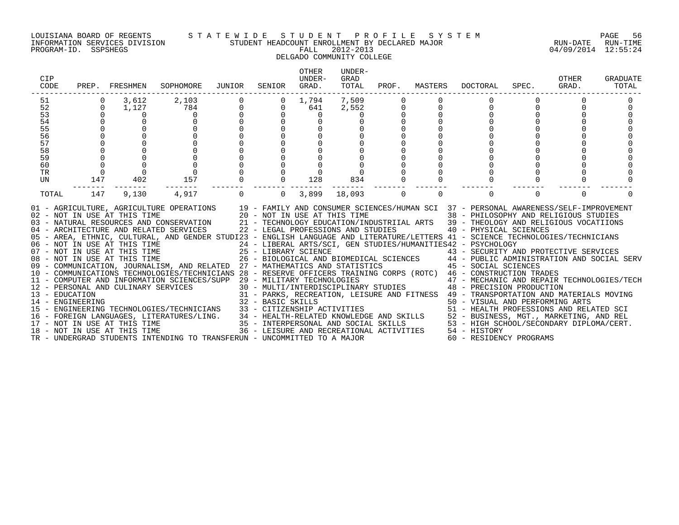#### LOUISIANA BOARD OF REGENTS S T A T E W I D E S T U D E N T P R O F I L E S Y S T E M PAGE 56 INFORMATION SERVICES DIVISION STUDENT HEADCOUNT ENROLLMENT BY DECLARED MAJOR RUN-DATE RUN-TIME

### DELGADO COMMUNITY COLLEGE

| 7,509<br>3,612<br>2,103<br>1,794<br>51<br>52<br>784<br>0<br>1,127<br>0<br>641<br>2,552<br>53<br>0<br>0<br>0<br>54<br>55<br>56<br>57<br>58<br>59<br>60<br>TR<br>$\overline{0}$<br>157<br>147<br>402<br>834<br>UN<br>128<br>147<br>4,917<br>$\Omega$<br>18,093<br>$\mathbf 0$<br>0<br>TOTAL<br>9,130<br>3,899<br>$\Omega$<br>$\overline{0}$<br>$\Omega$<br>01 - AGRICULTURE, AGRICULTURE OPERATIONS 19 - FAMILY AND CONSUMER SCIENCES/HUMAN SCI 37 - PERSONAL AWARENESS/SELF-IMPROVEMENT<br>$02 - NOT IN USE AT THIS TIME 20 - NOT IN USE AT THIS TIME 03 - NATURAL RESOURCES AND CONSERVATION 21 - TECHNOLOGY EDUCATION/INI 03 - NATURE 21 - TECHNOLOGY EDUCATION/INI 03 - NATURE 22 - TECHNOLOGY 221 - TECHNOLOGY 23 - NUTEI 03 - NUTEI 03 - NUTEI 03 - NUTEI 03 - NUTEI 03 - NUTEI 03 - NUTEI 03 - NUTEI 03 - NUTEI 03 - N$<br>38 - PHILOSOPHY AND RELIGIOUS STUDIES<br>21 - TECHNOLOGY EDUCATION/INDUSTRIIAL ARTS 39 - THEOLOGY AND RELIGIOUS VOCATIIONS<br>04 - ARCHITECTURE AND RELATED SERVICES 22 - LEGAL PROFESSIONS AND STUDIES<br>40 - PHYSICAL SCIENCES<br>05 - AREA, ETHNIC, CULTURAL, AND GENDER STUDI23 - ENGLISH LANGUAGE AND LITERATURE/LETTERS 41 - SCIENCE TECHNOLOGIES/TECHNICIANS<br>24 - LIBERAL ARTS/SCI, GEN STUDIES/HUMANITIES42 - PSYCHOLOGY<br>06 - NOT IN USE AT THIS TIME<br>07 - NOT IN USE AT THIS TIME<br>08 - NOT IN USE AT THIS TIME<br>25 - LIBRARY SCIENCE<br>26 - BIOLOGICAL AND BIOMEDICAL SCIENCES<br>27 - MATHEMATICS AND STATISTICS (27 - 2001) 25 - 2001 AMINISTRATION AND SOCIAL SERV<br>09 - COMMUNICATION, JOURNALISM, AND RELATED 27 - MATHEMATICS AND STATISTICS | CIP<br>CODE | PREP. | FRESHMEN | SOPHOMORE | JUNIOR | SENIOR | <b>OTHER</b><br>UNDER-<br>GRAD. | UNDER-<br>GRAD<br>TOTAL | PROF. | MASTERS | DOCTORAL | SPEC. | OTHER<br>GRAD. | GRADUATE<br>TOTAL |
|---------------------------------------------------------------------------------------------------------------------------------------------------------------------------------------------------------------------------------------------------------------------------------------------------------------------------------------------------------------------------------------------------------------------------------------------------------------------------------------------------------------------------------------------------------------------------------------------------------------------------------------------------------------------------------------------------------------------------------------------------------------------------------------------------------------------------------------------------------------------------------------------------------------------------------------------------------------------------------------------------------------------------------------------------------------------------------------------------------------------------------------------------------------------------------------------------------------------------------------------------------------------------------------------------------------------------------------------------------------------------------------------------------------------------------------------------------------------------------------------------------------------------------------------------------------------------------------------------------------|-------------|-------|----------|-----------|--------|--------|---------------------------------|-------------------------|-------|---------|----------|-------|----------------|-------------------|
|                                                                                                                                                                                                                                                                                                                                                                                                                                                                                                                                                                                                                                                                                                                                                                                                                                                                                                                                                                                                                                                                                                                                                                                                                                                                                                                                                                                                                                                                                                                                                                                                               |             |       |          |           |        |        |                                 |                         |       |         |          |       | $\Omega$       |                   |
| 10 - COMMUNICATIONS TECHNOLOGIES/TECHNICIANS 28 - RESERVE OFFICERS TRAINING CORPS (ROTC) 46 - CONSTRUCTION TRADES<br>11 - COMPUTER AND INFORMATION SCIENCES/SUPP 29 - MILITARY TECHNOLOGIES<br>29 - MILITARY TECHNOLOGIES<br>30 - MULTI/INTERDISCIPLINARY STUDIES<br>48 - PRECISION PRODUCTION<br>12 - PERSONAL AND CULINARY SERVICES<br>31 - PARKS, RECREATION, LEISURE AND FITNESS 49 - TRANSPORTATION AND MATERIALS MOVING<br>13 - EDUCATION<br>32 - BASIC SKILLS<br>50 - VISUAL AND PERFORMING ARTS<br>14 - ENGINEERING<br>33 - CITIZENSHIP ACTIVITIES<br>51 - HEALTH PROFESSIONS AND RELATED SCI<br>15 - ENGINEERING TECHNOLOGIES/TECHNICIANS<br>16 - FOREIGN LANGUAGES, LITERATURES/LING. 34 - HEALTH-RELATED KNOWLEDGE AND SKILLS 52 - BUSINESS, MGT., MARKETING, AND REL<br>17 - NOT IN USE AT THIS TIME 35 - INTERPERSONAL AND SOCIAL SKILLS 53 - HIGH SCHOOL/SECONDARY DIPLOM<br>53 - HIGH SCHOOL/SECONDARY DIPLOMA/CERT.                                                                                                                                                                                                                                                                                                                                                                                                                                                                                                                                                                                                                                                                           |             |       |          |           |        |        |                                 |                         |       |         |          |       | $\Omega$       |                   |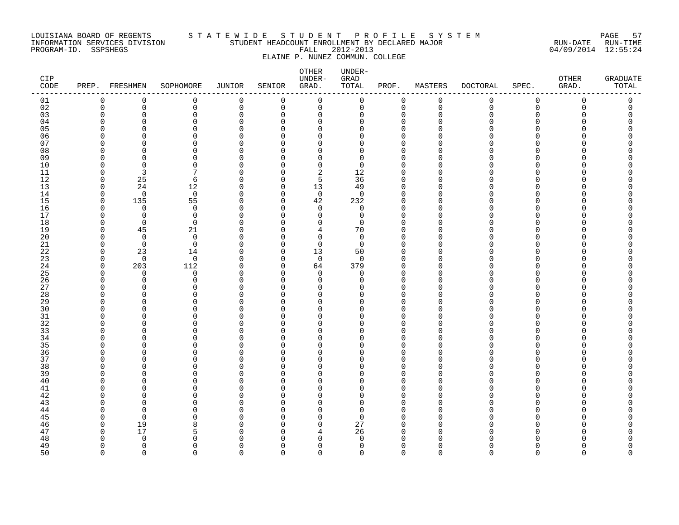#### LOUISIANA BOARD OF REGENTS S T A T E W I D E S T U D E N T P R O F I L E S Y S T E M PAGE 57 INFORMATION SERVICES DIVISION STUDENT HEADCOUNT ENROLLMENT BY DECLARED MAJOR RUN-DATE RUN-TIME PROGRAM-ID. SSPSHEGS FALL 2012-2013 04/09/2014 12:55:24 ELAINE P. NUNEZ COMMUN. COLLEGE

| CIP<br>CODE |                      | PREP. FRESHMEN     | SOPHOMORE            | JUNIOR               | SENIOR               | OTHER<br>UNDER-<br>GRAD. | UNDER-<br>GRAD<br>TOTAL | PROF.                | MASTERS              | <b>DOCTORAL</b> | SPEC.         | OTHER<br>GRAD. | <b>GRADUATE</b><br>TOTAL |
|-------------|----------------------|--------------------|----------------------|----------------------|----------------------|--------------------------|-------------------------|----------------------|----------------------|-----------------|---------------|----------------|--------------------------|
| 01          | 0                    | 0                  | 0                    | 0                    | $\mathbf 0$          | $\mathbf 0$              | 0                       | $\mathbf 0$          | 0                    | 0               | 0             | 0              | 0                        |
| 02          | $\mathbf 0$          | 0                  | 0                    | $\mathbf 0$          | $\mathbf 0$          | $\mathbf 0$              | 0                       | $\mathbf 0$          | $\mathbf 0$          | 0               | $\mathbf 0$   | 0              | 0                        |
| 03          | $\Omega$             | 0                  | $\mathbf 0$          | $\mathbf 0$          | $\Omega$             | $\mathbf 0$              | $\Omega$                | $\Omega$             | $\Omega$             | 0               | $\Omega$      | $\Omega$       | 0                        |
| 04          | $\Omega$             | $\Omega$           | $\Omega$             | $\Omega$             | ∩                    | $\Omega$                 | $\Omega$                | $\Omega$             | $\Omega$             | U               | ∩             |                | ∩                        |
| 05          | $\Omega$             | $\Omega$           | $\mathbf 0$          | $\Omega$             | O                    | $\Omega$                 | U                       | $\Omega$             | $\Omega$             | O               | $\Omega$      |                |                          |
| 06          | ∩                    | O                  | $\mathbf 0$          | <sup>0</sup>         | ∩                    | $\Omega$                 | U                       | $\Omega$             | $\Omega$             | ი               | ∩             |                |                          |
| 07          | $\Omega$             | U                  | $\Omega$             | $\Omega$             | ∩                    | $\Omega$                 | U                       | $\Omega$             | $\Omega$             | U               | ∩             |                |                          |
| 08          | ∩                    | ∩                  | $\Omega$             | $\Omega$             | ∩                    | U                        | $\Omega$                | $\Omega$             | $\Omega$             | N               | $\Omega$      |                |                          |
| 09          | $\Omega$             | $\Omega$           | $\Omega$             | $\Omega$             | ∩                    | $\Omega$                 | $\Omega$                | $\Omega$             | $\Omega$             |                 | $\Omega$      |                |                          |
| 10          | $\Omega$             | $\Omega$           | $\mathbf 0$          | $\Omega$             | $\Omega$             | $\mathbf 0$              | $\Omega$                | $\Omega$             | $\Omega$             | ი               | $\Omega$      |                |                          |
| 11          | $\Omega$             | 3                  | 7                    | $\Omega$             | ∩                    | $\overline{2}$           | 12                      | $\Omega$             | $\Omega$             | ∩               | $\Omega$      |                |                          |
| 12          | $\Omega$             | 25                 | 6                    | $\Omega$             | $\Omega$             | 5                        | 36                      | $\Omega$             | $\Omega$             | N               | ∩             |                |                          |
| 13          | $\mathbf 0$          | 24                 | 12                   | $\Omega$             | $\Omega$             | 13                       | 49                      | $\Omega$             | $\Omega$             | U               | ∩             |                |                          |
| 14          | $\Omega$             | $\mathbf 0$        | $\mathbf 0$          | 0                    | $\Omega$             | $\mathbf 0$              | $\Omega$                | $\Omega$             | $\Omega$             | N               | O             |                |                          |
| 15          | $\mathbf 0$          | 135                | 55                   | $\Omega$             | $\Omega$             | 42                       | 232                     | $\Omega$             | $\Omega$             | N               | ∩             |                |                          |
| 16          | $\Omega$             | $\Omega$           | $\Omega$             | $\Omega$             | $\Omega$             | $\Omega$                 | $\Omega$                | $\Omega$             | $\Omega$             | N               | ∩             |                |                          |
| 17          | $\Omega$             | $\mathbf 0$        | $\mathbf 0$          | $\Omega$             | ∩                    | $\Omega$                 | $\mathbf 0$             | ∩                    | $\Omega$             | ∩               | ∩             |                |                          |
| 18          | $\Omega$             | $\Omega$           | $\Omega$             | $\Omega$             | ∩                    | $\Omega$                 | $\Omega$                | $\Omega$             | $\Omega$             |                 | ∩             |                |                          |
| 19          | $\Omega$             | 45                 | 21                   | O                    | ∩                    | 4                        | 70                      | $\Omega$             | $\Omega$             | N               | O             |                |                          |
| 20          | $\Omega$<br>$\Omega$ | $\Omega$           | $\Omega$<br>$\Omega$ | $\Omega$             | ∩                    | $\Omega$                 | $\Omega$                | $\Omega$<br>$\Omega$ | $\Omega$<br>$\Omega$ | N<br>∩          | $\Omega$<br>∩ |                |                          |
| 21          |                      | $\Omega$           |                      | $\Omega$             | $\Omega$             | $\Omega$                 | $\Omega$                | $\Omega$             |                      |                 | ∩             |                |                          |
| 22          | $\Omega$             | 23                 | 14                   | <sup>0</sup>         | $\Omega$             | 13                       | 50                      | $\Omega$             | <sup>0</sup>         | N               | $\Omega$      |                |                          |
| 23<br>24    | 0<br>$\Omega$        | $\mathbf 0$<br>203 | $\mathbf 0$<br>112   | $\Omega$<br>$\Omega$ | $\Omega$<br>$\Omega$ | $\mathbf 0$<br>64        | 0<br>379                | $\Omega$             | $\Omega$<br>$\Omega$ | ∩               | $\Omega$      |                |                          |
| 25          | $\Omega$             | $\Omega$           | $\Omega$             | $\Omega$             | $\Omega$             | $\Omega$                 | $\Omega$                | $\Omega$             | $\Omega$             | N               | $\Omega$      |                |                          |
| 26          | $\Omega$             | 0                  | $\mathbf 0$          | <sup>0</sup>         | ∩                    | $\Omega$                 | $\Omega$                | $\Omega$             | $\Omega$             | ∩               | ∩             |                |                          |
| 27          | ∩                    | O                  | $\Omega$             | O                    | O                    | $\Omega$                 |                         | $\Omega$             | $\Omega$             |                 | O             |                |                          |
| 28          | $\Omega$             | $\Omega$           | $\Omega$             | U                    | ∩                    | O                        | U                       | $\Omega$             | $\Omega$             |                 | ∩             |                |                          |
| 29          | $\Omega$             | U                  | $\Omega$             | $\Omega$             | ∩                    | $\Omega$                 | U                       | $\Omega$             | $\Omega$             | N               | ∩             |                |                          |
| 30          | ∩                    | O                  | $\mathbf 0$          | <sup>0</sup>         | ∩                    | $\Omega$                 | U                       | ∩                    | $\Omega$             | N               | ∩             |                |                          |
| 31          | $\Omega$             | O                  | $\Omega$             | $\Omega$             | ∩                    | $\Omega$                 | U                       | $\Omega$             | $\Omega$             | N               | ∩             |                |                          |
| 32          | ∩                    | O                  | 0                    | ∩                    | ∩                    | $\Omega$                 | U                       | $\Omega$             | $\Omega$             | ∩               | ∩             |                |                          |
| 33          | $\Omega$             | U                  | $\Omega$             | $\cap$               | ∩                    | $\Omega$                 | U                       | $\Omega$             | $\Omega$             | U               | $\Omega$      |                |                          |
| 34          | $\Omega$             | O                  | $\mathbf 0$          | $\Omega$             | $\Omega$             | $\Omega$                 | U                       | $\Omega$             | $\Omega$             | ი               | $\Omega$      |                |                          |
| 35          | ∩                    | O                  | $\Omega$             | O                    | ∩                    | O                        | U                       | $\Omega$             | ∩                    |                 | ∩             |                |                          |
| 36          | $\Omega$             | $\Omega$           | $\mathbf 0$          | $\Omega$             | ∩                    | $\Omega$                 | U                       | $\Omega$             | $\Omega$             | U               | $\Omega$      |                |                          |
| 37          | $\Omega$             | ∩                  | $\Omega$             | $\Omega$             | ∩                    | O                        | U                       | $\Omega$             | $\Omega$             | N               | $\Omega$      |                |                          |
| 38          | $\Omega$             | $\Omega$           | $\mathbf 0$          | O                    | $\Omega$             | 0                        | U                       | $\Omega$             | $\Omega$             |                 | $\Omega$      |                |                          |
| 39          | ∩                    | O                  | $\Omega$             | <sup>0</sup>         | ∩                    | $\Omega$                 | U                       | $\Omega$             | $\Omega$             | N               | ∩             |                |                          |
| 40          | ∩                    | U                  | $\Omega$             | $\Omega$             | ∩                    | U                        | U                       | $\Omega$             | $\Omega$             |                 | ∩             |                |                          |
| 41          | $\Omega$             | U                  | $\Omega$             | U                    | ∩                    | O                        | U                       | $\Omega$             | $\Omega$             | N               | ∩             |                |                          |
| 42          | ∩                    | O                  | $\mathbf 0$          | $\Omega$             | $\Omega$             | 0                        | U                       | $\Omega$             | $\Omega$             |                 | $\Omega$      |                |                          |
| 43          | ∩                    | ∩                  | $\Omega$             | <sup>0</sup>         | ∩                    | Ω                        | U                       | ∩                    | $\Omega$             | N               | ∩             |                |                          |
| 44          | ∩                    | $\Omega$           | $\Omega$             | $\Omega$             | ∩                    | $\Omega$                 | U                       | $\Omega$             | $\Omega$             |                 | ∩             |                |                          |
| 45          | ∩                    | $\Omega$           | O                    | O                    | ∩                    | $\Omega$                 | <sup>n</sup>            | $\Omega$             | $\Omega$             | N               | $\Omega$      |                |                          |
| 46          | $\Omega$             | 19                 | 8                    | $\cap$               | ∩                    | $\Omega$                 | 27                      | $\Omega$             | $\Omega$             | U               | $\Omega$      |                |                          |
| 47          | $\Omega$             | 17                 | 5                    | O                    | O                    | 4                        | 26                      | <sup>0</sup>         | $\Omega$             | O               | ∩             |                |                          |
| 48          | $\Omega$             | $\Omega$           | U                    | ∩                    | ∩                    | O                        | <sup>n</sup>            | ∩                    | ∩                    | N               |               |                |                          |
| 49          | $\Omega$             | $\Omega$           | $\Omega$             | $\Omega$             | $\Omega$             | $\Omega$                 | $\Omega$                | $\Omega$             | $\Omega$             | 0               | $\Omega$      |                | O                        |
| 50          | $\Omega$             | $\Omega$           | $\cap$               | $\Omega$             | $\Omega$             | $\Omega$                 | $\Omega$                | $\cap$               | $\cap$               | $\Omega$        | $\Omega$      | <sup>n</sup>   | $\cap$                   |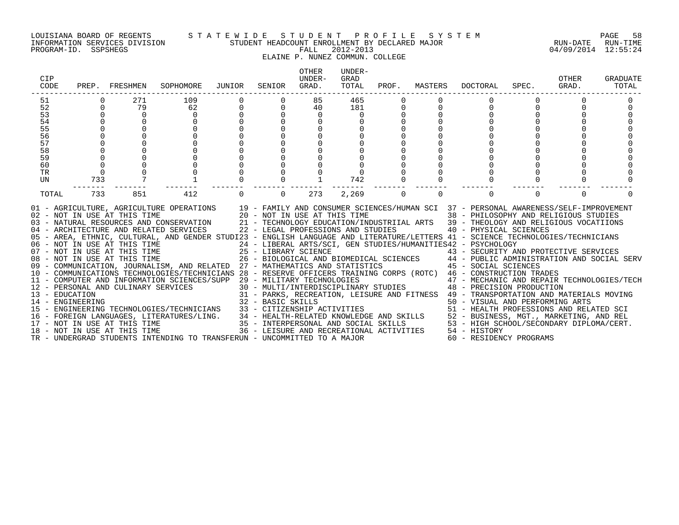#### LOUISIANA BOARD OF REGENTS S T A T E W I D E S T U D E N T P R O F I L E S Y S T E M PAGE 58 INFORMATION SERVICES DIVISION STUDENT HEADCOUNT ENROLLMENT BY DECLARED MAJOR RUN-DATE RUN-TIME

### ELAINE P. NUNEZ COMMUN. COLLEGE

| <b>CIP</b><br>CODE |          | PREP. FRESHMEN | SOPHOMORE                                                                                                                                                                                                                                                                                                                                                                                                                                                                                                                                                                                                                                                                                                                                                                                                                                                                                                                                                                                                                                                                                                                                                                                                                                                                                                                                                                       | JUNIOR                               | SENIOR         | OTHER<br>IJNDER-<br>GRAD. | UNDER-<br>GRAD<br>TOTAL | PROF.       | MASTERS     | DOCTORAL                | SPEC.    | OTHER<br>GRAD. | GRADUATE<br>TOTAL |
|--------------------|----------|----------------|---------------------------------------------------------------------------------------------------------------------------------------------------------------------------------------------------------------------------------------------------------------------------------------------------------------------------------------------------------------------------------------------------------------------------------------------------------------------------------------------------------------------------------------------------------------------------------------------------------------------------------------------------------------------------------------------------------------------------------------------------------------------------------------------------------------------------------------------------------------------------------------------------------------------------------------------------------------------------------------------------------------------------------------------------------------------------------------------------------------------------------------------------------------------------------------------------------------------------------------------------------------------------------------------------------------------------------------------------------------------------------|--------------------------------------|----------------|---------------------------|-------------------------|-------------|-------------|-------------------------|----------|----------------|-------------------|
| 51                 |          | 271            | 109                                                                                                                                                                                                                                                                                                                                                                                                                                                                                                                                                                                                                                                                                                                                                                                                                                                                                                                                                                                                                                                                                                                                                                                                                                                                                                                                                                             |                                      |                | 85                        | 465                     |             |             |                         |          |                |                   |
| 52                 | $\Omega$ | 79             | 62                                                                                                                                                                                                                                                                                                                                                                                                                                                                                                                                                                                                                                                                                                                                                                                                                                                                                                                                                                                                                                                                                                                                                                                                                                                                                                                                                                              | $\begin{matrix} 0 \\ 0 \end{matrix}$ | $\overline{0}$ | 40                        | 181                     | 0           |             | $\Omega$                |          |                |                   |
| 53                 | $\Omega$ | $\overline{0}$ | $\mathbf 0$                                                                                                                                                                                                                                                                                                                                                                                                                                                                                                                                                                                                                                                                                                                                                                                                                                                                                                                                                                                                                                                                                                                                                                                                                                                                                                                                                                     |                                      | $\Omega$       | $\mathbf 0$               | $\overline{0}$          |             |             |                         |          |                |                   |
| 54<br>55<br>56     |          | $\overline{0}$ | $\Omega$                                                                                                                                                                                                                                                                                                                                                                                                                                                                                                                                                                                                                                                                                                                                                                                                                                                                                                                                                                                                                                                                                                                                                                                                                                                                                                                                                                        |                                      |                | $\Omega$                  |                         |             |             |                         |          |                |                   |
|                    |          |                | $\Omega$                                                                                                                                                                                                                                                                                                                                                                                                                                                                                                                                                                                                                                                                                                                                                                                                                                                                                                                                                                                                                                                                                                                                                                                                                                                                                                                                                                        |                                      | $\Omega$       | $\mathbf 0$               |                         |             |             |                         |          |                |                   |
|                    |          |                | $\Omega$                                                                                                                                                                                                                                                                                                                                                                                                                                                                                                                                                                                                                                                                                                                                                                                                                                                                                                                                                                                                                                                                                                                                                                                                                                                                                                                                                                        |                                      |                |                           |                         |             |             |                         |          |                |                   |
| 57                 |          |                | $\Omega$                                                                                                                                                                                                                                                                                                                                                                                                                                                                                                                                                                                                                                                                                                                                                                                                                                                                                                                                                                                                                                                                                                                                                                                                                                                                                                                                                                        |                                      | $\Omega$       |                           |                         |             |             |                         |          |                |                   |
| 58                 |          |                | $\Omega$                                                                                                                                                                                                                                                                                                                                                                                                                                                                                                                                                                                                                                                                                                                                                                                                                                                                                                                                                                                                                                                                                                                                                                                                                                                                                                                                                                        |                                      |                |                           |                         |             |             |                         |          |                |                   |
| 59                 |          |                | $\Omega$                                                                                                                                                                                                                                                                                                                                                                                                                                                                                                                                                                                                                                                                                                                                                                                                                                                                                                                                                                                                                                                                                                                                                                                                                                                                                                                                                                        |                                      | $\Omega$       |                           |                         |             |             |                         |          |                |                   |
| 60                 | $\Omega$ |                |                                                                                                                                                                                                                                                                                                                                                                                                                                                                                                                                                                                                                                                                                                                                                                                                                                                                                                                                                                                                                                                                                                                                                                                                                                                                                                                                                                                 |                                      |                |                           |                         |             |             |                         |          |                |                   |
| <b>TR</b>          | $\Omega$ |                |                                                                                                                                                                                                                                                                                                                                                                                                                                                                                                                                                                                                                                                                                                                                                                                                                                                                                                                                                                                                                                                                                                                                                                                                                                                                                                                                                                                 |                                      |                |                           |                         |             |             |                         |          |                |                   |
| UN                 | 733      |                |                                                                                                                                                                                                                                                                                                                                                                                                                                                                                                                                                                                                                                                                                                                                                                                                                                                                                                                                                                                                                                                                                                                                                                                                                                                                                                                                                                                 |                                      |                |                           | 742                     |             |             |                         |          |                |                   |
| TOTAL              | 733      | 851            | 412                                                                                                                                                                                                                                                                                                                                                                                                                                                                                                                                                                                                                                                                                                                                                                                                                                                                                                                                                                                                                                                                                                                                                                                                                                                                                                                                                                             | $\mathbf 0$                          | $\overline{0}$ | 273                       | 2,269                   | $\mathbf 0$ | $\mathbf 0$ | $\mathbf 0$             | $\Omega$ | $\Omega$       |                   |
|                    |          |                | 01 - AGRICULTURE, AGRICULTURE OPERATIONS 19 - FAMILY AND CONSUMER SCIENCES/HUMAN SCI 37 - PERSONAL AWARENESS/SELF-IMPROVEMENT 102 - NOT IN USE AT THIS TIME 38 - PHILOSOPHY AND RELIGIOUS STUDIES<br>03 - NATURAL RESOURCES AND C<br>05 - AREA, ETHNIC, CULTURAL, AND GENDER STUDI23 - ENGLISH LANGUAGE AND LITERATURE/LETTERS 41 - SCIENCE TECHNOLOGIES/TECHNICIANS<br>06 - NOT IN USE AT THIS TIME<br>07 - NOT IN USE AT THIS TIME<br>29 - LIBERAL ARTS/SCI, GEN STUDIES/HUMANITIES42 - PSYCHOLOGY<br>26 - BIOLOGICAL AND BIOMEDICAL SCIENCES<br>26 - BIOLOGICAL AND BIOMEDICAL SCIENCES<br>26 - BIOLOGICAL AN<br>10 - COMMUNICATIONS TECHNOLOGIES/TECHNICIANS 28 - RESERVE OFFICERS TRAINING CORPS (ROTC) 46 - CONSTRUCTION TRADES<br>- CONSIRUCTION TRADES<br>12 - PERSONAL AND CULINARY SERVICES 30 - MULTI/INTERDISCIPLINARY STUDIES<br>32 - BARKS, RECREATION, LEISURE AND FITNESS 49 - TRANSFORMATION<br>32 - BASIC SKILLS<br>32 - BASIC SKILLS<br>32 - BASIC SKILLS<br>32<br>15 - ENGINEERING TECHNOLOGIES/TECHNICIANS 33 - CITIZENSHIP ACTIVITIES<br>16 - FOREIGN LANGUAGES, LITERATURES/LING.<br>17 - NOT IN USE AT THIS TIME 152 - INTERPERSONAL AND SOCIAL SKILLS 2 - BUSINESS, MGT., MARKETING, AND REL<br>18 - NOT IN USE AT THIS TIME 35 - INTERPERSONAL AND SOCIAL SKILLS 253 - HI<br>TR - UNDERGRAD STUDENTS INTENDING TO TRANSFERUN - UNCOMMITTED TO A MAJOR |                                      |                |                           |                         |             |             | 60 - RESIDENCY PROGRAMS |          |                |                   |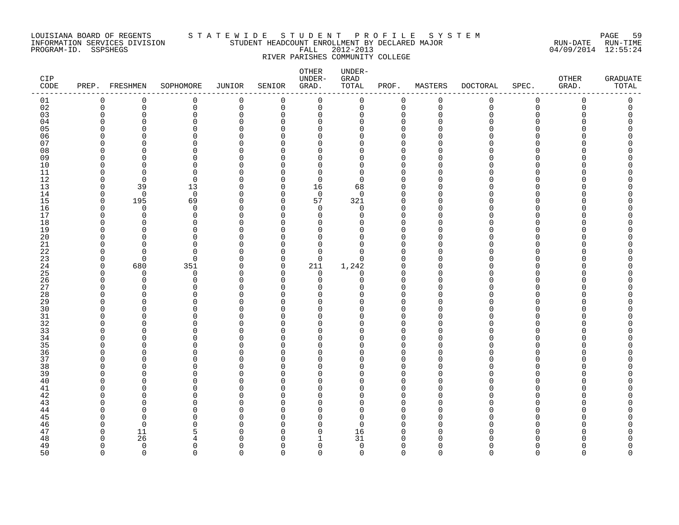#### LOUISIANA BOARD OF REGENTS S T A T E W I D E S T U D E N T P R O F I L E S Y S T E M PAGE 59 INFORMATION SERVICES DIVISION STUDENT HEADCOUNT ENROLLMENT BY DECLARED MAJOR RUN-DATE RUN-TIME PROGRAM-ID. SSPSHEGS FALL 2012-2013 04/09/2014 12:55:24 RIVER PARISHES COMMUNITY COLLEGE

| CIP<br>CODE |                      | PREP. FRESHMEN       | SOPHOMORE            | <b>JUNIOR</b>            | SENIOR               | OTHER<br>UNDER-<br>GRAD. | UNDER-<br>${\tt GRAD}$<br>TOTAL | PROF.                | MASTERS              | <b>DOCTORAL</b> | SPEC.                | OTHER<br>GRAD. | <b>GRADUATE</b><br>TOTAL |
|-------------|----------------------|----------------------|----------------------|--------------------------|----------------------|--------------------------|---------------------------------|----------------------|----------------------|-----------------|----------------------|----------------|--------------------------|
| 01          | 0                    | 0                    | 0                    | 0                        | 0                    | 0                        | 0                               | $\overline{0}$       | 0                    | 0               | $\mathbf 0$          | 0              | 0                        |
| 02          | 0                    | $\mathbf 0$          | $\mathbf 0$          | 0                        | 0                    | 0                        | 0                               | $\mathbf 0$          | $\mathbf 0$          | $\mathsf{O}$    | $\mathbf 0$          | $\mathbf 0$    | 0                        |
| 03          | 0                    | $\Omega$             | 0                    | 0                        | $\Omega$             | 0                        | 0                               | $\mathbf 0$          | $\Omega$             | 0               | $\mathbf 0$          | O              | 0                        |
| 04          | ∩                    | ∩                    | $\Omega$             | $\Omega$                 | $\Omega$             | $\mathbf 0$              | $\Omega$                        | $\Omega$             | $\Omega$             | $\Omega$        | $\Omega$             |                | U                        |
| 05          | O                    | ∩                    | $\Omega$             | $\Omega$                 | $\Omega$             | $\mathbf 0$              | $\Omega$                        | $\Omega$             | $\Omega$             | U               | $\Omega$             |                | Λ                        |
| 06          | O                    | O                    | 0                    | O                        | ∩<br><sup>n</sup>    | 0                        | 0                               | $\Omega$             | ∩<br>$\Omega$        | U<br>U          | $\Omega$             |                | Λ                        |
| 07<br>08    | ∩<br>∩               | $\Omega$<br>∩        | $\Omega$<br>$\Omega$ | $\Omega$<br>$\Omega$     | U                    | $\mathbf 0$<br>0         | $\mathbf 0$<br>0                | $\Omega$<br>$\Omega$ | $\Omega$             | U               | $\Omega$<br>$\Omega$ | ∩              | ∩                        |
| 09          | ∩                    | ∩                    | $\Omega$             | U                        | <sup>n</sup>         | 0                        | $\Omega$                        | $\Omega$             | $\Omega$             | U               | $\Omega$             |                |                          |
| $10$        | $\Omega$             | $\Omega$             | $\mathbf 0$          | 0                        | Ω                    | 0                        | 0                               | $\mathbf 0$          | $\Omega$             | 0               | 0                    |                |                          |
| 11          | ∩                    | $\Omega$             | $\mathbf 0$          | O                        | O                    | 0                        | 0                               | $\Omega$             | $\Omega$             | U               | $\Omega$             |                |                          |
| $12$        | ∩                    | $\Omega$             | $\Omega$             | 0                        | <sup>n</sup>         | $\mathbf 0$              | $\mathbf 0$                     | $\Omega$             | $\Omega$             | U               | ∩                    |                |                          |
| 13          | ∩                    | 39                   | 13                   | $\Omega$                 | $\Omega$             | 16                       | 68                              | $\cap$               | $\Omega$             | U               | $\Omega$             |                |                          |
| 14          | ∩                    | $\Omega$             | $\mathbf 0$          | $\Omega$                 | $\Omega$             | $\mathbf 0$              | $\Omega$                        | $\Omega$             | $\Omega$             | U               | $\Omega$             |                |                          |
| 15          | $\Omega$             | 195                  | 69                   | $\Omega$                 | $\Omega$             | 57                       | 321                             | $\Omega$             | $\Omega$             | U               | $\Omega$             |                |                          |
| 16          | $\Omega$             | $\mathbf 0$          | $\mathbf 0$          | 0                        | $\Omega$             | $\mathbf 0$              | 0                               | $\Omega$             | $\Omega$             | U               | $\Omega$             |                | Λ                        |
| 17          | ∩                    | $\Omega$             | $\Omega$             | $\Omega$                 | <sup>n</sup>         | $\mathbf 0$              | $\mathbf 0$                     | $\cap$               | $\Omega$             | U               | $\Omega$             |                |                          |
| 18          | O                    | $\Omega$             | $\Omega$             | $\Omega$                 | $\Omega$             | 0                        | $\Omega$                        | $\Omega$             | $\Omega$             | U               | $\Omega$             |                |                          |
| 19          | ∩                    | $\Omega$             | $\mathbf 0$          | 0                        | Λ                    | 0                        | 0                               | $\Omega$             | $\Omega$             | O               | $\Omega$             |                |                          |
| 20          |                      | $\Omega$             | $\Omega$             | 0                        | n                    | 0                        | $\mathbf 0$                     | $\Omega$             | $\Omega$             | O               | $\Omega$             |                |                          |
| 21          | ∩                    | ∩                    | $\Omega$             | 0                        | U                    | 0                        | 0                               | $\Omega$<br>$\cap$   | $\Omega$             | U               | $\Omega$             |                | ∩                        |
| 22          | ∩                    | ∩                    | $\Omega$             | U                        | $\Omega$<br>$\Omega$ | $\Omega$                 | $\Omega$                        |                      | $\Omega$<br>$\Omega$ | U               | $\Omega$             |                |                          |
| 23<br>24    | $\Omega$<br>$\Omega$ | $\Omega$<br>680      | $\mathbf 0$<br>351   | $\Omega$<br><sup>0</sup> | 0                    | $\mathbf 0$<br>211       | $\mathbf 0$<br>1,242            | $\Omega$<br>0        | $\Omega$             | O<br>0          | $\Omega$<br>$\Omega$ |                |                          |
| 25          | $\Omega$             | 0                    | 0                    | $\Omega$                 | $\Omega$             | $\mathbf 0$              | 0                               | $\Omega$             | $\Omega$             | U               | $\Omega$             | ∩              | Λ                        |
| 26          | ∩                    | $\Omega$             | $\Omega$             | $\Omega$                 | $\Omega$             | $\mathbf 0$              | $\overline{0}$                  | $\Omega$             | $\Omega$             | U               | $\Omega$             | ∩              | ∩                        |
| 27          | ∩                    | ∩                    | $\Omega$             | $\Omega$                 | <sup>n</sup>         | $\Omega$                 | $\Omega$                        | $\Omega$             | $\Omega$             | U               | $\Omega$             | ∩              | Λ                        |
| 28          | $\Omega$             | $\Omega$             | $\Omega$             | 0                        | n                    | 0                        | $\mathbf 0$                     | $\mathbf 0$          | $\Omega$             | O               | $\Omega$             |                |                          |
| 29          | ∩                    | $\Omega$             | 0                    | 0                        | <sup>n</sup>         | 0                        | $\mathbf 0$                     | $\Omega$             | $\Omega$             | O               | $\Omega$             | ∩              | Λ                        |
| 30          | ∩                    | ∩                    | $\Omega$             | $\Omega$                 | Λ                    | 0                        | $\mathbf 0$                     | $\Omega$             | $\Omega$             | U               | $\Omega$             |                |                          |
| 31          | O                    | ∩                    | $\Omega$             | $\Omega$                 | <sup>n</sup>         | 0                        | $\Omega$                        | $\Omega$             | $\Omega$             | U               | $\Omega$             | ∩              |                          |
| 32          | ∩                    | ∩                    | $\Omega$             | 0                        | ∩                    | 0                        | $\mathbf 0$                     | $\Omega$             | $\Omega$             | O               | $\Omega$             |                |                          |
| 33          |                      | $\Omega$             | $\Omega$             | 0                        | n                    | $\mathbf 0$              | $\mathbf 0$                     | $\Omega$             | $\Omega$             | O               | $\Omega$             |                |                          |
| 34          | ∩                    | O                    | $\Omega$             | O                        | ∩                    | 0                        | $\mathbf 0$                     | $\Omega$             | $\Omega$             | O               | $\Omega$             |                |                          |
| 35          | ∩                    | ∩                    | $\Omega$             | U                        | U                    | $\mathbf 0$              | $\Omega$                        | $\cap$               | $\Omega$             | U               | $\Omega$             |                |                          |
| 36          | ∩                    | $\Omega$             | $\Omega$             | $\Omega$                 | <sup>n</sup>         | 0                        | $\mathbf 0$                     | $\Omega$             | $\Omega$             | O               | $\Omega$             |                | ∩                        |
| 37          | O<br>∩               | $\Omega$<br>$\Omega$ | $\mathbf 0$          | 0<br>0                   | O<br>Ω               | 0                        | $\overline{0}$                  | $\Omega$<br>$\Omega$ | $\Omega$<br>O        | O<br>U          | $\Omega$<br>$\Omega$ |                |                          |
| 38<br>39    | ∩                    | $\Omega$             | $\Omega$<br>$\Omega$ | O                        | <sup>n</sup>         | 0<br>0                   | $\mathbf 0$<br>$\mathbf 0$      | $\Omega$             | $\Omega$             | U               | $\Omega$             |                | Λ                        |
| 40          | ∩                    |                      | $\Omega$             | U                        | <sup>n</sup>         | $\Omega$                 | $\Omega$                        | $\cap$               | $\Omega$             | U               | $\Omega$             |                |                          |
| 41          | ∩                    | ∩                    | $\Omega$             | U                        | ∩                    | $\mathbf 0$              | $\mathbf 0$                     | $\cap$               | O                    | U               | $\Omega$             |                |                          |
| 42          | N                    | O                    | $\Omega$             | O                        | $\Omega$             | 0                        | 0                               | $\Omega$             | $\Omega$             | U               | $\Omega$             |                |                          |
| 43          | ∩                    | ∩                    | $\Omega$             | 0                        | U                    | $\Omega$                 | $\mathbf 0$                     | $\Omega$             | $\Omega$             | U               | ∩                    |                |                          |
| 44          | ∩                    | ∩                    | $\Omega$             | U                        | <sup>n</sup>         | $\mathbf 0$              | $\mathbf 0$                     | $\Omega$             | $\Omega$             | U               | $\Omega$             |                |                          |
| 45          | ∩                    | $\Omega$             | $\Omega$             | U                        | U                    | $\mathbf 0$              | $\Omega$                        | $\cap$               | $\Omega$             | U               | $\Omega$             |                |                          |
| 46          | O                    | $\Omega$             | $\Omega$             | 0                        | n                    | $\mathbf 0$              | $\mathbf 0$                     | $\Omega$             | $\Omega$             | 0               | $\Omega$             |                |                          |
| 47          | $\Omega$             | 11                   | 5                    | O                        | ∩                    | 0                        | 16                              | $\Omega$             | $\Omega$             | U               | <sup>0</sup>         |                | Λ                        |
| 48          | ∩                    | 26                   |                      | U                        | U                    | $\mathbf{1}$             | 31                              | $\cap$               | $\Omega$             | U               |                      |                | ∩                        |
| 49          | 0                    | $\Omega$             | $\Omega$             | $\Omega$                 | $\Omega$             | 0                        | $\mathbf 0$                     | $\Omega$             | $\Omega$             | 0               | $\Omega$             | ∩              | O                        |
| 50          | $\cap$               | $\Omega$             | $\cap$               | $\Omega$                 | $\cap$               | $\Omega$                 | $\Omega$                        | $\Omega$             | $\Omega$             | $\Omega$        | $\Omega$             | $\Omega$       | $\Omega$                 |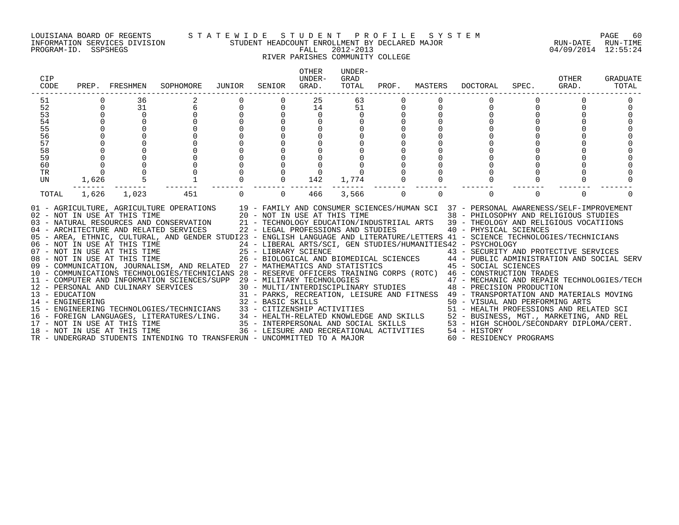#### LOUISIANA BOARD OF REGENTS S T A T E W I D E S T U D E N T P R O F I L E S Y S T E M PAGE 60 INFORMATION SERVICES DIVISION STUDENT HEADCOUNT ENROLLMENT BY DECLARED MAJOR RUN-DATE RUN-TIME

## RIVER PARISHES COMMUNITY COLLEGE

| CIP<br>CODE |             | PREP. FRESHMEN                                               | SOPHOMORE                                                                                                                                                                                                                                                                                                                                                                                                                                                                                                                                                                                                                                                                                                                                                                                                                                                                                                                                                                                                                                                                                                                                                                                                                                                                                                                                                                                                                                                                                                                                                                              | JUNIOR               | SENIOR         | <b>OTHER</b><br>UNDER-<br>GRAD. | UNDER-<br>GRAD<br>TOTAL                  | PROF.       | MASTERS  | DOCTORAL                                                                                                                                                                                                                                                                                                                          | SPEC.    | OTHER<br>GRAD. | GRADUATE<br>TOTAL |
|-------------|-------------|--------------------------------------------------------------|----------------------------------------------------------------------------------------------------------------------------------------------------------------------------------------------------------------------------------------------------------------------------------------------------------------------------------------------------------------------------------------------------------------------------------------------------------------------------------------------------------------------------------------------------------------------------------------------------------------------------------------------------------------------------------------------------------------------------------------------------------------------------------------------------------------------------------------------------------------------------------------------------------------------------------------------------------------------------------------------------------------------------------------------------------------------------------------------------------------------------------------------------------------------------------------------------------------------------------------------------------------------------------------------------------------------------------------------------------------------------------------------------------------------------------------------------------------------------------------------------------------------------------------------------------------------------------------|----------------------|----------------|---------------------------------|------------------------------------------|-------------|----------|-----------------------------------------------------------------------------------------------------------------------------------------------------------------------------------------------------------------------------------------------------------------------------------------------------------------------------------|----------|----------------|-------------------|
| 51          |             | 36                                                           |                                                                                                                                                                                                                                                                                                                                                                                                                                                                                                                                                                                                                                                                                                                                                                                                                                                                                                                                                                                                                                                                                                                                                                                                                                                                                                                                                                                                                                                                                                                                                                                        |                      |                | 25                              | 63                                       |             |          |                                                                                                                                                                                                                                                                                                                                   |          |                |                   |
| 52          | $\Omega$    | 31                                                           | 6<br>$\Omega$                                                                                                                                                                                                                                                                                                                                                                                                                                                                                                                                                                                                                                                                                                                                                                                                                                                                                                                                                                                                                                                                                                                                                                                                                                                                                                                                                                                                                                                                                                                                                                          | $\Omega$<br>$\Omega$ |                | 14                              | 51                                       |             |          | $\Omega$                                                                                                                                                                                                                                                                                                                          | $\Omega$ |                |                   |
| 53<br>54    | $\Omega$    | $\Omega$<br>$\Omega$                                         |                                                                                                                                                                                                                                                                                                                                                                                                                                                                                                                                                                                                                                                                                                                                                                                                                                                                                                                                                                                                                                                                                                                                                                                                                                                                                                                                                                                                                                                                                                                                                                                        |                      |                | $\Omega$                        | $\Omega$                                 |             |          |                                                                                                                                                                                                                                                                                                                                   |          |                |                   |
| 55          |             | $\Omega$                                                     |                                                                                                                                                                                                                                                                                                                                                                                                                                                                                                                                                                                                                                                                                                                                                                                                                                                                                                                                                                                                                                                                                                                                                                                                                                                                                                                                                                                                                                                                                                                                                                                        |                      |                |                                 |                                          |             |          |                                                                                                                                                                                                                                                                                                                                   |          |                |                   |
| 56          |             |                                                              |                                                                                                                                                                                                                                                                                                                                                                                                                                                                                                                                                                                                                                                                                                                                                                                                                                                                                                                                                                                                                                                                                                                                                                                                                                                                                                                                                                                                                                                                                                                                                                                        |                      |                |                                 |                                          |             |          |                                                                                                                                                                                                                                                                                                                                   |          |                |                   |
| 57          |             |                                                              |                                                                                                                                                                                                                                                                                                                                                                                                                                                                                                                                                                                                                                                                                                                                                                                                                                                                                                                                                                                                                                                                                                                                                                                                                                                                                                                                                                                                                                                                                                                                                                                        |                      |                |                                 |                                          |             |          |                                                                                                                                                                                                                                                                                                                                   |          |                |                   |
| 58          |             |                                                              |                                                                                                                                                                                                                                                                                                                                                                                                                                                                                                                                                                                                                                                                                                                                                                                                                                                                                                                                                                                                                                                                                                                                                                                                                                                                                                                                                                                                                                                                                                                                                                                        |                      |                |                                 |                                          |             |          |                                                                                                                                                                                                                                                                                                                                   |          |                |                   |
| 59          |             |                                                              |                                                                                                                                                                                                                                                                                                                                                                                                                                                                                                                                                                                                                                                                                                                                                                                                                                                                                                                                                                                                                                                                                                                                                                                                                                                                                                                                                                                                                                                                                                                                                                                        |                      |                |                                 |                                          |             |          |                                                                                                                                                                                                                                                                                                                                   |          |                |                   |
| 60          | $\mathbf 0$ |                                                              |                                                                                                                                                                                                                                                                                                                                                                                                                                                                                                                                                                                                                                                                                                                                                                                                                                                                                                                                                                                                                                                                                                                                                                                                                                                                                                                                                                                                                                                                                                                                                                                        |                      |                |                                 |                                          |             |          |                                                                                                                                                                                                                                                                                                                                   |          |                |                   |
| TR          |             |                                                              |                                                                                                                                                                                                                                                                                                                                                                                                                                                                                                                                                                                                                                                                                                                                                                                                                                                                                                                                                                                                                                                                                                                                                                                                                                                                                                                                                                                                                                                                                                                                                                                        |                      |                |                                 |                                          |             |          |                                                                                                                                                                                                                                                                                                                                   |          |                |                   |
| UN          | 1,626       |                                                              | $\begin{smallmatrix}0\\1\end{smallmatrix}$                                                                                                                                                                                                                                                                                                                                                                                                                                                                                                                                                                                                                                                                                                                                                                                                                                                                                                                                                                                                                                                                                                                                                                                                                                                                                                                                                                                                                                                                                                                                             |                      | $\overline{0}$ | 142                             | 1,774                                    |             |          | $\Omega$                                                                                                                                                                                                                                                                                                                          |          | $\Omega$       |                   |
| TOTAL       | 1,626       | 1,023                                                        | 451                                                                                                                                                                                                                                                                                                                                                                                                                                                                                                                                                                                                                                                                                                                                                                                                                                                                                                                                                                                                                                                                                                                                                                                                                                                                                                                                                                                                                                                                                                                                                                                    | $\Omega$             | $\Omega$       | 466                             | 3,566                                    | $\mathbf 0$ | $\Omega$ | $\Omega$                                                                                                                                                                                                                                                                                                                          | $\Omega$ | $\Omega$       | ∩                 |
|             |             | 08 - NOT IN USE AT THIS TIME<br>18 - NOT IN USE AT THIS TIME | 01 - AGRICULTURE, AGRICULTURE OPERATIONS 19 - FAMILY AND CONSUMER SCIENCES/HUMAN SCI 37 - PERSONAL AWARENESS/SELF-IMPROVEMENT<br>02 - NOT IN USE AT THIS TIME 20 - NOT IN USE AT THIS TIME 38 - PHILOSOPHY AND RELIGIOUS STUDIES<br>03 - NATURAL RESOURCES AND CONSERVATION 21 - TECHNOLOGY EDUCATION/INDUSTRIIAL ARTS 39 - THEOLOGY AND RELIGIOUS VOCATIIONS<br>04 - ARCHITECTURE AND RELATED SERVICES 22 - LEGAL PROFESSIONS AND STUDIES<br>05 - AREA, ETHNIC, CULTURAL, AND GENDER STUDI23 - ENGLISH LANGUAGE AND LITERATURE/LETTERS 41 - SCIENCE TECHNOLOGIES/TECHNICIANS<br>06 - NOT IN USE AT THIS TIME                                    24 - LIBERAL ARTS/SCI, GEN STUDIES/HUMANITIES42 - PSYCHOLOGY<br>07 - NOT IN USE AT THIS TIME                       25 - LIBRARY SCIENCE                       43<br>09 - COMMUNICATION, JOURNALISM, AND RELATED 27 - MATHEMATICS AND STATISTICS 45 - SOCIAL SCIENCES<br>10 - COMMUNICATIONS TECHNOLOGIES/TECHNICIANS 28 - RESERVE OFFICERS TRAINING CORPS (ROTC) 46 - CONSTRUCTION TRADES<br>11 - COMPUTER AND INFORMATION SCIENCES/SUPP 29 - MILITARY TECHNOLOGIES<br>11 - COMPUTER AND INFORMATION CONTRACT SERVICES<br>12 - PERSONAL AND CULINARY SERVICES<br>13 - EDUCATION 14 - ENGINEERING 22 - BASIC SKILLS<br>14 - ENGINEERING ARTS<br>15 - ENGINEERING TECHNOLOGIES/TECHNICIANS 33 - CITIZENSHIP ACTIVITIES 50 - VISUAL AND PERFORMING ARTS<br>16 - FOREIGN LANGUAGES, LITERATURES/LING. 34 - HEALTH-RELATED KNOWLEDGE AND SKILLS 52 - BUSINESS,<br>TR - UNDERGRAD STUDENTS INTENDING TO TRANSFERUN - UNCOMMITTED TO A MAJOR |                      |                |                                 | 36 - LEISURE AND RECREATIONAL ACTIVITIES |             |          | 40 - PHYSICAL SCIENCES<br>29 - MILITARY TECHNOLOGIES                       47 - MECHANIC AND REPAIR TECHNOLOGIES/TECH 30 - MULTI/INTERDISCIPLINARY STUDIES           48 - PRECISION PRODUCTION<br>31 - PARKS, RECREATION, LEISURE AND FITNESS 49 - TRANSPORTATION AND MATERIALS MOVING<br>54 - HISTORY<br>60 - RESIDENCY PROGRAMS |          |                |                   |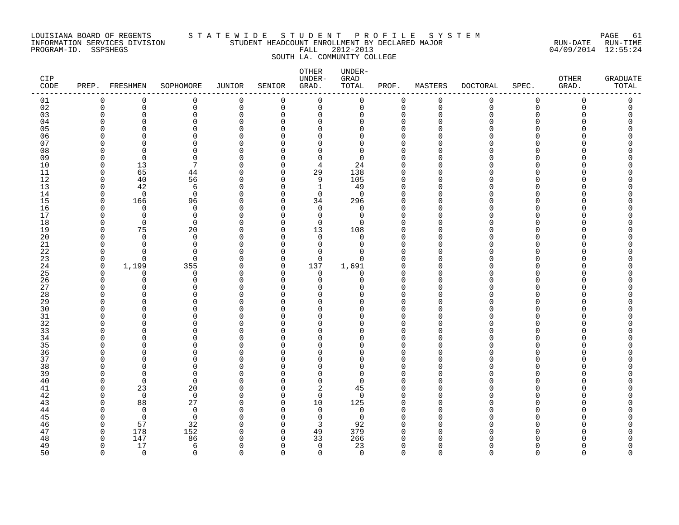#### LOUISIANA BOARD OF REGENTS S T A T E W I D E S T U D E N T P R O F I L E S Y S T E M PAGE 61 INFORMATION SERVICES DIVISION STUDENT HEADCOUNT ENROLLMENT BY DECLARED MAJOR RUN-DATE RUN-TIME PROGRAM-ID. SSPSHEGS FALL 2012-2013 04/09/2014 12:55:24 SOUTH LA. COMMUNITY COLLEGE

| CIP<br>CODE | PREP.                | FRESHMEN                      | SOPHOMORE         | JUNIOR               | SENIOR               | <b>OTHER</b><br>UNDER-<br>GRAD. | UNDER-<br>GRAD<br>TOTAL | PROF.                      | MASTERS              | <b>DOCTORAL</b> | SPEC.         | OTHER<br>GRAD. | <b>GRADUATE</b><br>TOTAL |
|-------------|----------------------|-------------------------------|-------------------|----------------------|----------------------|---------------------------------|-------------------------|----------------------------|----------------------|-----------------|---------------|----------------|--------------------------|
| 01          | $\mathbf 0$          | $\mathbf 0$                   | 0                 | $\mathbf 0$          | 0                    | 0                               | $\mathbf 0$             | $\mathbf 0$                | $\mathbf 0$          | 0               | $\mathbf 0$   | 0              | 0                        |
| $0\,2$      | $\mathbf 0$          | $\mathsf 0$                   | $\mathsf 0$       | $\mathbf 0$          | 0                    | 0                               | $\mathsf 0$             | $\mathbf 0$                | $\mathbf 0$          | $\mathbf 0$     | $\mathsf 0$   | 0              | 0                        |
| 03          | $\mathbf 0$          | 0                             | 0                 | $\mathbf 0$          | 0                    | 0                               | 0                       | $\mathbf 0$                | $\Omega$             | O               | $\Omega$      | O              | 0                        |
| 04          | ∩                    | $\Omega$                      | 0                 | $\Omega$             | $\Omega$             | 0                               | $\Omega$                | $\Omega$                   | $\Omega$             |                 | ∩             |                | U                        |
| 05<br>06    | $\Omega$<br>$\Omega$ | $\Omega$<br>$\Omega$          | 0<br>0            | $\Omega$<br>$\Omega$ | $\Omega$<br>$\Omega$ | $\Omega$<br>$\Omega$            | O                       | $\Omega$                   | $\Omega$<br>∩        |                 | ∩<br>∩        |                |                          |
| 07          | $\Omega$             | $\Omega$                      | 0                 | $\Omega$             | $\cap$               | $\Omega$                        | 0<br>0                  | $\mathbf 0$<br>$\Omega$    |                      |                 | $\cap$        |                |                          |
| 08          | 0                    | 0                             | 0                 | 0                    | $\Omega$             | 0                               | 0                       | $\Omega$                   | ∩                    |                 | ∩             |                |                          |
| 09          | $\Omega$             | $\mathbf 0$                   | 0                 | $\Omega$             | $\Omega$             | 0                               | 0                       | $\Omega$                   | $\Omega$             |                 | ∩             |                |                          |
| 10          | $\mathbf 0$          | 13                            | 7                 | $\Omega$             | $\Omega$             | 4                               | 24                      | $\Omega$                   | O                    |                 | $\Omega$      |                |                          |
| 11          | $\Omega$             | 65                            | 44                | $\cap$               | $\Omega$             | 29                              | 138                     | $\Omega$                   | O                    |                 | $\Omega$      |                |                          |
| 12          | $\Omega$             | 40                            | 56                | $\cap$               | $\Omega$             | 9                               | 105                     | $\Omega$                   | ∩                    |                 | ∩             |                | ∩                        |
| 13          | 0                    | 42                            | 6                 | 0                    | $\Omega$             | $\mathbf 1$                     | 49                      | 0                          | ∩                    |                 | ∩             |                |                          |
| 14          | $\mathbf 0$          | $\overline{0}$                | $\mathbf 0$       | $\Omega$             | $\Omega$             | 0                               | $\mathbf 0$             | $\mathbf 0$                | $\Omega$             |                 | $\Omega$      |                |                          |
| 15          | $\mathbf 0$          | 166                           | 96                | $\Omega$             | $\Omega$             | 34                              | 296                     | $\Omega$                   | ∩                    |                 | $\Omega$      |                |                          |
| 16          | $\Omega$             | $\Omega$                      | $\mathbf 0$       | $\Omega$             | ∩                    | 0                               | 0                       | $\Omega$                   |                      |                 | ∩             |                |                          |
| 17          | $\Omega$             | $\mathbf 0$                   | $\mathbf 0$       | $\cap$               | ∩                    | 0                               | $\mathbf 0$             | $\Omega$                   | ∩                    |                 | ∩             |                |                          |
| 18          | $\Omega$             | $\mathbf 0$                   | $\mathbf 0$       | $\Omega$             | $\Omega$             | $\mathbf 0$                     | $\Omega$                | $\Omega$                   | $\Omega$             |                 | $\Omega$      |                |                          |
| 19          | 0                    | 75                            | 20                | $\Omega$             | $\Omega$             | 13                              | 108                     | 0                          | ∩                    |                 | $\Omega$      |                |                          |
| 20          | $\Omega$             | $\mathbf 0$                   | $\mathbf 0$       | $\Omega$             | $\Omega$             | 0                               | $\mathbf 0$             | $\Omega$                   | $\Omega$             |                 | $\Omega$      |                |                          |
| 21          | $\mathbf 0$          | $\Omega$                      | $\mathbf 0$       | $\Omega$             | $\Omega$             | 0                               | 0                       | $\mathbf 0$                | $\Omega$             |                 | ∩             |                |                          |
| 22          | $\Omega$             | $\Omega$                      | $\Omega$          | $\Omega$             | $\Omega$             | $\Omega$                        | $\Omega$                | $\Omega$                   | $\Omega$             |                 | ∩             |                |                          |
| 23          | $\mathbf 0$          | $\mathbf 0$                   | $\mathbf 0$       | $\Omega$             | $\Omega$             | $\Omega$                        | $\Omega$                | $\Omega$                   | $\Omega$<br>$\Omega$ |                 | $\Omega$<br>∩ |                |                          |
| 24          | 0<br>$\Omega$        | 1,199                         | 355               | 0<br>$\Omega$        | 0<br>$\Omega$        | 137                             | 1,691                   | $\mathbf 0$<br>$\mathbf 0$ |                      |                 | ∩             |                |                          |
| 25<br>26    | 0                    | $\mathbf 0$<br>$\overline{0}$ | 0<br>0            | 0                    | $\Omega$             | 0<br>0                          | 0<br>0                  | $\mathbf 0$                | ∩                    |                 | ∩             |                |                          |
| 27          | ∩                    | $\Omega$                      | $\Omega$          | $\Omega$             | ∩                    | U                               | U                       | $\Omega$                   | $\Omega$             |                 | ∩             |                |                          |
| 28          | $\Omega$             | $\Omega$                      | 0                 | $\cap$               | ∩                    | $\Omega$                        | O                       | $\Omega$                   | ∩                    |                 | $\Omega$      |                |                          |
| 29          | $\Omega$             | $\Omega$                      | 0                 | $\Omega$             | $\Omega$             | $\Omega$                        | 0                       | $\Omega$                   | O                    |                 | $\Omega$      |                |                          |
| 30          | $\Omega$             | $\Omega$                      | 0                 | $\Omega$             | U                    | 0                               | O                       | $\Omega$                   | O                    |                 | ∩             |                |                          |
| 31          | ∩                    | $\Omega$                      | 0                 | $\Omega$             | $\Omega$             | $\Omega$                        | O                       | $\Omega$                   | $\Omega$             |                 | ∩             |                |                          |
| 32          | $\Omega$             | $\Omega$                      | 0                 | $\cap$               | ∩                    | $\Omega$                        | O                       | $\mathbf 0$                | O                    |                 | $\Omega$      |                |                          |
| 33          | $\Omega$             | $\Omega$                      | $\Omega$          | $\Omega$             | ∩                    | $\Omega$                        | O                       | $\Omega$                   | $\Omega$             |                 | $\Omega$      |                |                          |
| 34          | $\Omega$             | $\Omega$                      | 0                 | $\Omega$             | $\Omega$             | $\Omega$                        | 0                       | $\Omega$                   | $\Omega$             |                 | $\Omega$      |                |                          |
| 35          | $\Omega$             | $\Omega$                      | 0                 | O                    | ∩                    | 0                               | O                       | 0                          |                      |                 | ∩             |                |                          |
| 36          | $\Omega$             | $\Omega$                      | 0                 | $\Omega$             | ∩                    | $\Omega$                        | $\Omega$                | $\Omega$                   | ∩                    |                 | $\Omega$      |                |                          |
| 37          | $\Omega$             | $\Omega$                      | 0                 | $\cap$               | ∩                    | $\Omega$                        | 0                       | $\mathbf 0$                | ∩                    |                 | ∩             |                |                          |
| 38          | $\Omega$             | $\Omega$                      | 0                 | $\Omega$             | $\Omega$             | $\Omega$                        | 0                       | $\Omega$                   |                      |                 | $\Omega$      |                |                          |
| 39          | $\Omega$             | $\Omega$                      | 0                 | $\Omega$             | ∩                    | $\mathbf 0$                     | $\Omega$                | $\mathbf 0$                | $\Omega$             |                 | $\Omega$      |                |                          |
| 40          | ∩                    | $\overline{0}$                | $\mathbf 0$       | $\Omega$             | $\Omega$             | 0                               | $\Omega$                | $\Omega$                   | ∩                    |                 | ∩             |                |                          |
| 41          | 0                    | 23                            | 20                | $\Omega$             | $\Omega$             | 2                               | 45                      | $\Omega$                   | $\Omega$<br>O        |                 | $\Omega$<br>∩ |                |                          |
| 42          | $\Omega$<br>$\Omega$ | $\overline{0}$                | $\mathbf 0$       | $\Omega$<br>$\Omega$ | $\Omega$<br>$\Omega$ | 0<br>10                         | $\mathbf 0$             | $\Omega$<br>$\Omega$       | $\Omega$             |                 | $\Omega$      |                |                          |
| 43<br>44    | $\Omega$             | 88<br>$\mathbf 0$             | 27<br>$\mathbf 0$ | $\Omega$             | $\Omega$             | 0                               | 125<br>$\mathbf 0$      | $\Omega$                   | ∩                    |                 | ∩             |                |                          |
| 45          | $\Omega$             | $\overline{0}$                | $\mathbf 0$       | $\Omega$             | $\Omega$             | $\mathbf 0$                     | $\mathbf 0$             | $\Omega$                   | $\Omega$             |                 | ∩             |                |                          |
| 46          | $\mathbf 0$          | 57                            | 32                | O                    | $\Omega$             | 3                               | 92                      | $\Omega$                   | <sup>0</sup>         |                 | $\Omega$      |                |                          |
| 47          | $\mathbf 0$          | 178                           | 152               | O                    | $\Omega$             | 49                              | 379                     | $\Omega$                   |                      |                 | ∩             |                |                          |
| 48          | $\Omega$             | 147                           | 86                | ∩                    | ∩                    | 33                              | 266                     | $\Omega$                   |                      |                 |               |                | ი                        |
| 49          | $\Omega$             | 17                            | 6                 | $\cap$               | $\Omega$             | $\mathbf 0$                     | 23                      | $\Omega$                   |                      |                 | ∩             |                | $\Omega$                 |
| 50          | $\Omega$             | $\Omega$                      | $\Omega$          | $\cap$               | $\Omega$             | $\Omega$                        | $\Omega$                | $\Omega$                   | $\cap$               |                 | $\cap$        | ∩              | $\Omega$                 |
|             |                      |                               |                   |                      |                      |                                 |                         |                            |                      |                 |               |                |                          |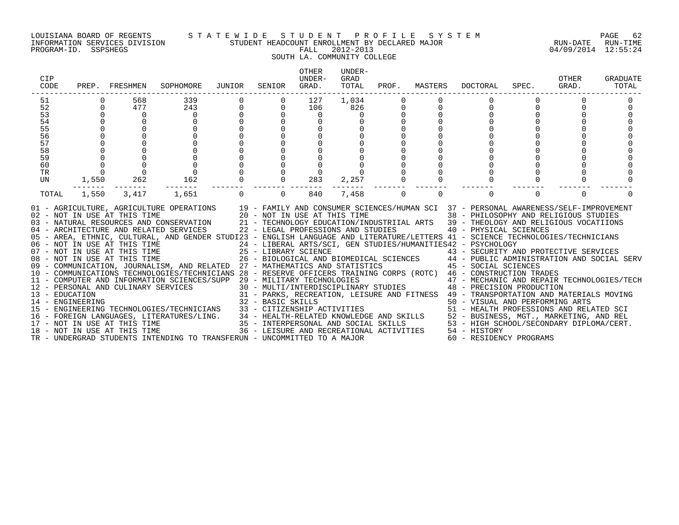#### LOUISIANA BOARD OF REGENTS S T A T E W I D E S T U D E N T P R O F I L E S Y S T E M PAGE 62 INFORMATION SERVICES DIVISION STUDENT HEADCOUNT ENROLLMENT BY DECLARED MAJOR RUN-DATE RUN-TIME

### SOUTH LA. COMMUNITY COLLEGE

| CIP<br>CODE                                                                                                                                                                                                                                                                                                                                                                                                                                                                                                                                                                                                                                                                                                                                                                                                                                                                                                                                                                                                                                                                                                                                                                                                                              | PREP. FRESHMEN                                                                                                    | SOPHOMORE JUNIOR                                                                        |                                                                  | SENIOR         | OTHER<br>UNDER-<br>GRAD.         | UNDER-<br>GRAD<br>TOTAL           | PROF.       |          | MASTERS DOCTORAL SPEC.                                                                      |          | OTHER<br>GRAD. | GRADUATE<br>TOTAL |
|------------------------------------------------------------------------------------------------------------------------------------------------------------------------------------------------------------------------------------------------------------------------------------------------------------------------------------------------------------------------------------------------------------------------------------------------------------------------------------------------------------------------------------------------------------------------------------------------------------------------------------------------------------------------------------------------------------------------------------------------------------------------------------------------------------------------------------------------------------------------------------------------------------------------------------------------------------------------------------------------------------------------------------------------------------------------------------------------------------------------------------------------------------------------------------------------------------------------------------------|-------------------------------------------------------------------------------------------------------------------|-----------------------------------------------------------------------------------------|------------------------------------------------------------------|----------------|----------------------------------|-----------------------------------|-------------|----------|---------------------------------------------------------------------------------------------|----------|----------------|-------------------|
| 51<br>52<br>53<br>54<br>55<br>56<br>57<br>58<br>$\begin{matrix} 0 \\ 0 \\ 0 \end{matrix}$<br>59<br>60<br>TR<br>UN                                                                                                                                                                                                                                                                                                                                                                                                                                                                                                                                                                                                                                                                                                                                                                                                                                                                                                                                                                                                                                                                                                                        | 568<br>$\Omega$<br>477<br>$\Omega$<br>$\Omega$<br>$\Omega$<br>$\Omega$<br>$\Omega$<br>$\overline{0}$<br>1,550 262 | 339<br>243<br>$\overline{0}$<br>$\Omega$<br>$\begin{matrix} 0 \\ 0 \end{matrix}$<br>162 | $\overline{0}$<br>0<br>$\begin{matrix} 0 \\ 0 \\ 0 \end{matrix}$ | $\overline{0}$ | 127<br>106<br>$\mathbf 0$<br>283 | 1,034<br>826<br>$\Omega$<br>2,257 | $\mathbf 0$ |          | $\Omega$<br>$\Omega$                                                                        |          |                |                   |
| 1,550<br>TOTAL<br>01 - AGRICULTURE, AGRICULTURE OPERATIONS 19 - FAMILY AND CONSUMER SCIENCES/HUMAN SCI 37 - PERSONAL AWARENESS/SELF-IMPROVEMENT<br>02 - NOT IN USE AT THIS TIME 20 - NOT IN USE AT THIS TIME 38 - PHILOSOPHY AND RELIGIOUS STUDIES<br>03 - NATURAL RESOURCES AND CONSERVATION 21 - TECHNOLOGY EDUCATION/INDUSTRIIAL ARTS 39 - THEOLOGY AND RELIGIOUS VOCATIIONS<br>04 - ARCHITECTURE AND RELATED SERVICES 22 - LEGAL PROFESSIONS AND STUDIES<br>05 - AREA, ETHNIC, CULTURAL, AND GENDER STUDI23 - ENGLISH LANGUAGE AND LITERATURE/LETTERS 41 - SCIENCE TECHNOLOGIES/TECHNICIANS<br>06 - NOT IN USE AT THIS TIME<br>07 - NOT IN USE AT THIS TIME<br>25 - LIBRARY SCIENCE<br>26 - BIOLOGICAL AND BIOMEDICAL SCIENCES<br>26 - BIOLOGICAL AND BIOMEDICAL SCIENCES<br>26 - BIOLOGICAL AND BIOMEDICAL SCIENCES<br>26 - BIOLOGICAL A<br>10 - COMMUNICATIONS TECHNOLOGIES/TECHNICIANS 28 - RESERVE OFFICERS TRAINING CORPS (ROTC) 46 - CONSTRUCTION TRADES<br>10 - COMPUTER AND INFORMATION SCIENCES/SUPP 29 - MILITARY TECHNOLOGIES (ROLC) 47 - MECHANIC AND REPAIR TECHNOLOGIES/TECH<br>12 - PERSONAL AND CULINARY SERVICES 30 - MULTI/INTERDISCIPLINARY STUDIES 48 - PRECISION PRODUCTION<br><br>18 - NOT IN USE AT THIS TIME | 3,417                                                                                                             | 1,651                                                                                   | $\Omega$                                                         | $\Omega$       | 840                              | 7,458                             | $\Omega$    | $\Omega$ | $\Omega$<br>40 - PHYSICAL SCIENCES<br>36 - LEISURE AND RECREATIONAL ACTIVITIES 54 - HISTORY | $\Omega$ | $\Omega$       | ∩                 |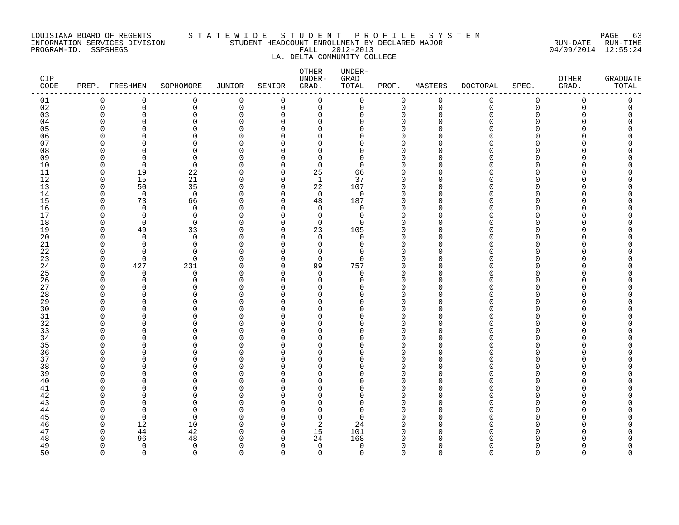#### LOUISIANA BOARD OF REGENTS S T A T E W I D E S T U D E N T P R O F I L E S Y S T E M PAGE 63 INFORMATION SERVICES DIVISION STUDENT HEADCOUNT ENROLLMENT BY DECLARED MAJOR RUN-DATE RUN-TIME PROGRAM-ID. SSPSHEGS FALL 2012-2013 04/09/2014 12:55:24 LA. DELTA COMMUNITY COLLEGE

| CIP<br>CODE |                      | PREP. FRESHMEN       | SOPHOMORE                  | <b>JUNIOR</b>        | SENIOR               | OTHER<br>UNDER-<br>GRAD. | UNDER-<br>GRAD<br>TOTAL | PROF.                | MASTERS              | <b>DOCTORAL</b> | SPEC.                | OTHER<br>GRAD. | <b>GRADUATE</b><br>TOTAL |
|-------------|----------------------|----------------------|----------------------------|----------------------|----------------------|--------------------------|-------------------------|----------------------|----------------------|-----------------|----------------------|----------------|--------------------------|
| 01          | 0                    | 0                    | $\mathbf 0$                | 0                    | $\mathbf 0$          | $\mathbf 0$              | 0                       | $\mathbf 0$          | $\mathsf 0$          | $\mathsf{O}$    | $\mathbf 0$          | 0              | 0                        |
| 02          | $\mathbf 0$          | 0                    | 0                          | 0                    | $\mathbf 0$          | 0                        | 0                       | $\mathbf 0$          | $\mathbf 0$          | 0               | $\mathbf 0$          | 0              | 0                        |
| 03          | $\mathbf 0$          | 0                    | $\mathbf 0$                | $\Omega$             | $\Omega$             | $\Omega$                 | 0                       | $\Omega$             | $\mathbf 0$          | 0               | 0                    | O              | $\Omega$                 |
| 04          | $\Omega$             | ∩                    | $\Omega$                   | $\cap$               | ∩                    | $\Omega$                 | <sup>n</sup>            | $\Omega$             | $\Omega$             | N               | ∩                    |                |                          |
| 05<br>06    | $\Omega$<br>$\Omega$ | U<br>∩               | $\Omega$<br>$\mathbf 0$    | $\Omega$<br>$\cap$   | ∩<br>∩               | $\Omega$<br>$\Omega$     | U<br>U                  | $\Omega$<br>$\Omega$ | $\Omega$<br>∩        | N<br>N          | $\Omega$<br>$\Omega$ |                | Λ                        |
| 07          | ∩                    | ∩                    | $\Omega$                   | ∩                    | ∩                    | O                        | U                       | ∩                    | <sup>0</sup>         | N               | ∩                    |                | ∩                        |
| 08          | $\Omega$             | ∩                    | $\Omega$                   | $\Omega$             | ∩                    | $\Omega$                 | $\Omega$                | $\Omega$             | $\Omega$             | N               | ∩                    |                |                          |
| 09          | $\Omega$             | $\Omega$             | $\mathbf 0$                | $\Omega$             | ∩                    | $\Omega$                 | $\Omega$                | $\Omega$             | $\Omega$             | N               | $\Omega$             |                |                          |
| 10          | $\Omega$             | $\mathbf 0$          | $\mathbf 0$                | O                    | ∩                    | $\mathbf 0$              | $\Omega$                | $\Omega$             | $\Omega$             | U               | $\Omega$             |                |                          |
| 11          | $\mathbf 0$          | 19                   | 22                         | $\Omega$             | $\Omega$             | 25                       | 66                      | $\Omega$             | $\Omega$             | O               | $\Omega$             |                |                          |
| 12          | $\Omega$             | 15                   | 21                         | $\Omega$             | 0                    | $\mathbf{1}$             | 37                      | $\Omega$             | $\Omega$             | N               | ∩                    |                |                          |
| 13          | $\Omega$             | 50                   | 35                         | $\Omega$             | $\Omega$             | 22                       | 107                     | $\Omega$             | $\Omega$             | O               | $\Omega$             |                |                          |
| 14          | $\Omega$             | $\overline{0}$       | $\mathbf 0$                | $\Omega$             | $\Omega$             | 0                        | 0                       | $\Omega$             | $\Omega$             | ∩               | ∩                    |                |                          |
| 15          | $\Omega$<br>$\Omega$ | 73<br>$\mathbf 0$    | 66                         | O                    | $\Omega$<br>$\Omega$ | 48                       | 187                     | $\Omega$<br>$\Omega$ | $\cap$<br>$\Omega$   |                 | $\Omega$<br>$\Omega$ |                |                          |
| 16<br>17    | ∩                    | $\Omega$             | $\mathbf 0$<br>$\mathbf 0$ | $\Omega$<br>O        | ∩                    | $\mathbf 0$<br>$\Omega$  | 0<br>0                  | $\Omega$             | $\Omega$             |                 | ∩                    |                |                          |
| 18          | $\Omega$             | $\mathbf 0$          | $\mathbf 0$                | $\Omega$             | $\Omega$             | 0                        | $\Omega$                | $\Omega$             | $\Omega$             |                 | $\Omega$             |                |                          |
| 19          | $\Omega$             | 49                   | 33                         | $\Omega$             | ∩                    | 23                       | 105                     | $\Omega$             | $\Omega$             |                 | $\Omega$             |                |                          |
| 20          | $\Omega$             | $\Omega$             | $\Omega$                   | U                    | ∩                    | $\Omega$                 | $\Omega$                | $\Omega$             | $\Omega$             |                 | ∩                    |                |                          |
| 21          | $\Omega$             | $\Omega$             | $\mathbf 0$                | $\Omega$             | ∩                    | $\mathbf 0$              | 0                       | $\Omega$             | $\Omega$             | N               | ∩                    |                |                          |
| 22          | $\Omega$             | $\Omega$             | 0                          | O                    | O                    | 0                        | $\Omega$                | $\Omega$             | $\Omega$             |                 | O                    |                |                          |
| 23          | 0                    | 0                    | $\mathbf 0$                | $\Omega$             | $\Omega$             | $\mathbf 0$              | $\Omega$                | $\Omega$             | $\Omega$             | O               | $\Omega$             |                |                          |
| 24          | $\Omega$             | 427                  | 231                        | $\Omega$             | $\Omega$             | 99                       | 757                     | $\Omega$             | $\Omega$             | U               | ∩                    |                |                          |
| 25          | $\Omega$<br>$\Omega$ | $\Omega$<br>$\Omega$ | $\mathbf 0$<br>$\mathbf 0$ | $\Omega$<br>$\Omega$ | ∩<br>$\Omega$        | $\Omega$<br>$\Omega$     | $\Omega$<br>$\Omega$    | $\Omega$<br>$\Omega$ | $\Omega$<br>$\Omega$ | N<br>N          | ∩<br>$\Omega$        |                |                          |
| 26<br>27    | $\Omega$             | ∩                    | $\Omega$                   | O                    | ∩                    | $\Omega$                 | U                       | $\Omega$             | $\Omega$             | N               | O                    |                |                          |
| 28          | $\Omega$             | ∩                    | $\Omega$                   | O                    | ∩                    | U                        | U                       | $\Omega$             | $\Omega$             |                 | ∩                    |                |                          |
| 29          | $\Omega$             | O                    | $\Omega$                   | $\Omega$             | ∩                    | 0                        | O                       | $\Omega$             | $\Omega$             | N               | ∩                    |                |                          |
| 30          | $\Omega$             | U                    | $\Omega$                   | $\Omega$             | ∩                    | $\Omega$                 | U                       | ∩                    | $\Omega$             | ∩               | ∩                    |                |                          |
| 31          | $\Omega$             | $\Omega$             | $\mathbf 0$                | $\Omega$             | $\Omega$             | $\Omega$                 | O                       | $\Omega$             | $\Omega$             | ი               | $\Omega$             |                |                          |
| 32          | ∩                    | O                    | 0                          | U                    | n                    | O                        | O                       | ∩                    | $\Omega$             | ∩               | ∩                    |                |                          |
| 33          | $\Omega$             | U                    | $\Omega$                   | O                    | ∩                    | $\Omega$                 | U                       |                      | $\Omega$             | N               | ∩                    |                |                          |
| 34<br>35    | $\Omega$<br>$\Omega$ | O<br>U               | $\Omega$<br>$\Omega$       | U<br>$\cap$          | ∩<br>∩               | U<br>U                   | U<br>U                  | $\Omega$             | $\Omega$<br>$\cap$   | N               | ∩<br>∩               |                |                          |
| 36          | $\Omega$             | O                    | $\mathbf 0$                | $\Omega$             | ∩                    | $\Omega$                 | O                       | $\Omega$             | 0                    | ი               | $\Omega$             |                |                          |
| 37          | $\Omega$             |                      | $\Omega$                   | O                    | ∩                    | $\Omega$                 | U                       | $\Omega$             | $\Omega$             |                 | $\Omega$             |                |                          |
| 38          | $\Omega$             | U                    | $\Omega$                   | O                    | ∩                    | U                        | U                       | O                    | $\Omega$             |                 | ∩                    |                |                          |
| 39          | $\Omega$             | ∩                    | $\Omega$                   | $\Omega$             | ∩                    | O                        | U                       | $\Omega$             | $\Omega$             |                 | ∩                    |                |                          |
| 40          | $\Omega$             | U                    | $\Omega$                   | $\cap$               | ∩                    | U                        | U                       | $\Omega$             | $\Omega$             |                 | ∩                    |                |                          |
| 41          | <sup>0</sup>         |                      | $\mathbf 0$                | U                    | ∩                    | U                        | U                       | ∩                    | <sup>0</sup>         |                 | O                    |                |                          |
| 42          | $\Omega$             | O                    | $\mathbf 0$                | $\Omega$             | O                    | 0                        | O                       | $\Omega$             | $\Omega$             |                 | $\Omega$             |                |                          |
| 43          | $\Omega$             | ∩                    | $\Omega$                   | $\Omega$             | ∩                    | Λ                        | <sup>n</sup>            |                      | $\Omega$             |                 | ∩                    |                |                          |
| 44          | $\Omega$             | ∩                    | $\Omega$                   | U                    | ∩                    | O                        | $\Omega$                | $\Omega$             | $\Omega$             |                 | ∩                    |                |                          |
| 45<br>46    | $\Omega$<br>$\Omega$ | $\Omega$<br>12       | $\Omega$<br>10             | U<br>O               | ∩<br>$\Omega$        | $\Omega$<br>2            | $\Omega$<br>24          | $\Omega$<br>$\Omega$ | $\Omega$<br>0        | N<br>O          | ∩<br>$\Omega$        |                |                          |
| 47          | $\Omega$             | 44                   | $4\,2$                     | <sup>0</sup>         | $\Omega$             | 15                       | 101                     | $\Omega$             | 0                    | O               | ∩                    |                | ∩                        |
| 48          | $\Omega$             | 96                   | 48                         | ∩                    | $\Omega$             | 24                       | 168                     | $\Omega$             | $\Omega$             |                 |                      |                |                          |
| 49          | $\Omega$             | $\Omega$             | $\mathbf 0$                | $\Omega$             | $\Omega$             | $\mathbf 0$              | $\mathbf 0$             | $\Omega$             | $\Omega$             | 0               | $\Omega$             |                | O                        |
| 50          | $\Omega$             | $\Omega$             | $\Omega$                   | $\Omega$             | $\Omega$             | $\Omega$                 | $\Omega$                | $\Omega$             | $\Omega$             | $\Omega$        | $\Omega$             | $\Omega$       | $\Omega$                 |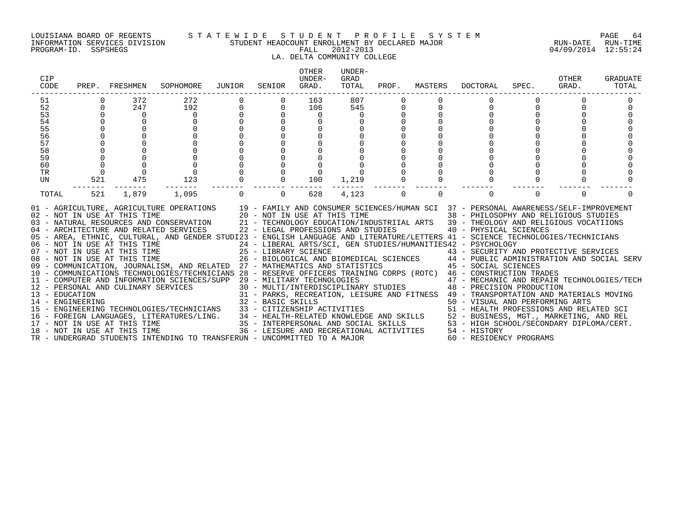#### LOUISIANA BOARD OF REGENTS S T A T E W I D E S T U D E N T P R O F I L E S Y S T E M PAGE 64 INFORMATION SERVICES DIVISION STUDENT HEADCOUNT ENROLLMENT BY DECLARED MAJOR RUN-DATE RUN-TIME

### LA. DELTA COMMUNITY COLLEGE

| CIP<br>CODE                                                    | PREP.      | FRESHMEN                                                                                                                                                                                            | SOPHOMORE                                                                                                                                                                                                                                                                                                                                                                                                                                                                                                                                                                                                                                                                                                                                                                                                                                                                                                                                                                                                                                                                     | JUNIOR   | SENIOR                                                                          | <b>OTHER</b><br>UNDER-<br>GRAD.          | UNDER-<br>GRAD<br>TOTAL | PROF. | MASTERS  | <b>DOCTORAL</b>                                                                                                                                                                                                                                                                                                                                                                                                                                                                                                                                                                                                                                                                                                                                             | SPEC.    | OTHER<br>GRAD. | GRADUATE<br>TOTAL |
|----------------------------------------------------------------|------------|-----------------------------------------------------------------------------------------------------------------------------------------------------------------------------------------------------|-------------------------------------------------------------------------------------------------------------------------------------------------------------------------------------------------------------------------------------------------------------------------------------------------------------------------------------------------------------------------------------------------------------------------------------------------------------------------------------------------------------------------------------------------------------------------------------------------------------------------------------------------------------------------------------------------------------------------------------------------------------------------------------------------------------------------------------------------------------------------------------------------------------------------------------------------------------------------------------------------------------------------------------------------------------------------------|----------|---------------------------------------------------------------------------------|------------------------------------------|-------------------------|-------|----------|-------------------------------------------------------------------------------------------------------------------------------------------------------------------------------------------------------------------------------------------------------------------------------------------------------------------------------------------------------------------------------------------------------------------------------------------------------------------------------------------------------------------------------------------------------------------------------------------------------------------------------------------------------------------------------------------------------------------------------------------------------------|----------|----------------|-------------------|
| 51<br>52<br>53<br>54<br>55<br>56<br>57<br>58<br>59<br>60<br>TR | $\Omega$   | 372<br>247<br>$\Omega$                                                                                                                                                                              | 272<br>192<br>$\Omega$                                                                                                                                                                                                                                                                                                                                                                                                                                                                                                                                                                                                                                                                                                                                                                                                                                                                                                                                                                                                                                                        |          | $\Omega$                                                                        | 163<br>106<br>$\mathbf 0$<br>$\mathbf 0$ | 807<br>545              | 0     | O        |                                                                                                                                                                                                                                                                                                                                                                                                                                                                                                                                                                                                                                                                                                                                                             |          |                |                   |
| UN<br>TOTAL                                                    | 521<br>521 | 475<br>1,879                                                                                                                                                                                        | 123<br>1,095                                                                                                                                                                                                                                                                                                                                                                                                                                                                                                                                                                                                                                                                                                                                                                                                                                                                                                                                                                                                                                                                  | $\Omega$ | $\Omega$<br>$\overline{0}$                                                      | 100<br>628                               | 1,219<br>4,123          | 0     | $\Omega$ | $\Omega$                                                                                                                                                                                                                                                                                                                                                                                                                                                                                                                                                                                                                                                                                                                                                    | $\Omega$ | $\Omega$       |                   |
| 13 - EDUCATION<br>14 - ENGINEERING                             |            | 02 - NOT IN USE AT THIS TIME<br>06 - NOT IN USE AT THIS TIME<br>07 - NOT IN USE AT THIS TIME<br>08 - NOT IN USE AT THIS TIME<br>12 - PERSONAL AND CULINARY SERVICES<br>18 - NOT IN USE AT THIS TIME | 01 - AGRICULTURE, AGRICULTURE OPERATIONS 19 - FAMILY AND CONSUMER SCIENCES/HUMAN SCI 37 - PERSONAL AWARENESS/SELF-IMPROVEMENT<br>20 - NOT IN USE AT THIS TIME<br>03 - NATURAL RESOURCES AND CONSERVATION<br>04 - ARCHITECTURE AND RELATED SERVICES<br>05 - AREA, ETHNIC, CULTURAL, AND GENDER STUDI23 - ENGLISH LANGUAGE AND LITERATURE/LETTERS 41 - SCIENCE TECHNOLOGIES/TECHNICIANS<br>09 - COMMUNICATION, JOURNALISM, AND RELATED 27 - MATHEMATICS AND STATISTICS<br>10 - COMMUNICATIONS TECHNOLOGIES/TECHNICIANS 28 - RESERVE OFFICERS TRAINING CORPS (ROTC) 46 - CONSTRUCTION TRADES<br>11 - COMPUTER AND INFORMATION SCIENCES/SUPP 29 - MILITARY TECHNOLOGIES<br>ARY SERVICES<br>15 - ENGINEERING TECHNOLOGIES/TECHNICIANS 33 - CITIZENSHIP ACTIVITIES<br>16 - FOREIGN LANGUAGES, LITERATURES/LING. 34 - HEALTH-RELATED KNOWLEDGE AND SKILLS 52 - BUSINESS, MGT., MARKETING, AND REL<br>17 - NOT IN USE AT THIS TIME 35 - INTERPERSONAL AND SOCIAL SKILLS 53 - HIGH SCHOOL/SECONDARY DIPLOM<br>TR - UNDERGRAD STUDENTS INTENDING TO TRANSFERUN - UNCOMMITTED TO A MAJOR |          | 22 - LEGAL PROFESSIONS AND STUDIES<br>25 - LIBRARY SCIENCE<br>32 - BASIC SKILLS |                                          |                         |       |          | 38 - PHILOSOPHY AND RELIGIOUS STUDIES<br>21 - TECHNOLOGY EDUCATION/INDUSTRIIAL ARTS 39 - THEOLOGY AND RELIGIOUS VOCATIIONS<br>40 - PHYSICAL SCIENCES<br>24 - LIBERAL ARTS/SCI, GEN STUDIES/HUMANITIES42 - PSYCHOLOGY<br>25 - LIBRARY SCIENCE<br>26 - BIOLOGICAL AND BIOMEDICAL SCIENCES<br>27 - MATUEMATICA AND CENTISTICS COLENCES<br>27 - MATUEMATICA AND CENTISTICS<br>45 - SOCIAL SCIENCES<br>29 - MILITARY TECHNOLOGIES<br>30 - MULTI/INTERDISCIPLINARY STUDIES<br>48 - PRECISION PRODUCTION<br>31 - PARKS, RECREATION, LEISURE AND FITNESS 49 - TRANSPORTATION AND MATERIALS MOVING<br>50 - VISUAL AND PERFORMING ARTS<br>51 - HEALTH PROFESSIONS AND RELATED SCI<br>36 - LEISURE AND RECREATIONAL ACTIVITIES 54 - HISTORY<br>60 - RESIDENCY PROGRAMS |          |                |                   |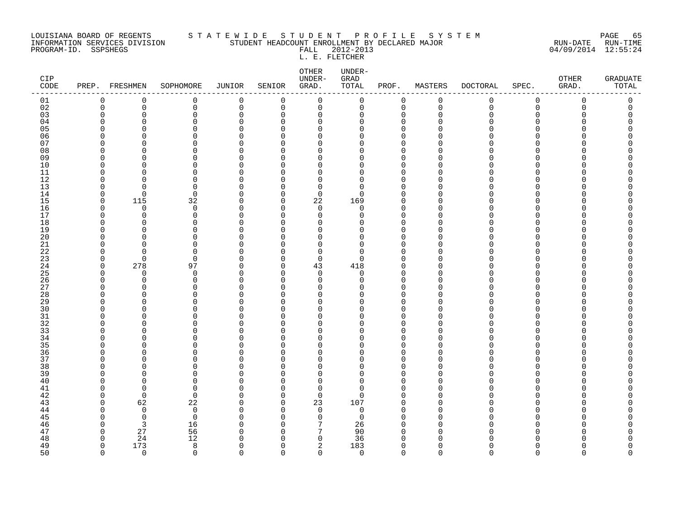#### LOUISIANA BOARD OF REGENTS STATEWIDE STUDE STUDENT PROFILE SYSTEM PAGE 65<br>INFORMATION SERVICES DIVISION STUDENT HEADCOUNT ENROLLMENT BY DECLARED MAJOR INFORMATION SERVICES DIVISION STUDENT HEADCOUNT ENROLLMENT BY DECLARED MAJOR RUN-DATE RUN-TIME

PROGRAM-ID. SSPSHEGS FALL 2012-2013 04/09/2014 12:55:24 L. E. FLETCHER

OTHER UNDER-CIP UNDER- GRAD OTHER GRADUATE CODE PREP. FRESHMEN SOPHOMORE JUNIOR SENIOR GRAD. TOTAL PROF. MASTERS DOCTORAL SPEC. GRAD. TOTAL ------------------------------------------------------------------------------------------------------------------------------------ 01 0 0 0 0 0 0 0 0 0 0 0 0 0 02 0 0 0 0 0 0 0 0 0 0 0 0 0 03 0 0 0 0 0 0 0 0 0 0 0 0 0 04 0 0 0 0 0 0 0 0 0 0 0 0 0 05 0 0 0 0 0 0 0 0 0 0 0 0 0 06 0 0 0 0 0 0 0 0 0 0 0 0 0 07 0 0 0 0 0 0 0 0 0 0 0 0 0 08 0 0 0 0 0 0 0 0 0 0 0 0 0 09 0 0 0 0 0 0 0 0 0 0 0 0 0 10 0 0 0 0 0 0 0 0 0 0 0 0 0 11 0 0 0 0 0 0 0 0 0 0 0 0 0 12 0 0 0 0 0 0 0 0 0 0 0 0 0 0 0 13 0 0 0 0 0 0 0 0 0 0 0 0 0 14 0 0 0 0 0 0 0 0 0 0 0 0 0 0 0 0 15 0 115 32 0 0 22 169 0 0 0 0 0 0 16 0 0 0 0 0 0 0 0 0 0 0 0 0 17 0 0 0 0 0 0 0 0 0 0 0 0 0 18 0 0 0 0 0 0 0 0 0 0 0 0 0 19 0 0 0 0 0 0 0 0 0 0 0 0 0 20 0 0 0 0 0 0 0 0 0 0 0 0 0

| 21                                            |     |      |  |          |                       |  |  |  |
|-----------------------------------------------|-----|------|--|----------|-----------------------|--|--|--|
| $\begin{array}{c} 22 \\ 23 \end{array}$       |     |      |  |          |                       |  |  |  |
|                                               |     |      |  | $\Omega$ |                       |  |  |  |
| 24                                            | 278 | 97   |  | 43       | $418\,$               |  |  |  |
|                                               |     |      |  |          | 0                     |  |  |  |
|                                               |     |      |  |          |                       |  |  |  |
| 25<br>26<br>27                                |     |      |  |          |                       |  |  |  |
|                                               |     |      |  |          |                       |  |  |  |
| $\begin{array}{c} 28 \\ 29 \end{array}$       |     |      |  |          |                       |  |  |  |
| $\begin{array}{c} 30 \\ 31 \end{array}$       |     |      |  |          |                       |  |  |  |
|                                               |     |      |  |          |                       |  |  |  |
| 32                                            |     |      |  |          |                       |  |  |  |
| $\frac{33}{34}$                               |     |      |  |          |                       |  |  |  |
|                                               |     |      |  |          |                       |  |  |  |
| 35<br>36<br>37                                |     |      |  |          |                       |  |  |  |
|                                               |     |      |  |          |                       |  |  |  |
|                                               |     |      |  |          |                       |  |  |  |
| 38                                            |     |      |  |          |                       |  |  |  |
| 39                                            |     |      |  |          |                       |  |  |  |
|                                               |     |      |  |          |                       |  |  |  |
|                                               |     |      |  |          |                       |  |  |  |
| $\begin{array}{c} 40 \\ 41 \\ 42 \end{array}$ |     |      |  | 0        |                       |  |  |  |
| 43                                            | 62  | 22   |  | 23       | 107                   |  |  |  |
| $4\,4$                                        |     | 0    |  |          | $\overline{0}$        |  |  |  |
| $45\,$                                        |     |      |  |          | $\overline{0}$        |  |  |  |
| $4\sqrt{6}$                                   |     | 16   |  |          |                       |  |  |  |
| 47                                            | 27  | 56   |  |          |                       |  |  |  |
| $\frac{48}{49}$                               | 24  | $12$ |  |          | 26<br>90<br>36<br>183 |  |  |  |
|                                               | 173 |      |  |          |                       |  |  |  |
| 50                                            |     |      |  |          |                       |  |  |  |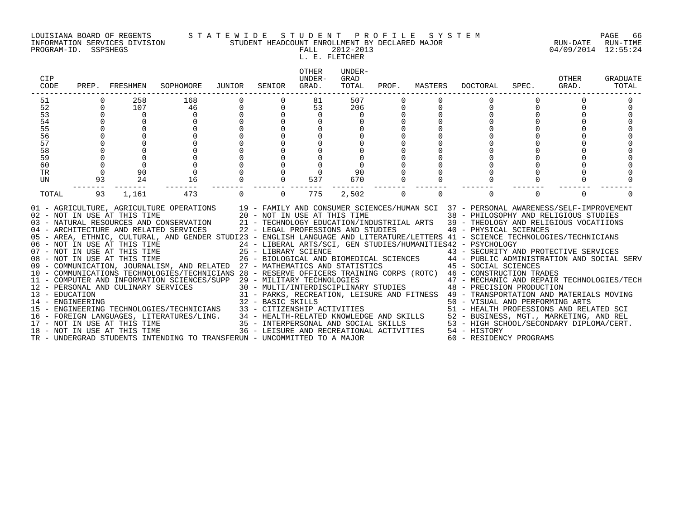INFORMATION SERVICES DIVISION STUDENT HEADCOUNT ENROLLMENT BY DECLARED MAJOR RUN-DATE RUN-TIME

#### LOUISIANA BOARD OF REGENTS S T A T E W I D E S T U D E N T P R O F I L E S Y S T E M PAGE 66

PROGRAM-ID. SSPSHEGS FALL 2012-2013 04/09/2014 12:55:24 L. E. FLETCHER<br>L. E. FLETCHER

| CIP<br>CODE    | PREP.    | FRESHMEN                                                     | SOPHOMORE                                                                                                                                                                                                                                                                                                                                                                                                                                                                                                                                                                                                                                                                                                                                                                                                                                                                                                                                                                                                                                                                    | JUNIOR | SENIOR            | <b>OTHER</b><br>UNDER-<br>GRAD.                                    | UNDER-<br>GRAD<br>TOTAL | PROF.    | MASTERS  | <b>DOCTORAL</b>                                                                                                                                                                                                                                                                                                                                                                                                                                                                                                                                                                                                                                                                                                                                                                                                                                 | SPEC.    | OTHER<br>GRAD. | <b>GRADUATE</b><br>TOTAL |
|----------------|----------|--------------------------------------------------------------|------------------------------------------------------------------------------------------------------------------------------------------------------------------------------------------------------------------------------------------------------------------------------------------------------------------------------------------------------------------------------------------------------------------------------------------------------------------------------------------------------------------------------------------------------------------------------------------------------------------------------------------------------------------------------------------------------------------------------------------------------------------------------------------------------------------------------------------------------------------------------------------------------------------------------------------------------------------------------------------------------------------------------------------------------------------------------|--------|-------------------|--------------------------------------------------------------------|-------------------------|----------|----------|-------------------------------------------------------------------------------------------------------------------------------------------------------------------------------------------------------------------------------------------------------------------------------------------------------------------------------------------------------------------------------------------------------------------------------------------------------------------------------------------------------------------------------------------------------------------------------------------------------------------------------------------------------------------------------------------------------------------------------------------------------------------------------------------------------------------------------------------------|----------|----------------|--------------------------|
| 51             |          | 258                                                          | 168                                                                                                                                                                                                                                                                                                                                                                                                                                                                                                                                                                                                                                                                                                                                                                                                                                                                                                                                                                                                                                                                          |        |                   | 81                                                                 | 507                     |          |          |                                                                                                                                                                                                                                                                                                                                                                                                                                                                                                                                                                                                                                                                                                                                                                                                                                                 |          |                |                          |
| 52             | $\Omega$ | 107                                                          | 46                                                                                                                                                                                                                                                                                                                                                                                                                                                                                                                                                                                                                                                                                                                                                                                                                                                                                                                                                                                                                                                                           | 0      | $\mathbf 0$       | 53                                                                 | 206                     | 0        |          | 0                                                                                                                                                                                                                                                                                                                                                                                                                                                                                                                                                                                                                                                                                                                                                                                                                                               | $\Omega$ | $\Omega$       |                          |
| 53             |          | 0                                                            | 0                                                                                                                                                                                                                                                                                                                                                                                                                                                                                                                                                                                                                                                                                                                                                                                                                                                                                                                                                                                                                                                                            |        |                   | 0                                                                  | $\Omega$                |          |          |                                                                                                                                                                                                                                                                                                                                                                                                                                                                                                                                                                                                                                                                                                                                                                                                                                                 |          |                |                          |
| 54             | $\Omega$ |                                                              |                                                                                                                                                                                                                                                                                                                                                                                                                                                                                                                                                                                                                                                                                                                                                                                                                                                                                                                                                                                                                                                                              |        |                   | 0                                                                  |                         |          |          |                                                                                                                                                                                                                                                                                                                                                                                                                                                                                                                                                                                                                                                                                                                                                                                                                                                 |          |                |                          |
| 55             |          |                                                              |                                                                                                                                                                                                                                                                                                                                                                                                                                                                                                                                                                                                                                                                                                                                                                                                                                                                                                                                                                                                                                                                              |        |                   |                                                                    |                         |          |          |                                                                                                                                                                                                                                                                                                                                                                                                                                                                                                                                                                                                                                                                                                                                                                                                                                                 |          |                |                          |
| 56             |          |                                                              |                                                                                                                                                                                                                                                                                                                                                                                                                                                                                                                                                                                                                                                                                                                                                                                                                                                                                                                                                                                                                                                                              |        |                   |                                                                    |                         |          |          |                                                                                                                                                                                                                                                                                                                                                                                                                                                                                                                                                                                                                                                                                                                                                                                                                                                 |          |                |                          |
| 57<br>58       |          |                                                              |                                                                                                                                                                                                                                                                                                                                                                                                                                                                                                                                                                                                                                                                                                                                                                                                                                                                                                                                                                                                                                                                              |        |                   |                                                                    |                         |          |          |                                                                                                                                                                                                                                                                                                                                                                                                                                                                                                                                                                                                                                                                                                                                                                                                                                                 |          |                |                          |
| 59             |          |                                                              |                                                                                                                                                                                                                                                                                                                                                                                                                                                                                                                                                                                                                                                                                                                                                                                                                                                                                                                                                                                                                                                                              |        |                   |                                                                    |                         |          |          |                                                                                                                                                                                                                                                                                                                                                                                                                                                                                                                                                                                                                                                                                                                                                                                                                                                 |          |                |                          |
| 60             |          |                                                              |                                                                                                                                                                                                                                                                                                                                                                                                                                                                                                                                                                                                                                                                                                                                                                                                                                                                                                                                                                                                                                                                              |        |                   |                                                                    |                         |          |          |                                                                                                                                                                                                                                                                                                                                                                                                                                                                                                                                                                                                                                                                                                                                                                                                                                                 |          |                |                          |
| <b>TR</b>      |          | 90                                                           |                                                                                                                                                                                                                                                                                                                                                                                                                                                                                                                                                                                                                                                                                                                                                                                                                                                                                                                                                                                                                                                                              |        |                   |                                                                    | 90                      |          |          |                                                                                                                                                                                                                                                                                                                                                                                                                                                                                                                                                                                                                                                                                                                                                                                                                                                 |          |                |                          |
| UN             | 93       | 24                                                           | 16                                                                                                                                                                                                                                                                                                                                                                                                                                                                                                                                                                                                                                                                                                                                                                                                                                                                                                                                                                                                                                                                           |        | $\mathbf 0$       | 537                                                                | 670                     |          |          |                                                                                                                                                                                                                                                                                                                                                                                                                                                                                                                                                                                                                                                                                                                                                                                                                                                 |          |                |                          |
|                |          |                                                              |                                                                                                                                                                                                                                                                                                                                                                                                                                                                                                                                                                                                                                                                                                                                                                                                                                                                                                                                                                                                                                                                              |        |                   |                                                                    |                         |          |          |                                                                                                                                                                                                                                                                                                                                                                                                                                                                                                                                                                                                                                                                                                                                                                                                                                                 |          |                |                          |
| TOTAL          | 93       | 1,161                                                        | 473                                                                                                                                                                                                                                                                                                                                                                                                                                                                                                                                                                                                                                                                                                                                                                                                                                                                                                                                                                                                                                                                          |        | $\Omega$          | 775                                                                | 2,502                   | $\Omega$ | $\Omega$ | $\Omega$                                                                                                                                                                                                                                                                                                                                                                                                                                                                                                                                                                                                                                                                                                                                                                                                                                        | $\Omega$ | $\Omega$       |                          |
| 13 - EDUCATION |          | 02 - NOT IN USE AT THIS TIME<br>08 - NOT IN USE AT THIS TIME | 01 - AGRICULTURE, AGRICULTURE OPERATIONS 19 - FAMILY AND CONSUMER SCIENCES/HUMAN SCI 37 - PERSONAL AWARENESS/SELF-IMPROVEMENT<br>03 - NATURAL RESOURCES AND CONSERVATION<br>04 - ARCHITECTURE AND RELATED SERVICES<br>05 - AREA, ETHNIC, CULTURAL, AND GENDER STUDI23 - ENGLISH LANGUAGE AND LITERATURE/LETTERS 41 - SCIENCE TECHNOLOGIES/TECHNICIANS<br>06 - NOT IN USE AT THIS TIME<br>07 - NOT IN USE AT THIS TIME<br>09 - COMMUNICATION, JOURNALISM, AND RELATED 27 - MATHEMATICS AND STATISTICS<br>10 - COMMUNICATIONS TECHNOLOGIES/TECHNICIANS 28 - RESERVE OFFICERS TRAINING CORPS (ROTC) 46 - CONSTRUCTION TRADES<br>11 - COMPUTER AND INFORMATION SCIENCES/SUPP 29 - MILITARY TECHNOLOGIES<br>12 - PERSONAL AND CULINARY SERVICES<br>14 - ENGINEERING<br>15 - ENGINEERING TECHNOLOGIES/TECHNICIANS<br>16 - FOREIGN LANGUAGES, LITERATURES/LING.<br>17 - NOT IN USE AT THIS TIME<br>18 - NOT IN USE AT THIS TIME<br>18 - NOT IN USE AT THIS TIME<br>18 - NOT IN USE AT THIS TIME<br>18 -<br>TR - UNDERGRAD STUDENTS INTENDING TO TRANSFERUN - UNCOMMITTED TO A MAJOR |        | 32 - BASIC SKILLS | 20 - NOT IN USE AT THIS TIME<br>22 - LEGAL PROFESSIONS AND STUDIES |                         |          |          | 38 - PHILOSOPHY AND RELIGIOUS STUDIES<br>21 - TECHNOLOGY EDUCATION/INDUSTRIIAL ARTS 39 - THEOLOGY AND RELIGIOUS VOCATIIONS<br>40 - PHYSICAL SCIENCES<br>24 - LIBERAL ARTS/SCI, GEN STUDIES/HUMANITIES42 - PSYCHOLOGY<br>25 - LIBRARY SCIENCE<br>26 - BIOLOGICAL AND BIOMEDICAL SCIENCES<br>27 - MATURELICA AND CRITICILE SCIENCES<br>27 - MATURELICA AND CRITICILE<br>45 - SOCIAL SCIENCES<br>$29$ – MILITARY TECHNOLOGIES<br>30 – MULTI/INTERDISCIPLINARY STUDIES<br>30 – MULTI/INTERDISCIPLINARY STUDIES<br>30 – PRECISION PRODUCTION<br>31 - PARKS, RECREATION, LEISURE AND FITNESS 49 - TRANSPORTATION AND MATERIALS MOVING<br>50 - VISUAL AND PERFORMING ARTS<br>51 - HEALTH PROFESSIONS AND RELATED SCI<br>52 - BUSINESS, MGT., MARKETING, AND REL<br>53 - HIGH SCHOOL/SECONDARY DIPLOMA/CERT.<br>54 - HISTORY<br>60 - RESIDENCY PROGRAMS |          |                |                          |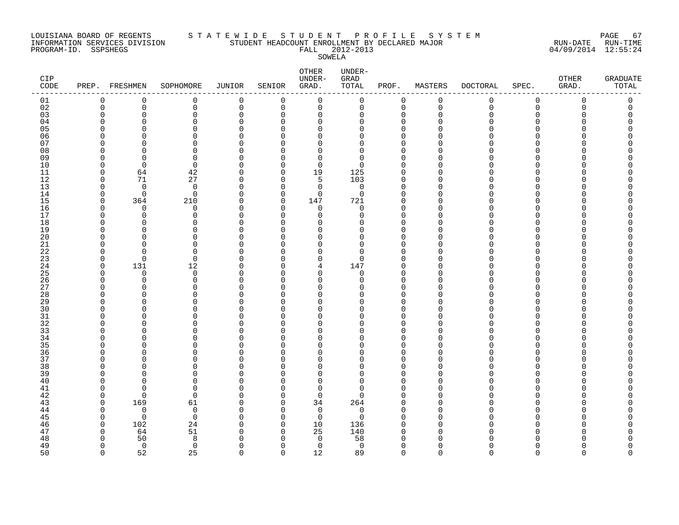#### LOUISIANA BOARD OF REGENTS STATEWIDE STUDE STUDENT PROFILE SYSTEM PAGE 67<br>INFORMATION SERVICES DIVISION STUDENT HEADCOUNT ENROLLMENT BY DECLARED MAJOR STUDENT HEADCOUNT ENROLLMENT BY DECLARED MAJOR

PROGRAM-ID. SSPSHEGS FALL 2012-2013 04/09/2014 12:55:24 SOWELA

| CIP<br>CODE    | PREP. FRESHMEN       |                | SOPHOMORE     | JUNIOR      | SENIOR               | OTHER<br>UNDER-<br>GRAD. | UNDER-<br>GRAD<br>TOTAL | PROF.                      | MASTERS       | <b>DOCTORAL</b> | SPEC.    | OTHER<br>GRAD. | <b>GRADUATE</b><br>TOTAL |
|----------------|----------------------|----------------|---------------|-------------|----------------------|--------------------------|-------------------------|----------------------------|---------------|-----------------|----------|----------------|--------------------------|
| 01             | 0                    | 0              | 0             | 0           | 0                    | 0                        | $\pmb{0}$               | 0                          | $\mathsf 0$   | $\mathsf 0$     | 0        | $\mathbf 0$    | 0                        |
| 02             | $\mathbf 0$          | 0              | 0             | $\mathbf 0$ | 0                    | $\mathbf 0$              | $\mathbf 0$             | 0                          | $\mathbf 0$   | 0               | 0        | $\Omega$       | $\Omega$                 |
| 03             | $\Omega$             | 0              | $\mathbf 0$   | $\Omega$    | $\Omega$             | 0                        | $\Omega$                | 0                          | $\Omega$      | O               | $\Omega$ |                |                          |
| 04             | ∩                    | O              | $\Omega$      | O           | $\Omega$             | $\Omega$                 | $\Omega$                | $\mathbf 0$                | ∩             |                 | U        |                |                          |
| 0 <sub>5</sub> | $\Omega$             | C              | $\Omega$      | $\Omega$    | $\Omega$             | $\Omega$                 | $\Omega$                | $\mathbf 0$                | ∩             |                 | O        |                |                          |
| 06             | ∩                    | O              | 0             | O           | 0                    | $\Omega$                 | $\Omega$                | 0                          | ∩             |                 | O        |                |                          |
| 07             | C                    | ∩              | $\Omega$      | O           | $\Omega$             | $\Omega$                 | $\Omega$                | $\Omega$                   | ∩             |                 | O        |                |                          |
| 08             | O                    | U              | $\Omega$      | O           | $\Omega$             | $\Omega$                 | $\Omega$                | $\mathbf 0$                | ∩             |                 | O        |                |                          |
| 09             | O                    | $\Omega$       | 0             | O           | $\Omega$             | 0                        | 0                       | 0                          | ∩             |                 | O        |                |                          |
| 10             | $\Omega$             | $\Omega$       | 0             | O           | $\Omega$             | $\mathbf 0$              | $\Omega$                | $\mathbf 0$                | ∩             | U               | O        |                |                          |
| 11             | $\Omega$             | 64             | 42            | $\Omega$    | 0                    | 19                       | 125                     | 0                          | ∩             |                 | U        |                |                          |
| 12             | $\Omega$             | 71             | 27            | $\Omega$    | $\Omega$             | 5                        | 103                     | $\mathbf 0$                | $\Omega$      |                 | O        |                |                          |
| 13             | $\Omega$             | $\mathbf 0$    | $\mathbf 0$   | $\Omega$    | $\mathbf 0$          | 0                        | $\mathbf 0$             | $\mathbf 0$                | $\Omega$      | ∩               | 0        |                |                          |
| 14             | $\Omega$             | 0              | 0             | 0           | $\mathbf 0$          | 0                        | $\mathbf 0$             | 0                          | $\Omega$      | U               | O        |                |                          |
| 15             | $\Omega$             | 364            | 210           | $\Omega$    | $\mathbf 0$          | 147                      | 721                     | $\mathbf 0$                | ∩             |                 | ∩        |                |                          |
| 16             | $\Omega$             | $\Omega$       | 0             | $\Omega$    | $\Omega$             | $\mathbf 0$              | $\mathbf 0$             | $\mathbf 0$                | $\Omega$      | U               | O        |                |                          |
| 17             | $\Omega$             | $\Omega$       | $\mathbf 0$   | O           | $\Omega$             | $\Omega$                 | $\Omega$                | $\mathbf 0$                | $\Omega$      |                 | U        |                |                          |
| 18             | O                    | $\Omega$       | $\Omega$      | 0           | $\Omega$             | $\Omega$                 | $\Omega$                | $\mathbf 0$                | ∩             |                 | O        |                |                          |
| 19             | ∩                    | O              | 0             | O           | 0                    | $\Omega$                 | $\Omega$                | 0                          | ∩             | U               | O        |                |                          |
| 20             | C                    | ∩              | $\Omega$      | $\cap$      | $\Omega$             | $\Omega$                 | $\Omega$                | $\Omega$                   | ∩             | ∩               | ∩        |                |                          |
| 21             | O                    | $\Omega$       | $\Omega$      | O           | $\Omega$             | $\Omega$                 | $\Omega$                | $\mathbf 0$                | $\Omega$      | U               | O        |                |                          |
| 22             | $\Omega$             | O              | 0             | 0           | <sup>0</sup>         | 0                        | 0                       | 0                          | $\Omega$      | O               | O        |                |                          |
| 23             | $\Omega$             | $\Omega$       | $\Omega$      | O           | $\Omega$             | $\mathbf 0$              | $\Omega$                | $\mathbf 0$                | $\Omega$      | U               | O        |                |                          |
| 24             | $\mathbf 0$          | 131            | 12            | $\Omega$    | $\Omega$             | 4                        | 147                     | 0                          | $\Omega$      | U               | U        |                |                          |
| 25             | $\Omega$             | $\Omega$       | $\Omega$      | $\Omega$    | $\Omega$             | $\Omega$                 | $\Omega$                | $\Omega$                   | $\Omega$      |                 | N        |                |                          |
| 26             | $\Omega$<br>$\Omega$ | 0              | 0             | O           | $\Omega$             | $\Omega$                 | 0                       | $\mathbf 0$                | $\Omega$      | O               | O        |                |                          |
| 27             | $\Omega$             | $\Omega$       | $\Omega$      | O           | 0                    | $\Omega$                 | $\Omega$<br>U           | 0                          | $\Omega$<br>∩ | U               | O        |                |                          |
| 28             | O                    | O<br>$\Omega$  | 0<br>$\Omega$ | O<br>O      | $\Omega$<br>$\Omega$ | $\Omega$<br>$\Omega$     | $\Omega$                | $\mathbf 0$<br>$\mathbf 0$ | $\Omega$      | U               | ∩<br>U   |                |                          |
| 29<br>30       | O                    | O              |               | O           |                      | $\Omega$                 | $\Omega$                |                            | $\Omega$      |                 | O        |                |                          |
| 31             | ∩                    | O              | 0<br>0        | O           | 0<br>$\Omega$        | $\Omega$                 | $\Omega$                | 0<br>$\mathbf 0$           | ∩             |                 | ი        |                |                          |
| 32             | ∩                    | O              | 0             | O           | 0                    | $\Omega$                 | $\Omega$                | 0                          | ∩             | U               | ∩        |                |                          |
| 33             | C                    | ∩              | $\Omega$      | U           | $\Omega$             | $\Omega$                 | $\Omega$                | $\Omega$                   | ∩             | ∩               | ∩        |                |                          |
| 34             | $\Omega$             | O              | 0             | 0           | $\mathbf 0$          | $\Omega$                 | $\Omega$                | 0                          | $\Omega$      | U               | 0        |                |                          |
| 35             | C                    | O              | 0             | O           | $\Omega$             | $\Omega$                 | $\Omega$                | 0                          | ∩             |                 | O        |                |                          |
| 36             | ∩                    | O              | $\Omega$      | O           | $\Omega$             | $\Omega$                 | $\Omega$                | $\mathbf 0$                | ∩             | U               | O        |                |                          |
| 37             | ∩                    | ∩              | $\Omega$      | U           | $\Omega$             | $\Omega$                 | <sup>n</sup>            | $\mathbf 0$                | ∩             |                 | U        |                |                          |
| 38             | C                    | O              | 0             | 0           | $\mathbf 0$          | $\Omega$                 | $\Omega$                | $\mathbf 0$                | $\Omega$      |                 | O        |                |                          |
| 39             | O                    | O              | 0             | O           | <sup>0</sup>         | $\Omega$                 | 0                       | 0                          | $\Omega$      | U               | O        |                |                          |
| 40             | $\Omega$             | U              | $\Omega$      | O           | $\Omega$             | $\Omega$                 | $\Omega$                | $\mathbf 0$                | $\Omega$      | ∩               | O        |                |                          |
| 41             | $\Omega$             | $\Omega$       | $\Omega$      | O           | $\Omega$             | $\Omega$                 | $\Omega$                | $\mathbf 0$                | ∩             |                 | ∩        |                |                          |
| 42             | $\Omega$             | $\Omega$       | $\Omega$      | O           | $\Omega$             | $\Omega$                 | $\Omega$                | $\mathbf 0$                | $\Omega$      | U               | U        |                |                          |
| 43             | $\Omega$             | 169            | 61            | 0           | 0                    | 34                       | 264                     | 0                          | $\Omega$      |                 | O        |                |                          |
| 44             | $\Omega$             | $\mathbf 0$    | 0             | 0           | $\Omega$             | 0                        | 0                       | $\mathbf 0$                | ∩             | O               | O        |                |                          |
| 45             | $\Omega$             | $\Omega$       | $\Omega$      | O           | $\Omega$             | 0                        | $\Omega$                | $\mathbf 0$                | $\Omega$      | U               | O        |                |                          |
| 46             | $\Omega$             | 102            | 24            | $\Omega$    | $\Omega$             | 10                       | 136                     | $\Omega$                   | ∩             |                 | ∩        |                |                          |
| 47             | $\Omega$             | 64             | 51            | 0           | 0                    | 25                       | 140                     | 0                          | $\Omega$      |                 | O        |                |                          |
| 48             | $\Omega$             | 50             | 8             | C           | $\Omega$             | 0                        | 58                      | 0                          | ∩             |                 | N        |                |                          |
| 49             | $\Omega$             | $\overline{0}$ | 0             | O           | 0                    | 0                        | $\overline{0}$          | $\mathbf 0$                | $\Omega$      | U               | O        |                |                          |
| 50             | $\Omega$             | 52             | 25            | $\Omega$    | $\Omega$             | 12                       | 89                      | $\Omega$                   | $\Omega$      | $\Omega$        | $\Omega$ | $\Omega$       | U                        |
|                |                      |                |               |             |                      |                          |                         |                            |               |                 |          |                |                          |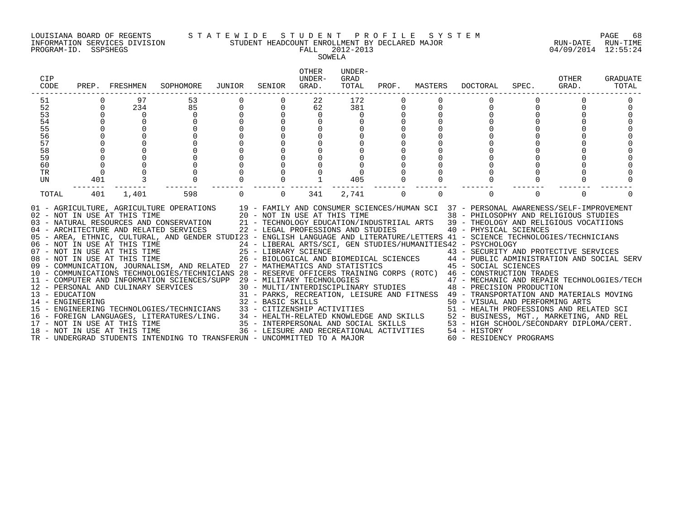INFORMATION SERVICES DIVISION STUDENT HEADCOUNT ENROLLMENT BY DECLARED MAJOR RUN-DATE RUN-TIME

### LOUISIANA BOARD OF REGENTS S T A T E W I D E S T U D E N T P R O F I L E S Y S T E M PAGE 68

PROGRAM-ID. SSPSHEGS FALL 2012-2013 04/09/2014 12:55:24 SOWELA

| CIP<br>CODE | PREP. | FRESHMEN                     | SOPHOMORE                                                                                                                                                                                                                                                                                                                                                               | JUNIOR   | SENIOR   | OTHER<br>UNDER-<br>GRAD. | UNDER-<br>GRAD<br>TOTAL | PROF.    | MASTERS  | DOCTORAL                                                                                                                                                 | SPEC.    | OTHER<br>GRAD. | <b>GRADUATE</b><br>TOTAL |
|-------------|-------|------------------------------|-------------------------------------------------------------------------------------------------------------------------------------------------------------------------------------------------------------------------------------------------------------------------------------------------------------------------------------------------------------------------|----------|----------|--------------------------|-------------------------|----------|----------|----------------------------------------------------------------------------------------------------------------------------------------------------------|----------|----------------|--------------------------|
| 51          |       | 97                           | 53                                                                                                                                                                                                                                                                                                                                                                      |          |          | 22                       | 172                     |          |          |                                                                                                                                                          |          |                |                          |
| 52          |       | 234                          | 85                                                                                                                                                                                                                                                                                                                                                                      |          |          | 62                       | 381                     |          |          |                                                                                                                                                          |          |                |                          |
| 53          |       | $\overline{0}$               | $\mathbf 0$                                                                                                                                                                                                                                                                                                                                                             |          |          | $\mathbf 0$              | 0                       |          |          |                                                                                                                                                          |          |                |                          |
| 54          |       |                              |                                                                                                                                                                                                                                                                                                                                                                         |          |          |                          |                         |          |          |                                                                                                                                                          |          |                |                          |
| 55          |       |                              |                                                                                                                                                                                                                                                                                                                                                                         |          |          |                          |                         |          |          |                                                                                                                                                          |          |                |                          |
| 56          |       |                              |                                                                                                                                                                                                                                                                                                                                                                         |          |          |                          |                         |          |          |                                                                                                                                                          |          |                |                          |
| 57          |       |                              |                                                                                                                                                                                                                                                                                                                                                                         |          |          |                          |                         |          |          |                                                                                                                                                          |          |                |                          |
| 58          |       |                              |                                                                                                                                                                                                                                                                                                                                                                         |          |          |                          |                         |          |          |                                                                                                                                                          |          |                |                          |
| 59<br>60    |       |                              |                                                                                                                                                                                                                                                                                                                                                                         |          |          |                          |                         |          |          |                                                                                                                                                          |          |                |                          |
| TR          |       |                              |                                                                                                                                                                                                                                                                                                                                                                         |          |          |                          |                         |          |          |                                                                                                                                                          |          |                |                          |
| UN          | 401   | 3                            |                                                                                                                                                                                                                                                                                                                                                                         |          |          |                          | 405                     |          |          |                                                                                                                                                          |          |                |                          |
|             |       |                              |                                                                                                                                                                                                                                                                                                                                                                         |          |          |                          |                         |          |          |                                                                                                                                                          |          |                |                          |
| TOTAL       | 401   | 1,401                        | 598                                                                                                                                                                                                                                                                                                                                                                     | $\Omega$ | $\Omega$ | 341                      | 2,741                   | $\Omega$ | $\Omega$ | $\Omega$                                                                                                                                                 | $\Omega$ | $\Omega$       | ∩                        |
|             |       | 02 - NOT IN USE AT THIS TIME | 01 - AGRICULTURE, AGRICULTURE OPERATIONS 19 - FAMILY AND CONSUMER SCIENCES/HUMAN SCI 37 - PERSONAL AWARENESS/SELF-IMPROVEMENT<br>20 - NOT IN USE AT THIS TIME<br>03 - NATURAL RESOURCES AND CONSERVATION 21 - TECHNOLOGY EDUCATION/INDUSTRIIAL ARTS 39 - THEOLOGY AND RELIGIOUS VOCATIIONS<br>04 - ARCHITECTURE AND RELATED SERVICES 22 - LEGAL PROFESSIONS AND STUDIES |          |          |                          |                         |          |          | 38 - PHILOSOPHY AND RELIGIOUS STUDIES<br>40 - PHYSICAL SCIENCES                                                                                          |          |                |                          |
|             |       |                              | 05 - AREA, ETHNIC, CULTURAL, AND GENDER STUDI23 - ENGLISH LANGUAGE AND LITERATURE/LETTERS 41 - SCIENCE TECHNOLOGIES/TECHNICIANS                                                                                                                                                                                                                                         |          |          |                          |                         |          |          |                                                                                                                                                          |          |                |                          |
|             |       |                              | 06 - NOT IN USE AT THIS TIME<br>07 - NOT IN USE AT THIS TIME                                                                                                                                                                                                                                                                                                            |          |          |                          |                         |          |          | 24 - LIBERAL ARTS/SCI, GEN STUDIES/HUMANITIES42 - PSYCHOLOGY                                                                                             |          |                |                          |
|             |       | 08 - NOT IN USE AT THIS TIME |                                                                                                                                                                                                                                                                                                                                                                         |          |          |                          |                         |          |          | 25 - LIBRARY SCIENCE<br>26 - BIOLOGICAL AND BIOMEDICAL SCIENCES<br>26 - BIOLOGICAL AND BIOMEDICAL SCIENCES<br>27 - PUBLIC ADMINISTRATION AND SOCIAL SERV |          |                |                          |
|             |       |                              | 09 - COMMUNICATION, JOURNALISM, AND RELATED 27 - MATHEMATICS AND STATISTICS 45 - SOCIAL SCIENCES                                                                                                                                                                                                                                                                        |          |          |                          |                         |          |          |                                                                                                                                                          |          |                |                          |
|             |       |                              | 10 - COMMUNICATIONS TECHNOLOGIES/TECHNICIANS 28 - RESERVE OFFICERS TRAINING CORPS (ROTC) 46 - CONSTRUCTION TRADES                                                                                                                                                                                                                                                       |          |          |                          |                         |          |          |                                                                                                                                                          |          |                |                          |
|             |       |                              | 11 - COMPUTER AND INFORMATION SCIENCES/SUPP 29 - MILITARY TECHNOLOGIES                                                                                                                                                                                                                                                                                                  |          |          |                          |                         |          |          |                                                                                                                                                          |          |                |                          |
|             |       |                              | 12 - PERSONAL AND CULINARY SERVICES                                                                                                                                                                                                                                                                                                                                     |          |          |                          |                         |          |          | 29 - MILITARY TECHNOLOGIES<br>30 - MULTI/INTERDISCIPLINARY STUDIES<br>48 - PRECISION PRODUCTION                                                          |          |                |                          |
|             |       |                              | 13 - EDUCATION<br>14 - ENGINEERING<br>15 - ENGINEERING TECHNOLOGIES/TECHNICIANS                                                                                                                                                                                                                                                                                         |          |          |                          |                         |          |          | 31 - PARKS, RECREATION, LEISURE AND FITNESS 49 - TRANSPORTATION AND MATERIALS MOVING                                                                     |          |                |                          |
|             |       |                              |                                                                                                                                                                                                                                                                                                                                                                         |          |          |                          |                         |          |          | 50 - VISUAL AND PERFORMING ARTS                                                                                                                          |          |                |                          |
|             |       |                              |                                                                                                                                                                                                                                                                                                                                                                         |          |          |                          |                         |          |          | 51 - HEALTH PROFESSIONS AND RELATED SCI                                                                                                                  |          |                |                          |
|             |       |                              |                                                                                                                                                                                                                                                                                                                                                                         |          |          |                          |                         |          |          | 52 - BUSINESS, MGT., MARKETING, AND REL                                                                                                                  |          |                |                          |
|             |       |                              | 14 - ENGINEERING<br>15 - ENGINEERING TECHNOLOGIES/TECHNICIANS<br>16 - FOREIGN LANGUAGES, LITERATURES/LING.<br>16 - FOREIGN LANGUAGES, LITERATURES/LING.<br>17 - NOT IN USE AT THIS TIME<br>18 - NOT IN USE AT THIS TIME<br>18 - NOT IN USE                                                                                                                              |          |          |                          |                         |          |          | 53 - HIGH SCHOOL/SECONDARY DIPLOMA/CERT.                                                                                                                 |          |                |                          |
|             |       |                              |                                                                                                                                                                                                                                                                                                                                                                         |          |          |                          |                         |          |          | 54 - HISTORY                                                                                                                                             |          |                |                          |
|             |       |                              | TR - UNDERGRAD STUDENTS INTENDING TO TRANSFERUN - UNCOMMITTED TO A MAJOR                                                                                                                                                                                                                                                                                                |          |          |                          |                         |          |          | 60 - RESIDENCY PROGRAMS                                                                                                                                  |          |                |                          |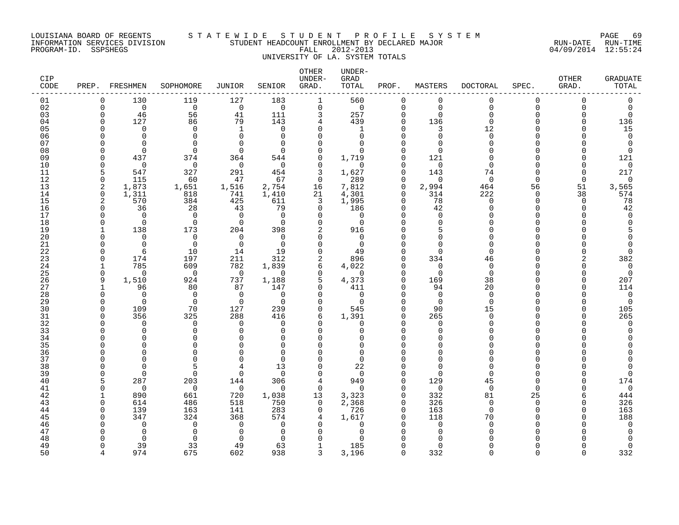#### LOUISIANA BOARD OF REGENTS S T A T E W I D E S T U D E N T P R O F I L E S Y S T E M PAGE 69 INFORMATION SERVICES DIVISION STUDENT HEADCOUNT ENROLLMENT BY DECLARED MAJOR RUN-DATE RUN-TIME PROGRAM-ID. SSPSHEGS FALL 2012-2013 04/09/2014 12:55:24 UNIVERSITY OF LA. SYSTEM TOTALS

| CIP<br>CODE |                      | PREP. FRESHMEN        | SOPHOMORE             | JUNIOR                | SENIOR           | <b>OTHER</b><br>UNDER-<br>GRAD. | UNDER-<br>GRAD<br>TOTAL | PROF.                | MASTERS         | <b>DOCTORAL</b> | SPEC.       | <b>OTHER</b><br>GRAD. | <b>GRADUATE</b><br>TOTAL |
|-------------|----------------------|-----------------------|-----------------------|-----------------------|------------------|---------------------------------|-------------------------|----------------------|-----------------|-----------------|-------------|-----------------------|--------------------------|
| 01          | $\mathbf 0$          | 130                   | 119                   | 127                   | 183              | $\mathbf 1$                     | 560                     | $\mathbf 0$          | 0               | $\Omega$        | $\Omega$    | $\Omega$              | $\Omega$                 |
| 02          | $\mathbf 0$          | $\overline{0}$        | $\overline{0}$        | $\overline{0}$        | $\overline{0}$   | $\mathbf 0$                     | $\overline{0}$          | 0                    | $\Omega$        | 0               | $\Omega$    | 0                     | $\mathbf 0$              |
| 03          | $\Omega$             | 46                    | 56                    | 41                    | 111              | 3                               | 257                     | $\Omega$             | $\Omega$        | $\Omega$        | U           | $\Omega$              | $\Omega$                 |
| 04          | $\Omega$             | 127                   | 86                    | 79                    | 143              | 4                               | 439                     | $\Omega$             | 136             | $\Omega$        | $\Omega$    | $\Omega$              | 136                      |
| 05          |                      | $\Omega$              | $\Omega$              | 1                     | $\Omega$         | $\Omega$                        | 1                       | $\Omega$             | 3               | 12              | $\cap$      |                       | 15                       |
| 06          |                      | $\Omega$              | $\Omega$              | $\Omega$              | $\Omega$         | $\cap$                          | $\Omega$                | $\Omega$             | $\Omega$        | $\Omega$        | $\cap$      |                       | $\mathbf 0$              |
| 07          |                      | $\Omega$              | $\Omega$              | $\cap$                | $\Omega$         | $\Omega$                        | $\cap$                  | $\Omega$             | $\cap$          | $\Omega$        | U           |                       | $\mathbf 0$              |
| 08          |                      | $\Omega$              | $\Omega$              | $\Omega$              | $\Omega$         | $\Omega$                        |                         | $\Omega$             | $\cap$          |                 | U           |                       | $\Omega$                 |
| 09          | $\Omega$<br>$\Omega$ | 437<br>$\overline{0}$ | 374<br>$\overline{0}$ | 364<br>$\overline{0}$ | 544<br>$\bigcap$ | $\Omega$                        | 1,719<br>$\cap$         | $\Omega$<br>$\Omega$ | 121             | $\Omega$        | U<br>$\cap$ |                       | 121                      |
| 10<br>11    | 5                    | 547                   | 327                   | 291                   | 454              | $\Omega$<br>3                   | 1,627                   | $\Omega$             | $\Omega$<br>143 | 74              | $\Omega$    |                       | $\mathbf 0$<br>217       |
| 12          | $\Omega$             | 115                   | 60                    | 47                    | 67               | $\mathbf 0$                     | 289                     | $\Omega$             | $\Omega$        | $\Omega$        | $\Omega$    | $\Omega$              | $\overline{0}$           |
| 13          | 2                    | 1,873                 | 1,651                 | 1,516                 | 2,754            | 16                              | 7,812                   | $\Omega$             | 2,994           | 464             | 56          | 51                    | 3,565                    |
| 14          | $\mathbf 0$          | 1,311                 | 818                   | 741                   | 1,410            | 21                              | 4,301                   | $\Omega$             | 314             | 222             | $\Omega$    | 38                    | 574                      |
| 15          | $\overline{2}$       | 570                   | 384                   | 425                   | 611              | 3                               | 1,995                   | $\Omega$             | 78              | $\Omega$        | $\Omega$    | $\Omega$              | 78                       |
| 16          | $\Omega$             | 36                    | 28                    | 43                    | 79               | $\Omega$                        | 186                     | $\Omega$             | 42              | $\Omega$        | $\Omega$    | $\Omega$              | 42                       |
| 17          | $\Omega$             | $\Omega$              | $\bigcap$             | $\Omega$              | $\Omega$         | $\Omega$                        | $\Omega$                | $\Omega$             | $\Omega$        |                 | $\cap$      |                       | $\Omega$                 |
| 18          | $\Omega$             | $\overline{0}$        | $\overline{0}$        | $\overline{0}$        | $\cap$           | $\Omega$                        | $\Omega$                | $\Omega$             | $\Omega$        |                 |             |                       |                          |
| 19          |                      | 138                   | 173                   | 204                   | 398              | 2                               | 916                     | $\Omega$             | 5               |                 | U           |                       |                          |
| 20          |                      | $\Omega$              | $\Omega$              | $\Omega$              | $\Omega$         | $\Omega$                        | $\Omega$                | $\Omega$             | $\Omega$        |                 |             |                       |                          |
| 21          |                      | $\mathbf 0$           | $\overline{0}$        | $\overline{0}$        | $\overline{0}$   | $\Omega$                        | $\Omega$                | $\Omega$             | $\Omega$        | ∩               | U           |                       |                          |
| 22          | ∩                    | 6                     | 10                    | 14                    | 19               | $\Omega$                        | 49                      | $\Omega$             | $\Omega$        | $\Omega$        | U           |                       | $\Omega$                 |
| 23          | ∩                    | 174                   | 197                   | 211                   | 312              | 2                               | 896                     | $\Omega$             | 334             | 46              |             |                       | 382                      |
| 24          | 1                    | 785                   | 609                   | 782                   | 1,839            | 6                               | 4,022                   | $\Omega$             | $\Omega$        | $\Omega$        | $\cap$      |                       | $\mathbf 0$              |
| 25          | $\Omega$             | $\bigcap$             | $\bigcap$             | $\overline{0}$        | $\overline{0}$   | $\Omega$                        | $\overline{0}$          | $\Omega$             | $\Omega$        | $\Omega$        | $\cap$      |                       | $\overline{0}$           |
| 26          | 9                    | 1,510                 | 924                   | 737                   | 1,188            | 5                               | 4,373                   | $\Omega$             | 169             | 38              | $\Omega$    | U                     | 207                      |
| 27          | 1                    | 96                    | 80                    | 87                    | 147              | $\Omega$                        | 411                     | $\Omega$             | 94              | 20              | U           |                       | 114                      |
| 28          | $\Omega$             | $\Omega$              | $\overline{0}$        | $\overline{0}$        | $\bigcap$        | $\Omega$                        | $\overline{0}$          | $\Omega$             | $\Omega$        | $\Omega$        |             |                       | $\mathbf 0$              |
| 29          | $\Omega$             | $\overline{0}$        | $\overline{0}$        | $\overline{0}$        | $\Omega$         | $\Omega$<br>$\Omega$            | $\Omega$                | $\Omega$<br>$\Omega$ | $\Omega$        | $\Omega$        |             |                       | $\overline{0}$           |
| 30<br>31    | $\Omega$             | 109<br>356            | 70<br>325             | 127<br>288            | 239<br>416       | 6                               | 545<br>1,391            | $\Omega$             | 90<br>265       | 15<br>$\Omega$  | $\cap$      |                       | 105<br>265               |
| 32          |                      | $\Omega$              | $\Omega$              | $\Omega$              | $\cap$           | $\Omega$                        | $\Omega$                | $\Omega$             | $\Omega$        |                 | U           |                       | $\mathbf 0$              |
| 33          |                      | $\Omega$              | $\Omega$              | $\Omega$              | $\cap$           | $\Omega$                        |                         | $\Omega$             | $\Omega$        |                 | U           |                       |                          |
| 34          |                      | $\Omega$              | $\Omega$              | $\Omega$              | 0                | $\Omega$                        | <sup>n</sup>            | $\Omega$             | $\cap$          |                 | U           |                       |                          |
| 35          |                      | $\cap$                | 0                     |                       | U                | O                               | <sup>n</sup>            | $\Omega$             | ∩               |                 |             |                       |                          |
| 36          |                      | $\cap$                | ∩                     |                       | $\Omega$         | $\Omega$                        | $\Omega$                | $\cap$               | $\Omega$        |                 | U           |                       |                          |
| 37          |                      | $\cap$                | $\Omega$              |                       | $\Omega$         | $\Omega$                        | $\Omega$                | $\Omega$             | $\Omega$        |                 |             |                       |                          |
| 38          |                      | $\Omega$              |                       |                       | 13               | $\Omega$                        | 22                      | $\Omega$             | $\cap$          |                 | $\cap$      |                       |                          |
| 39          |                      | $\Omega$              | $\Omega$              | $\Omega$              | $\Omega$         | $\Omega$                        |                         | $\Omega$             | $\Omega$        |                 | $\cap$      |                       | $\Omega$                 |
| 40          |                      | 287                   | 203                   | 144                   | 306              | 4                               | 949                     | $\Omega$             | 129             | 45              | U           |                       | 174                      |
| 41          | $\Omega$             | $\Omega$              | $\overline{0}$        | $\overline{0}$        | $\overline{0}$   | $\mathbf 0$                     | $\Omega$                | $\Omega$             | $\Omega$        | $\Omega$        | $\Omega$    |                       | $\overline{0}$           |
| 42          | 1                    | 890                   | 661                   | 720                   | 1,038            | 13                              | 3,323                   | $\Omega$             | 332             | 81              | 25          | 6                     | 444                      |
| 43          | $\Omega$             | 614                   | 486                   | 518                   | 750              | $\Omega$                        | 2,368                   | $\Omega$             | 326             | $\Omega$        | $\Omega$    |                       | 326                      |
| 44          | ∩                    | 139                   | 163                   | 141                   | 283              | $\mathbf{0}$                    | 726                     | $\Omega$             | 163             | $\Omega$        | $\cap$      |                       | 163                      |
| 45          |                      | 347                   | 324                   | 368                   | 574              | $\overline{4}$                  | 1,617                   | $\Omega$             | 118             | 70              |             |                       | 188                      |
| 46          |                      | $\Omega$              | $\Omega$              | $\Omega$              | $\Omega$         | $\Omega$                        | $\Omega$                |                      | ∩               | $\Omega$        |             |                       | $\mathbf 0$              |
| 47          |                      | $\Omega$              | $\Omega$              | $\Omega$              |                  | ∩                               |                         |                      |                 |                 |             |                       |                          |
| 48          |                      | $\Omega$              | $\Omega$              | $\Omega$              | $\Omega$         | O                               |                         | $\Omega$             | <sup>0</sup>    |                 |             |                       |                          |
| 49          | $\cap$               | 39                    | 33                    | 49                    | 63               | $\mathbf{1}$                    | 185                     | $\Omega$             | $\Omega$        |                 | U           |                       | $\Omega$                 |

50 4 974 675 602 938 3 3,196 0 332 0 0 0 332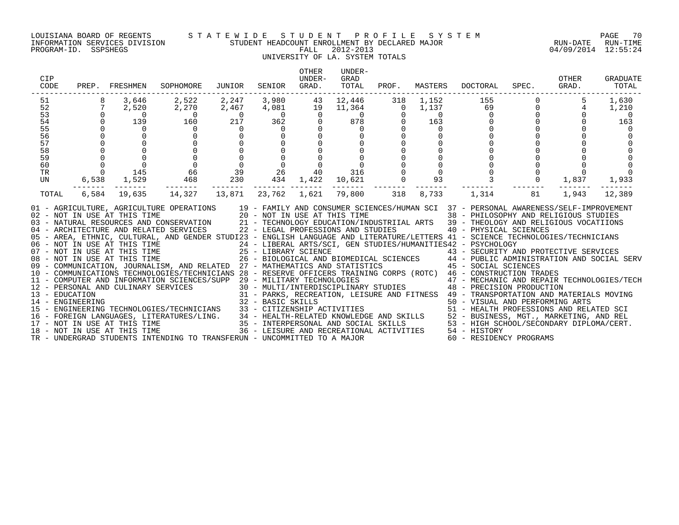#### LOUISIANA BOARD OF REGENTS S T A T E W I D E S T U D E N T P R O F I L E S Y S T E M PAGE 70 INFORMATION SERVICES DIVISION STUDENT HEADCOUNT ENROLLMENT BY DECLARED MAJOR RUN-DATE RUN-TIME

### UNIVERSITY OF LA. SYSTEM TOTALS

| CIP<br>CODE                                                           |                                     | PREP. FRESHMEN                                                                                                                                       | SOPHOMORE                                                                                                                                                                                                                                                                                                                                                                                                                                                                                                                                                                                                                                                                                                                                                                                                                                                                                                                                                                                                                                                                                                                                    | JUNIOR                                                                                  | SENIOR                         | OTHER<br>UNDER-<br>GRAD. | UNDER-<br>GRAD<br>TOTAL                                                                                                                                                                   | PROF. | MASTERS                                                         | DOCTORAL                                                                                                                                                                                                                                                                                                                                                                                                                                                                                        | SPEC.          | OTHER<br>GRAD.                                                     | GRADUATE<br>TOTAL                       |
|-----------------------------------------------------------------------|-------------------------------------|------------------------------------------------------------------------------------------------------------------------------------------------------|----------------------------------------------------------------------------------------------------------------------------------------------------------------------------------------------------------------------------------------------------------------------------------------------------------------------------------------------------------------------------------------------------------------------------------------------------------------------------------------------------------------------------------------------------------------------------------------------------------------------------------------------------------------------------------------------------------------------------------------------------------------------------------------------------------------------------------------------------------------------------------------------------------------------------------------------------------------------------------------------------------------------------------------------------------------------------------------------------------------------------------------------|-----------------------------------------------------------------------------------------|--------------------------------|--------------------------|-------------------------------------------------------------------------------------------------------------------------------------------------------------------------------------------|-------|-----------------------------------------------------------------|-------------------------------------------------------------------------------------------------------------------------------------------------------------------------------------------------------------------------------------------------------------------------------------------------------------------------------------------------------------------------------------------------------------------------------------------------------------------------------------------------|----------------|--------------------------------------------------------------------|-----------------------------------------|
| 51<br>52<br>$\frac{53}{54}$<br>55<br>56<br>57<br>58<br>59<br>60<br>TR | 8<br>$\Omega$<br>$\Omega$<br>$\cap$ | 3,646<br>7<br>2,520<br>$\overline{0}$<br>139<br>$\Omega$<br>$\begin{array}{cccc}\n & 0 & 0 \\  & 0 & 0 \\  & 0 & 145 \\  & 6,538 & 172\n\end{array}$ | 2,522<br>2,270<br>$\begin{array}{c}0\\160\end{array}$<br>$\Omega$<br>$\Omega$<br>$\begin{array}{ccc} 0 & 0 \ 0 & 0 \ 66 & 39 \ 468 & 230 \end{array}$                                                                                                                                                                                                                                                                                                                                                                                                                                                                                                                                                                                                                                                                                                                                                                                                                                                                                                                                                                                        | 2,247<br>2,467<br>$\begin{array}{c} 0 \\ 217 \end{array}$<br>$\overline{0}$<br>$\Omega$ | $\Omega$<br>$\overline{0}$     |                          | 3,980 43 12,446 318<br>$\begin{array}{ccccccccc} 4 \, , & 081 & & & 19 & & 11 \, , & 364 & & & 0 \ & & 0 & & 0 & & 0 \ & & 362 & & 0 & & 878 & & 0 \end{array}$<br>$\mathbf{0}$<br>40 316 |       | 1,152<br>1,137<br>$\overline{0}$<br>163<br>$\Omega$<br>$\Omega$ | -------------------------------------<br>155<br>$\begin{bmatrix} 69 \\ 69 \\ 0 \\ 0 \\ 0 \end{bmatrix}$                                                                                                                                                                                                                                                                                                                                                                                         | $\overline{0}$ | 5<br>$\begin{bmatrix} 0 \\ 0 \\ 0 \end{bmatrix}$<br>$\overline{4}$ | 1,630<br>1,210<br>$\overline{0}$<br>163 |
| UN<br>TOTAL                                                           |                                     | 6,584 19,635                                                                                                                                         | 14,327                                                                                                                                                                                                                                                                                                                                                                                                                                                                                                                                                                                                                                                                                                                                                                                                                                                                                                                                                                                                                                                                                                                                       | 13,871                                                                                  | $2\overset{\circ}{6}$<br>434 1 |                          | 434 1,422 10,621<br>-------- -------<br>23,762 1,621 79,800 318                                                                                                                           |       | 93<br>8,733                                                     | 1,314                                                                                                                                                                                                                                                                                                                                                                                                                                                                                           | 81             | 1,837<br>1,943                                                     | 1,933<br>12,389                         |
|                                                                       |                                     | 08 - NOT IN USE AT THIS TIME<br>17 - NOT IN USE AT THIS TIME<br>18 - NOT IN USE AT THIS TIME                                                         | 01 - AGRICULTURE, AGRICULTURE OPERATIONS 19 - FAMILY AND CONSUMER SCIENCES/HUMAN SCI 37 - PERSONAL AWARENESS/SELF-IMPROVEMENT<br>02 - NOT IN USE AT THIS TIME 20 - NOT IN USE AT THIS TIME 38 - PHILOSOPHY AND RELIGIOUS STUDIES<br><br>05 - AREA, ETHNIC, CULTURAL, AND GENDER STUDI23 - ENGLISH LANGUAGE AND LITERATURE/LETTERS 41 - SCIENCE TECHNOLOGIES/TECHNICIANS<br>09 - COMMUNICATION, JOURNALISM, AND RELATED 27 - MATHEMATICS AND STATISTICS<br>10 - COMMUNICATIONS TECHNOLOGIES/TECHNICIANS 28 - RESERVE OFFICERS TRAINING CORPS (ROTC) 46 - CONSTRUCTION TRADES<br>-- CONSTRUCTION TRADES<br>12 - PERSONAL AND CULINARY SERVICES 30 - MULTI/INTERPOLOGIES<br>13 - EDUCATION 231 - PARKS, RECREATION, LEISURE AND FITNESS 48 - PRECISION PRODUCTION<br>14 - ENGINEERING 22 - BASIC SKILLS<br>15 - ENGINEERING<br>14 - ENGINEERING TECHNOLOGIES/TECHNICIANS 32 - BASIC SKILLS (50 - VISUAL AND PERFORMING ARTS)<br>15 - ENGINEERING TECHNOLOGIES/TECHNICIANS 33 - CITIZENSHIP ACTIVITIES 51 - HEALTH PROFESSIONS AND RELATED SCI<br>16 - FOREIGN LANGU<br>TR - UNDERGRAD STUDENTS INTENDING TO TRANSFERUN - UNCOMMITTED TO A MAJOR |                                                                                         |                                |                          |                                                                                                                                                                                           |       |                                                                 | 25 - LIBRARY SCIENCE<br>26 - BIOLOGICAL AND BIOMEDICAL SCIENCES<br>26 - BIOLOGICAL AND BIOMEDICAL SCIENCES<br>27 - MATHEMATICS AND STATISTICS<br>45 - SOCIAL SCIENCES<br>. בראש האובאסט - אני היי האובאסט - אני האובאסט - אני האובאסט - אני האובאסט - אני - אני - אני - אני - אני - אני<br>35 - INTERPERSONAL AND SOCIAL SKILLS - 53 - HIGH SCHOOL/SECONDARY DIPLOMA/CERT.<br>36 - LEISURE AND RECREATIONAL<br>36 - LEISURE AND RECREATIONAL ACTIVITIES 54 - HISTORY<br>60 - RESIDENCY PROGRAMS |                |                                                                    |                                         |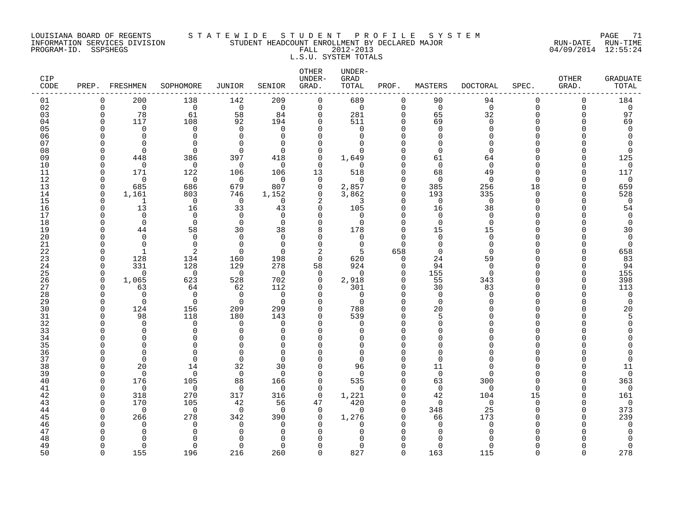#### LOUISIANA BOARD OF REGENTS S T A T E W I D E S T U D E N T P R O F I L E S Y S T E M PAGE 71 INFORMATION SERVICES DIVISION STUDENT HEADCOUNT ENROLLMENT BY DECLARED MAJOR RUN-DATE RUN-TIME PROGRAM-ID. SSPSHEGS FALL 2012-2013 04/09/2014 12:55:24

# L.S.U. SYSTEM TOTALS

| <b>CIP</b><br>CODE |              | PREP. FRESHMEN           | SOPHOMORE             | JUNIOR               | SENIOR               | <b>OTHER</b><br>UNDER-<br>GRAD. | UNDER-<br>GRAD<br>TOTAL | PROF.                | MASTERS              | <b>DOCTORAL</b>      | SPEC.    | OTHER<br>GRAD. | <b>GRADUATE</b><br>TOTAL |
|--------------------|--------------|--------------------------|-----------------------|----------------------|----------------------|---------------------------------|-------------------------|----------------------|----------------------|----------------------|----------|----------------|--------------------------|
| 01                 | $\Omega$     | 200                      | 138                   | 142                  | 209                  | $\mathbf 0$                     | 689                     | $\mathbf 0$          | 90                   | 94                   | 0        | $\mathbf 0$    | 184                      |
| 02                 | $\Omega$     | $\overline{0}$           | $\mathbf 0$           | $\overline{0}$       | $\overline{0}$       | 0                               | $\mathbf 0$             | $\mathbf 0$          | $\mathbf 0$          | $\mathbf 0$          | $\Omega$ | $\mathbf 0$    | $\mathbf 0$              |
| 03                 | ∩            | 78                       | 61                    | 58                   | 84                   | $\mathbf 0$                     | 281                     | $\Omega$             | 65                   | 32                   | $\Omega$ | n              | 97                       |
| 04                 | $\cap$       | 117                      | 108                   | 92                   | 194                  | $\mathbf 0$                     | 511                     | $\Omega$             | 69                   | $\Omega$             | U        | $\Omega$       | 69                       |
| 05                 |              | $\Omega$                 | $\Omega$              | $\Omega$             | $\Omega$             | $\Omega$                        | $\Omega$                | $\Omega$             | $\Omega$             | $\Omega$             |          |                | $\Omega$                 |
| 06                 |              | $\Omega$                 | $\Omega$              | $\Omega$             | $\Omega$             | $\Omega$                        | $\Omega$                | $\Omega$             | $\Omega$             |                      |          |                |                          |
| 07                 |              | $\Omega$                 | $\Omega$              | $\Omega$             | $\Omega$             | $\mathbf 0$                     | $\Omega$                | $\Omega$             | $\Omega$             | $\Omega$             |          |                |                          |
| 08                 |              | $\Omega$                 | $\Omega$              | $\cap$               | $\Omega$             | $\Omega$                        | $\Omega$                | $\Omega$             | $\Omega$             | $\Omega$             |          |                |                          |
| 09                 |              | 448                      | 386                   | 397                  | 418                  | $\Omega$                        | 1,649                   | $\Omega$             | 61                   | 64                   |          |                | 125                      |
| 10                 |              | $\overline{0}$           | $\Omega$              | $\overline{0}$       | $\Omega$             | $\Omega$                        | $\Omega$                | $\Omega$             | $\Omega$             | $\Omega$             |          |                | $\Omega$                 |
| 11                 |              | 171                      | 122                   | 106                  | 106                  | 13                              | 518                     | $\Omega$             | 68                   | 49                   | U        |                | 117                      |
| 12                 |              | $\overline{0}$           | $\overline{0}$        | $\overline{0}$       | $\overline{0}$       | $\Omega$                        | $\Omega$                | $\Omega$             | $\Omega$             | $\Omega$             | U        |                | $\Omega$                 |
| 13                 | ∩            | 685                      | 686                   | 679                  | 807                  | 0                               | 2,857                   | $\mathbf 0$          | 385                  | 256                  | 18       | O              | 659                      |
| 14                 | ∩            | 1,161                    | 803                   | 746                  | 1,152                | $\Omega$                        | 3,862                   | $\Omega$             | 193                  | 335                  | $\Omega$ | n              | 528                      |
| 15                 | ∩            | $\mathbf{1}$             | $\mathbf 0$           | $\overline{0}$       | $\Omega$             | 2                               | 3                       | $\Omega$             | $\Omega$             | $\mathbf 0$          | U        | n              | $\overline{0}$           |
| 16                 |              | 13                       | 16                    | 33                   | 43                   | $\Omega$                        | 105                     | $\Omega$             | 16                   | 38                   |          |                | 54                       |
| 17                 |              | $\Omega$                 | $\Omega$              | $\Omega$             | $\Omega$             | $\Omega$                        | $\Omega$                | $\Omega$             | $\Omega$             | $\Omega$             |          |                | $\Omega$                 |
| 18                 |              | $\Omega$                 | $\Omega$              | $\Omega$             | $\Omega$             | $\mathbf 0$                     | $\Omega$                | $\Omega$<br>$\Omega$ | $\Omega$             | $\Omega$             |          |                | $\Omega$                 |
| 19                 |              | 44                       | 58                    | 30                   | 38                   | 8                               | 178                     |                      | 15                   | 15                   |          |                | 30                       |
| 20                 |              | $\Omega$                 | $\Omega$              | $\Omega$             | $\Omega$             | $\Omega$                        | $\Omega$                | $\Omega$             | $\Omega$             | $\Omega$             |          |                | $\Omega$                 |
| 21<br>22           |              | $\Omega$<br>$\mathbf{1}$ | $\Omega$              | $\Omega$<br>$\Omega$ | $\Omega$<br>$\Omega$ | $\mathbf 0$                     | $\Omega$<br>5           | $\Omega$             | $\Omega$<br>$\Omega$ | $\Omega$<br>$\Omega$ |          |                | $\Omega$                 |
|                    |              |                          | $\overline{2}$        |                      |                      | 2                               |                         | 658<br>$\mathbf 0$   |                      |                      |          |                | 658                      |
| 23                 | ∩            | 128<br>331               | 134                   | 160<br>129           | 198<br>278           | $\mathbf 0$<br>58               | 620<br>924              | $\Omega$             | 24<br>94             | 59<br>$\Omega$       |          |                | 83<br>94                 |
| 24                 | ∩            | $\Omega$                 | 128<br>$\overline{0}$ | $\overline{0}$       | $\overline{0}$       | $\mathbf{0}$                    | $\Omega$                | $\Omega$             | 155                  | $\Omega$             |          |                | 155                      |
| 25<br>26           | ∩            | 1,065                    | 623                   | 528                  | 702                  | $\mathsf{O}$                    | 2,918                   | $\mathbf 0$          | 55                   | 343                  |          |                | 398                      |
| 27                 |              | 63                       | 64                    | 62                   | 112                  | $\Omega$                        | 301                     | $\Omega$             | 30                   | 83                   |          | n              | 113                      |
| 28                 |              | $\Omega$                 | $\Omega$              | $\Omega$             | $\Omega$             | $\Omega$                        | $\Omega$                | $\Omega$             | $\Omega$             | ∩                    |          |                | $\Omega$                 |
| 29                 |              | $\Omega$                 | $\Omega$              | $\Omega$             | $\Omega$             | $\mathbf 0$                     | $\Omega$                | $\Omega$             | $\Omega$             | U                    |          |                | $\mathbf 0$              |
| 30                 |              | 124                      | 156                   | 209                  | 299                  | $\Omega$                        | 788                     | $\Omega$             | 20                   |                      |          |                | 20                       |
| 31                 |              | 98                       | 118                   | 180                  | 143                  | $\Omega$                        | 539                     | $\Omega$             | 5                    |                      |          |                |                          |
| 32                 |              | $\Omega$                 | $\cap$                | $\Omega$             | $\Omega$             | $\Omega$                        | $\Omega$                | $\Omega$             | $\Omega$             |                      |          |                |                          |
| 33                 |              | $\Omega$                 | $\Omega$              | $\Omega$             | $\Omega$             | $\Omega$                        | $\Omega$                | $\Omega$             | $\Omega$             |                      |          |                |                          |
| 34                 |              | $\Omega$                 |                       |                      | $\Omega$             | 0                               |                         | $\Omega$             | $\Omega$             |                      |          |                |                          |
| 35                 |              | $\Omega$                 |                       |                      | $\Omega$             | $\Omega$                        | ∩                       | $\Omega$             |                      |                      |          |                |                          |
| 36                 |              | $\Omega$                 | $\cap$                | $\cap$               | $\cap$               | $\Omega$                        | $\Omega$                | $\Omega$             | $\Omega$             |                      |          |                |                          |
| 37                 |              | $\Omega$                 | $\cap$                | $\Omega$             | $\Omega$             | 0                               | $\Omega$                | $\Omega$             | $\Omega$             |                      |          |                | $\Omega$                 |
| 38                 |              | 20                       | 14                    | 32                   | 30                   | $\Omega$                        | 96                      | $\Omega$             | 11                   |                      |          |                | 11                       |
| 39                 |              | $\Omega$                 | $\Omega$              | $\Omega$             | $\Omega$             | $\Omega$                        | $\Omega$                | $\Omega$             | $\Omega$             | ∩                    |          |                | $\Omega$                 |
| 40                 |              | 176                      | 105                   | 88                   | 166                  | $\Omega$                        | 535                     | $\Omega$             | 63                   | 300                  | U        |                | 363                      |
| 41                 |              | $\overline{0}$           | $\overline{0}$        | $\Omega$             | $\Omega$             | $\mathbf 0$                     | $\Omega$                | $\Omega$             | $\Omega$             | $\Omega$             |          |                | $\mathbf 0$              |
| 42                 |              | 318                      | 270                   | 317                  | 316                  | $\mathbf 0$                     | 1,221                   | $\Omega$             | 42                   | 104                  | 15       |                | 161                      |
| 43                 |              | 170                      | 105                   | 42                   | 56                   | 47                              | 420                     | $\Omega$             | $\Omega$             | $\Omega$             | $\Omega$ |                | $\mathbf 0$              |
| 44                 |              | $\overline{0}$           | $\Omega$              | $\Omega$             | $\Omega$             | $\Omega$                        | $\Omega$                | $\Omega$             | 348                  | 25                   | U        | n              | 373                      |
| 45                 |              | 266                      | 278                   | 342                  | 390                  | $\mathbf 0$                     | 1,276                   | $\Omega$             | 66                   | 173                  |          |                | 239                      |
| 46                 |              | $\Omega$                 | $\Omega$              | $\Omega$             | $\Omega$             | $\Omega$                        | $\Omega$                | $\Omega$             | $\Omega$             | $\Omega$             |          |                | $\Omega$                 |
| 47                 |              | $\Omega$                 | $\cap$                |                      | $\Omega$             | $\Omega$                        |                         | $\Omega$             | ∩                    |                      |          |                |                          |
| 48                 |              |                          |                       |                      |                      |                                 |                         |                      |                      |                      |          |                |                          |
| 49                 |              | $\Omega$                 | $\Omega$              | $\Omega$             | U                    | $\Omega$                        | U                       | $\Omega$             | $\Omega$             | n                    |          |                | $\Omega$                 |
| 50                 | <sup>n</sup> | 155                      | 196                   | 216                  | 260                  | $\Omega$                        | 827                     | $\Omega$             | 163                  | 115                  | Λ        | $\Omega$       | 278                      |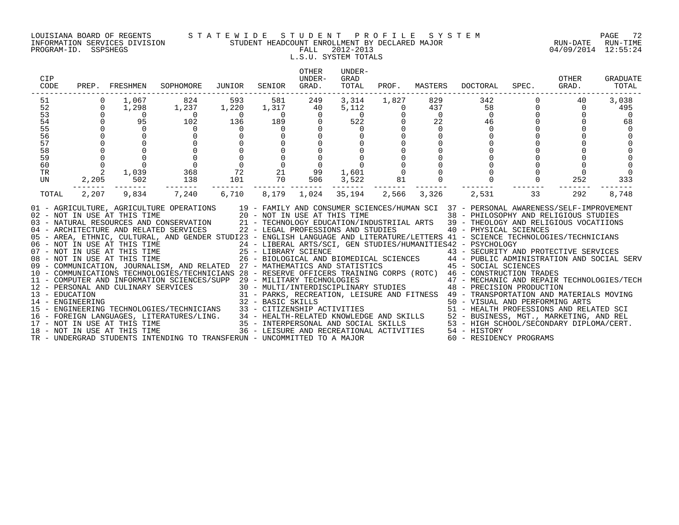#### LOUISIANA BOARD OF REGENTS S T A T E W I D E S T U D E N T P R O F I L E S Y S T E M PAGE 72 INFORMATION SERVICES DIVISION STUDENT HEADCOUNT ENROLLMENT BY DECLARED MAJOR RUN-DATE RUN-TIME

# L.S.U. SYSTEM TOTALS

| CIP<br>CODE                                                          |                                                                                        | PREP. FRESHMEN SOPHOMORE                                                                                                                                                                                                                                                                                                                                                                                                                                             |                                                                                                               | JUNIOR                                                                                                                                                 | SENIOR                                                                                                                                                              | OTHER<br>UNDER-<br>GRAD.                                                                                               | UNDER-<br>GRAD<br>TOTAL                                           | PROF.                                           | MASTERS                                                                   | DOCTORAL                                                                                                                                                                                                                                                                                                                                                                                                                                                                                                                                                                                                                                                                                                                                                                                                                                                                                                                                                                                                                                                                                                                                                                                                                                                                                                                                                                                                                                                                                     | SPEC.             | OTHER<br>GRAD.                                | <b>GRADUATE</b><br>TOTAL                          |
|----------------------------------------------------------------------|----------------------------------------------------------------------------------------|----------------------------------------------------------------------------------------------------------------------------------------------------------------------------------------------------------------------------------------------------------------------------------------------------------------------------------------------------------------------------------------------------------------------------------------------------------------------|---------------------------------------------------------------------------------------------------------------|--------------------------------------------------------------------------------------------------------------------------------------------------------|---------------------------------------------------------------------------------------------------------------------------------------------------------------------|------------------------------------------------------------------------------------------------------------------------|-------------------------------------------------------------------|-------------------------------------------------|---------------------------------------------------------------------------|----------------------------------------------------------------------------------------------------------------------------------------------------------------------------------------------------------------------------------------------------------------------------------------------------------------------------------------------------------------------------------------------------------------------------------------------------------------------------------------------------------------------------------------------------------------------------------------------------------------------------------------------------------------------------------------------------------------------------------------------------------------------------------------------------------------------------------------------------------------------------------------------------------------------------------------------------------------------------------------------------------------------------------------------------------------------------------------------------------------------------------------------------------------------------------------------------------------------------------------------------------------------------------------------------------------------------------------------------------------------------------------------------------------------------------------------------------------------------------------------|-------------------|-----------------------------------------------|---------------------------------------------------|
| 51<br>52<br>53<br>54<br>55<br>56<br>57<br>58<br>59<br>60<br>TR<br>UN | $\Omega$<br>$\Omega$<br>$\Omega$<br>$\Omega$<br>$\begin{matrix}0\\0\\0\\2\end{matrix}$ | 1,067<br>1,298<br>$\overline{\phantom{0}}$<br>95<br>$\Omega$<br>$\mathbf 0$<br>$\Omega$<br>1,039<br>502                                                                                                                                                                                                                                                                                                                                                              | 824<br>1,237<br>$\overline{0}$<br>102<br>$\Omega$<br>$\begin{array}{c} 0 \\ 0 \\ 0 \\ 368 \\ 138 \end{array}$ | 593<br>1,220<br>$\overline{0}$<br>136<br>$\overline{0}$<br>$\begin{smallmatrix}0&&&&0\\&0&&&&0\\&0&&&&0\\&0&&&&2\\&0&&&&2\\&101&&&&&\end{smallmatrix}$ | 581<br>1,317<br>$\overline{0}$<br>189<br>$\overline{0}$<br>$\mathbf 0$<br>$\mathsf 0$<br>$\overline{0}$<br>$\begin{array}{ccc} 21 & & 99 \\ 70 & & 506 \end{array}$ | 249<br>40<br>$\overline{0}$<br>$\overline{0}$<br>$\Omega$<br>$\begin{smallmatrix}0\\0\end{smallmatrix}$<br>$\mathbf 0$ | 3,314<br>5,112<br>$-11.$<br>0<br>50<br>$\Omega$<br>1,601          | 1,827<br>$\overline{0}$<br>$\overline{0}$<br>81 | 829<br>437<br>$\overline{0}$<br>22<br>$\Omega$<br>$\Omega$<br>$\mathbf 0$ | 342<br>$\begin{array}{c}0\\46\end{array}$<br>$\Omega$<br>$\Omega$<br>$\overline{0}$                                                                                                                                                                                                                                                                                                                                                                                                                                                                                                                                                                                                                                                                                                                                                                                                                                                                                                                                                                                                                                                                                                                                                                                                                                                                                                                                                                                                          | 58 30<br>$\Omega$ | 40<br>$\Omega$<br>$\Omega$<br>$\Omega$<br>252 | 3,038<br>495<br>$\Omega$<br>68<br>$\Omega$<br>333 |
| TOTAL                                                                | 2,205<br>2,207                                                                         | 9,834<br>06 - NOT IN USE AT THIS TIME<br>07 - NOT IN USE AT THIS TIME<br>08 - NOT IN USE AT THIS TIME<br>08 - NOT IN USE AT THIS TIME<br>08 - NOT IN USE AT THIS TIME<br>26 - BIOLOGICAL AND P<br>09 - COMMUNICATION, JOURNALISM, AND RELATED 27 - MATHEMATICS AND STATISTICS<br>11 - COMPUTER AND INFORMATION SCIENCES/SUPP 29 - MILITARY TECHNOLOGIES<br>16 - FOREIGN LANGUAGES, LITERATURES/LING.<br>17 - NOT IN USE AT THIS TIME<br>18 - NOT IN USE AT THIS TIME | 7,240                                                                                                         | 101                                                                                                                                                    | ------ ---                                                                                                                                                          | 6,710 8,179 1,024                                                                                                      | 3,522<br>35,194 2,566<br>36 - LEISURE AND RECREATIONAL ACTIVITIES |                                                 | 3,326                                                                     | 2,531<br>01 - AGRICULTURE, AGRICULTURE OPERATIONS 19 - FAMILY AND CONSUMER SCIENCES/HUMAN SCI 37 - PERSONAL AWARENESS/SELF-IMPROVEMENT<br>02 - NOT IN USE AT THIS TIME<br>20 - NOT IN USE AT THIS TIME<br>21 - TECHNOLOGY EDUCATION/INDUSTRIIAL ARTS 39 - THEOLOGY AND RELIGIOUS STUDIES<br>22 - LEGAL PROFESSIONS AND STUDIES<br>22 - LEGAL PROFESSIONS AND STUDIES<br>22 - LEGAL<br>05 - AREA, ETHNIC, CULTURAL, AND GENDER STUDI23 - ENGLISH LANGUAGE AND LITERATURE/LETTERS 41 - SCIENCE TECHNOLOGIES/TECHNICIANS<br>24 - LIBERAL ARTS/SCI, GEN STUDIES/HUMANITIES42 - PSYCHOLOGY<br>25 - LIBRARY SCIENCE<br>26 - BIOLOGICAL AND BIOMEDICAL SCIENCES<br>27 - MATHEMATICS AND STATISTICS (27 - MATHEMATICS AND STATISTICS (27 - MATHEMATICS AND STATISTICS<br>10 - COMMUNICATIONS TECHNOLOGIES/TECHNICIANS 28 - RESERVE OFFICERS TRAINING CORPS (ROTC) 46 - CONSTRUCTION TRADES<br>29 - MILITARY TECHNOLOGIES<br>30 - MULTI/INTERDISCIPLINARY STUDIES<br>48 - PRECISION PRODUCTION<br>12 - PERSONAL AND CULINARY SERVICES<br>13 - MULTI/INTERDISCIPLINARY STUDIES<br>14 - ENGINEERING 32 - BASIC SKILLS<br>15 - ENGINEERING TECHNOLOGIES/TECHNICIANS 33 - CITIZENSHIP ACTIVITIES<br>15 - ENGINEERING TECHNOLOGIES/TECHNICIAN<br>32 - BASIC SKILLS<br>33 - CITIZENSHIP ACTIVITIES<br>34 - HEALTH-RELATED KNOWLEDGE AND SKILLS<br>35 - INSURE SALTH-RELATED KNOWLEDGE AND SKILLS<br>35 - HIGH SCHOOL/SECONDARY DIPLOMA/CERT.<br>36 - INTERPERSONAL AND RELATED<br>36 - HIGH<br>54 - HISTORY | 33                | 292                                           | 8,748                                             |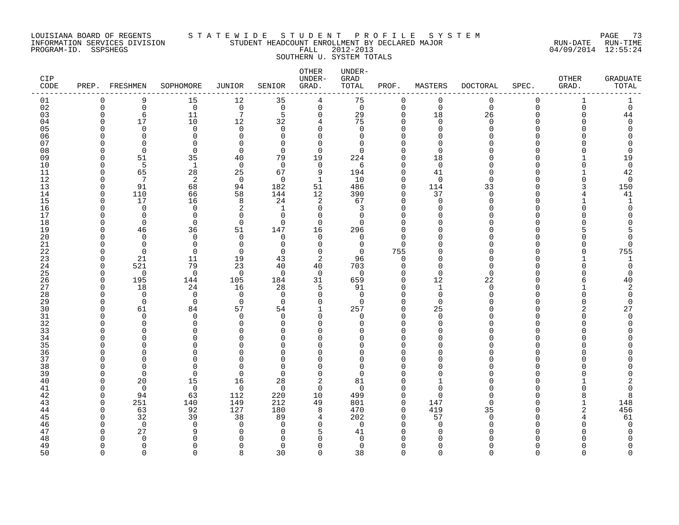#### LOUISIANA BOARD OF REGENTS S T A T E W I D E S T U D E N T P R O F I L E S Y S T E M PAGE 73 INFORMATION SERVICES DIVISION STUDENT HEADCOUNT ENROLLMENT BY DECLARED MAJOR RUN-DATE RUN-TIME PROGRAM-ID. SSPSHEGS FALL 2012-2013 04/09/2014 12:55:24 SOUTHERN U. SYSTEM TOTALS

| CIP<br>CODE |          | PREP. FRESHMEN | SOPHOMORE      | JUNIOR          | SENIOR                     | OTHER<br>UNDER-<br>GRAD. | UNDER-<br>GRAD<br>TOTAL | PROF.              | MASTERS      | <b>DOCTORAL</b> | SPEC.       | OTHER<br>GRAD. | <b>GRADUATE</b><br>TOTAL |
|-------------|----------|----------------|----------------|-----------------|----------------------------|--------------------------|-------------------------|--------------------|--------------|-----------------|-------------|----------------|--------------------------|
| 01          | $\Omega$ | 9              | 15             | 12              | 35                         | 4                        | 75                      | $\mathbf 0$        | $\mathbf 0$  | $\mathbf 0$     | $\mathbf 0$ | $\mathbf{1}$   |                          |
| 02          | $\Omega$ | $\mathbf 0$    | $\overline{0}$ | $\mathbf 0$     | $\overline{0}$             | $\mathsf{O}$             | $\mathbf 0$             | $\mathbf 0$        | $\Omega$     | $\Omega$        | $\Omega$    | $\Omega$       | $\mathbf 0$              |
| 03          |          | 6              | 11             | $7\phantom{.0}$ | 5                          | $\mathbf 0$              | 29                      | $\mathbf 0$        | 18           | 26              | U           |                | 44                       |
| 04          |          | 17             | 10             | 12              | 32                         | 4                        | 75                      | $\Omega$           | $\Omega$     | $\Omega$        | $\cap$      |                | $\mathbf 0$              |
| 05          |          | $\Omega$       | $\Omega$       | $\Omega$        | $\Omega$                   | $\Omega$                 | $\Omega$                | $\Omega$           | $\Omega$     |                 |             |                | $\Omega$                 |
| 06          |          | $\Omega$       | $\Omega$       | $\Omega$        | $\Omega$                   | $\Omega$                 | $\Omega$                | $\Omega$           |              |                 |             |                |                          |
| 07          |          | $\Omega$       | $\Omega$       | $\Omega$        | $\Omega$                   | $\Omega$                 | $\Omega$                | $\Omega$           |              |                 |             |                |                          |
| 08          |          | $\Omega$       | $\Omega$       | $\Omega$        | $\Omega$                   | $\Omega$                 | $\Omega$                | $\Omega$           | $\Omega$     |                 |             |                | $\Omega$                 |
| 09          |          | 51             | 35             | 40              | 79                         | 19                       | 224                     | $\Omega$           | 18           |                 |             |                | 19                       |
| 10          |          | 5              | 1              | $\overline{0}$  | $\Omega$                   | $\mathbf 0$              | 6                       | $\Omega$           | $\Omega$     |                 |             |                | $\mathsf 0$              |
| 11          |          | 65             | 28             | 25              | 67                         | 9                        | 194                     | $\Omega$           | 41           |                 |             |                | 42                       |
| 12          |          | 7              | 2              | $\overline{0}$  | $\Omega$                   | $\mathbf{1}$             | 10                      | $\Omega$           | $\Omega$     |                 |             |                | $\overline{0}$           |
| 13          |          | 91             | 68             | 94              | 182                        | 51                       | 486                     | $\Omega$           | 114          | 33              |             |                | 150                      |
| 14          |          | 110            | 66             | 58              | 144                        | 12                       | 390                     | $\Omega$           | 37           | $\Omega$        |             |                | 41                       |
| 15          |          | 17             | 16             | 8               | 24                         | 2                        | 67                      | $\Omega$           | $\cap$       |                 |             |                | 1                        |
| 16          |          | $\Omega$       | $\Omega$       | 2               | 1                          | $\Omega$                 | 3                       | $\Omega$           |              |                 |             |                | $\Omega$                 |
| 17          |          | $\Omega$       | $\Omega$       | $\Omega$        | $\Omega$                   | $\mathbf 0$              | $\Omega$                | $\Omega$<br>$\cap$ |              |                 |             |                |                          |
| 18          |          | $\Omega$       | $\Omega$       | $\Omega$        | $\Omega$                   | $\Omega$                 | $\Omega$                | $\Omega$           |              |                 |             |                |                          |
| 19<br>20    |          | 46<br>$\Omega$ | 36<br>$\Omega$ | 51<br>$\Omega$  | 147                        | 16                       | 296                     | $\Omega$           |              |                 |             |                |                          |
| 21          |          | $\Omega$       | $\mathbf 0$    | $\Omega$        | $\Omega$<br>$\overline{0}$ | 0<br>$\Omega$            | 0<br>$\mathbf 0$        | $\Omega$           |              |                 |             |                | 0                        |
|             |          | $\Omega$       | $\Omega$       | 0               | $\Omega$                   | 0                        | 0                       | 755                |              |                 |             |                | 755                      |
| 22<br>23    |          | 21             | 11             | 19              | 43                         | 2                        | 96                      | $\Omega$           |              |                 |             |                | 1                        |
| 24          |          | 521            | 79             | 23              | 40                         | 40                       | 703                     | $\Omega$           | $\cap$       |                 |             |                | $\mathbf 0$              |
| 25          |          | $\Omega$       | $\overline{0}$ | $\overline{0}$  | $\Omega$                   | $\mathbf 0$              | $\Omega$                | $\Omega$           | $\cap$       |                 |             |                | $\mathbf 0$              |
| 26          |          | 195            | 144            | 105             | 184                        | 31                       | 659                     | $\Omega$           | 12           | 22              |             |                | 40                       |
| 27          |          | 18             | 24             | 16              | 28                         | 5                        | 91                      | $\Omega$           | $\mathbf{1}$ | U               |             |                | 2                        |
| 28          |          | $\Omega$       | $\Omega$       | $\overline{0}$  | $\Omega$                   | $\Omega$                 | $\Omega$                | $\Omega$           | $\Omega$     |                 |             |                | $\Omega$                 |
| 29          |          | $\Omega$       | $\Omega$       | $\mathbf 0$     | $\Omega$                   | $\mathbf 0$              | $\Omega$                | $\Omega$           | $\Omega$     |                 |             |                | $\Omega$                 |
| 30          |          | 61             | 84             | 57              | 54                         | $\mathbf{1}$             | 257                     | $\Omega$           | 25           |                 |             |                | 27                       |
| 31          |          | $\Omega$       | $\Omega$       | $\Omega$        | $\Omega$                   | $\Omega$                 | $\Omega$                | $\Omega$           | $\Omega$     |                 |             |                | $\mathbf 0$              |
| 32          |          | $\Omega$       | 0              | $\Omega$        | $\Omega$                   | $\Omega$                 | <sup>o</sup>            | ∩                  | ∩            |                 |             |                | $\cap$                   |
| 33          |          | $\cap$         | ∩              | $\cap$          | $\Omega$                   | $\Omega$                 | <sup>n</sup>            | $\Omega$           |              |                 |             |                |                          |
| 34          |          |                | ∩              | $\Omega$        | $\Omega$                   | $\Omega$                 | ∩                       | $\Omega$           |              |                 |             |                |                          |
| 35          |          |                | N              | ∩               | $\Omega$                   | ∩                        |                         | $\Omega$           |              |                 |             |                |                          |
| 36          |          |                | ∩              |                 | $\Omega$                   | ∩                        | N                       | $\Omega$           |              |                 |             |                |                          |
| 37          |          |                | N              | $\Omega$        | $\Omega$                   | $\Omega$                 | <sup>0</sup>            | $\Omega$           |              |                 |             |                |                          |
| 38          |          | ∩              | ∩              | ∩               | $\Omega$                   | $\Omega$                 | U                       | ∩                  |              |                 |             |                |                          |
| 39          |          | $\Omega$       | $\Omega$       | $\Omega$        | $\Omega$                   | 0                        | U                       | ∩                  |              |                 |             |                |                          |
| 40          |          | 20             | 15             | 16              | 28                         | 2                        | 81                      | $\Omega$           |              |                 |             |                |                          |
| 41          |          | $\Omega$       | $\Omega$       | 0               | $\Omega$                   | $\Omega$                 | $\Omega$                | $\Omega$           | ∩            |                 |             |                | O                        |
| 42          |          | 94             | 63             | 112             | 220                        | 10                       | 499                     | $\Omega$           | $\cap$       |                 |             |                | 8                        |
| 43          |          | 251            | 140            | 149             | 212                        | 49                       | 801                     | $\Omega$           | 147          |                 |             |                | 148                      |
| 44          |          | 63             | 92             | 127             | 180                        | 8                        | 470                     | $\mathbf 0$        | 419          | 35              |             |                | 456                      |
| 45          |          | 32             | 39             | 38              | 89                         | 4                        | 202                     | $\Omega$           | 57           |                 |             |                | 61                       |
| 46          |          | $\Omega$       | $\Omega$       | $\Omega$        | $\Omega$                   | $\Omega$                 | $\mathbf 0$             | $\Omega$           | $\Omega$     |                 |             |                | $\mathbf 0$              |
| 47          |          | 27             | 9              | $\Omega$        | $\Omega$                   | 5                        | 41                      | ∩                  |              |                 |             |                | $\Omega$                 |
| 48          |          | $\Omega$       | $\Omega$       |                 | $\Omega$                   | $\Omega$                 | $\Omega$                | $\Omega$           |              |                 | U           |                | O                        |
| 49          | $\Omega$ | 0              | 0              | $\Omega$        | 0                          | 0                        | 0                       | 0                  | $\Omega$     | 0               |             | U              | $\Omega$                 |

50 0 0 0 8 30 0 38 0 0 0 0 0 0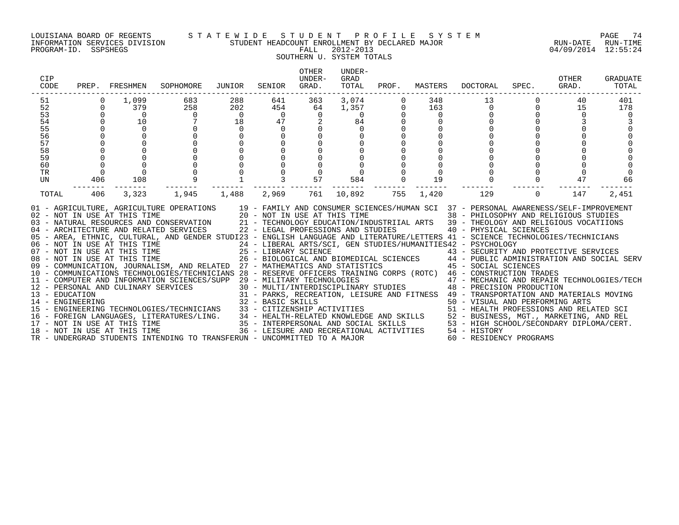#### LOUISIANA BOARD OF REGENTS S T A T E W I D E S T U D E N T P R O F I L E S Y S T E M PAGE 74 INFORMATION SERVICES DIVISION STUDENT HEADCOUNT ENROLLMENT BY DECLARED MAJOR RUN-DATE RUN-TIME

SOUTHERN U. SYSTEM TOTALS

| CIP<br>CODE                                                                                                                                                                                                                                                                                                                                                                                                                                                                                                                                                                                                                                                                                                                                                                                                                                                                                                                                                                                                                                                                                                                                                                                                                                                                                                                                                                                                                                                                                                                                                                                                                                                                                                                     |                      | PREP. FRESHMEN | SOPHOMORE | JUNIOR         | SENIOR          | OTHER<br>UNDER-<br>GRAD. | UNDER-<br>GRAD<br>TOTAL | PROF.    | MASTERS  | DOCTORAL                                                                                   | SPEC.    | OTHER<br>GRAD. | <b>GRADUATE</b><br>TOTAL |
|---------------------------------------------------------------------------------------------------------------------------------------------------------------------------------------------------------------------------------------------------------------------------------------------------------------------------------------------------------------------------------------------------------------------------------------------------------------------------------------------------------------------------------------------------------------------------------------------------------------------------------------------------------------------------------------------------------------------------------------------------------------------------------------------------------------------------------------------------------------------------------------------------------------------------------------------------------------------------------------------------------------------------------------------------------------------------------------------------------------------------------------------------------------------------------------------------------------------------------------------------------------------------------------------------------------------------------------------------------------------------------------------------------------------------------------------------------------------------------------------------------------------------------------------------------------------------------------------------------------------------------------------------------------------------------------------------------------------------------|----------------------|----------------|-----------|----------------|-----------------|--------------------------|-------------------------|----------|----------|--------------------------------------------------------------------------------------------|----------|----------------|--------------------------|
| 51                                                                                                                                                                                                                                                                                                                                                                                                                                                                                                                                                                                                                                                                                                                                                                                                                                                                                                                                                                                                                                                                                                                                                                                                                                                                                                                                                                                                                                                                                                                                                                                                                                                                                                                              | $\Omega$             | 1,099          | 683       | 288            | 641             | 363                      | 3,074                   |          | 348      | 13                                                                                         |          | 40             | 401                      |
| 52                                                                                                                                                                                                                                                                                                                                                                                                                                                                                                                                                                                                                                                                                                                                                                                                                                                                                                                                                                                                                                                                                                                                                                                                                                                                                                                                                                                                                                                                                                                                                                                                                                                                                                                              | $\Omega$             | 379            | 258       | 202            | 454             | 64                       | 1,357                   |          | 163      | $\Omega$                                                                                   | $\Omega$ | 15             | 178                      |
| 53<br>54                                                                                                                                                                                                                                                                                                                                                                                                                                                                                                                                                                                                                                                                                                                                                                                                                                                                                                                                                                                                                                                                                                                                                                                                                                                                                                                                                                                                                                                                                                                                                                                                                                                                                                                        | $\Omega$<br>$\Omega$ | $\Omega$<br>10 | $\Omega$  | $\overline{0}$ | $\bigcap$<br>47 | $\Omega$<br>2            | $\Omega$                |          | $\Omega$ | $\Omega$<br>$\Omega$                                                                       |          | $\Omega$       |                          |
| 55                                                                                                                                                                                                                                                                                                                                                                                                                                                                                                                                                                                                                                                                                                                                                                                                                                                                                                                                                                                                                                                                                                                                                                                                                                                                                                                                                                                                                                                                                                                                                                                                                                                                                                                              | $\Omega$             | $\Omega$       |           | 18<br>$\Omega$ | $\Omega$        |                          | 84<br>$\Omega$          |          |          |                                                                                            |          |                |                          |
| 56                                                                                                                                                                                                                                                                                                                                                                                                                                                                                                                                                                                                                                                                                                                                                                                                                                                                                                                                                                                                                                                                                                                                                                                                                                                                                                                                                                                                                                                                                                                                                                                                                                                                                                                              | $\Omega$             |                |           |                |                 |                          |                         |          |          |                                                                                            |          |                |                          |
| 57                                                                                                                                                                                                                                                                                                                                                                                                                                                                                                                                                                                                                                                                                                                                                                                                                                                                                                                                                                                                                                                                                                                                                                                                                                                                                                                                                                                                                                                                                                                                                                                                                                                                                                                              |                      |                |           |                |                 |                          |                         |          |          |                                                                                            |          |                |                          |
| 58                                                                                                                                                                                                                                                                                                                                                                                                                                                                                                                                                                                                                                                                                                                                                                                                                                                                                                                                                                                                                                                                                                                                                                                                                                                                                                                                                                                                                                                                                                                                                                                                                                                                                                                              |                      |                |           |                |                 |                          |                         |          |          |                                                                                            |          |                |                          |
| 59                                                                                                                                                                                                                                                                                                                                                                                                                                                                                                                                                                                                                                                                                                                                                                                                                                                                                                                                                                                                                                                                                                                                                                                                                                                                                                                                                                                                                                                                                                                                                                                                                                                                                                                              | $\Omega$             |                |           |                |                 |                          |                         |          |          |                                                                                            |          |                |                          |
| 60                                                                                                                                                                                                                                                                                                                                                                                                                                                                                                                                                                                                                                                                                                                                                                                                                                                                                                                                                                                                                                                                                                                                                                                                                                                                                                                                                                                                                                                                                                                                                                                                                                                                                                                              | $\mathbf 0$          | $\mathbf 0$    |           |                |                 |                          |                         |          |          |                                                                                            |          |                |                          |
| TR                                                                                                                                                                                                                                                                                                                                                                                                                                                                                                                                                                                                                                                                                                                                                                                                                                                                                                                                                                                                                                                                                                                                                                                                                                                                                                                                                                                                                                                                                                                                                                                                                                                                                                                              | $\Omega$             | $\Omega$       |           |                |                 |                          | $\Omega$                |          | $\Omega$ |                                                                                            |          |                |                          |
| UN                                                                                                                                                                                                                                                                                                                                                                                                                                                                                                                                                                                                                                                                                                                                                                                                                                                                                                                                                                                                                                                                                                                                                                                                                                                                                                                                                                                                                                                                                                                                                                                                                                                                                                                              | 406                  | 108            |           |                |                 | 57                       | 584                     | $\Omega$ | 19       | $\Omega$                                                                                   |          | 47             | 66                       |
| TOTAL                                                                                                                                                                                                                                                                                                                                                                                                                                                                                                                                                                                                                                                                                                                                                                                                                                                                                                                                                                                                                                                                                                                                                                                                                                                                                                                                                                                                                                                                                                                                                                                                                                                                                                                           | 406                  | 3,323          | 1,945     | 1,488          | 2,969           | 761                      | 10,892                  | 755      | 1,420    | 129                                                                                        | $\Omega$ | 147            | 2,451                    |
| 01 - AGRICULTURE, AGRICULTURE OPERATIONS 19 - FAMILY AND CONSUMER SCIENCES/HUMAN SCI 37 - PERSONAL AWARENESS/SELF-IMPROVEMENT<br>20 - NOT IN USE AT THIS TIME<br>02 - NOT IN USE AT THIS TIME<br>03 - NATURAL RESOURCES AND CONSERVATION 21 - TECHNOLOGY EDUCATION/INDUSTRIIAL ARTS 39 - THEOLOGY AND RELIGIOUS VOCATIIONS<br>04 - ARCHITECTURE AND RELATED SERVICES 22 - LEGAL PROFESSIONS AND STUDIES<br>05 - AREA, ETHNIC, CULTURAL, AND GENDER STUDI23 - ENGLISH LANGUAGE AND LITERATURE/LETTERS 41 - SCIENCE TECHNOLOGIES/TECHNICIANS<br>$\begin{array}{lllllllll} 06 & -& \text{NOT} & \text{IN} & \text{USE} & \text{AT} & \text{THIS} & \text{TIME} & \text{15} & \text{16} & \text{17} & \text{17} & \text{18} & \text{17} \\ 07 & -& \text{NOT} & \text{IN} & \text{USE} & \text{AT} & \text{THIS} & \text{TIME} & \text{25} & -& \text{LIBRARY} & \text{SCIENCE} \end{array}$<br>24 - LIBERAL ARTS/SCI, GEN STUDIES/HUMANITIES42 - PSYCHOLOGY<br>25 - LIBRARY SCIENCE                                   43 - SECURITY AND PROTECTIVE SERVICES<br>26 - BIOLOGICAL AND BIOMEDICAL SCIENCES       44 - PUBLIC ADMINISTRATION AND SOCIAL SERV<br>08 - NOT IN USE AT THIS TIME<br>09 - COMMUNICATION, JOURNALISM, AND RELATED 27 - MATHEMATICS AND STATISTICS 45 - SOCIAL SCIENCES<br>10 - COMMUNICATIONS TECHNOLOGIES/TECHNICIANS 28 - RESERVE OFFICERS TRAINING CORPS (ROTC) 46 - CONSTRUCTION TRADES<br>10 - COMPUTER AND INFORMATION SCIENCES/SUPP 29 - MILITARY TECHNOLOGIES (ROIL) 47 - MECHANIC AND REPAIR TECHNOLOGIES/TECH<br>12 - PERSONAL AND CULINARY SERVICES 30 - MULTI/INTERDISCIPLINARY STUDIES 48 - PRECISION PRODUCTION<br><br>TR - UNDERGRAD STUDENTS INTENDING TO TRANSFERUN - UNCOMMITTED TO A MAJOR |                      |                |           |                |                 |                          |                         |          |          | 38 - PHILOSOPHY AND RELIGIOUS STUDIES<br>40 - PHYSICAL SCIENCES<br>60 - RESIDENCY PROGRAMS |          |                |                          |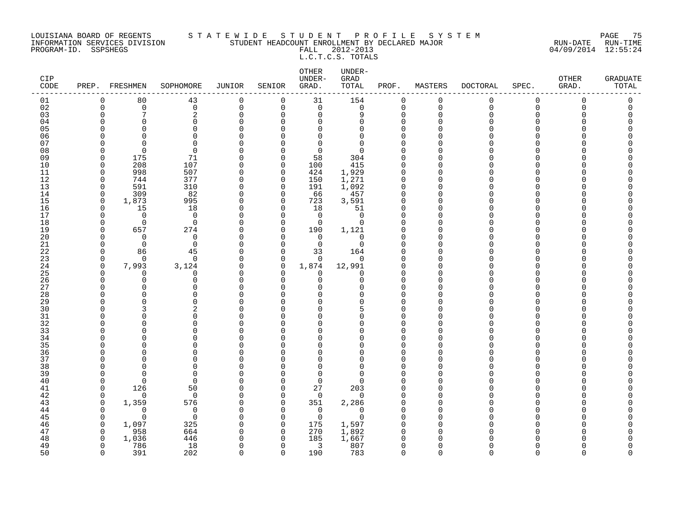#### LOUISIANA BOARD OF REGENTS S T A T E W I D E S T U D E N T P R O F I L E S Y S T E M PAGE 75 INFORMATION SERVICES DIVISION STUDENT HEADCOUNT ENROLLMENT BY DECLARED MAJOR RUN-DATE RUN-TIME PROGRAM-ID. SSPSHEGS FALL 2012-2013 04/09/2014 12:55:24

# L.C.T.C.S. TOTALS

| CIP<br>$\texttt{CODE}$ |                      | PREP. FRESHMEN        | SOPHOMORE                | JUNIOR               | SENIOR                  | OTHER<br>UNDER-<br>GRAD. | UNDER-<br>GRAD<br>TOTAL | PROF.         | MASTERS              | DOCTORAL | SPEC.       | <b>OTHER</b><br>GRAD. | <b>GRADUATE</b><br>TOTAL |
|------------------------|----------------------|-----------------------|--------------------------|----------------------|-------------------------|--------------------------|-------------------------|---------------|----------------------|----------|-------------|-----------------------|--------------------------|
| 01                     | $\mathbf 0$          | 80                    | 43                       | 0                    | $\overline{0}$          | 31                       | 154                     | 0             | $\mathbf 0$          | 0        | $\mathsf 0$ | $\mathbf 0$           | 0                        |
| 02                     | $\Omega$             | $\mathbf 0$           | $\mathbf 0$              | $\mathbf 0$          | $\mathbf 0$             | $\mathbf 0$              | $\mathbf 0$             | 0             | $\Omega$             | $\Omega$ | $\mathbf 0$ | $\mathbf 0$           | 0                        |
| 03                     | $\Omega$             | 7                     | $\sqrt{2}$               | 0                    | $\Omega$                | $\mathbf 0$              | 9                       | $\mathbf 0$   | $\Omega$             | $\Omega$ | 0           | $\Omega$              | 0                        |
| 04                     | $\Omega$             | $\Omega$              | $\Omega$                 | $\Omega$             | $\Omega$                | $\mathbf 0$              | $\Omega$                | 0             | $\Omega$             | ∩        | $\Omega$    | $\Omega$              | O                        |
| 05                     |                      | $\Omega$              | $\Omega$                 | $\Omega$             | $\Omega$                | $\Omega$                 | $\Omega$                | $\mathbf 0$   | $\Omega$             |          | U           | $\Omega$              |                          |
| 06                     |                      | $\Omega$              | $\Omega$                 |                      | $\Omega$                | 0                        | $\Omega$                | 0             | $\Omega$             |          | U           | ∩                     |                          |
| 07                     |                      | $\Omega$              | $\Omega$                 |                      | $\Omega$                | $\Omega$                 | $\Omega$                | $\mathbf 0$   | $\Omega$             |          | U           |                       |                          |
| 08                     |                      | $\Omega$              | $\Omega$                 | $\Omega$             | $\Omega$                | $\mathbf 0$              | $\Omega$                | $\mathbf 0$   | $\Omega$             |          |             |                       |                          |
| 09                     | $\Omega$             | 175                   | 71                       |                      | $\mathbf 0$             | 58                       | 304                     | $\mathbf 0$   | $\Omega$             |          | U           | n                     |                          |
| 10                     | $\Omega$             | 208                   | 107                      | $\Omega$             | $\mathbf 0$             | 100                      | 415                     | 0             | $\Omega$             |          | U           |                       |                          |
| 11                     | $\Omega$             | 998                   | 507                      | $\Omega$             | $\Omega$                | 424                      | 1,929                   | $\mathbf 0$   | $\Omega$             |          | ∩           |                       |                          |
| 12                     | $\Omega$             | 744                   | 377                      | $\Omega$             | $\mathbf 0$             | 150                      | 1,271                   | $\mathbf 0$   | $\Omega$             |          | Λ           | ∩                     |                          |
| 13                     | $\Omega$             | 591                   | 310                      | $\Omega$             | $\mathbf 0$             | 191                      | 1,092                   | $\mathsf 0$   | $\Omega$             |          |             |                       |                          |
| 14                     | $\Omega$             | 309                   | 82                       | $\Omega$             | $\mathbf 0$             | 66                       | 457                     | $\mathbf 0$   | $\Omega$             |          | U           |                       |                          |
| 15                     | $\Omega$             | 1,873                 | 995                      | $\Omega$             | $\mathbf 0$             | 723                      | 3,591                   | $\mathsf 0$   | $\Omega$             |          | U           |                       |                          |
| 16                     | $\Omega$<br>$\Omega$ | 15                    | 18                       | $\Omega$<br>$\Omega$ | 0                       | 18                       | 51<br>$\Omega$          | 0             | $\Omega$             |          | Λ           |                       |                          |
| 17                     |                      | $\overline{0}$        | $\overline{0}$           |                      | $\Omega$                | $\overline{0}$           |                         | $\Omega$      | $\Omega$             |          |             |                       |                          |
| 18<br>19               | $\Omega$<br>$\Omega$ | $\overline{0}$<br>657 | $\overline{0}$<br>274    | $\Omega$<br>∩        | $\mathbf 0$<br>$\Omega$ | $\overline{0}$<br>190    | $\Omega$                | 0<br>$\Omega$ | $\Omega$<br>$\Omega$ |          |             |                       |                          |
|                        | $\Omega$             | $\overline{0}$        | $\overline{0}$           | $\Omega$             | $\mathbf 0$             | $\overline{0}$           | 1,121<br>$\Omega$       | $\mathbf 0$   | $\Omega$             |          |             |                       |                          |
| 20<br>21               | $\Omega$             | $\overline{0}$        | $\overline{0}$           | $\Omega$             | $\Omega$                | $\overline{0}$           | $\Omega$                | 0             | $\Omega$             |          |             |                       |                          |
| 22                     | $\Omega$             | 86                    | 45                       | $\Omega$             | $\mathbf 0$             | 33                       | 164                     | $\mathbf 0$   | $\Omega$             |          | Λ           |                       |                          |
| 23                     | $\Omega$             | $\mathbf 0$           | $\overline{0}$           | $\Omega$             | $\Omega$                | $\overline{0}$           | $\Omega$                | $\mathbf 0$   | $\Omega$             |          |             |                       |                          |
| 24                     | $\Omega$             | 7,993                 | 3,124                    | $\Omega$             | $\mathbf 0$             | 1,874                    | 12,991                  | $\Omega$      | $\Omega$             |          | Λ           | n                     |                          |
| 25                     | $\Omega$             | $\mathbf 0$           | $\mathbf 0$              | $\Omega$             | $\mathbf 0$             | $\mathbf 0$              | $\mathbf 0$             | $\mathbf 0$   | $\Omega$             |          |             |                       |                          |
| 26                     | U                    | $\Omega$              | $\Omega$                 | $\Omega$             | $\Omega$                | $\mathbf 0$              | $\Omega$                | 0             | $\Omega$             |          | Λ           | n                     |                          |
| 27                     |                      | $\Omega$              | $\Omega$                 | $\Omega$             | $\Omega$                | 0                        |                         | $\Omega$      | $\Omega$             |          |             |                       |                          |
| 28                     |                      | $\Omega$              | $\Omega$                 | O                    | $\Omega$                | 0                        |                         | $\Omega$      | $\Omega$             |          |             |                       |                          |
| 29                     |                      | $\Omega$              | $\Omega$                 |                      | ∩                       | 0                        |                         | $\mathbf 0$   | $\cap$               |          |             |                       |                          |
| 30                     |                      | 3                     | $\overline{2}$           |                      | ∩                       | 0                        |                         | $\Omega$      | <sup>n</sup>         |          | Λ           |                       |                          |
| 31                     |                      |                       | $\Omega$                 |                      | ∩                       | $\Omega$                 |                         | $\Omega$      | U                    |          | Λ           |                       |                          |
| 32                     |                      | <sup>0</sup>          | $\Omega$                 |                      | O                       | 0                        | N                       | 0             | $\Omega$             |          |             | O                     |                          |
| 33                     |                      |                       | $\Omega$                 |                      | ∩                       | $\Omega$                 | ∩                       | $\Omega$      | $\Omega$             |          |             |                       |                          |
| 34                     |                      | $\cap$                | $\Omega$                 |                      | $\Omega$                | 0                        | U                       | 0             | $\Omega$             |          |             | n                     |                          |
| 35                     |                      |                       | $\Omega$                 |                      | ∩                       | $\Omega$                 |                         | $\Omega$      | U                    |          |             |                       |                          |
| 36                     |                      | $\cap$                | $\Omega$                 | O                    | ∩                       | $\Omega$                 | U                       | $\Omega$      | $\Omega$             |          | Λ           | ∩                     |                          |
| 37                     |                      |                       | $\Omega$                 |                      | ∩                       | 0                        | $\Omega$                | 0             | <sup>n</sup>         |          |             | ∩                     |                          |
| 38                     |                      | $\cap$                | $\Omega$                 |                      | ∩                       | $\Omega$                 | ∩                       | 0             | $\Omega$             |          | Λ           |                       |                          |
| 39                     |                      | $\Omega$              | $\Omega$                 |                      | $\Omega$                | $\mathbf 0$              | U                       | $\mathbf 0$   | $\Omega$             |          | U           |                       |                          |
| 40                     | U                    | $\Omega$              | $\Omega$                 | ∩                    | $\Omega$                | $\Omega$                 | U                       | $\Omega$      | <sup>n</sup>         |          |             | n                     |                          |
| 41                     | $\Omega$             | 126                   | 50                       |                      | $\mathbf 0$             | 27                       | 203                     | $\mathbf 0$   | $\Omega$             |          |             | $\Omega$              |                          |
| 42                     | $\Omega$             | $\overline{0}$        | $\mathbf 0$              | 0                    | 0                       | $\overline{0}$           | $\Omega$                | 0             | $\Omega$             |          |             |                       |                          |
| 43                     | $\Omega$             | 1,359                 | 576                      | $\Omega$             | $\Omega$                | 351                      | 2,286                   | $\Omega$      | $\cap$               |          |             |                       |                          |
| 44                     | $\Omega$             | $\mathbf 0$           | $\overline{\phantom{0}}$ | $\Omega$             | 0                       | $\overline{0}$           | $\overline{0}$          | 0             | $\Omega$             |          |             |                       |                          |
| 45                     | $\Omega$             | $\Omega$              | $\overline{0}$           | $\Omega$             | $\Omega$                | $\Omega$                 | $\Omega$                | $\mathbf 0$   | $\Omega$             |          |             |                       |                          |
| 46                     | $\Omega$             | 1,097                 | 325                      | $\Omega$             | $\mathbf 0$             | 175                      | 1,597                   | $\mathbf 0$   | $\Omega$             |          |             |                       |                          |
| 47                     | $\Omega$             | 958                   | 664                      | $\Omega$             | $\Omega$                | 270                      | 1,892                   | 0             | $\Omega$             |          |             |                       |                          |
| 48                     | U                    | 1,036                 | 446                      | ∩                    | $\mathbf 0$             | 185                      | 1,667                   | 0             | $\Omega$             |          |             |                       |                          |
| 49                     | U                    | 786                   | 18                       |                      | 0                       | $\overline{3}$           | 807                     | 0             | $\Omega$             |          |             | ∩                     |                          |
| 50                     | $\Omega$             | 391                   | 202                      | 0                    | $\Omega$                | 190                      | 783                     | $\Omega$      | $\Omega$             | $\Omega$ | $\Omega$    | $\Omega$              | $\Omega$                 |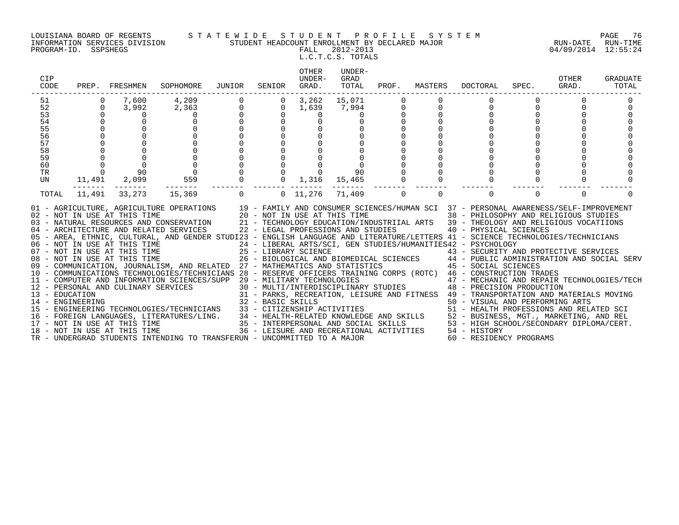#### LOUISIANA BOARD OF REGENTS S T A T E W I D E S T U D E N T P R O F I L E S Y S T E M PAGE 76 INFORMATION SERVICES DIVISION STUDENT HEADCOUNT ENROLLMENT BY DECLARED MAJOR RUN-DATE RUN-TIME

L.C.T.C.S. TOTALS

| CIP<br>CODE |                                      | PREP. FRESHMEN | SOPHOMORE                                                                                                                                                                                                                                                                                                                                                                                                                                                                                                                                                                                                                                                                                                                                                                       | JUNIOR       | SENIOR         | OTHER<br>UNDER-<br>GRAD.     | UNDER-<br>GRAD<br>TOTAL |             | PROF. MASTERS | DOCTORAL                                                        | SPEC. | OTHER<br>GRAD. | <b>GRADUATE</b><br>TOTAL |
|-------------|--------------------------------------|----------------|---------------------------------------------------------------------------------------------------------------------------------------------------------------------------------------------------------------------------------------------------------------------------------------------------------------------------------------------------------------------------------------------------------------------------------------------------------------------------------------------------------------------------------------------------------------------------------------------------------------------------------------------------------------------------------------------------------------------------------------------------------------------------------|--------------|----------------|------------------------------|-------------------------|-------------|---------------|-----------------------------------------------------------------|-------|----------------|--------------------------|
| 51          |                                      | 7,600          | 4,209                                                                                                                                                                                                                                                                                                                                                                                                                                                                                                                                                                                                                                                                                                                                                                           |              |                | $0 \quad 3,262$              | 15,071                  |             |               |                                                                 |       |                |                          |
| 52          | $\mathbf 0$                          | 3,992          | 2,363                                                                                                                                                                                                                                                                                                                                                                                                                                                                                                                                                                                                                                                                                                                                                                           | $\mathsf{O}$ | $\overline{0}$ | 1,639                        | 7,994                   | 0           | 0             |                                                                 |       |                |                          |
| 53          |                                      |                |                                                                                                                                                                                                                                                                                                                                                                                                                                                                                                                                                                                                                                                                                                                                                                                 |              |                | 0                            |                         | $\mathsf 0$ |               |                                                                 |       |                |                          |
| 54          |                                      |                |                                                                                                                                                                                                                                                                                                                                                                                                                                                                                                                                                                                                                                                                                                                                                                                 |              |                |                              |                         |             |               |                                                                 |       |                |                          |
| 55          |                                      |                |                                                                                                                                                                                                                                                                                                                                                                                                                                                                                                                                                                                                                                                                                                                                                                                 |              |                |                              |                         |             |               |                                                                 |       |                |                          |
| 56          |                                      |                |                                                                                                                                                                                                                                                                                                                                                                                                                                                                                                                                                                                                                                                                                                                                                                                 |              |                |                              |                         |             |               |                                                                 |       |                |                          |
| 57          |                                      |                |                                                                                                                                                                                                                                                                                                                                                                                                                                                                                                                                                                                                                                                                                                                                                                                 |              |                |                              |                         |             |               |                                                                 |       |                |                          |
| 58          |                                      |                |                                                                                                                                                                                                                                                                                                                                                                                                                                                                                                                                                                                                                                                                                                                                                                                 |              |                |                              |                         |             |               |                                                                 |       |                |                          |
| 59          |                                      |                |                                                                                                                                                                                                                                                                                                                                                                                                                                                                                                                                                                                                                                                                                                                                                                                 |              |                |                              |                         |             |               |                                                                 |       |                |                          |
| 60          | $\begin{matrix} 0 \\ 0 \end{matrix}$ |                |                                                                                                                                                                                                                                                                                                                                                                                                                                                                                                                                                                                                                                                                                                                                                                                 |              |                |                              |                         |             |               |                                                                 |       |                |                          |
| TR          |                                      | 90             |                                                                                                                                                                                                                                                                                                                                                                                                                                                                                                                                                                                                                                                                                                                                                                                 |              |                |                              | 90                      |             |               |                                                                 |       |                |                          |
| UN          |                                      | 11,491 2,099   | 559                                                                                                                                                                                                                                                                                                                                                                                                                                                                                                                                                                                                                                                                                                                                                                             |              |                | $0 \quad 1,316 \quad 15,465$ |                         |             |               |                                                                 |       |                |                          |
| TOTAL       |                                      | 11,491 33,273  | 15,369                                                                                                                                                                                                                                                                                                                                                                                                                                                                                                                                                                                                                                                                                                                                                                          |              |                | 0 0 11,276 71,409            |                         | $\Omega$    | $\Omega$      | $\Omega$                                                        |       | $\Omega$       |                          |
|             |                                      |                | 01 - AGRICULTURE, AGRICULTURE OPERATIONS 19 - FAMILY AND CONSUMER SCIENCES/HUMAN SCI 37 - PERSONAL AWARENESS/SELF-IMPROVEMENT<br>02 - NOT IN USE AT THIS TIME<br>20 - NOT IN USE AT THIS TIME<br>03 - NATURAL RESOURCES AND CONSERVATION 21 - TECHNOLOGY EDUCATION/INDUSTRIIAL ARTS 39 - THEOLOGY AND RELIGIOUS VOCATIIONS<br>04 - ARCHITECTURE AND RELATED SERVICES 22 - LEGAL PROFESSIONS AND STUDIES<br>05 - AREA, ETHNIC, CULTURAL, AND GENDER STUDI23 - ENGLISH LANGUAGE AND LITERATURE/LETTERS 41 - SCIENCE TECHNOLOGIES/TECHNICIANS<br>06 - NOT IN USE AT THIS TIME                             24 - LIBERAL ARTS/SCI, GEN STUDIES/HUMANITIES42 - PSYCHOLOGY<br>07 - NOT IN USE AT THIS TIME                       25 - LIBRARY SCIENCE                     43 - SECURIT |              |                |                              |                         |             |               | 38 - PHILOSOPHY AND RELIGIOUS STUDIES<br>40 - PHYSICAL SCIENCES |       |                |                          |
|             |                                      |                |                                                                                                                                                                                                                                                                                                                                                                                                                                                                                                                                                                                                                                                                                                                                                                                 |              |                |                              |                         |             |               |                                                                 |       |                |                          |
|             |                                      |                | 09 - COMMUNICATION, JOURNALISM, AND RELATED 27 - MATHEMATICS AND STATISTICS 45 - SOCIAL SCIENCES                                                                                                                                                                                                                                                                                                                                                                                                                                                                                                                                                                                                                                                                                |              |                |                              |                         |             |               |                                                                 |       |                |                          |
|             |                                      |                | 10 - COMMUNICATIONS TECHNOLOGIES/TECHNICIANS 28 - RESERVE OFFICERS TRAINING CORPS (ROTC) 46 - CONSTRUCTION TRADES                                                                                                                                                                                                                                                                                                                                                                                                                                                                                                                                                                                                                                                               |              |                |                              |                         |             |               |                                                                 |       |                |                          |
|             |                                      |                |                                                                                                                                                                                                                                                                                                                                                                                                                                                                                                                                                                                                                                                                                                                                                                                 |              |                |                              |                         |             |               |                                                                 |       |                |                          |
|             |                                      |                |                                                                                                                                                                                                                                                                                                                                                                                                                                                                                                                                                                                                                                                                                                                                                                                 |              |                |                              |                         |             |               |                                                                 |       |                |                          |
|             |                                      |                |                                                                                                                                                                                                                                                                                                                                                                                                                                                                                                                                                                                                                                                                                                                                                                                 |              |                |                              |                         |             |               |                                                                 |       |                |                          |
|             |                                      |                |                                                                                                                                                                                                                                                                                                                                                                                                                                                                                                                                                                                                                                                                                                                                                                                 |              |                |                              |                         |             |               |                                                                 |       |                |                          |
|             |                                      |                |                                                                                                                                                                                                                                                                                                                                                                                                                                                                                                                                                                                                                                                                                                                                                                                 |              |                |                              |                         |             |               |                                                                 |       |                |                          |
|             |                                      |                |                                                                                                                                                                                                                                                                                                                                                                                                                                                                                                                                                                                                                                                                                                                                                                                 |              |                |                              |                         |             |               |                                                                 |       |                |                          |
|             |                                      |                |                                                                                                                                                                                                                                                                                                                                                                                                                                                                                                                                                                                                                                                                                                                                                                                 |              |                |                              |                         |             |               |                                                                 |       |                |                          |
|             |                                      |                | 10 - COMMUNICATIONS TECHNOLOGIES/IECHNICIANS 26 - RESERVE OF FICENS IRAINING COKES (ROIC) 40 - MECHANIC AND REPAIR TECHNOLOGIES/TECH<br>12 - PERSONAL AND CULINARY SERVICES 30 - MULTI/INTERDISCIPLINARY STUDIES 48 - PRECISION                                                                                                                                                                                                                                                                                                                                                                                                                                                                                                                                                 |              |                |                              |                         |             |               |                                                                 |       |                |                          |
|             |                                      |                | TR - UNDERGRAD STUDENTS INTENDING TO TRANSFERUN - UNCOMMITTED TO A MAJOR                                                                                                                                                                                                                                                                                                                                                                                                                                                                                                                                                                                                                                                                                                        |              |                |                              |                         |             |               | 60 - RESIDENCY PROGRAMS                                         |       |                |                          |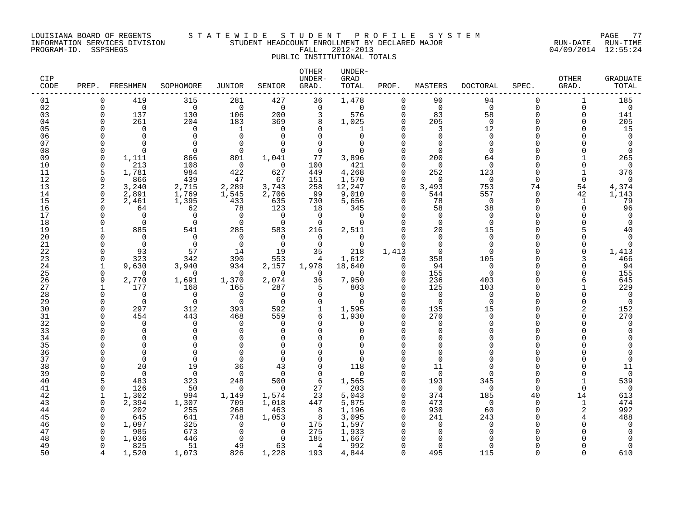### LOUISIANA BOARD OF REGENTS S T A T E W I D E S T U D E N T P R O F I L E S Y S T E M PAGE 77 INFORMATION SERVICES DIVISION STUDENT HEADCOUNT ENROLLMENT BY DECLARED MAJOR RUN-DATE RUN-TIME

PUBLIC INSTITUTIONAL TOTALS

## OTHER UNDER-CIP UNDER- GRAD OTHER GRADUATE CODE PREP. FRESHMEN SOPHOMORE JUNIOR SENIOR GRAD. TOTAL PROF. MASTERS DOCTORAL SPEC. GRAD. TOTAL ------------------------------------------------------------------------------------------------------------------------------------ 01 0 419 315 281 427 36 1,478 0 90 94 0 1 185<br>02 0 0 0 0 0 0 0 0 0 0 0 0 03 0 137 130 106 200 3 576 0 83 58 0 0 141 04 0 261 204 183 369 8 1,025 0 205 0 0 0 205 05 0 0 0 1 0 0 1 0 3 12 0 0 15 06 0 0 0 0 0 0 0 0 0 0 0 0 0 07 0 0 0 0 0 0 0 0 0 0 0 0 0 08 0 0 0 0 0 0 0 0 0 0 0 0 0 09 0 1,111 866 801 1,041 77 3,896 0 200 64 0 1 265 10 0 213 108 0 0 100 421 0 0 0 0 0 0 11 5 1,781 984 422 627 449 4,268 0 252 123 0 1 376 12 0 866 439 47 67 151 1,570 0 0 0 0 0 0 13 2 3,240 2,715 2,289 3,743 258 12,247 0 3,493 753 74 54 4,374 14 0 2,891 1,769 1,545 2,706 99 9,010 0 544 557 0 42 1,143 15 2 2,461 1,395 433 635 730 5,656 0 78 0 0 1 79 16 0 64 62 78 123 18 345 0 58 38 0 0 96 17 0 0 0 0 0 0 0 0 0 0 0 0 0 18 0 0 0 0 0 0 0 0 0 0 0 0 0 19 1 885 541 285 583 216 2,511 0 20 15 0 5 40 20 0 0 0 0 0 0 0 0 0 0 0 0 0 21 0 0 0 0 0 0 0 0 0 0 0 0 0 22 0 93 57 14 19 35 218 1,413 0 0 0 0 1,413 23 0 323 342 390 553 4 1,612 0 358 105 0 3 466 24 1 9,630 3,940 934 2,157 1,978 18,640 0 94 0 0 0 94 25 0 0 0 0 0 0 0 0 155 0 0 0 155 26 9 2,770 1,691 1,370 2,074 36 7,950 0 236 403 0 6 645 27 1 177 168 165 287 5 803 0 125 103 0 1 229 28 0 0 0 0 0 0 0 0 0 0 0 0 0 29 0 0 0 0 0 0 0 0 0 0 0 0 0 30 0 297 312 393 592 1 1,595 0 135 15 0 2 152 31 0 454 443 468 559 6 1,930 0 270 0 0 0 270 32 0 0 0 0 0 0 0 0 0 0 0 0 0 33 0 0 0 0 0 0 0 0 0 0 0 0 0 34 0 0 0 0 0 0 0 0 0 0 0 0 0 35 0 0 0 0 0 0 0 0 0 0 0 0 0 36 0 0 0 0 0 0 0 0 0 0 0 0 0 37 0 0 0 0 0 0 0 0 0 0 0 0 0 38 0 20 19 36 43 0 118 0 11 0 0 0 11 39 0 0 0 0 0 0 0 0 0 0 0 0 0 40 5 483 323 248 500 6 1,565 0 193 345 0 1 539 41 0 126 50 0 0 27 203 0 0 0 0 0 0 42 1 1,302 994 1,149 1,574 23 5,043 0 374 185 40 14 613 43 0 2,394 1,307 709 1,018 447 5,875 0 473 0 0 1 474 44 0 202 255 268 463 8 1,196 0 930 60 0 2 992 45 0 645 641 748 1,053 8 3,095 0 241 243 0 4 488 46 0 1,097 325 0 0 175 1,597 0 0 0 0 0 0 47 0 985 673 0 0 275 1,933 0 0 0 0 0 0 48 0 1,036 446 0 0 185 1,667 0 0 0 0 0 0 49 0 825 51 49 63 4 992 0 0 0 0 0 0

50 4 1,520 1,073 826 1,228 193 4,844 0 495 115 0 0 610